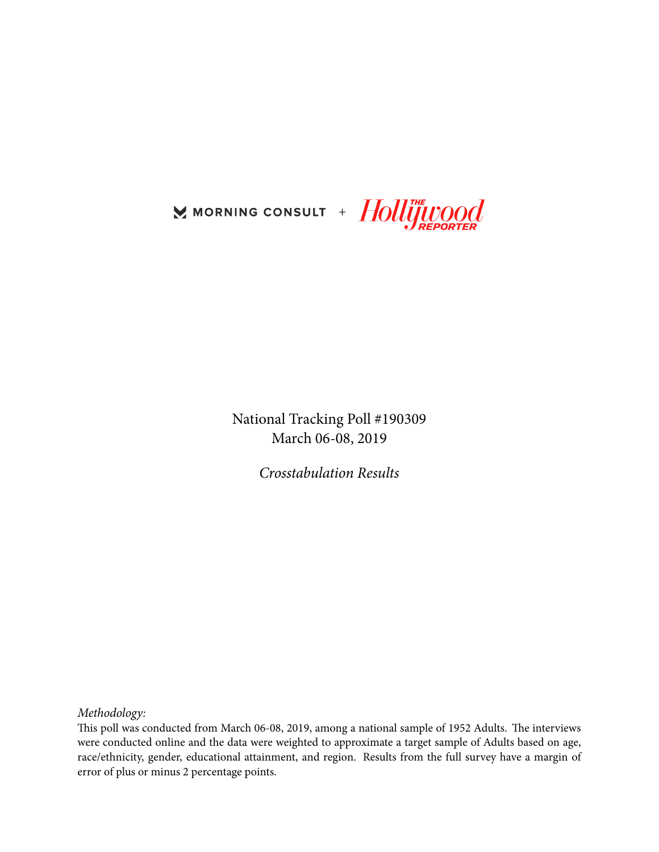

National Tracking Poll #190309 March 06-08, 2019

*Crosstabulation Results*

*Methodology:*

This poll was conducted from March 06-08, 2019, among a national sample of 1952 Adults. The interviews were conducted online and the data were weighted to approximate a target sample of Adults based on age, race/ethnicity, gender, educational attainment, and region. Results from the full survey have a margin of error of plus or minus 2 percentage points.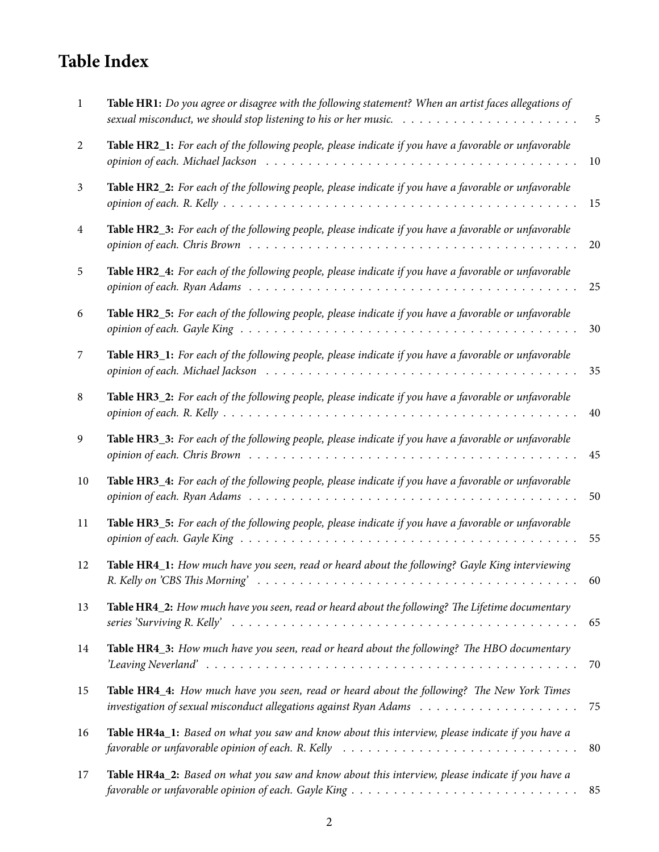## **Table Index**

| -1             | Table HR1: Do you agree or disagree with the following statement? When an artist faces allegations of                                                                                                                          | $\mathfrak s$ |
|----------------|--------------------------------------------------------------------------------------------------------------------------------------------------------------------------------------------------------------------------------|---------------|
| 2              | Table HR2_1: For each of the following people, please indicate if you have a favorable or unfavorable                                                                                                                          | 10            |
| $\mathfrak{Z}$ | Table HR2_2: For each of the following people, please indicate if you have a favorable or unfavorable                                                                                                                          | 15            |
| $\overline{4}$ | Table HR2_3: For each of the following people, please indicate if you have a favorable or unfavorable                                                                                                                          | 20            |
| 5              | Table HR2_4: For each of the following people, please indicate if you have a favorable or unfavorable                                                                                                                          | 25            |
| 6              | Table HR2_5: For each of the following people, please indicate if you have a favorable or unfavorable                                                                                                                          | 30            |
| 7              | Table HR3_1: For each of the following people, please indicate if you have a favorable or unfavorable                                                                                                                          | 35            |
| 8              | Table HR3_2: For each of the following people, please indicate if you have a favorable or unfavorable                                                                                                                          | 40            |
| 9              | Table HR3_3: For each of the following people, please indicate if you have a favorable or unfavorable                                                                                                                          | 45            |
| 10             | Table HR3_4: For each of the following people, please indicate if you have a favorable or unfavorable                                                                                                                          | 50            |
| 11             | Table HR3_5: For each of the following people, please indicate if you have a favorable or unfavorable                                                                                                                          | 55            |
| 12             | Table HR4_1: How much have you seen, read or heard about the following? Gayle King interviewing                                                                                                                                | 60            |
| 13             | Table HR4_2: How much have you seen, read or heard about the following? The Lifetime documentary                                                                                                                               | 65            |
| 14             | Table HR4_3: How much have you seen, read or heard about the following? The HBO documentary                                                                                                                                    | 70            |
| 15             | Table HR4_4: How much have you seen, read or heard about the following? The New York Times                                                                                                                                     | 75            |
| 16             | Table HR4a_1: Based on what you saw and know about this interview, please indicate if you have a<br>favorable or unfavorable opinion of each. R. Kelly $\ldots \ldots \ldots \ldots \ldots \ldots \ldots \ldots \ldots \ldots$ | 80            |
| 17             | Table HR4a_2: Based on what you saw and know about this interview, please indicate if you have a                                                                                                                               | 85            |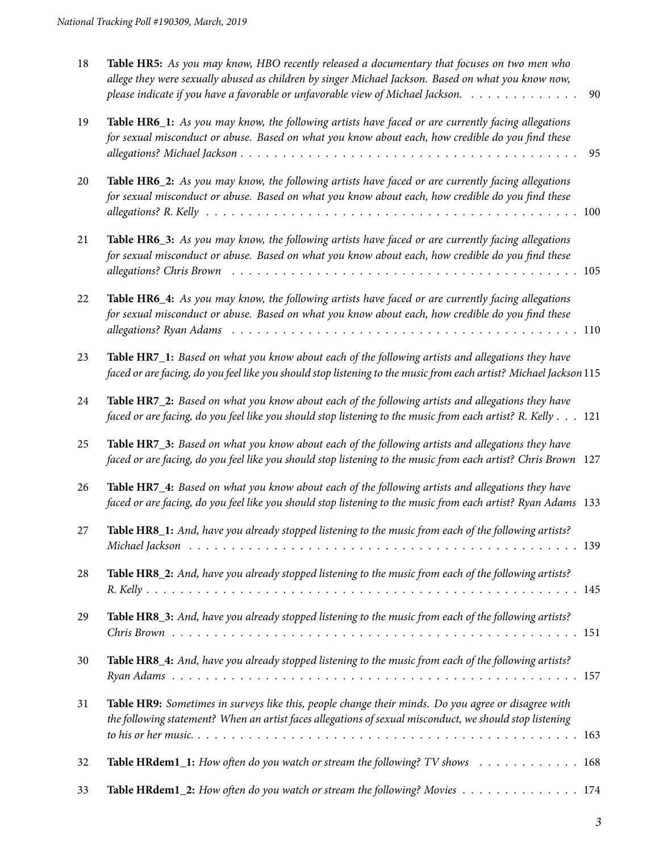| 18 | Table HR5: As you may know, HBO recently released a documentary that focuses on two men who<br>allege they were sexually abused as children by singer Michael Jackson. Based on what you know now,<br>please indicate if you have a favorable or unfavorable view of Michael Jackson.<br>90 |  |
|----|---------------------------------------------------------------------------------------------------------------------------------------------------------------------------------------------------------------------------------------------------------------------------------------------|--|
| 19 | Table HR6_1: As you may know, the following artists have faced or are currently facing allegations<br>for sexual misconduct or abuse. Based on what you know about each, how credible do you find these<br>95                                                                               |  |
| 20 | Table HR6_2: As you may know, the following artists have faced or are currently facing allegations<br>for sexual misconduct or abuse. Based on what you know about each, how credible do you find these                                                                                     |  |
| 21 | Table HR6_3: As you may know, the following artists have faced or are currently facing allegations<br>for sexual misconduct or abuse. Based on what you know about each, how credible do you find these                                                                                     |  |
| 22 | Table HR6_4: As you may know, the following artists have faced or are currently facing allegations<br>for sexual misconduct or abuse. Based on what you know about each, how credible do you find these                                                                                     |  |
| 23 | Table HR7_1: Based on what you know about each of the following artists and allegations they have<br>faced or are facing, do you feel like you should stop listening to the music from each artist? Michael Jackson 115                                                                     |  |
| 24 | Table HR7_2: Based on what you know about each of the following artists and allegations they have<br>faced or are facing, do you feel like you should stop listening to the music from each artist? R. Kelly 121                                                                            |  |
| 25 | Table HR7_3: Based on what you know about each of the following artists and allegations they have<br>faced or are facing, do you feel like you should stop listening to the music from each artist? Chris Brown 127                                                                         |  |
| 26 | Table HR7_4: Based on what you know about each of the following artists and allegations they have<br>faced or are facing, do you feel like you should stop listening to the music from each artist? Ryan Adams 133                                                                          |  |
| 27 | Table HR8_1: And, have you already stopped listening to the music from each of the following artists?                                                                                                                                                                                       |  |
| 28 | Table HR8_2: And, have you already stopped listening to the music from each of the following artists?                                                                                                                                                                                       |  |
| 29 | Table HR8_3: And, have you already stopped listening to the music from each of the following artists?                                                                                                                                                                                       |  |
| 30 | Table HR8_4: And, have you already stopped listening to the music from each of the following artists?                                                                                                                                                                                       |  |
| 31 | Table HR9: Sometimes in surveys like this, people change their minds. Do you agree or disagree with<br>the following statement? When an artist faces allegations of sexual misconduct, we should stop listening                                                                             |  |
| 32 | Table HRdem1_1: How often do you watch or stream the following? TV shows 168                                                                                                                                                                                                                |  |
| 33 | Table HRdem1_2: How often do you watch or stream the following? Movies 174                                                                                                                                                                                                                  |  |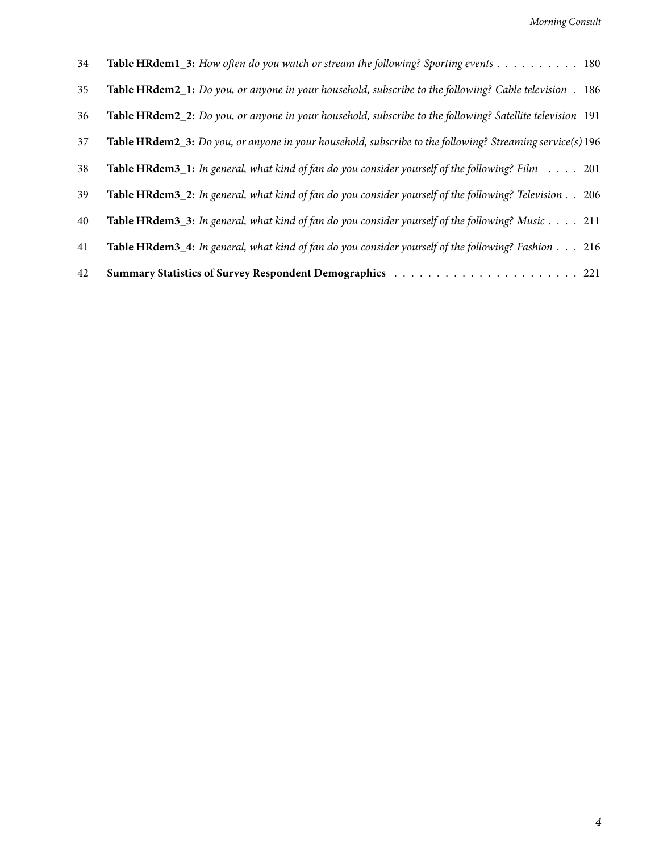| 34 | Table HRdem1_3: How often do you watch or stream the following? Sporting events 180                                |
|----|--------------------------------------------------------------------------------------------------------------------|
| 35 | <b>Table HRdem2_1:</b> Do you, or anyone in your household, subscribe to the following? Cable television . 186     |
| 36 | Table HRdem2_2: Do you, or anyone in your household, subscribe to the following? Satellite television 191          |
| 37 | <b>Table HRdem2_3:</b> Do you, or anyone in your household, subscribe to the following? Streaming service(s) 196   |
| 38 | <b>Table HRdem3_1:</b> In general, what kind of fan do you consider yourself of the following? Film $\ldots$ . 201 |
| 39 | Table HRdem3_2: In general, what kind of fan do you consider yourself of the following? Television 206             |
| 40 | <b>Table HRdem3_3:</b> In general, what kind of fan do you consider yourself of the following? Music 211           |
| 41 | Table HRdem3_4: In general, what kind of fan do you consider yourself of the following? Fashion 216                |
| 42 |                                                                                                                    |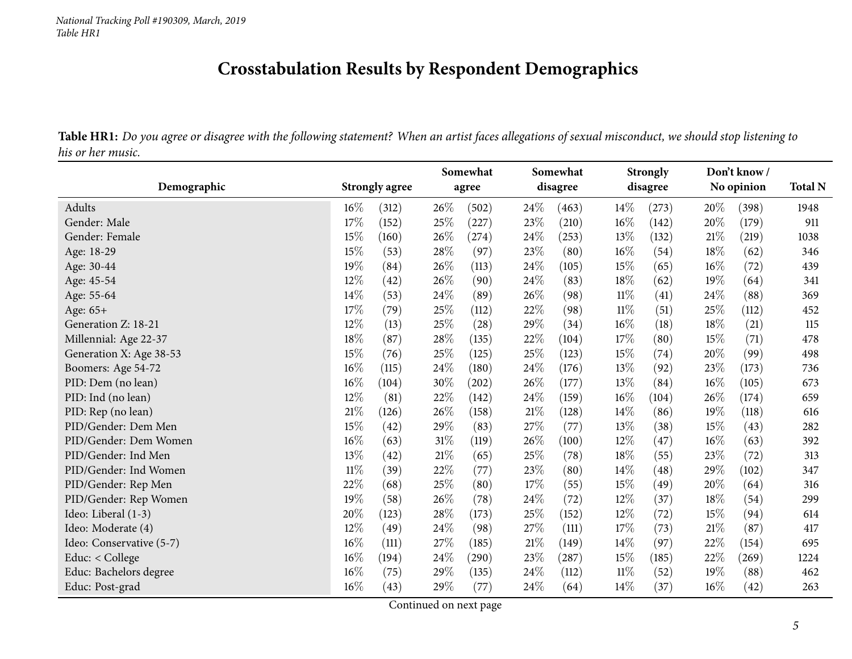## **Crosstabulation Results by Respondent Demographics**

Table HR1: Do you agree or disagree with the following statement? When an artist faces allegations of sexual misconduct, we should stop listening to *his or her music.*

<span id="page-4-0"></span>

|                          |        |                       |        | Somewhat           |        | Somewhat |        | <b>Strongly</b> |        | Don't know/ |                |
|--------------------------|--------|-----------------------|--------|--------------------|--------|----------|--------|-----------------|--------|-------------|----------------|
| Demographic              |        | <b>Strongly agree</b> |        | agree              |        | disagree |        | disagree        |        | No opinion  | <b>Total N</b> |
| Adults                   | $16\%$ | (312)                 | 26\%   | (502)              | 24%    | (463)    | 14\%   | (273)           | 20%    | (398)       | 1948           |
| Gender: Male             | 17%    | (152)                 | 25%    | (227)              | 23%    | (210)    | 16%    | (142)           | 20%    | (179)       | 911            |
| Gender: Female           | 15%    | (160)                 | 26%    | (274)              | 24%    | (253)    | 13%    | (132)           | $21\%$ | (219)       | 1038           |
| Age: 18-29               | 15%    | (53)                  | 28%    | (97)               | 23%    | (80)     | 16%    | (54)            | 18%    | (62)        | 346            |
| Age: 30-44               | 19%    | (84)                  | 26%    | (113)              | 24%    | (105)    | 15%    | (65)            | 16%    | (72)        | 439            |
| Age: 45-54               | 12%    | (42)                  | 26\%   | (90)               | 24%    | (83)     | 18%    | (62)            | 19%    | (64)        | 341            |
| Age: 55-64               | $14\%$ | (53)                  | 24%    | (89)               | $26\%$ | (98)     | $11\%$ | (41)            | 24%    | (88)        | 369            |
| Age: 65+                 | 17%    | (79)                  | 25%    | (112)              | $22\%$ | (98)     | $11\%$ | (51)            | 25%    | (112)       | 452            |
| Generation Z: 18-21      | 12%    | (13)                  | 25%    | $\left( 28\right)$ | 29%    | (34)     | 16%    | (18)            | 18%    | (21)        | 115            |
| Millennial: Age 22-37    | $18\%$ | (87)                  | 28%    | (135)              | 22%    | (104)    | 17%    | (80)            | 15%    | (71)        | 478            |
| Generation X: Age 38-53  | 15%    | (76)                  | 25%    | (125)              | 25%    | (123)    | 15%    | (74)            | 20%    | (99)        | 498            |
| Boomers: Age 54-72       | 16%    | (115)                 | 24\%   | (180)              | 24\%   | (176)    | 13%    | (92)            | 23%    | (173)       | 736            |
| PID: Dem (no lean)       | 16%    | (104)                 | 30%    | (202)              | 26%    | (177)    | 13%    | (84)            | 16%    | (105)       | 673            |
| PID: Ind (no lean)       | 12%    | (81)                  | 22\%   | (142)              | $24\%$ | (159)    | 16%    | (104)           | 26%    | (174)       | 659            |
| PID: Rep (no lean)       | 21%    | (126)                 | 26%    | (158)              | 21%    | (128)    | 14%    | (86)            | 19%    | (118)       | 616            |
| PID/Gender: Dem Men      | $15\%$ | (42)                  | 29%    | (83)               | 27%    | (77)     | 13%    | (38)            | 15%    | (43)        | 282            |
| PID/Gender: Dem Women    | $16\%$ | (63)                  | $31\%$ | (119)              | $26\%$ | (100)    | 12%    | (47)            | 16%    | (63)        | 392            |
| PID/Gender: Ind Men      | $13\%$ | (42)                  | $21\%$ | (65)               | $25\%$ | (78)     | 18%    | (55)            | 23%    | (72)        | 313            |
| PID/Gender: Ind Women    | $11\%$ | (39)                  | 22%    | (77)               | $23\%$ | (80)     | 14%    | (48)            | 29%    | (102)       | 347            |
| PID/Gender: Rep Men      | $22\%$ | (68)                  | 25%    | (80)               | 17%    | (55)     | 15%    | (49)            | $20\%$ | (64)        | 316            |
| PID/Gender: Rep Women    | 19%    | (58)                  | 26%    | (78)               | 24\%   | (72)     | 12%    | (37)            | 18%    | (54)        | 299            |
| Ideo: Liberal (1-3)      | $20\%$ | (123)                 | 28%    | (173)              | 25%    | (152)    | 12%    | (72)            | 15%    | (94)        | 614            |
| Ideo: Moderate (4)       | 12%    | (49)                  | 24%    | (98)               | 27%    | (111)    | 17%    | (73)            | $21\%$ | (87)        | 417            |
| Ideo: Conservative (5-7) | 16%    | (111)                 | 27%    | (185)              | $21\%$ | (149)    | 14%    | (97)            | 22%    | (154)       | 695            |
| Educ: < College          | $16\%$ | (194)                 | 24%    | (290)              | 23%    | (287)    | 15%    | (185)           | 22%    | (269)       | 1224           |
| Educ: Bachelors degree   | 16%    | (75)                  | 29%    | (135)              | 24\%   | (112)    | $11\%$ | (52)            | 19%    | (88)        | 462            |
| Educ: Post-grad          | 16%    | (43)                  | 29%    | (77)               | 24%    | (64)     | 14%    | (37)            | 16%    | (42)        | 263            |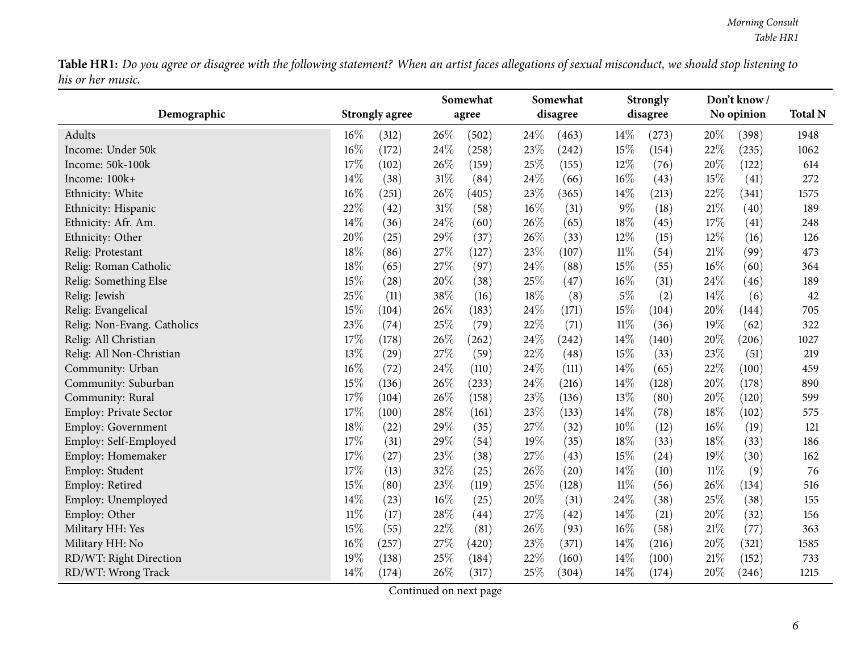|                             |        |                       |      | Somewhat |        | Somewhat |        | <b>Strongly</b> |        | Don't know / |                |
|-----------------------------|--------|-----------------------|------|----------|--------|----------|--------|-----------------|--------|--------------|----------------|
| Demographic                 |        | <b>Strongly agree</b> |      | agree    |        | disagree |        | disagree        |        | No opinion   | <b>Total N</b> |
| Adults                      | $16\%$ | (312)                 | 26%  | (502)    | $24\%$ | (463)    | 14%    | (273)           | 20%    | (398)        | 1948           |
| Income: Under 50k           | $16\%$ | (172)                 | 24%  | (258)    | 23%    | (242)    | 15%    | (154)           | 22%    | (235)        | 1062           |
| Income: 50k-100k            | 17%    | (102)                 | 26%  | (159)    | 25%    | (155)    | 12%    | (76)            | 20%    | (122)        | 614            |
| Income: 100k+               | 14%    | (38)                  | 31%  | (84)     | 24%    | (66)     | $16\%$ | (43)            | 15%    | (41)         | 272            |
| Ethnicity: White            | $16\%$ | (251)                 | 26%  | (405)    | 23%    | (365)    | 14%    | (213)           | $22\%$ | (341)        | 1575           |
| Ethnicity: Hispanic         | 22%    | (42)                  | 31%  | (58)     | 16%    | (31)     | $9\%$  | (18)            | 21%    | (40)         | 189            |
| Ethnicity: Afr. Am.         | 14%    | (36)                  | 24%  | (60)     | 26%    | (65)     | 18%    | (45)            | 17%    | (41)         | 248            |
| Ethnicity: Other            | 20%    | (25)                  | 29%  | (37)     | 26%    | (33)     | 12%    | (15)            | 12%    | (16)         | 126            |
| Relig: Protestant           | 18%    | (86)                  | 27%  | (127)    | 23%    | (107)    | $11\%$ | (54)            | $21\%$ | (99)         | 473            |
| Relig: Roman Catholic       | 18%    | (65)                  | 27%  | (97)     | 24%    | (88)     | 15%    | (55)            | 16%    | (60)         | 364            |
| Relig: Something Else       | 15%    | (28)                  | 20%  | (38)     | 25%    | (47)     | 16%    | (31)            | 24%    | (46)         | 189            |
| Relig: Jewish               | 25%    | (11)                  | 38%  | (16)     | 18%    | (8)      | $5\%$  | (2)             | 14%    | (6)          | 42             |
| Relig: Evangelical          | 15%    | (104)                 | 26%  | (183)    | 24%    | (171)    | 15%    | (104)           | 20%    | (144)        | 705            |
| Relig: Non-Evang. Catholics | 23%    | (74)                  | 25%  | (79)     | 22%    | (71)     | $11\%$ | (36)            | 19%    | (62)         | 322            |
| Relig: All Christian        | 17%    | (178)                 | 26%  | (262)    | 24%    | (242)    | 14%    | (140)           | 20%    | (206)        | 1027           |
| Relig: All Non-Christian    | 13%    | (29)                  | 27%  | (59)     | 22%    | (48)     | 15%    | (33)            | 23%    | (51)         | 219            |
| Community: Urban            | $16\%$ | (72)                  | 24%  | (110)    | 24%    | (111)    | 14%    | (65)            | 22%    | (100)        | 459            |
| Community: Suburban         | 15%    | (136)                 | 26%  | (233)    | 24%    | (216)    | 14%    | (128)           | 20%    | (178)        | 890            |
| Community: Rural            | 17%    | (104)                 | 26%  | (158)    | 23%    | (136)    | 13%    | (80)            | 20%    | (120)        | 599            |
| Employ: Private Sector      | 17%    | (100)                 | 28\% | (161)    | 23%    | (133)    | 14%    | (78)            | 18%    | (102)        | 575            |
| Employ: Government          | $18\%$ | (22)                  | 29%  | (35)     | 27%    | (32)     | 10%    | (12)            | 16%    | (19)         | 121            |
| Employ: Self-Employed       | 17%    | (31)                  | 29%  | (54)     | 19%    | (35)     | 18%    | (33)            | 18%    | (33)         | 186            |
| Employ: Homemaker           | 17%    | (27)                  | 23%  | (38)     | 27%    | (43)     | 15%    | (24)            | 19%    | (30)         | 162            |
| Employ: Student             | 17%    | (13)                  | 32%  | (25)     | 26%    | (20)     | 14%    | (10)            | $11\%$ | (9)          | 76             |
| Employ: Retired             | 15%    | (80)                  | 23%  | (119)    | 25%    | (128)    | $11\%$ | (56)            | 26%    | (134)        | 516            |
| Employ: Unemployed          | 14%    | (23)                  | 16%  | (25)     | 20%    | (31)     | 24%    | (38)            | 25%    | (38)         | 155            |
| Employ: Other               | $11\%$ | (17)                  | 28\% | (44)     | 27%    | (42)     | 14\%   | (21)            | 20%    | (32)         | 156            |
| Military HH: Yes            | 15%    | (55)                  | 22%  | (81)     | 26%    | (93)     | $16\%$ | (58)            | 21%    | (77)         | 363            |
| Military HH: No             | $16\%$ | (257)                 | 27%  | (420)    | 23%    | (371)    | 14%    | (216)           | 20%    | (321)        | 1585           |
| RD/WT: Right Direction      | 19%    | (138)                 | 25%  | (184)    | 22%    | (160)    | 14%    | (100)           | 21%    | (152)        | 733            |
| RD/WT: Wrong Track          | 14%    | (174)                 | 26%  | (317)    | $25\%$ | (304)    | 14\%   | (174)           | 20%    | (246)        | 1215           |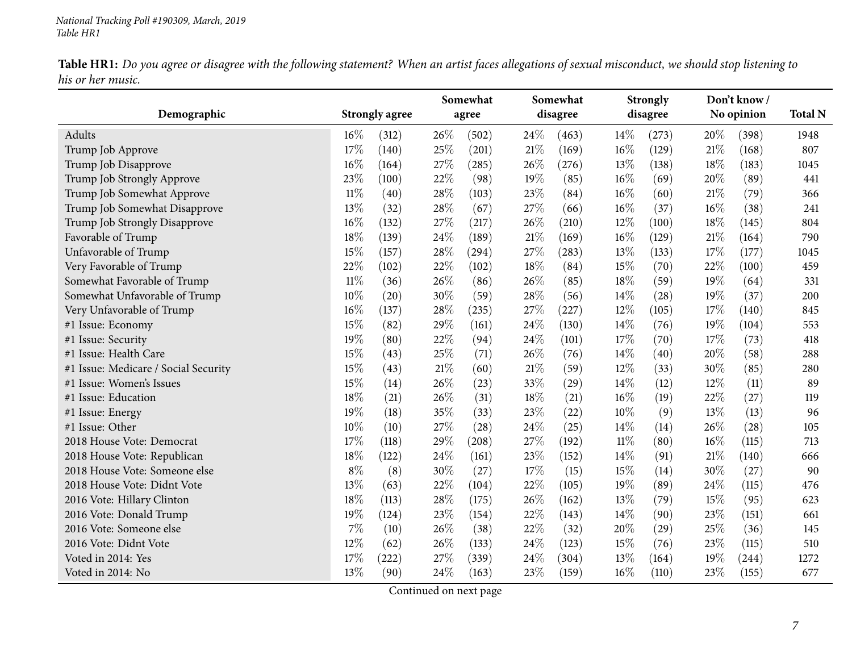|                                      |        |                       |      | Somewhat |      | Somewhat |        | <b>Strongly</b>    |        | Don't know/ |                |
|--------------------------------------|--------|-----------------------|------|----------|------|----------|--------|--------------------|--------|-------------|----------------|
| Demographic                          |        | <b>Strongly agree</b> |      | agree    |      | disagree |        | disagree           |        | No opinion  | <b>Total N</b> |
| Adults                               | 16%    | (312)                 | 26%  | (502)    | 24\% | (463)    | 14%    | (273)              | 20%    | (398)       | 1948           |
| Trump Job Approve                    | 17%    | (140)                 | 25%  | (201)    | 21%  | (169)    | 16%    | (129)              | $21\%$ | (168)       | 807            |
| Trump Job Disapprove                 | 16%    | (164)                 | 27\% | (285)    | 26%  | (276)    | 13%    | (138)              | 18%    | (183)       | 1045           |
| Trump Job Strongly Approve           | 23%    | (100)                 | 22\% | (98)     | 19%  | (85)     | 16%    | (69)               | 20%    | (89)        | 441            |
| Trump Job Somewhat Approve           | $11\%$ | (40)                  | 28%  | (103)    | 23%  | (84)     | 16%    | (60)               | 21%    | (79)        | 366            |
| Trump Job Somewhat Disapprove        | 13%    | (32)                  | 28%  | (67)     | 27%  | (66)     | 16%    | (37)               | 16%    | (38)        | 241            |
| Trump Job Strongly Disapprove        | 16%    | (132)                 | 27%  | (217)    | 26%  | (210)    | 12%    | (100)              | 18%    | (145)       | 804            |
| Favorable of Trump                   | 18%    | (139)                 | 24%  | (189)    | 21%  | (169)    | 16%    | (129)              | 21%    | (164)       | 790            |
| Unfavorable of Trump                 | 15%    | (157)                 | 28%  | (294)    | 27%  | (283)    | 13%    | (133)              | 17%    | (177)       | 1045           |
| Very Favorable of Trump              | 22%    | (102)                 | 22%  | (102)    | 18%  | (84)     | 15%    | (70)               | 22%    | (100)       | 459            |
| Somewhat Favorable of Trump          | $11\%$ | (36)                  | 26%  | (86)     | 26%  | (85)     | 18%    | (59)               | 19%    | (64)        | 331            |
| Somewhat Unfavorable of Trump        | 10%    | (20)                  | 30%  | (59)     | 28%  | (56)     | 14\%   | (28)               | 19%    | (37)        | 200            |
| Very Unfavorable of Trump            | 16%    | (137)                 | 28\% | (235)    | 27%  | (227)    | 12%    | (105)              | 17%    | (140)       | 845            |
| #1 Issue: Economy                    | 15%    | (82)                  | 29%  | (161)    | 24%  | (130)    | 14%    | (76)               | 19%    | (104)       | 553            |
| #1 Issue: Security                   | 19%    | (80)                  | 22%  | (94)     | 24%  | (101)    | 17%    | (70)               | 17%    | (73)        | 418            |
| #1 Issue: Health Care                | 15%    | (43)                  | 25%  | (71)     | 26%  | (76)     | 14\%   | (40)               | 20%    | (58)        | 288            |
| #1 Issue: Medicare / Social Security | $15\%$ | (43)                  | 21%  | (60)     | 21%  | (59)     | 12%    | (33)               | 30%    | (85)        | 280            |
| #1 Issue: Women's Issues             | 15%    | (14)                  | 26%  | (23)     | 33%  | (29)     | 14%    | (12)               | 12%    | (11)        | 89             |
| #1 Issue: Education                  | 18%    | (21)                  | 26%  | (31)     | 18%  | (21)     | 16%    | (19)               | 22%    | (27)        | 119            |
| #1 Issue: Energy                     | 19%    | (18)                  | 35%  | (33)     | 23%  | (22)     | 10%    | (9)                | $13\%$ | (13)        | 96             |
| #1 Issue: Other                      | 10%    | (10)                  | 27%  | (28)     | 24%  | (25)     | 14%    | (14)               | 26%    | (28)        | 105            |
| 2018 House Vote: Democrat            | $17\%$ | (118)                 | 29%  | (208)    | 27%  | (192)    | $11\%$ | (80)               | 16%    | (115)       | 713            |
| 2018 House Vote: Republican          | 18%    | (122)                 | 24\% | (161)    | 23%  | (152)    | 14\%   | (91)               | 21%    | (140)       | 666            |
| 2018 House Vote: Someone else        | $8\%$  | (8)                   | 30%  | (27)     | 17%  | (15)     | 15%    | (14)               | 30%    | (27)        | 90             |
| 2018 House Vote: Didnt Vote          | 13%    | (63)                  | 22%  | (104)    | 22%  | (105)    | 19%    | (89)               | 24%    | (115)       | 476            |
| 2016 Vote: Hillary Clinton           | $18\%$ | (113)                 | 28\% | (175)    | 26%  | (162)    | 13%    | (79)               | 15%    | (95)        | 623            |
| 2016 Vote: Donald Trump              | 19%    | (124)                 | 23%  | (154)    | 22%  | (143)    | 14%    | (90)               | 23%    | (151)       | 661            |
| 2016 Vote: Someone else              | 7%     | (10)                  | 26%  | (38)     | 22%  | (32)     | 20%    | $\left( 29\right)$ | 25%    | (36)        | 145            |
| 2016 Vote: Didnt Vote                | 12%    | (62)                  | 26%  | (133)    | 24%  | (123)    | 15%    | (76)               | 23%    | (115)       | 510            |
| Voted in 2014: Yes                   | 17%    | (222)                 | 27%  | (339)    | 24%  | (304)    | 13%    | (164)              | 19%    | (244)       | 1272           |
| Voted in 2014: No                    | 13%    | (90)                  | 24%  | (163)    | 23%  | (159)    | 16%    | (110)              | 23%    | (155)       | 677            |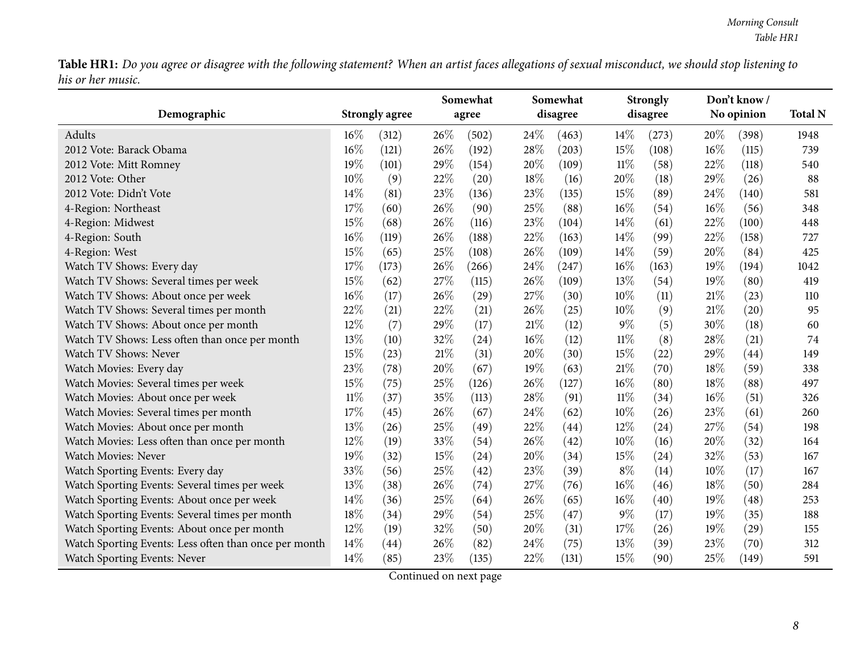| Demographic                                           |        | <b>Strongly agree</b> |     | Somewhat<br>agree |      | Somewhat<br>disagree |       | <b>Strongly</b><br>disagree |        | Don't know /<br>No opinion |                |
|-------------------------------------------------------|--------|-----------------------|-----|-------------------|------|----------------------|-------|-----------------------------|--------|----------------------------|----------------|
|                                                       |        |                       |     |                   |      |                      |       |                             |        |                            | <b>Total N</b> |
| Adults                                                | $16\%$ | (312)                 | 26% | (502)             | 24\% | (463)                | 14%   | (273)                       | $20\%$ | (398)                      | 1948           |
| 2012 Vote: Barack Obama                               | 16%    | (121)                 | 26% | (192)             | 28%  | (203)                | 15%   | (108)                       | $16\%$ | (115)                      | 739            |
| 2012 Vote: Mitt Romney                                | 19%    | (101)                 | 29% | (154)             | 20%  | (109)                | 11%   | (58)                        | 22%    | (118)                      | 540            |
| 2012 Vote: Other                                      | 10%    | (9)                   | 22% | (20)              | 18%  | (16)                 | 20%   | (18)                        | 29%    | (26)                       | 88             |
| 2012 Vote: Didn't Vote                                | 14%    | (81)                  | 23% | (136)             | 23%  | (135)                | 15%   | (89)                        | 24\%   | (140)                      | 581            |
| 4-Region: Northeast                                   | 17%    | (60)                  | 26% | (90)              | 25%  | (88)                 | 16%   | (54)                        | $16\%$ | (56)                       | 348            |
| 4-Region: Midwest                                     | 15%    | (68)                  | 26% | (116)             | 23%  | (104)                | 14\%  | (61)                        | 22\%   | (100)                      | 448            |
| 4-Region: South                                       | 16%    | (119)                 | 26% | (188)             | 22%  | (163)                | 14\%  | (99)                        | 22\%   | (158)                      | 727            |
| 4-Region: West                                        | 15%    | (65)                  | 25% | (108)             | 26%  | (109)                | 14\%  | (59)                        | 20%    | (84)                       | 425            |
| Watch TV Shows: Every day                             | 17%    | (173)                 | 26% | (266)             | 24%  | (247)                | 16%   | (163)                       | 19%    | (194)                      | 1042           |
| Watch TV Shows: Several times per week                | 15%    | (62)                  | 27% | (115)             | 26%  | (109)                | 13%   | (54)                        | 19%    | (80)                       | 419            |
| Watch TV Shows: About once per week                   | 16%    | (17)                  | 26% | (29)              | 27%  | (30)                 | 10%   | (11)                        | 21%    | (23)                       | 110            |
| Watch TV Shows: Several times per month               | 22%    | (21)                  | 22% | (21)              | 26%  | (25)                 | 10%   | (9)                         | $21\%$ | (20)                       | 95             |
| Watch TV Shows: About once per month                  | 12%    | (7)                   | 29% | (17)              | 21%  | (12)                 | $9\%$ | (5)                         | 30%    | (18)                       | 60             |
| Watch TV Shows: Less often than once per month        | 13%    | (10)                  | 32% | (24)              | 16%  | (12)                 | 11%   | (8)                         | 28\%   | (21)                       | 74             |
| Watch TV Shows: Never                                 | 15%    | (23)                  | 21% | (31)              | 20%  | (30)                 | 15%   | (22)                        | 29%    | (44)                       | 149            |
| Watch Movies: Every day                               | 23%    | (78)                  | 20% | (67)              | 19%  | (63)                 | 21%   | (70)                        | 18%    | (59)                       | 338            |
| Watch Movies: Several times per week                  | 15%    | (75)                  | 25% | (126)             | 26%  | (127)                | 16%   | (80)                        | 18%    | (88)                       | 497            |
| Watch Movies: About once per week                     | $11\%$ | (37)                  | 35% | (113)             | 28%  | (91)                 | 11%   | (34)                        | 16%    | (51)                       | 326            |
| Watch Movies: Several times per month                 | 17%    | (45)                  | 26% | (67)              | 24%  | (62)                 | 10%   | (26)                        | 23%    | (61)                       | 260            |
| Watch Movies: About once per month                    | 13%    | (26)                  | 25% | (49)              | 22%  | (44)                 | 12%   | (24)                        | 27\%   | (54)                       | 198            |
| Watch Movies: Less often than once per month          | 12%    | (19)                  | 33% | (54)              | 26%  | (42)                 | 10%   | (16)                        | $20\%$ | (32)                       | 164            |
| <b>Watch Movies: Never</b>                            | 19%    | (32)                  | 15% | (24)              | 20%  | (34)                 | 15%   | (24)                        | 32%    | (53)                       | 167            |
| Watch Sporting Events: Every day                      | 33%    | (56)                  | 25% | (42)              | 23%  | (39)                 | $8\%$ | (14)                        | $10\%$ | (17)                       | 167            |
| Watch Sporting Events: Several times per week         | 13%    | (38)                  | 26% | (74)              | 27%  | (76)                 | 16%   | (46)                        | 18\%   | (50)                       | 284            |
| Watch Sporting Events: About once per week            | 14%    | (36)                  | 25% | (64)              | 26%  | (65)                 | 16%   | (40)                        | 19%    | (48)                       | 253            |
| Watch Sporting Events: Several times per month        | 18%    | (34)                  | 29% | (54)              | 25%  | (47)                 | $9\%$ | (17)                        | 19%    | (35)                       | 188            |
| Watch Sporting Events: About once per month           | 12%    | (19)                  | 32% | (50)              | 20%  | (31)                 | 17\%  | (26)                        | 19%    | (29)                       | 155            |
| Watch Sporting Events: Less often than once per month | 14\%   | (44)                  | 26% | (82)              | 24%  | (75)                 | 13%   | (39)                        | 23\%   | (70)                       | 312            |
| Watch Sporting Events: Never                          | 14%    | (85)                  | 23% | (135)             | 22%  | (131)                | 15%   | (90)                        | 25\%   | (149)                      | 591            |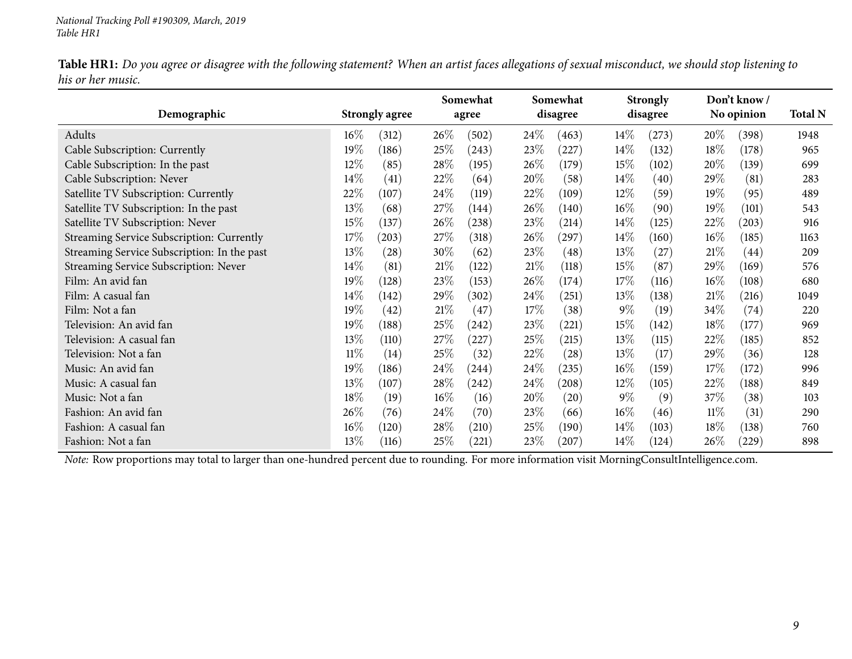| Demographic                                 | <b>Strongly agree</b> |                    |        | Somewhat<br>agree |        | Somewhat<br>disagree |        | <b>Strongly</b><br>disagree |        | Don't know /<br>No opinion | <b>Total N</b> |
|---------------------------------------------|-----------------------|--------------------|--------|-------------------|--------|----------------------|--------|-----------------------------|--------|----------------------------|----------------|
| Adults                                      | $16\%$<br>(312)       |                    | 26\%   | (502)             | 24\%   | (463)                | $14\%$ | (273)                       | $20\%$ | (398)                      | 1948           |
| Cable Subscription: Currently               | 19%<br>(186)          |                    | 25\%   | (243)             | 23%    | (227)                | $14\%$ | (132)                       | 18%    | (178)                      | 965            |
| Cable Subscription: In the past             | 12\%                  | (85)               | 28\%   | (195)             | 26\%   | (179)                | 15\%   | (102)                       | $20\%$ | (139)                      | 699            |
| Cable Subscription: Never                   | 14%                   | (41)               | 22\%   | (64)              | 20%    | (58)                 | $14\%$ | (40)                        | $29\%$ | (81)                       | 283            |
| Satellite TV Subscription: Currently        | 22%<br>(107)          |                    | 24\%   | (119)             | 22%    | (109)                | 12\%   | (59)                        | 19%    | (95)                       | 489            |
| Satellite TV Subscription: In the past      | 13%                   | (68)               | 27\%   | (144)             | 26%    | (140)                | $16\%$ | (90)                        | $19\%$ | (101)                      | 543            |
| Satellite TV Subscription: Never            | 15%<br>(137)          |                    | $26\%$ | (238)             | 23%    | (214)                | $14\%$ | (125)                       | 22\%   | (203)                      | 916            |
| Streaming Service Subscription: Currently   | 17\%<br>(203)         |                    | 27\%   | (318)             | 26%    | (297)                | $14\%$ | (160)                       | $16\%$ | (185)                      | 1163           |
| Streaming Service Subscription: In the past | 13%                   | $\left( 28\right)$ | 30\%   | (62)              | 23%    | (48)                 | $13\%$ | (27)                        | 21%    | (44)                       | 209            |
| Streaming Service Subscription: Never       | $14\%$                | (81)               | 21%    | (122)             | $21\%$ | (118)                | 15\%   | (87)                        | $29\%$ | (169)                      | 576            |
| Film: An avid fan                           | 19%<br>(128)          |                    | 23\%   | (153)             | 26\%   | (174)                | 17\%   | (116)                       | $16\%$ | (108)                      | 680            |
| Film: A casual fan                          | $14\%$<br>(142)       |                    | 29%    | (302)             | 24\%   | (251)                | 13\%   | (138)                       | 21%    | (216)                      | 1049           |
| Film: Not a fan                             | 19%                   | (42)               | 21%    | (47)              | 17%    | (38)                 | $9\%$  | (19)                        | $34\%$ | (74)                       | 220            |
| Television: An avid fan                     | 19%<br>(188)          |                    | 25\%   | (242)             | 23%    | (221)                | 15\%   | (142)                       | 18%    | (177)                      | 969            |
| Television: A casual fan                    | 13%<br>(110)          |                    | 27\%   | (227)             | 25%    | (215)                | 13\%   | (115)                       | 22\%   | (185)                      | 852            |
| Television: Not a fan                       | $11\%$                | (14)               | 25\%   | (32)              | 22%    | (28)                 | 13\%   | (17)                        | $29\%$ | (36)                       | 128            |
| Music: An avid fan                          | 19%<br>(186)          |                    | 24\%   | (244)             | 24\%   | (235)                | $16\%$ | (159)                       | 17%    | (172)                      | 996            |
| Music: A casual fan                         | 13%<br>(107)          |                    | 28\%   | (242)             | 24\%   | (208)                | $12\%$ | (105)                       | 22\%   | (188)                      | 849            |
| Music: Not a fan                            | 18%                   | (19)               | $16\%$ | (16)              | 20%    | (20)                 | $9\%$  | (9)                         | 37\%   | (38)                       | 103            |
| Fashion: An avid fan                        | 26%                   | (76)               | 24%    | (70)              | 23%    | (66)                 | $16\%$ | (46)                        | $11\%$ | (31)                       | 290            |
| Fashion: A casual fan                       | $16\%$<br>(120)       |                    | 28\%   | (210)             | 25%    | (190)                | $14\%$ | (103)                       | 18%    | (138)                      | 760            |
| Fashion: Not a fan                          | 13%<br>(116)          |                    | 25%    | (221)             | 23%    | (207)                | 14\%   | (124)                       | $26\%$ | (229)                      | 898            |

*Note:* Row proportions may total to larger than one-hundred percen<sup>t</sup> due to rounding. For more information visit [MorningConsultIntelligence.com](https://morningconsultintelligence.com).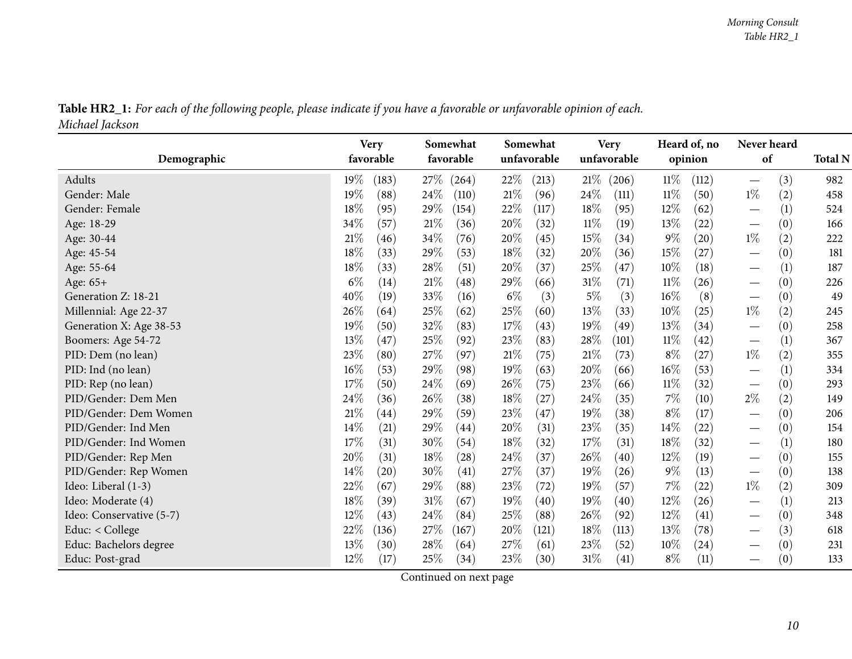<span id="page-9-0"></span>

|                          | 19%<br>(183)              |                |              | unfavorable     | opinion                     | of                                     | <b>Total N</b> |
|--------------------------|---------------------------|----------------|--------------|-----------------|-----------------------------|----------------------------------------|----------------|
| Adults                   |                           | 27%<br>(264)   | 22%<br>(213) | $21\%$<br>(206) | $11\%$<br>(112)             | (3)<br>$\hspace{0.1mm}-\hspace{0.1mm}$ | 982            |
| Gender: Male             | 19%<br>(88)               | 24\%<br>(110)  | 21%<br>(96)  | 24\%<br>(111)   | $11\%$<br>(50)              | $1\%$<br>(2)                           | 458            |
| Gender: Female           | 18%<br>(95)               | 29%<br>(154)   | 22%<br>(117) | 18%<br>(95)     | 12%<br>(62)                 | (1)<br>$\overbrace{\phantom{13333}}$   | 524            |
| Age: 18-29               | 34%<br>(57)               | 21%<br>(36)    | 20%<br>(32)  | $11\%$<br>(19)  | 13%<br>(22)                 | (0)<br>$\qquad \qquad$                 | 166            |
| Age: 30-44               | $21\%$<br>(46)            | 34%<br>(76)    | 20%<br>(45)  | 15%<br>(34)     | $9\%$<br>$\left( 20\right)$ | $1\%$<br>(2)                           | 222            |
| Age: 45-54               | 18%<br>(33)               | 29%<br>(53)    | 18%<br>(32)  | 20%<br>(36)     | 15%<br>(27)                 | (0)<br>$\hspace{0.1mm}-\hspace{0.1mm}$ | 181            |
| Age: 55-64               | 18%<br>(33)               | 28\%<br>(51)   | 20%<br>(37)  | $25\%$<br>(47)  | 10%<br>(18)                 | $\left(1\right)$                       | 187            |
| Age: 65+                 | $6\%$<br>(14)             | 21%<br>(48)    | 29%<br>(66)  | $31\%$<br>(71)  | $11\%$<br>(26)              | (0)<br>$\overbrace{\phantom{13333}}$   | 226            |
| Generation Z: 18-21      | 40%<br>(19)               | 33%<br>(16)    | $6\%$<br>(3) | $5\%$<br>(3)    | $16\%$<br>(8)               | (0)<br>$\overbrace{\phantom{13333}}$   | 49             |
| Millennial: Age 22-37    | $26\%$<br>(64)            | 25%<br>(62)    | 25%<br>(60)  | 13%<br>(33)     | $10\%$<br>(25)              | $1\%$<br>(2)                           | 245            |
| Generation X: Age 38-53  | 19%<br>(50)               | 32%<br>(83)    | 17\%<br>(43) | 19%<br>(49)     | 13%<br>(34)                 | (0)<br>$\qquad \qquad$                 | 258            |
| Boomers: Age 54-72       | 13%<br>(47)               | 25%<br>(92)    | 23%<br>(83)  | 28\%<br>(101)   | $11\%$<br>(42)              | (1)                                    | 367            |
| PID: Dem (no lean)       | 23%<br>(80)               | 27%<br>(97)    | 21%<br>(75)  | $21\%$<br>(73)  | $8\%$<br>(27)               | $1\%$<br>(2)                           | 355            |
| PID: Ind (no lean)       | 16%<br>(53)               | 29%<br>(98)    | 19%<br>(63)  | 20%<br>(66)     | $16\%$<br>(53)              | (1)<br>$\hspace{0.1mm}-\hspace{0.1mm}$ | 334            |
| PID: Rep (no lean)       | 17%<br>(50)               | 24\%<br>(69)   | 26%<br>(75)  | 23%<br>(66)     | $11\%$<br>(32)              | (0)                                    | 293            |
| PID/Gender: Dem Men      | 24%<br>(36)               | 26%<br>(38)    | 18%<br>(27)  | 24\%<br>(35)    | 7%<br>(10)                  | $2\%$<br>(2)                           | 149            |
| PID/Gender: Dem Women    | 21%<br>(44)               | 29%<br>(59)    | 23%<br>(47)  | 19%<br>(38)     | $8\%$<br>(17)               | (0)<br>$\overbrace{\phantom{13333}}$   | 206            |
| PID/Gender: Ind Men      | 14%<br>(21)               | 29%<br>(44)    | 20%<br>(31)  | 23%<br>(35)     | 14%<br>(22)                 | (0)                                    | 154            |
| PID/Gender: Ind Women    | 17%<br>(31)               | 30%<br>(54)    | 18%<br>(32)  | 17%<br>(31)     | 18%<br>(32)                 | (1)<br>$\overbrace{\phantom{13333}}$   | 180            |
| PID/Gender: Rep Men      | 20%<br>(31)               | 18%<br>(28)    | 24%<br>(37)  | 26%<br>(40)     | 12%<br>(19)                 | (0)                                    | 155            |
| PID/Gender: Rep Women    | 14%<br>$\left( 20\right)$ | 30\%<br>(41)   | 27%<br>(37)  | 19%<br>(26)     | $9\%$<br>(13)               | (0)<br>$\hspace{0.1mm}-\hspace{0.1mm}$ | 138            |
| Ideo: Liberal (1-3)      | 22%<br>(67)               | 29%<br>(88)    | 23%<br>(72)  | 19%<br>(57)     | 7%<br>(22)                  | $1\%$<br>(2)                           | 309            |
| Ideo: Moderate (4)       | 18%<br>(39)               | $31\%$<br>(67) | 19%<br>(40)  | 19%<br>(40)     | 12%<br>(26)                 | (1)<br>$\hspace{0.1mm}-\hspace{0.1mm}$ | 213            |
| Ideo: Conservative (5-7) | 12%<br>(43)               | 24%<br>(84)    | 25%<br>(88)  | 26%<br>(92)     | 12%<br>(41)                 | (0)                                    | 348            |
| Educ: < College          | 22\%<br>(136)             | 27%<br>(167)   | 20%<br>(121) | $18\%$<br>(113) | 13\%<br>(78)                | (3)<br>$\qquad \qquad$                 | 618            |
| Educ: Bachelors degree   | 13%<br>(30)               | 28%<br>(64)    | 27%<br>(61)  | 23%<br>(52)     | 10%<br>$\left( 24\right)$   | (0)<br>$\overbrace{\phantom{13333}}$   | 231            |
| Educ: Post-grad          | 12%<br>(17)               | 25%<br>(34)    | 23\%<br>(30) | $31\%$<br>(41)  | $8\%$<br>(11)               | (0)<br>$\overbrace{\phantom{13333}}$   | 133            |

Table HR2\_1: For each of the following people, please indicate if you have a favorable or unfavorable opinion of each. *Michael Jackson*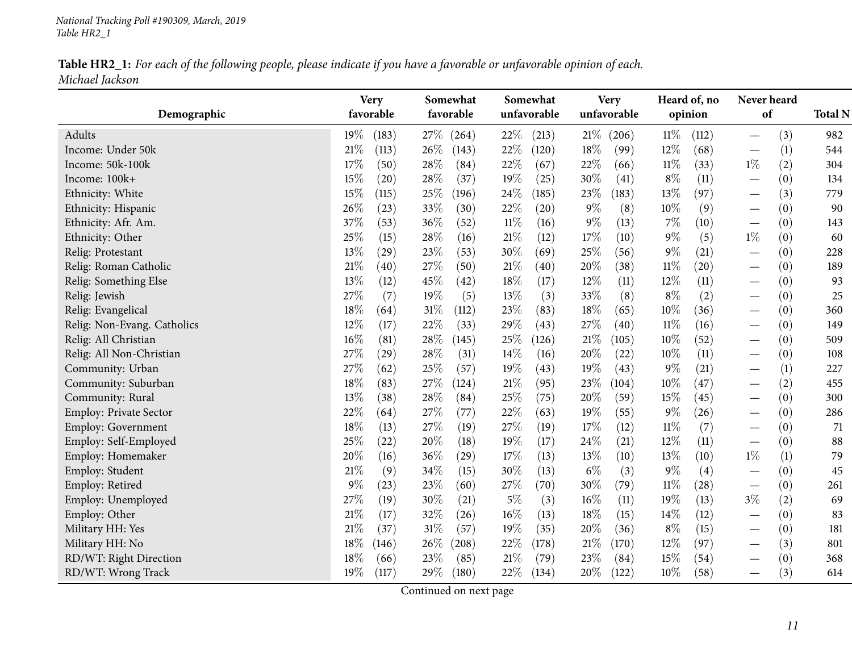Table HR2\_1: For each of the following people, please indicate if you have a favorable or unfavorable opinion of each. *Michael Jackson*

|                               | <b>Very</b>               | Somewhat        | Somewhat       | <b>Very</b>     | Heard of, no                 | Never heard                     |                |
|-------------------------------|---------------------------|-----------------|----------------|-----------------|------------------------------|---------------------------------|----------------|
| Demographic                   | favorable                 | favorable       | unfavorable    | unfavorable     | opinion                      | of                              | <b>Total N</b> |
| Adults                        | 19%<br>(183)              | 27\%<br>(264)   | 22%<br>(213)   | $21\%$<br>(206) | $11\%$<br>(112)              | (3)<br>$\overline{\phantom{0}}$ | 982            |
| Income: Under 50k             | 21%<br>(113)              | 26%<br>(143)    | 22%<br>(120)   | 18%<br>(99)     | 12%<br>(68)                  | (1)                             | 544            |
| Income: 50k-100k              | 17%<br>(50)               | 28\%<br>(84)    | 22%<br>(67)    | 22%<br>(66)     | $11\%$<br>(33)               | $1\%$<br>(2)                    | 304            |
| Income: 100k+                 | 15%<br>$\left( 20\right)$ | 28\%<br>(37)    | 19%<br>(25)    | 30%<br>(41)     | $8\%$<br>(11)                | (0)                             | 134            |
| Ethnicity: White              | 15%<br>(115)              | 25%<br>(196)    | 24\%<br>(185)  | 23\%<br>(183)   | 13%<br>(97)                  | (3)<br>$\overline{\phantom{0}}$ | 779            |
| Ethnicity: Hispanic           | 26%<br>(23)               | 33%<br>(30)     | 22%<br>(20)    | $9\%$<br>(8)    | 10%<br>(9)                   | (0)<br>$\qquad \qquad$          | 90             |
| Ethnicity: Afr. Am.           | 37%<br>(53)               | 36%<br>(52)     | $11\%$<br>(16) | $9\%$<br>(13)   | $7\%$<br>(10)                | (0)<br>$\overline{\phantom{0}}$ | 143            |
| Ethnicity: Other              | $25\%$<br>(15)            | 28\%<br>(16)    | 21\%<br>(12)   | 17%<br>(10)     | $9\%$<br>(5)                 | $1\%$<br>(0)                    | 60             |
| Relig: Protestant             | 13%<br>$\left( 29\right)$ | 23\%<br>(53)    | 30%<br>(69)    | 25%<br>(56)     | $9\%$<br>(21)                | (0)                             | 228            |
| Relig: Roman Catholic         | 21%<br>(40)               | 27\%<br>(50)    | 21%<br>(40)    | 20%<br>(38)     | $11\%$<br>$\left( 20\right)$ | (0)<br>$\qquad \qquad$          | 189            |
| Relig: Something Else         | 13%<br>(12)               | 45%<br>(42)     | 18%<br>(17)    | 12%<br>(11)     | 12%<br>(11)                  | (0)                             | 93             |
| Relig: Jewish                 | 27%<br>(7)                | 19%<br>(5)      | 13\%<br>(3)    | 33%<br>(8)      | $8\%$<br>(2)                 | (0)                             | 25             |
| Relig: Evangelical            | 18%<br>(64)               | $31\%$<br>(112) | 23%<br>(83)    | 18%<br>(65)     | 10%<br>(36)                  | (0)<br>$\overline{\phantom{0}}$ | 360            |
| Relig: Non-Evang. Catholics   | 12%<br>(17)               | 22%<br>(33)     | 29%<br>(43)    | 27\%<br>(40)    | $11\%$<br>(16)               | (0)                             | 149            |
| Relig: All Christian          | $16\%$<br>(81)            | 28\%<br>(145)   | 25%<br>(126)   | $21\%$<br>(105) | 10%<br>(52)                  | (0)<br>—                        | 509            |
| Relig: All Non-Christian      | 27%<br>(29)               | 28%<br>(31)     | 14\%<br>(16)   | 20%<br>(22)     | 10%<br>(11)                  | (0)                             | 108            |
| Community: Urban              | 27%<br>(62)               | 25%<br>(57)     | 19%<br>(43)    | 19%<br>(43)     | $9\%$<br>(21)                | (1)                             | 227            |
| Community: Suburban           | 18%<br>(83)               | 27%<br>(124)    | 21\%<br>(95)   | 23%<br>(104)    | 10%<br>(47)                  | (2)                             | 455            |
| Community: Rural              | 13%<br>(38)               | 28%<br>(84)     | 25%<br>(75)    | 20%<br>(59)     | 15%<br>(45)                  | (0)<br>$\qquad \qquad$          | 300            |
| <b>Employ: Private Sector</b> | 22%<br>(64)               | 27\%<br>(77)    | 22%<br>(63)    | 19%<br>(55)     | $9\%$<br>(26)                | (0)<br>$\overline{\phantom{0}}$ | 286            |
| Employ: Government            | 18%<br>(13)               | 27\%<br>(19)    | 27%<br>(19)    | $17\%$<br>(12)  | $11\%$<br>(7)                | (0)                             | 71             |
| Employ: Self-Employed         | 25%<br>(22)               | 20%<br>(18)     | 19%<br>(17)    | 24%<br>(21)     | 12%<br>(11)                  | (0)<br>$\overline{\phantom{0}}$ | 88             |
| Employ: Homemaker             | 20%<br>(16)               | 36\%<br>(29)    | 17%<br>(13)    | 13%<br>(10)     | 13%<br>(10)                  | $1\%$<br>(1)                    | 79             |
| Employ: Student               | $21\%$<br>(9)             | 34\%<br>(15)    | 30%<br>(13)    | $6\%$<br>(3)    | $9\%$<br>(4)                 | (0)                             | 45             |
| Employ: Retired               | $9\%$<br>(23)             | 23\%<br>(60)    | 27\%<br>(70)   | 30%<br>(79)     | $11\%$<br>$\left( 28\right)$ | (0)                             | 261            |
| Employ: Unemployed            | $27\%$<br>(19)            | 30%<br>(21)     | $5\%$<br>(3)   | $16\%$<br>(11)  | 19%<br>(13)                  | $3\%$<br>(2)                    | 69             |
| Employ: Other                 | $21\%$<br>(17)            | 32%<br>(26)     | 16%<br>(13)    | 18%<br>(15)     | 14%<br>(12)                  | (0)                             | 83             |
| Military HH: Yes              | 21%<br>(37)               | 31%<br>(57)     | 19%<br>(35)    | 20%<br>(36)     | $8\%$<br>(15)                | (0)                             | 181            |
| Military HH: No               | 18%<br>(146)              | 26\%<br>(208)   | 22%<br>(178)   | $21\%$<br>(170) | 12%<br>(97)                  | (3)<br>—                        | 801            |
| RD/WT: Right Direction        | 18%<br>(66)               | 23\%<br>(85)    | $21\%$<br>(79) | 23\%<br>(84)    | 15%<br>(54)                  | (0)                             | 368            |
| RD/WT: Wrong Track            | 19%<br>(117)              | 29%<br>(180)    | 22%<br>(134)   | 20%<br>(122)    | $10\%$<br>(58)               | (3)                             | 614            |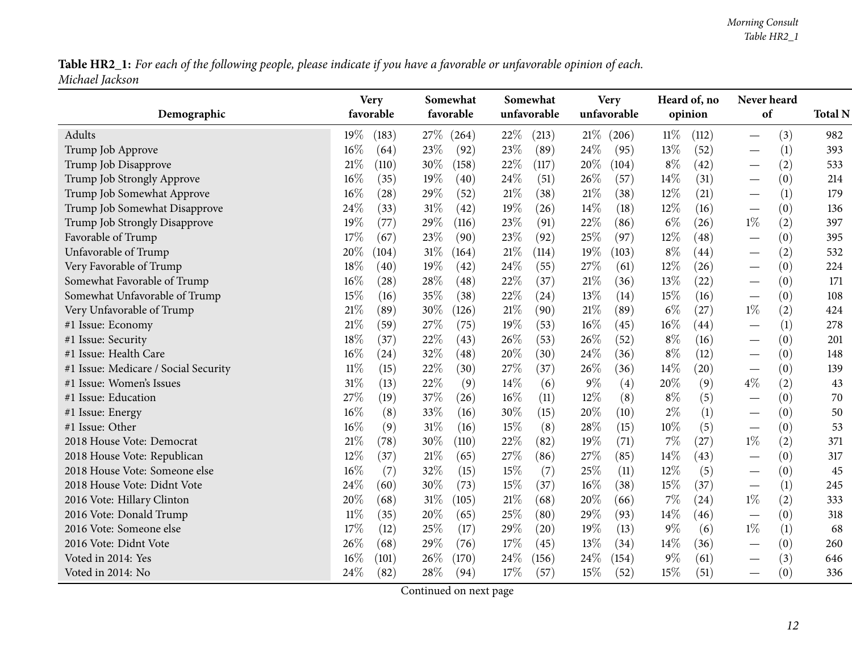Table HR2\_1: For each of the following people, please indicate if you have a favorable or unfavorable opinion of each. *Michael Jackson*

| Demographic                          | <b>Very</b><br>favorable |       |        | Somewhat<br>favorable |        | Somewhat<br>unfavorable |        | <b>Very</b><br>unfavorable |        | Heard of, no<br>opinion | Never heard<br>of        |     | <b>Total N</b> |
|--------------------------------------|--------------------------|-------|--------|-----------------------|--------|-------------------------|--------|----------------------------|--------|-------------------------|--------------------------|-----|----------------|
|                                      |                          |       |        |                       |        |                         |        |                            |        |                         |                          |     |                |
| Adults                               | 19%                      | (183) | 27\%   | (264)                 | 22\%   | (213)                   | $21\%$ | (206)                      | $11\%$ | (112)                   |                          | (3) | 982            |
| Trump Job Approve                    | 16%                      | (64)  | 23\%   | (92)                  | 23%    | (89)                    | 24\%   | (95)                       | 13%    | (52)                    |                          | (1) | 393            |
| Trump Job Disapprove                 | 21%                      | (110) | 30%    | (158)                 | 22%    | (117)                   | 20%    | (104)                      | $8\%$  | (42)                    |                          | (2) | 533            |
| Trump Job Strongly Approve           | 16%                      | (35)  | 19%    | (40)                  | 24%    | (51)                    | 26\%   | (57)                       | 14%    | (31)                    |                          | (0) | 214            |
| Trump Job Somewhat Approve           | 16%                      | (28)  | 29%    | (52)                  | 21%    | (38)                    | $21\%$ | (38)                       | 12%    | (21)                    |                          | (1) | 179            |
| Trump Job Somewhat Disapprove        | 24%                      | (33)  | $31\%$ | (42)                  | 19%    | (26)                    | 14\%   | (18)                       | $12\%$ | (16)                    |                          | (0) | 136            |
| Trump Job Strongly Disapprove        | 19%                      | (77)  | 29%    | (116)                 | 23%    | (91)                    | 22%    | (86)                       | $6\%$  | (26)                    | $1\%$                    | (2) | 397            |
| Favorable of Trump                   | 17%                      | (67)  | 23%    | (90)                  | 23%    | (92)                    | 25%    | (97)                       | 12%    | (48)                    |                          | (0) | 395            |
| Unfavorable of Trump                 | 20%                      | (104) | $31\%$ | (164)                 | 21%    | (114)                   | 19%    | (103)                      | $8\%$  | (44)                    |                          | (2) | 532            |
| Very Favorable of Trump              | 18%                      | (40)  | 19%    | (42)                  | 24%    | (55)                    | 27%    | (61)                       | $12\%$ | (26)                    |                          | (0) | 224            |
| Somewhat Favorable of Trump          | 16%                      | (28)  | 28\%   | (48)                  | 22%    | (37)                    | 21%    | (36)                       | 13%    | (22)                    |                          | (0) | 171            |
| Somewhat Unfavorable of Trump        | 15%                      | (16)  | 35%    | (38)                  | 22%    | (24)                    | 13%    | (14)                       | 15%    | (16)                    | —                        | (0) | 108            |
| Very Unfavorable of Trump            | 21%                      | (89)  | 30%    | (126)                 | 21%    | (90)                    | $21\%$ | (89)                       | $6\%$  | (27)                    | $1\%$                    | (2) | 424            |
| #1 Issue: Economy                    | 21%                      | (59)  | 27%    | (75)                  | 19%    | (53)                    | $16\%$ | (45)                       | $16\%$ | (44)                    |                          | (1) | 278            |
| #1 Issue: Security                   | 18%                      | (37)  | 22%    | (43)                  | 26%    | (53)                    | 26%    | (52)                       | $8\%$  | (16)                    |                          | (0) | 201            |
| #1 Issue: Health Care                | 16%                      | (24)  | 32%    | (48)                  | 20%    | (30)                    | 24\%   | (36)                       | $8\%$  | (12)                    |                          | (0) | 148            |
| #1 Issue: Medicare / Social Security | $11\%$                   | (15)  | 22%    | (30)                  | 27%    | (37)                    | 26%    | (36)                       | 14%    | $\left( 20\right)$      | $\overline{\phantom{0}}$ | (0) | 139            |
| #1 Issue: Women's Issues             | 31%                      | (13)  | 22%    | (9)                   | 14%    | (6)                     | 9%     | (4)                        | 20%    | (9)                     | $4\%$                    | (2) | 43             |
| #1 Issue: Education                  | 27%                      | (19)  | 37%    | (26)                  | $16\%$ | (11)                    | 12%    | (8)                        | $8\%$  | (5)                     |                          | (0) | 70             |
| #1 Issue: Energy                     | 16%                      | (8)   | 33\%   | (16)                  | 30%    | (15)                    | 20%    | (10)                       | $2\%$  | (1)                     |                          | (0) | 50             |
| #1 Issue: Other                      | 16%                      | (9)   | $31\%$ | (16)                  | 15%    | (8)                     | 28\%   | (15)                       | 10%    | (5)                     | $\overline{\phantom{0}}$ | (0) | 53             |
| 2018 House Vote: Democrat            | 21%                      | (78)  | 30\%   | (110)                 | 22%    | (82)                    | 19%    | (71)                       | 7%     | (27)                    | $1\%$                    | (2) | 371            |
| 2018 House Vote: Republican          | 12%                      | (37)  | 21%    | (65)                  | 27%    | (86)                    | 27%    | (85)                       | 14\%   | (43)                    |                          | (0) | 317            |
| 2018 House Vote: Someone else        | 16%                      | (7)   | 32%    | (15)                  | 15%    | (7)                     | 25%    | (11)                       | $12\%$ | (5)                     |                          | (0) | 45             |
| 2018 House Vote: Didnt Vote          | 24%                      | (60)  | 30\%   | (73)                  | 15%    | (37)                    | $16\%$ | (38)                       | 15%    | (37)                    |                          | (1) | 245            |
| 2016 Vote: Hillary Clinton           | 20%                      | (68)  | $31\%$ | (105)                 | 21%    | (68)                    | 20%    | (66)                       | 7%     | (24)                    | $1\%$                    | (2) | 333            |
| 2016 Vote: Donald Trump              | $11\%$                   | (35)  | 20%    | (65)                  | 25%    | (80)                    | 29%    | (93)                       | 14%    | (46)                    |                          | (0) | 318            |
| 2016 Vote: Someone else              | 17%                      | (12)  | 25%    | (17)                  | 29%    | (20)                    | 19%    | (13)                       | $9\%$  | (6)                     | $1\%$                    | (1) | 68             |
| 2016 Vote: Didnt Vote                | 26%                      | (68)  | 29%    | (76)                  | 17%    | (45)                    | 13%    | (34)                       | 14\%   | (36)                    |                          | (0) | 260            |
| Voted in 2014: Yes                   | $16\%$                   | (101) | 26\%   | (170)                 | 24\%   | (156)                   | 24\%   | (154)                      | $9\%$  | (61)                    |                          | (3) | 646            |
| Voted in 2014: No                    | 24%                      | (82)  | 28\%   | (94)                  | 17%    | (57)                    | 15%    | (52)                       | 15%    | (51)                    |                          | (0) | 336            |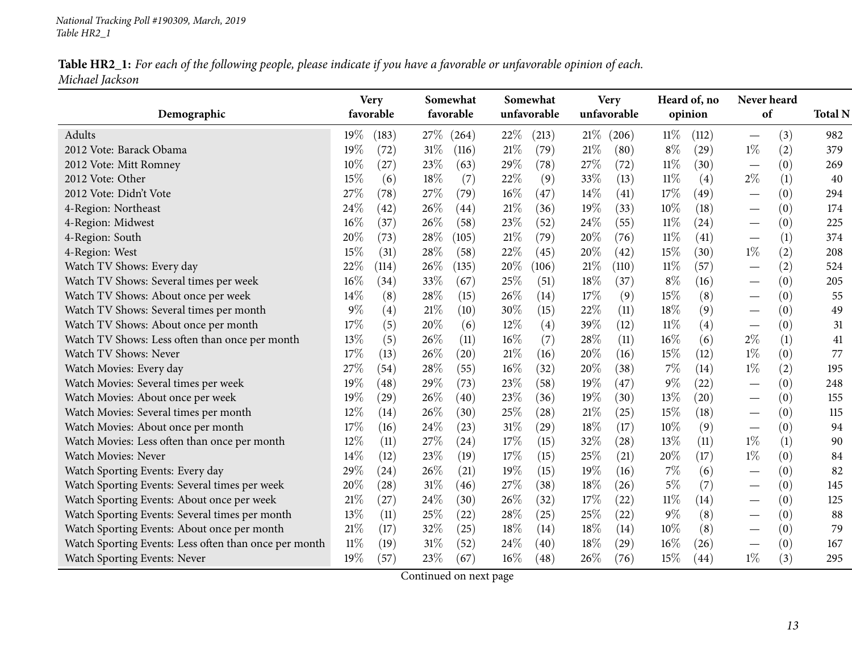| Table HR2_1: For each of the following people, please indicate if you have a favorable or unfavorable opinion of each. |  |
|------------------------------------------------------------------------------------------------------------------------|--|
| Michael Jackson                                                                                                        |  |

|                                                       | <b>Very</b> |                    | Somewhat |           |        | Somewhat    |        | <b>Very</b> |        | Heard of, no |                                 | Never heard |     |
|-------------------------------------------------------|-------------|--------------------|----------|-----------|--------|-------------|--------|-------------|--------|--------------|---------------------------------|-------------|-----|
| Demographic                                           | favorable   |                    |          | favorable |        | unfavorable |        | unfavorable |        | opinion      |                                 | of          |     |
| <b>Adults</b>                                         | 19%         | (183)              | 27%      | (264)     | 22\%   | (213)       | 21%    | (206)       | $11\%$ | (112)        |                                 | (3)         | 982 |
| 2012 Vote: Barack Obama                               | 19%         | (72)               | $31\%$   | (116)     | 21%    | (79)        | $21\%$ | (80)        | $8\%$  | (29)         | $1\%$                           | (2)         | 379 |
| 2012 Vote: Mitt Romney                                | 10%         | (27)               | 23%      | (63)      | 29%    | (78)        | 27%    | (72)        | $11\%$ | (30)         |                                 | (0)         | 269 |
| 2012 Vote: Other                                      | 15%         | (6)                | 18%      | (7)       | 22%    | (9)         | 33%    | (13)        | $11\%$ | (4)          | $2\%$                           | (1)         | 40  |
| 2012 Vote: Didn't Vote                                | 27%         | (78)               | 27%      | (79)      | $16\%$ | (47)        | 14%    | (41)        | 17%    | (49)         |                                 | (0)         | 294 |
| 4-Region: Northeast                                   | 24%         | (42)               | 26\%     | (44)      | $21\%$ | (36)        | 19%    | (33)        | 10%    | (18)         |                                 | (0)         | 174 |
| 4-Region: Midwest                                     | 16%         | (37)               | 26%      | (58)      | 23%    | (52)        | 24%    | (55)        | $11\%$ | (24)         |                                 | (0)         | 225 |
| 4-Region: South                                       | 20%         | (73)               | 28%      | (105)     | 21%    | (79)        | 20%    | (76)        | $11\%$ | (41)         | $\overline{\phantom{0}}$        | (1)         | 374 |
| 4-Region: West                                        | 15%         | (31)               | 28%      | (58)      | 22%    | (45)        | 20%    | (42)        | 15%    | (30)         | $1\%$                           | (2)         | 208 |
| Watch TV Shows: Every day                             | 22%         | (114)              | 26\%     | (135)     | 20%    | (106)       | 21%    | (110)       | $11\%$ | (57)         |                                 | (2)         | 524 |
| Watch TV Shows: Several times per week                | 16%         | (34)               | 33%      | (67)      | 25%    | (51)        | 18%    | (37)        | $8\%$  | (16)         |                                 | (0)         | 205 |
| Watch TV Shows: About once per week                   | 14%         | (8)                | 28%      | (15)      | 26%    | (14)        | 17%    | (9)         | 15%    | (8)          |                                 | (0)         | 55  |
| Watch TV Shows: Several times per month               | $9\%$       | (4)                | 21\%     | (10)      | 30%    | (15)        | 22%    | (11)        | 18%    | (9)          |                                 | (0)         | 49  |
| Watch TV Shows: About once per month                  | 17%         | (5)                | 20%      | (6)       | 12%    | (4)         | 39%    | (12)        | $11\%$ | (4)          | $\overline{\phantom{0}}$        | (0)         | 31  |
| Watch TV Shows: Less often than once per month        | 13%         | (5)                | 26%      | (11)      | $16\%$ | (7)         | 28%    | (11)        | 16%    | (6)          | $2\%$                           | (1)         | 41  |
| Watch TV Shows: Never                                 | 17%         | (13)               | 26\%     | (20)      | 21%    | (16)        | 20%    | (16)        | 15%    | (12)         | $1\%$                           | (0)         | 77  |
| Watch Movies: Every day                               | 27%         | (54)               | 28\%     | (55)      | $16\%$ | (32)        | 20%    | (38)        | $7\%$  | (14)         | $1\%$                           | (2)         | 195 |
| Watch Movies: Several times per week                  | 19%         | (48)               | 29%      | (73)      | 23%    | (58)        | 19%    | (47)        | $9\%$  | (22)         |                                 | (0)         | 248 |
| Watch Movies: About once per week                     | 19%         | (29)               | 26%      | (40)      | 23%    | (36)        | 19%    | (30)        | 13%    | (20)         | $\overline{\phantom{0}}$        | (0)         | 155 |
| Watch Movies: Several times per month                 | 12%         | (14)               | 26%      | (30)      | 25%    | (28)        | $21\%$ | (25)        | 15%    | (18)         |                                 | (0)         | 115 |
| Watch Movies: About once per month                    | 17%         | (16)               | 24\%     | (23)      | 31%    | (29)        | 18\%   | (17)        | 10%    | (9)          | $\hspace{0.1mm}-\hspace{0.1mm}$ | (0)         | 94  |
| Watch Movies: Less often than once per month          | 12%         | (11)               | 27%      | (24)      | 17%    | (15)        | 32%    | (28)        | 13%    | (11)         | $1\%$                           | (1)         | 90  |
| Watch Movies: Never                                   | 14%         | (12)               | 23%      | (19)      | 17%    | (15)        | 25%    | (21)        | 20%    | (17)         | $1\%$                           | (0)         | 84  |
| Watch Sporting Events: Every day                      | 29%         | (24)               | 26\%     | (21)      | 19%    | (15)        | 19%    | (16)        | 7%     | (6)          |                                 | (0)         | 82  |
| Watch Sporting Events: Several times per week         | 20%         | $\left( 28\right)$ | $31\%$   | (46)      | 27\%   | (38)        | $18\%$ | (26)        | $5\%$  | (7)          | $\overline{\phantom{0}}$        | (0)         | 145 |
| Watch Sporting Events: About once per week            | 21%         | (27)               | 24\%     | (30)      | 26%    | (32)        | 17%    | (22)        | 11%    | (14)         |                                 | (0)         | 125 |
| Watch Sporting Events: Several times per month        | 13%         | (11)               | 25%      | (22)      | 28%    | (25)        | 25%    | (22)        | 9%     | (8)          |                                 | (0)         | 88  |
| Watch Sporting Events: About once per month           | $21\%$      | (17)               | 32%      | (25)      | 18%    | (14)        | $18\%$ | (14)        | 10%    | (8)          |                                 | (0)         | 79  |
| Watch Sporting Events: Less often than once per month | $11\%$      | (19)               | 31%      | (52)      | 24\%   | (40)        | 18%    | (29)        | 16%    | (26)         |                                 | (0)         | 167 |
| Watch Sporting Events: Never                          | 19%         | (57)               | 23%      | (67)      | $16\%$ | (48)        | 26\%   | (76)        | 15%    | (44)         | $1\%$                           | (3)         | 295 |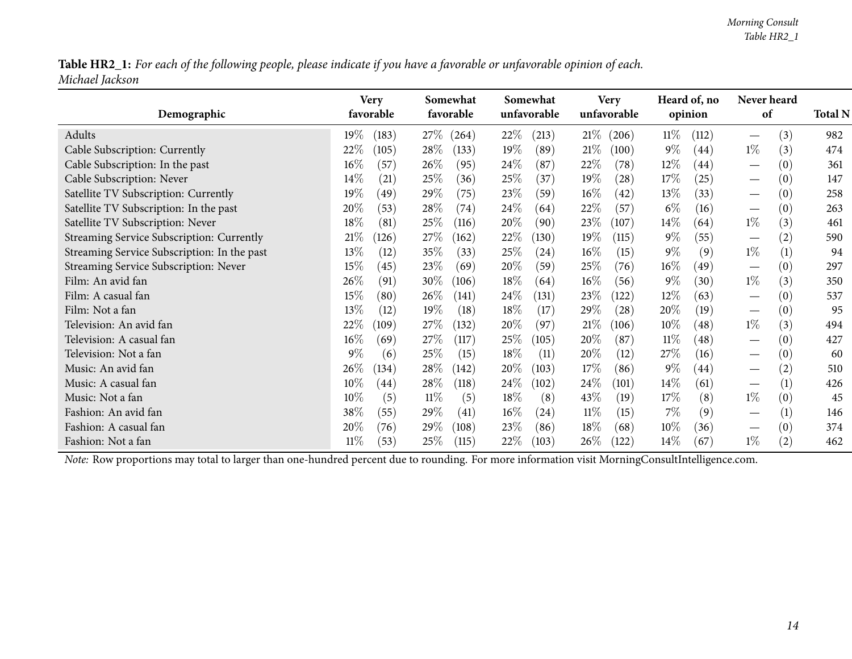Table HR2\_1: For each of the following people, please indicate if you have a favorable or unfavorable opinion of each. *Michael Jackson*

|                                             | <b>Very</b><br>Somewhat     |                 | Somewhat        | <b>Very</b>     | Heard of, no    | Never heard                            |                |
|---------------------------------------------|-----------------------------|-----------------|-----------------|-----------------|-----------------|----------------------------------------|----------------|
| Demographic                                 | favorable                   | favorable       | unfavorable     | unfavorable     | opinion         | of                                     | <b>Total N</b> |
| Adults                                      | 19%<br>(183)                | $27\%$<br>(264) | 22%<br>(213)    | 21%<br>(206)    | $11\%$<br>(112) | (3)                                    | 982            |
| Cable Subscription: Currently               | 22\%<br>(105)               | 28\%<br>(133)   | $19\%$<br>(89)  | 21%<br>(100)    | $9\%$<br>(44)   | $1\%$<br>(3)                           | 474            |
| Cable Subscription: In the past             | $16\%$<br>(57)              | $26\%$<br>(95)  | 24%<br>(87)     | 22\%<br>(78)    | $12\%$<br>(44)  | (0)<br>$\hspace{0.05cm}$               | 361            |
| Cable Subscription: Never                   | $14\%$<br>(21)              | 25%<br>(36)     | 25\%<br>(37)    | $19\%$<br>(28)  | 17%<br>(25)     | (0)<br>$\hspace{0.05cm}$               | 147            |
| Satellite TV Subscription: Currently        | 19%<br>$^{(49)}$            | $29\%$<br>(75)  | 23\%<br>(59)    | $16\%$<br>(42)  | $13\%$<br>(33)  | (0)<br>$\overbrace{\phantom{13333}}$   | 258            |
| Satellite TV Subscription: In the past      | 20%<br>(53)                 | $28\%$<br>(74)  | 24\%<br>(64)    | 22\%<br>(57)    | $6\%$<br>(16)   | (0)<br>$\hspace{0.05cm}$               | 263            |
| Satellite TV Subscription: Never            | 18\%<br>(81)                | 25\%<br>(116)   | 20%<br>(90)     | 23\%<br>(107)   | $14\%$<br>(64)  | $1\%$<br>(3)                           | 461            |
| Streaming Service Subscription: Currently   | 21%<br>(126)                | 27\%<br>(162)   | 22\%<br>(130)   | $19\%$<br>(115) | $9\%$<br>(55)   | (2)<br>$\hspace{0.1mm}-\hspace{0.1mm}$ | 590            |
| Streaming Service Subscription: In the past | $13\%$<br>$\left(12\right)$ | $35\%$<br>(33)  | 25\%<br>(24)    | $16\%$<br>(15)  | $9\%$<br>(9)    | $1\%$<br>$\left(1\right)$              | 94             |
| Streaming Service Subscription: Never       | 15%<br>(45)                 | $23\%$<br>(69)  | 20%<br>(59)     | 25\%<br>(76)    | $16\%$<br>(49)  | (0)<br>$\qquad \qquad$                 | 297            |
| Film: An avid fan                           | 26%<br>(91)                 | $30\%$<br>(106) | $18\%$<br>(64)  | $16\%$<br>(56)  | $9\%$<br>(30)   | $1\%$<br>(3)                           | 350            |
| Film: A casual fan                          | 15%<br>(80)                 | $26\%$<br>(141) | 24%<br>(131)    | 23\%<br>(122)   | $12\%$<br>(63)  | (0)                                    | 537            |
| Film: Not a fan                             | 13%<br>(12)                 | $19\%$<br>(18)  | $18\%$<br>(17)  | 29\%<br>(28)    | 20%<br>(19)     | (0)                                    | 95             |
| Television: An avid fan                     | 22\%<br>(109)               | 27\%<br>(132)   | 20%<br>(97)     | 21%<br>(106)    | $10\%$<br>(48)  | $1\%$<br>(3)                           | 494            |
| Television: A casual fan                    | $16\%$<br>(69)              | 27%<br>(117)    | 25\%<br>(105)   | 20%<br>(87)     | $11\%$<br>(48)  | (0)<br>$\overbrace{\phantom{13333}}$   | 427            |
| Television: Not a fan                       | 9%<br>(6)                   | 25%<br>(15)     | $18\%$<br>(11)  | 20%<br>(12)     | 27\%<br>(16)    | (0)<br>$\overbrace{\phantom{13333}}$   | 60             |
| Music: An avid fan                          | $26\%$<br>(134)             | 28\%<br>(142)   | 20%<br>(103)    | 17\%<br>(86)    | $9\%$<br>(44)   | (2)<br>$\overbrace{\phantom{13333}}$   | 510            |
| Music: A casual fan                         | $10\%$<br>(44)              | 28\%<br>(118)   | 24%<br>(102)    | 24\%<br>(101)   | $14\%$<br>(61)  | (1)<br>$\overbrace{\phantom{13333}}$   | 426            |
| Music: Not a fan                            | $10\%$<br>(5)               | $11\%$<br>(5)   | 18%<br>(8)      | 43\%<br>(19)    | $17\%$<br>(8)   | $1\%$<br>(0)                           | 45             |
| Fashion: An avid fan                        | 38%<br>(55)                 | $29\%$<br>(41)  | $16\%$<br>(24)  | $11\%$<br>(15)  | $7\%$<br>(9)    | (1)<br>$\qquad \qquad$                 | 146            |
| Fashion: A casual fan                       | 20%<br>(76)                 | $29\%$<br>(108) | 23\%<br>(86)    | 18\%<br>(68)    | $10\%$<br>(36)  | (0)                                    | 374            |
| Fashion: Not a fan                          | 11%<br>(53)                 | 25%<br>(115)    | $22\%$<br>(103) | $26\%$<br>(122) | $14\%$<br>(67)  | $1\%$<br>(2)                           | 462            |

*Note:* Row proportions may total to larger than one-hundred percen<sup>t</sup> due to rounding. For more information visit [MorningConsultIntelligence.com](https://morningconsultintelligence.com).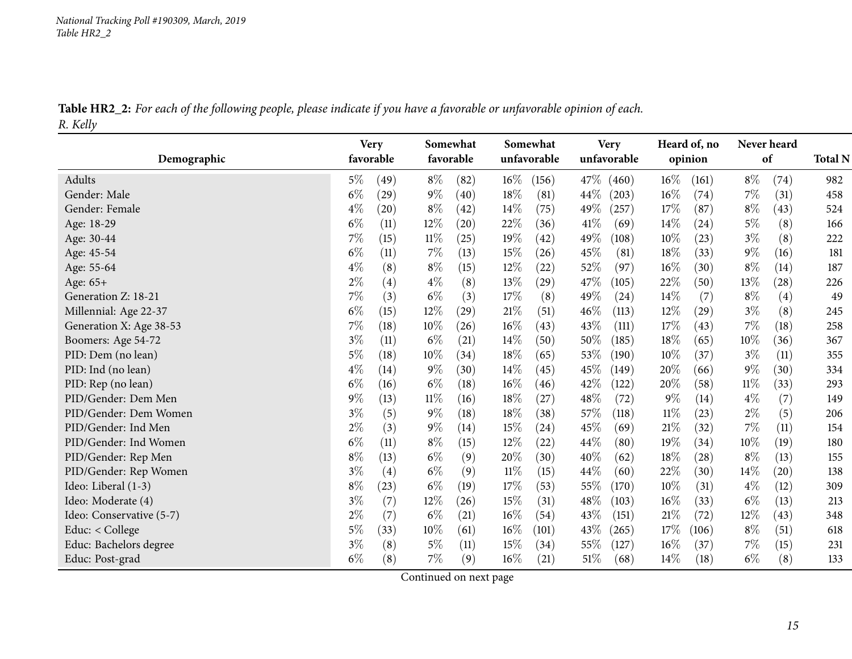Table HR2\_2: For each of the following people, please indicate if you have a favorable or unfavorable opinion of each. *R. Kelly*

<span id="page-14-0"></span>

|                          |       | <b>Very</b> | Somewhat |                    |        | Somewhat    |        | <b>Very</b> |        | Heard of, no |        | Never heard |     |
|--------------------------|-------|-------------|----------|--------------------|--------|-------------|--------|-------------|--------|--------------|--------|-------------|-----|
| Demographic              |       | favorable   |          | favorable          |        | unfavorable |        | unfavorable |        | opinion      |        | of          |     |
| Adults                   | $5\%$ | (49)        | $8\%$    | (82)               | $16\%$ | (156)       | 47\%   | (460)       | $16\%$ | (161)        | $8\%$  | (74)        | 982 |
| Gender: Male             | $6\%$ | (29)        | $9\%$    | (40)               | 18%    | (81)        | $44\%$ | (203)       | 16%    | (74)         | $7\%$  | (31)        | 458 |
| Gender: Female           | $4\%$ | (20)        | $8\%$    | (42)               | 14%    | (75)        | 49\%   | (257)       | 17%    | (87)         | $8\%$  | (43)        | 524 |
| Age: 18-29               | $6\%$ | (11)        | $12\%$   | (20)               | 22%    | (36)        | 41%    | (69)        | 14%    | (24)         | 5%     | (8)         | 166 |
| Age: 30-44               | $7\%$ | (15)        | $11\%$   | $\left( 25\right)$ | 19%    | (42)        | 49%    | (108)       | 10%    | (23)         | $3\%$  | (8)         | 222 |
| Age: 45-54               | $6\%$ | (11)        | $7\%$    | (13)               | 15%    | (26)        | 45%    | (81)        | 18%    | (33)         | $9\%$  | (16)        | 181 |
| Age: 55-64               | $4\%$ | (8)         | $8\%$    | (15)               | $12\%$ | (22)        | 52%    | (97)        | 16%    | (30)         | $8\%$  | (14)        | 187 |
| Age: 65+                 | $2\%$ | (4)         | $4\%$    | (8)                | 13\%   | (29)        | 47\%   | (105)       | 22%    | (50)         | 13\%   | (28)        | 226 |
| Generation Z: 18-21      | $7\%$ | (3)         | $6\%$    | (3)                | 17%    | (8)         | 49%    | (24)        | 14%    | (7)          | $8\%$  | (4)         | 49  |
| Millennial: Age 22-37    | $6\%$ | (15)        | $12\%$   | (29)               | 21%    | (51)        | 46\%   | (113)       | 12%    | (29)         | $3\%$  | (8)         | 245 |
| Generation X: Age 38-53  | 7%    | (18)        | $10\%$   | (26)               | 16%    | (43)        | 43%    | (111)       | 17%    | (43)         | 7%     | (18)        | 258 |
| Boomers: Age 54-72       | $3\%$ | (11)        | $6\%$    | (21)               | $14\%$ | (50)        | 50%    | (185)       | 18%    | (65)         | $10\%$ | (36)        | 367 |
| PID: Dem (no lean)       | $5\%$ | (18)        | $10\%$   | (34)               | 18%    | (65)        | 53%    | (190)       | 10%    | (37)         | $3\%$  | (11)        | 355 |
| PID: Ind (no lean)       | $4\%$ | (14)        | $9\%$    | (30)               | 14\%   | (45)        | 45%    | (149)       | 20%    | (66)         | $9\%$  | (30)        | 334 |
| PID: Rep (no lean)       | $6\%$ | (16)        | $6\%$    | (18)               | 16%    | (46)        | 42%    | (122)       | 20%    | (58)         | $11\%$ | (33)        | 293 |
| PID/Gender: Dem Men      | $9\%$ | (13)        | $11\%$   | (16)               | 18%    | (27)        | 48\%   | (72)        | $9\%$  | (14)         | $4\%$  | (7)         | 149 |
| PID/Gender: Dem Women    | $3\%$ | (5)         | $9\%$    | (18)               | 18%    | (38)        | 57%    | (118)       | $11\%$ | (23)         | $2\%$  | (5)         | 206 |
| PID/Gender: Ind Men      | $2\%$ | (3)         | $9\%$    | (14)               | 15\%   | (24)        | 45%    | (69)        | 21%    | (32)         | 7%     | (11)        | 154 |
| PID/Gender: Ind Women    | $6\%$ | (11)        | $8\%$    | (15)               | $12\%$ | (22)        | 44\%   | (80)        | 19%    | (34)         | 10%    | (19)        | 180 |
| PID/Gender: Rep Men      | $8\%$ | (13)        | $6\%$    | (9)                | 20%    | (30)        | 40%    | (62)        | 18%    | (28)         | $8\%$  | (13)        | 155 |
| PID/Gender: Rep Women    | $3\%$ | (4)         | $6\%$    | (9)                | $11\%$ | (15)        | 44%    | (60)        | 22%    | (30)         | 14%    | (20)        | 138 |
| Ideo: Liberal (1-3)      | $8\%$ | (23)        | $6\%$    | (19)               | 17%    | (53)        | 55\%   | (170)       | 10%    | (31)         | $4\%$  | (12)        | 309 |
| Ideo: Moderate (4)       | $3\%$ | (7)         | $12\%$   | (26)               | 15%    | (31)        | 48\%   | (103)       | 16%    | (33)         | $6\%$  | (13)        | 213 |
| Ideo: Conservative (5-7) | $2\%$ | (7)         | $6\%$    | (21)               | $16\%$ | (54)        | 43\%   | (151)       | $21\%$ | (72)         | 12\%   | (43)        | 348 |
| Educ: < College          | $5\%$ | (33)        | $10\%$   | (61)               | 16%    | (101)       | 43\%   | (265)       | 17%    | (106)        | $8\%$  | (51)        | 618 |
| Educ: Bachelors degree   | $3\%$ | (8)         | $5\%$    | (11)               | 15%    | (34)        | 55\%   | (127)       | 16%    | (37)         | $7\%$  | (15)        | 231 |
| Educ: Post-grad          | $6\%$ | (8)         | $7\%$    | (9)                | $16\%$ | (21)        | 51%    | (68)        | 14\%   | (18)         | $6\%$  | (8)         | 133 |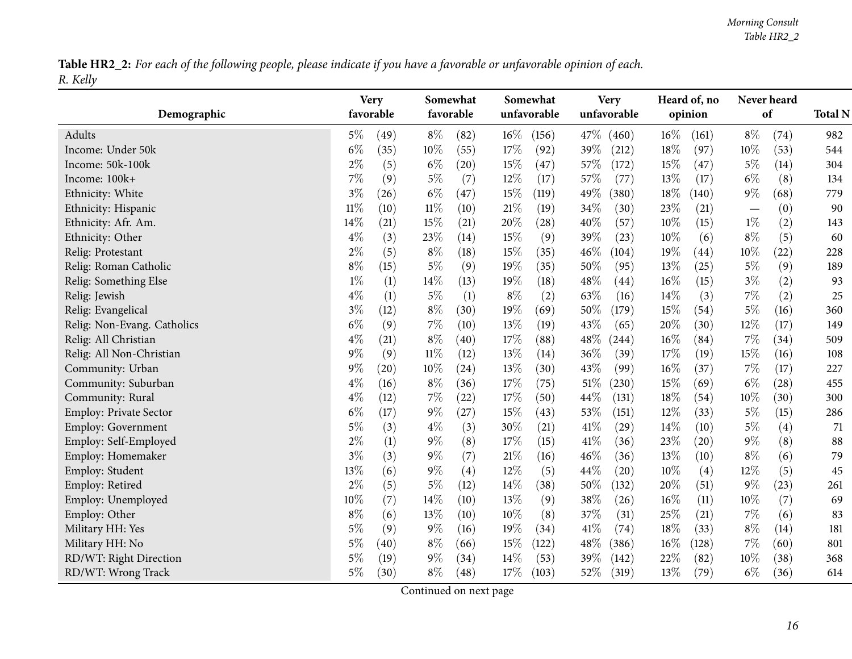Table HR2\_2: For each of the following people, please indicate if you have a favorable or unfavorable opinion of each. *R. Kelly*

|                             |        | Somewhat<br><b>Very</b> |        |                   | Somewhat |             | <b>Very</b> |             | Heard of, no |         | Never heard |                    |     |
|-----------------------------|--------|-------------------------|--------|-------------------|----------|-------------|-------------|-------------|--------------|---------|-------------|--------------------|-----|
| Demographic                 |        | favorable               |        | favorable         |          | unfavorable |             | unfavorable |              | opinion |             | of                 |     |
| Adults                      | $5\%$  | (49)                    | $8\%$  | (82)              | $16\%$   | (156)       |             | 47\% (460)  | $16\%$       | (161)   | $8\%$       | (74)               | 982 |
| Income: Under 50k           | $6\%$  | (35)                    | $10\%$ | (55)              | 17%      | (92)        | 39%         | (212)       | 18%          | (97)    | $10\%$      | (53)               | 544 |
| Income: 50k-100k            | $2\%$  | (5)                     | $6\%$  | (20)              | 15%      | (47)        | 57\%        | (172)       | 15%          | (47)    | $5\%$       | (14)               | 304 |
| Income: 100k+               | 7%     | (9)                     | $5\%$  | (7)               | $12\%$   | (17)        | 57\%        | (77)        | 13\%         | (17)    | $6\%$       | (8)                | 134 |
| Ethnicity: White            | $3\%$  | (26)                    | $6\%$  | (47)              | 15%      | (119)       | 49%         | (380)       | $18\%$       | (140)   | $9\%$       | (68)               | 779 |
| Ethnicity: Hispanic         | $11\%$ | (10)                    | $11\%$ | (10)              | $21\%$   | (19)        | 34%         | (30)        | 23%          | (21)    |             | (0)                | 90  |
| Ethnicity: Afr. Am.         | $14\%$ | (21)                    | 15%    | (21)              | 20%      | (28)        | $40\%$      | (57)        | 10%          | (15)    | $1\%$       | (2)                | 143 |
| Ethnicity: Other            | $4\%$  | (3)                     | 23\%   | (14)              | 15%      | (9)         | 39%         | (23)        | 10%          | (6)     | $8\%$       | (5)                | 60  |
| Relig: Protestant           | $2\%$  | (5)                     | $8\%$  | (18)              | 15%      | (35)        | 46\%        | (104)       | 19%          | (44)    | $10\%$      | $\left( 22\right)$ | 228 |
| Relig: Roman Catholic       | $8\%$  | (15)                    | $5\%$  | (9)               | 19%      | (35)        | 50%         | (95)        | 13%          | (25)    | $5\%$       | (9)                | 189 |
| Relig: Something Else       | $1\%$  | (1)                     | $14\%$ | (13)              | 19%      | (18)        | 48%         | (44)        | 16%          | (15)    | $3\%$       | (2)                | 93  |
| Relig: Jewish               | $4\%$  | (1)                     | $5\%$  | (1)               | $8\%$    | (2)         | 63\%        | (16)        | 14%          | (3)     | $7\%$       | (2)                | 25  |
| Relig: Evangelical          | $3\%$  | (12)                    | $8\%$  | (30)              | 19%      | (69)        | 50%         | (179)       | 15%          | (54)    | $5\%$       | (16)               | 360 |
| Relig: Non-Evang. Catholics | $6\%$  | (9)                     | $7\%$  | (10)              | 13%      | (19)        | 43\%        | (65)        | 20%          | (30)    | 12%         | (17)               | 149 |
| Relig: All Christian        | $4\%$  | (21)                    | $8\%$  | (40)              | 17%      | (88)        | 48\%        | (244)       | 16%          | (84)    | 7%          | (34)               | 509 |
| Relig: All Non-Christian    | $9\%$  | (9)                     | $11\%$ | (12)              | 13%      | (14)        | 36%         | (39)        | 17%          | (19)    | 15%         | (16)               | 108 |
| Community: Urban            | $9\%$  | $\left( 20\right)$      | 10%    | (24)              | 13%      | (30)        | 43%         | (99)        | 16%          | (37)    | $7\%$       | (17)               | 227 |
| Community: Suburban         | $4\%$  | (16)                    | $8\%$  | (36)              | 17%      | (75)        | $51\%$      | (230)       | 15%          | (69)    | $6\%$       | (28)               | 455 |
| Community: Rural            | $4\%$  | (12)                    | $7\%$  | (22)              | 17%      | (50)        | 44\%        | (131)       | 18%          | (54)    | 10%         | (30)               | 300 |
| Employ: Private Sector      | $6\%$  | (17)                    | $9\%$  | (27)              | 15%      | (43)        | 53%         | (151)       | $12\%$       | (33)    | $5\%$       | (15)               | 286 |
| Employ: Government          | $5\%$  | (3)                     | $4\%$  | (3)               | 30%      | (21)        | 41\%        | (29)        | 14%          | (10)    | $5\%$       | (4)                | 71  |
| Employ: Self-Employed       | $2\%$  | (1)                     | $9\%$  | (8)               | 17%      | (15)        | $41\%$      | (36)        | 23%          | (20)    | $9\%$       | (8)                | 88  |
| Employ: Homemaker           | $3\%$  | (3)                     | $9\%$  | (7)               | 21%      | (16)        | 46\%        | (36)        | 13\%         | (10)    | $8\%$       | (6)                | 79  |
| Employ: Student             | 13%    | (6)                     | $9\%$  | $\left( 4\right)$ | 12%      | (5)         | 44\%        | (20)        | 10%          | (4)     | $12\%$      | (5)                | 45  |
| Employ: Retired             | $2\%$  | (5)                     | $5\%$  | (12)              | 14\%     | (38)        | 50%         | (132)       | 20%          | (51)    | $9\%$       | (23)               | 261 |
| Employ: Unemployed          | 10%    | (7)                     | 14%    | (10)              | 13%      | (9)         | 38%         | (26)        | 16%          | (11)    | $10\%$      | (7)                | 69  |
| Employ: Other               | $8\%$  | (6)                     | $13\%$ | (10)              | 10%      | (8)         | 37%         | (31)        | 25%          | (21)    | $7\%$       | (6)                | 83  |
| Military HH: Yes            | $5\%$  | (9)                     | $9\%$  | (16)              | 19%      | (34)        | $41\%$      | (74)        | 18%          | (33)    | $8\%$       | (14)               | 181 |
| Military HH: No             | $5\%$  | (40)                    | $8\%$  | (66)              | 15%      | (122)       | 48\%        | (386)       | $16\%$       | (128)   | $7\%$       | (60)               | 801 |
| RD/WT: Right Direction      | 5%     | (19)                    | $9\%$  | (34)              | 14%      | (53)        | 39%         | (142)       | 22%          | (82)    | 10%         | (38)               | 368 |
| RD/WT: Wrong Track          | $5\%$  | (30)                    | $8\%$  | (48)              | 17%      | (103)       | 52\%        | (319)       | 13%          | (79)    | $6\%$       | (36)               | 614 |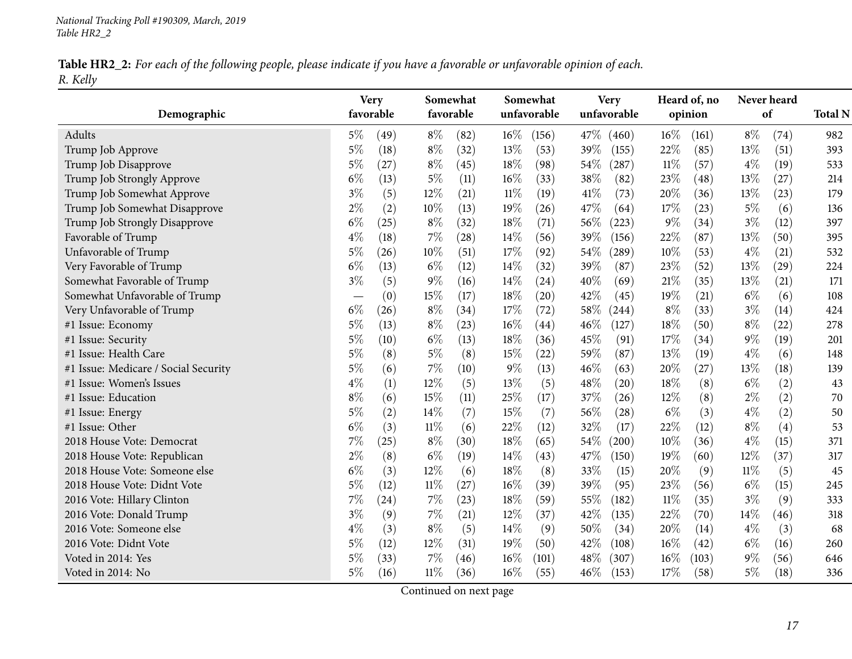Table HR2\_2: For each of the following people, please indicate if you have a favorable or unfavorable opinion of each. *R. Kelly*

|                                      | <b>Very</b>   |                | Somewhat  |        | Somewhat    |      | <b>Very</b> |        | Heard of, no |       | Never heard |     |
|--------------------------------------|---------------|----------------|-----------|--------|-------------|------|-------------|--------|--------------|-------|-------------|-----|
| Demographic                          | favorable     |                | favorable |        | unfavorable |      | unfavorable |        | opinion      |       | of          |     |
| Adults                               | $5\%$<br>(49) | $8\%$          | (82)      | $16\%$ | (156)       | 47\% | (460)       | $16\%$ | (161)        | $8\%$ | (74)        | 982 |
| Trump Job Approve                    | 5%            | $8\%$<br>(18)  | (32)      | 13%    | (53)        | 39%  | (155)       | 22%    | (85)         | 13%   | (51)        | 393 |
| Trump Job Disapprove                 | $5\%$<br>(27) | $8\%$          | (45)      | 18%    | (98)        | 54\% | (287)       | 11%    | (57)         | $4\%$ | (19)        | 533 |
| Trump Job Strongly Approve           | $6\%$         | $5\%$<br>(13)  | (11)      | 16%    | (33)        | 38%  | (82)        | 23%    | (48)         | 13%   | (27)        | 214 |
| Trump Job Somewhat Approve           | $3\%$         | 12%<br>(5)     | (21)      | 11%    | (19)        | 41\% | (73)        | 20%    | (36)         | 13%   | (23)        | 179 |
| Trump Job Somewhat Disapprove        | $2\%$         | (2)<br>10%     | (13)      | 19%    | (26)        | 47%  | (64)        | 17%    | (23)         | $5\%$ | (6)         | 136 |
| Trump Job Strongly Disapprove        | $6\%$         | $8\%$<br>(25)  | (32)      | 18%    | (71)        | 56%  | (223)       | $9\%$  | (34)         | $3\%$ | (12)        | 397 |
| Favorable of Trump                   | $4\%$         | 7%<br>(18)     | (28)      | 14\%   | (56)        | 39%  | (156)       | 22%    | (87)         | 13%   | (50)        | 395 |
| Unfavorable of Trump                 | $5\%$<br>(26) | $10\%$         | (51)      | 17%    | (92)        | 54\% | (289)       | $10\%$ | (53)         | $4\%$ | (21)        | 532 |
| Very Favorable of Trump              | $6\%$         | (13)<br>$6\%$  | (12)      | 14%    | (32)        | 39%  | (87)        | 23%    | (52)         | 13%   | (29)        | 224 |
| Somewhat Favorable of Trump          | $3\%$         | (5)<br>$9\%$   | (16)      | 14\%   | (24)        | 40%  | (69)        | 21%    | (35)         | 13%   | (21)        | 171 |
| Somewhat Unfavorable of Trump        |               | 15%<br>(0)     | (17)      | 18%    | (20)        | 42%  | (45)        | 19%    | (21)         | $6\%$ | (6)         | 108 |
| Very Unfavorable of Trump            | $6\%$<br>(26) | $8\%$          | (34)      | 17%    | (72)        | 58\% | (244)       | $8\%$  | (33)         | $3\%$ | (14)        | 424 |
| #1 Issue: Economy                    | 5%            | $8\%$<br>(13)  | (23)      | 16%    | (44)        | 46%  | (127)       | 18%    | (50)         | $8\%$ | (22)        | 278 |
| #1 Issue: Security                   | 5%            | (10)<br>$6\%$  | (13)      | 18%    | (36)        | 45%  | (91)        | 17%    | (34)         | $9\%$ | (19)        | 201 |
| #1 Issue: Health Care                | 5%            | (8)<br>$5\%$   | (8)       | 15%    | (22)        | 59%  | (87)        | 13%    | (19)         | $4\%$ | (6)         | 148 |
| #1 Issue: Medicare / Social Security | 5%            | 7%<br>(6)      | (10)      | $9\%$  | (13)        | 46%  | (63)        | 20%    | (27)         | 13%   | (18)        | 139 |
| #1 Issue: Women's Issues             | $4\%$         | 12%<br>(1)     | (5)       | 13%    | (5)         | 48%  | (20)        | 18%    | (8)          | $6\%$ | (2)         | 43  |
| #1 Issue: Education                  | $8\%$         | 15%<br>(6)     | (11)      | 25%    | (17)        | 37%  | (26)        | 12%    | (8)          | $2\%$ | (2)         | 70  |
| #1 Issue: Energy                     | 5%            | (2)<br>14%     | (7)       | 15%    | (7)         | 56%  | (28)        | $6\%$  | (3)          | $4\%$ | (2)         | 50  |
| #1 Issue: Other                      | $6\%$         | (3)<br>$11\%$  | (6)       | 22%    | (12)        | 32%  | (17)        | 22%    | (12)         | $8\%$ | (4)         | 53  |
| 2018 House Vote: Democrat            | 7%            | $8\%$<br>(25)  | (30)      | 18%    | (65)        | 54\% | (200)       | 10%    | (36)         | $4\%$ | (15)        | 371 |
| 2018 House Vote: Republican          | $2\%$         | $6\%$<br>(8)   | (19)      | 14\%   | (43)        | 47\% | (150)       | 19%    | (60)         | 12%   | (37)        | 317 |
| 2018 House Vote: Someone else        | $6\%$         | 12%<br>(3)     | (6)       | 18%    | (8)         | 33%  | (15)        | 20%    | (9)          | 11%   | (5)         | 45  |
| 2018 House Vote: Didnt Vote          | 5%            | $11\%$<br>(12) | (27)      | 16%    | (39)        | 39%  | (95)        | 23%    | (56)         | $6\%$ | (15)        | 245 |
| 2016 Vote: Hillary Clinton           | 7%<br>(24)    | 7%             | (23)      | 18%    | (59)        | 55%  | (182)       | $11\%$ | (35)         | $3\%$ | (9)         | 333 |
| 2016 Vote: Donald Trump              | $3\%$         | $7\%$<br>(9)   | (21)      | 12%    | (37)        | 42\% | (135)       | 22%    | (70)         | 14%   | (46)        | 318 |
| 2016 Vote: Someone else              | $4\%$         | $8\%$<br>(3)   | (5)       | 14\%   | (9)         | 50%  | (34)        | 20%    | (14)         | $4\%$ | (3)         | 68  |
| 2016 Vote: Didnt Vote                | 5%            | (12)<br>12%    | (31)      | 19%    | (50)        | 42%  | (108)       | $16\%$ | (42)         | $6\%$ | (16)        | 260 |
| Voted in 2014: Yes                   | 5%<br>(33)    | 7%             | (46)      | 16%    | (101)       | 48\% | (307)       | 16%    | (103)        | $9\%$ | (56)        | 646 |
| Voted in 2014: No                    | 5%            | $11\%$<br>(16) | (36)      | 16%    | (55)        | 46%  | (153)       | 17%    | (58)         | 5%    | (18)        | 336 |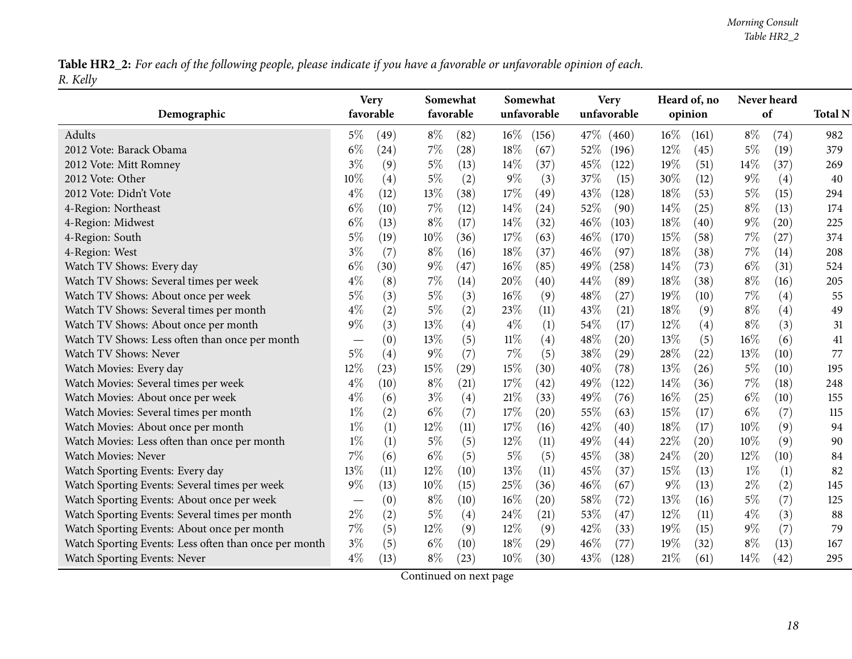Table HR2\_2: For each of the following people, please indicate if you have a favorable or unfavorable opinion of each. *R. Kelly*

|                                                       |       | <b>Very</b> |        | Somewhat  |        | Somewhat    |      | <b>Very</b> |        | Heard of, no |       | Never heard        |                |
|-------------------------------------------------------|-------|-------------|--------|-----------|--------|-------------|------|-------------|--------|--------------|-------|--------------------|----------------|
| Demographic                                           |       | favorable   |        | favorable |        | unfavorable |      | unfavorable |        | opinion      |       | of                 | <b>Total N</b> |
| Adults                                                | $5\%$ | (49)        | $8\%$  | (82)      | $16\%$ | (156)       | 47\% | (460)       | $16\%$ | (161)        | $8\%$ | (74)               | 982            |
| 2012 Vote: Barack Obama                               | $6\%$ | (24)        | 7%     | (28)      | 18%    | (67)        | 52\% | (196)       | 12%    | (45)         | $5\%$ | (19)               | 379            |
| 2012 Vote: Mitt Romney                                | $3\%$ | (9)         | $5\%$  | (13)      | 14%    | (37)        | 45\% | (122)       | 19%    | (51)         | 14%   | (37)               | 269            |
| 2012 Vote: Other                                      | 10%   | (4)         | $5\%$  | (2)       | $9\%$  | (3)         | 37%  | (15)        | 30%    | (12)         | $9\%$ | (4)                | 40             |
| 2012 Vote: Didn't Vote                                | $4\%$ | (12)        | 13\%   | (38)      | 17%    | (49)        | 43%  | (128)       | 18%    | (53)         | $5\%$ | (15)               | 294            |
| 4-Region: Northeast                                   | $6\%$ | (10)        | 7%     | (12)      | 14%    | (24)        | 52%  | (90)        | 14%    | (25)         | $8\%$ | (13)               | 174            |
| 4-Region: Midwest                                     | $6\%$ | (13)        | $8\%$  | (17)      | 14%    | (32)        | 46%  | (103)       | 18%    | (40)         | $9\%$ | $\left( 20\right)$ | 225            |
| 4-Region: South                                       | 5%    | (19)        | 10%    | (36)      | 17%    | (63)        | 46%  | (170)       | 15%    | (58)         | 7%    | (27)               | 374            |
| 4-Region: West                                        | $3\%$ | (7)         | $8\%$  | (16)      | 18%    | (37)        | 46%  | (97)        | 18%    | (38)         | $7\%$ | (14)               | 208            |
| Watch TV Shows: Every day                             | $6\%$ | (30)        | $9\%$  | (47)      | $16\%$ | (85)        | 49%  | (258)       | 14%    | (73)         | $6\%$ | (31)               | 524            |
| Watch TV Shows: Several times per week                | $4\%$ | (8)         | 7%     | (14)      | 20%    | (40)        | 44%  | (89)        | 18%    | (38)         | $8\%$ | (16)               | 205            |
| Watch TV Shows: About once per week                   | $5\%$ | (3)         | $5\%$  | (3)       | 16%    | (9)         | 48%  | (27)        | 19%    | (10)         | $7\%$ | (4)                | 55             |
| Watch TV Shows: Several times per month               | $4\%$ | (2)         | $5\%$  | (2)       | 23%    | (11)        | 43%  | (21)        | 18%    | (9)          | $8\%$ | (4)                | 49             |
| Watch TV Shows: About once per month                  | $9\%$ | (3)         | 13%    | (4)       | $4\%$  | (1)         | 54%  | (17)        | $12\%$ | (4)          | $8\%$ | (3)                | 31             |
| Watch TV Shows: Less often than once per month        |       | (0)         | 13%    | (5)       | $11\%$ | (4)         | 48%  | (20)        | $13\%$ | (5)          | 16%   | (6)                | 41             |
| Watch TV Shows: Never                                 | $5\%$ | (4)         | $9\%$  | (7)       | $7\%$  | (5)         | 38%  | (29)        | 28\%   | (22)         | 13%   | (10)               | 77             |
| Watch Movies: Every day                               | 12%   | (23)        | 15%    | (29)      | 15%    | (30)        | 40%  | (78)        | 13%    | (26)         | $5\%$ | (10)               | 195            |
| Watch Movies: Several times per week                  | $4\%$ | (10)        | $8\%$  | (21)      | 17%    | (42)        | 49%  | (122)       | 14%    | (36)         | 7%    | (18)               | 248            |
| Watch Movies: About once per week                     | $4\%$ | (6)         | $3\%$  | (4)       | 21%    | (33)        | 49%  | (76)        | 16%    | (25)         | $6\%$ | (10)               | 155            |
| Watch Movies: Several times per month                 | $1\%$ | (2)         | $6\%$  | (7)       | $17\%$ | (20)        | 55%  | (63)        | 15%    | (17)         | $6\%$ | (7)                | 115            |
| Watch Movies: About once per month                    | $1\%$ | (1)         | 12%    | (11)      | 17%    | (16)        | 42%  | (40)        | 18%    | (17)         | 10%   | (9)                | 94             |
| Watch Movies: Less often than once per month          | $1\%$ | (1)         | $5\%$  | (5)       | $12\%$ | (11)        | 49%  | (44)        | 22%    | (20)         | 10%   | (9)                | 90             |
| <b>Watch Movies: Never</b>                            | $7\%$ | (6)         | $6\%$  | (5)       | $5\%$  | (5)         | 45%  | (38)        | 24\%   | (20)         | 12%   | (10)               | 84             |
| Watch Sporting Events: Every day                      | 13%   | (11)        | 12%    | (10)      | 13%    | (11)        | 45%  | (37)        | 15%    | (13)         | $1\%$ | (1)                | 82             |
| Watch Sporting Events: Several times per week         | 9%    | (13)        | $10\%$ | (15)      | 25%    | (36)        | 46%  | (67)        | $9\%$  | (13)         | $2\%$ | (2)                | 145            |
| Watch Sporting Events: About once per week            |       | (0)         | $8\%$  | (10)      | $16\%$ | (20)        | 58%  | (72)        | 13%    | (16)         | $5\%$ | (7)                | 125            |
| Watch Sporting Events: Several times per month        | $2\%$ | (2)         | $5\%$  | (4)       | 24\%   | (21)        | 53%  | (47)        | $12\%$ | (11)         | $4\%$ | (3)                | 88             |
| Watch Sporting Events: About once per month           | 7%    | (5)         | $12\%$ | (9)       | 12%    | (9)         | 42%  | (33)        | 19%    | (15)         | $9\%$ | (7)                | 79             |
| Watch Sporting Events: Less often than once per month | $3\%$ | (5)         | $6\%$  | (10)      | 18%    | (29)        | 46%  | (77)        | 19%    | (32)         | $8\%$ | (13)               | 167            |
| Watch Sporting Events: Never                          | $4\%$ | (13)        | $8\%$  | (23)      | $10\%$ | (30)        | 43%  | (128)       | $21\%$ | (61)         | 14%   | (42)               | 295            |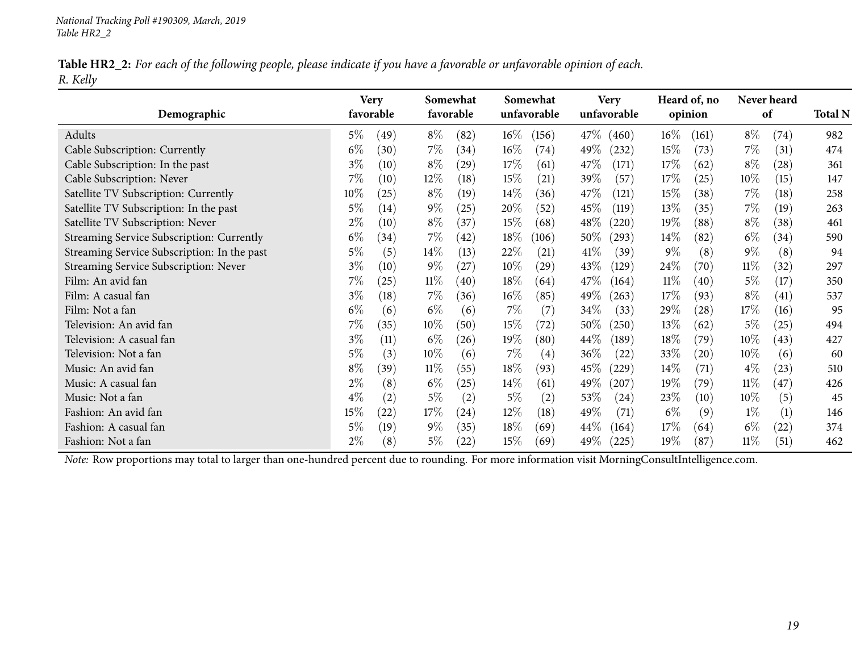| Table HR2_2: For each of the following people, please indicate if you have a favorable or unfavorable opinion of each. |  |
|------------------------------------------------------------------------------------------------------------------------|--|
| R. Kelly                                                                                                               |  |

| Demographic                                 | <b>Very</b><br>favorable | Somewhat<br>favorable       | Somewhat<br>unfavorable      | <b>Very</b><br>unfavorable | Heard of, no<br>opinion      | Never heard<br>of | <b>Total N</b> |
|---------------------------------------------|--------------------------|-----------------------------|------------------------------|----------------------------|------------------------------|-------------------|----------------|
| Adults                                      | $5\%$<br>(49)            | $8\%$<br>(82)               | $16\%$<br>(156)              | $47\%$<br>(460)            | $16\%$<br>(161)              | $8\%$<br>(74)     | 982            |
| Cable Subscription: Currently               | $6\%$<br>(30)            | $7\%$<br>(34)               | 16\%<br>(74)                 | 49\%<br>(232)              | $15\%$<br>(73)               | $7\%$<br>(31)     | 474            |
|                                             | $3\%$                    | $8\%$                       | 17%                          | 47\%                       | 17\%                         | $8\%$<br>(28)     |                |
| Cable Subscription: In the past             | (10)                     | (29)                        | (61)                         | (171)                      | (62)                         |                   | 361            |
| Cable Subscription: Never                   | 7%<br>(10)               | $12\%$<br>(18)              | 15\%<br>(21)                 | 39%<br>(57)                | $17\%$<br>(25)               | $10\%$<br>(15)    | 147            |
| Satellite TV Subscription: Currently        | $10\%$<br>(25)           | $8\%$<br>(19)               | $14\%$<br>(36)               | 47\%<br>(121)              | $15\%$<br>(38)               | $7\%$<br>(18)     | 258            |
| Satellite TV Subscription: In the past      | $5\%$<br>(14)            | $9\%$<br>(25)               | $20\%$<br>(52)               | 45\%<br>(119)              | $13\%$<br>(35)               | $7\%$<br>(19)     | 263            |
| Satellite TV Subscription: Never            | $2\%$<br>(10)            | $8\%$<br>(37)               | 15\%<br>(68)                 | $48\%$<br>(220)            | $19\%$<br>(88)               | $8\%$<br>(38)     | 461            |
| Streaming Service Subscription: Currently   | $6\%$<br>(34)            | $7\%$<br>$\left( 42\right)$ | 18\%<br>(106)                | $50\%$<br>(293)            | $14\%$<br>(82)               | $6\%$<br>(34)     | 590            |
| Streaming Service Subscription: In the past | $5\%$<br>(5)             | $14\%$<br>(13)              | 22\%<br>(21)                 | 41%<br>(39)                | $9\%$<br>(8)                 | $9\%$<br>(8)      | 94             |
| Streaming Service Subscription: Never       | $3\%$<br>(10)            | $9\%$<br>(27)               | $10\%$<br>$\left( 29\right)$ | 43\%<br>(129)              | $24\%$<br>(70)               | $11\%$<br>(32)    | 297            |
| Film: An avid fan                           | 7%<br>(25)               | $11\%$<br>(40)              | 18\%<br>(64)                 | $47\%$<br>(164)            | $11\%$<br>(40)               | $5\%$<br>(17)     | 350            |
| Film: A casual fan                          | $3\%$<br>(18)            | $7\%$<br>(36)               | $16\%$<br>(85)               | 49\%<br>(263)              | 17%<br>(93)                  | $8\%$<br>(41)     | 537            |
| Film: Not a fan                             | $6\%$<br>(6)             | $6\%$<br>(6)                | $7\%$<br>(7)                 | $34\%$<br>(33)             | $29\%$<br>$\left( 28\right)$ | 17%<br>(16)       | 95             |
| Television: An avid fan                     | 7%<br>(35)               | $10\%$<br>(50)              | 15\%<br>(72)                 | $50\%$<br>(250)            | 13\%<br>(62)                 | $5\%$<br>(25)     | 494            |
| Television: A casual fan                    | $3\%$<br>(11)            | $6\%$<br>(26)               | 19%<br>$\left( 80\right)$    | 44\%<br>(189)              | 18%<br>(79)                  | $10\%$<br>(43)    | 427            |
| Television: Not a fan                       | $5\%$<br>(3)             | $10\%$<br>(6)               | $7\%$<br>$\left( 4\right)$   | 36\%<br>(22)               | 33\%<br>$\left( 20\right)$   | $10\%$<br>(6)     | 60             |
| Music: An avid fan                          | $8\%$<br>(39)            | $11\%$<br>(55)              | $18\%$<br>(93)               | $45\%$<br>(229)            | $14\%$<br>(71)               | $4\%$<br>(23)     | 510            |
| Music: A casual fan                         | $2\%$<br>(8)             | $6\%$<br>(25)               | $14\%$<br>(61)               | 49\%<br>(207)              | $19\%$<br>(79)               | $11\%$<br>(47)    | 426            |
| Music: Not a fan                            | $4\%$<br>(2)             | $5\%$<br>(2)                | (2)<br>$5\%$                 | 53\%<br>(24)               | 23%<br>(10)                  | $10\%$<br>(5)     | 45             |
| Fashion: An avid fan                        | $15\%$<br>(22)           | $17\%$<br>(24)              | 12\%<br>(18)                 | 49\%<br>(71)               | $6\%$<br>(9)                 | $1\%$<br>(1)      | 146            |
| Fashion: A casual fan                       | 5%<br>(19)               | $9\%$<br>(35)               | 18\%<br>(69)                 | $44\%$<br>(164)            | 17%<br>(64)                  | $6\%$<br>(22)     | 374            |
| Fashion: Not a fan                          | $2\%$<br>(8)             | $5\%$<br>(22)               | 15\%<br>(69)                 | 49\%<br>(225)              | 19%<br>(87)                  | $11\%$<br>(51)    | 462            |
|                                             |                          |                             |                              |                            |                              |                   |                |

*Note:* Row proportions may total to larger than one-hundred percen<sup>t</sup> due to rounding. For more information visit [MorningConsultIntelligence.com](https://morningconsultintelligence.com).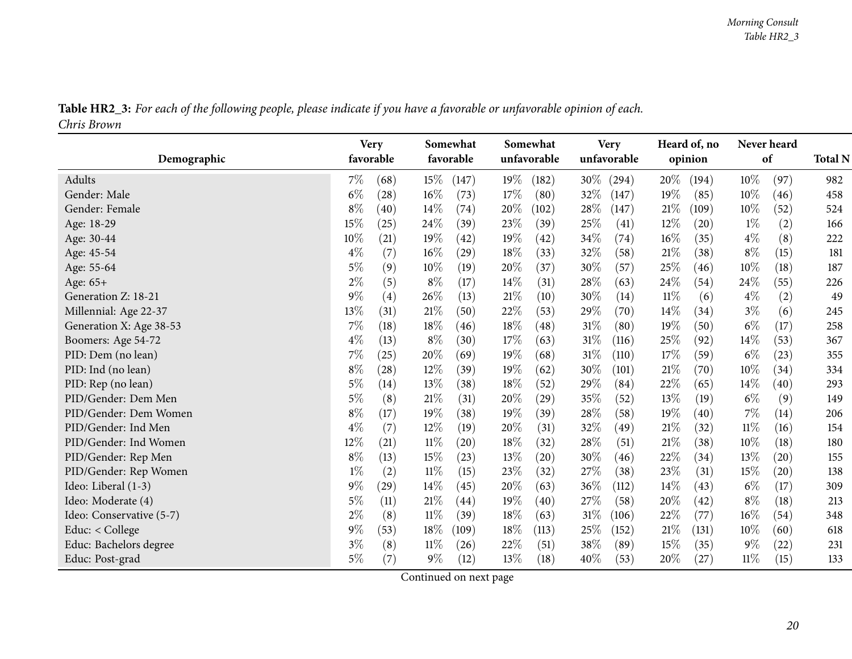| Table HR2_3: For each of the following people, please indicate if you have a favorable or unfavorable opinion of each. |  |
|------------------------------------------------------------------------------------------------------------------------|--|
| Chris Brown                                                                                                            |  |

<span id="page-19-0"></span>

|                          | <b>Very</b><br>Somewhat |                    |           |       | Somewhat |             | Very   |             | Heard of, no |         | Never heard |      |     |
|--------------------------|-------------------------|--------------------|-----------|-------|----------|-------------|--------|-------------|--------------|---------|-------------|------|-----|
| Demographic              | favorable               |                    | favorable |       |          | unfavorable |        | unfavorable |              | opinion |             | of   |     |
| Adults                   | $7\%$                   | (68)               | $15\%$    | (147) | 19%      | (182)       | $30\%$ | (294)       | 20\%         | (194)   | $10\%$      | (97) | 982 |
| Gender: Male             | $6\%$                   | (28)               | $16\%$    | (73)  | 17%      | (80)        | 32%    | (147)       | 19%          | (85)    | 10%         | (46) | 458 |
| Gender: Female           | $8\%$                   | (40)               | 14%       | (74)  | 20%      | (102)       | 28%    | (147)       | 21%          | (109)   | $10\%$      | (52) | 524 |
| Age: 18-29               | 15%                     | (25)               | 24\%      | (39)  | 23%      | (39)        | 25%    | (41)        | $12\%$       | (20)    | $1\%$       | (2)  | 166 |
| Age: 30-44               | 10%                     | $\left( 21\right)$ | 19%       | (42)  | 19%      | (42)        | 34%    | (74)        | 16%          | (35)    | $4\%$       | (8)  | 222 |
| Age: 45-54               | $4\%$                   | (7)                | $16\%$    | (29)  | 18%      | (33)        | 32%    | (58)        | 21%          | (38)    | $8\%$       | (15) | 181 |
| Age: 55-64               | $5\%$                   | (9)                | $10\%$    | (19)  | 20%      | (37)        | 30%    | (57)        | 25%          | (46)    | 10%         | (18) | 187 |
| Age: 65+                 | $2\%$                   | (5)                | $8\%$     | (17)  | 14%      | (31)        | 28%    | (63)        | 24\%         | (54)    | 24%         | (55) | 226 |
| Generation Z: 18-21      | $9\%$                   | (4)                | 26%       | (13)  | 21%      | (10)        | $30\%$ | (14)        | $11\%$       | (6)     | $4\%$       | (2)  | 49  |
| Millennial: Age 22-37    | $13\%$                  | (31)               | 21%       | (50)  | 22%      | (53)        | 29%    | (70)        | 14%          | (34)    | $3\%$       | (6)  | 245 |
| Generation X: Age 38-53  | 7%                      | (18)               | 18%       | (46)  | 18%      | (48)        | $31\%$ | (80)        | 19%          | (50)    | $6\%$       | (17) | 258 |
| Boomers: Age 54-72       | $4\%$                   | (13)               | $8\%$     | (30)  | 17%      | (63)        | $31\%$ | (116)       | 25%          | (92)    | 14\%        | (53) | 367 |
| PID: Dem (no lean)       | 7%                      | (25)               | 20%       | (69)  | 19%      | (68)        | $31\%$ | (110)       | 17%          | (59)    | $6\%$       | (23) | 355 |
| PID: Ind (no lean)       | $8\%$                   | (28)               | 12%       | (39)  | 19%      | (62)        | $30\%$ | (101)       | 21%          | (70)    | 10%         | (34) | 334 |
| PID: Rep (no lean)       | 5%                      | (14)               | 13%       | (38)  | 18%      | (52)        | 29%    | (84)        | 22%          | (65)    | 14\%        | (40) | 293 |
| PID/Gender: Dem Men      | $5\%$                   | (8)                | 21%       | (31)  | 20%      | (29)        | 35\%   | (52)        | 13%          | (19)    | $6\%$       | (9)  | 149 |
| PID/Gender: Dem Women    | $8\%$                   | (17)               | 19%       | (38)  | 19%      | (39)        | 28\%   | (58)        | 19%          | (40)    | 7%          | (14) | 206 |
| PID/Gender: Ind Men      | $4\%$                   | (7)                | $12\%$    | (19)  | 20%      | (31)        | 32\%   | (49)        | $21\%$       | (32)    | $11\%$      | (16) | 154 |
| PID/Gender: Ind Women    | 12%                     | (21)               | $11\%$    | (20)  | 18%      | (32)        | 28\%   | (51)        | 21%          | (38)    | 10%         | (18) | 180 |
| PID/Gender: Rep Men      | $8\%$                   | (13)               | 15%       | (23)  | 13%      | (20)        | $30\%$ | (46)        | 22%          | (34)    | 13%         | (20) | 155 |
| PID/Gender: Rep Women    | $1\%$                   | (2)                | $11\%$    | (15)  | 23%      | (32)        | 27%    | (38)        | 23%          | (31)    | 15%         | (20) | 138 |
| Ideo: Liberal (1-3)      | $9\%$                   | (29)               | $14\%$    | (45)  | 20%      | (63)        | $36\%$ | (112)       | 14%          | (43)    | $6\%$       | (17) | 309 |
| Ideo: Moderate (4)       | 5%                      | (11)               | 21\%      | (44)  | 19%      | (40)        | 27%    | (58)        | 20%          | (42)    | $8\%$       | (18) | 213 |
| Ideo: Conservative (5-7) | $2\%$                   | (8)                | $11\%$    | (39)  | 18%      | (63)        | $31\%$ | (106)       | 22%          | (77)    | 16%         | (54) | 348 |
| Educ: $<$ College        | 9%                      | (53)               | 18%       | (109) | 18%      | (113)       | 25%    | (152)       | 21%          | (131)   | 10%         | (60) | 618 |
| Educ: Bachelors degree   | $3\%$                   | (8)                | $11\%$    | (26)  | 22%      | (51)        | 38\%   | (89)        | 15%          | (35)    | $9\%$       | (22) | 231 |
| Educ: Post-grad          | 5%                      | (7)                | $9\%$     | (12)  | 13%      | (18)        | 40%    | (53)        | 20%          | (27)    | $11\%$      | (15) | 133 |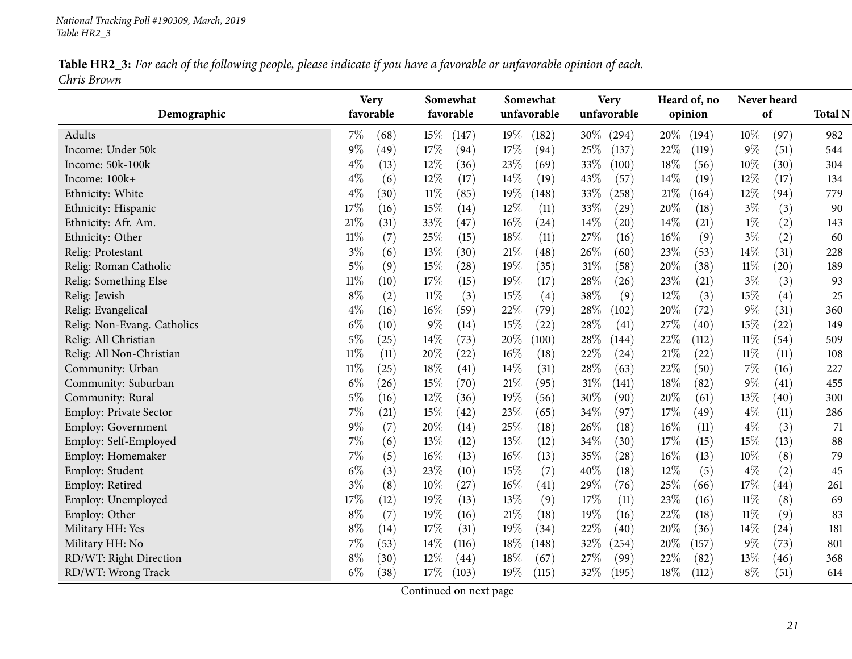Table HR2\_3: For each of the following people, please indicate if you have a favorable or unfavorable opinion of each. *Chris Brown*

|                             | <b>Very</b><br>Somewhat |                 | Somewhat        | <b>Very</b>               | Heard of, no    | Never heard    |                |
|-----------------------------|-------------------------|-----------------|-----------------|---------------------------|-----------------|----------------|----------------|
| Demographic                 | favorable               | favorable       | unfavorable     | unfavorable               | opinion         | of             | <b>Total N</b> |
| Adults                      | $7\%$<br>(68)           | $15\%$<br>(147) | 19%<br>(182)    | $30\%$<br>(294)           | 20\%<br>(194)   | $10\%$<br>(97) | 982            |
| Income: Under 50k           | $9\%$<br>(49)           | 17%<br>(94)     | 17%<br>(94)     | 25%<br>(137)              | 22\%<br>(119)   | $9\%$<br>(51)  | 544            |
| Income: 50k-100k            | $4\%$<br>(13)           | $12\%$<br>(36)  | 23%<br>(69)     | 33%<br>(100)              | 18%<br>(56)     | $10\%$<br>(30) | 304            |
| Income: 100k+               | $4\%$<br>(6)            | $12\%$<br>(17)  | $14\%$<br>(19)  | 43\%<br>(57)              | 14%<br>(19)     | $12\%$<br>(17) | 134            |
| Ethnicity: White            | $4\%$<br>(30)           | $11\%$<br>(85)  | 19%<br>(148)    | 33%<br>(258)              | $21\%$<br>(164) | 12%<br>(94)    | 779            |
| Ethnicity: Hispanic         | 17%<br>(16)             | 15%<br>(14)     | 12%<br>(11)     | 33%<br>(29)               | 20%<br>(18)     | $3\%$<br>(3)   | 90             |
| Ethnicity: Afr. Am.         | 21%<br>(31)             | 33%<br>(47)     | 16%<br>(24)     | 14%<br>(20)               | 14%<br>(21)     | $1\%$<br>(2)   | 143            |
| Ethnicity: Other            | $11\%$<br>(7)           | 25%<br>(15)     | 18%<br>(11)     | 27%<br>(16)               | 16%<br>(9)      | $3\%$<br>(2)   | 60             |
| Relig: Protestant           | $3\%$<br>(6)            | 13%<br>(30)     | 21%<br>(48)     | 26\%<br>(60)              | 23%<br>(53)     | 14\%<br>(31)   | 228            |
| Relig: Roman Catholic       | $5\%$<br>(9)            | 15%<br>(28)     | 19%<br>(35)     | 31%<br>(58)               | 20%<br>(38)     | $11\%$<br>(20) | 189            |
| Relig: Something Else       | $11\%$<br>(10)          | 17%<br>(15)     | 19%<br>(17)     | 28%<br>(26)               | 23%<br>(21)     | $3\%$<br>(3)   | 93             |
| Relig: Jewish               | $8\%$<br>(2)            | $11\%$<br>(3)   | 15%<br>(4)      | 38%<br>(9)                | 12%<br>(3)      | 15%<br>(4)     | 25             |
| Relig: Evangelical          | $4\%$<br>(16)           | $16\%$<br>(59)  | 22%<br>(79)     | 28\%<br>(102)             | 20%<br>(72)     | $9\%$<br>(31)  | 360            |
| Relig: Non-Evang. Catholics | $6\%$<br>(10)           | $9\%$<br>(14)   | 15%<br>(22)     | 28\%<br>(41)              | 27%<br>(40)     | 15%<br>(22)    | 149            |
| Relig: All Christian        | $5\%$<br>(25)           | 14%<br>(73)     | 20%<br>(100)    | 28\%<br>(144)             | 22%<br>(112)    | $11\%$<br>(54) | 509            |
| Relig: All Non-Christian    | $11\%$<br>(11)          | 20%<br>(22)     | 16%<br>(18)     | 22%<br>(24)               | $21\%$<br>(22)  | $11\%$<br>(11) | 108            |
| Community: Urban            | $11\%$<br>(25)          | 18%<br>(41)     | 14%<br>(31)     | 28%<br>(63)               | 22%<br>(50)     | $7\%$<br>(16)  | 227            |
| Community: Suburban         | $6\%$<br>(26)           | 15%<br>(70)     | 21%<br>(95)     | $31\%$<br>(141)           | 18%<br>(82)     | $9\%$<br>(41)  | 455            |
| Community: Rural            | $5\%$<br>(16)           | 12%<br>(36)     | 19%<br>(56)     | 30%<br>(90)               | 20%<br>(61)     | 13%<br>(40)    | 300            |
| Employ: Private Sector      | 7%<br>(21)              | 15%<br>(42)     | 23%<br>(65)     | 34%<br>(97)               | 17%<br>(49)     | $4\%$<br>(11)  | 286            |
| Employ: Government          | $9\%$<br>(7)            | 20%<br>(14)     | 25%<br>(18)     | 26%<br>(18)               | 16%<br>(11)     | $4\%$<br>(3)   | 71             |
| Employ: Self-Employed       | $7\%$<br>(6)            | 13%<br>(12)     | 13%<br>(12)     | 34%<br>(30)               | 17%<br>(15)     | 15%<br>(13)    | 88             |
| Employ: Homemaker           | 7%<br>(5)               | 16%<br>(13)     | 16%<br>(13)     | 35%<br>$\left( 28\right)$ | 16%<br>(13)     | $10\%$<br>(8)  | 79             |
| Employ: Student             | $6\%$<br>(3)            | 23%<br>(10)     | 15%<br>(7)      | 40%<br>(18)               | 12%<br>(5)      | $4\%$<br>(2)   | 45             |
| Employ: Retired             | $3\%$<br>(8)            | 10%<br>(27)     | 16%<br>(41)     | 29%<br>(76)               | 25%<br>(66)     | 17%<br>(44)    | 261            |
| Employ: Unemployed          | 17%<br>(12)             | 19%<br>(13)     | 13%<br>(9)      | 17%<br>(11)               | 23%<br>(16)     | $11\%$<br>(8)  | 69             |
| Employ: Other               | $8\%$<br>(7)            | 19%<br>(16)     | 21\%<br>(18)    | 19%<br>(16)               | 22\%<br>(18)    | $11\%$<br>(9)  | 83             |
| Military HH: Yes            | $8\%$<br>(14)           | 17%<br>(31)     | 19%<br>(34)     | 22%<br>(40)               | 20%<br>(36)     | 14\%<br>(24)   | 181            |
| Military HH: No             | 7%<br>(53)              | 14\%<br>(116)   | $18\%$<br>(148) | 32%<br>(254)              | 20%<br>(157)    | $9\%$<br>(73)  | 801            |
| RD/WT: Right Direction      | $8\%$<br>(30)           | 12%<br>(44)     | 18%<br>(67)     | 27%<br>(99)               | 22%<br>(82)     | 13%<br>(46)    | 368            |
| RD/WT: Wrong Track          | $6\%$<br>(38)           | 17%<br>(103)    | 19%<br>(115)    | 32%<br>(195)              | 18%<br>(112)    | $8\%$<br>(51)  | 614            |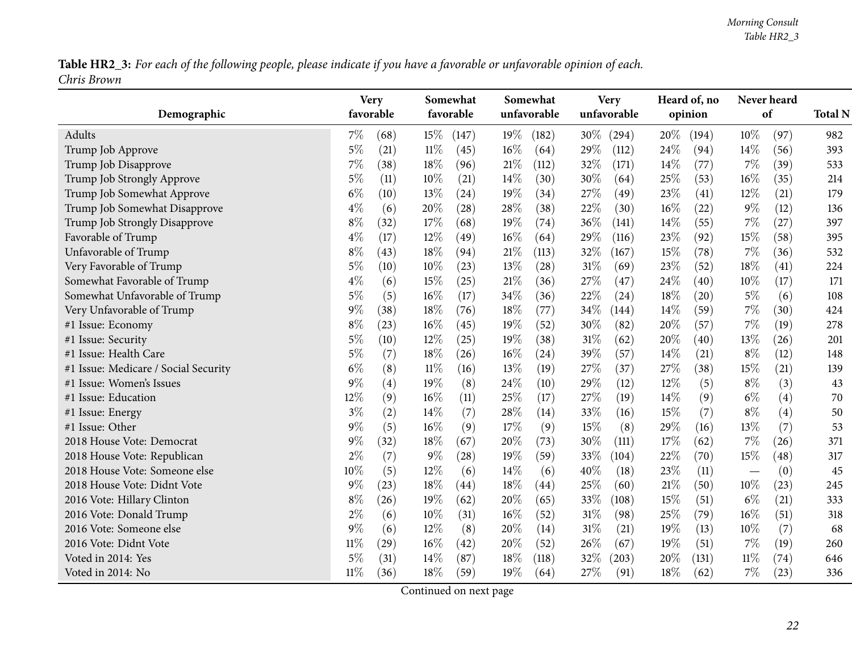Table HR2\_3: For each of the following people, please indicate if you have a favorable or unfavorable opinion of each. *Chris Brown*

|                                      |        | <b>Very</b> | Somewhat |                    | Somewhat    |       | <b>Very</b> |       | Heard of, no |       | Never heard |      |                |
|--------------------------------------|--------|-------------|----------|--------------------|-------------|-------|-------------|-------|--------------|-------|-------------|------|----------------|
| Demographic                          |        | favorable   |          | favorable          | unfavorable |       | unfavorable |       | opinion      |       | of          |      | <b>Total N</b> |
| Adults                               | 7%     | (68)        | $15\%$   | (147)              | 19%         | (182) | 30\%        | (294) | 20%          | (194) | $10\%$      | (97) | 982            |
| Trump Job Approve                    | $5\%$  | (21)        | $11\%$   | (45)               | $16\%$      | (64)  | 29%         | (112) | 24\%         | (94)  | 14%         | (56) | 393            |
| Trump Job Disapprove                 | 7%     | (38)        | 18%      | (96)               | 21%         | (112) | 32%         | (171) | 14\%         | (77)  | $7\%$       | (39) | 533            |
| Trump Job Strongly Approve           | 5%     | (11)        | $10\%$   | (21)               | $14\%$      | (30)  | 30\%        | (64)  | 25\%         | (53)  | $16\%$      | (35) | 214            |
| Trump Job Somewhat Approve           | $6\%$  | (10)        | 13%      | (24)               | 19%         | (34)  | 27%         | (49)  | 23%          | (41)  | 12%         | (21) | 179            |
| Trump Job Somewhat Disapprove        | $4\%$  | (6)         | 20%      | $\left( 28\right)$ | 28\%        | (38)  | 22%         | (30)  | 16%          | (22)  | $9\%$       | (12) | 136            |
| Trump Job Strongly Disapprove        | $8\%$  | (32)        | 17%      | (68)               | 19%         | (74)  | 36%         | (141) | 14%          | (55)  | 7%          | (27) | 397            |
| Favorable of Trump                   | $4\%$  | (17)        | $12\%$   | (49)               | $16\%$      | (64)  | 29%         | (116) | 23%          | (92)  | 15%         | (58) | 395            |
| Unfavorable of Trump                 | $8\%$  | (43)        | 18%      | (94)               | 21%         | (113) | 32\%        | (167) | 15%          | (78)  | $7\%$       | (36) | 532            |
| Very Favorable of Trump              | $5\%$  | (10)        | 10%      | (23)               | 13%         | (28)  | $31\%$      | (69)  | 23%          | (52)  | 18%         | (41) | 224            |
| Somewhat Favorable of Trump          | $4\%$  | (6)         | 15%      | (25)               | 21%         | (36)  | 27\%        | (47)  | 24\%         | (40)  | 10%         | (17) | 171            |
| Somewhat Unfavorable of Trump        | $5\%$  | (5)         | 16%      | (17)               | 34%         | (36)  | 22%         | (24)  | 18%          | (20)  | $5\%$       | (6)  | 108            |
| Very Unfavorable of Trump            | $9\%$  | (38)        | $18\%$   | (76)               | 18%         | (77)  | 34\%        | (144) | 14%          | (59)  | $7\%$       | (30) | 424            |
| #1 Issue: Economy                    | $8\%$  | (23)        | $16\%$   | (45)               | 19%         | (52)  | 30%         | (82)  | 20%          | (57)  | 7%          | (19) | 278            |
| #1 Issue: Security                   | $5\%$  | (10)        | 12%      | (25)               | 19%         | (38)  | $31\%$      | (62)  | 20%          | (40)  | 13%         | (26) | 201            |
| #1 Issue: Health Care                | $5\%$  | (7)         | 18%      | (26)               | $16\%$      | (24)  | 39%         | (57)  | 14%          | (21)  | $8\%$       | (12) | 148            |
| #1 Issue: Medicare / Social Security | $6\%$  | (8)         | $11\%$   | (16)               | 13%         | (19)  | 27%         | (37)  | 27%          | (38)  | 15%         | (21) | 139            |
| #1 Issue: Women's Issues             | $9\%$  | (4)         | 19%      | (8)                | 24\%        | (10)  | 29%         | (12)  | $12\%$       | (5)   | $8\%$       | (3)  | 43             |
| #1 Issue: Education                  | 12%    | (9)         | 16%      | (11)               | 25%         | (17)  | 27%         | (19)  | 14%          | (9)   | $6\%$       | (4)  | 70             |
| #1 Issue: Energy                     | $3\%$  | (2)         | 14\%     | (7)                | 28%         | (14)  | 33%         | (16)  | 15%          | (7)   | $8\%$       | (4)  | 50             |
| #1 Issue: Other                      | $9\%$  | (5)         | 16%      | (9)                | 17\%        | (9)   | 15%         | (8)   | 29%          | (16)  | 13%         | (7)  | 53             |
| 2018 House Vote: Democrat            | $9\%$  | (32)        | 18%      | (67)               | 20%         | (73)  | $30\%$      | (111) | 17%          | (62)  | $7\%$       | (26) | 371            |
| 2018 House Vote: Republican          | $2\%$  | (7)         | $9\%$    | (28)               | 19%         | (59)  | 33\%        | (104) | 22%          | (70)  | 15\%        | (48) | 317            |
| 2018 House Vote: Someone else        | 10%    | (5)         | $12\%$   | (6)                | 14%         | (6)   | 40%         | (18)  | 23%          | (11)  |             | (0)  | 45             |
| 2018 House Vote: Didnt Vote          | $9\%$  | (23)        | 18%      | (44)               | 18%         | (44)  | 25%         | (60)  | 21\%         | (50)  | 10%         | (23) | 245            |
| 2016 Vote: Hillary Clinton           | $8\%$  | (26)        | 19%      | (62)               | 20%         | (65)  | 33%         | (108) | 15%          | (51)  | $6\%$       | (21) | 333            |
| 2016 Vote: Donald Trump              | $2\%$  | (6)         | $10\%$   | (31)               | $16\%$      | (52)  | $31\%$      | (98)  | 25%          | (79)  | $16\%$      | (51) | 318            |
| 2016 Vote: Someone else              | $9\%$  | (6)         | $12\%$   | (8)                | 20%         | (14)  | $31\%$      | (21)  | 19%          | (13)  | 10%         | (7)  | 68             |
| 2016 Vote: Didnt Vote                | $11\%$ | (29)        | $16\%$   | (42)               | 20%         | (52)  | 26%         | (67)  | 19%          | (51)  | $7\%$       | (19) | 260            |
| Voted in 2014: Yes                   | 5%     | (31)        | 14\%     | (87)               | 18%         | (118) | 32%         | (203) | 20%          | (131) | 11%         | (74) | 646            |
| Voted in 2014: No                    | $11\%$ | (36)        | 18%      | (59)               | 19%         | (64)  | 27\%        | (91)  | 18%          | (62)  | $7\%$       | (23) | 336            |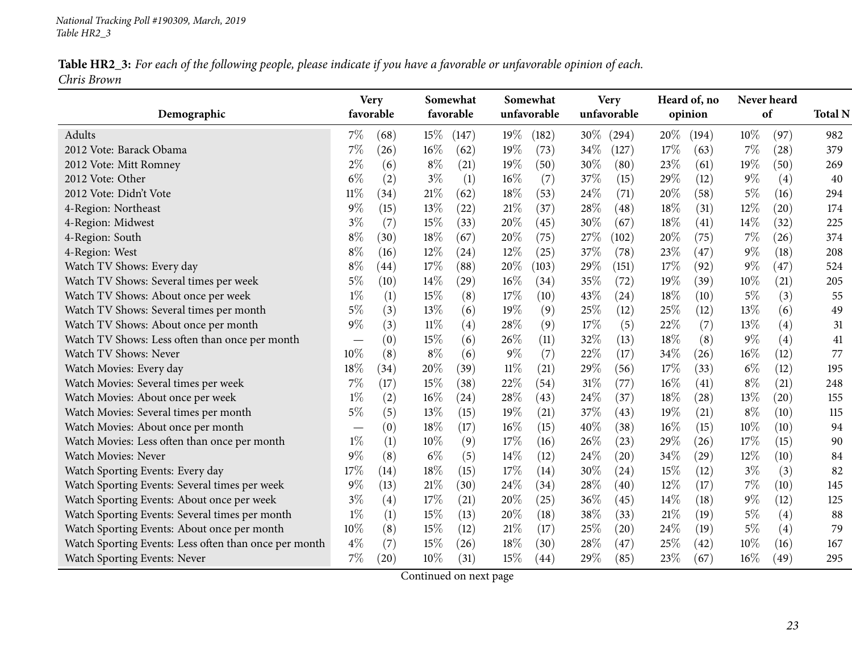| Table HR2_3: For each of the following people, please indicate if you have a favorable or unfavorable opinion of each. |  |
|------------------------------------------------------------------------------------------------------------------------|--|
| Chris Brown                                                                                                            |  |

|                                                       |        | <b>Very</b><br>favorable |        | Somewhat           |        | Somewhat    |        | <b>Very</b> |      | Heard of, no |        | Never heard |                |
|-------------------------------------------------------|--------|--------------------------|--------|--------------------|--------|-------------|--------|-------------|------|--------------|--------|-------------|----------------|
| Demographic                                           |        |                          |        | favorable          |        | unfavorable |        | unfavorable |      | opinion      |        | of          | <b>Total N</b> |
| Adults                                                | $7\%$  | (68)                     | $15\%$ | (147)              | 19%    | (182)       | $30\%$ | (294)       | 20%  | (194)        | $10\%$ | (97)        | 982            |
| 2012 Vote: Barack Obama                               | 7%     | (26)                     | $16\%$ | (62)               | 19%    | (73)        | 34\%   | (127)       | 17%  | (63)         | $7\%$  | (28)        | 379            |
| 2012 Vote: Mitt Romney                                | $2\%$  | (6)                      | $8\%$  | (21)               | 19%    | (50)        | 30%    | (80)        | 23%  | (61)         | 19%    | (50)        | 269            |
| 2012 Vote: Other                                      | $6\%$  | (2)                      | $3\%$  | (1)                | $16\%$ | (7)         | 37%    | (15)        | 29%  | (12)         | $9\%$  | (4)         | 40             |
| 2012 Vote: Didn't Vote                                | $11\%$ | (34)                     | 21%    | (62)               | 18%    | (53)        | 24\%   | (71)        | 20%  | (58)         | 5%     | (16)        | 294            |
| 4-Region: Northeast                                   | $9\%$  | (15)                     | $13\%$ | $\left( 22\right)$ | 21%    | (37)        | 28\%   | (48)        | 18%  | (31)         | $12\%$ | (20)        | 174            |
| 4-Region: Midwest                                     | $3\%$  | (7)                      | 15%    | (33)               | 20%    | (45)        | 30%    | (67)        | 18%  | (41)         | 14%    | (32)        | 225            |
| 4-Region: South                                       | $8\%$  | (30)                     | 18%    | (67)               | 20%    | (75)        | 27%    | (102)       | 20%  | (75)         | 7%     | (26)        | 374            |
| 4-Region: West                                        | $8\%$  | (16)                     | $12\%$ | (24)               | $12\%$ | (25)        | 37%    | (78)        | 23%  | (47)         | $9\%$  | (18)        | 208            |
| Watch TV Shows: Every day                             | $8\%$  | (44)                     | 17%    | (88)               | 20%    | (103)       | 29%    | (151)       | 17%  | (92)         | $9\%$  | (47)        | 524            |
| Watch TV Shows: Several times per week                | $5\%$  | (10)                     | 14%    | (29)               | $16\%$ | (34)        | 35%    | (72)        | 19%  | (39)         | 10%    | (21)        | 205            |
| Watch TV Shows: About once per week                   | $1\%$  | (1)                      | 15%    | (8)                | 17\%   | (10)        | 43%    | (24)        | 18%  | (10)         | $5\%$  | (3)         | 55             |
| Watch TV Shows: Several times per month               | $5\%$  | (3)                      | 13%    | (6)                | 19%    | (9)         | 25%    | (12)        | 25%  | (12)         | 13%    | (6)         | 49             |
| Watch TV Shows: About once per month                  | $9\%$  | (3)                      | $11\%$ | (4)                | 28%    | (9)         | 17%    | (5)         | 22%  | (7)          | 13\%   | (4)         | 31             |
| Watch TV Shows: Less often than once per month        |        | (0)                      | 15%    | (6)                | 26%    | (11)        | 32%    | (13)        | 18%  | (8)          | $9\%$  | (4)         | 41             |
| Watch TV Shows: Never                                 | 10%    | (8)                      | $8\%$  | (6)                | $9\%$  | (7)         | 22%    | (17)        | 34%  | (26)         | 16%    | (12)        | 77             |
| Watch Movies: Every day                               | 18\%   | (34)                     | 20%    | (39)               | $11\%$ | (21)        | 29%    | (56)        | 17%  | (33)         | $6\%$  | (12)        | 195            |
| Watch Movies: Several times per week                  | 7%     | (17)                     | 15%    | (38)               | 22%    | (54)        | 31%    | (77)        | 16%  | (41)         | $8\%$  | (21)        | 248            |
| Watch Movies: About once per week                     | $1\%$  | (2)                      | 16%    | (24)               | 28%    | (43)        | 24%    | (37)        | 18%  | (28)         | 13%    | (20)        | 155            |
| Watch Movies: Several times per month                 | $5\%$  | (5)                      | 13%    | (15)               | 19%    | (21)        | 37%    | (43)        | 19%  | (21)         | $8\%$  | (10)        | 115            |
| Watch Movies: About once per month                    |        | (0)                      | $18\%$ | (17)               | $16\%$ | (15)        | 40%    | (38)        | 16%  | (15)         | 10%    | (10)        | 94             |
| Watch Movies: Less often than once per month          | $1\%$  | (1)                      | 10%    | (9)                | 17%    | (16)        | 26%    | (23)        | 29%  | (26)         | 17%    | (15)        | 90             |
| Watch Movies: Never                                   | $9\%$  | (8)                      | $6\%$  | (5)                | 14\%   | (12)        | 24%    | (20)        | 34%  | (29)         | 12%    | (10)        | 84             |
| Watch Sporting Events: Every day                      | 17%    | (14)                     | 18%    | (15)               | 17%    | (14)        | $30\%$ | (24)        | 15%  | (12)         | $3\%$  | (3)         | 82             |
| Watch Sporting Events: Several times per week         | $9\%$  | (13)                     | 21%    | (30)               | 24%    | (34)        | 28\%   | (40)        | 12%  | (17)         | 7%     | (10)        | 145            |
| Watch Sporting Events: About once per week            | $3\%$  | (4)                      | 17%    | (21)               | 20%    | (25)        | 36%    | (45)        | 14%  | (18)         | $9\%$  | (12)        | 125            |
| Watch Sporting Events: Several times per month        | $1\%$  | (1)                      | 15%    | (13)               | 20%    | (18)        | 38%    | (33)        | 21%  | (19)         | $5\%$  | (4)         | 88             |
| Watch Sporting Events: About once per month           | $10\%$ | (8)                      | $15\%$ | (12)               | 21%    | (17)        | 25%    | (20)        | 24\% | (19)         | $5\%$  | (4)         | 79             |
| Watch Sporting Events: Less often than once per month | $4\%$  | (7)                      | 15%    | (26)               | 18%    | (30)        | 28\%   | (47)        | 25%  | (42)         | 10%    | (16)        | 167            |
| Watch Sporting Events: Never                          | $7\%$  | (20)                     | 10%    | (31)               | 15%    | (44)        | 29%    | (85)        | 23%  | (67)         | 16%    | (49)        | 295            |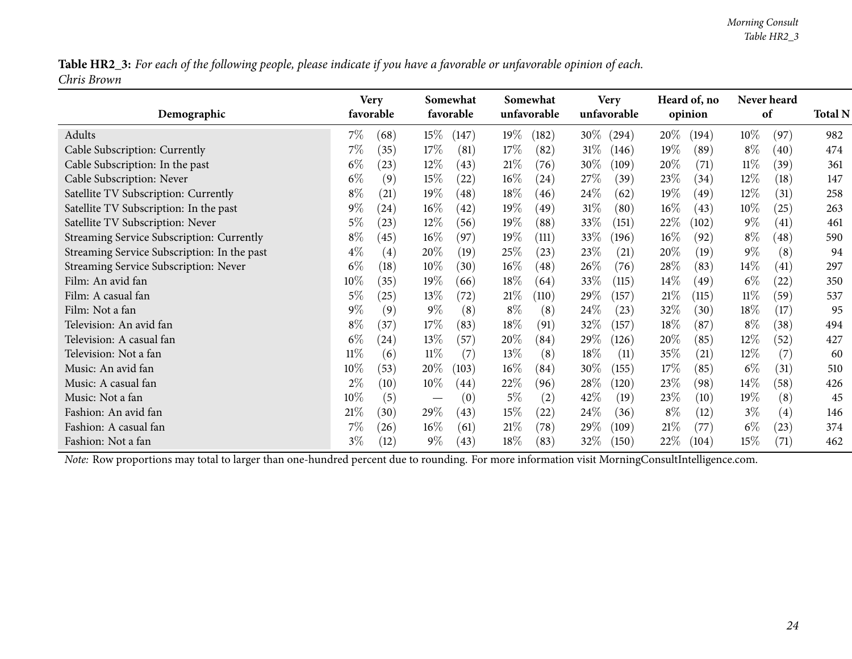Table HR2\_3: For each of the following people, please indicate if you have a favorable or unfavorable opinion of each. *Chris Brown*

|                                             |        | Somewhat<br><b>Very</b><br>favorable<br>favorable |        | Somewhat<br><b>Very</b> |        |             | Heard of, no |             | Never heard |         |        |      |                |
|---------------------------------------------|--------|---------------------------------------------------|--------|-------------------------|--------|-------------|--------------|-------------|-------------|---------|--------|------|----------------|
| Demographic                                 |        |                                                   |        |                         |        | unfavorable |              | unfavorable |             | opinion | of     |      | <b>Total N</b> |
| Adults                                      | $7\%$  | (68)                                              | $15\%$ | (147)                   | 19%    | (182)       | $30\%$       | (294)       | 20\%        | (194)   | $10\%$ | (97) | 982            |
| Cable Subscription: Currently               | $7\%$  | (35)                                              | 17%    | (81)                    | 17%    | (82)        | $31\%$       | (146)       | 19%         | (89)    | $8\%$  | (40) | 474            |
| Cable Subscription: In the past             | $6\%$  | (23)                                              | $12\%$ | (43)                    | 21\%   | (76)        | 30%          | (109)       | $20\%$      | (71)    | $11\%$ | (39) | 361            |
| Cable Subscription: Never                   | $6\%$  | (9)                                               | $15\%$ | (22)                    | $16\%$ | (24)        | 27\%         | (39)        | 23\%        | (34)    | $12\%$ | (18) | 147            |
| Satellite TV Subscription: Currently        | $8\%$  | (21)                                              | $19\%$ | (48)                    | 18%    | (46)        | 24\%         | (62)        | 19%         | (49)    | $12\%$ | (31) | 258            |
| Satellite TV Subscription: In the past      | $9\%$  | (24)                                              | $16\%$ | (42)                    | 19%    | (49`        | $31\%$       | (80)        | $16\%$      | (43)    | $10\%$ | (25) | 263            |
| Satellite TV Subscription: Never            | $5\%$  | (23)                                              | $12\%$ | (56)                    | 19%    | (88)        | 33%          | (151)       | 22\%        | (102)   | $9\%$  | (41) | 461            |
| Streaming Service Subscription: Currently   | $8\%$  | (45)                                              | $16\%$ | (97)                    | 19%    | (111)       | 33%          | (196)       | $16\%$      | (92)    | $8\%$  | (48) | 590            |
| Streaming Service Subscription: In the past | $4\%$  | $\left( 4\right)$                                 | $20\%$ | (19)                    | 25\%   | (23)        | 23\%         | (21)        | $20\%$      | (19)    | $9\%$  | (8)  | 94             |
| Streaming Service Subscription: Never       | $6\%$  | (18)                                              | $10\%$ | (30)                    | $16\%$ | (48)        | 26\%         | (76)        | 28\%        | (83)    | $14\%$ | (41) | 297            |
| Film: An avid fan                           | $10\%$ | (35)                                              | $19\%$ | (66)                    | 18\%   | (64)        | 33%          | (115)       | $14\%$      | (49)    | $6\%$  | (22) | 350            |
| Film: A casual fan                          | 5%     | (25)                                              | $13\%$ | (72)                    | 21%    | (110)       | 29%          | (157)       | 21%         | (115)   | $11\%$ | (59) | 537            |
| Film: Not a fan                             | $9\%$  | (9)                                               | $9\%$  | (8)                     | $8\%$  | (8)         | 24\%         | (23)        | 32\%        | (30)    | 18%    | (17) | 95             |
| Television: An avid fan                     | $8\%$  | (37)                                              | 17%    | (83)                    | $18\%$ | (91)        | 32%          | (157)       | 18\%        | (87)    | $8\%$  | (38) | 494            |
| Television: A casual fan                    | $6\%$  | (24)                                              | $13\%$ | (57)                    | 20%    | (84)        | 29\%         | 126)        | 20%         | (85)    | $12\%$ | (52) | 427            |
| Television: Not a fan                       | $11\%$ | (6)                                               | $11\%$ | (7)                     | 13\%   | (8)         | 18%          | (11)        | 35\%        | (21)    | 12\%   | (7)  | 60             |
| Music: An avid fan                          | $10\%$ | (53)                                              | 20%    | (103)                   | $16\%$ | (84)        | 30%          | (155)       | 17%         | (85)    | $6\%$  | (31) | 510            |
| Music: A casual fan                         | $2\%$  | (10)                                              | $10\%$ | (44)                    | 22%    | (96)        | 28\%         | (120)       | 23\%        | (98)    | $14\%$ | (58) | 426            |
| Music: Not a fan                            | $10\%$ | (5)                                               |        | (0)                     | $5\%$  | (2)         | 42\%         | (19)        | 23\%        | (10)    | $19\%$ | (8)  | 45             |
| Fashion: An avid fan                        | 21\%   | (30)                                              | 29\%   | (43)                    | $15\%$ | (22)        | 24\%         | (36)        | $8\%$       | (12)    | $3\%$  | (4)  | 146            |
| Fashion: A casual fan                       | $7\%$  | (26)                                              | $16\%$ | (61)                    | 21%    | (78)        | 29%          | (109)       | 21%         | (77)    | $6\%$  | (23) | 374            |
| Fashion: Not a fan                          | $3\%$  | $\left(12\right)$                                 | $9\%$  | (43)                    | 18%    | (83)        | $32\%$       | (150)       | 22%         | (104)   | 15\%   | (71) | 462            |

*Note:* Row proportions may total to larger than one-hundred percen<sup>t</sup> due to rounding. For more information visit [MorningConsultIntelligence.com](https://morningconsultintelligence.com).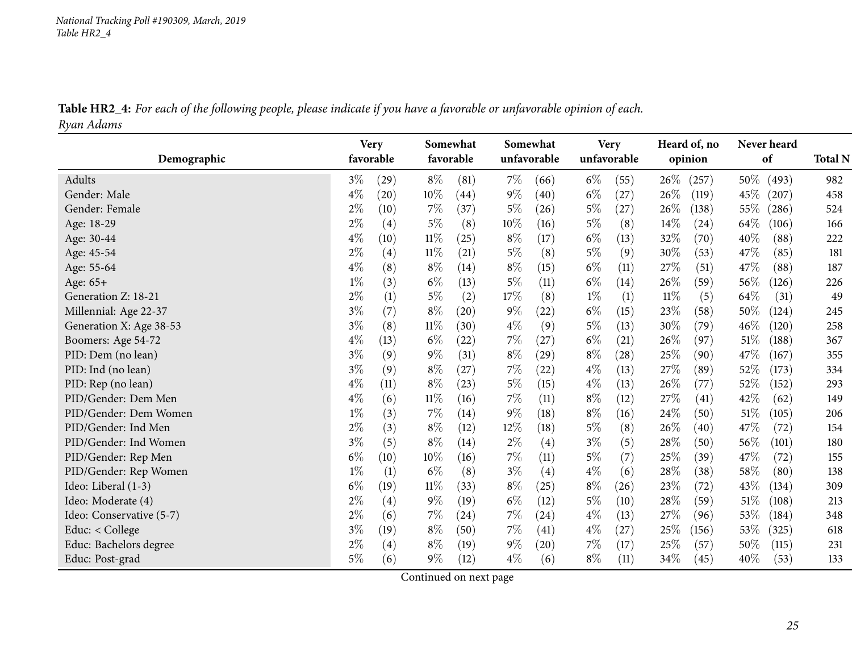Table HR2\_4: For each of the following people, please indicate if you have a favorable or unfavorable opinion of each. *Ryan Adams*

<span id="page-24-0"></span>

|                          | <b>Very</b>   | Somewhat  |      |       | <b>Very</b><br>Somewhat<br>unfavorable<br>unfavorable |       |      | Heard of, no |         | Never heard |       |                |
|--------------------------|---------------|-----------|------|-------|-------------------------------------------------------|-------|------|--------------|---------|-------------|-------|----------------|
| Demographic              | favorable     | favorable |      |       |                                                       |       |      |              | opinion | of          |       | <b>Total N</b> |
| Adults                   | $3\%$<br>(29) | $8\%$     | (81) | $7\%$ | (66)                                                  | $6\%$ | (55) | $26\%$       | (257)   | $50\%$      | (493) | 982            |
| Gender: Male             | $4\%$<br>(20) | 10%       | (44) | $9\%$ | (40)                                                  | $6\%$ | (27) | 26%          | (119)   | 45%         | (207) | 458            |
| Gender: Female           | $2\%$<br>(10) | $7\%$     | (37) | $5\%$ | (26)                                                  | $5\%$ | (27) | 26%          | (138)   | 55%         | (286) | 524            |
| Age: 18-29               | $2\%$<br>(4)  | $5\%$     | (8)  | 10%   | (16)                                                  | $5\%$ | (8)  | 14%          | (24)    | $64\%$      | (106) | 166            |
| Age: 30-44               | $4\%$<br>(10) | $11\%$    | (25) | $8\%$ | (17)                                                  | $6\%$ | (13) | 32%          | (70)    | 40%         | (88)  | 222            |
| Age: 45-54               | $2\%$<br>(4)  | $11\%$    | (21) | 5%    | (8)                                                   | $5\%$ | (9)  | 30%          | (53)    | 47%         | (85)  | 181            |
| Age: 55-64               | $4\%$<br>(8)  | $8\%$     | (14) | $8\%$ | (15)                                                  | $6\%$ | (11) | 27%          | (51)    | 47%         | (88)  | 187            |
| Age: 65+                 | $1\%$<br>(3)  | $6\%$     | (13) | 5%    | (11)                                                  | $6\%$ | (14) | 26\%         | (59)    | 56%         | (126) | 226            |
| Generation Z: 18-21      | $2\%$<br>(1)  | $5\%$     | (2)  | 17%   | (8)                                                   | $1\%$ | (1)  | $11\%$       | (5)     | 64%         | (31)  | 49             |
| Millennial: Age 22-37    | $3\%$<br>(7)  | $8\%$     | (20) | $9\%$ | (22)                                                  | $6\%$ | (15) | 23%          | (58)    | 50%         | (124) | 245            |
| Generation X: Age 38-53  | $3\%$<br>(8)  | $11\%$    | (30) | $4\%$ | (9)                                                   | $5\%$ | (13) | 30%          | (79)    | 46%         | (120) | 258            |
| Boomers: Age 54-72       | $4\%$<br>(13) | $6\%$     | (22) | $7\%$ | (27)                                                  | $6\%$ | (21) | 26%          | (97)    | 51%         | (188) | 367            |
| PID: Dem (no lean)       | $3\%$<br>(9)  | $9\%$     | (31) | $8\%$ | (29)                                                  | $8\%$ | (28) | 25%          | (90)    | 47%         | (167) | 355            |
| PID: Ind (no lean)       | $3\%$<br>(9)  | $8\%$     | (27) | 7%    | (22)                                                  | $4\%$ | (13) | 27%          | (89)    | 52%         | (173) | 334            |
| PID: Rep (no lean)       | $4\%$<br>(11) | $8\%$     | (23) | 5%    | (15)                                                  | $4\%$ | (13) | 26%          | (77)    | 52%         | (152) | 293            |
| PID/Gender: Dem Men      | $4\%$<br>(6)  | $11\%$    | (16) | 7%    | (11)                                                  | $8\%$ | (12) | 27%          | (41)    | 42%         | (62)  | 149            |
| PID/Gender: Dem Women    | $1\%$<br>(3)  | $7\%$     | (14) | $9\%$ | (18)                                                  | $8\%$ | (16) | 24%          | (50)    | 51%         | (105) | 206            |
| PID/Gender: Ind Men      | $2\%$<br>(3)  | $8\%$     | (12) | 12%   | (18)                                                  | $5\%$ | (8)  | 26%          | (40)    | 47%         | (72)  | 154            |
| PID/Gender: Ind Women    | $3\%$<br>(5)  | $8\%$     | (14) | $2\%$ | (4)                                                   | $3\%$ | (5)  | 28%          | (50)    | 56%         | (101) | 180            |
| PID/Gender: Rep Men      | $6\%$<br>(10) | 10%       | (16) | 7%    | (11)                                                  | $5\%$ | (7)  | 25%          | (39)    | 47%         | (72)  | 155            |
| PID/Gender: Rep Women    | $1\%$<br>(1)  | $6\%$     | (8)  | $3\%$ | (4)                                                   | $4\%$ | (6)  | 28%          | (38)    | 58%         | (80)  | 138            |
| Ideo: Liberal (1-3)      | $6\%$<br>(19) | $11\%$    | (33) | $8\%$ | (25)                                                  | $8\%$ | (26) | 23%          | (72)    | 43%         | (134) | 309            |
| Ideo: Moderate (4)       | $2\%$<br>(4)  | $9\%$     | (19) | $6\%$ | (12)                                                  | $5\%$ | (10) | 28\%         | (59)    | 51%         | (108) | 213            |
| Ideo: Conservative (5-7) | $2\%$<br>(6)  | $7\%$     | (24) | 7%    | (24)                                                  | $4\%$ | (13) | 27%          | (96)    | 53%         | (184) | 348            |
| Educ: < College          | $3\%$<br>(19) | $8\%$     | (50) | 7%    | (41)                                                  | $4\%$ | (27) | 25%          | (156)   | 53%         | (325) | 618            |
| Educ: Bachelors degree   | $2\%$<br>(4)  | $8\%$     | (19) | $9\%$ | (20)                                                  | $7\%$ | (17) | 25%          | (57)    | 50%         | (115) | 231            |
| Educ: Post-grad          | $5\%$<br>(6)  | $9\%$     | (12) | $4\%$ | (6)                                                   | $8\%$ | (11) | 34%          | (45)    | 40%         | (53)  | 133            |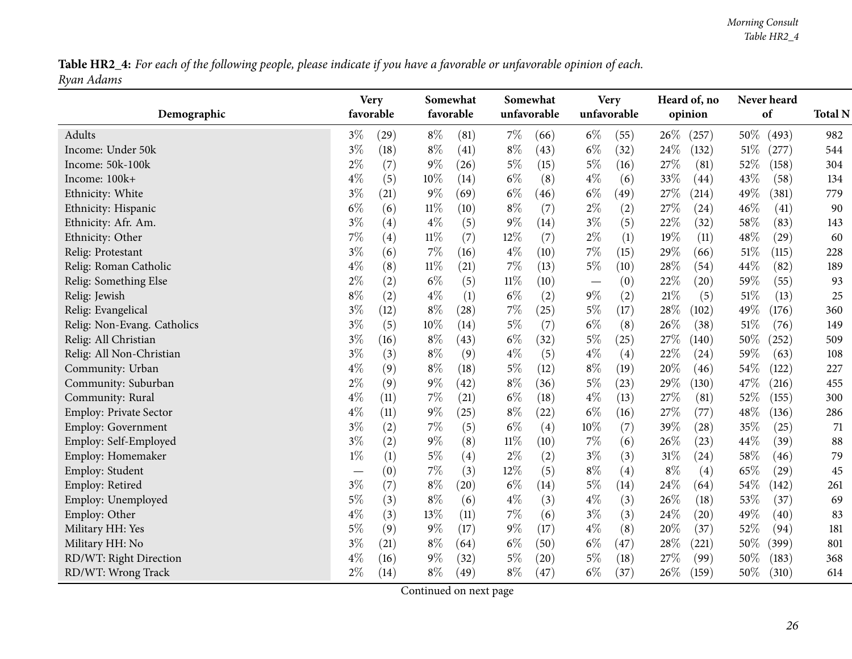Table HR2\_4: For each of the following people, please indicate if you have a favorable or unfavorable opinion of each. *Ryan Adams*

|                             |       | <b>Very</b> |        | Somewhat           |        | Somewhat    |                          | <b>Very</b> |        | Heard of, no       |      | Never heard |                |
|-----------------------------|-------|-------------|--------|--------------------|--------|-------------|--------------------------|-------------|--------|--------------------|------|-------------|----------------|
| Demographic                 |       | favorable   |        | favorable          |        | unfavorable |                          | unfavorable |        | opinion            |      | of          | <b>Total N</b> |
| Adults                      | $3\%$ | (29)        | $8\%$  | (81)               | $7\%$  | (66)        | $6\%$                    | (55)        | $26\%$ | (257)              | 50%  | (493)       | 982            |
| Income: Under 50k           | $3\%$ | (18)        | $8\%$  | (41)               | $8\%$  | (43)        | $6\%$                    | (32)        | 24\%   | (132)              | 51\% | (277)       | 544            |
| Income: 50k-100k            | $2\%$ | (7)         | $9\%$  | (26)               | 5%     | (15)        | $5\%$                    | (16)        | 27\%   | (81)               | 52\% | (158)       | 304            |
| Income: 100k+               | $4\%$ | (5)         | $10\%$ | (14)               | $6\%$  | (8)         | $4\%$                    | (6)         | 33%    | (44)               | 43%  | (58)        | 134            |
| Ethnicity: White            | $3\%$ | (21)        | $9\%$  | (69)               | $6\%$  | (46)        | $6\%$                    | (49)        | $27\%$ | (214)              | 49%  | (381)       | 779            |
| Ethnicity: Hispanic         | $6\%$ | (6)         | 11%    | (10)               | $8\%$  | (7)         | $2\%$                    | (2)         | 27\%   | (24)               | 46%  | (41)        | 90             |
| Ethnicity: Afr. Am.         | $3\%$ | (4)         | $4\%$  | (5)                | $9\%$  | (14)        | $3\%$                    | (5)         | 22%    | (32)               | 58%  | (83)        | 143            |
| Ethnicity: Other            | 7%    | (4)         | $11\%$ | (7)                | 12%    | (7)         | $2\%$                    | (1)         | 19%    | (11)               | 48%  | (29)        | 60             |
| Relig: Protestant           | $3\%$ | (6)         | 7%     | (16)               | $4\%$  | (10)        | $7\%$                    | (15)        | 29%    | (66)               | 51%  | (115)       | 228            |
| Relig: Roman Catholic       | $4\%$ | (8)         | $11\%$ | (21)               | $7\%$  | (13)        | $5\%$                    | (10)        | 28\%   | (54)               | 44%  | (82)        | 189            |
| Relig: Something Else       | $2\%$ | (2)         | $6\%$  | (5)                | $11\%$ | (10)        | $\overline{\phantom{m}}$ | (0)         | 22\%   | (20)               | 59%  | (55)        | 93             |
| Relig: Jewish               | $8\%$ | (2)         | $4\%$  | (1)                | $6\%$  | (2)         | $9\%$                    | (2)         | 21%    | (5)                | 51%  | (13)        | 25             |
| Relig: Evangelical          | $3\%$ | (12)        | $8\%$  | $\left( 28\right)$ | $7\%$  | (25)        | $5\%$                    | (17)        | 28\%   | (102)              | 49%  | (176)       | 360            |
| Relig: Non-Evang. Catholics | $3\%$ | (5)         | $10\%$ | (14)               | $5\%$  | (7)         | $6\%$                    | (8)         | 26%    | (38)               | 51\% | (76)        | 149            |
| Relig: All Christian        | $3\%$ | (16)        | $8\%$  | (43)               | $6\%$  | (32)        | $5\%$                    | (25)        | 27\%   | (140)              | 50%  | (252)       | 509            |
| Relig: All Non-Christian    | $3\%$ | (3)         | $8\%$  | (9)                | $4\%$  | (5)         | $4\%$                    | (4)         | 22\%   | (24)               | 59%  | (63)        | 108            |
| Community: Urban            | $4\%$ | (9)         | $8\%$  | (18)               | $5\%$  | (12)        | $8\%$                    | (19)        | 20%    | (46)               | 54%  | (122)       | 227            |
| Community: Suburban         | $2\%$ | (9)         | $9\%$  | (42)               | $8\%$  | (36)        | $5\%$                    | (23)        | 29%    | (130)              | 47\% | (216)       | 455            |
| Community: Rural            | $4\%$ | (11)        | $7\%$  | (21)               | $6\%$  | (18)        | $4\%$                    | (13)        | 27%    | (81)               | 52%  | (155)       | 300            |
| Employ: Private Sector      | $4\%$ | (11)        | $9\%$  | (25)               | $8\%$  | (22)        | $6\%$                    | (16)        | 27%    | (77)               | 48%  | (136)       | 286            |
| Employ: Government          | $3\%$ | (2)         | $7\%$  | (5)                | $6\%$  | (4)         | 10%                      | (7)         | 39%    | (28)               | 35%  | (25)        | 71             |
| Employ: Self-Employed       | $3\%$ | (2)         | $9\%$  | (8)                | $11\%$ | (10)        | $7\%$                    | (6)         | 26\%   | (23)               | 44\% | (39)        | 88             |
| Employ: Homemaker           | $1\%$ | (1)         | $5\%$  | (4)                | $2\%$  | (2)         | $3\%$                    | (3)         | $31\%$ | (24)               | 58\% | (46)        | 79             |
| Employ: Student             |       | (0)         | $7\%$  | (3)                | 12%    | (5)         | $8\%$                    | (4)         | $8\%$  | (4)                | 65%  | (29)        | 45             |
| Employ: Retired             | $3\%$ | (7)         | $8\%$  | (20)               | $6\%$  | (14)        | $5\%$                    | (14)        | 24\%   | (64)               | 54%  | (142)       | 261            |
| Employ: Unemployed          | $5\%$ | (3)         | $8\%$  | (6)                | $4\%$  | (3)         | $4\%$                    | (3)         | 26%    | (18)               | 53%  | (37)        | 69             |
| Employ: Other               | $4\%$ | (3)         | 13\%   | (11)               | $7\%$  | (6)         | $3\%$                    | (3)         | 24%    | $\left( 20\right)$ | 49%  | (40)        | 83             |
| Military HH: Yes            | $5\%$ | (9)         | $9\%$  | (17)               | $9\%$  | (17)        | $4\%$                    | (8)         | 20%    | (37)               | 52%  | (94)        | 181            |
| Military HH: No             | $3\%$ | (21)        | $8\%$  | (64)               | $6\%$  | (50)        | $6\%$                    | (47)        | 28\%   | (221)              | 50%  | (399)       | 801            |
| RD/WT: Right Direction      | $4\%$ | (16)        | $9\%$  | (32)               | 5%     | (20)        | $5\%$                    | (18)        | 27%    | (99)               | 50%  | (183)       | 368            |
| RD/WT: Wrong Track          | $2\%$ | (14)        | $8\%$  | (49)               | $8\%$  | (47)        | $6\%$                    | (37)        | $26\%$ | (159)              | 50%  | (310)       | 614            |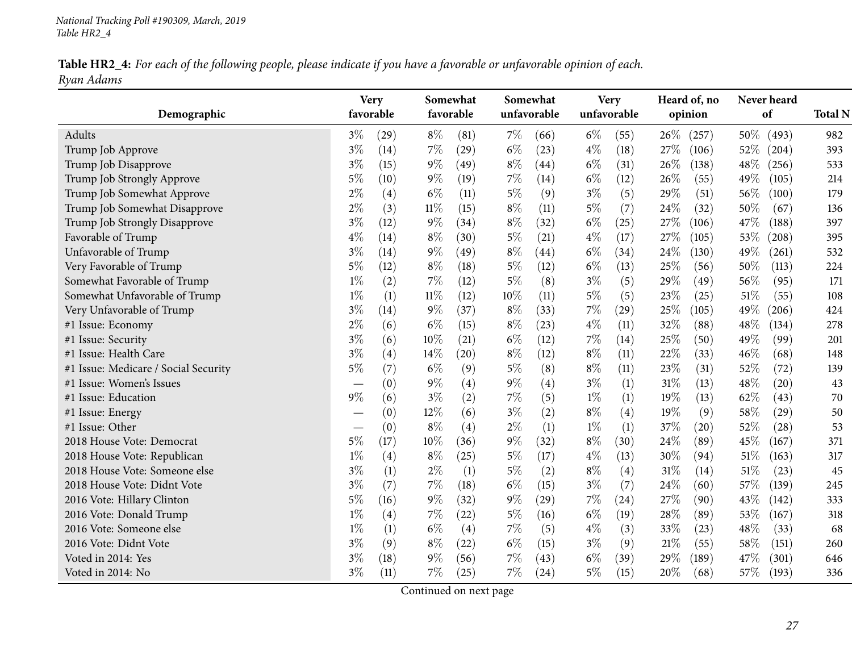Table HR2\_4: For each of the following people, please indicate if you have a favorable or unfavorable opinion of each. *Ryan Adams*

|                                      | <b>Very</b>              |      |        | Somewhat          |       | Somewhat    |       | <b>Very</b> |        | Heard of, no |      | Never heard |                |
|--------------------------------------|--------------------------|------|--------|-------------------|-------|-------------|-------|-------------|--------|--------------|------|-------------|----------------|
| Demographic                          | favorable                |      |        | favorable         |       | unfavorable |       | unfavorable |        | opinion      |      | of          | <b>Total N</b> |
| Adults                               | $3\%$                    | (29) | $8\%$  | (81)              | $7\%$ | (66)        | $6\%$ | (55)        | $26\%$ | (257)        | 50\% | (493)       | 982            |
| Trump Job Approve                    | $3\%$                    | (14) | $7\%$  | (29)              | $6\%$ | (23)        | $4\%$ | (18)        | 27%    | (106)        | 52%  | (204)       | 393            |
| Trump Job Disapprove                 | $3\%$                    | (15) | $9\%$  | (49)              | $8\%$ | (44)        | $6\%$ | (31)        | 26%    | (138)        | 48\% | (256)       | 533            |
| Trump Job Strongly Approve           | $5\%$                    | (10) | $9\%$  | (19)              | 7%    | (14)        | $6\%$ | (12)        | 26%    | (55)         | 49%  | (105)       | 214            |
| Trump Job Somewhat Approve           | $2\%$                    | (4)  | $6\%$  | (11)              | 5%    | (9)         | $3\%$ | (5)         | 29%    | (51)         | 56%  | (100)       | 179            |
| Trump Job Somewhat Disapprove        | $2\%$                    | (3)  | $11\%$ | (15)              | $8\%$ | (11)        | $5\%$ | (7)         | 24%    | (32)         | 50%  | (67)        | 136            |
| Trump Job Strongly Disapprove        | $3\%$                    | (12) | $9\%$  | (34)              | $8\%$ | (32)        | $6\%$ | (25)        | 27%    | (106)        | 47%  | (188)       | 397            |
| Favorable of Trump                   | $4\%$                    | (14) | $8\%$  | (30)              | $5\%$ | (21)        | $4\%$ | (17)        | 27\%   | (105)        | 53%  | (208)       | 395            |
| Unfavorable of Trump                 | $3\%$                    | (14) | $9\%$  | (49)              | $8\%$ | (44)        | $6\%$ | (34)        | 24%    | (130)        | 49%  | (261)       | 532            |
| Very Favorable of Trump              | 5%                       | (12) | $8\%$  | (18)              | $5\%$ | (12)        | $6\%$ | (13)        | 25%    | (56)         | 50%  | (113)       | 224            |
| Somewhat Favorable of Trump          | $1\%$                    | (2)  | 7%     | (12)              | $5\%$ | (8)         | $3\%$ | (5)         | 29%    | (49)         | 56%  | (95)        | 171            |
| Somewhat Unfavorable of Trump        | $1\%$                    | (1)  | $11\%$ | (12)              | 10%   | (11)        | $5\%$ | (5)         | 23%    | (25)         | 51%  | (55)        | 108            |
| Very Unfavorable of Trump            | $3\%$                    | (14) | $9\%$  | (37)              | $8\%$ | (33)        | $7\%$ | (29)        | 25%    | (105)        | 49%  | (206)       | 424            |
| #1 Issue: Economy                    | $2\%$                    | (6)  | $6\%$  | (15)              | $8\%$ | (23)        | $4\%$ | (11)        | 32%    | (88)         | 48%  | (134)       | 278            |
| #1 Issue: Security                   | $3\%$                    | (6)  | 10%    | (21)              | $6\%$ | (12)        | 7%    | (14)        | 25%    | (50)         | 49%  | (99)        | 201            |
| #1 Issue: Health Care                | $3\%$                    | (4)  | $14\%$ | (20)              | $8\%$ | (12)        | $8\%$ | (11)        | 22%    | (33)         | 46%  | (68)        | 148            |
| #1 Issue: Medicare / Social Security | $5\%$                    | (7)  | $6\%$  | (9)               | 5%    | (8)         | $8\%$ | (11)        | 23%    | (31)         | 52%  | (72)        | 139            |
| #1 Issue: Women's Issues             |                          | (0)  | $9\%$  | (4)               | 9%    | (4)         | $3\%$ | (1)         | 31%    | (13)         | 48%  | (20)        | 43             |
| #1 Issue: Education                  | $9\%$                    | (6)  | $3\%$  | (2)               | 7%    | (5)         | $1\%$ | (1)         | 19%    | (13)         | 62%  | (43)        | 70             |
| #1 Issue: Energy                     | $\overline{\phantom{0}}$ | (0)  | 12%    | (6)               | $3\%$ | (2)         | $8\%$ | (4)         | 19%    | (9)          | 58%  | (29)        | 50             |
| #1 Issue: Other                      | $\overline{\phantom{0}}$ | (0)  | $8\%$  | (4)               | $2\%$ | (1)         | $1\%$ | (1)         | 37%    | (20)         | 52%  | (28)        | 53             |
| 2018 House Vote: Democrat            | $5\%$                    | (17) | 10%    | (36)              | $9\%$ | (32)        | $8\%$ | (30)        | 24%    | (89)         | 45%  | (167)       | 371            |
| 2018 House Vote: Republican          | $1\%$                    | (4)  | $8\%$  | (25)              | $5\%$ | (17)        | $4\%$ | (13)        | 30%    | (94)         | 51\% | (163)       | 317            |
| 2018 House Vote: Someone else        | $3\%$                    | (1)  | $2\%$  | (1)               | $5\%$ | (2)         | $8\%$ | (4)         | 31%    | (14)         | 51%  | (23)        | 45             |
| 2018 House Vote: Didnt Vote          | $3\%$                    | (7)  | 7%     | (18)              | $6\%$ | (15)        | $3\%$ | (7)         | 24%    | (60)         | 57%  | (139)       | 245            |
| 2016 Vote: Hillary Clinton           | $5\%$                    | (16) | $9\%$  | (32)              | $9\%$ | (29)        | $7\%$ | (24)        | 27%    | (90)         | 43%  | (142)       | 333            |
| 2016 Vote: Donald Trump              | $1\%$                    | (4)  | 7%     | (22)              | $5\%$ | (16)        | $6\%$ | (19)        | 28%    | (89)         | 53%  | (167)       | 318            |
| 2016 Vote: Someone else              | $1\%$                    | (1)  | $6\%$  | $\left( 4\right)$ | $7\%$ | (5)         | $4\%$ | (3)         | 33%    | (23)         | 48%  | (33)        | 68             |
| 2016 Vote: Didnt Vote                | $3\%$                    | (9)  | $8\%$  | (22)              | $6\%$ | (15)        | $3\%$ | (9)         | 21%    | (55)         | 58%  | (151)       | 260            |
| Voted in 2014: Yes                   | $3\%$                    | (18) | $9\%$  | (56)              | 7%    | (43)        | $6\%$ | (39)        | 29%    | (189)        | 47%  | (301)       | 646            |
| Voted in 2014: No                    | $3\%$                    | (11) | $7\%$  | (25)              | $7\%$ | (24)        | $5\%$ | (15)        | 20%    | (68)         | 57%  | (193)       | 336            |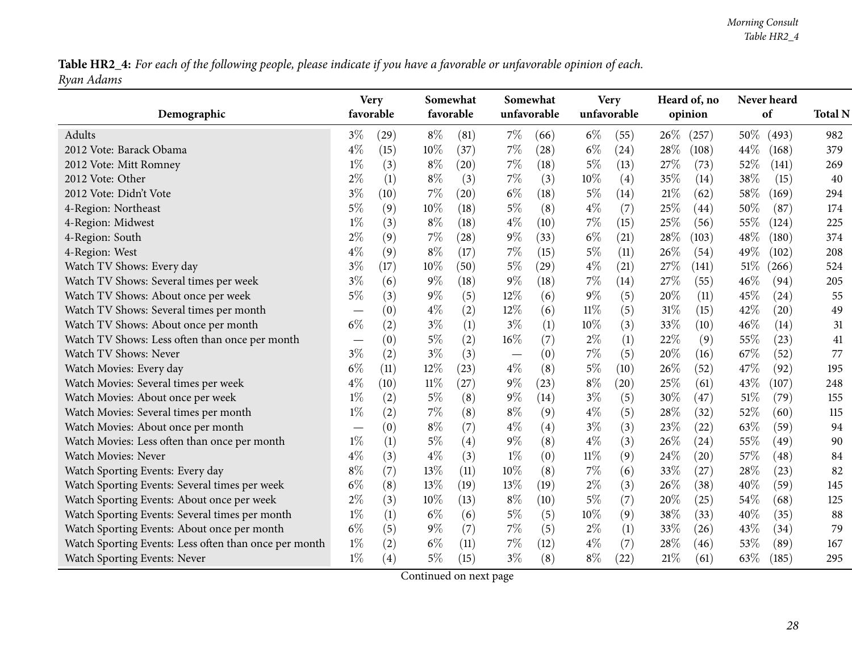Table HR2\_4: For each of the following people, please indicate if you have a favorable or unfavorable opinion of each. *Ryan Adams*

| Demographic                                           | <b>Very</b><br>favorable |      |        | Somewhat<br>favorable |        | Somewhat<br>unfavorable |        | <b>Very</b><br>unfavorable |        | Heard of, no<br>opinion |        | Never heard<br>of | <b>Total N</b> |
|-------------------------------------------------------|--------------------------|------|--------|-----------------------|--------|-------------------------|--------|----------------------------|--------|-------------------------|--------|-------------------|----------------|
| Adults                                                | $3\%$                    | (29) | $8\%$  | (81)                  | $7\%$  | (66)                    | $6\%$  | (55)                       | $26\%$ | (257)                   | 50\%   | (493)             | 982            |
| 2012 Vote: Barack Obama                               | $4\%$                    | (15) | $10\%$ | (37)                  | $7\%$  | (28)                    | $6\%$  | (24)                       | $28\%$ | (108)                   | 44\%   | (168)             | 379            |
| 2012 Vote: Mitt Romney                                | $1\%$                    | (3)  | $8\%$  | (20)                  | 7%     | (18)                    | $5\%$  | (13)                       | 27\%   | (73)                    | 52%    | (141)             | 269            |
| 2012 Vote: Other                                      | $2\%$                    | (1)  | $8\%$  | (3)                   | 7%     | (3)                     | 10%    | (4)                        | 35%    | (14)                    | 38%    | (15)              | 40             |
| 2012 Vote: Didn't Vote                                | $3\%$                    | (10) | $7\%$  | (20)                  | $6\%$  | (18)                    | $5\%$  | (14)                       | 21%    | (62)                    | 58%    | (169)             | 294            |
| 4-Region: Northeast                                   | $5\%$                    | (9)  | $10\%$ | (18)                  | $5\%$  | (8)                     | $4\%$  | (7)                        | 25%    | (44)                    | 50\%   | (87)              | 174            |
| 4-Region: Midwest                                     | $1\%$                    | (3)  | $8\%$  | (18)                  | $4\%$  | (10)                    | $7\%$  | (15)                       | 25%    | (56)                    | 55%    | (124)             | 225            |
| 4-Region: South                                       | $2\%$                    | (9)  | $7\%$  | (28)                  | $9\%$  | (33)                    | $6\%$  | (21)                       | 28%    | (103)                   | 48%    | (180)             | 374            |
| 4-Region: West                                        | $4\%$                    | (9)  | $8\%$  | (17)                  | 7%     | (15)                    | $5\%$  | (11)                       | 26%    | (54)                    | 49\%   | (102)             | 208            |
| Watch TV Shows: Every day                             | $3\%$                    | (17) | $10\%$ | (50)                  | $5\%$  | (29)                    | $4\%$  | (21)                       | 27%    | (141)                   | $51\%$ | (266)             | 524            |
| Watch TV Shows: Several times per week                | $3\%$                    | (6)  | $9\%$  | (18)                  | $9\%$  | (18)                    | $7\%$  | (14)                       | 27%    | (55)                    | 46%    | (94)              | 205            |
| Watch TV Shows: About once per week                   | $5\%$                    | (3)  | $9\%$  | (5)                   | 12%    | (6)                     | $9\%$  | (5)                        | 20%    | (11)                    | 45%    | (24)              | 55             |
| Watch TV Shows: Several times per month               |                          | (0)  | $4\%$  | (2)                   | 12%    | (6)                     | $11\%$ | (5)                        | $31\%$ | (15)                    | 42%    | (20)              | 49             |
| Watch TV Shows: About once per month                  | $6\%$                    | (2)  | $3\%$  | (1)                   | $3\%$  | (1)                     | 10%    | (3)                        | 33%    | (10)                    | 46%    | (14)              | 31             |
| Watch TV Shows: Less often than once per month        |                          | (0)  | $5\%$  | (2)                   | $16\%$ | (7)                     | $2\%$  | (1)                        | 22%    | (9)                     | 55%    | (23)              | 41             |
| Watch TV Shows: Never                                 | $3\%$                    | (2)  | $3\%$  | (3)                   |        | (0)                     | $7\%$  | (5)                        | 20%    | (16)                    | 67\%   | (52)              | 77             |
| Watch Movies: Every day                               | $6\%$                    | (11) | $12\%$ | (23)                  | $4\%$  | (8)                     | $5\%$  | (10)                       | 26\%   | (52)                    | 47\%   | (92)              | 195            |
| Watch Movies: Several times per week                  | $4\%$                    | (10) | $11\%$ | (27)                  | $9\%$  | (23)                    | $8\%$  | (20)                       | 25%    | (61)                    | 43%    | (107)             | 248            |
| Watch Movies: About once per week                     | $1\%$                    | (2)  | $5\%$  | (8)                   | $9\%$  | (14)                    | $3\%$  | (5)                        | 30%    | (47)                    | 51%    | (79)              | 155            |
| Watch Movies: Several times per month                 | $1\%$                    | (2)  | $7\%$  | (8)                   | $8\%$  | (9)                     | $4\%$  | (5)                        | 28%    | (32)                    | 52%    | (60)              | 115            |
| Watch Movies: About once per month                    |                          | (0)  | $8\%$  | (7)                   | $4\%$  | (4)                     | $3\%$  | (3)                        | 23%    | (22)                    | 63%    | (59)              | 94             |
| Watch Movies: Less often than once per month          | $1\%$                    | (1)  | $5\%$  | $\left( 4\right)$     | $9\%$  | (8)                     | $4\%$  | (3)                        | 26\%   | (24)                    | 55%    | (49)              | 90             |
| <b>Watch Movies: Never</b>                            | $4\%$                    | (3)  | $4\%$  | (3)                   | $1\%$  | (0)                     | $11\%$ | (9)                        | 24%    | (20)                    | 57%    | (48)              | 84             |
| Watch Sporting Events: Every day                      | $8\%$                    | (7)  | 13%    | (11)                  | 10%    | (8)                     | $7\%$  | (6)                        | 33%    | (27)                    | 28\%   | (23)              | 82             |
| Watch Sporting Events: Several times per week         | $6\%$                    | (8)  | 13%    | (19)                  | 13\%   | (19)                    | $2\%$  | (3)                        | 26%    | (38)                    | 40%    | (59)              | 145            |
| Watch Sporting Events: About once per week            | $2\%$                    | (3)  | 10%    | (13)                  | $8\%$  | (10)                    | $5\%$  | (7)                        | 20%    | (25)                    | 54%    | (68)              | 125            |
| Watch Sporting Events: Several times per month        | $1\%$                    | (1)  | $6\%$  | (6)                   | $5\%$  | (5)                     | $10\%$ | (9)                        | 38%    | (33)                    | 40%    | (35)              | 88             |
| Watch Sporting Events: About once per month           | $6\%$                    | (5)  | $9\%$  | (7)                   | 7%     | (5)                     | $2\%$  | (1)                        | 33%    | (26)                    | 43\%   | (34)              | 79             |
| Watch Sporting Events: Less often than once per month | $1\%$                    | (2)  | $6\%$  | (11)                  | 7%     | (12)                    | $4\%$  | (7)                        | 28%    | (46)                    | 53%    | (89)              | 167            |
| Watch Sporting Events: Never                          | $1\%$                    | (4)  | $5\%$  | (15)                  | $3\%$  | (8)                     | $8\%$  | (22)                       | 21%    | (61)                    | 63\%   | (185)             | 295            |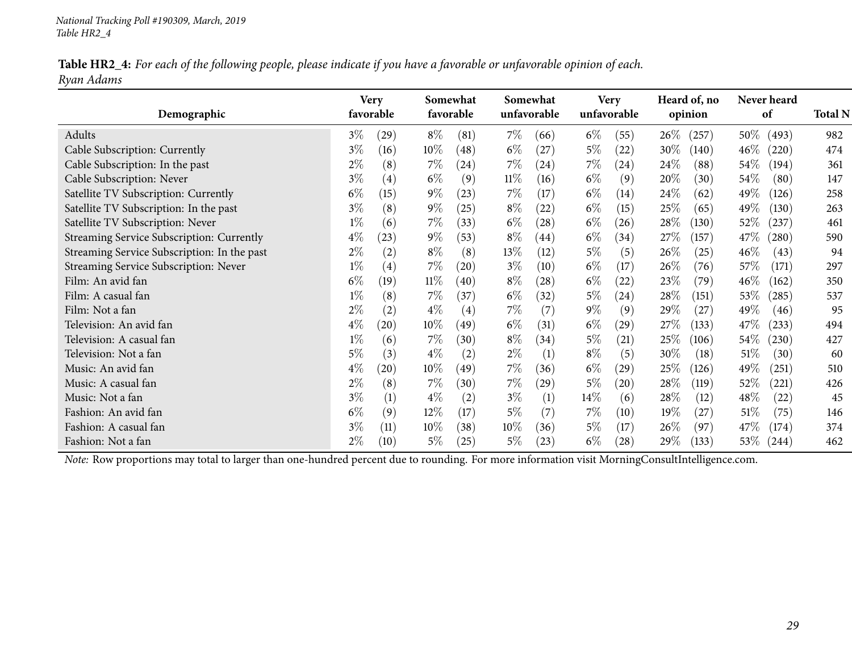|            | Table HR2_4: For each of the following people, please indicate if you have a favorable or unfavorable opinion of each. |  |  |
|------------|------------------------------------------------------------------------------------------------------------------------|--|--|
| Ryan Adams |                                                                                                                        |  |  |

| Demographic                                 | <b>Very</b><br>favorable |           |        | Somewhat<br>favorable |        | Somewhat<br>unfavorable |        | <b>Very</b><br>unfavorable |        | Heard of, no<br>opinion |        | Never heard<br>of | <b>Total N</b> |
|---------------------------------------------|--------------------------|-----------|--------|-----------------------|--------|-------------------------|--------|----------------------------|--------|-------------------------|--------|-------------------|----------------|
| Adults                                      | $3\%$                    | (29)      | $8\%$  | (81)                  | $7\%$  | (66)                    | $6\%$  | (55)                       | $26\%$ | (257)                   | $50\%$ | (493)             | 982            |
| Cable Subscription: Currently               | $3\%$                    | (16)      | $10\%$ | (48)                  | $6\%$  | (27)                    | $5\%$  | (22)                       | 30\%   | (140)                   | $46\%$ | (220)             | 474            |
| Cable Subscription: In the past             | $2\%$                    | (8)       | $7\%$  | (24)                  | $7\%$  | (24)                    | $7\%$  | (24)                       | 24\%   | (88)                    | $54\%$ | (194)             | 361            |
| Cable Subscription: Never                   | $3\%$                    | (4)       | $6\%$  | (9)                   | $11\%$ | (16)                    | $6\%$  | (9)                        | $20\%$ | (30)                    | $54\%$ | (80)              | 147            |
| Satellite TV Subscription: Currently        | $6\%$                    | (15)      | $9\%$  | (23)                  | $7\%$  | (17)                    | $6\%$  | (14)                       | 24%    | (62)                    | 49%    | (126)             | 258            |
| Satellite TV Subscription: In the past      | $3\%$                    | (8)       | $9\%$  | (25)                  | $8\%$  | (22)                    | $6\%$  | (15)                       | 25%    | (65)                    | 49\%   | (130)             | 263            |
| Satellite TV Subscription: Never            | $1\%$                    | (6)       | $7\%$  | (33)                  | $6\%$  | (28)                    | $6\%$  | (26)                       | 28\%   | (130)                   | $52\%$ | (237)             | 461            |
| Streaming Service Subscription: Currently   | $4\%$                    | (23)      | $9\%$  | (53)                  | $8\%$  | (44)                    | $6\%$  | (34)                       | 27\%   | (157)                   | $47\%$ | (280)             | 590            |
| Streaming Service Subscription: In the past | $2\%$                    | (2)       | $8\%$  | (8)                   | 13\%   | (12)                    | $5\%$  | (5)                        | $26\%$ | (25)                    | $46\%$ | (43)              | 94             |
| Streaming Service Subscription: Never       | $1\%$                    | (4)       | $7\%$  | $\left( 20\right)$    | $3\%$  | (10)                    | $6\%$  | (17)                       | $26\%$ | (76)                    | $57\%$ | (171)             | 297            |
| Film: An avid fan                           | $6\%$                    | (19)      | $11\%$ | $\left( 40\right)$    | $8\%$  | $\left( 28\right)$      | $6\%$  | (22)                       | 23\%   | (79)                    | $46\%$ | (162)             | 350            |
| Film: A casual fan                          | $1\%$                    | (8)       | $7\%$  | (37)                  | $6\%$  | (32)                    | $5\%$  | (24)                       | 28\%   | (151)                   | 53\%   | (285)             | 537            |
| Film: Not a fan                             | $2\%$                    | (2)       | $4\%$  | $\left( 4\right)$     | $7\%$  | (7)                     | $9\%$  | (9)                        | $29\%$ | (27)                    | 49\%   | (46)              | 95             |
| Television: An avid fan                     | $4\%$                    | $^{(20)}$ | $10\%$ | (49)                  | $6\%$  | (31)                    | $6\%$  | (29)                       | 27\%   | (133)                   | 47\%   | (233)             | 494            |
| Television: A casual fan                    | $1\%$                    | (6)       | $7\%$  | (30)                  | $8\%$  | (34)                    | $5\%$  | (21)                       | 25%    | (106)                   | $54\%$ | (230)             | 427            |
| Television: Not a fan                       | $5\%$                    | (3)       | $4\%$  | (2)                   | $2\%$  | (1)                     | $8\%$  | (5)                        | 30\%   | (18)                    | 51%    | (30)              | 60             |
| Music: An avid fan                          | $4\%$                    | (20)      | $10\%$ | (49)                  | $7\%$  | (36)                    | $6\%$  | (29)                       | 25%    | 126)                    | 49%    | (251)             | 510            |
| Music: A casual fan                         | $2\%$                    | (8)       | $7\%$  | (30)                  | $7\%$  | (29)                    | $5\%$  | (20)                       | 28\%   | (119)                   | $52\%$ | (221)             | 426            |
| Music: Not a fan                            | $3\%$                    | (1)       | $4\%$  | (2)                   | $3\%$  | (1)                     | $14\%$ | (6)                        | $28\%$ | (12)                    | $48\%$ | (22)              | 45             |
| Fashion: An avid fan                        | $6\%$                    | (9)       | $12\%$ | (17)                  | $5\%$  | (7)                     | 7%     | (10)                       | $19\%$ | $^{'}27)$               | 51%    | (75)              | 146            |
| Fashion: A casual fan                       | $3\%$                    | (11)      | $10\%$ | (38)                  | $10\%$ | (36)                    | $5\%$  | (17)                       | $26\%$ | (97)                    | $47\%$ | (174)             | 374            |
| Fashion: Not a fan                          | $2\%$                    | (10)      | $5\%$  | (25)                  | $5\%$  | (23)                    | $6\%$  | (28)                       | 29\%   | (133)                   | $53\%$ | (244)             | 462            |

*Note:* Row proportions may total to larger than one-hundred percen<sup>t</sup> due to rounding. For more information visit [MorningConsultIntelligence.com](https://morningconsultintelligence.com).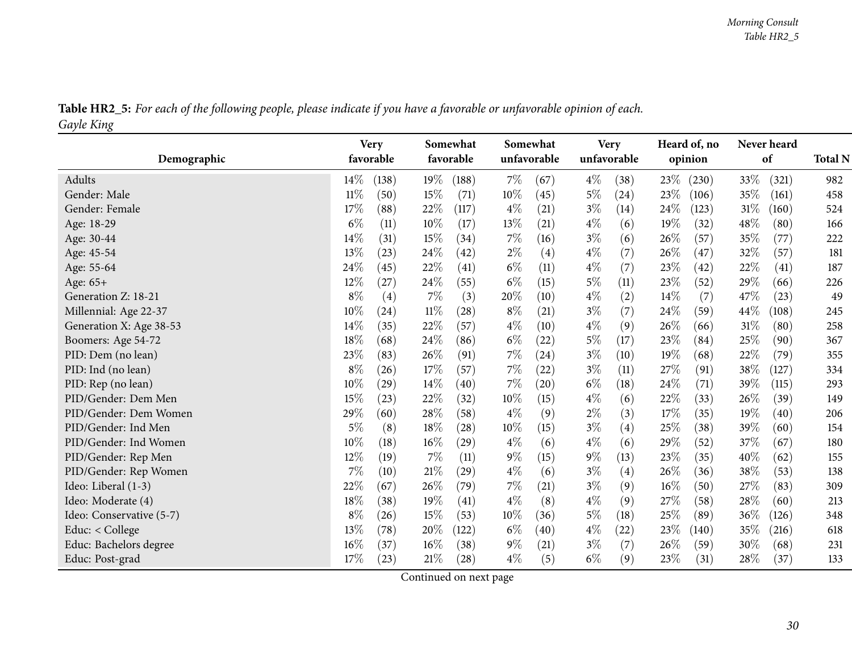| Table HR2_5: For each of the following people, please indicate if you have a favorable or unfavorable opinion of each. |  |
|------------------------------------------------------------------------------------------------------------------------|--|
| Gayle King                                                                                                             |  |

<span id="page-29-0"></span>

|                          |        | <b>Very</b>        |        | Somewhat  |        | Somewhat    |       | <b>Very</b> |        | Heard of, no |     | Never heard |                |
|--------------------------|--------|--------------------|--------|-----------|--------|-------------|-------|-------------|--------|--------------|-----|-------------|----------------|
| Demographic              |        | favorable          |        | favorable |        | unfavorable |       | unfavorable |        | opinion      |     | of          | <b>Total N</b> |
| Adults                   | $14\%$ | (138)              | $19\%$ | (188)     | $7\%$  | (67)        | $4\%$ | (38)        | 23\%   | (230)        | 33% | (321)       | 982            |
| Gender: Male             | 11%    | (50)               | 15%    | (71)      | 10%    | (45)        | $5\%$ | (24)        | 23%    | (106)        | 35% | (161)       | 458            |
| Gender: Female           | 17%    | (88)               | 22%    | (117)     | $4\%$  | (21)        | $3\%$ | (14)        | 24\%   | (123)        | 31% | (160)       | 524            |
| Age: 18-29               | $6\%$  | (11)               | 10%    | (17)      | 13%    | (21)        | $4\%$ | (6)         | 19%    | (32)         | 48% | (80)        | 166            |
| Age: 30-44               | 14%    | (31)               | 15%    | (34)      | $7\%$  | (16)        | $3\%$ | (6)         | 26\%   | (57)         | 35% | (77)        | 222            |
| Age: 45-54               | 13%    | (23)               | 24%    | (42)      | $2\%$  | (4)         | $4\%$ | (7)         | 26\%   | (47)         | 32% | (57)        | 181            |
| Age: 55-64               | 24\%   | (45)               | 22%    | (41)      | $6\%$  | (11)        | $4\%$ | (7)         | 23%    | (42)         | 22% | (41)        | 187            |
| Age: 65+                 | 12%    | (27)               | 24%    | (55)      | $6\%$  | (15)        | $5\%$ | (11)        | 23%    | (52)         | 29% | (66)        | 226            |
| Generation Z: 18-21      | $8\%$  | (4)                | 7%     | (3)       | 20%    | (10)        | $4\%$ | (2)         | 14%    | (7)          | 47% | (23)        | 49             |
| Millennial: Age 22-37    | 10%    | (24)               | $11\%$ | (28)      | $8\%$  | (21)        | $3\%$ | (7)         | 24\%   | (59)         | 44% | (108)       | 245            |
| Generation X: Age 38-53  | 14\%   | (35)               | 22%    | (57)      | $4\%$  | (10)        | $4\%$ | (9)         | 26%    | (66)         | 31% | (80)        | 258            |
| Boomers: Age 54-72       | 18%    | (68)               | 24%    | (86)      | $6\%$  | (22)        | $5\%$ | (17)        | 23%    | (84)         | 25% | (90)        | 367            |
| PID: Dem (no lean)       | 23%    | (83)               | 26\%   | (91)      | $7\%$  | (24)        | $3\%$ | (10)        | 19%    | (68)         | 22% | (79)        | 355            |
| PID: Ind (no lean)       | $8\%$  | (26)               | 17%    | (57)      | $7\%$  | (22)        | $3\%$ | (11)        | 27\%   | (91)         | 38% | (127)       | 334            |
| PID: Rep (no lean)       | $10\%$ | $\left( 29\right)$ | 14\%   | (40)      | $7\%$  | (20)        | $6\%$ | (18)        | 24\%   | (71)         | 39% | (115)       | 293            |
| PID/Gender: Dem Men      | 15%    | (23)               | 22%    | (32)      | 10%    | (15)        | $4\%$ | (6)         | 22%    | (33)         | 26% | (39)        | 149            |
| PID/Gender: Dem Women    | 29%    | (60)               | 28%    | (58)      | $4\%$  | (9)         | $2\%$ | (3)         | 17%    | (35)         | 19% | (40)        | 206            |
| PID/Gender: Ind Men      | 5%     | (8)                | 18%    | (28)      | 10%    | (15)        | $3\%$ | (4)         | 25%    | (38)         | 39% | (60)        | 154            |
| PID/Gender: Ind Women    | 10%    | (18)               | $16\%$ | (29)      | $4\%$  | (6)         | $4\%$ | (6)         | 29%    | (52)         | 37% | (67)        | 180            |
| PID/Gender: Rep Men      | 12%    | (19)               | 7%     | (11)      | $9\%$  | (15)        | $9\%$ | (13)        | 23%    | (35)         | 40% | (62)        | 155            |
| PID/Gender: Rep Women    | 7%     | (10)               | 21%    | (29)      | $4\%$  | (6)         | $3\%$ | (4)         | 26\%   | (36)         | 38% | (53)        | 138            |
| Ideo: Liberal (1-3)      | 22%    | (67)               | 26\%   | (79)      | $7\%$  | (21)        | $3\%$ | (9)         | $16\%$ | (50)         | 27% | (83)        | 309            |
| Ideo: Moderate (4)       | 18%    | (38)               | 19%    | (41)      | $4\%$  | (8)         | $4\%$ | (9)         | 27%    | (58)         | 28% | (60)        | 213            |
| Ideo: Conservative (5-7) | $8\%$  | (26)               | 15%    | (53)      | $10\%$ | (36)        | $5\%$ | (18)        | 25%    | (89)         | 36% | (126)       | 348            |
| Educ: $<$ College        | 13%    | (78)               | 20%    | (122)     | $6\%$  | (40)        | $4\%$ | (22)        | 23%    | (140)        | 35% | (216)       | 618            |
| Educ: Bachelors degree   | $16\%$ | (37)               | $16\%$ | (38)      | $9\%$  | (21)        | $3\%$ | (7)         | 26\%   | (59)         | 30% | (68)        | 231            |
| Educ: Post-grad          | 17%    | (23)               | 21%    | (28)      | $4\%$  | (5)         | $6\%$ | (9)         | 23%    | (31)         | 28% | (37)        | 133            |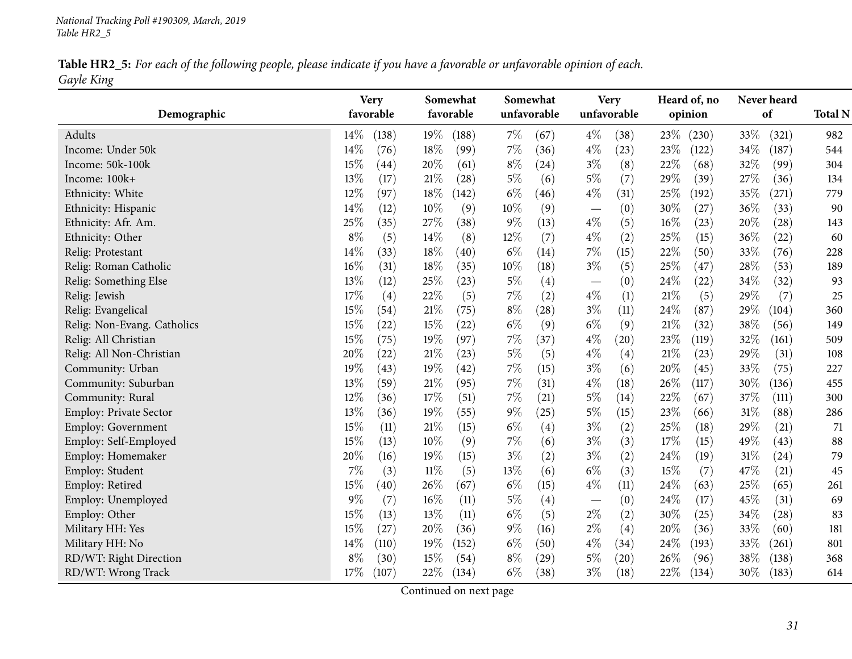Table HR2\_5: For each of the following people, please indicate if you have a favorable or unfavorable opinion of each. *Gayle King*

| Demographic                   | <b>Very</b><br>favorable |       |        | Somewhat<br>favorable |       | Somewhat<br>unfavorable |                                 | <b>Very</b><br>unfavorable |        | Heard of, no<br>opinion |        | Never heard<br>of  | <b>Total N</b> |
|-------------------------------|--------------------------|-------|--------|-----------------------|-------|-------------------------|---------------------------------|----------------------------|--------|-------------------------|--------|--------------------|----------------|
|                               |                          |       |        |                       |       |                         |                                 |                            |        |                         |        |                    |                |
| Adults                        | $14\%$                   | (138) | 19%    | (188)                 | $7\%$ | (67)                    | $4\%$                           | (38)                       | 23\%   | (230)                   | 33%    | (321)              | 982            |
| Income: Under 50k             | 14%                      | (76)  | 18%    | (99)                  | 7%    | (36)                    | $4\%$                           | (23)                       | 23\%   | (122)                   | 34%    | (187)              | 544            |
| Income: 50k-100k              | 15%                      | (44)  | 20%    | (61)                  | $8\%$ | (24)                    | $3\%$                           | (8)                        | 22%    | (68)                    | 32%    | (99)               | 304            |
| Income: 100k+                 | 13%                      | (17)  | 21%    | (28)                  | $5\%$ | (6)                     | $5\%$                           | (7)                        | 29\%   | (39)                    | 27\%   | (36)               | 134            |
| Ethnicity: White              | $12\%$                   | (97)  | 18%    | (142)                 | $6\%$ | (46)                    | $4\%$                           | (31)                       | 25\%   | (192)                   | 35%    | (271)              | 779            |
| Ethnicity: Hispanic           | 14%                      | (12)  | 10%    | (9)                   | 10%   | (9)                     | $\hspace{0.1mm}-\hspace{0.1mm}$ | (0)                        | $30\%$ | (27)                    | $36\%$ | (33)               | 90             |
| Ethnicity: Afr. Am.           | 25%                      | (35)  | 27%    | (38)                  | $9\%$ | (13)                    | $4\%$                           | (5)                        | 16%    | (23)                    | 20%    | (28)               | 143            |
| Ethnicity: Other              | $8\%$                    | (5)   | 14%    | (8)                   | 12%   | (7)                     | $4\%$                           | (2)                        | 25%    | (15)                    | 36%    | $\left( 22\right)$ | 60             |
| Relig: Protestant             | 14%                      | (33)  | 18%    | (40)                  | $6\%$ | (14)                    | $7\%$                           | (15)                       | 22%    | (50)                    | 33%    | (76)               | 228            |
| Relig: Roman Catholic         | 16%                      | (31)  | 18%    | (35)                  | 10%   | (18)                    | $3\%$                           | (5)                        | 25%    | (47)                    | 28%    | (53)               | 189            |
| Relig: Something Else         | 13%                      | (12)  | 25\%   | (23)                  | $5\%$ | (4)                     | $\overline{\phantom{m}}$        | (0)                        | 24\%   | (22)                    | 34\%   | (32)               | 93             |
| Relig: Jewish                 | 17%                      | (4)   | 22%    | (5)                   | 7%    | (2)                     | $4\%$                           | (1)                        | 21%    | (5)                     | 29%    | (7)                | 25             |
| Relig: Evangelical            | $15\%$                   | (54)  | 21%    | (75)                  | $8\%$ | $\left( 28\right)$      | $3\%$                           | (11)                       | 24\%   | (87)                    | 29%    | (104)              | 360            |
| Relig: Non-Evang. Catholics   | 15%                      | (22)  | 15%    | (22)                  | $6\%$ | (9)                     | $6\%$                           | (9)                        | 21%    | (32)                    | 38%    | (56)               | 149            |
| Relig: All Christian          | 15%                      | (75)  | 19%    | (97)                  | $7\%$ | (37)                    | $4\%$                           | (20)                       | 23%    | (119)                   | 32%    | (161)              | 509            |
| Relig: All Non-Christian      | 20%                      | (22)  | 21\%   | (23)                  | $5\%$ | (5)                     | $4\%$                           | (4)                        | $21\%$ | (23)                    | 29%    | (31)               | 108            |
| Community: Urban              | 19%                      | (43)  | 19%    | (42)                  | 7%    | (15)                    | $3\%$                           | (6)                        | 20%    | (45)                    | 33%    | (75)               | 227            |
| Community: Suburban           | 13%                      | (59)  | 21%    | (95)                  | 7%    | (31)                    | $4\%$                           | (18)                       | 26\%   | (117)                   | $30\%$ | (136)              | 455            |
| Community: Rural              | 12%                      | (36)  | 17%    | (51)                  | 7%    | (21)                    | $5\%$                           | (14)                       | 22%    | (67)                    | 37%    | (111)              | 300            |
| <b>Employ: Private Sector</b> | 13%                      | (36)  | 19%    | (55)                  | $9\%$ | (25)                    | $5\%$                           | (15)                       | 23%    | (66)                    | $31\%$ | (88)               | 286            |
| <b>Employ: Government</b>     | 15%                      | (11)  | 21%    | (15)                  | $6\%$ | (4)                     | $3\%$                           | (2)                        | 25%    | (18)                    | 29%    | (21)               | 71             |
| Employ: Self-Employed         | 15%                      | (13)  | 10%    | (9)                   | 7%    | (6)                     | $3\%$                           | (3)                        | 17%    | (15)                    | 49%    | (43)               | 88             |
| Employ: Homemaker             | 20%                      | (16)  | 19%    | (15)                  | $3\%$ | (2)                     | $3\%$                           | (2)                        | 24%    | (19)                    | $31\%$ | (24)               | 79             |
| Employ: Student               | 7%                       | (3)   | $11\%$ | (5)                   | 13%   | (6)                     | $6\%$                           | (3)                        | 15%    | (7)                     | 47%    | (21)               | 45             |
| Employ: Retired               | $15\%$                   | (40)  | 26%    | (67)                  | $6\%$ | (15)                    | $4\%$                           | (11)                       | 24\%   | (63)                    | 25%    | (65)               | 261            |
| Employ: Unemployed            | $9\%$                    | (7)   | 16%    | (11)                  | $5\%$ | (4)                     | $\overline{\phantom{m}}$        | (0)                        | 24%    | (17)                    | 45%    | (31)               | 69             |
| Employ: Other                 | 15%                      | (13)  | 13%    | (11)                  | $6\%$ | (5)                     | $2\%$                           | (2)                        | 30%    | (25)                    | 34\%   | $\left( 28\right)$ | 83             |
| Military HH: Yes              | 15%                      | (27)  | 20%    | (36)                  | $9\%$ | (16)                    | $2\%$                           | (4)                        | 20%    | (36)                    | 33%    | (60)               | 181            |
| Military HH: No               | 14%                      | (110) | 19%    | (152)                 | $6\%$ | (50)                    | $4\%$                           | (34)                       | 24\%   | (193)                   | 33%    | (261)              | 801            |
| RD/WT: Right Direction        | $8\%$                    | (30)  | 15%    | (54)                  | $8\%$ | $\left( 29\right)$      | $5\%$                           | (20)                       | 26%    | (96)                    | 38%    | (138)              | 368            |
| RD/WT: Wrong Track            | 17%                      | (107) | 22%    | (134)                 | $6\%$ | (38)                    | $3\%$                           | (18)                       | 22\%   | (134)                   | 30\%   | (183)              | 614            |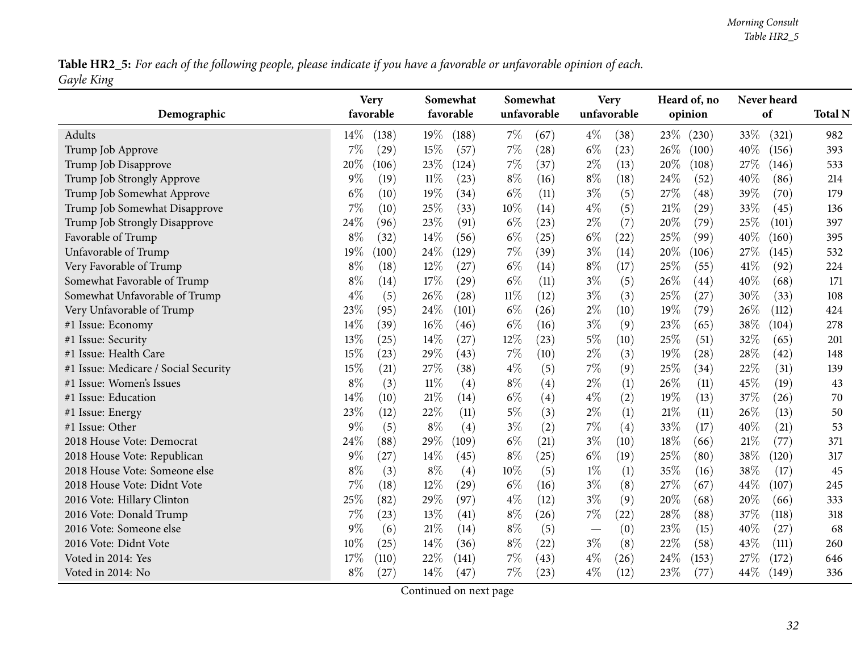Table HR2\_5: For each of the following people, please indicate if you have a favorable or unfavorable opinion of each. *Gayle King*

|                                      |           | <b>Very</b> |           | Somewhat |        | Somewhat    |                          | <b>Very</b> |        | Heard of, no |      | Never heard | <b>Total N</b> |
|--------------------------------------|-----------|-------------|-----------|----------|--------|-------------|--------------------------|-------------|--------|--------------|------|-------------|----------------|
| Demographic                          | favorable |             | favorable |          |        | unfavorable |                          | unfavorable |        | opinion      |      | of          |                |
| Adults                               | $14\%$    | (138)       | 19%       | (188)    | $7\%$  | (67)        | $4\%$                    | (38)        | 23\%   | (230)        | 33\% | (321)       | 982            |
| Trump Job Approve                    | 7%        | (29)        | 15%       | (57)     | 7%     | (28)        | $6\%$                    | (23)        | 26\%   | (100)        | 40%  | (156)       | 393            |
| Trump Job Disapprove                 | 20%       | (106)       | 23\%      | (124)    | $7\%$  | (37)        | $2\%$                    | (13)        | 20%    | (108)        | 27\% | (146)       | 533            |
| Trump Job Strongly Approve           | $9\%$     | (19)        | $11\%$    | (23)     | $8\%$  | (16)        | $8\%$                    | (18)        | 24\%   | (52)         | 40%  | (86)        | 214            |
| Trump Job Somewhat Approve           | $6\%$     | (10)        | 19%       | (34)     | $6\%$  | (11)        | $3\%$                    | (5)         | 27\%   | (48)         | 39%  | (70)        | 179            |
| Trump Job Somewhat Disapprove        | 7%        | (10)        | 25%       | (33)     | 10%    | (14)        | $4\%$                    | (5)         | 21%    | (29)         | 33%  | (45)        | 136            |
| Trump Job Strongly Disapprove        | 24%       | (96)        | 23%       | (91)     | $6\%$  | (23)        | $2\%$                    | (7)         | 20%    | (79)         | 25%  | (101)       | 397            |
| Favorable of Trump                   | $8\%$     | (32)        | 14\%      | (56)     | $6\%$  | (25)        | $6\%$                    | $^{(22)}$   | 25%    | (99)         | 40%  | (160)       | 395            |
| Unfavorable of Trump                 | 19%       | (100)       | 24\%      | (129)    | $7\%$  | (39)        | $3\%$                    | (14)        | 20%    | (106)        | 27%  | (145)       | 532            |
| Very Favorable of Trump              | $8\%$     | (18)        | $12\%$    | (27)     | $6\%$  | (14)        | $8\%$                    | (17)        | 25%    | (55)         | 41\% | (92)        | 224            |
| Somewhat Favorable of Trump          | $8\%$     | (14)        | 17%       | (29)     | $6\%$  | (11)        | $3\%$                    | (5)         | 26%    | (44)         | 40%  | (68)        | 171            |
| Somewhat Unfavorable of Trump        | $4\%$     | (5)         | 26%       | (28)     | $11\%$ | (12)        | $3\%$                    | (3)         | 25\%   | (27)         | 30%  | (33)        | 108            |
| Very Unfavorable of Trump            | 23%       | (95)        | 24\%      | (101)    | $6\%$  | (26)        | $2\%$                    | (10)        | $19\%$ | (79)         | 26\% | (112)       | 424            |
| #1 Issue: Economy                    | 14%       | (39)        | $16\%$    | (46)     | $6\%$  | (16)        | $3\%$                    | (9)         | 23%    | (65)         | 38%  | (104)       | 278            |
| #1 Issue: Security                   | 13%       | (25)        | 14%       | (27)     | $12\%$ | (23)        | $5\%$                    | (10)        | 25%    | (51)         | 32%  | (65)        | 201            |
| #1 Issue: Health Care                | 15%       | (23)        | 29%       | (43)     | 7%     | (10)        | $2\%$                    | (3)         | 19%    | (28)         | 28%  | (42)        | 148            |
| #1 Issue: Medicare / Social Security | 15%       | (21)        | 27%       | (38)     | $4\%$  | (5)         | $7\%$                    | (9)         | 25%    | (34)         | 22%  | (31)        | 139            |
| #1 Issue: Women's Issues             | $8\%$     | (3)         | 11%       | (4)      | $8\%$  | (4)         | $2\%$                    | (1)         | 26\%   | (11)         | 45%  | (19)        | 43             |
| #1 Issue: Education                  | 14%       | (10)        | 21%       | (14)     | $6\%$  | (4)         | $4\%$                    | (2)         | 19%    | (13)         | 37%  | (26)        | 70             |
| #1 Issue: Energy                     | 23%       | (12)        | 22%       | (11)     | $5\%$  | (3)         | $2\%$                    | (1)         | 21%    | (11)         | 26%  | (13)        | 50             |
| #1 Issue: Other                      | $9\%$     | (5)         | $8\%$     | (4)      | $3\%$  | (2)         | 7%                       | (4)         | 33%    | (17)         | 40%  | (21)        | 53             |
| 2018 House Vote: Democrat            | 24%       | (88)        | 29%       | (109)    | $6\%$  | (21)        | $3\%$                    | (10)        | 18%    | (66)         | 21%  | (77)        | 371            |
| 2018 House Vote: Republican          | $9\%$     | (27)        | 14\%      | (45)     | $8\%$  | (25)        | $6\%$                    | (19)        | 25%    | (80)         | 38\% | (120)       | 317            |
| 2018 House Vote: Someone else        | $8\%$     | (3)         | $8\%$     | (4)      | 10%    | (5)         | $1\%$                    | (1)         | 35%    | (16)         | 38%  | (17)        | 45             |
| 2018 House Vote: Didnt Vote          | 7%        | (18)        | 12%       | (29)     | $6\%$  | (16)        | $3\%$                    | (8)         | 27%    | (67)         | 44%  | (107)       | 245            |
| 2016 Vote: Hillary Clinton           | 25%       | (82)        | 29\%      | (97)     | $4\%$  | (12)        | $3\%$                    | (9)         | 20%    | (68)         | 20%  | (66)        | 333            |
| 2016 Vote: Donald Trump              | 7%        | (23)        | $13\%$    | (41)     | $8\%$  | (26)        | $7\%$                    | (22)        | 28\%   | (88)         | 37%  | (118)       | 318            |
| 2016 Vote: Someone else              | $9\%$     | (6)         | 21%       | (14)     | $8\%$  | (5)         | $\overline{\phantom{m}}$ | (0)         | 23\%   | (15)         | 40%  | (27)        | 68             |
| 2016 Vote: Didnt Vote                | 10%       | (25)        | 14\%      | (36)     | $8\%$  | (22)        | $3\%$                    | (8)         | 22\%   | (58)         | 43\% | (111)       | 260            |
| Voted in 2014: Yes                   | 17%       | (110)       | 22%       | (141)    | 7%     | (43)        | $4\%$                    | (26)        | 24\%   | (153)        | 27\% | (172)       | 646            |
| Voted in 2014: No                    | $8\%$     | (27)        | $14\%$    | (47)     | $7\%$  | (23)        | $4\%$                    | (12)        | 23%    | (77)         | 44\% | (149)       | 336            |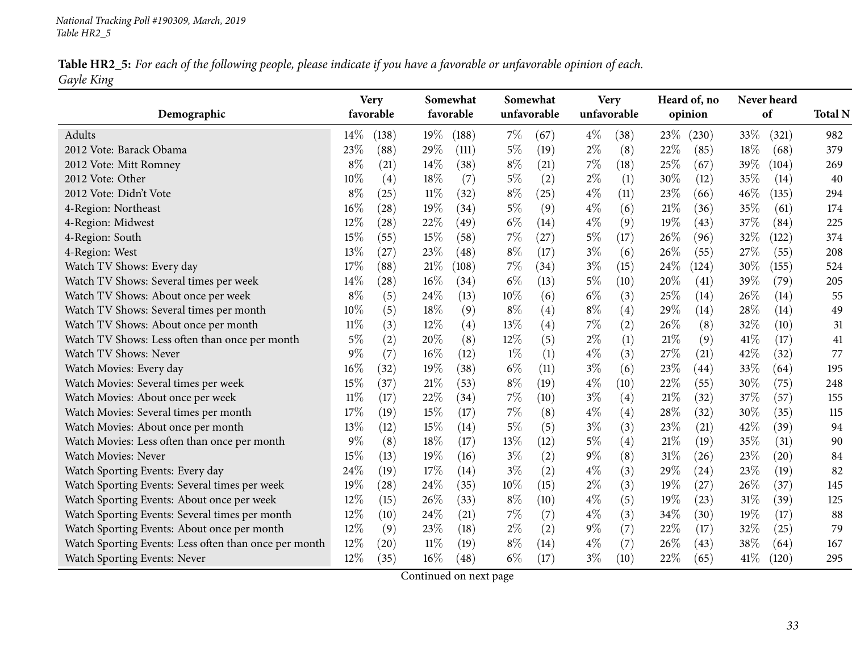| Table HR2_5: For each of the following people, please indicate if you have a favorable or unfavorable opinion of each. |  |
|------------------------------------------------------------------------------------------------------------------------|--|
| Gayle King                                                                                                             |  |

| Demographic                                           | <b>Very</b><br>favorable |       | Somewhat<br>favorable |       | Somewhat<br>unfavorable |      | <b>Very</b><br>unfavorable |      | Heard of, no<br>opinion |       | Never heard<br>of |       | <b>Total N</b> |
|-------------------------------------------------------|--------------------------|-------|-----------------------|-------|-------------------------|------|----------------------------|------|-------------------------|-------|-------------------|-------|----------------|
| Adults                                                | $14\%$                   | (138) | 19%                   | (188) | $7\%$                   | (67) | $4\%$                      | (38) | 23\%                    | (230) | 33%               | (321) | 982            |
| 2012 Vote: Barack Obama                               | 23%                      | (88)  | 29%                   | (111) | $5\%$                   | (19) | $2\%$                      | (8)  | 22%                     | (85)  | 18%               | (68)  | 379            |
| 2012 Vote: Mitt Romney                                | $8\%$                    | (21)  | 14%                   | (38)  | $8\%$                   | (21) | $7\%$                      | (18) | 25%                     | (67)  | 39%               | (104) | 269            |
| 2012 Vote: Other                                      | 10%                      | (4)   | 18%                   | (7)   | $5\%$                   | (2)  | $2\%$                      | (1)  | 30%                     | (12)  | 35%               | (14)  | 40             |
| 2012 Vote: Didn't Vote                                | $8\%$                    | (25)  | $11\%$                | (32)  | $8\%$                   | (25) | $4\%$                      | (11) | 23%                     | (66)  | 46%               | (135) | 294            |
| 4-Region: Northeast                                   | 16%                      | (28)  | 19%                   | (34)  | $5\%$                   | (9)  | $4\%$                      | (6)  | 21%                     | (36)  | 35%               | (61)  | 174            |
| 4-Region: Midwest                                     | 12%                      | (28)  | 22%                   | (49)  | $6\%$                   | (14) | $4\%$                      | (9)  | 19%                     | (43)  | 37%               | (84)  | 225            |
| 4-Region: South                                       | 15%                      | (55)  | 15%                   | (58)  | 7%                      | (27) | $5\%$                      | (17) | 26%                     | (96)  | 32%               | (122) | 374            |
| 4-Region: West                                        | 13%                      | (27)  | 23%                   | (48)  | $8\%$                   | (17) | $3\%$                      | (6)  | 26\%                    | (55)  | 27%               | (55)  | 208            |
| Watch TV Shows: Every day                             | 17%                      | (88)  | 21%                   | (108) | $7\%$                   | (34) | $3\%$                      | (15) | 24\%                    | (124) | 30%               | (155) | 524            |
| Watch TV Shows: Several times per week                | 14%                      | (28)  | 16%                   | (34)  | $6\%$                   | (13) | $5\%$                      | (10) | 20%                     | (41)  | 39%               | (79)  | 205            |
| Watch TV Shows: About once per week                   | $8\%$                    | (5)   | 24%                   | (13)  | $10\%$                  | (6)  | $6\%$                      | (3)  | 25%                     | (14)  | 26%               | (14)  | 55             |
| Watch TV Shows: Several times per month               | 10%                      | (5)   | 18%                   | (9)   | $8\%$                   | (4)  | $8\%$                      | (4)  | 29%                     | (14)  | 28%               | (14)  | 49             |
| Watch TV Shows: About once per month                  | 11%                      | (3)   | $12\%$                | (4)   | 13\%                    | (4)  | $7\%$                      | (2)  | 26\%                    | (8)   | 32%               | (10)  | 31             |
| Watch TV Shows: Less often than once per month        | $5\%$                    | (2)   | 20%                   | (8)   | 12%                     | (5)  | $2\%$                      | (1)  | 21%                     | (9)   | 41%               | (17)  | 41             |
| Watch TV Shows: Never                                 | $9\%$                    | (7)   | $16\%$                | (12)  | $1\%$                   | (1)  | $4\%$                      | (3)  | 27%                     | (21)  | 42%               | (32)  | 77             |
| Watch Movies: Every day                               | 16%                      | (32)  | 19%                   | (38)  | $6\%$                   | (11) | $3\%$                      | (6)  | 23%                     | (44)  | 33%               | (64)  | 195            |
| Watch Movies: Several times per week                  | 15%                      | (37)  | 21%                   | (53)  | $8\%$                   | (19) | $4\%$                      | (10) | 22%                     | (55)  | 30%               | (75)  | 248            |
| Watch Movies: About once per week                     | $11\%$                   | (17)  | 22%                   | (34)  | 7%                      | (10) | $3\%$                      | (4)  | 21\%                    | (32)  | 37%               | (57)  | 155            |
| Watch Movies: Several times per month                 | 17%                      | (19)  | 15%                   | (17)  | 7%                      | (8)  | $4\%$                      | (4)  | 28\%                    | (32)  | 30%               | (35)  | 115            |
| Watch Movies: About once per month                    | 13%                      | (12)  | 15%                   | (14)  | $5\%$                   | (5)  | $3\%$                      | (3)  | 23%                     | (21)  | 42%               | (39)  | 94             |
| Watch Movies: Less often than once per month          | $9\%$                    | (8)   | 18\%                  | (17)  | 13\%                    | (12) | $5\%$                      | (4)  | 21%                     | (19)  | 35%               | (31)  | 90             |
| Watch Movies: Never                                   | 15%                      | (13)  | 19%                   | (16)  | $3\%$                   | (2)  | $9\%$                      | (8)  | 31%                     | (26)  | 23%               | (20)  | 84             |
| Watch Sporting Events: Every day                      | 24%                      | (19)  | 17%                   | (14)  | $3\%$                   | (2)  | $4\%$                      | (3)  | 29%                     | (24)  | 23%               | (19)  | 82             |
| Watch Sporting Events: Several times per week         | 19%                      | (28)  | 24\%                  | (35)  | $10\%$                  | (15) | $2\%$                      | (3)  | 19%                     | (27)  | 26\%              | (37)  | 145            |
| Watch Sporting Events: About once per week            | 12%                      | (15)  | 26%                   | (33)  | $8\%$                   | (10) | $4\%$                      | (5)  | 19%                     | (23)  | 31%               | (39)  | 125            |
| Watch Sporting Events: Several times per month        | 12%                      | (10)  | 24\%                  | (21)  | 7%                      | (7)  | $4\%$                      | (3)  | 34%                     | (30)  | 19%               | (17)  | 88             |
| Watch Sporting Events: About once per month           | 12%                      | (9)   | 23%                   | (18)  | $2\%$                   | (2)  | $9\%$                      | (7)  | 22%                     | (17)  | 32%               | (25)  | 79             |
| Watch Sporting Events: Less often than once per month | 12%                      | (20)  | $11\%$                | (19)  | $8\%$                   | (14) | $4\%$                      | (7)  | 26%                     | (43)  | 38%               | (64)  | 167            |
| Watch Sporting Events: Never                          | 12\%                     | (35)  | $16\%$                | (48)  | $6\%$                   | (17) | $3\%$                      | (10) | 22%                     | (65)  | 41\%              | (120) | 295            |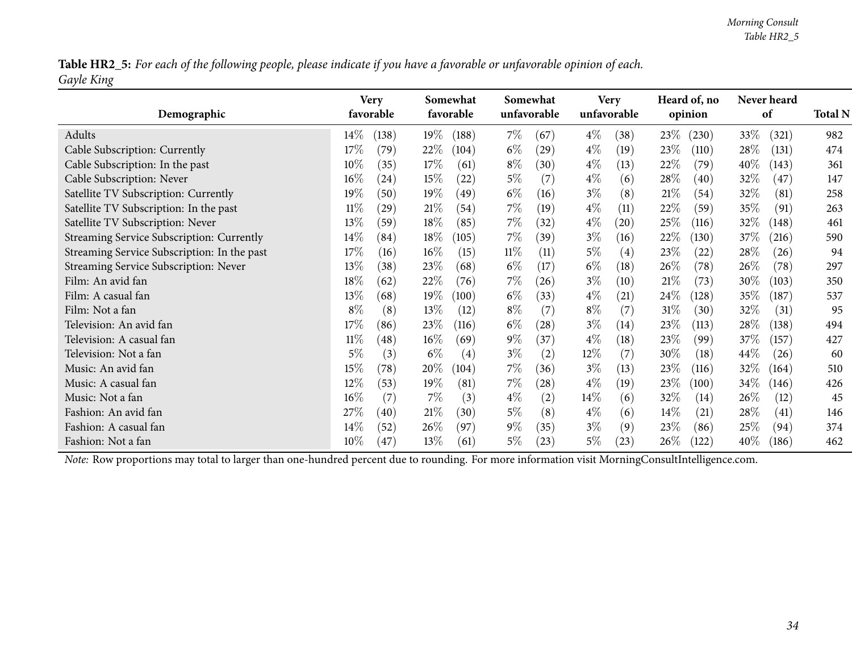Table HR2\_5: For each of the following people, please indicate if you have a favorable or unfavorable opinion of each. *Gayle King*

|                                             | <b>Very</b> |                    | Somewhat |           | Somewhat |             |        | <b>Very</b>       |        | Heard of, no       |      | Never heard |                |
|---------------------------------------------|-------------|--------------------|----------|-----------|----------|-------------|--------|-------------------|--------|--------------------|------|-------------|----------------|
| Demographic                                 | favorable   |                    |          | favorable |          | unfavorable |        | unfavorable       |        | opinion            |      | of          | <b>Total N</b> |
| Adults                                      | $14\%$      | (138)              | $19\%$   | (188)     | $7\%$    | (67)        | $4\%$  | (38)              | 23\%   | (230)              | 33\% | (321)       | 982            |
| Cable Subscription: Currently               | 17%         | (79`               | 22%      | (104)     | $6\%$    | (29)        | $4\%$  | (19)              | 23\%   | (110)              | 28%  | (131)       | 474            |
| Cable Subscription: In the past             | 10%         | (35)               | 17%      | (61)      | $8\%$    | (30)        | $4\%$  | (13)              | 22\%   | (79)               | 40%  | (143)       | 361            |
| Cable Subscription: Never                   | $16\%$      | $\left( 24\right)$ | 15%      | (22)      | 5%       | (7)         | $4\%$  | (6)               | 28\%   | (40)               | 32\% | (47)        | 147            |
| Satellite TV Subscription: Currently        | 19%         | (50)               | $19\%$   | (49`      | $6\%$    | (16)        | $3\%$  | (8)               | 21%    | (54)               | 32\% | (81)        | 258            |
| Satellite TV Subscription: In the past      | 11%         | $^{'}29$           | 21%      | (54)      | $7\%$    | (19)        | $4\%$  | (11)              | 22\%   | (59)               | 35%  | (91)        | 263            |
| Satellite TV Subscription: Never            | 13%         | (59)               | $18\%$   | (85)      | $7\%$    | (32)        | $4\%$  | (20)              | 25\%   | (116)              | 32%  | (148)       | 461            |
| Streaming Service Subscription: Currently   | 14%         | (84)               | $18\%$   | (105)     | 7%       | (39)        | $3\%$  | (16)              | 22\%   | (130)              | 37%  | (216)       | 590            |
| Streaming Service Subscription: In the past | 17%         | (16)               | $16\%$   | (15)      | $11\%$   | (11)        | $5\%$  | (4)               | 23\%   | (22)               | 28\% | (26)        | 94             |
| Streaming Service Subscription: Never       | 13%         | (38)               | 23\%     | (68)      | $6\%$    | (17)        | $6\%$  | $\left(18\right)$ | 26\%   | $\left( 78\right)$ | 26\% | (78)        | 297            |
| Film: An avid fan                           | $18\%$      | (62)               | 22%      | (76)      | $7\%$    | (26)        | $3\%$  | $\left(10\right)$ | 21%    | (73)               | 30%  | (103)       | 350            |
| Film: A casual fan                          | 13%         | (68)               | $19\%$   | (100)     | $6\%$    | (33)        | $4\%$  | (21)              | 24\%   | (128)              | 35%  | (187)       | 537            |
| Film: Not a fan                             | $8\%$       | (8)                | $13\%$   | (12)      | $8\%$    | (7)         | $8\%$  | (7)               | $31\%$ | (30)               | 32%  | (31)        | 95             |
| Television: An avid fan                     | 17%         | (86)               | 23\%     | (116)     | $6\%$    | (28)        | $3\%$  | $\left(14\right)$ | 23\%   | (113)              | 28%  | (138)       | 494            |
| Television: A casual fan                    | $11\%$      | $\left( 48\right)$ | $16\%$   | (69)      | $9\%$    | (37)        | $4\%$  | (18)              | 23\%   | (99)               | 37%  | 157         | 427            |
| Television: Not a fan                       | $5\%$       | (3)                | $6\%$    | (4)       | $3\%$    | (2)         | $12\%$ | (7)               | $30\%$ | (18)               | 44\% | (26)        | 60             |
| Music: An avid fan                          | 15%         | (78)               | 20%      | (104)     | $7\%$    | (36)        | $3\%$  | (13)              | 23\%   | (116)              | 32%  | (164)       | 510            |
| Music: A casual fan                         | 12%         | (53)               | $19\%$   | (81)      | $7\%$    | (28)        | $4\%$  | (19)              | 23\%   | (100)              | 34\% | (146)       | 426            |
| Music: Not a fan                            | $16\%$      | (7)                | $7\%$    | (3)       | $4\%$    | (2)         | $14\%$ | (6)               | $32\%$ | (14)               | 26%  | (12)        | 45             |
| Fashion: An avid fan                        | $27\%$      | $\left( 40\right)$ | 21%      | (30)      | $5\%$    | (8)         | $4\%$  | (6)               | $14\%$ | $\left( 21\right)$ | 28\% | (41)        | 146            |
| Fashion: A casual fan                       | $14\%$      | (52)               | $26\%$   | (97)      | $9\%$    | (35)        | $3\%$  | (9)               | 23\%   | (86)               | 25\% | (94)        | 374            |
| Fashion: Not a fan                          | $10\%$      | (47)               | 13%      | (61)      | 5%       | (23)        | $5\%$  | (23)              | $26\%$ | (122)              | 40\% | (186)       | 462            |

*Note:* Row proportions may total to larger than one-hundred percen<sup>t</sup> due to rounding. For more information visit [MorningConsultIntelligence.com](https://morningconsultintelligence.com).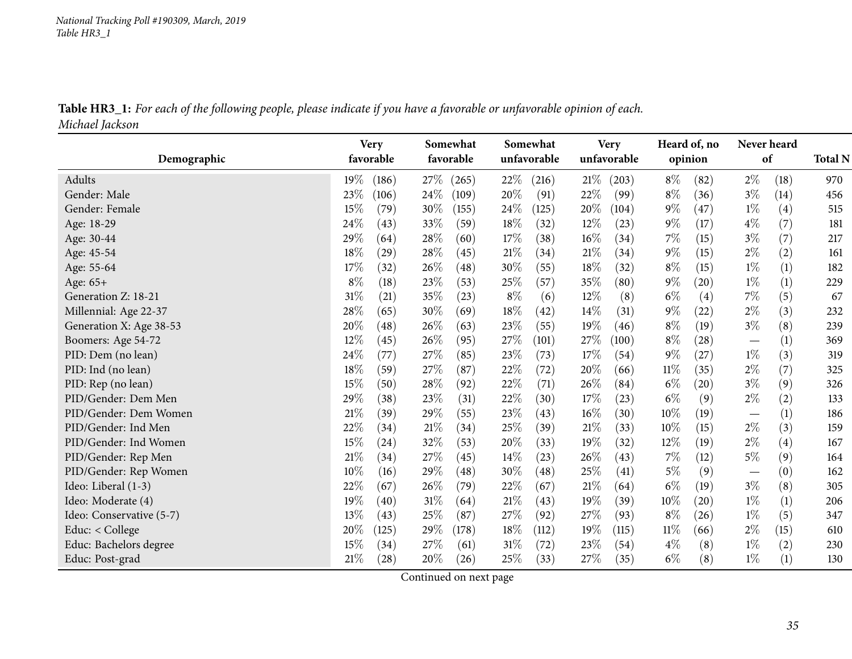Table HR3\_1: For each of the following people, please indicate if you have a favorable or unfavorable opinion of each. *Michael Jackson*

<span id="page-34-0"></span>

|                          | <b>Very</b>               | Somewhat<br>Somewhat     |                | <b>Very</b>    | Heard of, no   | Never heard                            |                |
|--------------------------|---------------------------|--------------------------|----------------|----------------|----------------|----------------------------------------|----------------|
| Demographic              | favorable                 | favorable<br>unfavorable |                | unfavorable    | opinion        | of                                     | <b>Total N</b> |
| Adults                   | 19%<br>(186)              | 27\%<br>(265)            | 22%<br>(216)   | 21%<br>(203)   | $8\%$<br>(82)  | $2\%$<br>(18)                          | 970            |
| Gender: Male             | 23%<br>(106)              | 24\%<br>(109)            | 20%<br>(91)    | 22%<br>(99)    | $8\%$<br>(36)  | $3\%$<br>(14)                          | 456            |
| Gender: Female           | 15%<br>(79)               | 30%<br>(155)             | 24\%<br>(125)  | 20%<br>(104)   | 9%<br>(47)     | $1\%$<br>(4)                           | 515            |
| Age: 18-29               | 24%<br>(43)               | 33%<br>(59)              | 18%<br>(32)    | $12\%$<br>(23) | 9%<br>(17)     | (7)<br>$4\%$                           | 181            |
| Age: 30-44               | 29%<br>(64)               | 28\%<br>(60)             | 17%<br>(38)    | $16\%$<br>(34) | 7%<br>(15)     | $3\%$<br>(7)                           | 217            |
| Age: 45-54               | 18%<br>(29)               | 28\%<br>(45)             | 21%<br>(34)    | $21\%$<br>(34) | 9%<br>(15)     | $2\%$<br>(2)                           | 161            |
| Age: 55-64               | 17%<br>(32)               | 26\%<br>(48)             | 30%<br>(55)    | 18%<br>(32)    | $8\%$<br>(15)  | $1\%$<br>(1)                           | 182            |
| Age: 65+                 | $8\%$<br>(18)             | 23\%<br>(53)             | 25%<br>(57)    | 35\%<br>(80)   | $9\%$<br>(20)  | $1\%$<br>(1)                           | 229            |
| Generation Z: 18-21      | 31%<br>(21)               | 35%<br>(23)              | $8\%$<br>(6)   | 12%<br>(8)     | $6\%$<br>(4)   | 7%<br>(5)                              | 67             |
| Millennial: Age 22-37    | 28%<br>(65)               | 30%<br>(69)              | 18%<br>(42)    | 14\%<br>(31)   | 9%<br>(22)     | $2\%$<br>(3)                           | 232            |
| Generation X: Age 38-53  | 20%<br>(48)               | 26%<br>(63)              | 23%<br>(55)    | 19%<br>(46)    | $8\%$<br>(19)  | $3\%$<br>(8)                           | 239            |
| Boomers: Age 54-72       | 12%<br>(45)               | 26%<br>(95)              | 27%<br>(101)   | 27\%<br>(100)  | $8\%$<br>(28)  | (1)                                    | 369            |
| PID: Dem (no lean)       | 24%<br>(77)               | 27%<br>(85)              | 23%<br>(73)    | 17%<br>(54)    | 9%<br>(27)     | $1\%$<br>(3)                           | 319            |
| PID: Ind (no lean)       | 18%<br>(59)               | 27\%<br>(87)             | 22%<br>(72)    | 20%<br>(66)    | 11%<br>(35)    | $2\%$<br>(7)                           | 325            |
| PID: Rep (no lean)       | 15%<br>(50)               | 28%<br>(92)              | 22%<br>(71)    | 26%<br>(84)    | $6\%$<br>(20)  | $3\%$<br>(9)                           | 326            |
| PID/Gender: Dem Men      | 29%<br>(38)               | 23\%<br>(31)             | 22%<br>(30)    | $17\%$<br>(23) | $6\%$<br>(9)   | $2\%$<br>(2)                           | 133            |
| PID/Gender: Dem Women    | 21%<br>(39)               | 29%<br>(55)              | 23\%<br>(43)   | $16\%$<br>(30) | 10%<br>(19)    | (1)<br>$\hspace{0.1mm}-\hspace{0.1mm}$ | 186            |
| PID/Gender: Ind Men      | 22%<br>(34)               | 21%<br>(34)              | 25\%<br>(39)   | $21\%$<br>(33) | 10%<br>(15)    | $2\%$<br>(3)                           | 159            |
| PID/Gender: Ind Women    | 15%<br>(24)               | 32%<br>(53)              | $20\%$<br>(33) | 19%<br>(32)    | 12%<br>(19)    | $2\%$<br>(4)                           | 167            |
| PID/Gender: Rep Men      | $21\%$<br>(34)            | 27%<br>(45)              | $14\%$<br>(23) | 26\%<br>(43)   | 7%<br>(12)     | $5\%$<br>(9)                           | 164            |
| PID/Gender: Rep Women    | 10%<br>(16)               | 29%<br>(48)              | 30%<br>(48)    | 25\%<br>(41)   | $5\%$<br>(9)   | (0)                                    | 162            |
| Ideo: Liberal (1-3)      | 22%<br>(67)               | 26\%<br>(79)             | 22%<br>(67)    | $21\%$<br>(64) | $6\%$<br>(19)  | $3\%$<br>(8)                           | 305            |
| Ideo: Moderate (4)       | 19%<br>(40)               | $31\%$<br>(64)           | 21%<br>(43)    | 19%<br>(39)    | 10%<br>(20)    | $1\%$<br>(1)                           | 206            |
| Ideo: Conservative (5-7) | 13%<br>(43)               | 25\%<br>(87)             | 27%<br>(92)    | $27\%$<br>(93) | $8\%$<br>(26)  | $1\%$<br>(5)                           | 347            |
| Educ: < College          | 20%<br>(125)              | 29%<br>(178)             | 18\%<br>(112)  | 19%<br>(115)   | $11\%$<br>(66) | $2\%$<br>(15)                          | 610            |
| Educ: Bachelors degree   | 15%<br>(34)               | 27%<br>(61)              | $31\%$<br>(72) | 23\%<br>(54)   | $4\%$<br>(8)   | $1\%$<br>(2)                           | 230            |
| Educ: Post-grad          | 21%<br>$\left( 28\right)$ | 20%<br>(26)              | 25%<br>(33)    | 27%<br>(35)    | $6\%$<br>(8)   | $1\%$<br>(1)                           | 130            |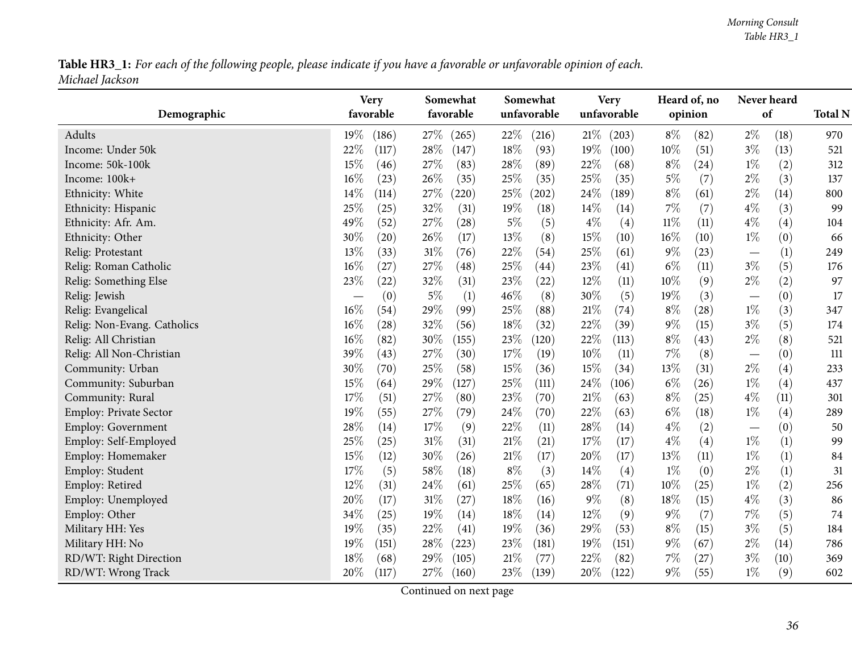Table HR3\_1: For each of the following people, please indicate if you have a favorable or unfavorable opinion of each. *Michael Jackson*

|                               | <b>Very</b>               | Somewhat       |                 | <b>Very</b>     | Heard of, no   | Never heard                            |                |
|-------------------------------|---------------------------|----------------|-----------------|-----------------|----------------|----------------------------------------|----------------|
| Demographic                   | favorable                 | favorable      | unfavorable     | unfavorable     | opinion        | of                                     | <b>Total N</b> |
| Adults                        | 19%<br>(186)              | 27\%<br>(265)  | 22\%<br>(216)   | $21\%$<br>(203) | $8\%$<br>(82)  | $2\%$<br>(18)                          | 970            |
| Income: Under 50k             | $22\%$<br>(117)           | 28%<br>(147)   | 18%<br>(93)     | 19%<br>(100)    | $10\%$<br>(51) | $3\%$<br>(13)                          | 521            |
| Income: 50k-100k              | 15%<br>(46)               | 27\%<br>(83)   | 28%<br>(89)     | 22%<br>(68)     | $8\%$<br>(24)  | $1\%$<br>(2)                           | 312            |
| Income: 100k+                 | 16%<br>(23)               | 26%<br>(35)    | 25%<br>(35)     | 25%<br>(35)     | $5\%$<br>(7)   | $2\%$<br>(3)                           | 137            |
| Ethnicity: White              | 14%<br>(114)              | 27\%<br>(220)  | $25\%$<br>(202) | 24\%<br>(189)   | $8\%$<br>(61)  | $2\%$<br>(14)                          | 800            |
| Ethnicity: Hispanic           | 25%<br>(25)               | 32%<br>(31)    | 19%<br>(18)     | 14\%<br>(14)    | $7\%$<br>(7)   | $4\%$<br>(3)                           | 99             |
| Ethnicity: Afr. Am.           | 49%<br>(52)               | 27%<br>(28)    | $5\%$<br>(5)    | $4\%$<br>(4)    | $11\%$<br>(11) | $4\%$<br>(4)                           | 104            |
| Ethnicity: Other              | 30%<br>$\left( 20\right)$ | 26%<br>(17)    | 13%<br>(8)      | $15\%$<br>(10)  | 16%<br>(10)    | $1\%$<br>(0)                           | 66             |
| Relig: Protestant             | 13%<br>(33)               | $31\%$<br>(76) | 22%<br>(54)     | 25%<br>(61)     | $9\%$<br>(23)  | (1)                                    | 249            |
| Relig: Roman Catholic         | 16%<br>$\left( 27\right)$ | 27%<br>(48)    | 25%<br>(44)     | 23\%<br>(41)    | $6\%$<br>(11)  | $3\%$<br>(5)                           | 176            |
| Relig: Something Else         | $23\%$<br>(22)            | 32%<br>(31)    | 23%<br>(22)     | 12%<br>(11)     | $10\%$<br>(9)  | $2\%$<br>(2)                           | 97             |
| Relig: Jewish                 | (0)                       | $5\%$<br>(1)   | 46%<br>(8)      | 30%<br>(5)      | 19%<br>(3)     | (0)<br>$\hspace{0.1mm}-\hspace{0.1mm}$ | 17             |
| Relig: Evangelical            | $16\%$<br>(54)            | 29%<br>(99)    | 25\%<br>(88)    | $21\%$<br>(74)  | $8\%$<br>(28)  | $1\%$<br>(3)                           | 347            |
| Relig: Non-Evang. Catholics   | $16\%$<br>(28)            | 32%<br>(56)    | 18%<br>(32)     | 22%<br>(39)     | $9\%$<br>(15)  | $3\%$<br>(5)                           | 174            |
| Relig: All Christian          | 16%<br>(82)               | 30%<br>(155)   | 23%<br>(120)    | 22%<br>(113)    | $8\%$<br>(43)  | $2\%$<br>(8)                           | 521            |
| Relig: All Non-Christian      | 39%<br>(43)               | 27%<br>(30)    | 17%<br>(19)     | 10%<br>(11)     | $7\%$<br>(8)   | (0)                                    | 111            |
| Community: Urban              | 30%<br>(70)               | 25%<br>(58)    | 15%<br>(36)     | $15\%$<br>(34)  | 13%<br>(31)    | $2\%$<br>(4)                           | 233            |
| Community: Suburban           | 15%<br>(64)               | 29%<br>(127)   | 25%<br>(111)    | 24\%<br>(106)   | $6\%$<br>(26)  | $1\%$<br>(4)                           | 437            |
| Community: Rural              | 17%<br>(51)               | 27\%<br>(80)   | 23%<br>(70)     | $21\%$<br>(63)  | $8\%$<br>(25)  | $4\%$<br>(11)                          | 301            |
| <b>Employ: Private Sector</b> | 19%<br>(55)               | 27%<br>(79)    | 24%<br>(70)     | 22%<br>(63)     | $6\%$<br>(18)  | $1\%$<br>(4)                           | 289            |
| <b>Employ: Government</b>     | 28%<br>(14)               | 17%<br>(9)     | 22%<br>(11)     | 28%<br>(14)     | $4\%$<br>(2)   | (0)                                    | 50             |
| Employ: Self-Employed         | 25%<br>(25)               | $31\%$<br>(31) | 21%<br>(21)     | $17\%$<br>(17)  | $4\%$<br>(4)   | $1\%$<br>(1)                           | 99             |
| Employ: Homemaker             | 15%<br>(12)               | 30%<br>(26)    | $21\%$<br>(17)  | 20%<br>(17)     | 13%<br>(11)    | $1\%$<br>(1)                           | 84             |
| Employ: Student               | 17%<br>(5)                | 58%<br>(18)    | $8\%$<br>(3)    | 14\%<br>(4)     | $1\%$<br>(0)   | $2\%$<br>(1)                           | 31             |
| Employ: Retired               | $12\%$<br>(31)            | 24\%<br>(61)   | 25%<br>(65)     | 28%<br>(71)     | 10%<br>(25)    | $1\%$<br>(2)                           | 256            |
| Employ: Unemployed            | 20%<br>(17)               | $31\%$<br>(27) | 18%<br>(16)     | $9\%$<br>(8)    | 18%<br>(15)    | $4\%$<br>(3)                           | 86             |
| Employ: Other                 | 34%<br>(25)               | 19%<br>(14)    | 18%<br>(14)     | 12%<br>(9)      | $9\%$<br>(7)   | $7\%$<br>(5)                           | 74             |
| Military HH: Yes              | 19%<br>(35)               | 22%<br>(41)    | 19%<br>(36)     | 29%<br>(53)     | $8\%$<br>(15)  | $3\%$<br>(5)                           | 184            |
| Military HH: No               | 19%<br>(151)              | 28\%<br>(223)  | 23%<br>(181)    | 19%<br>(151)    | $9\%$<br>(67)  | $2\%$<br>(14)                          | 786            |
| RD/WT: Right Direction        | 18%<br>(68)               | 29%<br>(105)   | $21\%$<br>(77)  | 22%<br>(82)     | $7\%$<br>(27)  | $3\%$<br>(10)                          | 369            |
| RD/WT: Wrong Track            | 20%<br>(117)              | 27\%<br>(160)  | 23\%<br>(139)   | 20%<br>(122)    | $9\%$<br>(55)  | $1\%$<br>(9)                           | 602            |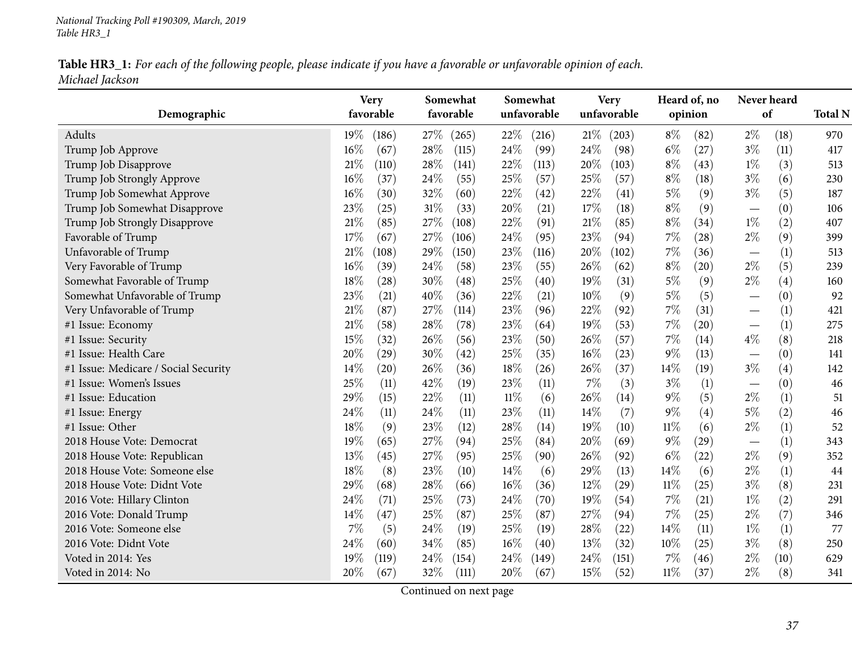| Table HR3_1: For each of the following people, please indicate if you have a favorable or unfavorable opinion of each. |  |
|------------------------------------------------------------------------------------------------------------------------|--|
| Michael Jackson                                                                                                        |  |

|                                      | <b>Very</b>               | Somewhat      | Somewhat       | <b>Very</b>    | Heard of, no   | Never heard                              |                |
|--------------------------------------|---------------------------|---------------|----------------|----------------|----------------|------------------------------------------|----------------|
| Demographic                          | favorable                 | favorable     | unfavorable    | unfavorable    | opinion        | of                                       | <b>Total N</b> |
| Adults                               | 19%<br>(186)              | 27\%<br>(265) | 22\%<br>(216)  | 21%<br>(203)   | $8\%$<br>(82)  | $2\%$<br>(18)                            | 970            |
| Trump Job Approve                    | 16%<br>(67)               | 28\%<br>(115) | 24%<br>(99)    | 24\%<br>(98)   | $6\%$<br>(27)  | $3\%$<br>(11)                            | 417            |
| Trump Job Disapprove                 | 21%<br>(110)              | 28\%<br>(141) | 22%<br>(113)   | 20%<br>(103)   | $8\%$<br>(43)  | $1\%$<br>(3)                             | 513            |
| Trump Job Strongly Approve           | 16%<br>(37)               | 24\%<br>(55)  | 25%<br>(57)    | 25%<br>(57)    | $8\%$<br>(18)  | $3\%$<br>(6)                             | 230            |
| Trump Job Somewhat Approve           | 16%<br>(30)               | 32%<br>(60)   | 22%<br>(42)    | 22%<br>(41)    | $5\%$<br>(9)   | $3\%$<br>(5)                             | 187            |
| Trump Job Somewhat Disapprove        | 23%<br>(25)               | 31%<br>(33)   | 20%<br>(21)    | 17%<br>(18)    | $8\%$<br>(9)   | (0)                                      | 106            |
| Trump Job Strongly Disapprove        | 21%<br>(85)               | 27%<br>(108)  | 22%<br>(91)    | 21\%<br>(85)   | $8\%$<br>(34)  | $1\%$<br>(2)                             | 407            |
| Favorable of Trump                   | 17%<br>(67)               | 27\%<br>(106) | 24%<br>(95)    | 23%<br>(94)    | 7%<br>(28)     | $2\%$<br>(9)                             | 399            |
| Unfavorable of Trump                 | 21%<br>(108)              | 29%<br>(150)  | 23%<br>(116)   | 20%<br>(102)   | 7%<br>(36)     | (1)                                      | 513            |
| Very Favorable of Trump              | 16%<br>(39)               | 24%<br>(58)   | 23%<br>(55)    | 26%<br>(62)    | $8\%$<br>(20)  | $2\%$<br>(5)                             | 239            |
| Somewhat Favorable of Trump          | 18%<br>(28)               | 30%<br>(48)   | 25%<br>(40)    | 19%<br>(31)    | $5\%$<br>(9)   | $2\%$<br>(4)                             | 160            |
| Somewhat Unfavorable of Trump        | 23%<br>(21)               | 40%<br>(36)   | 22%<br>(21)    | 10%<br>(9)     | $5\%$<br>(5)   | (0)                                      | 92             |
| Very Unfavorable of Trump            | 21%<br>(87)               | 27\%<br>(114) | 23%<br>(96)    | 22%<br>(92)    | 7%<br>(31)     | (1)<br>$\overbrace{\phantom{123221111}}$ | 421            |
| #1 Issue: Economy                    | 21%<br>(58)               | 28\%<br>(78)  | 23%<br>(64)    | 19%<br>(53)    | 7%<br>(20)     | (1)                                      | 275            |
| #1 Issue: Security                   | 15%<br>(32)               | 26%<br>(56)   | 23%<br>(50)    | 26%<br>(57)    | 7%<br>(14)     | $4\%$<br>(8)                             | 218            |
| #1 Issue: Health Care                | 20%<br>(29)               | 30%<br>(42)   | 25%<br>(35)    | $16\%$<br>(23) | 9%<br>(13)     | (0)                                      | 141            |
| #1 Issue: Medicare / Social Security | 14%<br>$\left( 20\right)$ | 26%<br>(36)   | 18%<br>(26)    | 26%<br>(37)    | 14%<br>(19)    | $3\%$<br>(4)                             | 142            |
| #1 Issue: Women's Issues             | 25%<br>(11)               | 42%<br>(19)   | 23%<br>(11)    | $7\%$<br>(3)   | $3\%$<br>(1)   | (0)<br>$\overbrace{\phantom{123221111}}$ | 46             |
| #1 Issue: Education                  | 29%<br>(15)               | 22%<br>(11)   | $11\%$<br>(6)  | 26%<br>(14)    | 9%<br>(5)      | $2\%$<br>(1)                             | 51             |
| #1 Issue: Energy                     | 24%<br>(11)               | 24%<br>(11)   | 23%<br>(11)    | 14%<br>(7)     | 9%<br>(4)      | $5\%$<br>(2)                             | 46             |
| #1 Issue: Other                      | 18%<br>(9)                | 23%<br>(12)   | 28%<br>(14)    | 19%<br>(10)    | 11%<br>(6)     | $2\%$<br>(1)                             | 52             |
| 2018 House Vote: Democrat            | 19%<br>(65)               | 27%<br>(94)   | 25%<br>(84)    | 20%<br>(69)    | 9%<br>(29)     | (1)<br>$\overline{\phantom{m}}$          | 343            |
| 2018 House Vote: Republican          | 13%<br>(45)               | 27%<br>(95)   | 25%<br>(90)    | 26%<br>(92)    | $6\%$<br>(22)  | $2\%$<br>(9)                             | 352            |
| 2018 House Vote: Someone else        | 18%<br>(8)                | 23%<br>(10)   | 14%<br>(6)     | 29%<br>(13)    | 14%<br>(6)     | $2\%$<br>(1)                             | 44             |
| 2018 House Vote: Didnt Vote          | 29%<br>(68)               | 28%<br>(66)   | 16%<br>(36)    | 12%<br>(29)    | $11\%$<br>(25) | $3\%$<br>(8)                             | 231            |
| 2016 Vote: Hillary Clinton           | 24%<br>(71)               | 25%<br>(73)   | 24%<br>(70)    | 19%<br>(54)    | 7%<br>(21)     | $1\%$<br>(2)                             | 291            |
| 2016 Vote: Donald Trump              | 14%<br>(47)               | 25%<br>(87)   | 25%<br>(87)    | 27%<br>(94)    | 7%<br>(25)     | $2\%$<br>(7)                             | 346            |
| 2016 Vote: Someone else              | 7%<br>(5)                 | 24\%<br>(19)  | 25%<br>(19)    | 28%<br>(22)    | 14%<br>(11)    | $1\%$<br>(1)                             | 77             |
| 2016 Vote: Didnt Vote                | 24%<br>(60)               | 34\%<br>(85)  | $16\%$<br>(40) | 13%<br>(32)    | 10%<br>(25)    | $3\%$<br>(8)                             | 250            |
| Voted in 2014: Yes                   | 19%<br>(119)              | 24%<br>(154)  | 24\%<br>(149)  | 24\%<br>(151)  | $7\%$<br>(46)  | $2\%$<br>(10)                            | 629            |
| Voted in 2014: No                    | 20%<br>(67)               | 32%<br>(111)  | 20%<br>(67)    | 15%<br>(52)    | $11\%$<br>(37) | $2\%$<br>(8)                             | 341            |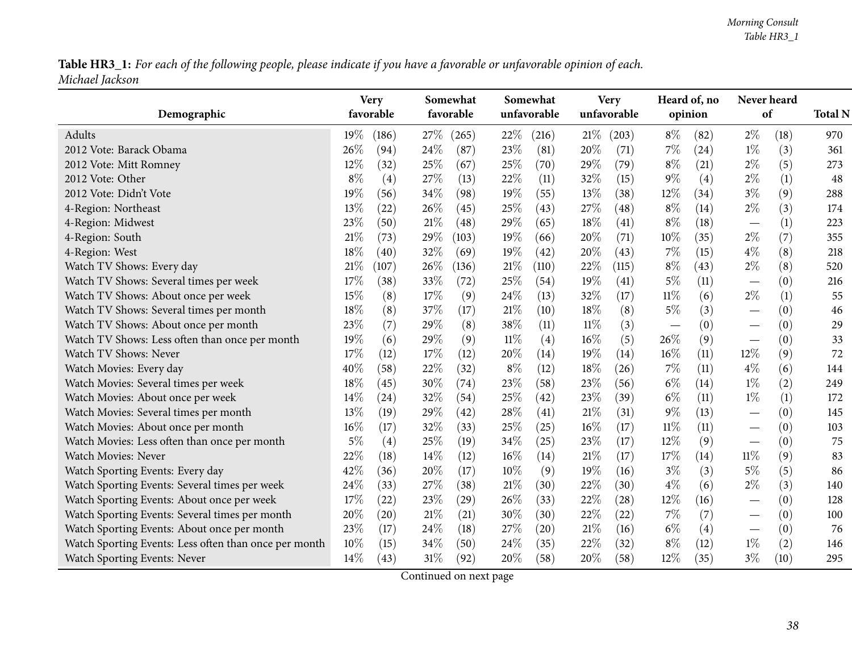Table HR3\_1: For each of the following people, please indicate if you have a favorable or unfavorable opinion of each. *Michael Jackson*

| Demographic                                           | <b>Very</b><br>favorable  |             | Somewhat<br>favorable |        | Somewhat<br>unfavorable |        | <b>Very</b><br>unfavorable |        | Heard of, no<br>opinion | Never heard<br>of                |      | <b>Total N</b> |
|-------------------------------------------------------|---------------------------|-------------|-----------------------|--------|-------------------------|--------|----------------------------|--------|-------------------------|----------------------------------|------|----------------|
| Adults                                                | 19%<br>(186)              | 27\%        | (265)                 | 22\%   | (216)                   | 21%    | (203)                      | $8\%$  | (82)                    | $2\%$                            | (18) | 970            |
| 2012 Vote: Barack Obama                               | 26%<br>(94)               | 24%         | (87)                  | 23%    | (81)                    | 20%    | (71)                       | $7\%$  | (24)                    | $1\%$                            | (3)  | 361            |
| 2012 Vote: Mitt Romney                                | 12%<br>(32)               | 25%         | (67)                  | 25%    | (70)                    | 29%    | (79)                       | $8\%$  | (21)                    | $2\%$                            | (5)  | 273            |
| 2012 Vote: Other                                      | $8\%$                     | 27\%<br>(4) | (13)                  | 22\%   | (11)                    | 32%    | (15)                       | $9\%$  | (4)                     | $2\%$                            | (1)  | 48             |
| 2012 Vote: Didn't Vote                                | 19%<br>(56)               | 34%         | (98)                  | 19%    | (55)                    | 13%    | (38)                       | 12%    | (34)                    | $3\%$                            | (9)  | 288            |
| 4-Region: Northeast                                   | 13%<br>(22)               | 26%         | (45)                  | 25%    | (43)                    | $27\%$ | (48)                       | $8\%$  | (14)                    | $2\%$                            | (3)  | 174            |
| 4-Region: Midwest                                     | 23\%<br>(50)              | 21%         | (48)                  | 29%    | (65)                    | 18%    | (41)                       | $8\%$  | (18)                    |                                  | (1)  | 223            |
| 4-Region: South                                       | 21%<br>(73)               | 29%         | (103)                 | 19%    | (66)                    | 20%    | (71)                       | $10\%$ | (35)                    | $2\%$                            | (7)  | 355            |
| 4-Region: West                                        | 18%<br>(40)               | 32%         | (69)                  | 19%    | (42)                    | 20%    | (43)                       | 7%     | (15)                    | $4\%$                            | (8)  | 218            |
| Watch TV Shows: Every day                             | 21\%<br>(107)             | 26%         | (136)                 | 21%    | (110)                   | 22%    | (115)                      | $8\%$  | (43)                    | $2\%$                            | (8)  | 520            |
| Watch TV Shows: Several times per week                | 17%<br>(38)               | 33%         | (72)                  | 25%    | (54)                    | 19%    | (41)                       | $5\%$  | (11)                    | $\qquad \qquad$                  | (0)  | 216            |
| Watch TV Shows: About once per week                   | 15%                       | (8)<br>17%  | (9)                   | 24\%   | (13)                    | 32%    | (17)                       | $11\%$ | (6)                     | $2\%$                            | (1)  | 55             |
| Watch TV Shows: Several times per month               | 18%                       | 37%<br>(8)  | (17)                  | 21\%   | (10)                    | 18%    | (8)                        | $5\%$  | (3)                     |                                  | (0)  | 46             |
| Watch TV Shows: About once per month                  | 23%                       | (7)<br>29%  | (8)                   | 38%    | (11)                    | $11\%$ | (3)                        |        | (0)                     |                                  | (0)  | 29             |
| Watch TV Shows: Less often than once per month        | 19%                       | 29%<br>(6)  | (9)                   | $11\%$ | (4)                     | $16\%$ | (5)                        | 26%    | (9)                     |                                  | (0)  | 33             |
| Watch TV Shows: Never                                 | 17%<br>(12)               | 17%         | (12)                  | 20%    | (14)                    | 19%    | (14)                       | 16%    | (11)                    | $12\%$                           | (9)  | 72             |
| Watch Movies: Every day                               | 40%<br>(58)               | 22%         | (32)                  | $8\%$  | (12)                    | 18%    | (26)                       | 7%     | (11)                    | $4\%$                            | (6)  | 144            |
| Watch Movies: Several times per week                  | 18%<br>(45)               | 30%         | (74)                  | 23%    | (58)                    | 23%    | (56)                       | $6\%$  | (14)                    | $1\%$                            | (2)  | 249            |
| Watch Movies: About once per week                     | 14%<br>(24)               | 32%         | (54)                  | 25%    | (42)                    | 23%    | (39)                       | $6\%$  | (11)                    | $1\%$                            | (1)  | 172            |
| Watch Movies: Several times per month                 | 13%<br>(19)               | 29%         | (42)                  | 28%    | (41)                    | $21\%$ | (31)                       | $9\%$  | (13)                    |                                  | (0)  | 145            |
| Watch Movies: About once per month                    | 16%<br>(17)               | 32%         | (33)                  | 25%    | (25)                    | $16\%$ | (17)                       | $11\%$ | (11)                    | $\qquad \qquad$                  | (0)  | 103            |
| Watch Movies: Less often than once per month          | $5\%$                     | 25%<br>(4)  | (19)                  | 34%    | (25)                    | 23%    | (17)                       | 12%    | (9)                     |                                  | (0)  | 75             |
| Watch Movies: Never                                   | 22%<br>(18)               | 14\%        | (12)                  | $16\%$ | (14)                    | $21\%$ | (17)                       | 17%    | (14)                    | $11\%$                           | (9)  | 83             |
| Watch Sporting Events: Every day                      | 42%<br>(36)               | 20%         | (17)                  | 10%    | (9)                     | 19%    | (16)                       | $3\%$  | (3)                     | $5\%$                            | (5)  | 86             |
| Watch Sporting Events: Several times per week         | 24%<br>(33)               | 27\%        | (38)                  | 21%    | (30)                    | 22%    | (30)                       | $4\%$  | (6)                     | $2\%$                            | (3)  | 140            |
| Watch Sporting Events: About once per week            | 17%<br>(22)               | 23%         | (29)                  | 26%    | (33)                    | 22%    | (28)                       | $12\%$ | (16)                    |                                  | (0)  | 128            |
| Watch Sporting Events: Several times per month        | 20%<br>$\left( 20\right)$ | 21%         | (21)                  | 30%    | (30)                    | 22%    | (22)                       | 7%     | (7)                     |                                  | (0)  | 100            |
| Watch Sporting Events: About once per month           | 23\%<br>(17)              | 24\%        | (18)                  | 27%    | (20)                    | 21%    | (16)                       | $6\%$  | (4)                     | $\overbrace{\phantom{12322111}}$ | (0)  | 76             |
| Watch Sporting Events: Less often than once per month | 10%<br>(15)               | 34%         | (50)                  | 24\%   | (35)                    | 22%    | (32)                       | $8\%$  | (12)                    | $1\%$                            | (2)  | 146            |
| Watch Sporting Events: Never                          | 14\%<br>(43)              | $31\%$      | (92)                  | 20%    | (58)                    | 20%    | (58)                       | $12\%$ | (35)                    | $3\%$                            | (10) | 295            |

Continued on next page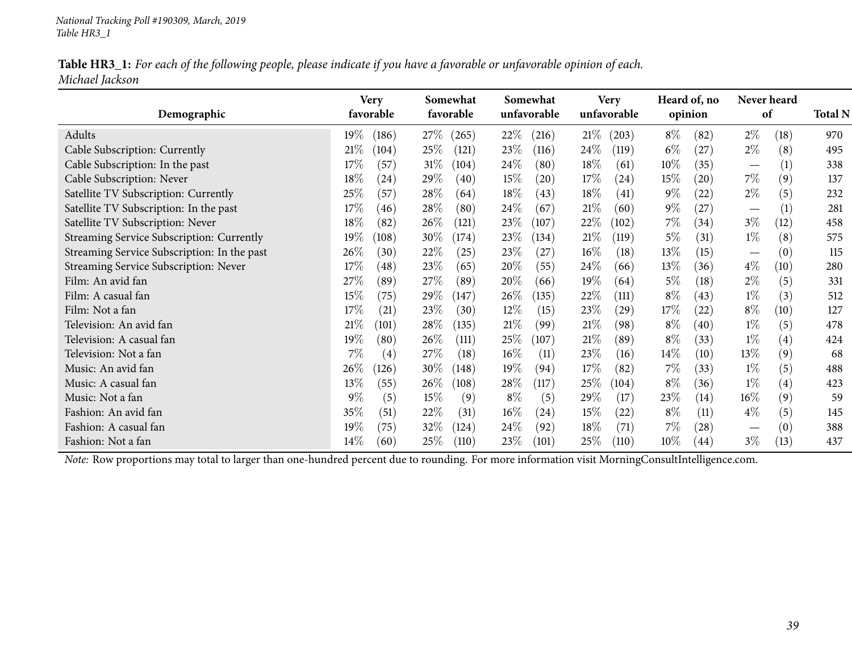| Table HR3_1: For each of the following people, please indicate if you have a favorable or unfavorable opinion of each. |  |
|------------------------------------------------------------------------------------------------------------------------|--|
| Michael Jackson                                                                                                        |  |

|                                             | <b>Very</b><br>favorable   | Somewhat<br>favorable | Somewhat<br>unfavorable    | <b>Very</b><br>unfavorable | Heard of, no                 | Never heard<br>of                      | <b>Total N</b> |
|---------------------------------------------|----------------------------|-----------------------|----------------------------|----------------------------|------------------------------|----------------------------------------|----------------|
| Demographic                                 |                            |                       |                            |                            | opinion                      |                                        |                |
| Adults                                      | 19%<br>(186)               | $27\%$<br>(265)       | 22%<br>(216)               | 21%<br>(203)               | $8\%$<br>(82)                | $2\%$<br>(18)                          | 970            |
| Cable Subscription: Currently               | 21%<br>(104)               | 25\%<br>(121)         | 23\%<br>(116)              | 24\%<br>(119)              | $6\%$<br>(27)                | $2\%$<br>(8)                           | 495            |
| Cable Subscription: In the past             | 17%<br>(57)                | 31%<br>(104)          | 24\%<br>(80)               | 18\%<br>(61)               | $10\%$<br>(35)               | (1)<br>$\overbrace{\phantom{13333}}$   | 338            |
| Cable Subscription: Never                   | 18\%<br>$\left( 24\right)$ | $29\%$<br>(40)        | 15\%<br>$\left( 20\right)$ | 17%<br>(24)                | $15\%$<br>$\left( 20\right)$ | $7\%$<br>(9)                           | 137            |
| Satellite TV Subscription: Currently        | 25\%<br>(57)               | $28\%$<br>(64)        | 18%<br>(43)                | 18\%<br>(41)               | $9\%$<br>$^{'}22)$           | $2\%$<br>(5)                           | 232            |
| Satellite TV Subscription: In the past      | 17%<br>(46)                | $28\%$<br>(80)        | 24\%<br>(67)               | 21%<br>(60)                | $9\%$<br>(27)                | (1)<br>$\hspace{0.1mm}-\hspace{0.1mm}$ | 281            |
| Satellite TV Subscription: Never            | 18%<br>(82)                | $26\%$<br>(121)       | 23\%<br>(107)              | 22\%<br>(102)              | 7%<br>(34)                   | $3\%$<br>(12)                          | 458            |
| Streaming Service Subscription: Currently   | $19\%$<br>(108)            | $30\%$<br>(174)       | 23\%<br>(134)              | 21%<br>(119)               | $5\%$<br>(31)                | $1\%$<br>(8)                           | 575            |
| Streaming Service Subscription: In the past | $26\%$<br>(30)             | $22\%$<br>(25)        | 23\%<br>(27)               | $16\%$<br>(18)             | $13\%$<br>(15)               | (0)                                    | 115            |
| Streaming Service Subscription: Never       | 17%<br>(48)                | $23\%$<br>(65)        | $20\%$<br>(55)             | 24\%<br>(66)               | $13\%$<br>(36)               | $4\%$<br>(10)                          | 280            |
| Film: An avid fan                           | 27%<br>(89)                | $27\%$<br>(89)        | $20\%$<br>(66)             | $19\%$<br>(64)             | $5\%$<br>(18)                | $2\%$<br>(5)                           | 331            |
| Film: A casual fan                          | 15%<br>(75)                | $29\%$<br>(147)       | $26\%$<br>(135)            | 22\%<br>(111)              | $8\%$<br>(43)                | $1\%$<br>(3)                           | 512            |
| Film: Not a fan                             | 17%<br>(21)                | 23\%<br>(30)          | $12\%$<br>(15)             | 23\%<br>$\left( 29\right)$ | 17%<br>(22)                  | $8\%$<br>(10)                          | 127            |
| Television: An avid fan                     | 21%<br>(101)               | $28\%$<br>(135)       | 21%<br>(99)                | 21%<br>(98)                | $8\%$<br>(40)                | $1\%$<br>(5)                           | 478            |
| Television: A casual fan                    | 19%<br>(80)                | $26\%$<br>(111)       | 25\%<br>(107)              | 21%<br>(89)                | $8\%$<br>(33)                | $1\%$<br>(4)                           | 424            |
| Television: Not a fan                       | 7%<br>(4)                  | $27\%$<br>(18)        | $16\%$<br>(11)             | 23\%<br>(16)               | $14\%$<br>(10)               | (9)<br>$13\%$                          | 68             |
| Music: An avid fan                          | $26\%$<br>126)             | $30\%$<br>(148)       | 19%<br>(94)                | 17%<br>(82)                | $7\%$<br>(33)                | (5)<br>$1\%$                           | 488            |
| Music: A casual fan                         | 13%<br>(55)                | $26\%$<br>(108)       | 28\%<br>(117)              | 25\%<br>(104)              | $8\%$<br>(36)                | $1\%$<br>(4)                           | 423            |
| Music: Not a fan                            | 9%<br>(5)                  | 15%<br>(9)            | $8\%$<br>(5)               | 29\%<br>(17)               | 23\%<br>(14)                 | $16\%$<br>(9)                          | 59             |
| Fashion: An avid fan                        | 35\%<br>(51)               | 22%<br>(31)           | $16\%$<br>(24)             | $15\%$<br>(22)             | $8\%$<br>(11)                | $4\%$<br>(5)                           | 145            |
| Fashion: A casual fan                       | 19%<br>(75)                | $32\%$<br>(124)       | $24\%$<br>(92)             | 18\%<br>(71)               | $7\%$<br>$\left( 28\right)$  | (0)                                    | 388            |
| Fashion: Not a fan                          | $14\%$<br>(60)             | $25\%$<br>(110)       | 23\%<br>(101)              | 25\%<br>(110)              | $10\%$<br>(44)               | $3\%$<br>(13)                          | 437            |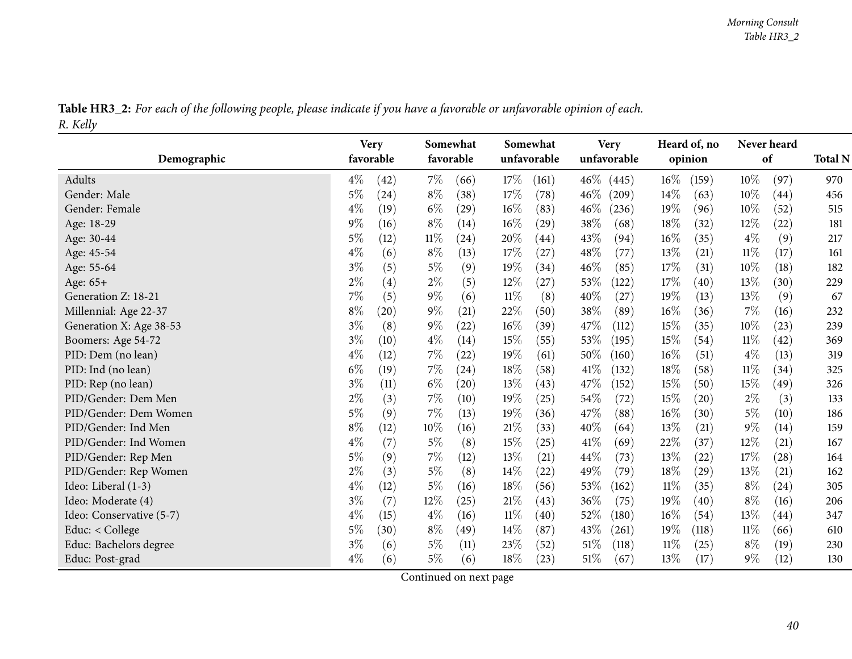|          |  | Table HR3_2: For each of the following people, please indicate if you have a favorable or unfavorable opinion of each. |  |
|----------|--|------------------------------------------------------------------------------------------------------------------------|--|
| R. Kelly |  |                                                                                                                        |  |

|                          |       | <b>Very</b> |        | Somewhat  |        | Somewhat    |        | <b>Very</b>  |        | Heard of, no |        | Never heard |                |
|--------------------------|-------|-------------|--------|-----------|--------|-------------|--------|--------------|--------|--------------|--------|-------------|----------------|
| Demographic              |       | favorable   |        | favorable |        | unfavorable |        | unfavorable  |        | opinion      | of     |             | <b>Total N</b> |
| Adults                   | $4\%$ | (42)        | $7\%$  | (66)      | 17\%   | (161)       |        | $46\%$ (445) | $16\%$ | (159)        | $10\%$ | (97)        | 970            |
| Gender: Male             | $5\%$ | (24)        | $8\%$  | (38)      | 17%    | (78)        | $46\%$ | (209)        | 14%    | (63)         | 10%    | (44)        | 456            |
| Gender: Female           | $4\%$ | (19)        | $6\%$  | (29)      | 16%    | (83)        | 46\%   | (236)        | 19%    | (96)         | 10%    | (52)        | 515            |
| Age: 18-29               | $9\%$ | (16)        | $8\%$  | (14)      | 16%    | (29)        | 38\%   | (68)         | 18%    | (32)         | 12%    | (22)        | 181            |
| Age: 30-44               | $5\%$ | (12)        | $11\%$ | (24)      | $20\%$ | (44)        | 43\%   | (94)         | 16%    | (35)         | $4\%$  | (9)         | 217            |
| Age: 45-54               | $4\%$ | (6)         | $8\%$  | (13)      | 17%    | (27)        | 48\%   | (77)         | 13%    | (21)         | $11\%$ | (17)        | 161            |
| Age: 55-64               | $3\%$ | (5)         | $5\%$  | (9)       | 19%    | (34)        | $46\%$ | (85)         | 17%    | (31)         | 10%    | (18)        | 182            |
| Age: 65+                 | $2\%$ | (4)         | $2\%$  | (5)       | 12%    | (27)        | 53\%   | (122)        | 17%    | (40)         | 13%    | (30)        | 229            |
| Generation Z: 18-21      | $7\%$ | (5)         | $9\%$  | (6)       | $11\%$ | (8)         | $40\%$ | (27)         | 19%    | (13)         | 13%    | (9)         | 67             |
| Millennial: Age 22-37    | $8\%$ | (20)        | $9\%$  | (21)      | 22\%   | (50)        | 38\%   | (89)         | 16%    | (36)         | $7\%$  | (16)        | 232            |
| Generation X: Age 38-53  | $3\%$ | (8)         | $9\%$  | (22)      | 16%    | (39)        | 47\%   | (112)        | 15%    | (35)         | 10%    | (23)        | 239            |
| Boomers: Age 54-72       | $3\%$ | (10)        | $4\%$  | (14)      | 15\%   | (55)        | 53\%   | (195)        | 15%    | (54)         | $11\%$ | (42)        | 369            |
| PID: Dem (no lean)       | $4\%$ | (12)        | $7\%$  | (22)      | 19%    | (61)        | 50\%   | (160)        | 16%    | (51)         | $4\%$  | (13)        | 319            |
| PID: Ind (no lean)       | $6\%$ | (19)        | $7\%$  | (24)      | 18%    | (58)        | $41\%$ | (132)        | 18%    | (58)         | $11\%$ | (34)        | 325            |
| PID: Rep (no lean)       | $3\%$ | (11)        | $6\%$  | (20)      | 13%    | (43)        | 47\%   | (152)        | 15%    | (50)         | 15%    | (49)        | 326            |
| PID/Gender: Dem Men      | $2\%$ | (3)         | $7\%$  | (10)      | 19%    | (25)        | 54\%   | (72)         | 15%    | (20)         | $2\%$  | (3)         | 133            |
| PID/Gender: Dem Women    | $5\%$ | (9)         | $7\%$  | (13)      | 19%    | (36)        | 47\%   | (88)         | 16%    | (30)         | $5\%$  | (10)        | 186            |
| PID/Gender: Ind Men      | $8\%$ | (12)        | $10\%$ | (16)      | $21\%$ | (33)        | 40\%   | (64)         | 13%    | (21)         | $9\%$  | (14)        | 159            |
| PID/Gender: Ind Women    | $4\%$ | (7)         | $5\%$  | (8)       | 15%    | (25)        | 41\%   | (69)         | 22%    | (37)         | 12%    | (21)        | 167            |
| PID/Gender: Rep Men      | $5\%$ | (9)         | $7\%$  | (12)      | 13\%   | (21)        | 44\%   | (73)         | 13%    | (22)         | 17\%   | (28)        | 164            |
| PID/Gender: Rep Women    | $2\%$ | (3)         | $5\%$  | (8)       | $14\%$ | (22)        | 49%    | (79)         | 18%    | (29)         | 13\%   | (21)        | 162            |
| Ideo: Liberal (1-3)      | $4\%$ | (12)        | $5\%$  | (16)      | 18%    | (56)        | 53\%   | (162)        | $11\%$ | (35)         | $8\%$  | (24)        | 305            |
| Ideo: Moderate (4)       | $3\%$ | (7)         | $12\%$ | (25)      | $21\%$ | (43)        | 36\%   | (75)         | 19%    | (40)         | $8\%$  | (16)        | 206            |
| Ideo: Conservative (5-7) | $4\%$ | (15)        | $4\%$  | (16)      | $11\%$ | (40)        | 52\%   | (180)        | $16\%$ | (54)         | 13%    | (44)        | 347            |
| Educ: < College          | $5\%$ | (30)        | $8\%$  | (49)      | 14%    | (87)        | 43%    | (261)        | 19%    | (118)        | $11\%$ | (66)        | 610            |
| Educ: Bachelors degree   | $3\%$ | (6)         | $5\%$  | (11)      | 23\%   | (52)        | 51%    | (118)        | $11\%$ | (25)         | $8\%$  | (19)        | 230            |
| Educ: Post-grad          | $4\%$ | (6)         | $5\%$  | (6)       | 18%    | (23)        | $51\%$ | (67)         | 13%    | (17)         | $9\%$  | (12)        | 130            |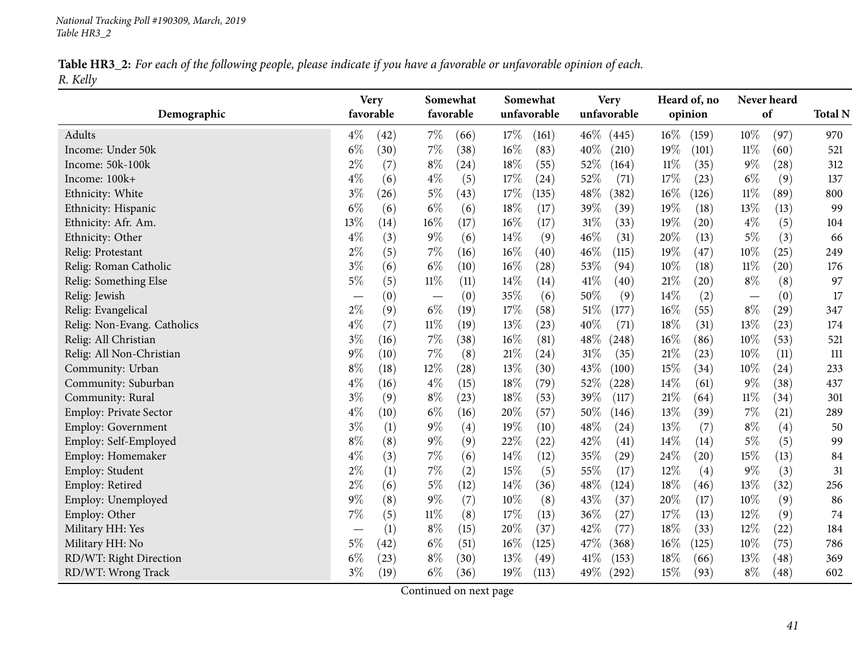|          | Table HR3_2: For each of the following people, please indicate if you have a favorable or unfavorable opinion of each. |  |  |  |  |
|----------|------------------------------------------------------------------------------------------------------------------------|--|--|--|--|
| R. Kelly |                                                                                                                        |  |  |  |  |

|                               |       | <b>Very</b> |        | Somewhat  |        | Somewhat           |        | <b>Very</b> |        | Heard of, no |        | Never heard |                |
|-------------------------------|-------|-------------|--------|-----------|--------|--------------------|--------|-------------|--------|--------------|--------|-------------|----------------|
| Demographic                   |       | favorable   |        | favorable |        | unfavorable        |        | unfavorable |        | opinion      |        | of          | <b>Total N</b> |
| Adults                        | $4\%$ | (42)        | $7\%$  | (66)      | 17%    | (161)              | $46\%$ | (445)       | $16\%$ | (159)        | $10\%$ | (97)        | 970            |
| Income: Under 50k             | $6\%$ | (30)        | $7\%$  | (38)      | $16\%$ | (83)               | 40%    | (210)       | 19%    | (101)        | $11\%$ | (60)        | 521            |
| Income: 50k-100k              | $2\%$ | (7)         | $8\%$  | (24)      | 18%    | (55)               | 52\%   | (164)       | $11\%$ | (35)         | $9\%$  | (28)        | 312            |
| Income: 100k+                 | $4\%$ | (6)         | $4\%$  | (5)       | 17\%   | (24)               | 52\%   | (71)        | 17%    | (23)         | $6\%$  | (9)         | 137            |
| Ethnicity: White              | $3\%$ | (26)        | $5\%$  | (43)      | 17%    | (135)              | 48\%   | (382)       | $16\%$ | (126)        | $11\%$ | (89)        | 800            |
| Ethnicity: Hispanic           | $6\%$ | (6)         | $6\%$  | (6)       | 18%    | (17)               | 39%    | (39)        | 19%    | (18)         | 13%    | (13)        | 99             |
| Ethnicity: Afr. Am.           | 13%   | (14)        | 16%    | (17)      | $16\%$ | (17)               | $31\%$ | (33)        | 19%    | (20)         | $4\%$  | (5)         | 104            |
| Ethnicity: Other              | $4\%$ | (3)         | $9\%$  | (6)       | 14%    | (9)                | 46%    | (31)        | 20%    | (13)         | $5\%$  | (3)         | 66             |
| Relig: Protestant             | $2\%$ | (5)         | $7\%$  | (16)      | $16\%$ | (40)               | 46%    | (115)       | 19%    | (47)         | 10%    | (25)        | 249            |
| Relig: Roman Catholic         | $3\%$ | (6)         | $6\%$  | (10)      | $16\%$ | (28)               | 53%    | (94)        | 10%    | (18)         | $11\%$ | (20)        | 176            |
| Relig: Something Else         | $5\%$ | (5)         | 11%    | (11)      | 14%    | (14)               | 41\%   | (40)        | 21%    | (20)         | $8\%$  | (8)         | 97             |
| Relig: Jewish                 |       | (0)         |        | (0)       | 35%    | (6)                | 50%    | (9)         | $14\%$ | (2)          |        | (0)         | 17             |
| Relig: Evangelical            | $2\%$ | (9)         | $6\%$  | (19)      | 17%    | (58)               | $51\%$ | (177)       | $16\%$ | (55)         | $8\%$  | (29)        | 347            |
| Relig: Non-Evang. Catholics   | $4\%$ | (7)         | $11\%$ | (19)      | 13%    | (23)               | 40%    | (71)        | 18%    | (31)         | 13\%   | (23)        | 174            |
| Relig: All Christian          | $3\%$ | (16)        | $7\%$  | (38)      | $16\%$ | (81)               | 48\%   | (248)       | 16%    | (86)         | 10%    | (53)        | 521            |
| Relig: All Non-Christian      | 9%    | (10)        | $7\%$  | (8)       | 21%    | (24)               | 31%    | (35)        | 21%    | (23)         | 10%    | (11)        | 111            |
| Community: Urban              | $8\%$ | (18)        | $12\%$ | (28)      | 13%    | (30)               | 43\%   | (100)       | 15%    | (34)         | 10%    | (24)        | 233            |
| Community: Suburban           | $4\%$ | (16)        | $4\%$  | (15)      | 18%    | (79)               | 52\%   | (228)       | 14%    | (61)         | $9\%$  | (38)        | 437            |
| Community: Rural              | $3\%$ | (9)         | $8\%$  | (23)      | 18%    | (53)               | 39%    | (117)       | 21%    | (64)         | $11\%$ | (34)        | 301            |
| <b>Employ: Private Sector</b> | $4\%$ | (10)        | $6\%$  | (16)      | 20%    | (57)               | 50\%   | (146)       | 13%    | (39)         | 7%     | (21)        | 289            |
| Employ: Government            | $3\%$ | (1)         | $9\%$  | (4)       | 19%    | (10)               | 48%    | (24)        | 13%    | (7)          | $8\%$  | (4)         | 50             |
| Employ: Self-Employed         | $8\%$ | (8)         | $9\%$  | (9)       | 22%    | $\left( 22\right)$ | 42%    | (41)        | $14\%$ | (14)         | $5\%$  | (5)         | 99             |
| Employ: Homemaker             | $4\%$ | (3)         | $7\%$  | (6)       | 14%    | (12)               | 35%    | (29)        | 24\%   | (20)         | 15%    | (13)        | 84             |
| Employ: Student               | $2\%$ | (1)         | $7\%$  | (2)       | 15%    | (5)                | 55%    | (17)        | $12\%$ | (4)          | $9\%$  | (3)         | 31             |
| Employ: Retired               | $2\%$ | (6)         | $5\%$  | (12)      | 14%    | (36)               | 48\%   | (124)       | 18%    | (46)         | 13%    | (32)        | 256            |
| Employ: Unemployed            | 9%    | (8)         | $9\%$  | (7)       | 10%    | (8)                | 43%    | (37)        | 20%    | (17)         | $10\%$ | (9)         | 86             |
| Employ: Other                 | $7\%$ | (5)         | $11\%$ | (8)       | 17%    | (13)               | 36%    | (27)        | 17%    | (13)         | 12%    | (9)         | 74             |
| Military HH: Yes              |       | (1)         | $8\%$  | (15)      | 20%    | (37)               | 42%    | (77)        | 18%    | (33)         | 12%    | (22)        | 184            |
| Military HH: No               | $5\%$ | (42)        | $6\%$  | (51)      | $16\%$ | (125)              | 47\%   | (368)       | $16\%$ | (125)        | 10%    | (75)        | 786            |
| RD/WT: Right Direction        | $6\%$ | (23)        | $8\%$  | (30)      | 13%    | (49)               | 41\%   | (153)       | 18%    | (66)         | 13%    | (48)        | 369            |
| RD/WT: Wrong Track            | $3\%$ | (19)        | $6\%$  | (36)      | 19%    | (113)              | 49%    | (292)       | 15%    | (93)         | $8\%$  | (48)        | 602            |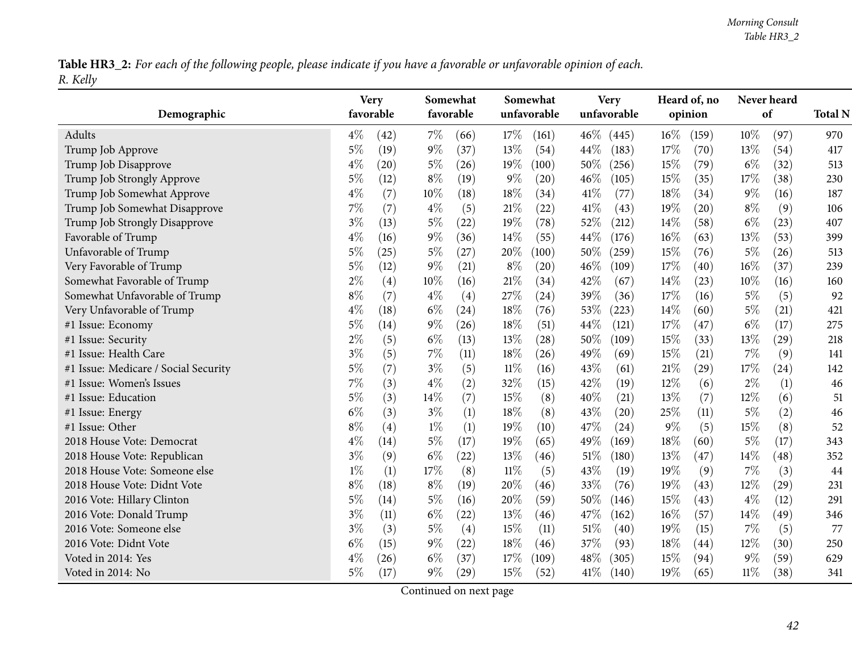Table HR3\_2: For each of the following people, please indicate if you have a favorable or unfavorable opinion of each. *R. Kelly*

|                                      | <b>Very</b> |      |       | Somewhat  |        | Somewhat    |        | <b>Very</b> |        | Heard of, no       |        | Never heard |                |
|--------------------------------------|-------------|------|-------|-----------|--------|-------------|--------|-------------|--------|--------------------|--------|-------------|----------------|
| Demographic                          | favorable   |      |       | favorable |        | unfavorable |        | unfavorable |        | opinion            |        | of          | <b>Total N</b> |
| Adults                               | $4\%$       | (42) | $7\%$ | (66)      | 17%    | (161)       | $46\%$ | (445)       | $16\%$ | (159)              | 10%    | (97)        | 970            |
| Trump Job Approve                    | 5%          | (19) | $9\%$ | (37)      | 13%    | (54)        | 44%    | (183)       | 17%    | (70)               | 13%    | (54)        | 417            |
| Trump Job Disapprove                 | $4\%$       | (20) | $5\%$ | (26)      | 19%    | (100)       | 50%    | (256)       | 15%    | (79)               | $6\%$  | (32)        | 513            |
| Trump Job Strongly Approve           | $5\%$       | (12) | $8\%$ | (19)      | $9\%$  | (20)        | 46%    | (105)       | $15\%$ | (35)               | 17%    | (38)        | 230            |
| Trump Job Somewhat Approve           | $4\%$       | (7)  | 10%   | (18)      | 18%    | (34)        | 41\%   | (77)        | 18%    | (34)               | $9\%$  | (16)        | 187            |
| Trump Job Somewhat Disapprove        | 7%          | (7)  | $4\%$ | (5)       | 21%    | (22)        | 41\%   | (43)        | 19%    | (20)               | $8\%$  | (9)         | 106            |
| Trump Job Strongly Disapprove        | $3\%$       | (13) | $5\%$ | (22)      | 19%    | (78)        | 52%    | (212)       | 14%    | (58)               | $6\%$  | (23)        | 407            |
| Favorable of Trump                   | $4\%$       | (16) | $9\%$ | (36)      | 14%    | (55)        | 44%    | (176)       | 16%    | (63)               | 13%    | (53)        | 399            |
| Unfavorable of Trump                 | 5%          | (25) | $5\%$ | (27)      | 20%    | (100)       | 50%    | (259)       | 15%    | (76)               | $5\%$  | (26)        | 513            |
| Very Favorable of Trump              | 5%          | (12) | $9\%$ | (21)      | $8\%$  | (20)        | 46\%   | (109)       | 17%    | (40)               | 16%    | (37)        | 239            |
| Somewhat Favorable of Trump          | $2\%$       | (4)  | 10%   | (16)      | 21%    | (34)        | 42%    | (67)        | 14%    | (23)               | 10%    | (16)        | 160            |
| Somewhat Unfavorable of Trump        | $8\%$       | (7)  | $4\%$ | (4)       | 27%    | (24)        | 39%    | (36)        | 17%    | (16)               | $5\%$  | (5)         | 92             |
| Very Unfavorable of Trump            | $4\%$       | (18) | $6\%$ | (24)      | 18%    | (76)        | 53%    | (223)       | 14%    | (60)               | $5\%$  | (21)        | 421            |
| #1 Issue: Economy                    | 5%          | (14) | $9\%$ | (26)      | 18%    | (51)        | 44%    | (121)       | 17%    | (47)               | $6\%$  | (17)        | 275            |
| #1 Issue: Security                   | $2\%$       | (5)  | $6\%$ | (13)      | 13%    | (28)        | 50%    | (109)       | 15%    | (33)               | 13%    | (29)        | 218            |
| #1 Issue: Health Care                | $3\%$       | (5)  | $7\%$ | (11)      | 18%    | (26)        | 49%    | (69)        | 15%    | (21)               | $7\%$  | (9)         | 141            |
| #1 Issue: Medicare / Social Security | 5%          | (7)  | $3\%$ | (5)       | $11\%$ | (16)        | 43%    | (61)        | 21%    | $\left( 29\right)$ | 17%    | (24)        | 142            |
| #1 Issue: Women's Issues             | 7%          | (3)  | $4\%$ | (2)       | 32%    | (15)        | 42%    | (19)        | 12%    | (6)                | $2\%$  | (1)         | 46             |
| #1 Issue: Education                  | 5%          | (3)  | 14%   | (7)       | 15%    | (8)         | 40%    | (21)        | 13%    | (7)                | 12%    | (6)         | 51             |
| #1 Issue: Energy                     | $6\%$       | (3)  | $3\%$ | (1)       | 18%    | (8)         | 43%    | (20)        | 25%    | (11)               | $5\%$  | (2)         | 46             |
| #1 Issue: Other                      | $8\%$       | (4)  | $1\%$ | (1)       | 19%    | (10)        | 47%    | (24)        | $9\%$  | (5)                | 15%    | (8)         | 52             |
| 2018 House Vote: Democrat            | $4\%$       | (14) | $5\%$ | (17)      | 19%    | (65)        | 49%    | (169)       | 18%    | (60)               | $5\%$  | (17)        | 343            |
| 2018 House Vote: Republican          | $3\%$       | (9)  | $6\%$ | (22)      | 13%    | (46)        | $51\%$ | (180)       | 13%    | (47)               | $14\%$ | (48)        | 352            |
| 2018 House Vote: Someone else        | $1\%$       | (1)  | 17%   | (8)       | $11\%$ | (5)         | 43%    | (19)        | 19%    | (9)                | $7\%$  | (3)         | 44             |
| 2018 House Vote: Didnt Vote          | $8\%$       | (18) | $8\%$ | (19)      | 20%    | (46)        | 33%    | (76)        | 19%    | (43)               | 12%    | (29)        | 231            |
| 2016 Vote: Hillary Clinton           | 5%          | (14) | $5\%$ | (16)      | 20%    | (59)        | 50%    | (146)       | 15%    | (43)               | $4\%$  | (12)        | 291            |
| 2016 Vote: Donald Trump              | $3\%$       | (11) | $6\%$ | (22)      | 13%    | (46)        | 47\%   | (162)       | 16%    | (57)               | 14\%   | (49)        | 346            |
| 2016 Vote: Someone else              | $3\%$       | (3)  | $5\%$ | (4)       | 15%    | (11)        | 51\%   | (40)        | 19%    | (15)               | $7\%$  | (5)         | 77             |
| 2016 Vote: Didnt Vote                | $6\%$       | (15) | $9\%$ | (22)      | 18%    | (46)        | 37%    | (93)        | 18%    | (44)               | 12%    | (30)        | 250            |
| Voted in 2014: Yes                   | $4\%$       | (26) | $6\%$ | (37)      | 17%    | (109)       | 48%    | (305)       | 15%    | (94)               | $9\%$  | (59)        | 629            |
| Voted in 2014: No                    | 5%          | (17) | $9\%$ | (29)      | 15%    | (52)        | $41\%$ | (140)       | 19%    | (65)               | $11\%$ | (38)        | 341            |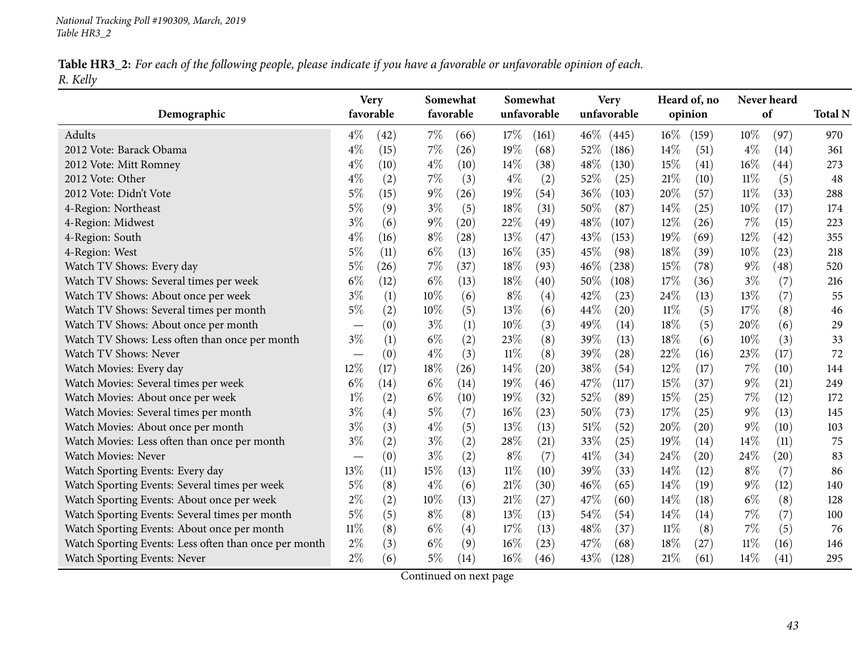Table HR3\_2: For each of the following people, please indicate if you have a favorable or unfavorable opinion of each. *R. Kelly*

|                                                       |        | <b>Very</b> |        | Somewhat  |        | Somewhat    |        | <b>Very</b> |        | Heard of, no |        | Never heard |                |
|-------------------------------------------------------|--------|-------------|--------|-----------|--------|-------------|--------|-------------|--------|--------------|--------|-------------|----------------|
| Demographic                                           |        | favorable   |        | favorable |        | unfavorable |        | unfavorable |        | opinion      |        | of          | <b>Total N</b> |
| Adults                                                | $4\%$  | (42)        | $7\%$  | (66)      | 17%    | (161)       | $46\%$ | (445)       | $16\%$ | (159)        | $10\%$ | (97)        | 970            |
| 2012 Vote: Barack Obama                               | $4\%$  | (15)        | $7\%$  | (26)      | 19%    | (68)        | $52\%$ | (186)       | 14%    | (51)         | $4\%$  | (14)        | 361            |
| 2012 Vote: Mitt Romney                                | $4\%$  | (10)        | $4\%$  | (10)      | 14\%   | (38)        | 48\%   | (130)       | 15%    | (41)         | $16\%$ | (44)        | 273            |
| 2012 Vote: Other                                      | $4\%$  | (2)         | $7\%$  | (3)       | $4\%$  | (2)         | 52%    | (25)        | 21\%   | (10)         | $11\%$ | (5)         | 48             |
| 2012 Vote: Didn't Vote                                | $5\%$  | (15)        | $9\%$  | (26)      | 19%    | (54)        | 36\%   | (103)       | 20%    | (57)         | 11%    | (33)        | 288            |
| 4-Region: Northeast                                   | $5\%$  | (9)         | $3\%$  | (5)       | 18%    | (31)        | 50%    | (87)        | 14%    | (25)         | 10%    | (17)        | 174            |
| 4-Region: Midwest                                     | $3\%$  | (6)         | $9\%$  | (20)      | 22%    | (49)        | 48%    | (107)       | 12%    | (26)         | 7%     | (15)        | 223            |
| 4-Region: South                                       | $4\%$  | (16)        | $8\%$  | (28)      | 13%    | (47)        | 43\%   | (153)       | 19%    | (69)         | 12%    | (42)        | 355            |
| 4-Region: West                                        | $5\%$  | (11)        | $6\%$  | (13)      | 16%    | (35)        | 45\%   | (98)        | 18%    | (39)         | $10\%$ | (23)        | 218            |
| Watch TV Shows: Every day                             | $5\%$  | (26)        | $7\%$  | (37)      | 18%    | (93)        | $46\%$ | (238)       | 15%    | (78)         | $9\%$  | (48)        | 520            |
| Watch TV Shows: Several times per week                | $6\%$  | (12)        | $6\%$  | (13)      | 18\%   | (40)        | 50%    | (108)       | 17\%   | (36)         | $3\%$  | (7)         | 216            |
| Watch TV Shows: About once per week                   | $3\%$  | (1)         | $10\%$ | (6)       | $8\%$  | (4)         | 42%    | (23)        | 24%    | (13)         | 13%    | (7)         | 55             |
| Watch TV Shows: Several times per month               | $5\%$  | (2)         | 10%    | (5)       | 13%    | (6)         | 44\%   | (20)        | $11\%$ | (5)          | 17%    | (8)         | 46             |
| Watch TV Shows: About once per month                  |        | (0)         | $3\%$  | (1)       | 10%    | (3)         | 49%    | (14)        | 18%    | (5)          | 20%    | (6)         | 29             |
| Watch TV Shows: Less often than once per month        | $3\%$  | (1)         | $6\%$  | (2)       | 23\%   | (8)         | 39%    | (13)        | 18%    | (6)          | 10%    | (3)         | 33             |
| Watch TV Shows: Never                                 |        | (0)         | $4\%$  | (3)       | $11\%$ | (8)         | 39%    | (28)        | 22%    | (16)         | 23%    | (17)        | 72             |
| Watch Movies: Every day                               | 12%    | (17)        | 18%    | (26)      | 14%    | (20)        | 38%    | (54)        | 12%    | (17)         | 7%     | (10)        | 144            |
| Watch Movies: Several times per week                  | $6\%$  | (14)        | $6\%$  | (14)      | 19%    | (46)        | 47%    | (117)       | 15%    | (37)         | $9\%$  | (21)        | 249            |
| Watch Movies: About once per week                     | $1\%$  | (2)         | $6\%$  | (10)      | 19%    | (32)        | 52%    | (89)        | 15%    | (25)         | 7%     | (12)        | 172            |
| Watch Movies: Several times per month                 | $3\%$  | (4)         | $5\%$  | (7)       | 16%    | (23)        | 50%    | (73)        | 17%    | (25)         | $9\%$  | (13)        | 145            |
| Watch Movies: About once per month                    | $3\%$  | (3)         | $4\%$  | (5)       | 13%    | (13)        | 51\%   | (52)        | 20%    | (20)         | $9\%$  | (10)        | 103            |
| Watch Movies: Less often than once per month          | $3\%$  | (2)         | $3\%$  | (2)       | 28%    | (21)        | 33%    | (25)        | 19%    | (14)         | 14%    | (11)        | 75             |
| Watch Movies: Never                                   |        | (0)         | $3\%$  | (2)       | $8\%$  | (7)         | 41\%   | (34)        | 24%    | (20)         | 24\%   | (20)        | 83             |
| Watch Sporting Events: Every day                      | 13%    | (11)        | 15%    | (13)      | $11\%$ | (10)        | 39%    | (33)        | 14\%   | (12)         | $8\%$  | (7)         | 86             |
| Watch Sporting Events: Several times per week         | $5\%$  | (8)         | $4\%$  | (6)       | $21\%$ | (30)        | 46%    | (65)        | 14%    | (19)         | $9\%$  | (12)        | 140            |
| Watch Sporting Events: About once per week            | $2\%$  | (2)         | $10\%$ | (13)      | 21%    | (27)        | 47%    | (60)        | 14\%   | (18)         | $6\%$  | (8)         | 128            |
| Watch Sporting Events: Several times per month        | $5\%$  | (5)         | $8\%$  | (8)       | 13\%   | (13)        | 54%    | (54)        | 14%    | (14)         | 7%     | (7)         | 100            |
| Watch Sporting Events: About once per month           | $11\%$ | (8)         | $6\%$  | (4)       | 17%    | (13)        | 48%    | (37)        | $11\%$ | (8)          | 7%     | (5)         | 76             |
| Watch Sporting Events: Less often than once per month | $2\%$  | (3)         | $6\%$  | (9)       | 16%    | (23)        | 47\%   | (68)        | 18%    | (27)         | 11%    | (16)        | 146            |
| Watch Sporting Events: Never                          | $2\%$  | (6)         | $5\%$  | (14)      | $16\%$ | (46)        | 43\%   | (128)       | 21%    | (61)         | 14%    | (41)        | 295            |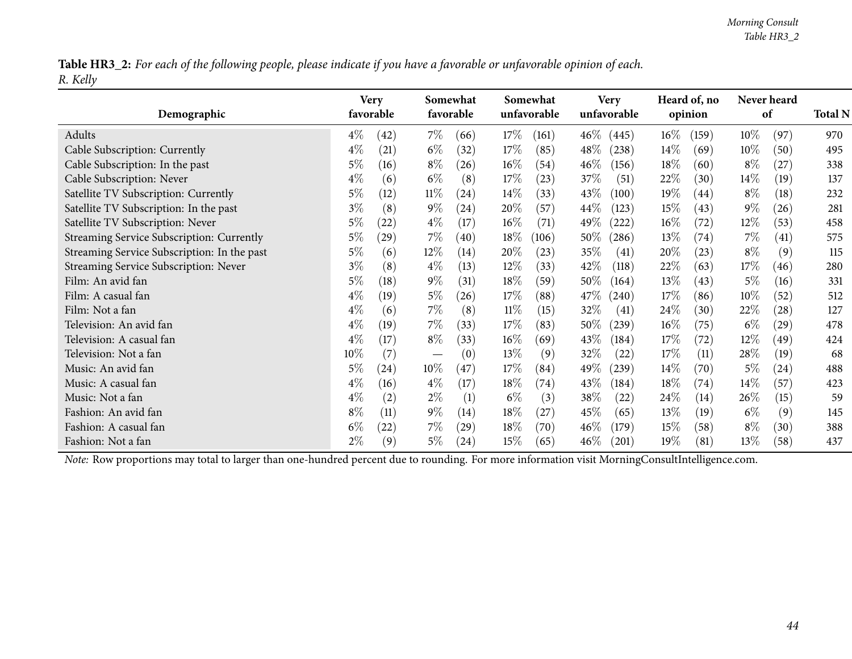Table HR3\_2: For each of the following people, please indicate if you have a favorable or unfavorable opinion of each. *R. Kelly*

|                                             | <b>Very</b> |                             | Somewhat  |        | Somewhat    |        | Very        |        | Heard of, no       |        | Never heard |                |
|---------------------------------------------|-------------|-----------------------------|-----------|--------|-------------|--------|-------------|--------|--------------------|--------|-------------|----------------|
| Demographic                                 | favorable   |                             | favorable |        | unfavorable |        | unfavorable |        | opinion            |        | of          | <b>Total N</b> |
| Adults                                      | $4\%$       | $7\%$<br>$\left( 42\right)$ | (66)      | 17\%   | (161)       | $46\%$ | (445)       | $16\%$ | (159)              | $10\%$ | (97)        | 970            |
| Cable Subscription: Currently               | $4\%$       | (21)<br>$6\%$               | (32)      | 17\%   | (85)        | $48\%$ | (238)       | $14\%$ | (69)               | $10\%$ | (50)        | 495            |
| Cable Subscription: In the past             | $5\%$       | $8\%$<br>(16)               | (26)      | $16\%$ | (54)        | $46\%$ | (156)       | 18%    | (60)               | $8\%$  | (27)        | 338            |
| Cable Subscription: Never                   | $4\%$       | $6\%$<br>(6)                | (8)       | 17\%   | (23)        | 37\%   | (51)        | 22\%   | (30)               | $14\%$ | (19)        | 137            |
| Satellite TV Subscription: Currently        | 5%          | $11\%$<br>(12)              | (24)      | $14\%$ | (33)        | 43\%   | (100)       | $19\%$ | (44)               | $8\%$  | (18)        | 232            |
| Satellite TV Subscription: In the past      | $3\%$       | (8)<br>$9\%$                | (24)      | 20%    | (57)        | $44\%$ | (123)       | $15\%$ | (43)               | $9\%$  | (26)        | 281            |
| Satellite TV Subscription: Never            | $5\%$       | (22)<br>$4\%$               | (17)      | $16\%$ | (71)        | 49\%   | (222)       | $16\%$ | (72)               | $12\%$ | (53)        | 458            |
| Streaming Service Subscription: Currently   | 5%          | $7\%$<br>(29)               | (40)      | $18\%$ | (106)       | $50\%$ | (286)       | $13\%$ | (74)               | $7\%$  | (41)        | 575            |
| Streaming Service Subscription: In the past | 5%          | $12\%$<br>(6)               | (14)      | 20%    | (23)        | 35\%   | (41)        | 20%    | (23)               | $8\%$  | (9)         | 115            |
| Streaming Service Subscription: Never       | $3\%$       | (8)<br>$4\%$                | (13)      | $12\%$ | (33)        | 42\%   | (118)       | 22\%   | (63)               | 17%    | (46)        | 280            |
| Film: An avid fan                           | $5\%$       | $9\%$<br>$\left(18\right)$  | (31)      | 18%    | (59)        | 50\%   | (164)       | 13\%   | (43)               | 5%     | (16)        | 331            |
| Film: A casual fan                          | $4\%$       | $5\%$<br>(19)               | (26)      | 17\%   | (88)        | 47\%   | (240)       | 17%    | (86)               | $10\%$ | (52)        | 512            |
| Film: Not a fan                             | $4\%$       | $7\%$<br>(6)                | (8)       | $11\%$ | (15)        | 32\%   | (41)        | 24\%   | (30)               | 22%    | (28)        | 127            |
| Television: An avid fan                     | $4\%$       | $7\%$<br>(19)               | (33)      | 17%    | (83)        | $50\%$ | (239)       | $16\%$ | (75)               | $6\%$  | (29)        | 478            |
| Television: A casual fan                    | $4\%$       | $8\%$<br>(17)               | (33)      | $16\%$ | (69)        | 43\%   | (184)       | 17%    | $\left( 72\right)$ | 12\%   | (49`        | 424            |
| Television: Not a fan                       | $10\%$      | (7)                         | (0)       | 13\%   | (9)         | 32\%   | (22)        | 17%    | (11)               | 28%    | (19)        | 68             |
| Music: An avid fan                          | $5\%$       | $10\%$<br>(24)              | (47)      | 17%    | (84)        | 49\%   | (239)       | $14\%$ | (70)               | $5\%$  | (24)        | 488            |
| Music: A casual fan                         | $4\%$       | $4\%$<br>(16)               | (17)      | 18%    | (74)        | 43\%   | (184)       | 18%    | (74)               | $14\%$ | (57)        | 423            |
| Music: Not a fan                            | $4\%$       | (2)<br>$2\%$                | (1)       | $6\%$  | (3)         | 38\%   | (22)        | 24\%   | (14)               | 26\%   | (15)        | 59             |
| Fashion: An avid fan                        | $8\%$       | $9\%$<br>(11)               | (14)      | $18\%$ | (27)        | $45\%$ | (65)        | $13\%$ | (19)               | $6\%$  | (9)         | 145            |
| Fashion: A casual fan                       | $6\%$       | $7\%$<br>(22)               | (29)      | $18\%$ | (70)        | $46\%$ | (179)       | $15\%$ | (58)               | $8\%$  | (30)        | 388            |
| Fashion: Not a fan                          | $2\%$       | 5%<br>(9)                   | (24)      | 15\%   | (65)        | $46\%$ | (201)       | 19%    | (81)               | 13\%   | (58)        | 437            |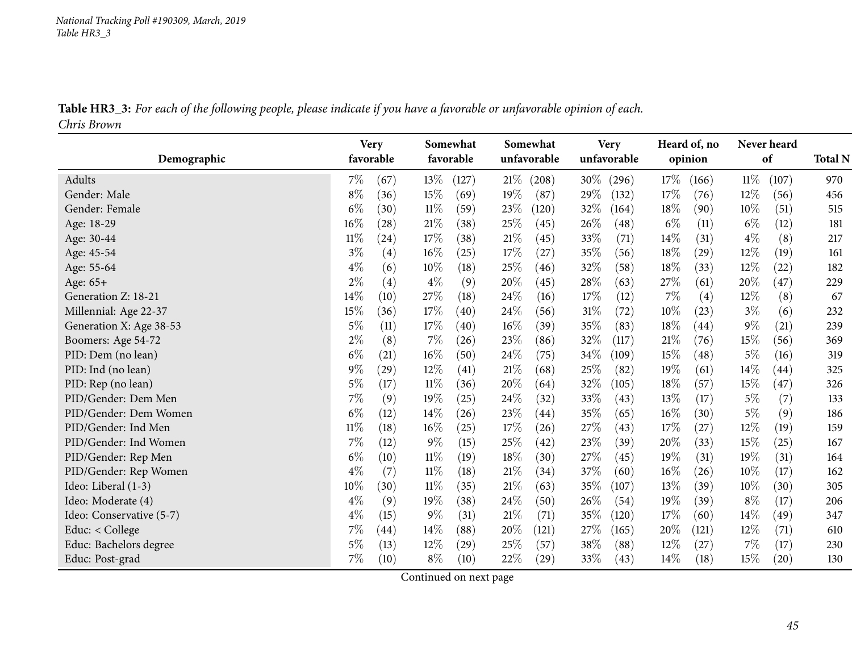Table HR3\_3: For each of the following people, please indicate if you have a favorable or unfavorable opinion of each. *Chris Brown*

|                          | <b>Very</b> |                   |        | Somewhat  |             | Somewhat |        | <b>Very</b> |        | Heard of, no       |        | Never heard |                |
|--------------------------|-------------|-------------------|--------|-----------|-------------|----------|--------|-------------|--------|--------------------|--------|-------------|----------------|
| Demographic              |             | favorable         |        | favorable | unfavorable |          |        | unfavorable |        | opinion            |        | of          | <b>Total N</b> |
| Adults                   | $7\%$       | (67)              | $13\%$ | (127)     | 21%         | (208)    | 30\%   | (296)       | $17\%$ | (166)              | $11\%$ | (107)       | 970            |
| Gender: Male             | $8\%$       | (36)              | 15%    | (69)      | 19%         | (87)     | 29%    | (132)       | 17%    | (76)               | 12%    | (56)        | 456            |
| Gender: Female           | $6\%$       | (30)              | $11\%$ | (59)      | 23%         | (120)    | 32%    | (164)       | 18%    | (90)               | $10\%$ | (51)        | 515            |
| Age: 18-29               | 16%         | $^{'}28)$         | $21\%$ | (38)      | 25%         | (45)     | $26\%$ | (48)        | $6\%$  | (11)               | $6\%$  | (12)        | 181            |
| Age: 30-44               | $11\%$      | (24)              | 17%    | (38)      | 21%         | (45)     | 33\%   | (71)        | 14%    | (31)               | $4\%$  | (8)         | 217            |
| Age: 45-54               | $3\%$       | (4)               | $16\%$ | (25)      | 17\%        | (27)     | 35%    | (56)        | 18%    | (29)               | $12\%$ | (19)        | 161            |
| Age: 55-64               | $4\%$       | (6)               | $10\%$ | (18)      | 25%         | (46)     | 32%    | (58)        | 18%    | (33)               | 12%    | (22)        | 182            |
| Age: 65+                 | $2\%$       | $\left( 4\right)$ | $4\%$  | (9)       | 20%         | (45)     | 28\%   | (63)        | 27\%   | (61)               | 20%    | (47)        | 229            |
| Generation Z: 18-21      | 14%         | (10)              | 27\%   | (18)      | 24%         | (16)     | $17\%$ | (12)        | $7\%$  | (4)                | 12%    | (8)         | 67             |
| Millennial: Age 22-37    | 15%         | (36)              | 17%    | (40)      | 24\%        | (56)     | $31\%$ | (72)        | $10\%$ | (23)               | $3\%$  | (6)         | 232            |
| Generation X: Age 38-53  | $5\%$       | (11)              | 17%    | (40)      | $16\%$      | (39)     | 35%    | (83)        | 18%    | (44)               | $9\%$  | (21)        | 239            |
| Boomers: Age 54-72       | $2\%$       | (8)               | $7\%$  | (26)      | 23%         | (86)     | 32%    | (117)       | $21\%$ | (76)               | 15%    | (56)        | 369            |
| PID: Dem (no lean)       | $6\%$       | (21)              | $16\%$ | (50)      | 24%         | (75)     | 34\%   | (109)       | 15%    | (48)               | $5\%$  | (16)        | 319            |
| PID: Ind (no lean)       | $9\%$       | $^{'}29)$         | $12\%$ | (41)      | 21%         | (68)     | 25\%   | (82)        | 19%    | (61)               | 14%    | (44)        | 325            |
| PID: Rep (no lean)       | $5\%$       | (17)              | $11\%$ | (36)      | 20%         | (64)     | 32%    | (105)       | 18%    | (57)               | 15%    | (47)        | 326            |
| PID/Gender: Dem Men      | 7%          | (9)               | 19%    | (25)      | 24\%        | (32)     | 33%    | (43)        | 13%    | (17)               | $5\%$  | (7)         | 133            |
| PID/Gender: Dem Women    | $6\%$       | (12)              | $14\%$ | (26)      | 23%         | (44)     | 35%    | (65)        | 16%    | (30)               | $5\%$  | (9)         | 186            |
| PID/Gender: Ind Men      | $11\%$      | (18)              | $16\%$ | (25)      | 17%         | (26)     | 27\%   | (43)        | 17%    | (27)               | 12%    | (19)        | 159            |
| PID/Gender: Ind Women    | 7%          | (12)              | $9\%$  | (15)      | 25%         | (42)     | 23\%   | (39)        | 20%    | (33)               | 15%    | (25)        | 167            |
| PID/Gender: Rep Men      | $6\%$       | (10)              | $11\%$ | (19)      | 18%         | (30)     | $27\%$ | (45)        | 19%    | (31)               | 19%    | (31)        | 164            |
| PID/Gender: Rep Women    | $4\%$       | (7)               | $11\%$ | (18)      | 21%         | (34)     | 37\%   | (60)        | 16%    | (26)               | $10\%$ | (17)        | 162            |
| Ideo: Liberal (1-3)      | $10\%$      | (30)              | $11\%$ | (35)      | $21\%$      | (63)     | 35%    | (107)       | 13%    | (39)               | $10\%$ | (30)        | 305            |
| Ideo: Moderate (4)       | $4\%$       | (9)               | 19%    | (38)      | 24%         | (50)     | 26\%   | (54)        | 19%    | (39)               | $8\%$  | (17)        | 206            |
| Ideo: Conservative (5-7) | $4\%$       | (15)              | $9\%$  | (31)      | 21%         | (71)     | 35\%   | (120)       | 17%    | (60)               | $14\%$ | (49)        | 347            |
| Educ: < College          | 7%          | (44)              | $14\%$ | (88)      | 20%         | (121)    | 27\%   | (165)       | 20%    | (121)              | $12\%$ | (71)        | 610            |
| Educ: Bachelors degree   | $5\%$       | (13)              | $12\%$ | (29)      | 25%         | (57)     | 38%    | (88)        | $12\%$ | $\left( 27\right)$ | $7\%$  | (17)        | 230            |
| Educ: Post-grad          | 7%          | (10)              | $8\%$  | (10)      | 22%         | (29)     | 33%    | (43)        | 14\%   | (18)               | 15%    | (20)        | 130            |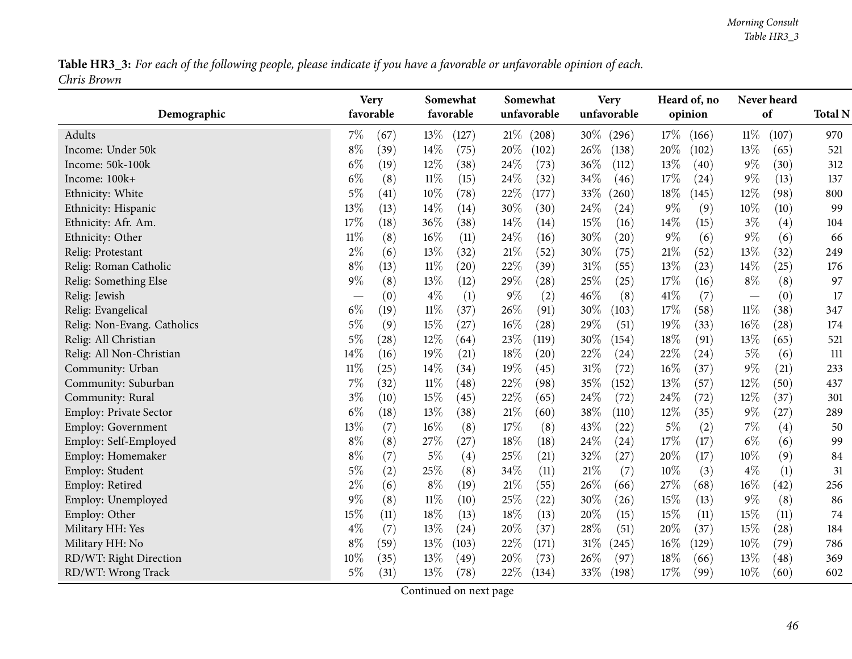Table HR3\_3: For each of the following people, please indicate if you have a favorable or unfavorable opinion of each. *Chris Brown*

|                               |        | Somewhat<br><b>Very</b><br>favorable<br>favorable |        |                   | Somewhat | <b>Very</b><br>unfavorable |        | Heard of, no |        | Never heard |        |       |                |
|-------------------------------|--------|---------------------------------------------------|--------|-------------------|----------|----------------------------|--------|--------------|--------|-------------|--------|-------|----------------|
| Demographic                   |        |                                                   |        |                   |          | unfavorable                |        |              |        | opinion     |        | of    | <b>Total N</b> |
| Adults                        | $7\%$  | (67)                                              | 13\%   | (127)             | 21%      | (208)                      | 30\%   | (296)        | 17%    | (166)       | $11\%$ | (107) | 970            |
| Income: Under 50k             | $8\%$  | (39)                                              | 14%    | (75)              | 20%      | (102)                      | 26\%   | (138)        | 20%    | (102)       | 13%    | (65)  | 521            |
| Income: 50k-100k              | $6\%$  | (19)                                              | $12\%$ | (38)              | 24\%     | (73)                       | 36%    | (112)        | 13%    | (40)        | $9\%$  | (30)  | 312            |
| Income: 100k+                 | $6\%$  | (8)                                               | $11\%$ | (15)              | 24\%     | (32)                       | 34\%   | (46)         | 17%    | (24)        | $9\%$  | (13)  | 137            |
| Ethnicity: White              | $5\%$  | (41)                                              | 10%    | (78)              | 22%      | (177)                      | 33%    | (260)        | $18\%$ | (145)       | 12%    | (98)  | 800            |
| Ethnicity: Hispanic           | $13\%$ | (13)                                              | 14%    | (14)              | 30%      | (30)                       | 24%    | (24)         | 9%     | (9)         | 10%    | (10)  | 99             |
| Ethnicity: Afr. Am.           | 17%    | (18)                                              | $36\%$ | (38)              | 14%      | (14)                       | 15%    | (16)         | 14%    | (15)        | $3\%$  | (4)   | 104            |
| Ethnicity: Other              | $11\%$ | (8)                                               | $16\%$ | (11)              | 24%      | (16)                       | 30%    | (20)         | 9%     | (6)         | $9\%$  | (6)   | 66             |
| Relig: Protestant             | $2\%$  | (6)                                               | 13%    | (32)              | 21%      | (52)                       | 30%    | (75)         | 21%    | (52)        | 13%    | (32)  | 249            |
| Relig: Roman Catholic         | $8\%$  | (13)                                              | $11\%$ | (20)              | 22%      | (39)                       | $31\%$ | (55)         | 13%    | (23)        | 14%    | (25)  | 176            |
| Relig: Something Else         | $9\%$  | (8)                                               | $13\%$ | (12)              | 29%      | (28)                       | 25%    | (25)         | 17%    | (16)        | $8\%$  | (8)   | 97             |
| Relig: Jewish                 |        | (0)                                               | $4\%$  | (1)               | $9\%$    | (2)                        | 46%    | (8)          | 41\%   | (7)         |        | (0)   | 17             |
| Relig: Evangelical            | $6\%$  | (19)                                              | $11\%$ | (37)              | 26%      | (91)                       | $30\%$ | (103)        | 17%    | (58)        | $11\%$ | (38)  | 347            |
| Relig: Non-Evang. Catholics   | $5\%$  | (9)                                               | 15%    | (27)              | 16%      | (28)                       | 29%    | (51)         | 19%    | (33)        | $16\%$ | (28)  | 174            |
| Relig: All Christian          | $5\%$  | (28)                                              | 12%    | (64)              | 23%      | (119)                      | 30\%   | (154)        | 18%    | (91)        | 13%    | (65)  | 521            |
| Relig: All Non-Christian      | 14%    | (16)                                              | 19%    | (21)              | 18%      | (20)                       | 22%    | (24)         | 22%    | (24)        | $5\%$  | (6)   | 111            |
| Community: Urban              | $11\%$ | (25)                                              | 14%    | (34)              | 19%      | (45)                       | 31%    | (72)         | 16%    | (37)        | $9\%$  | (21)  | 233            |
| Community: Suburban           | $7\%$  | (32)                                              | $11\%$ | (48)              | 22%      | (98)                       | 35%    | (152)        | 13%    | (57)        | 12%    | (50)  | 437            |
| Community: Rural              | $3\%$  | (10)                                              | 15%    | (45)              | 22%      | (65)                       | 24\%   | (72)         | 24%    | (72)        | 12%    | (37)  | 301            |
| <b>Employ: Private Sector</b> | $6\%$  | (18)                                              | 13%    | (38)              | $21\%$   | (60)                       | 38%    | (110)        | 12%    | (35)        | $9\%$  | (27)  | 289            |
| <b>Employ: Government</b>     | 13%    | (7)                                               | $16\%$ | (8)               | 17%      | (8)                        | 43%    | (22)         | $5\%$  | (2)         | 7%     | (4)   | 50             |
| Employ: Self-Employed         | $8\%$  | (8)                                               | 27\%   | (27)              | 18%      | (18)                       | 24\%   | (24)         | 17%    | (17)        | $6\%$  | (6)   | 99             |
| Employ: Homemaker             | $8\%$  | (7)                                               | $5\%$  | $\left( 4\right)$ | 25%      | (21)                       | 32%    | (27)         | 20%    | (17)        | 10%    | (9)   | 84             |
| Employ: Student               | $5\%$  | (2)                                               | 25\%   | (8)               | 34\%     | (11)                       | 21%    | (7)          | 10%    | (3)         | $4\%$  | (1)   | 31             |
| Employ: Retired               | $2\%$  | (6)                                               | $8\%$  | (19)              | 21%      | (55)                       | 26%    | (66)         | 27%    | (68)        | 16%    | (42)  | 256            |
| Employ: Unemployed            | $9\%$  | (8)                                               | $11\%$ | (10)              | 25%      | (22)                       | 30%    | (26)         | 15%    | (13)        | $9\%$  | (8)   | 86             |
| Employ: Other                 | 15%    | (11)                                              | 18\%   | (13)              | 18%      | (13)                       | 20%    | (15)         | 15%    | (11)        | 15%    | (11)  | 74             |
| Military HH: Yes              | $4\%$  | (7)                                               | 13%    | (24)              | 20%      | (37)                       | 28\%   | (51)         | 20%    | (37)        | 15%    | (28)  | 184            |
| Military HH: No               | $8\%$  | (59)                                              | 13\%   | (103)             | 22%      | (171)                      | $31\%$ | (245)        | $16\%$ | (129)       | 10%    | (79)  | 786            |
| RD/WT: Right Direction        | 10%    | (35)                                              | 13%    | (49)              | 20%      | (73)                       | 26\%   | (97)         | 18%    | (66)        | 13%    | (48)  | 369            |
| RD/WT: Wrong Track            | 5%     | (31)                                              | 13\%   | (78)              | 22\%     | (134)                      | 33\%   | (198)        | 17%    | (99)        | 10%    | (60)  | 602            |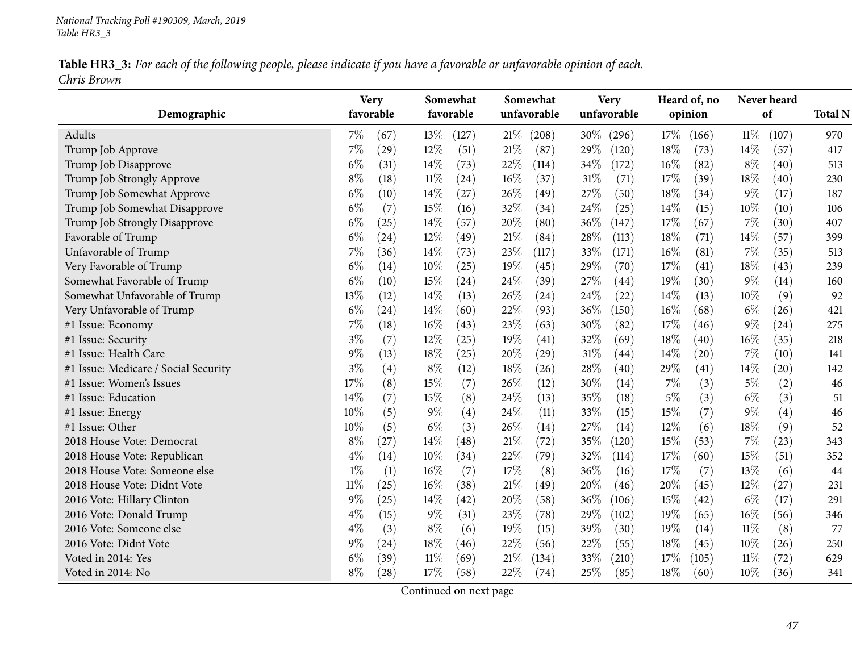| <b>Table HR3_3:</b> For each of the following people, please indicate if you have a favorable or unfavorable opinion of each. |  |
|-------------------------------------------------------------------------------------------------------------------------------|--|
| Chris Brown                                                                                                                   |  |

|                                      |        | <b>Very</b>       |        | Somewhat  |        | Somewhat    |        | <b>Very</b> |         | Heard of, no |        | Never heard |                |
|--------------------------------------|--------|-------------------|--------|-----------|--------|-------------|--------|-------------|---------|--------------|--------|-------------|----------------|
| Demographic                          |        | favorable         |        | favorable |        | unfavorable |        | unfavorable | opinion |              | of     |             | <b>Total N</b> |
| Adults                               | $7\%$  | (67)              | $13\%$ | (127)     | 21%    | (208)       | $30\%$ | (296)       | 17%     | (166)        | $11\%$ | (107)       | 970            |
| Trump Job Approve                    | 7%     | (29)              | 12%    | (51)      | 21%    | (87)        | 29%    | (120)       | 18%     | (73)         | 14%    | (57)        | 417            |
| Trump Job Disapprove                 | $6\%$  | (31)              | 14\%   | (73)      | 22\%   | (114)       | 34\%   | (172)       | $16\%$  | (82)         | $8\%$  | (40)        | 513            |
| Trump Job Strongly Approve           | $8\%$  | (18)              | $11\%$ | (24)      | $16\%$ | (37)        | $31\%$ | (71)        | 17%     | (39)         | 18%    | (40)        | 230            |
| Trump Job Somewhat Approve           | $6\%$  | (10)              | 14\%   | (27)      | 26%    | (49)        | 27%    | (50)        | 18%     | (34)         | $9\%$  | (17)        | 187            |
| Trump Job Somewhat Disapprove        | $6\%$  | (7)               | 15%    | (16)      | 32%    | (34)        | 24%    | (25)        | 14%     | (15)         | $10\%$ | (10)        | 106            |
| Trump Job Strongly Disapprove        | $6\%$  | (25)              | 14%    | (57)      | 20%    | (80)        | 36%    | (147)       | 17%     | (67)         | 7%     | (30)        | 407            |
| Favorable of Trump                   | $6\%$  | (24)              | $12\%$ | (49)      | 21%    | (84)        | $28\%$ | (113)       | 18%     | (71)         | 14\%   | (57)        | 399            |
| Unfavorable of Trump                 | 7%     | (36)              | $14\%$ | (73)      | 23%    | (117)       | 33%    | (171)       | 16%     | (81)         | 7%     | (35)        | 513            |
| Very Favorable of Trump              | $6\%$  | (14)              | 10%    | (25)      | 19%    | (45)        | 29%    | (70)        | 17%     | (41)         | 18%    | (43)        | 239            |
| Somewhat Favorable of Trump          | $6\%$  | (10)              | 15%    | (24)      | 24%    | (39)        | 27%    | (44)        | 19%     | (30)         | $9\%$  | (14)        | 160            |
| Somewhat Unfavorable of Trump        | 13%    | (12)              | 14\%   | (13)      | 26%    | (24)        | 24\%   | (22)        | 14\%    | (13)         | 10%    | (9)         | 92             |
| Very Unfavorable of Trump            | $6\%$  | (24)              | $14\%$ | (60)      | 22%    | (93)        | 36\%   | (150)       | 16%     | (68)         | $6\%$  | (26)        | 421            |
| #1 Issue: Economy                    | 7%     | (18)              | $16\%$ | (43)      | 23%    | (63)        | 30%    | (82)        | 17%     | (46)         | $9\%$  | (24)        | 275            |
| #1 Issue: Security                   | $3\%$  | (7)               | 12%    | (25)      | 19%    | (41)        | 32%    | (69)        | 18%     | (40)         | 16%    | (35)        | 218            |
| #1 Issue: Health Care                | $9\%$  | (13)              | 18%    | (25)      | 20%    | (29)        | 31%    | (44)        | 14%     | (20)         | 7%     | (10)        | 141            |
| #1 Issue: Medicare / Social Security | $3\%$  | $\left( 4\right)$ | $8\%$  | (12)      | 18%    | (26)        | 28\%   | (40)        | 29%     | (41)         | 14\%   | (20)        | 142            |
| #1 Issue: Women's Issues             | 17%    | (8)               | 15%    | (7)       | 26%    | (12)        | 30%    | (14)        | 7%      | (3)          | $5\%$  | (2)         | 46             |
| #1 Issue: Education                  | 14%    | (7)               | 15%    | (8)       | 24%    | (13)        | 35%    | (18)        | $5\%$   | (3)          | $6\%$  | (3)         | 51             |
| #1 Issue: Energy                     | 10%    | (5)               | $9\%$  | (4)       | 24%    | (11)        | 33%    | (15)        | 15%     | (7)          | $9\%$  | (4)         | 46             |
| #1 Issue: Other                      | 10%    | (5)               | $6\%$  | (3)       | 26%    | (14)        | 27%    | (14)        | 12%     | (6)          | 18%    | (9)         | 52             |
| 2018 House Vote: Democrat            | $8\%$  | (27)              | 14\%   | (48)      | 21%    | (72)        | 35%    | (120)       | 15%     | (53)         | 7%     | (23)        | 343            |
| 2018 House Vote: Republican          | $4\%$  | (14)              | $10\%$ | (34)      | 22%    | (79)        | 32\%   | (114)       | 17%     | (60)         | 15%    | (51)        | 352            |
| 2018 House Vote: Someone else        | $1\%$  | (1)               | 16%    | (7)       | 17%    | (8)         | 36%    | (16)        | 17%     | (7)          | 13%    | (6)         | 44             |
| 2018 House Vote: Didnt Vote          | $11\%$ | (25)              | 16%    | (38)      | 21%    | (49)        | 20%    | (46)        | 20%     | (45)         | 12%    | (27)        | 231            |
| 2016 Vote: Hillary Clinton           | $9\%$  | (25)              | 14\%   | (42)      | 20%    | (58)        | 36%    | (106)       | 15%     | (42)         | $6\%$  | (17)        | 291            |
| 2016 Vote: Donald Trump              | $4\%$  | (15)              | $9\%$  | (31)      | 23%    | (78)        | 29%    | (102)       | 19%     | (65)         | $16\%$ | (56)        | 346            |
| 2016 Vote: Someone else              | $4\%$  | (3)               | $8\%$  | (6)       | 19%    | (15)        | 39%    | (30)        | 19%     | (14)         | $11\%$ | (8)         | 77             |
| 2016 Vote: Didnt Vote                | $9\%$  | (24)              | 18\%   | (46)      | 22%    | (56)        | 22%    | (55)        | 18%     | (45)         | 10%    | (26)        | 250            |
| Voted in 2014: Yes                   | $6\%$  | (39)              | 11%    | (69)      | 21%    | (134)       | 33%    | (210)       | 17%     | (105)        | 11%    | (72)        | 629            |
| Voted in 2014: No                    | $8\%$  | (28)              | 17%    | (58)      | 22%    | (74)        | 25%    | (85)        | 18%     | (60)         | 10%    | (36)        | 341            |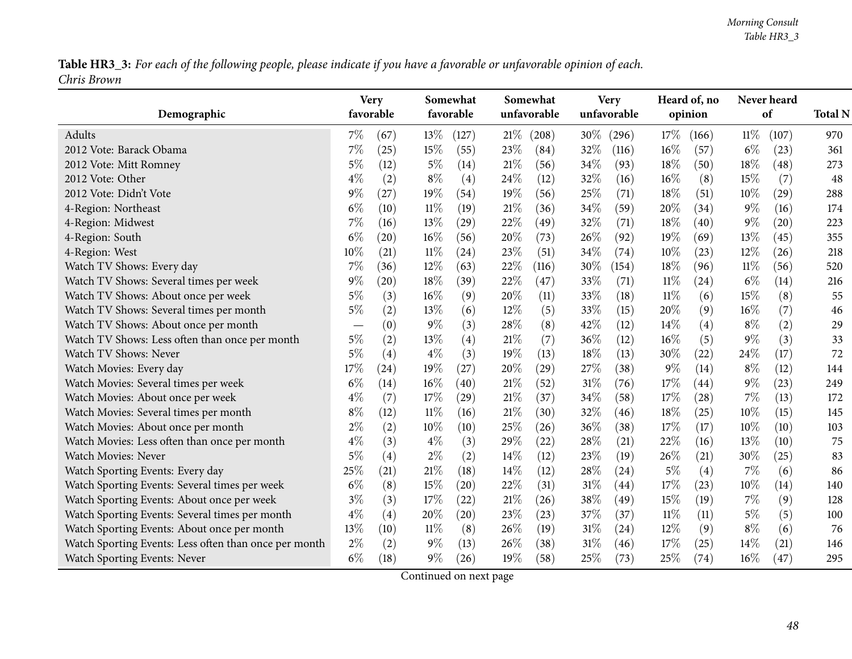Table HR3\_3: For each of the following people, please indicate if you have a favorable or unfavorable opinion of each. *Chris Brown*

|                                                       |       | <b>Very</b>        | Somewhat |           | Somewhat |             | <b>Very</b> |             | Heard of, no |                    | Never heard |       |                |
|-------------------------------------------------------|-------|--------------------|----------|-----------|----------|-------------|-------------|-------------|--------------|--------------------|-------------|-------|----------------|
| Demographic                                           |       | favorable          |          | favorable |          | unfavorable |             | unfavorable |              | opinion            |             | of    | <b>Total N</b> |
| Adults                                                | $7\%$ | (67)               | $13\%$   | (127)     | 21%      | (208)       | $30\%$      | (296)       | 17%          | (166)              | $11\%$      | (107) | 970            |
| 2012 Vote: Barack Obama                               | 7%    | (25)               | $15\%$   | (55)      | 23%      | (84)        | 32%         | (116)       | 16%          | (57)               | $6\%$       | (23)  | 361            |
| 2012 Vote: Mitt Romney                                | $5\%$ | (12)               | $5\%$    | (14)      | 21%      | (56)        | 34%         | (93)        | 18%          | (50)               | 18%         | (48)  | 273            |
| 2012 Vote: Other                                      | $4\%$ | (2)                | $8\%$    | (4)       | 24%      | (12)        | 32%         | (16)        | 16%          | (8)                | 15%         | (7)   | 48             |
| 2012 Vote: Didn't Vote                                | $9\%$ | (27)               | $19\%$   | (54)      | 19%      | (56)        | 25%         | (71)        | 18%          | (51)               | 10%         | (29)  | 288            |
| 4-Region: Northeast                                   | $6\%$ | (10)               | $11\%$   | (19)      | 21%      | (36)        | 34%         | (59)        | 20%          | (34)               | $9\%$       | (16)  | 174            |
| 4-Region: Midwest                                     | 7%    | (16)               | 13%      | (29)      | 22%      | (49)        | 32%         | (71)        | 18%          | (40)               | $9\%$       | (20)  | 223            |
| 4-Region: South                                       | $6\%$ | $\left( 20\right)$ | $16\%$   | (56)      | 20%      | (73)        | 26\%        | (92)        | 19%          | (69)               | 13%         | (45)  | 355            |
| 4-Region: West                                        | 10%   | (21)               | $11\%$   | (24)      | 23%      | (51)        | 34%         | (74)        | 10%          | (23)               | 12%         | (26)  | 218            |
| Watch TV Shows: Every day                             | 7%    | (36)               | $12\%$   | (63)      | 22%      | (116)       | 30%         | (154)       | 18%          | (96)               | $11\%$      | (56)  | 520            |
| Watch TV Shows: Several times per week                | $9\%$ | $\left( 20\right)$ | 18%      | (39)      | 22%      | (47)        | 33%         | (71)        | $11\%$       | (24)               | $6\%$       | (14)  | 216            |
| Watch TV Shows: About once per week                   | $5\%$ | (3)                | $16\%$   | (9)       | 20%      | (11)        | 33%         | (18)        | $11\%$       | (6)                | 15%         | (8)   | 55             |
| Watch TV Shows: Several times per month               | $5\%$ | (2)                | 13%      | (6)       | 12%      | (5)         | 33%         | (15)        | 20%          | (9)                | $16\%$      | (7)   | 46             |
| Watch TV Shows: About once per month                  |       | (0)                | $9\%$    | (3)       | 28%      | (8)         | 42%         | (12)        | 14%          | (4)                | $8\%$       | (2)   | 29             |
| Watch TV Shows: Less often than once per month        | $5\%$ | (2)                | 13\%     | (4)       | 21%      | (7)         | 36%         | (12)        | 16%          | (5)                | $9\%$       | (3)   | 33             |
| Watch TV Shows: Never                                 | $5\%$ | (4)                | $4\%$    | (3)       | 19%      | (13)        | 18%         | (13)        | 30%          | (22)               | 24\%        | (17)  | 72             |
| Watch Movies: Every day                               | 17%   | (24)               | 19%      | (27)      | 20%      | (29)        | 27%         | (38)        | $9\%$        | (14)               | $8\%$       | (12)  | 144            |
| Watch Movies: Several times per week                  | $6\%$ | (14)               | $16\%$   | (40)      | 21%      | (52)        | 31%         | (76)        | 17%          | $\left( 44\right)$ | $9\%$       | (23)  | 249            |
| Watch Movies: About once per week                     | $4\%$ | (7)                | 17%      | (29)      | 21%      | (37)        | 34%         | (58)        | 17%          | (28)               | 7%          | (13)  | 172            |
| Watch Movies: Several times per month                 | $8\%$ | (12)               | $11\%$   | (16)      | 21%      | (30)        | 32%         | (46)        | 18%          | (25)               | 10%         | (15)  | 145            |
| Watch Movies: About once per month                    | $2\%$ | (2)                | $10\%$   | (10)      | 25%      | (26)        | 36%         | (38)        | 17%          | (17)               | 10%         | (10)  | 103            |
| Watch Movies: Less often than once per month          | $4\%$ | (3)                | $4\%$    | (3)       | 29%      | (22)        | 28%         | (21)        | 22%          | (16)               | 13%         | (10)  | 75             |
| Watch Movies: Never                                   | $5\%$ | (4)                | $2\%$    | (2)       | 14\%     | (12)        | 23%         | (19)        | 26%          | (21)               | 30%         | (25)  | 83             |
| Watch Sporting Events: Every day                      | 25%   | (21)               | 21%      | (18)      | 14%      | (12)        | 28%         | (24)        | $5\%$        | (4)                | 7%          | (6)   | 86             |
| Watch Sporting Events: Several times per week         | $6\%$ | (8)                | 15%      | (20)      | 22%      | (31)        | 31%         | (44)        | 17%          | (23)               | 10%         | (14)  | 140            |
| Watch Sporting Events: About once per week            | $3\%$ | (3)                | 17%      | (22)      | 21%      | (26)        | 38%         | (49)        | 15%          | (19)               | $7\%$       | (9)   | 128            |
| Watch Sporting Events: Several times per month        | $4\%$ | (4)                | 20%      | (20)      | 23%      | (23)        | 37%         | (37)        | $11\%$       | (11)               | $5\%$       | (5)   | 100            |
| Watch Sporting Events: About once per month           | 13%   | (10)               | $11\%$   | (8)       | 26%      | (19)        | $31\%$      | (24)        | 12%          | (9)                | $8\%$       | (6)   | 76             |
| Watch Sporting Events: Less often than once per month | $2\%$ | (2)                | $9\%$    | (13)      | 26%      | (38)        | 31%         | (46)        | 17%          | (25)               | 14%         | (21)  | 146            |
| Watch Sporting Events: Never                          | $6\%$ | (18)               | $9\%$    | (26)      | 19%      | (58)        | $25\%$      | (73)        | 25%          | (74)               | 16%         | (47)  | 295            |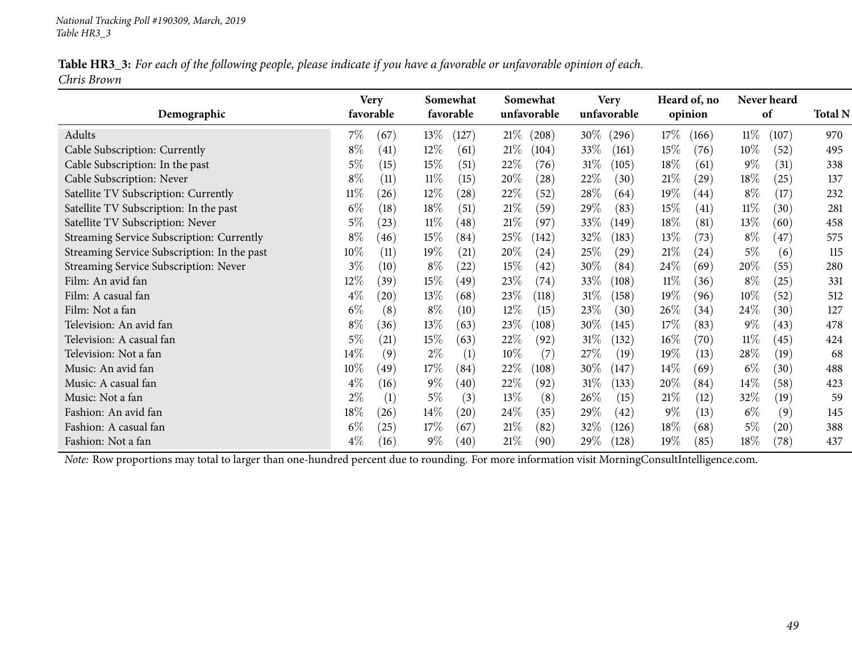| Table HR3_3: For each of the following people, please indicate if you have a favorable or unfavorable opinion of each. |  |
|------------------------------------------------------------------------------------------------------------------------|--|
| Chris Brown                                                                                                            |  |

| Demographic                                 | <b>Very</b><br>favorable |                     | Somewhat<br>favorable |        | Somewhat<br>unfavorable | <b>Very</b><br>unfavorable |       |        | Heard of, no<br>opinion |        | Never heard<br><sub>of</sub> |     |
|---------------------------------------------|--------------------------|---------------------|-----------------------|--------|-------------------------|----------------------------|-------|--------|-------------------------|--------|------------------------------|-----|
| Adults                                      | 7%                       | (67)<br>$13\%$      | (127)                 | 21%    | (208)                   | $30\%$                     | (296) | $17\%$ | (166)                   | $11\%$ | (107)                        | 970 |
| Cable Subscription: Currently               | $8\%$                    | $12\%$<br>(41)      | (61)                  | 21%    | (104)                   | 33\%                       | (161) | $15\%$ | (76)                    | $10\%$ | (52)                         | 495 |
| Cable Subscription: In the past             | $5\%$                    | 15%<br>(15)         | (51)                  | 22\%   | (76)                    | $31\%$                     | (105) | 18%    | (61)                    | $9\%$  | (31)                         | 338 |
| Cable Subscription: Never                   | $8\%$                    | $11\%$<br>(11)      | (15)                  | 20%    | (28)                    | 22%                        | (30)  | 21%    | $\left( 29\right)$      | $18\%$ | (25)                         | 137 |
| Satellite TV Subscription: Currently        | $11\%$                   | $12\%$<br>(26)      | (28)                  | 22%    | (52)                    | 28\%                       | (64)  | $19\%$ | (44)                    | $8\%$  | (17)                         | 232 |
| Satellite TV Subscription: In the past      | $6\%$                    | $18\%$<br>(18)      | (51)                  | 21%    | (59)                    | 29\%                       | (83)  | $15\%$ | $\left( 41\right)$      | $11\%$ | (30)                         | 281 |
| Satellite TV Subscription: Never            | $5\%$                    | $11\%$<br>(23)      | (48)                  | 21%    | (97)                    | 33\%                       | (149) | 18%    | (81)                    | 13\%   | (60)                         | 458 |
| Streaming Service Subscription: Currently   | $8\%$                    | 15%<br>(46)         | (84)                  | 25\%   | (142)                   | 32\%                       | (183) | 13\%   | (73)                    | $8\%$  | (47)                         | 575 |
| Streaming Service Subscription: In the past | $10\%$                   | $19\%$<br>(11)      | (21)                  | 20%    | (24)                    | 25\%                       | (29)  | 21%    | (24)                    | $5\%$  | (6)                          | 115 |
| Streaming Service Subscription: Never       | $3\%$                    | (10)<br>$8\%$       | $\left( 22\right)$    | 15\%   | (42)                    | 30\%                       | (84)  | $24\%$ | (69)                    | $20\%$ | (55)                         | 280 |
| Film: An avid fan                           | 12\%                     | 15%<br>(39)         | (49)                  | 23\%   | (74)                    | 33\%                       | (108) | $11\%$ | (36)                    | $8\%$  | (25)                         | 331 |
| Film: A casual fan                          | $4\%$                    | $13\%$<br>$^{(20)}$ | (68)                  | 23\%   | (118)                   | $31\%$                     | (158) | $19\%$ | (96)                    | $10\%$ | (52)                         | 512 |
| Film: Not a fan                             | $6\%$                    | $8\%$<br>(8)        | (10)                  | $12\%$ | (15)                    | 23\%                       | (30)  | 26\%   | (34)                    | $24\%$ | (30)                         | 127 |
| Television: An avid fan                     | $8\%$                    | $13\%$<br>(36)      | (63)                  | 23\%   | (108)                   | 30\%                       | (145) | 17%    | (83)                    | $9\%$  | (43)                         | 478 |
| Television: A casual fan                    | 5%                       | 15%<br>(21)         | (63)                  | 22%    | (92)                    | 31%                        | (132) | $16\%$ | (70)                    | $11\%$ | (45)                         | 424 |
| Television: Not a fan                       | $14\%$                   | $2\%$<br>(9)        | (1)                   | $10\%$ | (7)                     | 27\%                       | (19)  | 19%    | (13)                    | $28\%$ | (19)                         | 68  |
| Music: An avid fan                          | $10\%$                   | 17%<br>(49)         | (84)                  | 22\%   | (108)                   | 30\%                       | (147) | $14\%$ | (69)                    | $6\%$  | (30)                         | 488 |
| Music: A casual fan                         | $4\%$                    | $9\%$<br>(16)       | (40)                  | 22\%   | (92)                    | $31\%$                     | (133) | 20%    | (84)                    | 14\%   | (58)                         | 423 |
| Music: Not a fan                            | $2\%$                    | $5\%$<br>(1)        | (3)                   | 13\%   | (8)                     | $26\%$                     | (15)  | 21%    | (12)                    | 32\%   | (19)                         | 59  |
| Fashion: An avid fan                        | $18\%$                   | $14\%$<br>(26)      | $\left( 20\right)$    | 24\%   | (35)                    | 29\%                       | (42)  | $9\%$  | (13)                    | $6\%$  | (9)                          | 145 |
| Fashion: A casual fan                       | $6\%$                    | $17\%$<br>(25)      | (67)                  | 21%    | (82)                    | 32\%                       | (126) | 18%    | (68)                    | $5\%$  | (20)                         | 388 |
| Fashion: Not a fan                          | $4\%$                    | $9\%$<br>(16)       | (40)                  | 21%    | (90)                    | 29\%                       | (128) | 19%    | (85)                    | $18\%$ | (78)                         | 437 |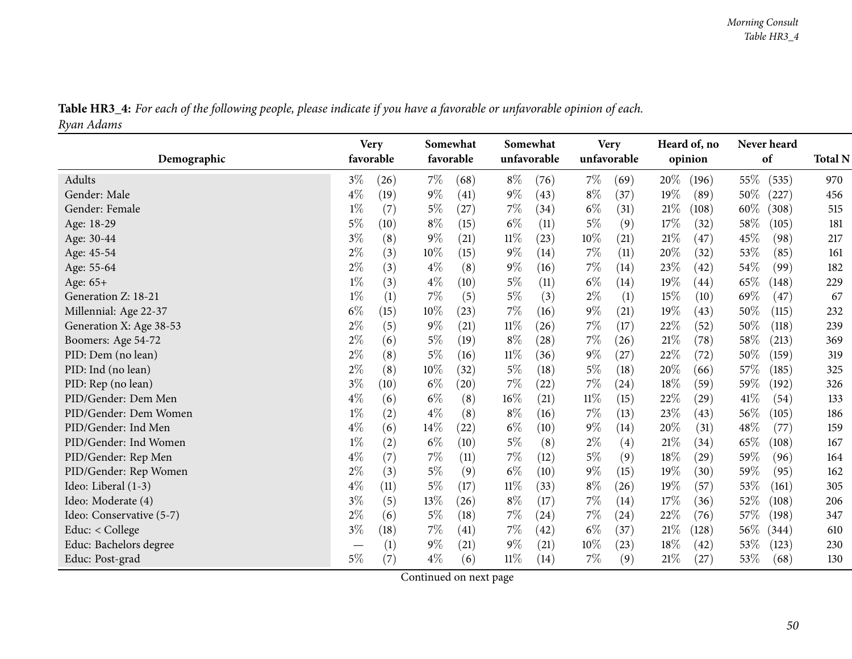| Table HR3_4: For each of the following people, please indicate if you have a favorable or unfavorable opinion of each. |  |
|------------------------------------------------------------------------------------------------------------------------|--|
| Ryan Adams                                                                                                             |  |

|                          | <b>Very</b>                   |      |        | Somewhat  |        | Somewhat    |        | <b>Very</b> |         | Heard of, no |      | Never heard |                |
|--------------------------|-------------------------------|------|--------|-----------|--------|-------------|--------|-------------|---------|--------------|------|-------------|----------------|
| Demographic              | favorable                     |      |        | favorable |        | unfavorable |        | unfavorable | opinion |              | of   |             | <b>Total N</b> |
| Adults                   | $3\%$                         | (26) | $7\%$  | (68)      | $8\%$  | (76)        | $7\%$  | (69)        | $20\%$  | (196)        | 55%  | (535)       | 970            |
| Gender: Male             | $4\%$                         | (19) | $9\%$  | (41)      | $9\%$  | (43)        | $8\%$  | (37)        | 19%     | (89)         | 50%  | (227)       | 456            |
| Gender: Female           | $1\%$                         | (7)  | $5\%$  | (27)      | $7\%$  | (34)        | $6\%$  | (31)        | 21%     | (108)        | 60%  | (308)       | 515            |
| Age: 18-29               | 5%                            | (10) | $8\%$  | (15)      | $6\%$  | (11)        | $5\%$  | (9)         | 17%     | (32)         | 58%  | (105)       | 181            |
| Age: 30-44               | $3\%$                         | (8)  | $9\%$  | (21)      | $11\%$ | (23)        | $10\%$ | (21)        | 21%     | (47)         | 45%  | (98)        | 217            |
| Age: 45-54               | $2\%$                         | (3)  | $10\%$ | (15)      | $9\%$  | (14)        | 7%     | (11)        | 20%     | (32)         | 53%  | (85)        | 161            |
| Age: 55-64               | $2\%$                         | (3)  | $4\%$  | (8)       | $9\%$  | (16)        | $7\%$  | (14)        | 23%     | (42)         | 54%  | (99)        | 182            |
| Age: 65+                 | $1\%$                         | (3)  | $4\%$  | (10)      | 5%     | (11)        | $6\%$  | (14)        | 19%     | (44)         | 65%  | (148)       | 229            |
| Generation Z: 18-21      | $1\%$                         | (1)  | $7\%$  | (5)       | $5\%$  | (3)         | $2\%$  | (1)         | 15%     | (10)         | 69%  | (47)        | 67             |
| Millennial: Age 22-37    | $6\%$                         | (15) | $10\%$ | (23)      | 7%     | (16)        | $9\%$  | (21)        | 19%     | (43)         | 50%  | (115)       | 232            |
| Generation X: Age 38-53  | $2\%$                         | (5)  | $9\%$  | (21)      | $11\%$ | (26)        | $7\%$  | (17)        | 22%     | (52)         | 50%  | (118)       | 239            |
| Boomers: Age 54-72       | $2\%$                         | (6)  | $5\%$  | (19)      | $8\%$  | (28)        | $7\%$  | (26)        | 21%     | (78)         | 58%  | (213)       | 369            |
| PID: Dem (no lean)       | $2\%$                         | (8)  | $5\%$  | (16)      | $11\%$ | (36)        | $9\%$  | (27)        | 22%     | (72)         | 50%  | (159)       | 319            |
| PID: Ind (no lean)       | $2\%$                         | (8)  | $10\%$ | (32)      | $5\%$  | (18)        | $5\%$  | (18)        | 20%     | (66)         | 57%  | (185)       | 325            |
| PID: Rep (no lean)       | $3\%$                         | (10) | $6\%$  | (20)      | 7%     | (22)        | $7\%$  | (24)        | 18%     | (59)         | 59%  | (192)       | 326            |
| PID/Gender: Dem Men      | $4\%$                         | (6)  | $6\%$  | (8)       | $16\%$ | (21)        | $11\%$ | (15)        | 22%     | (29)         | 41\% | (54)        | 133            |
| PID/Gender: Dem Women    | $1\%$                         | (2)  | $4\%$  | (8)       | $8\%$  | (16)        | $7\%$  | (13)        | 23%     | (43)         | 56%  | (105)       | 186            |
| PID/Gender: Ind Men      | $4\%$                         | (6)  | $14\%$ | (22)      | $6\%$  | (10)        | $9\%$  | (14)        | 20%     | (31)         | 48%  | (77)        | 159            |
| PID/Gender: Ind Women    | $1\%$                         | (2)  | $6\%$  | (10)      | $5\%$  | (8)         | $2\%$  | (4)         | $21\%$  | (34)         | 65%  | (108)       | 167            |
| PID/Gender: Rep Men      | $4\%$                         | (7)  | $7\%$  | (11)      | $7\%$  | (12)        | $5\%$  | (9)         | 18%     | (29)         | 59%  | (96)        | 164            |
| PID/Gender: Rep Women    | $2\%$                         | (3)  | $5\%$  | (9)       | $6\%$  | (10)        | $9\%$  | (15)        | 19%     | (30)         | 59%  | (95)        | 162            |
| Ideo: Liberal (1-3)      | $4\%$                         | (11) | $5\%$  | (17)      | $11\%$ | (33)        | $8\%$  | (26)        | 19%     | (57)         | 53%  | (161)       | 305            |
| Ideo: Moderate (4)       | $3\%$                         | (5)  | 13\%   | (26)      | $8\%$  | (17)        | 7%     | (14)        | 17%     | (36)         | 52%  | (108)       | 206            |
| Ideo: Conservative (5-7) | $2\%$                         | (6)  | $5\%$  | (18)      | $7\%$  | (24)        | $7\%$  | (24)        | 22%     | (76)         | 57%  | (198)       | 347            |
| Educ: < College          | $3\%$                         | (18) | $7\%$  | (41)      | 7%     | (42)        | $6\%$  | (37)        | $21\%$  | (128)        | 56%  | (344)       | 610            |
| Educ: Bachelors degree   | $\overbrace{\phantom{13333}}$ | (1)  | $9\%$  | (21)      | $9\%$  | (21)        | $10\%$ | (23)        | 18\%    | (42)         | 53%  | (123)       | 230            |
| Educ: Post-grad          | $5\%$                         | (7)  | $4\%$  | (6)       | $11\%$ | (14)        | 7%     | (9)         | 21%     | (27)         | 53%  | (68)        | 130            |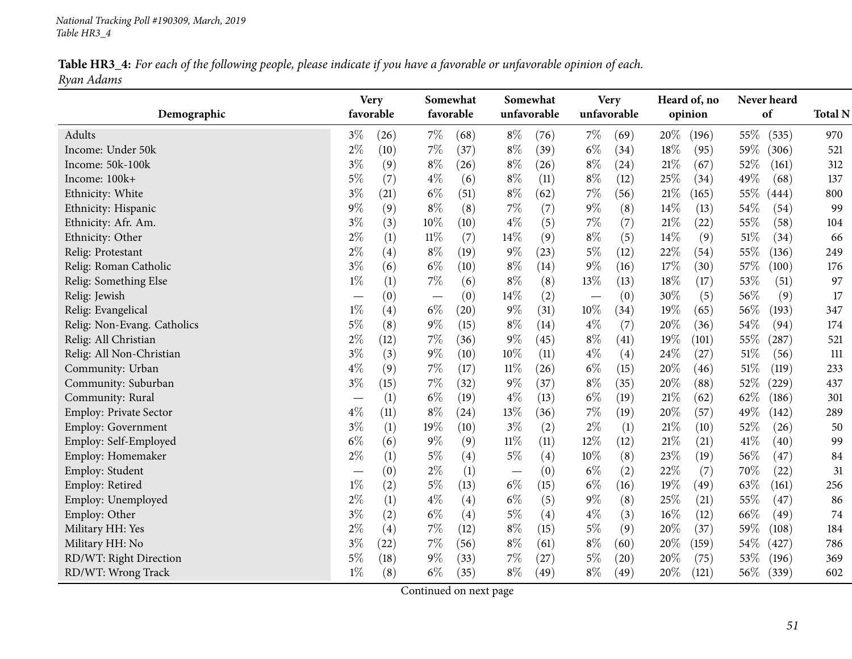Table HR3\_4: For each of the following people, please indicate if you have a favorable or unfavorable opinion of each. *Ryan Adams*

|                               | <b>Very</b>                     |                          | Somewhat           |        | Somewhat    |                          | <b>Very</b> |        | Heard of, no |        | Never heard |                |
|-------------------------------|---------------------------------|--------------------------|--------------------|--------|-------------|--------------------------|-------------|--------|--------------|--------|-------------|----------------|
| Demographic                   | favorable                       |                          | favorable          |        | unfavorable |                          | unfavorable |        | opinion      |        | of          | <b>Total N</b> |
| Adults                        | $3\%$<br>(26)                   | $7\%$                    | (68)               | $8\%$  | (76)        | $7\%$                    | (69)        | 20%    | (196)        | 55%    | (535)       | 970            |
| Income: Under 50k             | $2\%$<br>(10)                   | $7\%$                    | (37)               | $8\%$  | (39)        | $6\%$                    | (34)        | 18%    | (95)         | 59%    | (306)       | 521            |
| Income: 50k-100k              | $3\%$<br>(9)                    | $8\%$                    | (26)               | $8\%$  | (26)        | $8\%$                    | (24)        | $21\%$ | (67)         | 52%    | (161)       | 312            |
| Income: 100k+                 | $5\%$<br>(7)                    | $4\%$                    | (6)                | $8\%$  | (11)        | $8\%$                    | (12)        | 25%    | (34)         | 49%    | (68)        | 137            |
| Ethnicity: White              | $3\%$<br>(21)                   | $6\%$                    | (51)               | $8\%$  | (62)        | $7\%$                    | (56)        | $21\%$ | (165)        | 55\%   | (444)       | 800            |
| Ethnicity: Hispanic           | $9\%$<br>(9)                    | $8\%$                    | (8)                | $7\%$  | (7)         | $9\%$                    | (8)         | 14%    | (13)         | 54%    | (54)        | 99             |
| Ethnicity: Afr. Am.           | $3\%$                           | (3)<br>10%               | (10)               | $4\%$  | (5)         | $7\%$                    | (7)         | 21%    | (22)         | 55%    | (58)        | 104            |
| Ethnicity: Other              | $2\%$                           | $11\%$<br>(1)            | (7)                | 14%    | (9)         | $8\%$                    | (5)         | 14%    | (9)          | 51\%   | (34)        | 66             |
| Relig: Protestant             | $2\%$                           | $8\%$<br>(4)             | (19)               | $9\%$  | (23)        | $5\%$                    | (12)        | 22%    | (54)         | 55%    | (136)       | 249            |
| Relig: Roman Catholic         | $3\%$                           | $6\%$<br>(6)             | (10)               | $8\%$  | (14)        | $9\%$                    | (16)        | 17%    | (30)         | 57%    | (100)       | 176            |
| Relig: Something Else         | $1\%$                           | (1)<br>$7\%$             | (6)                | $8\%$  | (8)         | 13%                      | (13)        | 18%    | (17)         | 53%    | (51)        | 97             |
| Relig: Jewish                 | (0)<br>—                        | $\overline{\phantom{m}}$ | (0)                | 14\%   | (2)         | $\overline{\phantom{m}}$ | (0)         | 30%    | (5)          | 56%    | (9)         | 17             |
| Relig: Evangelical            | $1\%$                           | $6\%$<br>(4)             | $\left( 20\right)$ | $9\%$  | (31)        | $10\%$                   | (34)        | 19%    | (65)         | 56\%   | (193)       | 347            |
| Relig: Non-Evang. Catholics   | $5\%$<br>(8)                    | $9\%$                    | (15)               | $8\%$  | (14)        | $4\%$                    | (7)         | 20%    | (36)         | 54%    | (94)        | 174            |
| Relig: All Christian          | $2\%$<br>(12)                   | $7\%$                    | (36)               | $9\%$  | (45)        | $8\%$                    | (41)        | 19%    | (101)        | 55%    | (287)       | 521            |
| Relig: All Non-Christian      | $3\%$<br>(3)                    | $9\%$                    | (10)               | 10%    | (11)        | $4\%$                    | (4)         | 24\%   | (27)         | 51%    | (56)        | 111            |
| Community: Urban              | $4\%$<br>(9)                    | $7\%$                    | (17)               | $11\%$ | (26)        | $6\%$                    | (15)        | 20%    | (46)         | 51\%   | (119)       | 233            |
| Community: Suburban           | $3\%$<br>(15)                   | $7\%$                    | (32)               | $9\%$  | (37)        | $8\%$                    | (35)        | 20%    | (88)         | 52\%   | (229)       | 437            |
| Community: Rural              |                                 | $6\%$<br>(1)             | (19)               | $4\%$  | (13)        | $6\%$                    | (19)        | 21%    | (62)         | 62%    | (186)       | 301            |
| <b>Employ: Private Sector</b> | $4\%$<br>(11)                   | $8\%$                    | (24)               | 13%    | (36)        | $7\%$                    | (19)        | 20%    | (57)         | 49%    | (142)       | 289            |
| Employ: Government            | $3\%$                           | (1)<br>19%               | (10)               | $3\%$  | (2)         | $2\%$                    | (1)         | $21\%$ | (10)         | 52%    | (26)        | 50             |
| Employ: Self-Employed         | $6\%$                           | (6)<br>$9\%$             | (9)                | $11\%$ | (11)        | $12\%$                   | (12)        | $21\%$ | (21)         | 41\%   | (40)        | 99             |
| Employ: Homemaker             | $2\%$                           | $5\%$<br>(1)             | (4)                | $5\%$  | (4)         | $10\%$                   | (8)         | 23%    | (19)         | 56%    | (47)        | 84             |
| Employ: Student               | (0)<br>$\overline{\phantom{0}}$ | $2\%$                    | (1)                |        | (0)         | $6\%$                    | (2)         | 22\%   | (7)          | 70%    | (22)        | 31             |
| Employ: Retired               | $1\%$                           | (2)<br>$5\%$             | (13)               | $6\%$  | (15)        | $6\%$                    | (16)        | 19%    | (49)         | 63%    | (161)       | 256            |
| Employ: Unemployed            | $2\%$                           | (1)<br>$4\%$             | (4)                | $6\%$  | (5)         | $9\%$                    | (8)         | 25%    | (21)         | 55%    | (47)        | 86             |
| Employ: Other                 | $3\%$<br>(2)                    | $6\%$                    | (4)                | $5\%$  | (4)         | $4\%$                    | (3)         | 16%    | (12)         | 66%    | (49)        | 74             |
| Military HH: Yes              | $2\%$<br>(4)                    | $7\%$                    | (12)               | $8\%$  | (15)        | $5\%$                    | (9)         | 20%    | (37)         | 59%    | (108)       | 184            |
| Military HH: No               | $3\%$<br>(22)                   | $7\%$                    | (56)               | $8\%$  | (61)        | $8\%$                    | (60)        | 20%    | (159)        | 54%    | (427)       | 786            |
| RD/WT: Right Direction        | 5%<br>(18)                      | 9%                       | (33)               | 7%     | (27)        | $5\%$                    | (20)        | 20%    | (75)         | 53%    | (196)       | 369            |
| RD/WT: Wrong Track            | $1\%$<br>(8)                    | $6\%$                    | (35)               | $8\%$  | (49)        | $8\%$                    | (49)        | $20\%$ | (121)        | $56\%$ | (339)       | 602            |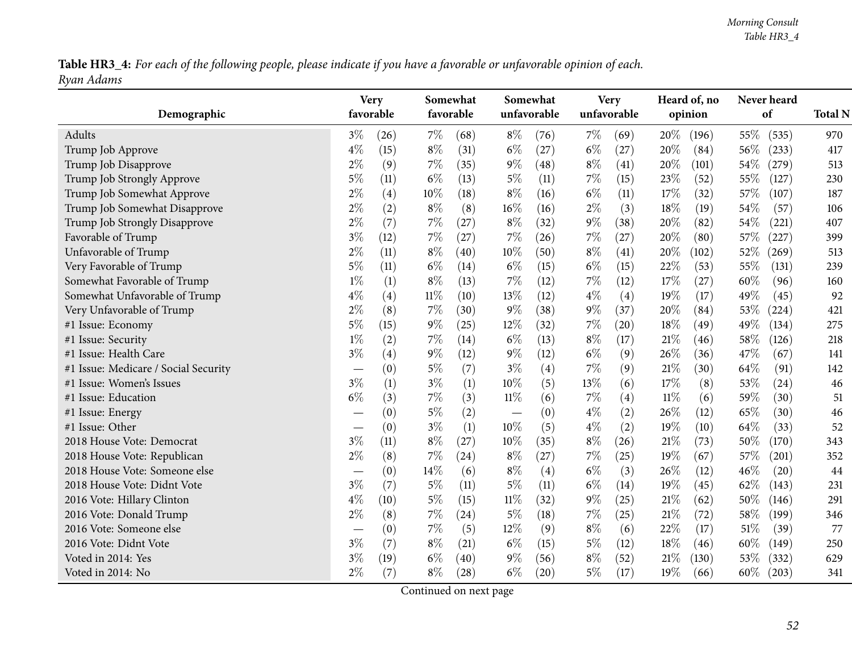Table HR3\_4: For each of the following people, please indicate if you have a favorable or unfavorable opinion of each. *Ryan Adams*

| Demographic                                                  | <b>Very</b><br>favorable |              | Somewhat<br>favorable |              | Somewhat<br>unfavorable |              | <b>Very</b><br>unfavorable |              | Heard of, no<br>opinion |               | Never heard<br>of |                     | <b>Total N</b> |
|--------------------------------------------------------------|--------------------------|--------------|-----------------------|--------------|-------------------------|--------------|----------------------------|--------------|-------------------------|---------------|-------------------|---------------------|----------------|
|                                                              | $3\%$                    |              | $7\%$                 |              | $8\%$                   |              | $7\%$                      |              |                         |               |                   |                     |                |
| Adults<br>Trump Job Approve                                  | $4\%$                    | (26)<br>(15) | $8\%$                 | (68)<br>(31) | $6\%$                   | (76)<br>(27) | $6\%$                      | (69)<br>(27) | 20%<br>20%              | (196)<br>(84) | 55%<br>56%        | (535)<br>(233)      | 970<br>417     |
| Trump Job Disapprove                                         | $2\%$                    | (9)          | $7\%$                 | (35)         | $9\%$                   | (48)         | $8\%$                      | (41)         | 20%                     | (101)         | 54\%              | (279)               | 513            |
| Trump Job Strongly Approve                                   | $5\%$                    | (11)         | $6\%$                 | (13)         | 5%                      | (11)         | $7\%$                      | (15)         | 23%                     | (52)          | 55\%              | (127)               | 230            |
| Trump Job Somewhat Approve                                   | $2\%$                    | (4)          | 10%                   | (18)         | $8\%$                   | (16)         | $6\%$                      | (11)         | 17%                     | (32)          | 57%               | (107)               | 187            |
| Trump Job Somewhat Disapprove                                | $2\%$                    |              | $8\%$                 | (8)          | 16%                     | (16)         | $2\%$                      | (3)          | 18%                     | (19)          | 54%               | (57)                | 106            |
|                                                              | $2\%$                    | (2)<br>(7)   | $7\%$                 | (27)         | $8\%$                   | (32)         | $9\%$                      | (38)         | 20%                     | (82)          | 54%               | (221)               | 407            |
| Trump Job Strongly Disapprove<br>Favorable of Trump          | $3\%$                    |              | $7\%$                 |              | 7%                      |              | $7\%$                      | (27)         | 20%                     |               | 57%               |                     | 399            |
| Unfavorable of Trump                                         | $2\%$                    | (12)<br>(11) | $8\%$                 | (27)         | 10%                     | (26)<br>(50) | $8\%$                      |              | 20%                     | (80)          | 52%               | (227)               | 513            |
|                                                              | $5\%$                    | (11)         | $6\%$                 | (40)         | $6\%$                   |              | $6\%$                      | (41)<br>(15) | 22%                     | (102)         | 55%               | (269)               | 239            |
| Very Favorable of Trump                                      | $1\%$                    |              | $8\%$                 | (14)         | 7%                      | (15)         | $7\%$                      |              | 17%                     | (53)          | 60%               | (131)               |                |
| Somewhat Favorable of Trump<br>Somewhat Unfavorable of Trump | $4\%$                    | (1)          | $11\%$                | (13)         | 13%                     | (12)         | $4\%$                      | (12)         | 19%                     | (27)          | 49%               | (96)                | 160<br>92      |
|                                                              | $2\%$                    | (4)          |                       | (10)         |                         | (12)         |                            | (4)          |                         | (17)          |                   | (45)                |                |
| Very Unfavorable of Trump                                    |                          | (8)          | $7\%$                 | (30)         | $9\%$                   | (38)         | $9\%$                      | (37)         | 20%                     | (84)          | 53%               | (224)               | 421            |
| #1 Issue: Economy                                            | $5\%$                    | (15)         | $9\%$                 | (25)         | 12%                     | (32)         | $7\%$                      | (20)         | 18%                     | (49)          | 49%               | (134)               | 275            |
| #1 Issue: Security                                           | $1\%$                    | (2)          | $7\%$                 | (14)         | $6\%$                   | (13)         | $8\%$                      | (17)         | 21%                     | (46)          | 58%               | (126)               | 218            |
| #1 Issue: Health Care                                        | $3\%$                    | (4)          | $9\%$                 | (12)         | $9\%$                   | (12)         | $6\%$                      | (9)          | 26%                     | (36)          | 47%               | (67)                | 141            |
| #1 Issue: Medicare / Social Security                         |                          | (0)          | $5\%$                 | (7)          | $3\%$                   | (4)          | $7\%$                      | (9)          | 21%                     | (30)          | 64%               | (91)                | 142            |
| #1 Issue: Women's Issues                                     | $3\%$                    | (1)          | $3\%$                 | (1)          | 10%                     | (5)          | $13\%$                     | (6)          | 17%                     | (8)           | 53%               | (24)                | 46             |
| #1 Issue: Education                                          | $6\%$                    | (3)          | $7\%$                 | (3)          | $11\%$                  | (6)          | $7\%$                      | (4)          | $11\%$                  | (6)           | 59%               | (30)                | 51             |
| #1 Issue: Energy                                             |                          | (0)          | $5\%$                 | (2)          |                         | (0)          | $4\%$                      | (2)          | 26%                     | (12)          | 65%               | (30)                | 46             |
| #1 Issue: Other                                              |                          | (0)          | $3\%$                 | (1)          | $10\%$                  | (5)          | $4\%$                      | (2)          | 19%                     | (10)          | 64\%              | (33)                | 52             |
| 2018 House Vote: Democrat                                    | $3\%$                    | (11)         | $8\%$                 | (27)         | 10%                     | (35)         | $8\%$                      | (26)         | 21%                     | (73)          | 50%               | (170)               | 343            |
| 2018 House Vote: Republican                                  | $2\%$                    | (8)          | $7\%$                 | (24)         | $8\%$                   | (27)         | $7\%$                      | (25)         | 19%                     | (67)          | 57%               | $\left( 201\right)$ | 352            |
| 2018 House Vote: Someone else                                |                          | (0)          | 14%                   | (6)          | $8\%$                   | (4)          | $6\%$                      | (3)          | 26%                     | (12)          | 46%               | (20)                | 44             |
| 2018 House Vote: Didnt Vote                                  | $3\%$                    | (7)          | $5\%$                 | (11)         | $5\%$                   | (11)         | $6\%$                      | (14)         | 19%                     | (45)          | 62%               | (143)               | 231            |
| 2016 Vote: Hillary Clinton                                   | $4\%$                    | (10)         | $5\%$                 | (15)         | $11\%$                  | (32)         | $9\%$                      | (25)         | 21%                     | (62)          | 50%               | (146)               | 291            |
| 2016 Vote: Donald Trump                                      | $2\%$                    | (8)          | $7\%$                 | (24)         | $5\%$                   | (18)         | $7\%$                      | (25)         | 21%                     | (72)          | 58%               | (199)               | 346            |
| 2016 Vote: Someone else                                      |                          | (0)          | $7\%$                 | (5)          | $12\%$                  | (9)          | $8\%$                      | (6)          | 22%                     | (17)          | 51\%              | (39)                | 77             |
| 2016 Vote: Didnt Vote                                        | $3\%$                    | (7)          | $8\%$                 | (21)         | $6\%$                   | (15)         | $5\%$                      | (12)         | 18%                     | (46)          | 60%               | (149)               | 250            |
| Voted in 2014: Yes                                           | $3\%$                    | (19)         | $6\%$                 | (40)         | $9\%$                   | (56)         | $8\%$                      | (52)         | 21%                     | (130)         | 53%               | (332)               | 629            |
| Voted in 2014: No                                            | $2\%$                    | (7)          | $8\%$                 | (28)         | $6\%$                   | (20)         | $5\%$                      | (17)         | 19%                     | (66)          | 60%               | (203)               | 341            |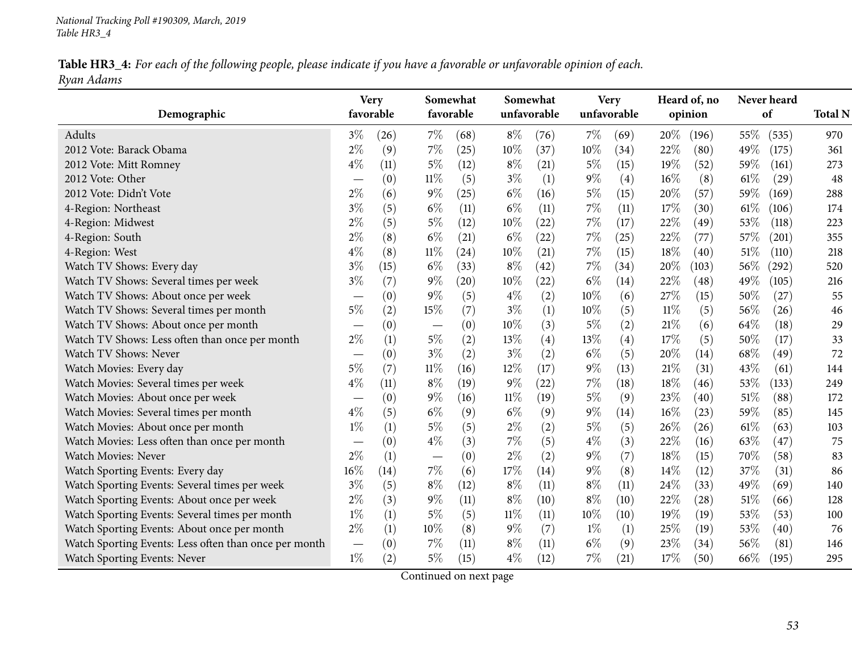Table HR3\_4: For each of the following people, please indicate if you have a favorable or unfavorable opinion of each. *Ryan Adams*

|                                                       |                          | <b>Very</b> |                          | Somewhat  |        | Somewhat    |        | <b>Very</b> |        | Heard of, no |      | Never heard |                |
|-------------------------------------------------------|--------------------------|-------------|--------------------------|-----------|--------|-------------|--------|-------------|--------|--------------|------|-------------|----------------|
| Demographic                                           |                          | favorable   |                          | favorable |        | unfavorable |        | unfavorable |        | opinion      |      | of          | <b>Total N</b> |
| Adults                                                | $3\%$                    | (26)        | $7\%$                    | (68)      | $8\%$  | (76)        | $7\%$  | (69)        | 20%    | (196)        | 55\% | (535)       | 970            |
| 2012 Vote: Barack Obama                               | $2\%$                    | (9)         | $7\%$                    | (25)      | $10\%$ | (37)        | $10\%$ | (34)        | 22%    | (80)         | 49%  | (175)       | 361            |
| 2012 Vote: Mitt Romney                                | $4\%$                    | (11)        | $5\%$                    | (12)      | $8\%$  | (21)        | $5\%$  | (15)        | 19%    | (52)         | 59%  | (161)       | 273            |
| 2012 Vote: Other                                      |                          | (0)         | $11\%$                   | (5)       | $3\%$  | (1)         | $9\%$  | (4)         | 16%    | (8)          | 61\% | (29)        | 48             |
| 2012 Vote: Didn't Vote                                | $2\%$                    | (6)         | $9\%$                    | (25)      | $6\%$  | (16)        | $5\%$  | (15)        | 20%    | (57)         | 59%  | (169)       | 288            |
| 4-Region: Northeast                                   | $3\%$                    | (5)         | $6\%$                    | (11)      | $6\%$  | (11)        | $7\%$  | (11)        | 17\%   | (30)         | 61%  | (106)       | 174            |
| 4-Region: Midwest                                     | $2\%$                    | (5)         | $5\%$                    | (12)      | 10%    | (22)        | 7%     | (17)        | 22%    | (49)         | 53%  | (118)       | 223            |
| 4-Region: South                                       | $2\%$                    | (8)         | $6\%$                    | (21)      | $6\%$  | (22)        | $7\%$  | (25)        | 22%    | (77)         | 57%  | (201)       | 355            |
| 4-Region: West                                        | $4\%$                    | (8)         | $11\%$                   | (24)      | 10%    | (21)        | $7\%$  | (15)        | 18%    | (40)         | 51%  | (110)       | 218            |
| Watch TV Shows: Every day                             | $3\%$                    | (15)        | $6\%$                    | (33)      | $8\%$  | (42)        | $7\%$  | (34)        | 20%    | (103)        | 56%  | (292)       | 520            |
| Watch TV Shows: Several times per week                | $3\%$                    | (7)         | $9\%$                    | (20)      | 10%    | (22)        | $6\%$  | (14)        | 22%    | (48)         | 49%  | (105)       | 216            |
| Watch TV Shows: About once per week                   |                          | (0)         | $9\%$                    | (5)       | $4\%$  | (2)         | 10%    | (6)         | 27%    | (15)         | 50%  | (27)        | 55             |
| Watch TV Shows: Several times per month               | $5\%$                    | (2)         | 15%                      | (7)       | $3\%$  | (1)         | $10\%$ | (5)         | $11\%$ | (5)          | 56%  | (26)        | 46             |
| Watch TV Shows: About once per month                  |                          | (0)         |                          | (0)       | 10%    | (3)         | $5\%$  | (2)         | 21%    | (6)          | 64%  | (18)        | 29             |
| Watch TV Shows: Less often than once per month        | $2\%$                    | (1)         | $5\%$                    | (2)       | 13\%   | (4)         | 13%    | (4)         | 17%    | (5)          | 50%  | (17)        | 33             |
| Watch TV Shows: Never                                 |                          | (0)         | $3\%$                    | (2)       | $3\%$  | (2)         | $6\%$  | (5)         | 20%    | (14)         | 68\% | (49)        | 72             |
| Watch Movies: Every day                               | $5\%$                    | (7)         | $11\%$                   | (16)      | 12%    | (17)        | $9\%$  | (13)        | 21%    | (31)         | 43%  | (61)        | 144            |
| Watch Movies: Several times per week                  | $4\%$                    | (11)        | $8\%$                    | (19)      | $9\%$  | (22)        | $7\%$  | (18)        | 18%    | (46)         | 53%  | (133)       | 249            |
| Watch Movies: About once per week                     |                          | (0)         | $9\%$                    | (16)      | $11\%$ | (19)        | $5\%$  | (9)         | 23%    | (40)         | 51%  | (88)        | 172            |
| Watch Movies: Several times per month                 | $4\%$                    | (5)         | $6\%$                    | (9)       | $6\%$  | (9)         | $9\%$  | (14)        | 16%    | (23)         | 59%  | (85)        | 145            |
| Watch Movies: About once per month                    | $1\%$                    | (1)         | $5\%$                    | (5)       | $2\%$  | (2)         | $5\%$  | (5)         | 26%    | (26)         | 61%  | (63)        | 103            |
| Watch Movies: Less often than once per month          |                          | (0)         | $4\%$                    | (3)       | 7%     | (5)         | $4\%$  | (3)         | 22%    | (16)         | 63%  | (47)        | 75             |
| Watch Movies: Never                                   | $2\%$                    | (1)         | $\overline{\phantom{m}}$ | (0)       | $2\%$  | (2)         | $9\%$  | (7)         | 18%    | (15)         | 70%  | (58)        | 83             |
| Watch Sporting Events: Every day                      | $16\%$                   | (14)        | $7\%$                    | (6)       | 17%    | (14)        | $9\%$  | (8)         | 14%    | (12)         | 37%  | (31)        | 86             |
| Watch Sporting Events: Several times per week         | $3\%$                    | (5)         | $8\%$                    | (12)      | $8\%$  | (11)        | $8\%$  | (11)        | 24\%   | (33)         | 49%  | (69)        | 140            |
| Watch Sporting Events: About once per week            | $2\%$                    | (3)         | $9\%$                    | (11)      | $8\%$  | (10)        | $8\%$  | (10)        | 22%    | (28)         | 51\% | (66)        | 128            |
| Watch Sporting Events: Several times per month        | $1\%$                    | (1)         | $5\%$                    | (5)       | $11\%$ | (11)        | $10\%$ | (10)        | 19%    | (19)         | 53%  | (53)        | 100            |
| Watch Sporting Events: About once per month           | $2\%$                    | (1)         | $10\%$                   | (8)       | $9\%$  | (7)         | $1\%$  | (1)         | 25%    | (19)         | 53%  | (40)        | 76             |
| Watch Sporting Events: Less often than once per month | $\overline{\phantom{m}}$ | (0)         | $7\%$                    | (11)      | $8\%$  | (11)        | $6\%$  | (9)         | 23%    | (34)         | 56%  | (81)        | 146            |
| Watch Sporting Events: Never                          | $1\%$                    | (2)         | $5\%$                    | (15)      | $4\%$  | (12)        | $7\%$  | (21)        | 17%    | (50)         | 66\% | (195)       | 295            |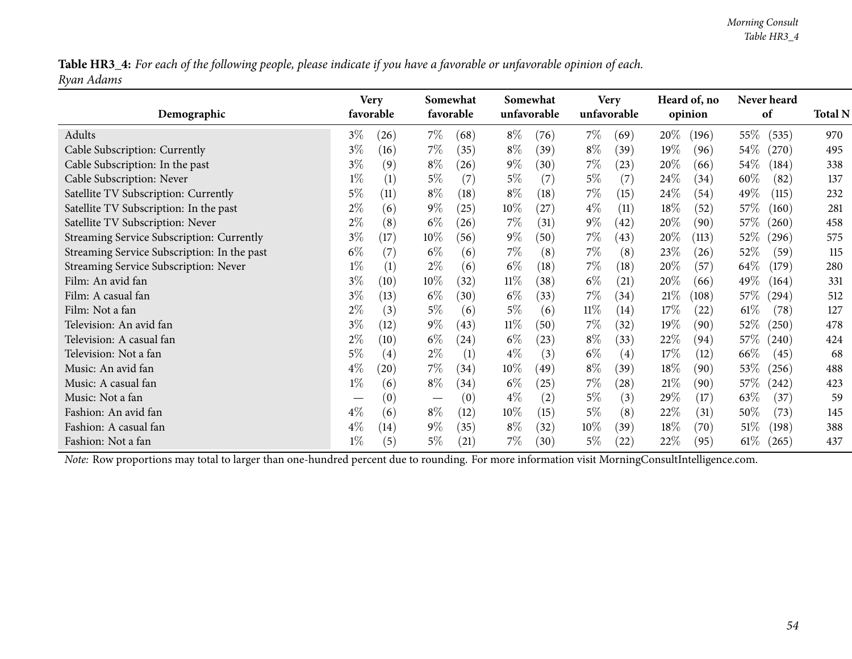Table HR3\_4: For each of the following people, please indicate if you have a favorable or unfavorable opinion of each. *Ryan Adams*

| Demographic                                 |                               | <b>Very</b><br>favorable |                   | Somewhat<br>favorable |        | Somewhat<br>unfavorable |        | <b>Very</b><br>unfavorable |        | Heard of, no<br>opinion |        | Never heard<br>of | <b>Total N</b> |
|---------------------------------------------|-------------------------------|--------------------------|-------------------|-----------------------|--------|-------------------------|--------|----------------------------|--------|-------------------------|--------|-------------------|----------------|
| Adults                                      | $3\%$                         | (26)                     | $7\%$             | (68)                  | $8\%$  | (76)                    | $7\%$  | (69)                       | $20\%$ | (196)                   | 55\%   | (535)             | 970            |
| Cable Subscription: Currently               | $3\%$                         | (16)                     | $7\%$             | (35)                  | $8\%$  | (39)                    | $8\%$  | (39)                       | 19%    | (96)                    | 54\%   | (270)             | 495            |
| Cable Subscription: In the past             | $3\%$                         | (9)                      | $8\%$             | (26)                  | $9\%$  | (30)                    | 7%     | (23)                       | 20%    | (66)                    | 54\%   | (184)             | 338            |
| Cable Subscription: Never                   | $1\%$                         | (1)                      | $5\%$             | (7)                   | 5%     | (7)                     | $5\%$  | (7)                        | 24\%   | (34)                    | 60%    | (82)              | 137            |
| Satellite TV Subscription: Currently        | 5%                            | (11)                     | $8\%$             | (18)                  | $8\%$  | (18)                    | 7%     | (15)                       | 24%    | (54)                    | 49\%   | (115)             | 232            |
| Satellite TV Subscription: In the past      | $2\%$                         | (6)                      | $9\%$             | (25)                  | $10\%$ | (27)                    | $4\%$  | (11)                       | $18\%$ | (52)                    | 57\%   | (160)             | 281            |
| Satellite TV Subscription: Never            | $2\%$                         | (8)                      | $6\%$             | (26)                  | 7%     | (31)                    | $9\%$  | (42)                       | 20%    | (90)                    | 57%    | (260)             | 458            |
| Streaming Service Subscription: Currently   | $3\%$                         | (17)                     | $10\%$            | (56)                  | $9\%$  | (50)                    | 7%     | (43)                       | 20%    | (113)                   | 52\%   | (296)             | 575            |
| Streaming Service Subscription: In the past | $6\%$                         | (7)                      | $6\%$             | (6)                   | 7%     | (8)                     | 7%     | (8)                        | 23\%   | (26)                    | 52%    | (59)              | 115            |
| Streaming Service Subscription: Never       | $1\%$                         | (1)                      | $2\%$             | (6)                   | $6\%$  | (18)                    | 7%     | $\left(18\right)$          | 20%    | (57)                    | 64\%   | (179)             | 280            |
| Film: An avid fan                           | $3\%$                         | (10)                     | $10\%$            | (32)                  | $11\%$ | (38)                    | $6\%$  | (21)                       | $20\%$ | (66)                    | 49\%   | (164)             | 331            |
| Film: A casual fan                          | $3\%$                         | (13)                     | $6\%$             | (30)                  | $6\%$  | (33)                    | 7%     | (34)                       | 21%    | (108)                   | $57\%$ | (294)             | 512            |
| Film: Not a fan                             | $2\%$                         | (3)                      | $5\%$             | (6)                   | $5\%$  | (6)                     | $11\%$ | (14)                       | 17%    | (22)                    | $61\%$ | (78)              | 127            |
| Television: An avid fan                     | $3\%$                         | (12)                     | $9\%$             | (43)                  | $11\%$ | (50)                    | 7%     | (32)                       | 19%    | (90)                    | 52\%   | (250)             | 478            |
| Television: A casual fan                    | $2\%$                         | (10)                     | $6\%$             | (24)                  | $6\%$  | (23)                    | $8\%$  | (33)                       | 22\%   | (94)                    | 57\%   | (240)             | 424            |
| Television: Not a fan                       | 5%                            | (4)                      | $2\%$             | (1)                   | $4\%$  | (3)                     | $6\%$  | (4)                        | 17%    | (12)                    | 66\%   | (45)              | 68             |
| Music: An avid fan                          | $4\%$                         | (20)                     | $7\%$             | (34)                  | $10\%$ | (49)                    | $8\%$  | (39)                       | $18\%$ | (90)                    | $53\%$ | (256)             | 488            |
| Music: A casual fan                         | $1\%$                         | (6)                      | $8\%$             | (34)                  | $6\%$  | (25)                    | 7%     | (28)                       | 21%    | (90)                    | $57\%$ | (242)             | 423            |
| Music: Not a fan                            | $\overbrace{\phantom{aaaaa}}$ | (0)                      | $\hspace{0.05cm}$ | (0)                   | $4\%$  | (2)                     | $5\%$  | (3)                        | $29\%$ | (17)                    | 63\%   | (37)              | 59             |
| Fashion: An avid fan                        | $4\%$                         | (6)                      | $8\%$             | (12)                  | $10\%$ | (15)                    | $5\%$  | (8)                        | 22%    | (31)                    | 50\%   | (73)              | 145            |
| Fashion: A casual fan                       | $4\%$                         | $\left(14\right)$        | $9\%$             | (35)                  | $8\%$  | (32)                    | $10\%$ | (39)                       | $18\%$ | (70)                    | 51%    | (198)             | 388            |
| Fashion: Not a fan                          | $1\%$                         | (5)                      | $5\%$             | (21)                  | 7%     | (30)                    | 5%     | (22)                       | 22%    | (95)                    | $61\%$ | (265)             | 437            |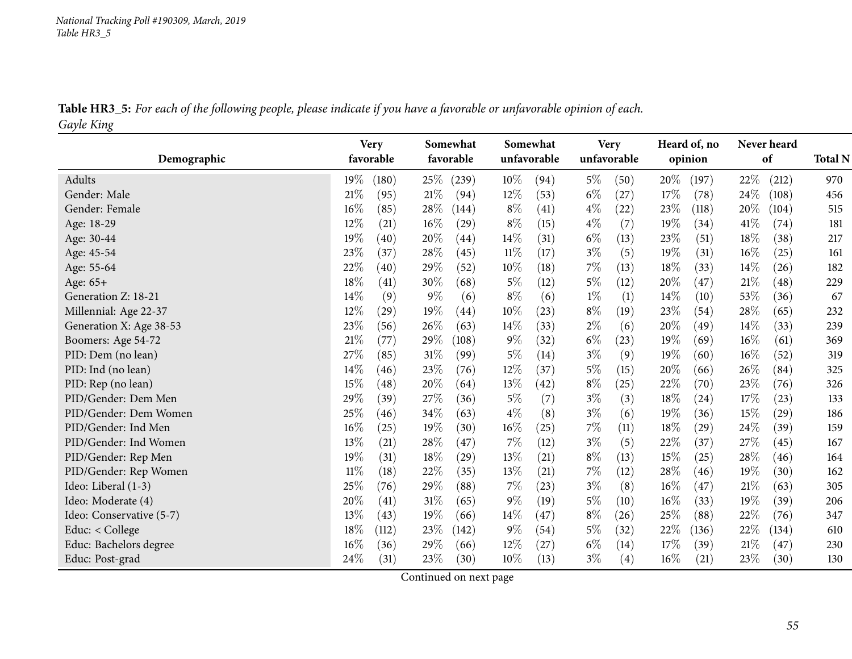Table HR3\_5: For each of the following people, please indicate if you have a favorable or unfavorable opinion of each. *Gayle King*

|                          | <b>Very</b>               | Somewhat       | Somewhat       | <b>Very</b>   | Heard of, no | Never heard    |                |
|--------------------------|---------------------------|----------------|----------------|---------------|--------------|----------------|----------------|
| Demographic              | favorable                 | favorable      | unfavorable    | unfavorable   | opinion      | of             | <b>Total N</b> |
| Adults                   | 19%<br>(180)              | 25\%<br>(239)  | $10\%$<br>(94) | $5\%$<br>(50) | 20%<br>(197) | 22%<br>(212)   | 970            |
| Gender: Male             | 21%<br>(95)               | 21%<br>(94)    | $12\%$<br>(53) | $6\%$<br>(27) | 17\%<br>(78) | 24\%<br>(108)  | 456            |
| Gender: Female           | 16%<br>(85)               | 28%<br>(144)   | $8\%$<br>(41)  | $4\%$<br>(22) | 23%<br>(118) | 20%<br>(104)   | 515            |
| Age: 18-29               | 12%<br>(21)               | $16\%$<br>(29) | $8\%$<br>(15)  | $4\%$<br>(7)  | 19%<br>(34)  | 41\%<br>(74)   | 181            |
| Age: 30-44               | 19%<br>(40)               | 20%<br>(44)    | 14\%<br>(31)   | $6\%$<br>(13) | 23%<br>(51)  | 18%<br>(38)    | 217            |
| Age: 45-54               | 23%<br>(37)               | 28%<br>(45)    | 11%<br>(17)    | $3\%$<br>(5)  | 19%<br>(31)  | $16\%$<br>(25) | 161            |
| Age: 55-64               | 22%<br>(40)               | 29%<br>(52)    | 10%<br>(18)    | $7\%$<br>(13) | 18%<br>(33)  | 14%<br>(26)    | 182            |
| Age: 65+                 | 18%<br>$\left( 41\right)$ | 30\%<br>(68)   | 5%<br>(12)     | $5\%$<br>(12) | 20%<br>(47)  | 21%<br>(48)    | 229            |
| Generation Z: 18-21      | 14%<br>(9)                | $9\%$<br>(6)   | $8\%$<br>(6)   | $1\%$<br>(1)  | 14%<br>(10)  | 53%<br>(36)    | 67             |
| Millennial: Age 22-37    | 12%<br>(29)               | 19%<br>(44)    | $10\%$<br>(23) | $8\%$<br>(19) | 23%<br>(54)  | 28\%<br>(65)   | 232            |
| Generation X: Age 38-53  | 23%<br>(56)               | 26%<br>(63)    | 14%<br>(33)    | $2\%$<br>(6)  | 20%<br>(49)  | 14%<br>(33)    | 239            |
| Boomers: Age 54-72       | 21%<br>(77)               | 29%<br>(108)   | $9\%$<br>(32)  | $6\%$<br>(23) | 19%<br>(69)  | $16\%$<br>(61) | 369            |
| PID: Dem (no lean)       | 27%<br>(85)               | $31\%$<br>(99) | 5%<br>(14)     | $3\%$<br>(9)  | 19%<br>(60)  | 16%<br>(52)    | 319            |
| PID: Ind (no lean)       | 14%<br>(46)               | 23\%<br>(76)   | $12\%$<br>(37) | $5\%$<br>(15) | 20%<br>(66)  | 26\%<br>(84)   | 325            |
| PID: Rep (no lean)       | 15%<br>$\left( 48\right)$ | 20%<br>(64)    | 13%<br>(42)    | $8\%$<br>(25) | 22%<br>(70)  | 23%<br>(76)    | 326            |
| PID/Gender: Dem Men      | 29%<br>(39)               | 27\%<br>(36)   | 5%<br>(7)      | $3\%$<br>(3)  | 18%<br>(24)  | 17%<br>(23)    | 133            |
| PID/Gender: Dem Women    | 25%<br>(46)               | 34%<br>(63)    | $4\%$<br>(8)   | $3\%$<br>(6)  | 19%<br>(36)  | 15%<br>(29)    | 186            |
| PID/Gender: Ind Men      | 16%<br>(25)               | 19%<br>(30)    | $16\%$<br>(25) | $7\%$<br>(11) | 18%<br>(29)  | 24\%<br>(39)   | 159            |
| PID/Gender: Ind Women    | 13%<br>(21)               | 28\%<br>(47)   | 7%<br>(12)     | $3\%$<br>(5)  | 22%<br>(37)  | 27%<br>(45)    | 167            |
| PID/Gender: Rep Men      | 19%<br>(31)               | 18%<br>(29)    | 13%<br>(21)    | $8\%$<br>(13) | 15%<br>(25)  | 28\%<br>(46)   | 164            |
| PID/Gender: Rep Women    | $11\%$<br>(18)            | 22\%<br>(35)   | 13%<br>(21)    | $7\%$<br>(12) | 28%<br>(46)  | 19%<br>(30)    | 162            |
| Ideo: Liberal (1-3)      | 25%<br>(76)               | 29%<br>(88)    | 7%<br>(23)     | $3\%$<br>(8)  | 16%<br>(47)  | 21%<br>(63)    | 305            |
| Ideo: Moderate (4)       | 20%<br>(41)               | $31\%$<br>(65) | $9\%$<br>(19)  | $5\%$<br>(10) | 16%<br>(33)  | 19%<br>(39)    | 206            |
| Ideo: Conservative (5-7) | 13%<br>(43)               | 19%<br>(66)    | 14\%<br>(47)   | $8\%$<br>(26) | 25%<br>(88)  | 22%<br>(76)    | 347            |
| Educ: < College          | 18%<br>(112)              | 23%<br>(142)   | $9\%$<br>(54)  | $5\%$<br>(32) | 22%<br>(136) | 22%<br>(134)   | 610            |
| Educ: Bachelors degree   | 16%<br>(36)               | 29%<br>(66)    | $12\%$<br>(27) | $6\%$<br>(14) | 17%<br>(39)  | 21%<br>(47)    | 230            |
| Educ: Post-grad          | $24\%$<br>(31)            | 23\%<br>(30)   | 10%<br>(13)    | $3\%$<br>(4)  | 16%<br>(21)  | 23%<br>(30)    | 130            |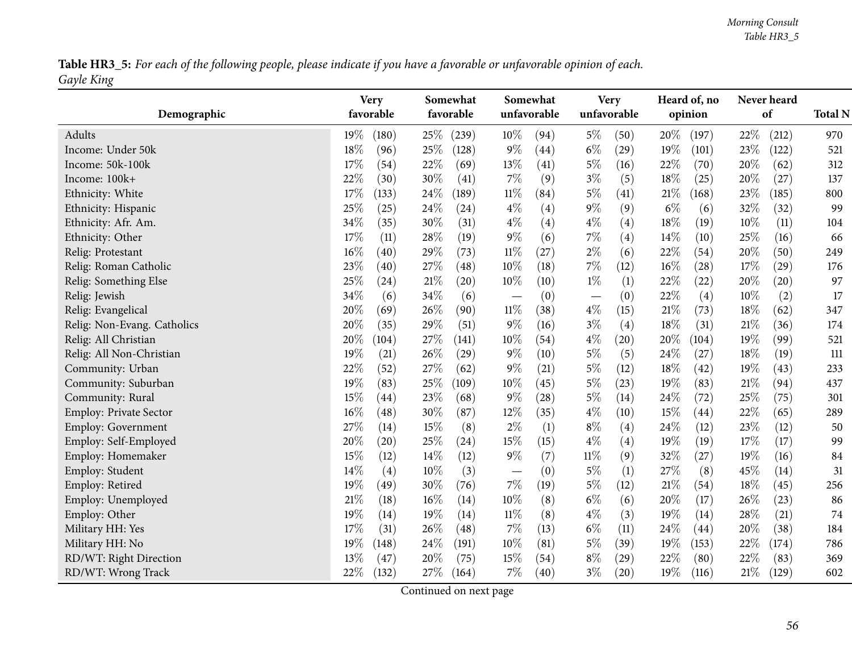Table HR3\_5: For each of the following people, please indicate if you have a favorable or unfavorable opinion of each. *Gayle King*

|                               | <b>Very</b>               | Somewhat       | Somewhat       | <b>Very</b>                     | Heard of, no              | Never heard    |                |
|-------------------------------|---------------------------|----------------|----------------|---------------------------------|---------------------------|----------------|----------------|
| Demographic                   | favorable                 | favorable      | unfavorable    | unfavorable                     | opinion                   | of             | <b>Total N</b> |
| Adults                        | 19%<br>(180)              | 25\%<br>(239)  | $10\%$<br>(94) | $5\%$<br>(50)                   | 20%<br>(197)              | 22\%<br>(212)  | 970            |
| Income: Under 50k             | 18%<br>(96)               | 25\%<br>(128)  | $9\%$<br>(44)  | $6\%$<br>(29)                   | 19%<br>(101)              | 23\%<br>(122)  | 521            |
| Income: 50k-100k              | 17%<br>(54)               | 22%<br>(69)    | 13\%<br>(41)   | $5\%$<br>(16)                   | 22\%<br>(70)              | 20%<br>(62)    | 312            |
| Income: 100k+                 | $22\%$<br>(30)            | 30%<br>(41)    | $7\%$<br>(9)   | $3\%$<br>(5)                    | 18%<br>(25)               | $20\%$<br>(27) | 137            |
| Ethnicity: White              | 17%<br>(133)              | 24\%<br>(189)  | $11\%$<br>(84) | $5\%$<br>(41)                   | $21\%$<br>(168)           | 23\%<br>(185)  | 800            |
| Ethnicity: Hispanic           | 25%<br>(25)               | 24\%<br>(24)   | $4\%$<br>(4)   | $9\%$<br>(9)                    | $6\%$<br>(6)              | 32%<br>(32)    | 99             |
| Ethnicity: Afr. Am.           | 34%<br>(35)               | 30%<br>(31)    | $4\%$<br>(4)   | $4\%$<br>(4)                    | 18%<br>(19)               | 10%<br>(11)    | 104            |
| Ethnicity: Other              | 17%<br>(11)               | 28%<br>(19)    | $9\%$<br>(6)   | $7\%$<br>(4)                    | 14%<br>(10)               | 25%<br>(16)    | 66             |
| Relig: Protestant             | $16\%$<br>(40)            | 29%<br>(73)    | $11\%$<br>(27) | $2\%$<br>(6)                    | 22%<br>(54)               | 20%<br>(50)    | 249            |
| Relig: Roman Catholic         | 23%<br>(40)               | 27%<br>(48)    | 10%<br>(18)    | $7\%$<br>(12)                   | 16%<br>(28)               | 17%<br>(29)    | 176            |
| Relig: Something Else         | 25%<br>(24)               | 21%<br>(20)    | $10\%$<br>(10) | $1\%$<br>(1)                    | 22%<br>(22)               | 20%<br>(20)    | 97             |
| Relig: Jewish                 | 34%<br>(6)                | 34\%<br>(6)    | (0)            | (0)<br>$\overline{\phantom{m}}$ | 22%<br>(4)                | 10%<br>(2)     | 17             |
| Relig: Evangelical            | 20%<br>(69)               | 26\%<br>(90)   | $11\%$<br>(38) | $4\%$<br>(15)                   | 21%<br>(73)               | 18%<br>(62)    | 347            |
| Relig: Non-Evang. Catholics   | 20%<br>(35)               | 29%<br>(51)    | $9\%$<br>(16)  | $3\%$<br>(4)                    | 18%<br>(31)               | 21\%<br>(36)   | 174            |
| Relig: All Christian          | 20%<br>(104)              | 27%<br>(141)   | 10%<br>(54)    | $4\%$<br>(20)                   | 20%<br>(104)              | 19%<br>(99)    | 521            |
| Relig: All Non-Christian      | 19%<br>(21)               | 26\%<br>(29)   | $9\%$<br>(10)  | $5\%$<br>(5)                    | 24\%<br>(27)              | 18%<br>(19)    | 111            |
| Community: Urban              | 22%<br>(52)               | 27%<br>(62)    | $9\%$<br>(21)  | $5\%$<br>(12)                   | 18%<br>(42)               | 19%<br>(43)    | 233            |
| Community: Suburban           | 19%<br>(83)               | 25\%<br>(109)  | 10%<br>(45)    | $5\%$<br>(23)                   | 19%<br>(83)               | 21%<br>(94)    | 437            |
| Community: Rural              | 15%<br>(44)               | 23%<br>(68)    | $9\%$<br>(28)  | $5\%$<br>(14)                   | 24%<br>$\left( 72\right)$ | 25%<br>(75)    | 301            |
| <b>Employ: Private Sector</b> | $16\%$<br>(48)            | 30%<br>(87)    | 12%<br>(35)    | $4\%$<br>(10)                   | 15%<br>(44)               | 22%<br>(65)    | 289            |
| <b>Employ: Government</b>     | 27%<br>(14)               | 15%<br>(8)     | $2\%$<br>(1)   | $8\%$<br>(4)                    | 24%<br>(12)               | 23%<br>(12)    | 50             |
| Employ: Self-Employed         | 20%<br>$\left( 20\right)$ | 25\%<br>(24)   | 15%<br>(15)    | $4\%$<br>(4)                    | 19%<br>(19)               | 17%<br>(17)    | 99             |
| Employ: Homemaker             | 15%<br>(12)               | 14\%<br>(12)   | $9\%$<br>(7)   | $11\%$<br>(9)                   | 32%<br>(27)               | 19%<br>(16)    | 84             |
| Employ: Student               | 14%<br>(4)                | 10%<br>(3)     | (0)            | $5\%$<br>(1)                    | 27%<br>(8)                | 45%<br>(14)    | 31             |
| Employ: Retired               | 19%<br>(49)               | 30%<br>(76)    | $7\%$<br>(19)  | $5\%$<br>(12)                   | 21%<br>(54)               | 18%<br>(45)    | 256            |
| Employ: Unemployed            | $21\%$<br>(18)            | $16\%$<br>(14) | $10\%$<br>(8)  | $6\%$<br>(6)                    | 20%<br>(17)               | 26%<br>(23)    | 86             |
| Employ: Other                 | 19%<br>(14)               | 19%<br>(14)    | $11\%$<br>(8)  | $4\%$<br>(3)                    | 19%<br>(14)               | 28\%<br>(21)   | 74             |
| Military HH: Yes              | 17%<br>(31)               | 26\%<br>(48)   | 7%<br>(13)     | $6\%$<br>(11)                   | 24\%<br>(44)              | 20%<br>(38)    | 184            |
| Military HH: No               | 19%<br>(148)              | 24\%<br>(191)  | 10%<br>(81)    | $5\%$<br>(39)                   | 19%<br>(153)              | 22%<br>(174)   | 786            |
| RD/WT: Right Direction        | 13%<br>(47)               | 20%<br>(75)    | 15%<br>(54)    | $8\%$<br>(29)                   | 22%<br>(80)               | 22%<br>(83)    | 369            |
| RD/WT: Wrong Track            | 22%<br>(132)              | 27\%<br>(164)  | $7\%$<br>(40)  | $3\%$<br>(20)                   | 19%<br>(116)              | 21%<br>(129)   | 602            |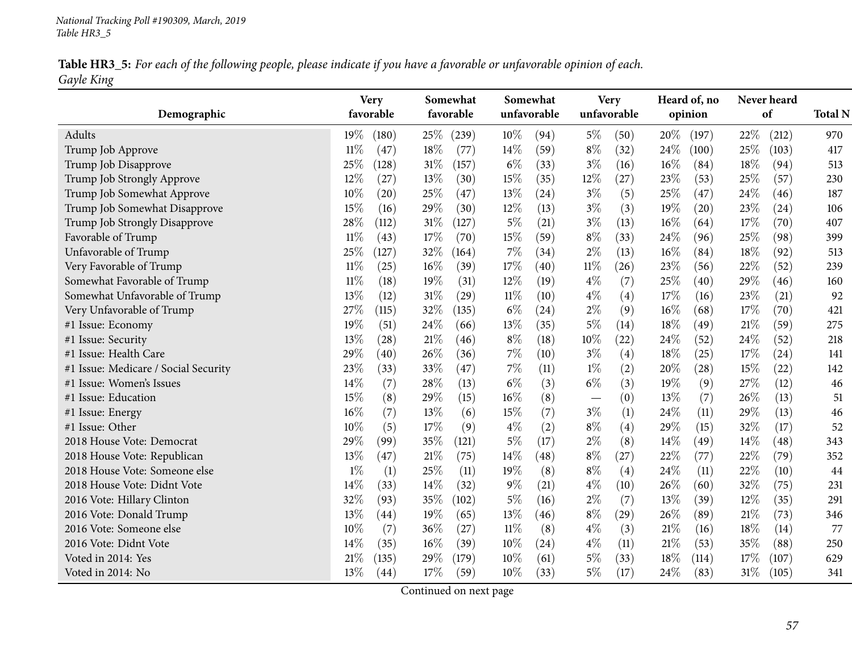Table HR3\_5: For each of the following people, please indicate if you have a favorable or unfavorable opinion of each. *Gayle King*

| Demographic                          | <b>Very</b><br>favorable | Somewhat<br>favorable | Somewhat<br>unfavorable | <b>Very</b><br>unfavorable | Heard of, no<br>opinion | Never heard<br>of | <b>Total N</b> |
|--------------------------------------|--------------------------|-----------------------|-------------------------|----------------------------|-------------------------|-------------------|----------------|
| Adults                               | 19%<br>(180)             | 25\%<br>(239)         | $10\%$<br>(94)          | $5\%$<br>(50)              | 20%<br>(197)            | 22%<br>(212)      | 970            |
| Trump Job Approve                    | $11\%$<br>(47)           | 18%<br>(77)           | $14\%$<br>(59)          | $8\%$<br>(32)              | 24\%<br>(100)           | 25%<br>(103)      | 417            |
| Trump Job Disapprove                 | 25%<br>(128)             | $31\%$<br>(157)       | $6\%$<br>(33)           | $3\%$<br>(16)              | $16\%$<br>(84)          | 18%<br>(94)       | 513            |
| Trump Job Strongly Approve           | $12\%$<br>(27)           | 13%<br>(30)           | 15%<br>(35)             | 12%<br>(27)                | 23%<br>(53)             | 25%<br>(57)       | 230            |
| Trump Job Somewhat Approve           | 10%<br>(20)              | 25%<br>(47)           | 13%<br>(24)             | $3\%$<br>(5)               | 25%<br>(47)             | 24\%<br>(46)      | 187            |
| Trump Job Somewhat Disapprove        | 15%<br>(16)              | 29%<br>(30)           | 12%<br>(13)             | $3\%$<br>(3)               | 19%<br>(20)             | 23%<br>(24)       | 106            |
| Trump Job Strongly Disapprove        | 28%<br>(112)             | 31%<br>(127)          | $5\%$<br>(21)           | $3\%$<br>(13)              | 16%<br>(64)             | 17%<br>(70)       | 407            |
| Favorable of Trump                   | 11%<br>(43)              | 17%<br>(70)           | 15%<br>(59)             | $8\%$<br>(33)              | 24%<br>(96)             | 25%<br>(98)       | 399            |
| Unfavorable of Trump                 | 25%<br>(127)             | 32%<br>(164)          | 7%<br>(34)              | $2\%$<br>(13)              | 16%<br>(84)             | 18%<br>(92)       | 513            |
| Very Favorable of Trump              | $11\%$<br>(25)           | $16\%$<br>(39)        | 17%<br>(40)             | $11\%$<br>(26)             | 23%<br>(56)             | 22%<br>(52)       | 239            |
| Somewhat Favorable of Trump          | $11\%$<br>(18)           | 19%<br>(31)           | 12%<br>(19)             | $4\%$<br>(7)               | 25%<br>(40)             | 29%<br>(46)       | 160            |
| Somewhat Unfavorable of Trump        | 13%<br>(12)              | $31\%$<br>(29)        | 11%<br>(10)             | $4\%$<br>(4)               | 17%<br>(16)             | 23%<br>(21)       | 92             |
| Very Unfavorable of Trump            | 27%<br>(115)             | 32\%<br>(135)         | $6\%$<br>(24)           | $2\%$<br>(9)               | $16\%$<br>(68)          | 17\%<br>(70)      | 421            |
| #1 Issue: Economy                    | 19%<br>(51)              | 24\%<br>(66)          | 13%<br>(35)             | $5\%$<br>(14)              | 18%<br>(49)             | $21\%$<br>(59)    | 275            |
| #1 Issue: Security                   | 13%<br>(28)              | 21\%<br>(46)          | $8\%$<br>(18)           | 10%<br>(22)                | 24%<br>(52)             | 24%<br>(52)       | 218            |
| #1 Issue: Health Care                | 29%<br>(40)              | 26\%<br>(36)          | 7%<br>(10)              | $3\%$<br>(4)               | 18%<br>(25)             | 17%<br>(24)       | 141            |
| #1 Issue: Medicare / Social Security | 23%<br>(33)              | 33%<br>(47)           | 7%<br>(11)              | $1\%$<br>(2)               | 20%<br>(28)             | 15%<br>(22)       | 142            |
| #1 Issue: Women's Issues             | 14\%<br>(7)              | 28%<br>(13)           | $6\%$<br>(3)            | $6\%$<br>(3)               | $19\%$<br>(9)           | 27%<br>(12)       | 46             |
| #1 Issue: Education                  | 15%<br>(8)               | 29%<br>(15)           | 16%<br>(8)              | (0)                        | 13%<br>(7)              | 26%<br>(13)       | 51             |
| #1 Issue: Energy                     | 16%<br>(7)               | 13%<br>(6)            | (7)<br>15%              | $3\%$<br>(1)               | 24%<br>(11)             | 29%<br>(13)       | 46             |
| #1 Issue: Other                      | 10%<br>(5)               | 17%<br>(9)            | $4\%$<br>(2)            | $8\%$<br>(4)               | 29%<br>(15)             | 32%<br>(17)       | 52             |
| 2018 House Vote: Democrat            | 29%<br>(99)              | 35%<br>(121)          | $5\%$<br>(17)           | $2\%$<br>(8)               | $14\%$<br>(49)          | $14\%$<br>(48)    | 343            |
| 2018 House Vote: Republican          | 13%<br>(47)              | $21\%$<br>(75)        | 14\%<br>(48)            | $8\%$<br>(27)              | 22%<br>(77)             | 22%<br>(79)       | 352            |
| 2018 House Vote: Someone else        | $1\%$<br>(1)             | 25%<br>(11)           | 19%<br>(8)              | $8\%$<br>(4)               | 24%<br>(11)             | 22%<br>(10)       | 44             |
| 2018 House Vote: Didnt Vote          | 14%<br>(33)              | 14%<br>(32)           | $9\%$<br>(21)           | $4\%$<br>(10)              | 26%<br>(60)             | 32%<br>(75)       | 231            |
| 2016 Vote: Hillary Clinton           | 32%<br>(93)              | 35%<br>(102)          | $5\%$<br>(16)           | $2\%$<br>(7)               | 13%<br>(39)             | 12%<br>(35)       | 291            |
| 2016 Vote: Donald Trump              | 13%<br>(44)              | 19%<br>(65)           | 13%<br>(46)             | $8\%$<br>(29)              | 26%<br>(89)             | 21%<br>(73)       | 346            |
| 2016 Vote: Someone else              | 10%<br>(7)               | 36%<br>(27)           | $11\%$<br>(8)           | $4\%$<br>(3)               | 21%<br>(16)             | 18%<br>(14)       | 77             |
| 2016 Vote: Didnt Vote                | 14%<br>(35)              | $16\%$<br>(39)        | 10%<br>(24)             | $4\%$<br>(11)              | 21\%<br>(53)            | 35%<br>(88)       | 250            |
| Voted in 2014: Yes                   | 21%<br>(135)             | 29%<br>(179)          | 10%<br>(61)             | $5\%$<br>(33)              | 18%<br>(114)            | 17%<br>(107)      | 629            |
| Voted in 2014: No                    | 13\%<br>(44)             | 17%<br>(59)           | 10%<br>(33)             | $5\%$<br>(17)              | 24%<br>(83)             | $31\%$<br>(105)   | 341            |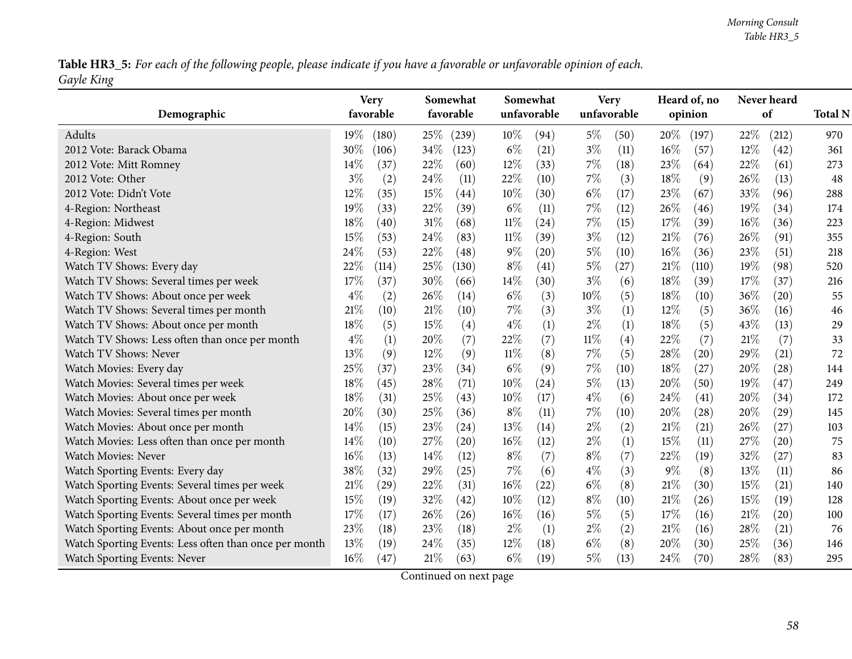Table HR3\_5: For each of the following people, please indicate if you have a favorable or unfavorable opinion of each. *Gayle King*

|                                                       | <b>Very</b> |                    |        | Somewhat  |        | Somewhat    |        | <b>Very</b> |        | Heard of, no |        | Never heard        |                |
|-------------------------------------------------------|-------------|--------------------|--------|-----------|--------|-------------|--------|-------------|--------|--------------|--------|--------------------|----------------|
| Demographic                                           | favorable   |                    |        | favorable |        | unfavorable |        | unfavorable |        | opinion      |        | of                 | <b>Total N</b> |
| Adults                                                | 19%         | (180)              | 25%    | (239)     | $10\%$ | (94)        | $5\%$  | (50)        | $20\%$ | (197)        | 22%    | (212)              | 970            |
| 2012 Vote: Barack Obama                               | 30%         | (106)              | 34\%   | (123)     | $6\%$  | (21)        | $3\%$  | (11)        | 16%    | (57)         | 12%    | (42)               | 361            |
| 2012 Vote: Mitt Romney                                | 14%         | (37)               | 22%    | (60)      | $12\%$ | (33)        | $7\%$  | (18)        | 23\%   | (64)         | 22%    | (61)               | 273            |
| 2012 Vote: Other                                      | $3\%$       | (2)                | 24\%   | (11)      | 22%    | (10)        | $7\%$  | (3)         | 18%    | (9)          | 26%    | (13)               | 48             |
| 2012 Vote: Didn't Vote                                | 12%         | (35)               | 15%    | (44)      | $10\%$ | (30)        | $6\%$  | (17)        | 23%    | (67)         | 33%    | (96)               | 288            |
| 4-Region: Northeast                                   | 19%         | (33)               | 22%    | (39)      | $6\%$  | (11)        | $7\%$  | (12)        | 26%    | (46)         | 19%    | (34)               | 174            |
| 4-Region: Midwest                                     | 18%         | (40)               | $31\%$ | (68)      | $11\%$ | (24)        | $7\%$  | (15)        | 17%    | (39)         | 16%    | (36)               | 223            |
| 4-Region: South                                       | 15%         | (53)               | 24\%   | (83)      | $11\%$ | (39)        | $3\%$  | (12)        | $21\%$ | (76)         | 26%    | (91)               | 355            |
| 4-Region: West                                        | 24%         | (53)               | 22%    | (48)      | $9\%$  | (20)        | $5\%$  | (10)        | 16%    | (36)         | 23%    | (51)               | 218            |
| Watch TV Shows: Every day                             | 22%         | (114)              | 25%    | (130)     | $8\%$  | (41)        | $5\%$  | (27)        | 21%    | (110)        | 19%    | (98)               | 520            |
| Watch TV Shows: Several times per week                | 17%         | (37)               | 30%    | (66)      | 14\%   | (30)        | $3\%$  | (6)         | 18%    | (39)         | 17%    | (37)               | 216            |
| Watch TV Shows: About once per week                   | $4\%$       | (2)                | 26\%   | (14)      | $6\%$  | (3)         | $10\%$ | (5)         | 18%    | (10)         | 36%    | (20)               | 55             |
| Watch TV Shows: Several times per month               | 21%         | (10)               | 21%    | (10)      | $7\%$  | (3)         | $3\%$  | (1)         | $12\%$ | (5)          | 36%    | (16)               | 46             |
| Watch TV Shows: About once per month                  | 18%         | (5)                | 15%    | (4)       | $4\%$  | (1)         | $2\%$  | (1)         | 18%    | (5)          | 43%    | (13)               | 29             |
| Watch TV Shows: Less often than once per month        | $4\%$       | (1)                | 20%    | (7)       | 22%    | (7)         | $11\%$ | (4)         | 22%    | (7)          | 21%    | (7)                | 33             |
| Watch TV Shows: Never                                 | 13%         | (9)                | $12\%$ | (9)       | $11\%$ | (8)         | $7\%$  | (5)         | 28\%   | (20)         | 29%    | (21)               | 72             |
| Watch Movies: Every day                               | 25%         | (37)               | 23\%   | (34)      | $6\%$  | (9)         | $7\%$  | (10)        | 18%    | (27)         | 20%    | $\left( 28\right)$ | 144            |
| Watch Movies: Several times per week                  | 18%         | (45)               | 28\%   | (71)      | $10\%$ | (24)        | $5\%$  | (13)        | 20%    | (50)         | 19%    | (47)               | 249            |
| Watch Movies: About once per week                     | 18\%        | (31)               | 25%    | (43)      | $10\%$ | (17)        | $4\%$  | (6)         | 24\%   | (41)         | 20%    | (34)               | 172            |
| Watch Movies: Several times per month                 | 20%         | (30)               | 25%    | (36)      | $8\%$  | (11)        | $7\%$  | (10)        | 20%    | (28)         | 20%    | (29)               | 145            |
| Watch Movies: About once per month                    | 14%         | (15)               | 23\%   | (24)      | 13%    | (14)        | $2\%$  | (2)         | 21%    | (21)         | 26\%   | (27)               | 103            |
| Watch Movies: Less often than once per month          | 14%         | (10)               | 27%    | (20)      | 16%    | (12)        | $2\%$  | (1)         | 15%    | (11)         | 27%    | (20)               | 75             |
| Watch Movies: Never                                   | 16%         | (13)               | 14%    | (12)      | $8\%$  | (7)         | $8\%$  | (7)         | 22%    | (19)         | 32%    | (27)               | 83             |
| Watch Sporting Events: Every day                      | 38%         | (32)               | 29%    | (25)      | $7\%$  | (6)         | $4\%$  | (3)         | $9\%$  | (8)          | 13%    | (11)               | 86             |
| Watch Sporting Events: Several times per week         | 21%         | $\left( 29\right)$ | $22\%$ | (31)      | $16\%$ | (22)        | $6\%$  | (8)         | 21%    | (30)         | 15%    | (21)               | 140            |
| Watch Sporting Events: About once per week            | 15%         | (19)               | 32%    | (42)      | $10\%$ | (12)        | $8\%$  | (10)        | $21\%$ | (26)         | 15%    | (19)               | 128            |
| Watch Sporting Events: Several times per month        | 17%         | (17)               | 26\%   | (26)      | $16\%$ | (16)        | $5\%$  | (5)         | 17%    | (16)         | $21\%$ | (20)               | 100            |
| Watch Sporting Events: About once per month           | 23%         | (18)               | 23\%   | (18)      | $2\%$  | (1)         | $2\%$  | (2)         | 21%    | (16)         | 28\%   | (21)               | 76             |
| Watch Sporting Events: Less often than once per month | 13%         | (19)               | 24\%   | (35)      | $12\%$ | (18)        | $6\%$  | (8)         | 20%    | (30)         | 25%    | (36)               | 146            |
| Watch Sporting Events: Never                          | $16\%$      | (47)               | 21%    | (63)      | $6\%$  | (19)        | $5\%$  | (13)        | 24%    | (70)         | 28\%   | (83)               | 295            |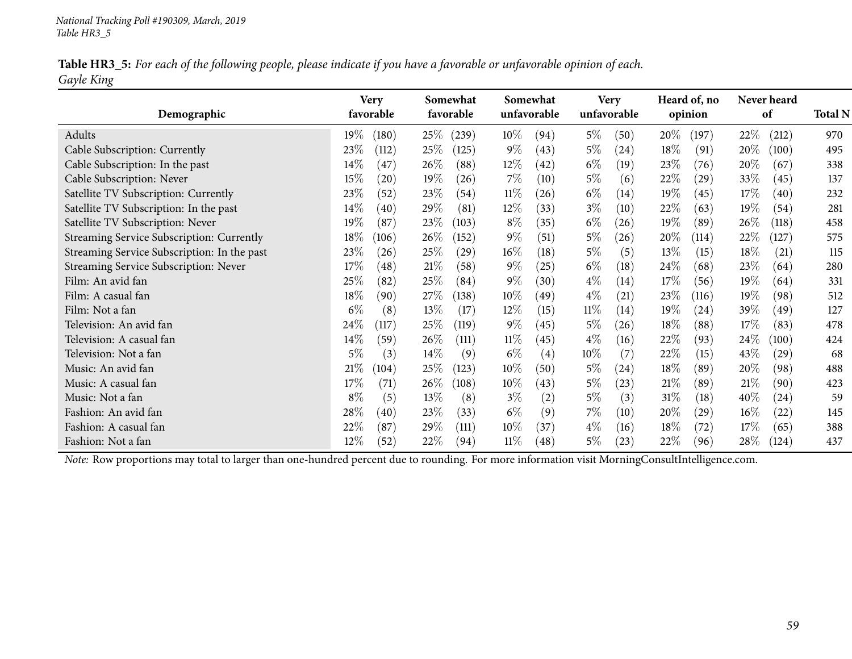| Table HR3_5: For each of the following people, please indicate if you have a favorable or unfavorable opinion of each. |  |
|------------------------------------------------------------------------------------------------------------------------|--|
| Gayle King                                                                                                             |  |

| Demographic                                 | <b>Very</b><br>favorable     | Somewhat<br>favorable | Somewhat<br>unfavorable      | <b>Very</b><br>unfavorable |                 | Never heard<br>of | <b>Total N</b> |
|---------------------------------------------|------------------------------|-----------------------|------------------------------|----------------------------|-----------------|-------------------|----------------|
| Adults                                      | $19\%$<br>(180)              | 25%<br>(239)          | $10\%$<br>(94)               | $5\%$<br>(50)              | $20\%$<br>(197) | $22\%$<br>(212)   | 970            |
| Cable Subscription: Currently               | 23\%<br>(112)                | 25%<br>(125)          | $9\%$<br>(43)                | $5\%$<br>(24)              | $18\%$<br>(91)  | $20\%$<br>(100)   | 495            |
| Cable Subscription: In the past             | 14\%<br>(47)                 | 26\%<br>(88)          | $12\%$<br>$\left( 42\right)$ | $6\%$<br>(19)              | 23%<br>(76)     | $20\%$<br>(67)    | 338            |
| Cable Subscription: Never                   | 15%<br>$\left( 20\right)$    | $19\%$<br>(26)        | $7\%$<br>(10)                | $5\%$<br>(6)               | 22\%<br>(29)    | 33\%<br>(45)      | 137            |
| Satellite TV Subscription: Currently        | 23%<br>(52)                  | 23\%<br>(54)          | $11\%$<br>(26)               | $6\%$<br>(14)              | $19\%$<br>(45)  | 17%<br>(40)       | 232            |
| Satellite TV Subscription: In the past      | $14\%$<br>$\left( 40\right)$ | $29\%$<br>(81)        | $12\%$<br>(33)               | $3\%$<br>(10)              | 22\%<br>(63)    | 19%<br>(54)       | 281            |
| Satellite TV Subscription: Never            | 19%<br>(87)                  | $23\%$<br>(103)       | $8\%$<br>(35)                | $6\%$<br>(26)              | 19%<br>(89)     | $26\%$<br>(118)   | 458            |
| Streaming Service Subscription: Currently   | 18%<br>(106)                 | $26\%$<br>(152)       | 9%<br>(51)                   | $5\%$<br>(26)              | $20\%$<br>(114) | $22\%$<br>(127)   | 575            |
| Streaming Service Subscription: In the past | 23\%<br>(26)                 | 25%<br>(29)           | $16\%$<br>(18)               | $5\%$<br>(5)               | 13\%<br>(15)    | 18\%<br>(21)      | 115            |
| Streaming Service Subscription: Never       | 17%<br>(48)                  | 21%<br>(58)           | $9\%$<br>(25)                | $6\%$<br>(18)              | $24\%$<br>(68)  | 23%<br>(64)       | 280            |
| Film: An avid fan                           | 25\%<br>(82)                 | 25\%<br>(84)          | $9\%$<br>(30)                | $4\%$<br>(14)              | 17%<br>(56)     | 19%<br>(64)       | 331            |
| Film: A casual fan                          | 18\%<br>(90)                 | 27\%<br>(138)         | $10\%$<br>(49)               | $4\%$<br>(21)              | 23\%<br>(116)   | 19%<br>(98)       | 512            |
| Film: Not a fan                             | $6\%$<br>(8)                 | $13\%$<br>(17)        | $12\%$<br>(15)               | $11\%$<br>(14)             | 19%<br>(24)     | 39\%<br>(49       | 127            |
| Television: An avid fan                     | $24\%$<br>(117)              | 25%<br>(119)          | $9\%$<br>(45)                | $5\%$<br>(26)              | 18\%<br>(88)    | 17%<br>(83)       | 478            |
| Television: A casual fan                    | $14\%$<br>(59)               | $26\%$<br>(111)       | $11\%$<br>(45)               | $4\%$<br>(16)              | 22\%<br>(93)    | $24\%$<br>(100)   | 424            |
| Television: Not a fan                       | 5%<br>(3)                    | $14\%$<br>(9)         | $6\%$<br>$\left( 4\right)$   | $10\%$<br>(7)              | 22\%<br>(15)    | 43\%<br>(29)      | 68             |
| Music: An avid fan                          | 21\%<br>104)                 | 25\%<br>(123)         | $10\%$<br>(50)               | $5\%$<br>(24)              | 18%<br>(89)     | $20\%$<br>(98)    | 488            |
| Music: A casual fan                         | 17%<br>(71)                  | $26\%$<br>(108)       | $10\%$<br>(43)               | $5\%$<br>(23)              | 21%<br>(89)     | 21%<br>(90)       | 423            |
| Music: Not a fan                            | $8\%$<br>(5)                 | $13\%$<br>(8)         | (2)<br>$3\%$                 | $5\%$<br>(3)               | 31%<br>(18)     | $40\%$<br>(24)    | 59             |
| Fashion: An avid fan                        | 28\%<br>$\left( 40\right)$   | 23%<br>(33)           | $6\%$<br>(9)                 | 7%<br>(10)                 | $20\%$<br>(29)  | $16\%$<br>(22)    | 145            |
| Fashion: A casual fan                       | 22%<br>(87)                  | $29\%$<br>(111)       | $10\%$<br>(37)               | $4\%$<br>(16)              | 18%<br>(72)     | 17%<br>(65)       | 388            |
| Fashion: Not a fan                          | 12%<br>(52)                  | 22\%<br>(94)          | $11\%$<br>(48)               | $5\%$<br>(23)              | 22\%<br>(96)    | $28\%$<br>(124)   | 437            |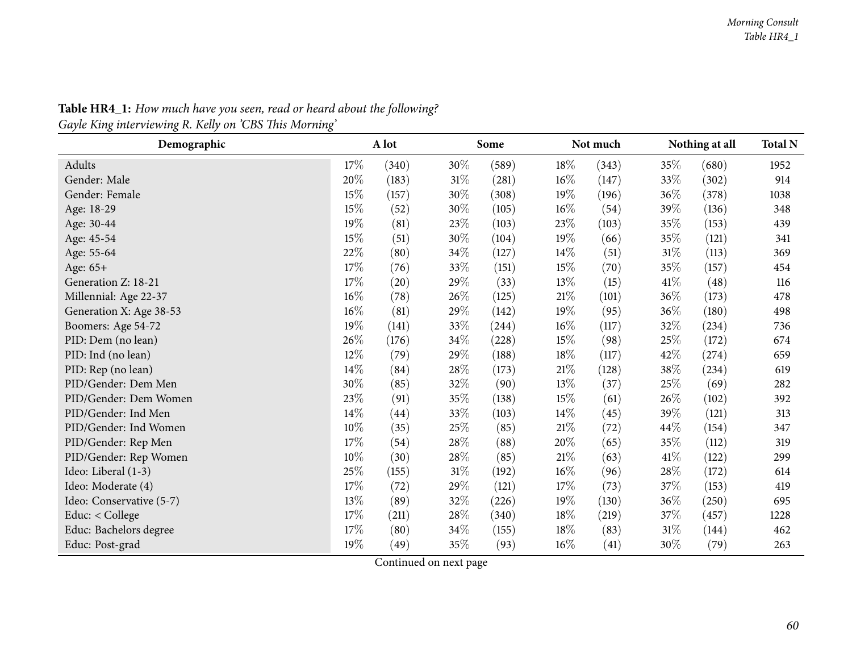| Demographic              |        | A lot |        | Some  |        | Not much |        | Nothing at all | <b>Total N</b> |
|--------------------------|--------|-------|--------|-------|--------|----------|--------|----------------|----------------|
| Adults                   | 17\%   | (340) | 30%    | (589) | $18\%$ | (343)    | 35%    | (680)          | 1952           |
| Gender: Male             | 20%    | (183) | $31\%$ | (281) | $16\%$ | (147)    | 33%    | (302)          | 914            |
| Gender: Female           | 15%    | (157) | 30%    | (308) | 19%    | (196)    | 36\%   | (378)          | 1038           |
| Age: 18-29               | 15%    | (52)  | 30%    | (105) | $16\%$ | (54)     | 39%    | (136)          | 348            |
| Age: 30-44               | 19%    | (81)  | 23%    | (103) | 23\%   | (103)    | $35\%$ | (153)          | 439            |
| Age: 45-54               | 15%    | (51)  | 30%    | (104) | 19%    | (66)     | $35\%$ | (121)          | 341            |
| Age: 55-64               | 22\%   | (80)  | $34\%$ | (127) | 14%    | (51)     | $31\%$ | (113)          | 369            |
| Age: 65+                 | $17\%$ | (76)  | 33%    | (151) | 15%    | (70)     | $35\%$ | (157)          | 454            |
| Generation Z: 18-21      | $17\%$ | (20)  | 29%    | (33)  | 13%    | (15)     | $41\%$ | (48)           | 116            |
| Millennial: Age 22-37    | $16\%$ | (78)  | 26\%   | (125) | $21\%$ | (101)    | 36%    | (173)          | 478            |
| Generation X: Age 38-53  | $16\%$ | (81)  | 29%    | (142) | 19%    | (95)     | 36%    | (180)          | 498            |
| Boomers: Age 54-72       | 19%    | (141) | 33%    | (244) | $16\%$ | (117)    | 32%    | (234)          | 736            |
| PID: Dem (no lean)       | 26%    | (176) | 34\%   | (228) | 15\%   | (98)     | 25\%   | (172)          | 674            |
| PID: Ind (no lean)       | 12%    | (79)  | 29%    | (188) | $18\%$ | (117)    | 42\%   | (274)          | 659            |
| PID: Rep (no lean)       | $14\%$ | (84)  | 28\%   | (173) | 21%    | (128)    | $38\%$ | (234)          | 619            |
| PID/Gender: Dem Men      | 30%    | (85)  | 32%    | (90)  | 13\%   | (37)     | $25\%$ | (69)           | 282            |
| PID/Gender: Dem Women    | 23\%   | (91)  | 35%    | (138) | 15%    | (61)     | 26\%   | (102)          | 392            |
| PID/Gender: Ind Men      | $14\%$ | (44)  | 33%    | (103) | 14\%   | (45)     | 39%    | (121)          | 313            |
| PID/Gender: Ind Women    | $10\%$ | (35)  | 25%    | (85)  | $21\%$ | (72)     | $44\%$ | (154)          | 347            |
| PID/Gender: Rep Men      | $17\%$ | (54)  | $28\%$ | (88)  | 20%    | (65)     | $35\%$ | (112)          | 319            |
| PID/Gender: Rep Women    | $10\%$ | (30)  | 28\%   | (85)  | 21%    | (63)     | 41\%   | (122)          | 299            |
| Ideo: Liberal (1-3)      | $25\%$ | (155) | $31\%$ | (192) | $16\%$ | (96)     | $28\%$ | (172)          | 614            |
| Ideo: Moderate (4)       | $17\%$ | (72)  | 29%    | (121) | $17\%$ | (73)     | $37\%$ | (153)          | 419            |
| Ideo: Conservative (5-7) | $13\%$ | (89)  | 32%    | (226) | 19%    | (130)    | 36%    | (250)          | 695            |
| Educ: < College          | 17%    | (211) | 28\%   | (340) | 18\%   | (219)    | $37\%$ | (457)          | 1228           |
| Educ: Bachelors degree   | $17\%$ | (80)  | 34%    | (155) | $18\%$ | (83)     | $31\%$ | (144)          | 462            |
| Educ: Post-grad          | 19%    | (49)  | $35\%$ | (93)  | $16\%$ | (41)     | 30%    | (79)           | 263            |

Table HR4\_1: How much have you seen, read or heard about the following? *Gayle King interviewing R. Kelly on 'CBS This Morning'*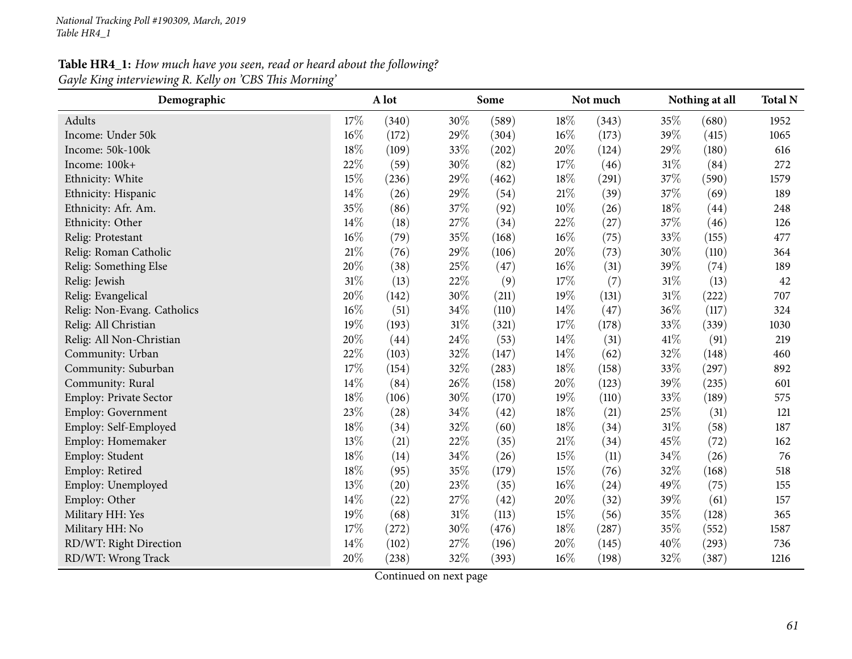### Table HR4\_1: How much have you seen, read or heard about the following? *Gayle King interviewing R. Kelly on 'CBS This Morning'*

| Demographic                 |     | A lot |        | Some  |        | Not much |        | Nothing at all | <b>Total N</b> |
|-----------------------------|-----|-------|--------|-------|--------|----------|--------|----------------|----------------|
| Adults                      | 17% | (340) | 30%    | (589) | 18%    | (343)    | 35%    | (680)          | 1952           |
| Income: Under 50k           | 16% | (172) | 29%    | (304) | 16%    | (173)    | 39%    | (415)          | 1065           |
| Income: 50k-100k            | 18% | (109) | $33\%$ | (202) | 20%    | (124)    | 29%    | (180)          | 616            |
| Income: 100k+               | 22% | (59)  | $30\%$ | (82)  | 17%    | (46)     | $31\%$ | (84)           | 272            |
| Ethnicity: White            | 15% | (236) | 29%    | (462) | 18%    | (291)    | 37%    | (590)          | 1579           |
| Ethnicity: Hispanic         | 14% | (26)  | 29%    | (54)  | 21\%   | (39)     | 37%    | (69)           | 189            |
| Ethnicity: Afr. Am.         | 35% | (86)  | $37\%$ | (92)  | 10%    | (26)     | 18%    | (44)           | 248            |
| Ethnicity: Other            | 14% | (18)  | 27%    | (34)  | 22%    | (27)     | 37\%   | (46)           | 126            |
| Relig: Protestant           | 16% | (79)  | 35%    | (168) | 16%    | (75)     | 33%    | (155)          | 477            |
| Relig: Roman Catholic       | 21% | (76)  | 29%    | (106) | 20%    | (73)     | 30%    | (110)          | 364            |
| Relig: Something Else       | 20% | (38)  | 25%    | (47)  | 16%    | (31)     | 39%    | (74)           | 189            |
| Relig: Jewish               | 31% | (13)  | 22\%   | (9)   | 17%    | (7)      | $31\%$ | (13)           | 42             |
| Relig: Evangelical          | 20% | (142) | 30%    | (211) | 19%    | (131)    | $31\%$ | (222)          | 707            |
| Relig: Non-Evang. Catholics | 16% | (51)  | 34%    | (110) | 14%    | (47)     | 36%    | (117)          | 324            |
| Relig: All Christian        | 19% | (193) | $31\%$ | (321) | 17%    | (178)    | 33%    | (339)          | 1030           |
| Relig: All Non-Christian    | 20% | (44)  | 24\%   | (53)  | 14%    | (31)     | 41\%   | (91)           | 219            |
| Community: Urban            | 22% | (103) | 32%    | (147) | 14%    | (62)     | 32%    | (148)          | 460            |
| Community: Suburban         | 17% | (154) | 32%    | (283) | 18%    | (158)    | 33%    | (297)          | 892            |
| Community: Rural            | 14% | (84)  | 26%    | (158) | 20%    | (123)    | 39%    | (235)          | 601            |
| Employ: Private Sector      | 18% | (106) | 30%    | (170) | 19%    | (110)    | 33%    | (189)          | 575            |
| Employ: Government          | 23% | (28)  | 34%    | (42)  | 18%    | (21)     | 25%    | (31)           | 121            |
| Employ: Self-Employed       | 18% | (34)  | 32%    | (60)  | 18%    | (34)     | $31\%$ | (58)           | 187            |
| Employ: Homemaker           | 13% | (21)  | $22\%$ | (35)  | $21\%$ | (34)     | 45%    | (72)           | 162            |
| Employ: Student             | 18% | (14)  | 34%    | (26)  | 15%    | (11)     | 34\%   | (26)           | 76             |
| Employ: Retired             | 18% | (95)  | $35\%$ | (179) | 15%    | (76)     | 32%    | (168)          | 518            |
| Employ: Unemployed          | 13% | (20)  | 23%    | (35)  | 16%    | (24)     | 49%    | (75)           | 155            |
| Employ: Other               | 14% | (22)  | 27%    | (42)  | 20%    | (32)     | 39%    | (61)           | 157            |
| Military HH: Yes            | 19% | (68)  | $31\%$ | (113) | 15%    | (56)     | 35%    | (128)          | 365            |
| Military HH: No             | 17% | (272) | $30\%$ | (476) | 18%    | (287)    | 35%    | (552)          | 1587           |
| RD/WT: Right Direction      | 14% | (102) | 27%    | (196) | 20%    | (145)    | 40%    | (293)          | 736            |
| RD/WT: Wrong Track          | 20% | (238) | 32%    | (393) | 16%    | (198)    | 32%    | (387)          | 1216           |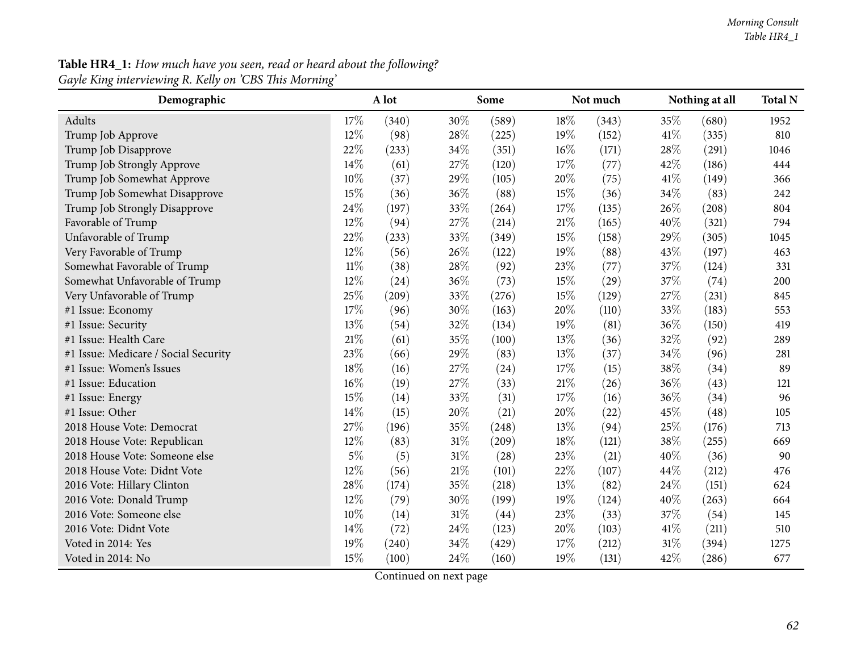# **Table HR4\_1:** How much have you seen, read or heard about the following?

*Gayle King interviewing R. Kelly on 'CBS This Morning'*

| Demographic                          |        | A lot |        | Some  |      | Not much |      | Nothing at all | <b>Total N</b> |
|--------------------------------------|--------|-------|--------|-------|------|----------|------|----------------|----------------|
| Adults                               | 17%    | (340) | 30%    | (589) | 18%  | (343)    | 35%  | (680)          | 1952           |
| Trump Job Approve                    | 12%    | (98)  | 28%    | (225) | 19%  | (152)    | 41\% | (335)          | 810            |
| Trump Job Disapprove                 | 22%    | (233) | 34%    | (351) | 16%  | (171)    | 28%  | (291)          | 1046           |
| Trump Job Strongly Approve           | 14%    | (61)  | 27%    | (120) | 17%  | (77)     | 42%  | (186)          | 444            |
| Trump Job Somewhat Approve           | 10%    | (37)  | 29%    | (105) | 20%  | (75)     | 41%  | (149)          | 366            |
| Trump Job Somewhat Disapprove        | 15%    | (36)  | 36%    | (88)  | 15%  | (36)     | 34%  | (83)           | 242            |
| Trump Job Strongly Disapprove        | 24%    | (197) | 33%    | (264) | 17%  | (135)    | 26%  | (208)          | 804            |
| Favorable of Trump                   | 12%    | (94)  | 27%    | (214) | 21%  | (165)    | 40%  | (321)          | 794            |
| Unfavorable of Trump                 | 22%    | (233) | 33%    | (349) | 15%  | (158)    | 29%  | (305)          | 1045           |
| Very Favorable of Trump              | 12%    | (56)  | 26%    | (122) | 19%  | (88)     | 43%  | (197)          | 463            |
| Somewhat Favorable of Trump          | $11\%$ | (38)  | 28%    | (92)  | 23%  | (77)     | 37%  | (124)          | 331            |
| Somewhat Unfavorable of Trump        | 12%    | (24)  | 36%    | (73)  | 15%  | (29)     | 37%  | (74)           | 200            |
| Very Unfavorable of Trump            | 25%    | (209) | 33%    | (276) | 15%  | (129)    | 27\% | (231)          | 845            |
| #1 Issue: Economy                    | 17%    | (96)  | 30%    | (163) | 20%  | (110)    | 33%  | (183)          | 553            |
| #1 Issue: Security                   | 13%    | (54)  | 32%    | (134) | 19%  | (81)     | 36%  | (150)          | 419            |
| #1 Issue: Health Care                | 21%    | (61)  | 35%    | (100) | 13%  | (36)     | 32%  | (92)           | 289            |
| #1 Issue: Medicare / Social Security | 23%    | (66)  | 29%    | (83)  | 13%  | (37)     | 34%  | (96)           | 281            |
| #1 Issue: Women's Issues             | 18%    | (16)  | 27%    | (24)  | 17%  | (15)     | 38%  | (34)           | 89             |
| #1 Issue: Education                  | 16%    | (19)  | 27%    | (33)  | 21\% | (26)     | 36%  | (43)           | 121            |
| #1 Issue: Energy                     | 15%    | (14)  | 33%    | (31)  | 17%  | (16)     | 36%  | (34)           | 96             |
| #1 Issue: Other                      | 14%    | (15)  | 20%    | (21)  | 20%  | (22)     | 45%  | (48)           | 105            |
| 2018 House Vote: Democrat            | 27%    | (196) | 35%    | (248) | 13%  | (94)     | 25%  | (176)          | 713            |
| 2018 House Vote: Republican          | 12%    | (83)  | $31\%$ | (209) | 18%  | (121)    | 38%  | (255)          | 669            |
| 2018 House Vote: Someone else        | $5\%$  | (5)   | 31%    | (28)  | 23%  | (21)     | 40%  | (36)           | 90             |
| 2018 House Vote: Didnt Vote          | 12%    | (56)  | $21\%$ | (101) | 22%  | (107)    | 44\% | (212)          | 476            |
| 2016 Vote: Hillary Clinton           | 28%    | (174) | 35%    | (218) | 13%  | (82)     | 24%  | (151)          | 624            |
| 2016 Vote: Donald Trump              | 12%    | (79)  | 30%    | (199) | 19%  | (124)    | 40%  | (263)          | 664            |
| 2016 Vote: Someone else              | 10%    | (14)  | $31\%$ | (44)  | 23%  | (33)     | 37%  | (54)           | 145            |
| 2016 Vote: Didnt Vote                | 14%    | (72)  | 24\%   | (123) | 20%  | (103)    | 41\% | (211)          | 510            |
| Voted in 2014: Yes                   | 19%    | (240) | 34%    | (429) | 17%  | (212)    | 31%  | (394)          | 1275           |
| Voted in 2014: No                    | 15%    | (100) | 24\%   | (160) | 19%  | (131)    | 42%  | (286)          | 677            |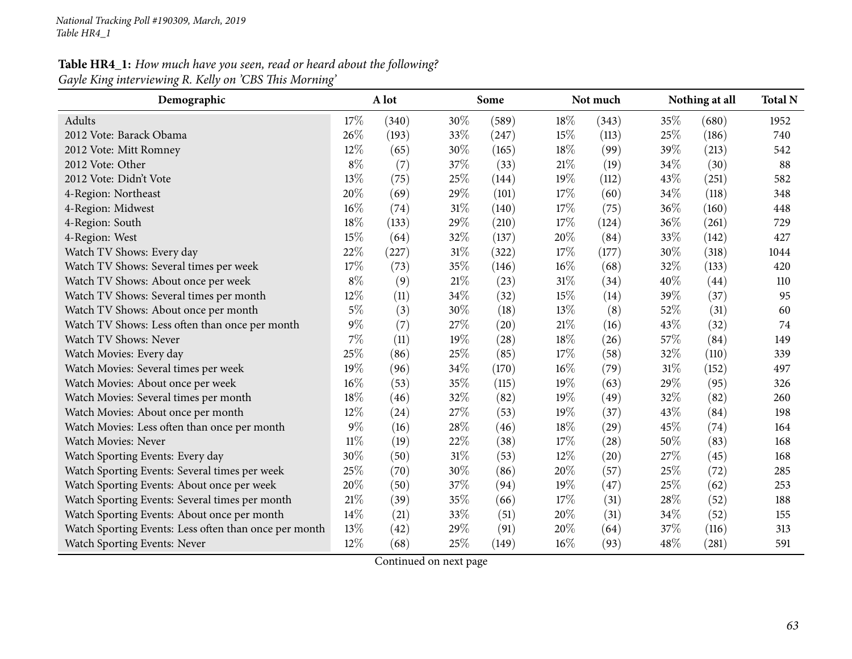### Table HR4\_1: How much have you seen, read or heard about the following? *Gayle King interviewing R. Kelly on 'CBS This Morning'*

| Demographic                                           |        | A lot |        | Some  |        | Not much |      | Nothing at all | <b>Total N</b> |
|-------------------------------------------------------|--------|-------|--------|-------|--------|----------|------|----------------|----------------|
| Adults                                                | 17%    | (340) | 30%    | (589) | 18%    | (343)    | 35%  | (680)          | 1952           |
| 2012 Vote: Barack Obama                               | 26%    | (193) | 33%    | (247) | 15%    | (113)    | 25\% | (186)          | 740            |
| 2012 Vote: Mitt Romney                                | 12%    | (65)  | 30%    | (165) | 18%    | (99)     | 39%  | (213)          | 542            |
| 2012 Vote: Other                                      | $8\%$  | (7)   | 37%    | (33)  | 21%    | (19)     | 34%  | (30)           | 88             |
| 2012 Vote: Didn't Vote                                | 13%    | (75)  | 25%    | (144) | 19%    | (112)    | 43%  | (251)          | 582            |
| 4-Region: Northeast                                   | 20%    | (69)  | 29%    | (101) | 17%    | (60)     | 34%  | (118)          | 348            |
| 4-Region: Midwest                                     | 16%    | (74)  | $31\%$ | (140) | 17%    | (75)     | 36%  | (160)          | 448            |
| 4-Region: South                                       | 18%    | (133) | 29%    | (210) | 17%    | (124)    | 36%  | (261)          | 729            |
| 4-Region: West                                        | 15%    | (64)  | 32%    | (137) | 20%    | (84)     | 33%  | (142)          | 427            |
| Watch TV Shows: Every day                             | 22%    | (227) | $31\%$ | (322) | 17%    | (177)    | 30%  | (318)          | 1044           |
| Watch TV Shows: Several times per week                | 17%    | (73)  | 35%    | (146) | 16%    | (68)     | 32%  | (133)          | 420            |
| Watch TV Shows: About once per week                   | $8\%$  | (9)   | $21\%$ | (23)  | 31%    | (34)     | 40%  | (44)           | 110            |
| Watch TV Shows: Several times per month               | 12%    | (11)  | 34%    | (32)  | 15%    | (14)     | 39%  | (37)           | 95             |
| Watch TV Shows: About once per month                  | $5\%$  | (3)   | 30%    | (18)  | 13%    | (8)      | 52%  | (31)           | 60             |
| Watch TV Shows: Less often than once per month        | 9%     | (7)   | 27%    | (20)  | $21\%$ | (16)     | 43%  | (32)           | 74             |
| Watch TV Shows: Never                                 | 7%     | (11)  | 19%    | (28)  | 18%    | (26)     | 57%  | (84)           | 149            |
| Watch Movies: Every day                               | 25%    | (86)  | 25%    | (85)  | 17%    | (58)     | 32%  | (110)          | 339            |
| Watch Movies: Several times per week                  | 19%    | (96)  | 34%    | (170) | 16%    | (79)     | 31%  | (152)          | 497            |
| Watch Movies: About once per week                     | 16%    | (53)  | 35%    | (115) | 19%    | (63)     | 29%  | (95)           | 326            |
| Watch Movies: Several times per month                 | 18%    | (46)  | 32%    | (82)  | 19%    | (49)     | 32%  | (82)           | 260            |
| Watch Movies: About once per month                    | 12%    | (24)  | 27%    | (53)  | 19%    | (37)     | 43%  | (84)           | 198            |
| Watch Movies: Less often than once per month          | $9\%$  | (16)  | 28%    | (46)  | 18%    | (29)     | 45%  | (74)           | 164            |
| Watch Movies: Never                                   | $11\%$ | (19)  | 22%    | (38)  | 17%    | (28)     | 50%  | (83)           | 168            |
| Watch Sporting Events: Every day                      | 30%    | (50)  | $31\%$ | (53)  | 12%    | (20)     | 27\% | (45)           | 168            |
| Watch Sporting Events: Several times per week         | 25%    | (70)  | $30\%$ | (86)  | 20%    | (57)     | 25%  | (72)           | 285            |
| Watch Sporting Events: About once per week            | 20%    | (50)  | 37%    | (94)  | 19%    | (47)     | 25%  | (62)           | 253            |
| Watch Sporting Events: Several times per month        | 21%    | (39)  | 35%    | (66)  | 17%    | (31)     | 28%  | (52)           | 188            |
| Watch Sporting Events: About once per month           | 14%    | (21)  | 33%    | (51)  | 20%    | (31)     | 34%  | (52)           | 155            |
| Watch Sporting Events: Less often than once per month | 13%    | (42)  | 29%    | (91)  | 20%    | (64)     | 37%  | (116)          | 313            |
| Watch Sporting Events: Never                          | 12%    | (68)  | 25%    | (149) | 16%    | (93)     | 48%  | (281)          | 591            |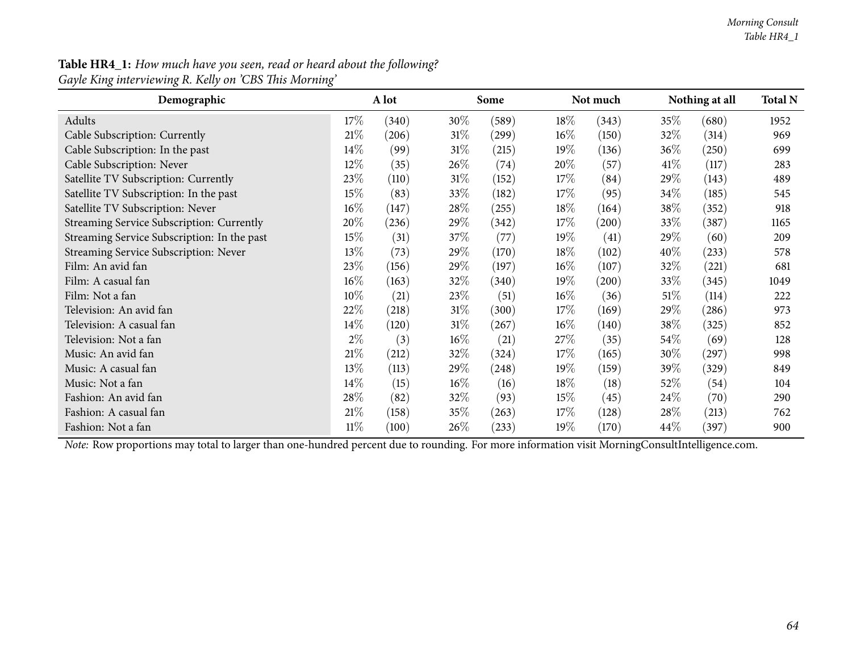# Table HR4\_1: How much have you seen, read or heard about the following?

*Gayle King interviewing R. Kelly on 'CBS This Morning'*

| Demographic                                 |        | A lot |        | Some  |        | Not much |        | Nothing at all | <b>Total N</b> |
|---------------------------------------------|--------|-------|--------|-------|--------|----------|--------|----------------|----------------|
| Adults                                      | 17%    | (340) | 30\%   | (589) | 18%    | (343)    | 35\%   | (680)          | 1952           |
| Cable Subscription: Currently               | 21%    | (206) | $31\%$ | (299) | $16\%$ | (150)    | 32\%   | (314)          | 969            |
| Cable Subscription: In the past             | 14\%   | (99)  | $31\%$ | (215) | 19%    | (136)    | $36\%$ | (250)          | 699            |
| Cable Subscription: Never                   | 12%    | (35)  | 26\%   | (74)  | 20%    | (57)     | 41\%   | (117)          | 283            |
| Satellite TV Subscription: Currently        | 23%    | (110) | $31\%$ | (152) | 17\%   | (84)     | $29\%$ | (143)          | 489            |
| Satellite TV Subscription: In the past      | 15%    | (83)  | 33\%   | (182) | 17%    | (95)     | $34\%$ | (185)          | 545            |
| Satellite TV Subscription: Never            | $16\%$ | (147) | 28\%   | (255) | 18%    | (164)    | 38\%   | (352)          | 918            |
| Streaming Service Subscription: Currently   | 20%    | (236) | 29\%   | (342) | 17%    | (200)    | $33\%$ | (387)          | 1165           |
| Streaming Service Subscription: In the past | 15%    | (31)  | 37\%   | (77)  | 19%    | (41)     | 29%    | (60)           | 209            |
| Streaming Service Subscription: Never       | 13%    | (73)  | 29%    | (170) | 18%    | (102)    | 40%    | (233)          | 578            |
| Film: An avid fan                           | 23\%   | (156) | 29%    | (197) | $16\%$ | (107)    | 32\%   | (221)          | 681            |
| Film: A casual fan                          | $16\%$ | (163) | 32\%   | (340) | 19%    | (200)    | 33%    | (345)          | 1049           |
| Film: Not a fan                             | 10%    | (21)  | 23\%   | (51)  | $16\%$ | (36)     | 51%    | (114)          | 222            |
| Television: An avid fan                     | 22%    | (218) | $31\%$ | (300) | 17%    | (169)    | 29%    | (286)          | 973            |
| Television: A casual fan                    | 14\%   | (120) | $31\%$ | (267) | $16\%$ | (140)    | 38\%   | (325)          | 852            |
| Television: Not a fan                       | $2\%$  | (3)   | $16\%$ | (21)  | 27\%   | (35)     | 54\%   | (69)           | 128            |
| Music: An avid fan                          | 21%    | (212) | 32%    | (324) | 17%    | (165)    | $30\%$ | (297)          | 998            |
| Music: A casual fan                         | 13%    | (113) | 29%    | (248) | 19%    | (159)    | 39\%   | (329)          | 849            |
| Music: Not a fan                            | 14\%   | (15)  | $16\%$ | (16)  | 18%    | (18)     | 52\%   | (54)           | 104            |
| Fashion: An avid fan                        | 28%    | (82)  | 32\%   | (93)  | 15%    | (45)     | 24%    | (70)           | 290            |
| Fashion: A casual fan                       | 21\%   | (158) | 35\%   | (263) | 17%    | (128)    | 28\%   | (213)          | 762            |
| Fashion: Not a fan                          | $11\%$ | (100) | $26\%$ | (233) | 19%    | (170)    | 44\%   | (397)          | 900            |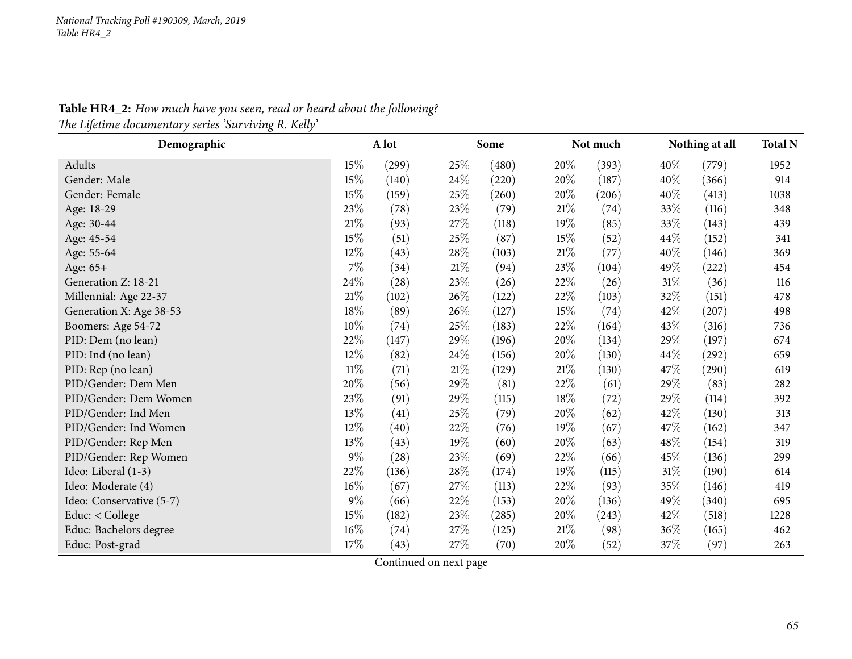| Demographic              |        | A lot |        | Some  |        | Not much |        | Nothing at all |      |
|--------------------------|--------|-------|--------|-------|--------|----------|--------|----------------|------|
| Adults                   | 15%    | (299) | 25\%   | (480) | $20\%$ | (393)    | 40\%   | (779)          | 1952 |
| Gender: Male             | 15%    | (140) | 24\%   | (220) | 20%    | (187)    | 40%    | (366)          | 914  |
| Gender: Female           | 15\%   | (159) | 25\%   | (260) | 20%    | (206)    | 40%    | (413)          | 1038 |
| Age: 18-29               | 23%    | (78)  | 23\%   | (79)  | 21%    | (74)     | 33%    | (116)          | 348  |
| Age: 30-44               | $21\%$ | (93)  | 27\%   | (118) | 19%    | (85)     | 33%    | (143)          | 439  |
| Age: 45-54               | 15%    | (51)  | 25\%   | (87)  | 15%    | (52)     | 44%    | (152)          | 341  |
| Age: 55-64               | 12\%   | (43)  | 28\%   | (103) | 21%    | (77)     | 40%    | (146)          | 369  |
| Age: 65+                 | $7\%$  | (34)  | $21\%$ | (94)  | 23%    | (104)    | 49%    | (222)          | 454  |
| Generation Z: 18-21      | 24\%   | (28)  | 23\%   | (26)  | 22%    | (26)     | $31\%$ | (36)           | 116  |
| Millennial: Age 22-37    | $21\%$ | (102) | 26\%   | (122) | 22\%   | (103)    | 32%    | (151)          | 478  |
| Generation X: Age 38-53  | 18%    | (89)  | 26\%   | (127) | 15%    | (74)     | 42\%   | (207)          | 498  |
| Boomers: Age 54-72       | $10\%$ | (74)  | 25\%   | (183) | 22%    | (164)    | 43%    | (316)          | 736  |
| PID: Dem (no lean)       | 22%    | (147) | 29%    | (196) | 20%    | (134)    | 29\%   | (197)          | 674  |
| PID: Ind (no lean)       | 12%    | (82)  | 24\%   | (156) | 20%    | (130)    | 44%    | (292)          | 659  |
| PID: Rep (no lean)       | $11\%$ | (71)  | $21\%$ | (129) | $21\%$ | (130)    | 47\%   | (290)          | 619  |
| PID/Gender: Dem Men      | 20%    | (56)  | 29%    | (81)  | 22%    | (61)     | 29%    | (83)           | 282  |
| PID/Gender: Dem Women    | 23%    | (91)  | 29%    | (115) | 18%    | (72)     | 29\%   | (114)          | 392  |
| PID/Gender: Ind Men      | 13%    | (41)  | 25\%   | (79)  | 20%    | (62)     | 42%    | (130)          | 313  |
| PID/Gender: Ind Women    | 12%    | (40)  | 22%    | (76)  | 19%    | (67)     | 47\%   | (162)          | 347  |
| PID/Gender: Rep Men      | 13%    | (43)  | 19%    | (60)  | 20%    | (63)     | 48\%   | (154)          | 319  |
| PID/Gender: Rep Women    | $9\%$  | (28)  | 23\%   | (69)  | 22%    | (66)     | 45%    | (136)          | 299  |
| Ideo: Liberal (1-3)      | 22\%   | (136) | 28\%   | (174) | 19%    | (115)    | $31\%$ | (190)          | 614  |
| Ideo: Moderate (4)       | $16\%$ | (67)  | 27\%   | (113) | 22%    | (93)     | 35%    | (146)          | 419  |
| Ideo: Conservative (5-7) | $9\%$  | (66)  | 22\%   | (153) | 20%    | (136)    | 49\%   | (340)          | 695  |
| Educ: < College          | $15\%$ | (182) | 23\%   | (285) | 20%    | (243)    | 42%    | (518)          | 1228 |
| Educ: Bachelors degree   | 16%    | (74)  | 27\%   | (125) | 21%    | (98)     | 36%    | (165)          | 462  |
| Educ: Post-grad          | $17\%$ | (43)  | $27\%$ | (70)  | 20%    | (52)     | 37%    | (97)           | 263  |

**Table HR4\_2:** How much have you seen, read or heard about the following? *The Lifetime documentary series 'Surviving R. Kelly'*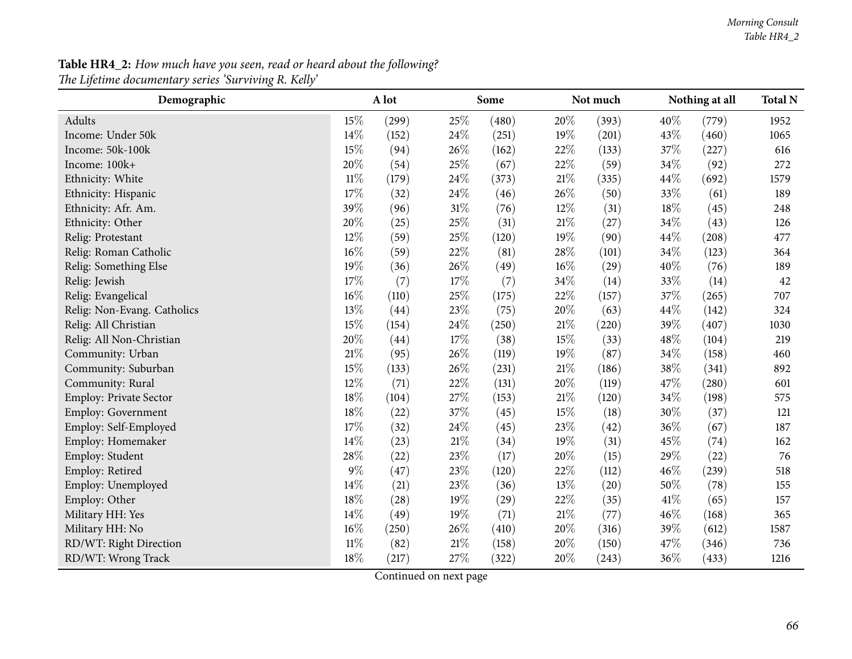#### Table HR4\_2: How much have you seen, read or heard about the following? *The Lifetime documentary series 'Surviving R. Kelly'*

| $\cdots$ $\cdots$<br>Demographic |        | A lot | Some   |       |        | Not much |      | Nothing at all |      |
|----------------------------------|--------|-------|--------|-------|--------|----------|------|----------------|------|
| Adults                           | 15%    | (299) | 25%    | (480) | 20%    | (393)    | 40%  | (779)          | 1952 |
| Income: Under 50k                | 14%    | (152) | 24\%   | (251) | 19%    | (201)    | 43%  | (460)          | 1065 |
| Income: 50k-100k                 | 15%    | (94)  | 26%    | (162) | 22%    | (133)    | 37%  | (227)          | 616  |
| Income: 100k+                    | 20%    | (54)  | $25\%$ | (67)  | 22%    | (59)     | 34%  | (92)           | 272  |
| Ethnicity: White                 | $11\%$ | (179) | 24%    | (373) | 21%    | (335)    | 44%  | (692)          | 1579 |
| Ethnicity: Hispanic              | 17%    | (32)  | $24\%$ | (46)  | 26%    | (50)     | 33%  | (61)           | 189  |
| Ethnicity: Afr. Am.              | 39%    | (96)  | $31\%$ | (76)  | 12%    | (31)     | 18%  | (45)           | 248  |
| Ethnicity: Other                 | 20%    | (25)  | $25\%$ | (31)  | 21%    | (27)     | 34%  | (43)           | 126  |
| Relig: Protestant                | 12%    | (59)  | 25%    | (120) | 19%    | (90)     | 44%  | (208)          | 477  |
| Relig: Roman Catholic            | 16%    | (59)  | 22%    | (81)  | 28%    | (101)    | 34%  | (123)          | 364  |
| Relig: Something Else            | 19%    | (36)  | 26%    | (49)  | 16%    | (29)     | 40%  | (76)           | 189  |
| Relig: Jewish                    | 17%    | (7)   | $17\%$ | (7)   | 34%    | (14)     | 33%  | (14)           | 42   |
| Relig: Evangelical               | 16%    | (110) | $25\%$ | (175) | 22%    | (157)    | 37%  | (265)          | 707  |
| Relig: Non-Evang. Catholics      | 13%    | (44)  | 23%    | (75)  | 20%    | (63)     | 44%  | (142)          | 324  |
| Relig: All Christian             | 15%    | (154) | $24\%$ | (250) | 21%    | (220)    | 39%  | (407)          | 1030 |
| Relig: All Non-Christian         | 20%    | (44)  | 17%    | (38)  | 15%    | (33)     | 48%  | (104)          | 219  |
| Community: Urban                 | 21%    | (95)  | $26\%$ | (119) | 19%    | (87)     | 34%  | (158)          | 460  |
| Community: Suburban              | 15%    | (133) | 26%    | (231) | $21\%$ | (186)    | 38%  | (341)          | 892  |
| Community: Rural                 | 12%    | (71)  | 22%    | (131) | 20%    | (119)    | 47%  | (280)          | 601  |
| Employ: Private Sector           | 18%    | (104) | 27%    | (153) | 21%    | (120)    | 34%  | (198)          | 575  |
| Employ: Government               | 18%    | (22)  | $37\%$ | (45)  | 15%    | (18)     | 30%  | (37)           | 121  |
| Employ: Self-Employed            | 17%    | (32)  | 24\%   | (45)  | 23%    | (42)     | 36%  | (67)           | 187  |
| Employ: Homemaker                | 14%    | (23)  | $21\%$ | (34)  | 19%    | (31)     | 45%  | (74)           | 162  |
| Employ: Student                  | 28%    | (22)  | 23%    | (17)  | 20%    | (15)     | 29%  | (22)           | 76   |
| Employ: Retired                  | 9%     | (47)  | 23%    | (120) | 22%    | (112)    | 46%  | (239)          | 518  |
| Employ: Unemployed               | 14%    | (21)  | 23%    | (36)  | 13%    | (20)     | 50%  | (78)           | 155  |
| Employ: Other                    | 18%    | (28)  | 19%    | (29)  | 22%    | (35)     | 41\% | (65)           | 157  |
| Military HH: Yes                 | 14%    | (49)  | 19%    | (71)  | $21\%$ | (77)     | 46%  | (168)          | 365  |
| Military HH: No                  | 16%    | (250) | $26\%$ | (410) | 20%    | (316)    | 39%  | (612)          | 1587 |
| RD/WT: Right Direction           | $11\%$ | (82)  | $21\%$ | (158) | 20%    | (150)    | 47%  | (346)          | 736  |
| RD/WT: Wrong Track               | 18%    | (217) | 27%    | (322) | 20%    | (243)    | 36%  | (433)          | 1216 |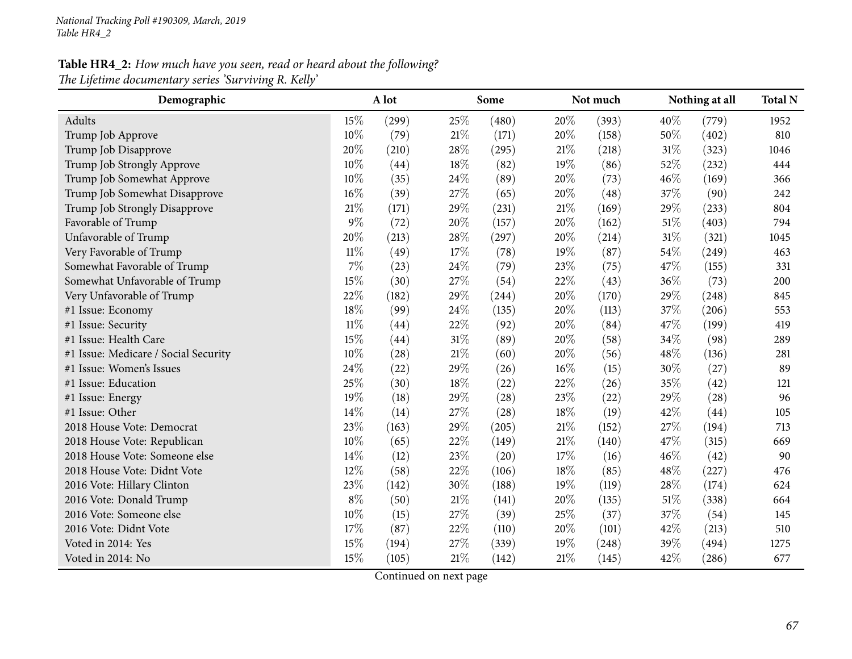### Table HR4\_2: How much have you seen, read or heard about the following? *The Lifetime documentary series 'Surviving R. Kelly'*

| Demographic                          |        | A lot |        | Some  |        | Not much |      | Nothing at all |      |
|--------------------------------------|--------|-------|--------|-------|--------|----------|------|----------------|------|
| Adults                               | 15\%   | (299) | 25%    | (480) | 20%    | (393)    | 40%  | (779)          | 1952 |
| Trump Job Approve                    | 10%    | (79)  | $21\%$ | (171) | 20%    | (158)    | 50%  | (402)          | 810  |
| Trump Job Disapprove                 | 20%    | (210) | 28%    | (295) | 21%    | (218)    | 31%  | (323)          | 1046 |
| Trump Job Strongly Approve           | 10%    | (44)  | 18%    | (82)  | 19%    | (86)     | 52%  | (232)          | 444  |
| Trump Job Somewhat Approve           | 10%    | (35)  | 24%    | (89)  | 20%    | (73)     | 46%  | (169)          | 366  |
| Trump Job Somewhat Disapprove        | 16%    | (39)  | 27%    | (65)  | 20%    | (48)     | 37%  | (90)           | 242  |
| Trump Job Strongly Disapprove        | 21%    | (171) | 29%    | (231) | $21\%$ | (169)    | 29%  | (233)          | 804  |
| Favorable of Trump                   | $9\%$  | (72)  | 20%    | (157) | 20%    | (162)    | 51\% | (403)          | 794  |
| Unfavorable of Trump                 | 20%    | (213) | 28%    | (297) | 20%    | (214)    | 31%  | (321)          | 1045 |
| Very Favorable of Trump              | $11\%$ | (49)  | 17%    | (78)  | 19%    | (87)     | 54%  | (249)          | 463  |
| Somewhat Favorable of Trump          | 7%     | (23)  | 24%    | (79)  | 23%    | (75)     | 47%  | (155)          | 331  |
| Somewhat Unfavorable of Trump        | 15%    | (30)  | 27%    | (54)  | 22%    | (43)     | 36%  | (73)           | 200  |
| Very Unfavorable of Trump            | 22%    | (182) | 29%    | (244) | 20%    | (170)    | 29%  | (248)          | 845  |
| #1 Issue: Economy                    | 18%    | (99)  | 24%    | (135) | 20%    | (113)    | 37%  | (206)          | 553  |
| #1 Issue: Security                   | $11\%$ | (44)  | 22%    | (92)  | 20%    | (84)     | 47%  | (199)          | 419  |
| #1 Issue: Health Care                | 15%    | (44)  | 31%    | (89)  | 20%    | (58)     | 34%  | (98)           | 289  |
| #1 Issue: Medicare / Social Security | $10\%$ | (28)  | $21\%$ | (60)  | 20%    | (56)     | 48%  | (136)          | 281  |
| #1 Issue: Women's Issues             | 24%    | (22)  | 29%    | (26)  | $16\%$ | (15)     | 30%  | (27)           | 89   |
| #1 Issue: Education                  | 25%    | (30)  | 18%    | (22)  | 22%    | (26)     | 35%  | (42)           | 121  |
| #1 Issue: Energy                     | 19%    | (18)  | 29%    | (28)  | 23%    | (22)     | 29%  | (28)           | 96   |
| #1 Issue: Other                      | 14%    | (14)  | 27%    | (28)  | 18%    | (19)     | 42%  | (44)           | 105  |
| 2018 House Vote: Democrat            | $23\%$ | (163) | 29%    | (205) | 21\%   | (152)    | 27%  | (194)          | 713  |
| 2018 House Vote: Republican          | 10%    | (65)  | 22%    | (149) | 21%    | (140)    | 47%  | (315)          | 669  |
| 2018 House Vote: Someone else        | 14%    | (12)  | 23%    | (20)  | 17\%   | (16)     | 46%  | (42)           | 90   |
| 2018 House Vote: Didnt Vote          | 12%    | (58)  | 22%    | (106) | 18%    | (85)     | 48%  | (227)          | 476  |
| 2016 Vote: Hillary Clinton           | 23%    | (142) | 30%    | (188) | 19%    | (119)    | 28%  | (174)          | 624  |
| 2016 Vote: Donald Trump              | $8\%$  | (50)  | $21\%$ | (141) | 20%    | (135)    | 51%  | (338)          | 664  |
| 2016 Vote: Someone else              | 10%    | (15)  | 27%    | (39)  | 25%    | (37)     | 37%  | (54)           | 145  |
| 2016 Vote: Didnt Vote                | 17%    | (87)  | 22%    | (110) | 20%    | (101)    | 42%  | (213)          | 510  |
| Voted in 2014: Yes                   | 15%    | (194) | 27%    | (339) | 19%    | (248)    | 39%  | (494)          | 1275 |
| Voted in 2014: No                    | 15%    | (105) | 21%    | (142) | 21\%   | (145)    | 42%  | (286)          | 677  |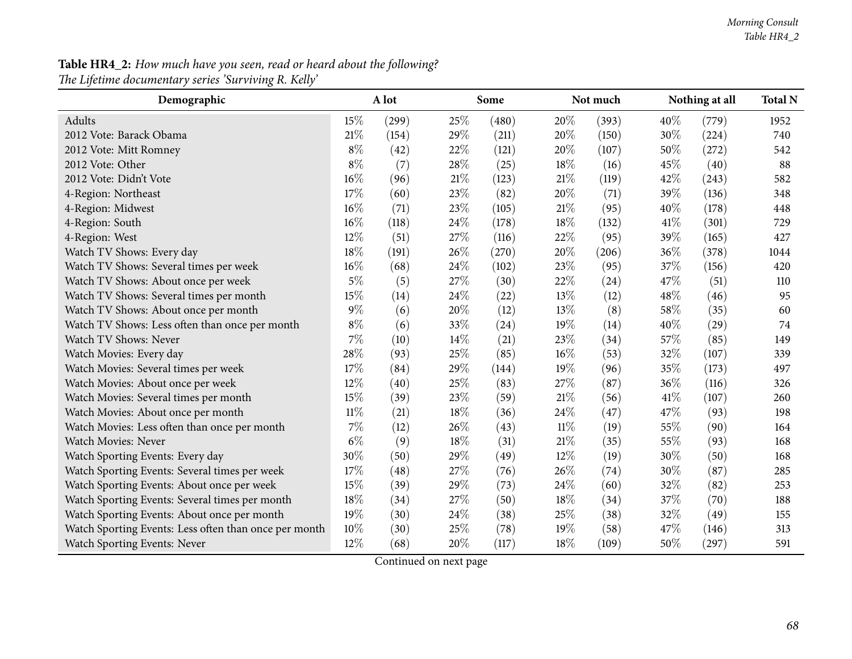# **Table HR4\_2:** How much have you seen, read or heard about the following?

*The Lifetime documentary series 'Surviving R. Kelly'*

| Demographic                                           |        | A lot |        | Some  |        | Not much |      | Nothing at all |      |
|-------------------------------------------------------|--------|-------|--------|-------|--------|----------|------|----------------|------|
| Adults                                                | 15%    | (299) | 25\%   | (480) | 20%    | (393)    | 40%  | (779)          | 1952 |
| 2012 Vote: Barack Obama                               | 21%    | (154) | 29%    | (211) | 20%    | (150)    | 30%  | (224)          | 740  |
| 2012 Vote: Mitt Romney                                | $8\%$  | (42)  | 22%    | (121) | 20%    | (107)    | 50%  | (272)          | 542  |
| 2012 Vote: Other                                      | $8\%$  | (7)   | 28\%   | (25)  | 18%    | (16)     | 45%  | (40)           | 88   |
| 2012 Vote: Didn't Vote                                | 16%    | (96)  | $21\%$ | (123) | 21%    | (119)    | 42%  | (243)          | 582  |
| 4-Region: Northeast                                   | 17%    | (60)  | 23%    | (82)  | 20%    | (71)     | 39%  | (136)          | 348  |
| 4-Region: Midwest                                     | 16%    | (71)  | 23\%   | (105) | 21\%   | (95)     | 40%  | (178)          | 448  |
| 4-Region: South                                       | 16%    | (118) | 24\%   | (178) | 18%    | (132)    | 41\% | (301)          | 729  |
| 4-Region: West                                        | 12%    | (51)  | 27%    | (116) | 22%    | (95)     | 39%  | (165)          | 427  |
| Watch TV Shows: Every day                             | 18%    | (191) | 26\%   | (270) | 20%    | (206)    | 36%  | (378)          | 1044 |
| Watch TV Shows: Several times per week                | 16%    | (68)  | 24%    | (102) | 23%    | (95)     | 37%  | (156)          | 420  |
| Watch TV Shows: About once per week                   | $5\%$  | (5)   | 27%    | (30)  | 22%    | (24)     | 47\% | (51)           | 110  |
| Watch TV Shows: Several times per month               | 15%    | (14)  | 24\%   | (22)  | 13%    | (12)     | 48\% | (46)           | 95   |
| Watch TV Shows: About once per month                  | $9\%$  | (6)   | 20%    | (12)  | 13%    | (8)      | 58%  | (35)           | 60   |
| Watch TV Shows: Less often than once per month        | $8\%$  | (6)   | 33%    | (24)  | 19%    | (14)     | 40%  | (29)           | 74   |
| Watch TV Shows: Never                                 | 7%     | (10)  | 14%    | (21)  | 23%    | (34)     | 57%  | (85)           | 149  |
| Watch Movies: Every day                               | 28%    | (93)  | 25%    | (85)  | 16%    | (53)     | 32%  | (107)          | 339  |
| Watch Movies: Several times per week                  | 17%    | (84)  | 29%    | (144) | 19%    | (96)     | 35%  | (173)          | 497  |
| Watch Movies: About once per week                     | 12%    | (40)  | 25%    | (83)  | 27%    | (87)     | 36%  | (116)          | 326  |
| Watch Movies: Several times per month                 | 15%    | (39)  | 23%    | (59)  | 21%    | (56)     | 41\% | (107)          | 260  |
| Watch Movies: About once per month                    | $11\%$ | (21)  | $18\%$ | (36)  | 24%    | (47)     | 47%  | (93)           | 198  |
| Watch Movies: Less often than once per month          | 7%     | (12)  | 26%    | (43)  | $11\%$ | (19)     | 55%  | (90)           | 164  |
| Watch Movies: Never                                   | $6\%$  | (9)   | 18%    | (31)  | 21%    | (35)     | 55%  | (93)           | 168  |
| Watch Sporting Events: Every day                      | 30%    | (50)  | 29%    | (49)  | 12%    | (19)     | 30\% | (50)           | 168  |
| Watch Sporting Events: Several times per week         | 17%    | (48)  | 27%    | (76)  | 26%    | (74)     | 30%  | (87)           | 285  |
| Watch Sporting Events: About once per week            | 15%    | (39)  | 29%    | (73)  | 24%    | (60)     | 32%  | (82)           | 253  |
| Watch Sporting Events: Several times per month        | 18%    | (34)  | 27%    | (50)  | 18%    | (34)     | 37%  | (70)           | 188  |
| Watch Sporting Events: About once per month           | 19%    | (30)  | 24\%   | (38)  | 25%    | (38)     | 32%  | (49)           | 155  |
| Watch Sporting Events: Less often than once per month | 10%    | (30)  | 25%    | (78)  | 19%    | (58)     | 47%  | (146)          | 313  |
| Watch Sporting Events: Never                          | 12%    | (68)  | 20%    | (117) | 18%    | (109)    | 50%  | (297)          | 591  |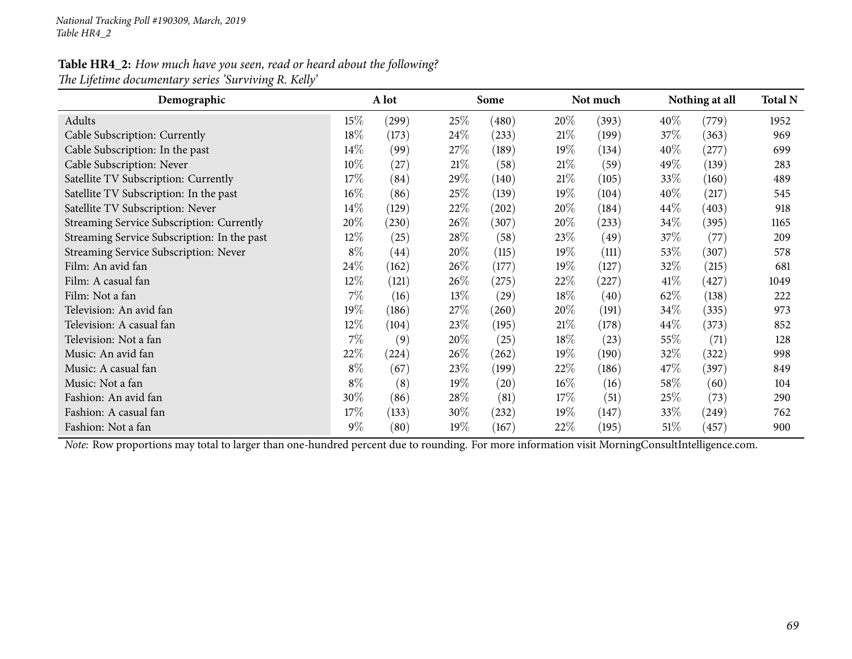### Table HR4\_2: How much have you seen, read or heard about the following? *The Lifetime documentary series 'Surviving R. Kelly'*

| Demographic                                 | A lot  |       |        | Some  |        | Not much |        | Nothing at all |      |
|---------------------------------------------|--------|-------|--------|-------|--------|----------|--------|----------------|------|
| Adults                                      | 15%    | (299) | 25%    | (480) | 20%    | (393)    | $40\%$ | (779)          | 1952 |
| Cable Subscription: Currently               | $18\%$ | (173) | 24\%   | (233) | 21%    | (199)    | 37%    | (363)          | 969  |
| Cable Subscription: In the past             | $14\%$ | (99)  | 27\%   | (189) | 19%    | (134)    | $40\%$ | (277)          | 699  |
| Cable Subscription: Never                   | $10\%$ | (27)  | 21%    | (58)  | 21%    | (59)     | 49\%   | (139)          | 283  |
| Satellite TV Subscription: Currently        | 17%    | (84)  | 29%    | (140) | 21%    | (105)    | 33\%   | (160)          | 489  |
| Satellite TV Subscription: In the past      | $16\%$ | (86)  | 25\%   | (139) | 19%    | (104)    | $40\%$ | (217)          | 545  |
| Satellite TV Subscription: Never            | $14\%$ | (129) | 22\%   | (202) | 20%    | (184)    | $44\%$ | (403)          | 918  |
| Streaming Service Subscription: Currently   | 20%    | (230) | $26\%$ | (307) | 20%    | (233)    | 34\%   | (395)          | 1165 |
| Streaming Service Subscription: In the past | 12%    | (25)  | $28\%$ | (58)  | 23\%   | (49)     | 37\%   | (77)           | 209  |
| Streaming Service Subscription: Never       | $8\%$  | (44)  | $20\%$ | (115) | 19%    | (111)    | 53%    | (307)          | 578  |
| Film: An avid fan                           | 24\%   | (162) | $26\%$ | (177) | 19%    | (127)    | 32\%   | (215)          | 681  |
| Film: A casual fan                          | 12%    | (121) | $26\%$ | (275) | 22\%   | (227)    | 41\%   | (427)          | 1049 |
| Film: Not a fan                             | $7\%$  | (16)  | 13\%   | (29)  | 18%    | (40)     | 62\%   | (138)          | 222  |
| Television: An avid fan                     | 19%    | (186) | 27\%   | (260) | 20%    | (191)    | 34\%   | (335)          | 973  |
| Television: A casual fan                    | 12%    | (104) | 23\%   | (195) | 21%    | (178)    | $44\%$ | (373)          | 852  |
| Television: Not a fan                       | $7\%$  | (9)   | 20%    | (25)  | 18%    | (23)     | 55%    | (71)           | 128  |
| Music: An avid fan                          | 22%    | (224) | $26\%$ | (262) | 19%    | (190)    | 32\%   | (322)          | 998  |
| Music: A casual fan                         | $8\%$  | (67)  | 23%    | (199) | 22\%   | (186)    | 47\%   | (397)          | 849  |
| Music: Not a fan                            | $8\%$  | (8)   | 19%    | (20)  | $16\%$ | (16)     | 58\%   | (60)           | 104  |
| Fashion: An avid fan                        | 30%    | (86)  | $28\%$ | (81)  | 17%    | (51)     | 25%    | (73)           | 290  |
| Fashion: A casual fan                       | 17\%   | (133) | 30\%   | (232) | 19%    | (147)    | 33\%   | (249)          | 762  |
| Fashion: Not a fan                          | $9\%$  | (80)  | 19%    | (167) | 22%    | (195)    | 51\%   | (457)          | 900  |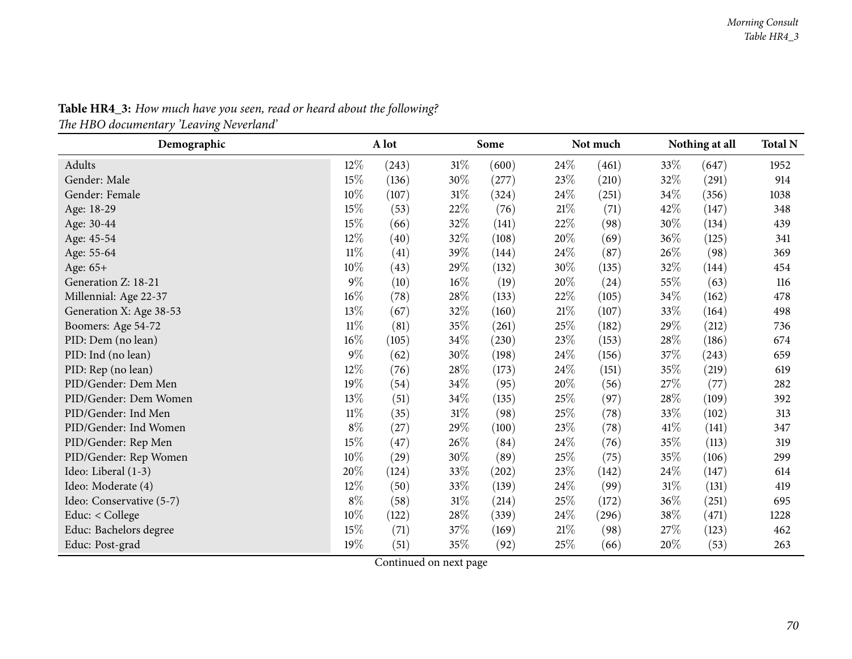| Demographic              |        | A lot | Some   |       |        | Not much |        | Nothing at all |      |
|--------------------------|--------|-------|--------|-------|--------|----------|--------|----------------|------|
| Adults                   | 12\%   | (243) | 31%    | (600) | 24\%   | (461)    | 33%    | (647)          | 1952 |
| Gender: Male             | $15\%$ | (136) | 30%    | (277) | 23%    | (210)    | 32%    | (291)          | 914  |
| Gender: Female           | $10\%$ | (107) | $31\%$ | (324) | 24\%   | (251)    | $34\%$ | (356)          | 1038 |
| Age: 18-29               | 15\%   | (53)  | 22\%   | (76)  | $21\%$ | (71)     | 42\%   | (147)          | 348  |
| Age: 30-44               | $15\%$ | (66)  | 32%    | (141) | 22%    | (98)     | 30%    | (134)          | 439  |
| Age: 45-54               | $12\%$ | (40)  | 32%    | (108) | 20%    | (69)     | 36\%   | (125)          | 341  |
| Age: 55-64               | $11\%$ | (41)  | 39%    | (144) | 24\%   | (87)     | 26\%   | (98)           | 369  |
| Age: 65+                 | $10\%$ | (43)  | 29%    | (132) | 30%    | (135)    | 32\%   | (144)          | 454  |
| Generation Z: 18-21      | $9\%$  | (10)  | $16\%$ | (19)  | 20%    | (24)     | 55\%   | (63)           | 116  |
| Millennial: Age 22-37    | $16\%$ | (78)  | 28\%   | (133) | 22\%   | (105)    | $34\%$ | (162)          | 478  |
| Generation X: Age 38-53  | 13%    | (67)  | 32%    | (160) | 21%    | (107)    | 33\%   | (164)          | 498  |
| Boomers: Age 54-72       | $11\%$ | (81)  | 35%    | (261) | 25%    | (182)    | 29%    | (212)          | 736  |
| PID: Dem (no lean)       | $16\%$ | (105) | $34\%$ | (230) | 23\%   | (153)    | 28\%   | (186)          | 674  |
| PID: Ind (no lean)       | $9\%$  | (62)  | $30\%$ | (198) | 24\%   | (156)    | 37\%   | (243)          | 659  |
| PID: Rep (no lean)       | 12%    | (76)  | $28\%$ | (173) | 24\%   | (151)    | $35\%$ | (219)          | 619  |
| PID/Gender: Dem Men      | 19%    | (54)  | 34%    | (95)  | 20%    | (56)     | 27\%   | (77)           | 282  |
| PID/Gender: Dem Women    | 13%    | (51)  | $34\%$ | (135) | 25%    | (97)     | 28%    | (109)          | 392  |
| PID/Gender: Ind Men      | $11\%$ | (35)  | $31\%$ | (98)  | 25%    | (78)     | 33%    | (102)          | 313  |
| PID/Gender: Ind Women    | $8\%$  | (27)  | 29%    | (100) | 23\%   | (78)     | $41\%$ | (141)          | 347  |
| PID/Gender: Rep Men      | 15%    | (47)  | $26\%$ | (84)  | 24\%   | (76)     | $35\%$ | (113)          | 319  |
| PID/Gender: Rep Women    | $10\%$ | (29)  | 30%    | (89)  | 25\%   | (75)     | 35%    | (106)          | 299  |
| Ideo: Liberal (1-3)      | 20%    | (124) | 33%    | (202) | 23\%   | (142)    | 24\%   | (147)          | 614  |
| Ideo: Moderate (4)       | 12%    | (50)  | $33\%$ | (139) | 24\%   | (99)     | $31\%$ | (131)          | 419  |
| Ideo: Conservative (5-7) | $8\%$  | (58)  | $31\%$ | (214) | 25%    | (172)    | 36\%   | (251)          | 695  |
| Educ: < College          | $10\%$ | (122) | 28\%   | (339) | 24\%   | (296)    | 38\%   | (471)          | 1228 |
| Educ: Bachelors degree   | $15\%$ | (71)  | 37\%   | (169) | 21%    | (98)     | 27\%   | (123)          | 462  |
| Educ: Post-grad          | 19%    | (51)  | $35\%$ | (92)  | $25\%$ | (66)     | $20\%$ | (53)           | 263  |

Table HR4\_3: How much have you seen, read or heard about the following? *The HBO documentary 'Leaving Neverland'*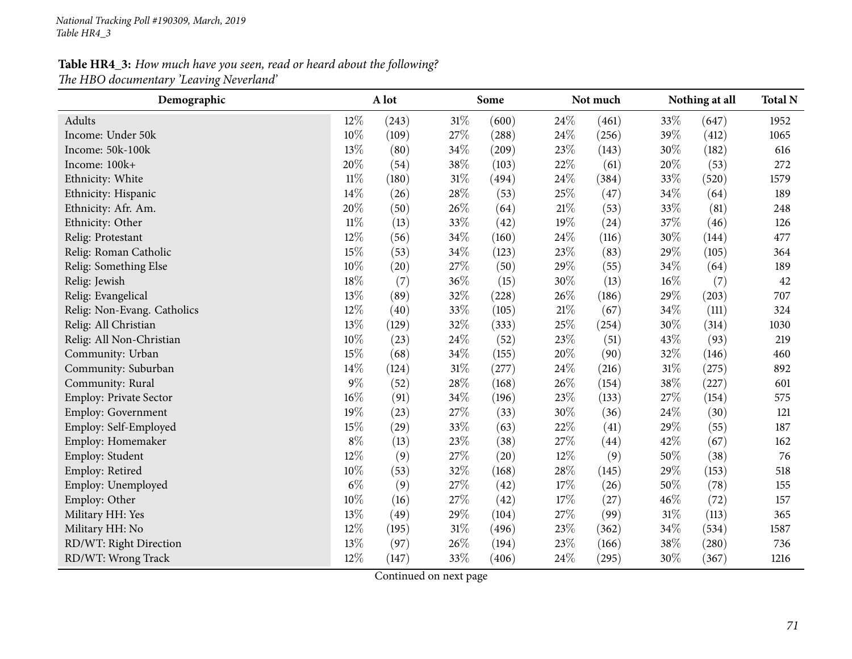## Table HR4\_3: How much have you seen, read or heard about the following? *The HBO documentary 'Leaving Neverland'*

| Demographic                 |        | A lot |        | Some  |     | Not much |        | Nothing at all | <b>Total N</b> |
|-----------------------------|--------|-------|--------|-------|-----|----------|--------|----------------|----------------|
| Adults                      | 12%    | (243) | $31\%$ | (600) | 24% | (461)    | 33%    | (647)          | 1952           |
| Income: Under 50k           | 10%    | (109) | 27%    | (288) | 24% | (256)    | 39%    | (412)          | 1065           |
| Income: 50k-100k            | 13%    | (80)  | 34%    | (209) | 23% | (143)    | 30%    | (182)          | 616            |
| Income: 100k+               | 20%    | (54)  | 38\%   | (103) | 22% | (61)     | 20%    | (53)           | 272            |
| Ethnicity: White            | $11\%$ | (180) | $31\%$ | (494) | 24% | (384)    | 33%    | (520)          | 1579           |
| Ethnicity: Hispanic         | 14%    | (26)  | $28\%$ | (53)  | 25% | (47)     | 34%    | (64)           | 189            |
| Ethnicity: Afr. Am.         | 20%    | (50)  | 26%    | (64)  | 21% | (53)     | 33%    | (81)           | 248            |
| Ethnicity: Other            | $11\%$ | (13)  | 33%    | (42)  | 19% | (24)     | 37%    | (46)           | 126            |
| Relig: Protestant           | 12%    | (56)  | 34%    | (160) | 24% | (116)    | 30%    | (144)          | 477            |
| Relig: Roman Catholic       | $15\%$ | (53)  | 34%    | (123) | 23% | (83)     | 29%    | (105)          | 364            |
| Relig: Something Else       | 10%    | (20)  | 27%    | (50)  | 29% | (55)     | 34%    | (64)           | 189            |
| Relig: Jewish               | 18%    | (7)   | 36%    | (15)  | 30% | (13)     | 16%    | (7)            | 42             |
| Relig: Evangelical          | $13\%$ | (89)  | 32%    | (228) | 26% | (186)    | 29%    | (203)          | 707            |
| Relig: Non-Evang. Catholics | 12%    | (40)  | $33\%$ | (105) | 21% | (67)     | 34%    | (111)          | 324            |
| Relig: All Christian        | 13%    | (129) | 32%    | (333) | 25% | (254)    | 30%    | (314)          | 1030           |
| Relig: All Non-Christian    | 10%    | (23)  | 24\%   | (52)  | 23% | (51)     | 43%    | (93)           | 219            |
| Community: Urban            | 15%    | (68)  | $34\%$ | (155) | 20% | (90)     | 32%    | (146)          | 460            |
| Community: Suburban         | 14%    | (124) | $31\%$ | (277) | 24% | (216)    | $31\%$ | (275)          | 892            |
| Community: Rural            | 9%     | (52)  | 28\%   | (168) | 26% | (154)    | 38%    | (227)          | 601            |
| Employ: Private Sector      | 16%    | (91)  | $34\%$ | (196) | 23% | (133)    | 27%    | (154)          | 575            |
| Employ: Government          | 19%    | (23)  | 27%    | (33)  | 30% | (36)     | 24%    | (30)           | 121            |
| Employ: Self-Employed       | 15%    | (29)  | 33%    | (63)  | 22% | (41)     | 29%    | (55)           | 187            |
| Employ: Homemaker           | $8\%$  | (13)  | $23\%$ | (38)  | 27% | (44)     | 42%    | (67)           | 162            |
| Employ: Student             | 12%    | (9)   | $27\%$ | (20)  | 12% | (9)      | 50%    | (38)           | 76             |
| Employ: Retired             | 10%    | (53)  | 32%    | (168) | 28% | (145)    | 29%    | (153)          | 518            |
| Employ: Unemployed          | $6\%$  | (9)   | $27\%$ | (42)  | 17% | (26)     | 50%    | (78)           | 155            |
| Employ: Other               | 10%    | (16)  | $27\%$ | (42)  | 17% | (27)     | 46%    | (72)           | 157            |
| Military HH: Yes            | 13%    | (49)  | 29%    | (104) | 27% | (99)     | $31\%$ | (113)          | 365            |
| Military HH: No             | 12%    | (195) | $31\%$ | (496) | 23% | (362)    | $34\%$ | (534)          | 1587           |
| RD/WT: Right Direction      | 13%    | (97)  | $26\%$ | (194) | 23% | (166)    | 38%    | (280)          | 736            |
| RD/WT: Wrong Track          | 12%    | (147) | 33%    | (406) | 24% | (295)    | 30%    | (367)          | 1216           |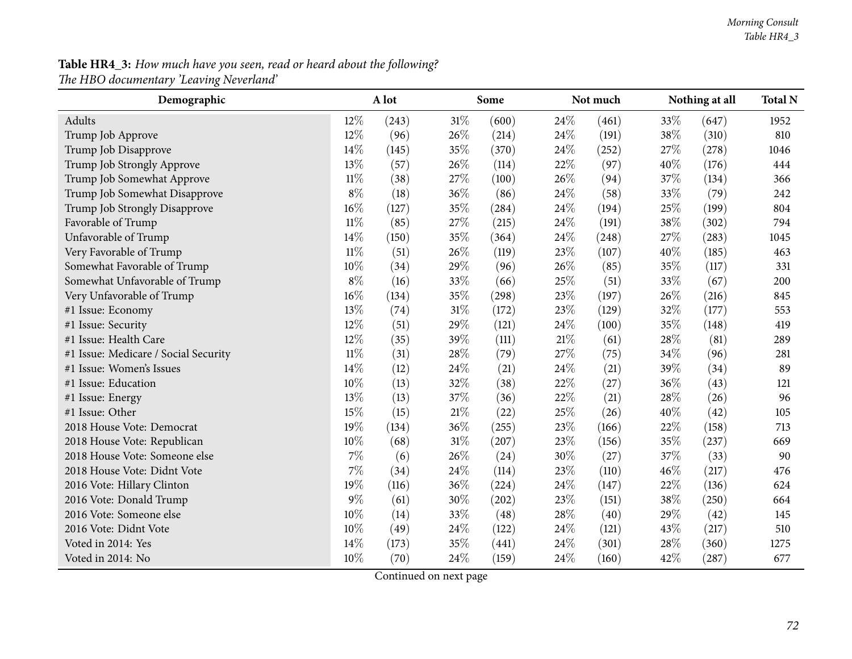# **Table HR4\_3:** How much have you seen, read or heard about the following?

| Demographic                          | A lot  |       |        | Some  |      | Not much |        | Nothing at all |      |
|--------------------------------------|--------|-------|--------|-------|------|----------|--------|----------------|------|
| Adults                               | 12%    | (243) | $31\%$ | (600) | 24%  | (461)    | 33%    | (647)          | 1952 |
| Trump Job Approve                    | 12%    | (96)  | 26\%   | (214) | 24\% | (191)    | 38%    | (310)          | 810  |
| Trump Job Disapprove                 | 14%    | (145) | 35%    | (370) | 24%  | (252)    | 27%    | (278)          | 1046 |
| Trump Job Strongly Approve           | 13%    | (57)  | 26\%   | (114) | 22%  | (97)     | 40%    | (176)          | 444  |
| Trump Job Somewhat Approve           | $11\%$ | (38)  | 27\%   | (100) | 26%  | (94)     | 37%    | (134)          | 366  |
| Trump Job Somewhat Disapprove        | $8\%$  | (18)  | 36%    | (86)  | 24%  | (58)     | 33%    | (79)           | 242  |
| Trump Job Strongly Disapprove        | $16\%$ | (127) | 35%    | (284) | 24%  | (194)    | 25%    | (199)          | 804  |
| Favorable of Trump                   | $11\%$ | (85)  | $27\%$ | (215) | 24%  | (191)    | 38%    | (302)          | 794  |
| Unfavorable of Trump                 | 14%    | (150) | 35%    | (364) | 24%  | (248)    | 27%    | (283)          | 1045 |
| Very Favorable of Trump              | $11\%$ | (51)  | 26%    | (119) | 23%  | (107)    | 40%    | (185)          | 463  |
| Somewhat Favorable of Trump          | 10%    | (34)  | 29%    | (96)  | 26\% | (85)     | 35%    | (117)          | 331  |
| Somewhat Unfavorable of Trump        | $8\%$  | (16)  | 33%    | (66)  | 25%  | (51)     | 33%    | (67)           | 200  |
| Very Unfavorable of Trump            | $16\%$ | (134) | 35%    | (298) | 23%  | (197)    | 26%    | (216)          | 845  |
| #1 Issue: Economy                    | 13%    | (74)  | $31\%$ | (172) | 23%  | (129)    | 32%    | (177)          | 553  |
| #1 Issue: Security                   | 12%    | (51)  | 29%    | (121) | 24%  | (100)    | 35%    | (148)          | 419  |
| #1 Issue: Health Care                | 12%    | (35)  | 39%    | (111) | 21%  | (61)     | 28%    | (81)           | 289  |
| #1 Issue: Medicare / Social Security | $11\%$ | (31)  | $28\%$ | (79)  | 27%  | (75)     | 34\%   | (96)           | 281  |
| #1 Issue: Women's Issues             | 14%    | (12)  | 24\%   | (21)  | 24%  | (21)     | 39%    | (34)           | 89   |
| #1 Issue: Education                  | 10%    | (13)  | 32%    | (38)  | 22%  | (27)     | 36%    | (43)           | 121  |
| #1 Issue: Energy                     | 13%    | (13)  | 37%    | (36)  | 22%  | (21)     | 28%    | (26)           | 96   |
| #1 Issue: Other                      | 15%    | (15)  | 21%    | (22)  | 25%  | (26)     | 40%    | (42)           | 105  |
| 2018 House Vote: Democrat            | 19%    | (134) | $36\%$ | (255) | 23%  | (166)    | 22%    | (158)          | 713  |
| 2018 House Vote: Republican          | 10%    | (68)  | $31\%$ | (207) | 23%  | (156)    | 35%    | (237)          | 669  |
| 2018 House Vote: Someone else        | $7\%$  | (6)   | 26\%   | (24)  | 30%  | (27)     | $37\%$ | (33)           | 90   |
| 2018 House Vote: Didnt Vote          | 7%     | (34)  | 24%    | (114) | 23%  | (110)    | 46%    | (217)          | 476  |
| 2016 Vote: Hillary Clinton           | 19%    | (116) | 36%    | (224) | 24%  | (147)    | 22%    | (136)          | 624  |
| 2016 Vote: Donald Trump              | $9\%$  | (61)  | 30%    | (202) | 23%  | (151)    | 38%    | (250)          | 664  |
| 2016 Vote: Someone else              | 10%    | (14)  | 33%    | (48)  | 28%  | (40)     | 29%    | (42)           | 145  |
| 2016 Vote: Didnt Vote                | 10%    | (49)  | 24\%   | (122) | 24\% | (121)    | 43%    | (217)          | 510  |
| Voted in 2014: Yes                   | 14%    | (173) | 35%    | (441) | 24%  | (301)    | 28%    | (360)          | 1275 |
| Voted in 2014: No                    | 10%    | (70)  | 24%    | (159) | 24%  | (160)    | 42%    | (287)          | 677  |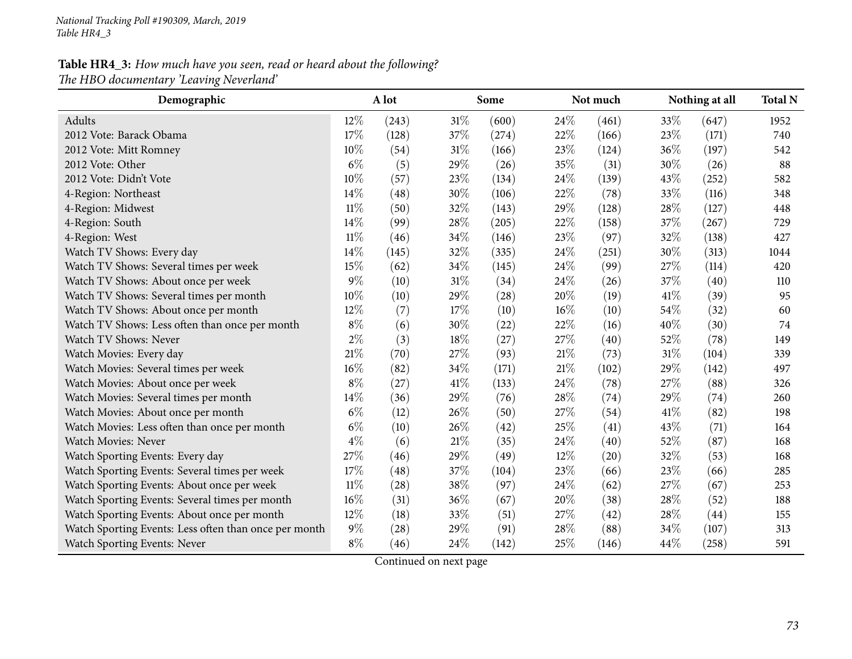## Table HR4\_3: How much have you seen, read or heard about the following? *The HBO documentary 'Leaving Neverland'*

| Demographic                                           |        | A lot |        | Some  |     | Not much |        | Nothing at all | <b>Total N</b> |
|-------------------------------------------------------|--------|-------|--------|-------|-----|----------|--------|----------------|----------------|
| Adults                                                | $12\%$ | (243) | $31\%$ | (600) | 24% | (461)    | 33\%   | (647)          | 1952           |
| 2012 Vote: Barack Obama                               | 17%    | (128) | 37\%   | (274) | 22% | (166)    | 23%    | (171)          | 740            |
| 2012 Vote: Mitt Romney                                | 10%    | (54)  | $31\%$ | (166) | 23% | (124)    | 36%    | (197)          | 542            |
| 2012 Vote: Other                                      | $6\%$  | (5)   | 29%    | (26)  | 35% | (31)     | 30%    | (26)           | 88             |
| 2012 Vote: Didn't Vote                                | 10%    | (57)  | 23%    | (134) | 24% | (139)    | 43%    | (252)          | 582            |
| 4-Region: Northeast                                   | 14%    | (48)  | 30%    | (106) | 22% | (78)     | 33%    | (116)          | 348            |
| 4-Region: Midwest                                     | $11\%$ | (50)  | 32%    | (143) | 29% | (128)    | 28\%   | (127)          | 448            |
| 4-Region: South                                       | 14%    | (99)  | 28\%   | (205) | 22% | (158)    | 37%    | (267)          | 729            |
| 4-Region: West                                        | $11\%$ | (46)  | 34%    | (146) | 23% | (97)     | 32%    | (138)          | 427            |
| Watch TV Shows: Every day                             | 14%    | (145) | 32%    | (335) | 24% | (251)    | 30%    | (313)          | 1044           |
| Watch TV Shows: Several times per week                | 15%    | (62)  | 34%    | (145) | 24% | (99)     | 27\%   | (114)          | 420            |
| Watch TV Shows: About once per week                   | $9\%$  | (10)  | $31\%$ | (34)  | 24% | (26)     | 37%    | (40)           | 110            |
| Watch TV Shows: Several times per month               | 10%    | (10)  | 29%    | (28)  | 20% | (19)     | 41\%   | (39)           | 95             |
| Watch TV Shows: About once per month                  | 12%    | (7)   | 17%    | (10)  | 16% | (10)     | 54%    | (32)           | 60             |
| Watch TV Shows: Less often than once per month        | $8\%$  | (6)   | 30%    | (22)  | 22% | (16)     | 40%    | (30)           | 74             |
| Watch TV Shows: Never                                 | $2\%$  | (3)   | 18%    | (27)  | 27% | (40)     | 52%    | (78)           | 149            |
| Watch Movies: Every day                               | 21%    | (70)  | 27%    | (93)  | 21% | (73)     | $31\%$ | (104)          | 339            |
| Watch Movies: Several times per week                  | 16%    | (82)  | 34%    | (171) | 21% | (102)    | 29%    | (142)          | 497            |
| Watch Movies: About once per week                     | $8\%$  | (27)  | 41\%   | (133) | 24% | (78)     | 27\%   | (88)           | 326            |
| Watch Movies: Several times per month                 | 14%    | (36)  | 29%    | (76)  | 28% | (74)     | 29%    | (74)           | 260            |
| Watch Movies: About once per month                    | $6\%$  | (12)  | 26%    | (50)  | 27% | (54)     | 41\%   | (82)           | 198            |
| Watch Movies: Less often than once per month          | $6\%$  | (10)  | 26%    | (42)  | 25% | (41)     | 43%    | (71)           | 164            |
| Watch Movies: Never                                   | $4\%$  | (6)   | $21\%$ | (35)  | 24% | (40)     | 52%    | (87)           | 168            |
| Watch Sporting Events: Every day                      | 27%    | (46)  | 29%    | (49)  | 12% | (20)     | 32%    | (53)           | 168            |
| Watch Sporting Events: Several times per week         | 17%    | (48)  | 37%    | (104) | 23% | (66)     | 23%    | (66)           | 285            |
| Watch Sporting Events: About once per week            | $11\%$ | (28)  | 38%    | (97)  | 24% | (62)     | 27%    | (67)           | 253            |
| Watch Sporting Events: Several times per month        | 16%    | (31)  | 36%    | (67)  | 20% | (38)     | 28%    | (52)           | 188            |
| Watch Sporting Events: About once per month           | 12%    | (18)  | 33%    | (51)  | 27% | (42)     | 28%    | (44)           | 155            |
| Watch Sporting Events: Less often than once per month | 9%     | (28)  | 29%    | (91)  | 28% | (88)     | 34%    | (107)          | 313            |
| Watch Sporting Events: Never                          | $8\%$  | (46)  | 24\%   | (142) | 25% | (146)    | 44%    | (258)          | 591            |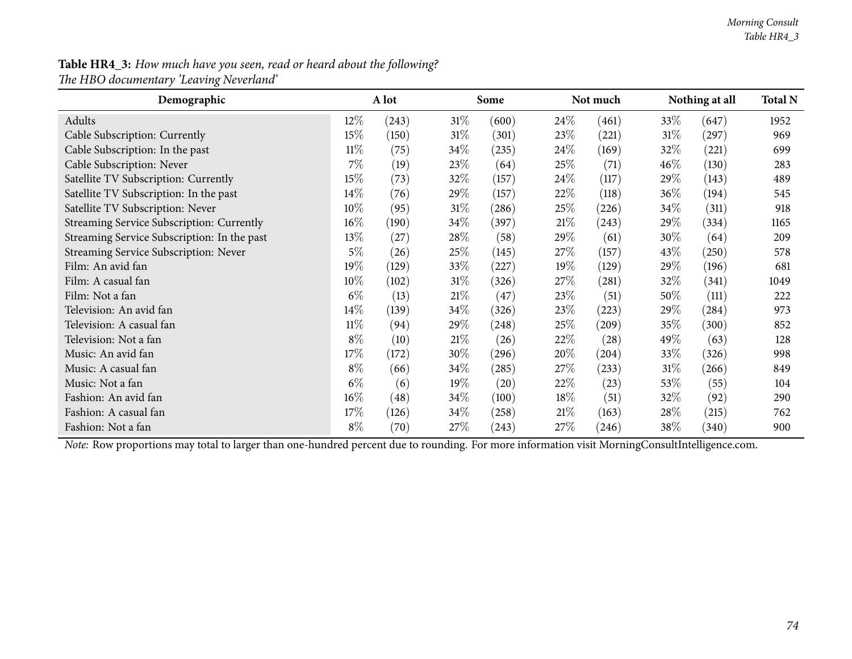## Table HR4\_3: How much have you seen, read or heard about the following?

*The HBO documentary 'Leaving Neverland'*

| Demographic                                 | A lot  |       |        | Some  |      | Not much           |        | Nothing at all |      |  |
|---------------------------------------------|--------|-------|--------|-------|------|--------------------|--------|----------------|------|--|
| Adults                                      | $12\%$ | (243) | $31\%$ | (600) | 24\% | (461)              | 33\%   | (647)          | 1952 |  |
| Cable Subscription: Currently               | 15%    | (150) | $31\%$ | (301) | 23%  | (221)              | $31\%$ | (297)          | 969  |  |
| Cable Subscription: In the past             | $11\%$ | (75)  | $34\%$ | (235) | 24\% | (169)              | 32%    | (221)          | 699  |  |
| Cable Subscription: Never                   | 7%     | (19)  | 23\%   | (64)  | 25%  | (71)               | $46\%$ | (130)          | 283  |  |
| Satellite TV Subscription: Currently        | 15\%   | (73)  | 32%    | (157) | 24\% | (117)              | 29%    | (143)          | 489  |  |
| Satellite TV Subscription: In the past      | 14\%   | (76)  | 29\%   | (157) | 22\% | (118)              | $36\%$ | (194)          | 545  |  |
| Satellite TV Subscription: Never            | 10%    | (95)  | $31\%$ | (286) | 25\% | (226)              | 34\%   | (311)          | 918  |  |
| Streaming Service Subscription: Currently   | 16%    | (190) | 34\%   | (397) | 21%  | (243)              | $29\%$ | (334)          | 1165 |  |
| Streaming Service Subscription: In the past | 13%    | (27)  | 28\%   | (58)  | 29%  | (61)               | 30\%   | (64)           | 209  |  |
| Streaming Service Subscription: Never       | $5\%$  | (26)  | 25%    | (145) | 27\% | (157)              | 43\%   | (250)          | 578  |  |
| Film: An avid fan                           | 19%    | (129) | 33%    | (227) | 19%  | (129)              | 29%    | (196)          | 681  |  |
| Film: A casual fan                          | 10%    | (102) | $31\%$ | (326) | 27%  | (281)              | 32\%   | (341)          | 1049 |  |
| Film: Not a fan                             | $6\%$  | (13)  | 21%    | (47)  | 23%  | (51)               | 50\%   | (111)          | 222  |  |
| Television: An avid fan                     | 14\%   | (139) | 34\%   | (326) | 23\% | (223)              | 29%    | (284)          | 973  |  |
| Television: A casual fan                    | $11\%$ | (94)  | 29\%   | (248) | 25%  | (209)              | 35%    | (300)          | 852  |  |
| Television: Not a fan                       | $8\%$  | (10)  | $21\%$ | (26)  | 22%  | $\left( 28\right)$ | 49\%   | (63)           | 128  |  |
| Music: An avid fan                          | 17%    | (172) | 30\%   | (296) | 20%  | (204)              | 33\%   | (326)          | 998  |  |
| Music: A casual fan                         | $8\%$  | (66)  | 34\%   | (285) | 27\% | (233)              | $31\%$ | (266)          | 849  |  |
| Music: Not a fan                            | $6\%$  | (6)   | 19%    | (20)  | 22%  | (23)               | 53\%   | (55)           | 104  |  |
| Fashion: An avid fan                        | 16%    | (48)  | 34\%   | (100) | 18%  | (51)               | 32\%   | (92)           | 290  |  |
| Fashion: A casual fan                       | 17%    | (126) | 34\%   | (258) | 21%  | (163)              | 28\%   | (215)          | 762  |  |
| Fashion: Not a fan                          | $8\%$  | (70)  | 27%    | (243) | 27%  | (246)              | 38\%   | (340)          | 900  |  |

*Note:* Row proportions may total to larger than one-hundred percen<sup>t</sup> due to rounding. For more information visit [MorningConsultIntelligence.com](https://morningconsultintelligence.com).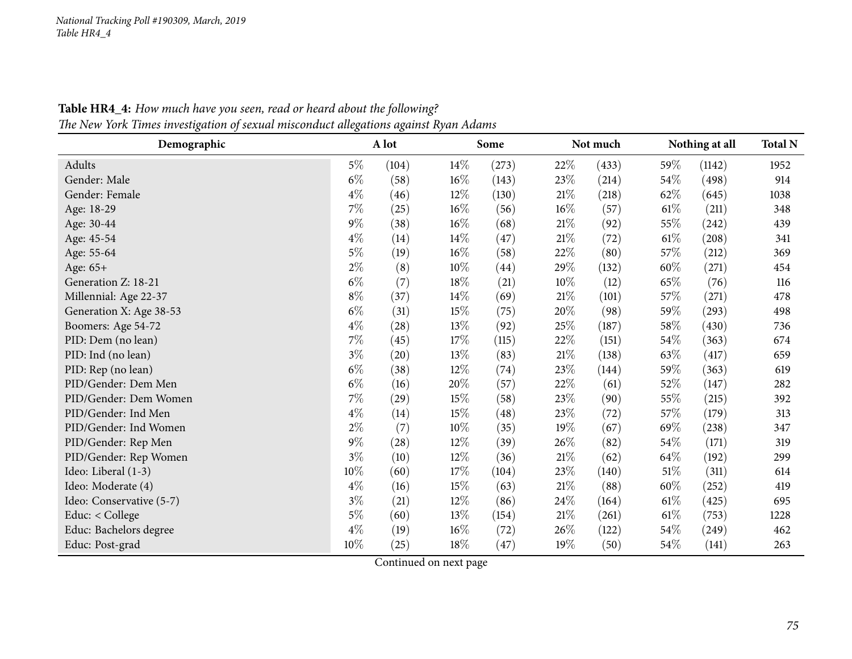| o<br>Demographic         | A lot  |       |        | Some  |        | Not much |        | Nothing at all |      |  |
|--------------------------|--------|-------|--------|-------|--------|----------|--------|----------------|------|--|
| Adults                   | $5\%$  | (104) | $14\%$ | (273) | 22%    | (433)    | 59%    | (1142)         | 1952 |  |
| Gender: Male             | $6\%$  | (58)  | $16\%$ | (143) | 23%    | (214)    | 54%    | (498)          | 914  |  |
| Gender: Female           | $4\%$  | (46)  | 12\%   | (130) | 21%    | (218)    | 62%    | (645)          | 1038 |  |
| Age: 18-29               | $7\%$  | (25)  | $16\%$ | (56)  | 16%    | (57)     | $61\%$ | (211)          | 348  |  |
| Age: 30-44               | $9\%$  | (38)  | $16\%$ | (68)  | $21\%$ | (92)     | 55%    | (242)          | 439  |  |
| Age: 45-54               | $4\%$  | (14)  | $14\%$ | (47)  | $21\%$ | (72)     | $61\%$ | (208)          | 341  |  |
| Age: 55-64               | $5\%$  | (19)  | $16\%$ | (58)  | 22%    | (80)     | 57\%   | (212)          | 369  |  |
| Age: 65+                 | $2\%$  | (8)   | $10\%$ | (44)  | 29%    | (132)    | $60\%$ | (271)          | 454  |  |
| Generation Z: 18-21      | $6\%$  | (7)   | 18%    | (21)  | 10%    | (12)     | 65\%   | (76)           | 116  |  |
| Millennial: Age 22-37    | $8\%$  | (37)  | 14\%   | (69)  | 21%    | (101)    | 57%    | (271)          | 478  |  |
| Generation X: Age 38-53  | $6\%$  | (31)  | 15\%   | (75)  | 20%    | (98)     | 59\%   | (293)          | 498  |  |
| Boomers: Age 54-72       | $4\%$  | (28)  | 13\%   | (92)  | 25%    | (187)    | 58\%   | (430)          | 736  |  |
| PID: Dem (no lean)       | $7\%$  | (45)  | 17\%   | (115) | 22%    | (151)    | 54%    | (363)          | 674  |  |
| PID: Ind (no lean)       | $3\%$  | (20)  | 13\%   | (83)  | 21%    | (138)    | 63%    | (417)          | 659  |  |
| PID: Rep (no lean)       | $6\%$  | (38)  | $12\%$ | (74)  | 23%    | (144)    | 59%    | (363)          | 619  |  |
| PID/Gender: Dem Men      | $6\%$  | (16)  | 20%    | (57)  | 22%    | (61)     | 52\%   | (147)          | 282  |  |
| PID/Gender: Dem Women    | $7\%$  | (29)  | 15\%   | (58)  | 23%    | (90)     | 55%    | (215)          | 392  |  |
| PID/Gender: Ind Men      | $4\%$  | (14)  | $15\%$ | (48)  | 23%    | (72)     | 57\%   | (179)          | 313  |  |
| PID/Gender: Ind Women    | $2\%$  | (7)   | $10\%$ | (35)  | 19%    | (67)     | 69%    | (238)          | 347  |  |
| PID/Gender: Rep Men      | $9\%$  | (28)  | $12\%$ | (39)  | 26%    | (82)     | 54%    | (171)          | 319  |  |
| PID/Gender: Rep Women    | $3\%$  | (10)  | $12\%$ | (36)  | $21\%$ | (62)     | 64\%   | (192)          | 299  |  |
| Ideo: Liberal (1-3)      | $10\%$ | (60)  | 17\%   | (104) | 23\%   | (140)    | $51\%$ | (311)          | 614  |  |
| Ideo: Moderate (4)       | $4\%$  | (16)  | 15\%   | (63)  | $21\%$ | (88)     | $60\%$ | (252)          | 419  |  |
| Ideo: Conservative (5-7) | $3\%$  | (21)  | 12\%   | (86)  | $24\%$ | (164)    | 61%    | (425)          | 695  |  |
| Educ: < College          | 5%     | (60)  | 13\%   | (154) | 21%    | (261)    | 61%    | (753)          | 1228 |  |
| Educ: Bachelors degree   | $4\%$  | (19)  | $16\%$ | (72)  | 26%    | (122)    | 54\%   | (249)          | 462  |  |
| Educ: Post-grad          | 10%    | (25)  | $18\%$ | (47)  | 19%    | (50)     | 54\%   | (141)          | 263  |  |

Table HR4\_4: How much have you seen, read or heard about the following? The New York Times investigation of sexual misconduct allegations against Ryan Adams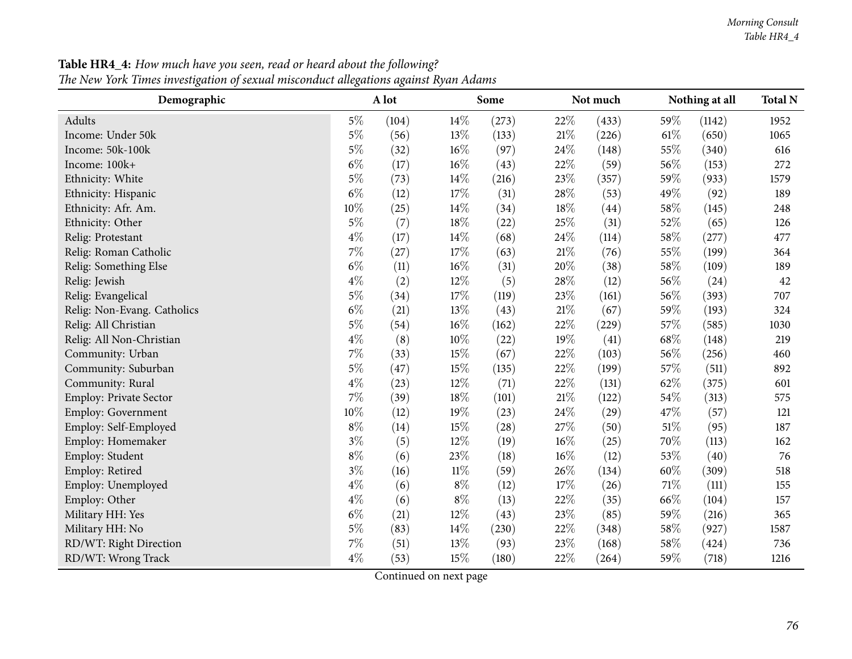| Demographic                   |        | A lot |        | Some  |        | Not much |        | Nothing at all | <b>Total N</b> |
|-------------------------------|--------|-------|--------|-------|--------|----------|--------|----------------|----------------|
| Adults                        | $5\%$  | (104) | 14%    | (273) | 22%    | (433)    | 59%    | (1142)         | 1952           |
| Income: Under 50k             | $5\%$  | (56)  | 13%    | (133) | 21%    | (226)    | 61\%   | (650)          | 1065           |
| Income: 50k-100k              | $5\%$  | (32)  | 16%    | (97)  | 24%    | (148)    | 55%    | (340)          | 616            |
| Income: 100k+                 | $6\%$  | (17)  | $16\%$ | (43)  | 22%    | (59)     | 56%    | (153)          | 272            |
| Ethnicity: White              | $5\%$  | (73)  | 14%    | (216) | 23%    | (357)    | 59%    | (933)          | 1579           |
| Ethnicity: Hispanic           | $6\%$  | (12)  | 17%    | (31)  | 28%    | (53)     | 49%    | (92)           | 189            |
| Ethnicity: Afr. Am.           | $10\%$ | (25)  | $14\%$ | (34)  | 18%    | (44)     | 58%    | (145)          | 248            |
| Ethnicity: Other              | $5\%$  | (7)   | 18%    | (22)  | 25%    | (31)     | 52%    | (65)           | 126            |
| Relig: Protestant             | $4\%$  | (17)  | 14%    | (68)  | 24%    | (114)    | 58%    | (277)          | 477            |
| Relig: Roman Catholic         | $7\%$  | (27)  | 17%    | (63)  | $21\%$ | (76)     | 55%    | (199)          | 364            |
| Relig: Something Else         | $6\%$  | (11)  | 16%    | (31)  | 20%    | (38)     | 58%    | (109)          | 189            |
| Relig: Jewish                 | $4\%$  | (2)   | 12%    | (5)   | 28%    | (12)     | 56%    | (24)           | 42             |
| Relig: Evangelical            | $5\%$  | (34)  | 17%    | (119) | 23%    | (161)    | 56%    | (393)          | 707            |
| Relig: Non-Evang. Catholics   | $6\%$  | (21)  | 13%    | (43)  | $21\%$ | (67)     | 59%    | (193)          | 324            |
| Relig: All Christian          | $5\%$  | (54)  | $16\%$ | (162) | 22%    | (229)    | 57%    | (585)          | 1030           |
| Relig: All Non-Christian      | $4\%$  | (8)   | 10%    | (22)  | 19%    | (41)     | 68%    | (148)          | 219            |
| Community: Urban              | $7\%$  | (33)  | 15%    | (67)  | 22%    | (103)    | 56%    | (256)          | 460            |
| Community: Suburban           | $5\%$  | (47)  | $15\%$ | (135) | 22%    | (199)    | 57%    | (511)          | 892            |
| Community: Rural              | $4\%$  | (23)  | 12%    | (71)  | 22%    | (131)    | 62%    | (375)          | 601            |
| <b>Employ: Private Sector</b> | $7\%$  | (39)  | 18%    | (101) | 21\%   | (122)    | 54%    | (313)          | 575            |
| Employ: Government            | $10\%$ | (12)  | 19%    | (23)  | 24%    | (29)     | 47%    | (57)           | 121            |
| Employ: Self-Employed         | $8\%$  | (14)  | 15%    | (28)  | 27%    | (50)     | 51%    | (95)           | 187            |
| Employ: Homemaker             | $3\%$  | (5)   | 12%    | (19)  | 16%    | (25)     | 70%    | (113)          | 162            |
| Employ: Student               | $8\%$  | (6)   | 23%    | (18)  | $16\%$ | (12)     | 53%    | (40)           | 76             |
| Employ: Retired               | $3\%$  | (16)  | $11\%$ | (59)  | 26\%   | (134)    | 60%    | (309)          | 518            |
| Employ: Unemployed            | $4\%$  | (6)   | $8\%$  | (12)  | 17%    | (26)     | 71%    | (111)          | 155            |
| Employ: Other                 | $4\%$  | (6)   | $8\%$  | (13)  | 22%    | (35)     | 66\%   | (104)          | 157            |
| Military HH: Yes              | $6\%$  | (21)  | 12%    | (43)  | 23%    | (85)     | 59%    | (216)          | 365            |
| Military HH: No               | $5\%$  | (83)  | $14\%$ | (230) | 22%    | (348)    | 58%    | (927)          | 1587           |
| RD/WT: Right Direction        | $7\%$  | (51)  | 13%    | (93)  | 23%    | (168)    | $58\%$ | (424)          | 736            |
| RD/WT: Wrong Track            | $4\%$  | (53)  | 15%    | (180) | 22%    | (264)    | 59%    | (718)          | 1216           |

Table HR4\_4: How much have you seen, read or heard about the following? The New York Times investigation of sexual misconduct allegations against Ryan Adams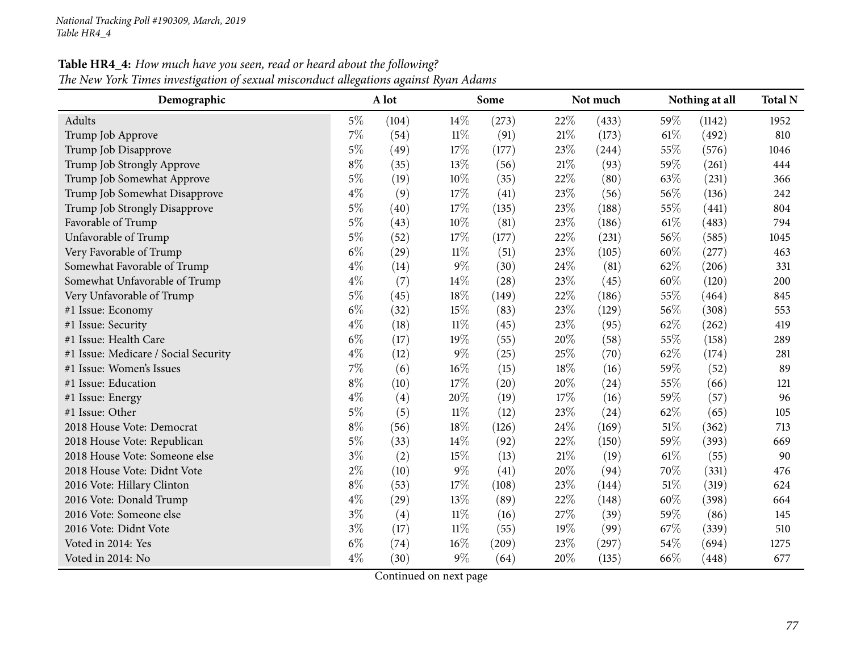## Table HR4\_4: How much have you seen, read or heard about the following? The New York Times investigation of sexual misconduct allegations against Ryan Adams

| Demographic                          |       | A lot | $\sim$ | Some  |     | Not much |        | Nothing at all |      |  |
|--------------------------------------|-------|-------|--------|-------|-----|----------|--------|----------------|------|--|
| Adults                               | $5\%$ | (104) | 14%    | (273) | 22% | (433)    | 59%    | (1142)         | 1952 |  |
| Trump Job Approve                    | 7%    | (54)  | $11\%$ | (91)  | 21% | (173)    | $61\%$ | (492)          | 810  |  |
| Trump Job Disapprove                 | $5\%$ | (49)  | $17\%$ | (177) | 23% | (244)    | 55%    | (576)          | 1046 |  |
| Trump Job Strongly Approve           | $8\%$ | (35)  | 13%    | (56)  | 21% | (93)     | 59%    | (261)          | 444  |  |
| Trump Job Somewhat Approve           | $5\%$ | (19)  | $10\%$ | (35)  | 22% | (80)     | 63%    | (231)          | 366  |  |
| Trump Job Somewhat Disapprove        | $4\%$ | (9)   | 17%    | (41)  | 23% | (56)     | 56%    | (136)          | 242  |  |
| Trump Job Strongly Disapprove        | $5\%$ | (40)  | 17%    | (135) | 23% | (188)    | 55%    | (441)          | 804  |  |
| Favorable of Trump                   | $5\%$ | (43)  | $10\%$ | (81)  | 23% | (186)    | 61%    | (483)          | 794  |  |
| Unfavorable of Trump                 | $5\%$ | (52)  | 17%    | (177) | 22% | (231)    | 56%    | (585)          | 1045 |  |
| Very Favorable of Trump              | $6\%$ | (29)  | $11\%$ | (51)  | 23% | (105)    | 60%    | (277)          | 463  |  |
| Somewhat Favorable of Trump          | $4\%$ | (14)  | $9\%$  | (30)  | 24% | (81)     | 62%    | (206)          | 331  |  |
| Somewhat Unfavorable of Trump        | $4\%$ | (7)   | $14\%$ | (28)  | 23% | (45)     | 60%    | (120)          | 200  |  |
| Very Unfavorable of Trump            | $5\%$ | (45)  | 18%    | (149) | 22% | (186)    | 55%    | (464)          | 845  |  |
| #1 Issue: Economy                    | $6\%$ | (32)  | 15%    | (83)  | 23% | (129)    | 56%    | (308)          | 553  |  |
| #1 Issue: Security                   | $4\%$ | (18)  | $11\%$ | (45)  | 23% | (95)     | 62%    | (262)          | 419  |  |
| #1 Issue: Health Care                | $6\%$ | (17)  | 19%    | (55)  | 20% | (58)     | 55%    | (158)          | 289  |  |
| #1 Issue: Medicare / Social Security | $4\%$ | (12)  | $9\%$  | (25)  | 25% | (70)     | 62%    | (174)          | 281  |  |
| #1 Issue: Women's Issues             | 7%    | (6)   | $16\%$ | (15)  | 18% | (16)     | 59%    | (52)           | 89   |  |
| #1 Issue: Education                  | $8\%$ | (10)  | 17\%   | (20)  | 20% | (24)     | 55%    | (66)           | 121  |  |
| #1 Issue: Energy                     | $4\%$ | (4)   | 20%    | (19)  | 17% | (16)     | 59%    | (57)           | 96   |  |
| #1 Issue: Other                      | $5\%$ | (5)   | $11\%$ | (12)  | 23% | (24)     | 62%    | (65)           | 105  |  |
| 2018 House Vote: Democrat            | $8\%$ | (56)  | $18\%$ | (126) | 24% | (169)    | $51\%$ | (362)          | 713  |  |
| 2018 House Vote: Republican          | $5\%$ | (33)  | 14%    | (92)  | 22% | (150)    | 59%    | (393)          | 669  |  |
| 2018 House Vote: Someone else        | $3\%$ | (2)   | 15%    | (13)  | 21% | (19)     | 61%    | (55)           | 90   |  |
| 2018 House Vote: Didnt Vote          | $2\%$ | (10)  | $9\%$  | (41)  | 20% | (94)     | 70%    | (331)          | 476  |  |
| 2016 Vote: Hillary Clinton           | $8\%$ | (53)  | $17\%$ | (108) | 23% | (144)    | $51\%$ | (319)          | 624  |  |
| 2016 Vote: Donald Trump              | $4\%$ | (29)  | 13%    | (89)  | 22% | (148)    | 60%    | (398)          | 664  |  |
| 2016 Vote: Someone else              | $3\%$ | (4)   | $11\%$ | (16)  | 27% | (39)     | 59%    | (86)           | 145  |  |
| 2016 Vote: Didnt Vote                | $3\%$ | (17)  | $11\%$ | (55)  | 19% | (99)     | 67%    | (339)          | 510  |  |
| Voted in 2014: Yes                   | $6\%$ | (74)  | $16\%$ | (209) | 23% | (297)    | 54%    | (694)          | 1275 |  |
| Voted in 2014: No                    | $4\%$ | (30)  | $9\%$  | (64)  | 20% | (135)    | 66%    | (448)          | 677  |  |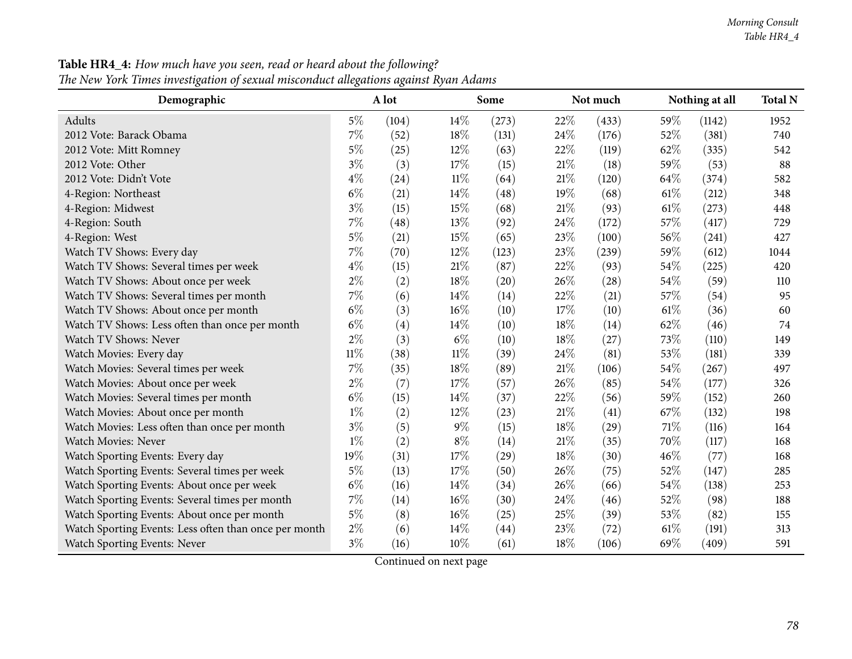| Demographic                                           |        | $\sim$<br>A lot |        | Some  |      | Not much |        | Nothing at all | <b>Total N</b> |
|-------------------------------------------------------|--------|-----------------|--------|-------|------|----------|--------|----------------|----------------|
| Adults                                                | $5\%$  | (104)           | 14%    | (273) | 22%  | (433)    | 59%    | (1142)         | 1952           |
| 2012 Vote: Barack Obama                               | $7\%$  | (52)            | 18%    | (131) | 24%  | (176)    | 52%    | (381)          | 740            |
| 2012 Vote: Mitt Romney                                | $5\%$  | (25)            | 12%    | (63)  | 22\% | (119)    | 62%    | (335)          | 542            |
| 2012 Vote: Other                                      | $3\%$  | (3)             | 17%    | (15)  | 21%  | (18)     | 59%    | (53)           | 88             |
| 2012 Vote: Didn't Vote                                | $4\%$  | (24)            | $11\%$ | (64)  | 21%  | (120)    | 64\%   | (374)          | 582            |
| 4-Region: Northeast                                   | $6\%$  | (21)            | 14%    | (48)  | 19%  | (68)     | $61\%$ | (212)          | 348            |
| 4-Region: Midwest                                     | $3\%$  | (15)            | 15%    | (68)  | 21%  | (93)     | $61\%$ | (273)          | 448            |
| 4-Region: South                                       | $7\%$  | (48)            | 13%    | (92)  | 24%  | (172)    | 57%    | (417)          | 729            |
| 4-Region: West                                        | $5\%$  | (21)            | 15%    | (65)  | 23%  | (100)    | 56%    | (241)          | 427            |
| Watch TV Shows: Every day                             | $7\%$  | (70)            | 12%    | (123) | 23%  | (239)    | 59%    | (612)          | 1044           |
| Watch TV Shows: Several times per week                | $4\%$  | (15)            | $21\%$ | (87)  | 22%  | (93)     | 54%    | (225)          | 420            |
| Watch TV Shows: About once per week                   | $2\%$  | (2)             | 18%    | (20)  | 26%  | (28)     | 54\%   | (59)           | 110            |
| Watch TV Shows: Several times per month               | $7\%$  | (6)             | 14%    | (14)  | 22%  | (21)     | 57%    | (54)           | 95             |
| Watch TV Shows: About once per month                  | $6\%$  | (3)             | $16\%$ | (10)  | 17%  | (10)     | 61%    | (36)           | 60             |
| Watch TV Shows: Less often than once per month        | $6\%$  | (4)             | 14%    | (10)  | 18%  | (14)     | 62%    | (46)           | 74             |
| Watch TV Shows: Never                                 | $2\%$  | (3)             | $6\%$  | (10)  | 18%  | (27)     | 73%    | (110)          | 149            |
| Watch Movies: Every day                               | $11\%$ | (38)            | $11\%$ | (39)  | 24\% | (81)     | 53%    | (181)          | 339            |
| Watch Movies: Several times per week                  | $7\%$  | (35)            | 18%    | (89)  | 21%  | (106)    | 54\%   | (267)          | 497            |
| Watch Movies: About once per week                     | $2\%$  | (7)             | 17%    | (57)  | 26%  | (85)     | 54%    | (177)          | 326            |
| Watch Movies: Several times per month                 | $6\%$  | (15)            | 14%    | (37)  | 22%  | (56)     | 59%    | (152)          | 260            |
| Watch Movies: About once per month                    | $1\%$  | (2)             | 12%    | (23)  | 21%  | (41)     | 67\%   | (132)          | 198            |
| Watch Movies: Less often than once per month          | $3\%$  | (5)             | $9\%$  | (15)  | 18%  | (29)     | 71%    | (116)          | 164            |
| Watch Movies: Never                                   | $1\%$  | (2)             | $8\%$  | (14)  | 21%  | (35)     | 70%    | (117)          | 168            |
| Watch Sporting Events: Every day                      | 19%    | (31)            | 17%    | (29)  | 18%  | (30)     | 46%    | (77)           | 168            |
| Watch Sporting Events: Several times per week         | $5\%$  | (13)            | 17%    | (50)  | 26%  | (75)     | 52%    | (147)          | 285            |
| Watch Sporting Events: About once per week            | $6\%$  | (16)            | 14%    | (34)  | 26%  | (66)     | 54\%   | (138)          | 253            |
| Watch Sporting Events: Several times per month        | $7\%$  | (14)            | 16%    | (30)  | 24%  | (46)     | 52%    | (98)           | 188            |
| Watch Sporting Events: About once per month           | $5\%$  | (8)             | $16\%$ | (25)  | 25%  | (39)     | 53%    | (82)           | 155            |
| Watch Sporting Events: Less often than once per month | $2\%$  | (6)             | 14\%   | (44)  | 23%  | (72)     | 61%    | (191)          | 313            |
| Watch Sporting Events: Never                          | $3\%$  | (16)            | 10%    | (61)  | 18%  | (106)    | 69%    | (409)          | 591            |

Table HR4\_4: How much have you seen, read or heard about the following? The New York Times investigation of sexual misconduct allegations against Ryan Adams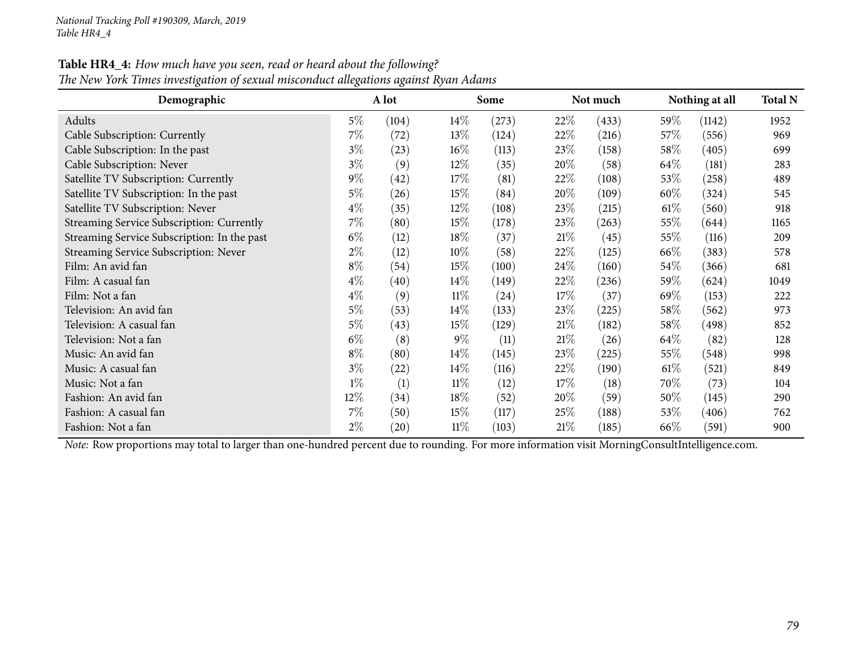| Table HR4_4: How much have you seen, read or heard about the following?                                  |  |  |  |
|----------------------------------------------------------------------------------------------------------|--|--|--|
| $\tau$ at $\tau$ if $\tau$ is the contract of the contract of $\tau$ is the contract of $\tau$ in $\tau$ |  |  |  |

| Demographic                                 |       | A lot              |        | Some  |      | Not much |        | Nothing at all | <b>Total N</b> |
|---------------------------------------------|-------|--------------------|--------|-------|------|----------|--------|----------------|----------------|
| Adults                                      | $5\%$ | (104)              | $14\%$ | (273) | 22\% | (433)    | $59\%$ | (1142)         | 1952           |
| Cable Subscription: Currently               | $7\%$ | (72)               | 13\%   | (124) | 22\% | (216)    | 57\%   | (556)          | 969            |
| Cable Subscription: In the past             | $3\%$ | (23)               | $16\%$ | (113) | 23\% | (158)    | 58\%   | (405)          | 699            |
| Cable Subscription: Never                   | $3\%$ | (9)                | $12\%$ | (35)  | 20%  | (58)     | 64\%   | (181)          | 283            |
| Satellite TV Subscription: Currently        | $9\%$ | (42)               | 17\%   | (81)  | 22\% | (108)    | $53\%$ | (258)          | 489            |
| Satellite TV Subscription: In the past      | $5\%$ | (26)               | 15\%   | (84)  | 20%  | (109)    | $60\%$ | (324)          | 545            |
| Satellite TV Subscription: Never            | $4\%$ | (35)               | 12\%   | (108) | 23\% | (215)    | 61%    | (560)          | 918            |
| Streaming Service Subscription: Currently   | $7\%$ | (80)               | 15\%   | (178) | 23\% | (263)    | 55%    | (644)          | 1165           |
| Streaming Service Subscription: In the past | $6\%$ | (12)               | 18\%   | (37)  | 21%  | (45)     | $55\%$ | (116)          | 209            |
| Streaming Service Subscription: Never       | $2\%$ | (12)               | $10\%$ | (58)  | 22\% | (125)    | 66\%   | (383)          | 578            |
| Film: An avid fan                           | $8\%$ | (54)               | 15\%   | (100) | 24\% | (160)    | 54\%   | (366)          | 681            |
| Film: A casual fan                          | $4\%$ | (40)               | $14\%$ | (149) | 22%  | (236)    | 59\%   | (624)          | 1049           |
| Film: Not a fan                             | $4\%$ | (9)                | $11\%$ | (24)  | 17\% | (37)     | 69\%   | (153)          | 222            |
| Television: An avid fan                     | $5\%$ | (53)               | $14\%$ | (133) | 23\% | (225)    | 58\%   | (562)          | 973            |
| Television: A casual fan                    | $5\%$ | (43)               | 15\%   | (129) | 21%  | (182)    | $58\%$ | (498)          | 852            |
| Television: Not a fan                       | $6\%$ | (8)                | $9\%$  | (11)  | 21%  | (26)     | 64\%   | (82)           | 128            |
| Music: An avid fan                          | $8\%$ | (80)               | $14\%$ | (145) | 23\% | (225)    | $55\%$ | (548)          | 998            |
| Music: A casual fan                         | $3\%$ | (22)               | $14\%$ | (116) | 22\% | (190)    | $61\%$ | (521)          | 849            |
| Music: Not a fan                            | $1\%$ | (1)                | $11\%$ | (12)  | 17\% | (18)     | 70\%   | (73)           | 104            |
| Fashion: An avid fan                        | 12\%  | (34)               | 18\%   | (52)  | 20%  | (59)     | $50\%$ | (145)          | 290            |
| Fashion: A casual fan                       | $7\%$ | (50)               | $15\%$ | (117) | 25\% | (188)    | 53\%   | (406)          | 762            |
| Fashion: Not a fan                          | $2\%$ | $\left( 20\right)$ | $11\%$ | (103) | 21%  | (185)    | 66\%   | (591)          | 900            |

*Note:* Row proportions may total to larger than one-hundred percen<sup>t</sup> due to rounding. For more information visit [MorningConsultIntelligence.com](https://morningconsultintelligence.com).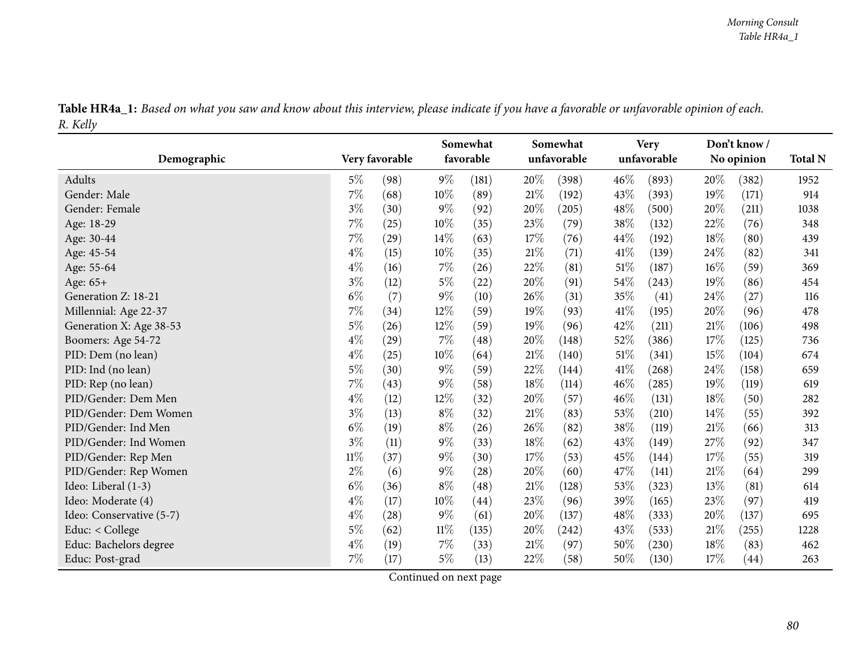|                          | Very favorable |                    | Somewhat<br>favorable |       |        | Somewhat<br>unfavorable |        | <b>Very</b><br>unfavorable |        | Don't know / |                |
|--------------------------|----------------|--------------------|-----------------------|-------|--------|-------------------------|--------|----------------------------|--------|--------------|----------------|
| Demographic              |                |                    |                       |       |        |                         |        |                            |        | No opinion   | <b>Total N</b> |
| Adults                   | $5\%$          | (98)               | $9\%$                 | (181) | 20%    | (398)                   | 46%    | (893)                      | 20%    | (382)        | 1952           |
| Gender: Male             | 7%             | (68)               | 10%                   | (89)  | $21\%$ | (192)                   | 43%    | (393)                      | 19%    | (171)        | 914            |
| Gender: Female           | $3\%$          | (30)               | $9\%$                 | (92)  | 20%    | (205)                   | 48%    | (500)                      | 20%    | (211)        | 1038           |
| Age: 18-29               | 7%             | (25)               | 10%                   | (35)  | 23%    | (79)                    | 38%    | (132)                      | 22\%   | (76)         | 348            |
| Age: 30-44               | 7%             | (29)               | 14%                   | (63)  | 17%    | (76)                    | 44\%   | (192)                      | 18%    | (80)         | 439            |
| Age: 45-54               | $4\%$          | (15)               | 10%                   | (35)  | 21%    | (71)                    | 41\%   | (139)                      | 24\%   | (82)         | 341            |
| Age: 55-64               | $4\%$          | (16)               | 7%                    | (26)  | 22%    | (81)                    | $51\%$ | (187)                      | $16\%$ | (59)         | 369            |
| Age: 65+                 | $3\%$          | (12)               | $5\%$                 | (22)  | 20%    | (91)                    | $54\%$ | (243)                      | 19%    | (86)         | 454            |
| Generation Z: 18-21      | $6\%$          | (7)                | $9\%$                 | (10)  | 26%    | (31)                    | 35%    | (41)                       | 24\%   | (27)         | 116            |
| Millennial: Age 22-37    | 7%             | (34)               | 12%                   | (59)  | 19%    | (93)                    | 41\%   | (195)                      | 20%    | (96)         | 478            |
| Generation X: Age 38-53  | $5\%$          | (26)               | 12%                   | (59)  | 19%    | (96)                    | 42\%   | (211)                      | 21%    | (106)        | 498            |
| Boomers: Age 54-72       | $4\%$          | $\left( 29\right)$ | 7%                    | (48)  | 20%    | (148)                   | 52%    | (386)                      | 17%    | (125)        | 736            |
| PID: Dem (no lean)       | $4\%$          | (25)               | 10%                   | (64)  | $21\%$ | (140)                   | $51\%$ | (341)                      | 15%    | (104)        | 674            |
| PID: Ind (no lean)       | $5\%$          | (30)               | $9\%$                 | (59)  | 22%    | (144)                   | 41\%   | (268)                      | 24%    | (158)        | 659            |
| PID: Rep (no lean)       | 7%             | (43)               | $9\%$                 | (58)  | 18%    | (114)                   | 46%    | (285)                      | 19%    | (119)        | 619            |
| PID/Gender: Dem Men      | $4\%$          | (12)               | 12%                   | (32)  | 20%    | (57)                    | 46\%   | (131)                      | 18%    | (50)         | 282            |
| PID/Gender: Dem Women    | $3\%$          | (13)               | $8\%$                 | (32)  | 21%    | (83)                    | 53%    | (210)                      | $14\%$ | (55)         | 392            |
| PID/Gender: Ind Men      | $6\%$          | (19)               | $8\%$                 | (26)  | 26%    | (82)                    | 38%    | (119)                      | $21\%$ | (66)         | 313            |
| PID/Gender: Ind Women    | $3\%$          | (11)               | $9\%$                 | (33)  | 18%    | (62)                    | 43%    | (149)                      | 27\%   | (92)         | 347            |
| PID/Gender: Rep Men      | $11\%$         | (37)               | $9\%$                 | (30)  | 17%    | (53)                    | 45\%   | (144)                      | 17\%   | (55)         | 319            |
| PID/Gender: Rep Women    | $2\%$          | (6)                | $9\%$                 | (28)  | 20%    | (60)                    | 47\%   | (141)                      | $21\%$ | (64)         | 299            |
| Ideo: Liberal (1-3)      | $6\%$          | (36)               | $8\%$                 | (48)  | $21\%$ | (128)                   | 53%    | (323)                      | 13%    | (81)         | 614            |
| Ideo: Moderate (4)       | $4\%$          | (17)               | 10%                   | (44)  | 23%    | (96)                    | 39%    | (165)                      | 23%    | (97)         | 419            |
| Ideo: Conservative (5-7) | $4\%$          | (28)               | $9\%$                 | (61)  | 20%    | (137)                   | 48%    | (333)                      | 20%    | (137)        | 695            |
| Educ: < College          | $5\%$          | (62)               | 11%                   | (135) | 20%    | (242)                   | 43\%   | (533)                      | 21%    | (255)        | 1228           |
| Educ: Bachelors degree   | $4\%$          | (19)               | 7%                    | (33)  | 21%    | (97)                    | 50%    | (230)                      | 18%    | (83)         | 462            |
| Educ: Post-grad          | 7%             | (17)               | $5\%$                 | (13)  | 22%    | (58)                    | 50%    | (130)                      | 17%    | (44)         | 263            |

Table HR4a\_1: Based on what you saw and know about this interview, please indicate if you have a favorable or unfavorable opinion of each. *R. Kelly*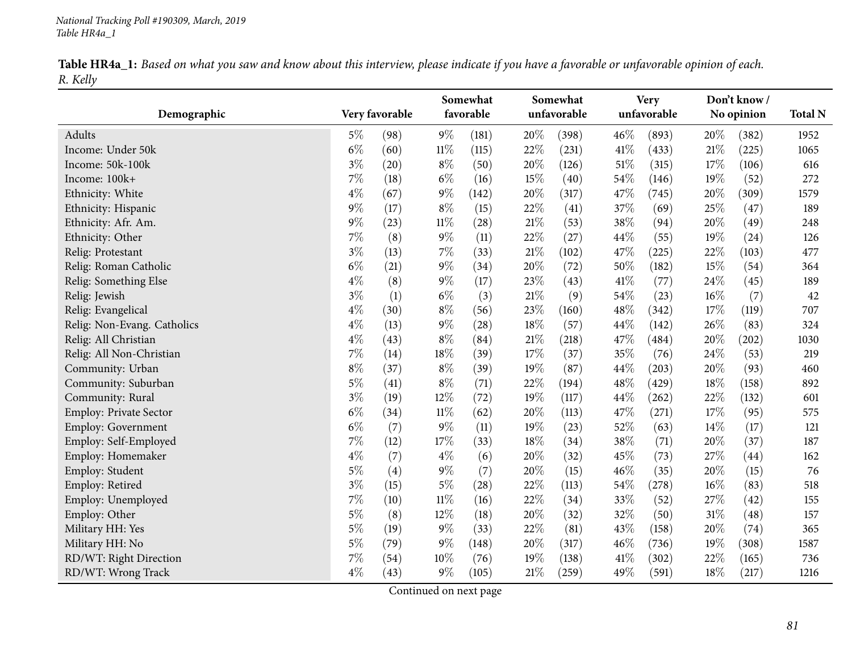| Demographic                 | Very favorable |      | Somewhat<br>favorable |       |        | Somewhat<br>unfavorable |        | <b>Very</b><br>unfavorable |        | Don't know /<br>No opinion |      |
|-----------------------------|----------------|------|-----------------------|-------|--------|-------------------------|--------|----------------------------|--------|----------------------------|------|
| Adults                      | $5\%$          | (98) | $9\%$                 | (181) | 20%    | (398)                   | 46%    | (893)                      | 20\%   | (382)                      | 1952 |
| Income: Under 50k           | $6\%$          | (60) | $11\%$                | (115) | 22%    | (231)                   | 41\%   | (433)                      | $21\%$ | (225)                      | 1065 |
| Income: 50k-100k            | $3\%$          | (20) | $8\%$                 | (50)  | 20%    | (126)                   | $51\%$ | (315)                      | 17%    | (106)                      | 616  |
| Income: 100k+               | $7\%$          | (18) | $6\%$                 | (16)  | 15%    | (40)                    | 54\%   | (146)                      | 19%    | (52)                       | 272  |
| Ethnicity: White            | $4\%$          | (67) | $9\%$                 | (142) | 20%    | (317)                   | 47%    | (745)                      | $20\%$ | (309)                      | 1579 |
| Ethnicity: Hispanic         | $9\%$          | (17) | $8\%$                 | (15)  | 22%    | (41)                    | 37%    | (69)                       | 25%    | (47)                       | 189  |
| Ethnicity: Afr. Am.         | $9\%$          | (23) | $11\%$                | (28)  | 21%    | (53)                    | 38%    | (94)                       | 20%    | (49)                       | 248  |
| Ethnicity: Other            | $7\%$          | (8)  | $9\%$                 | (11)  | 22%    | (27)                    | 44%    | (55)                       | 19%    | (24)                       | 126  |
| Relig: Protestant           | $3\%$          | (13) | $7\%$                 | (33)  | 21%    | (102)                   | 47\%   | (225)                      | 22%    | (103)                      | 477  |
| Relig: Roman Catholic       | $6\%$          | (21) | $9\%$                 | (34)  | 20%    | (72)                    | 50%    | (182)                      | 15%    | (54)                       | 364  |
| Relig: Something Else       | $4\%$          | (8)  | $9\%$                 | (17)  | 23%    | (43)                    | 41\%   | (77)                       | 24\%   | (45)                       | 189  |
| Relig: Jewish               | $3\%$          | (1)  | $6\%$                 | (3)   | 21\%   | (9)                     | 54%    | (23)                       | $16\%$ | (7)                        | 42   |
| Relig: Evangelical          | $4\%$          | (30) | $8\%$                 | (56)  | 23%    | (160)                   | 48%    | (342)                      | 17%    | (119)                      | 707  |
| Relig: Non-Evang. Catholics | $4\%$          | (13) | $9\%$                 | (28)  | 18%    | (57)                    | 44%    | (142)                      | 26%    | (83)                       | 324  |
| Relig: All Christian        | $4\%$          | (43) | $8\%$                 | (84)  | 21%    | (218)                   | 47%    | (484)                      | $20\%$ | (202)                      | 1030 |
| Relig: All Non-Christian    | $7\%$          | (14) | 18%                   | (39)  | 17%    | (37)                    | 35%    | (76)                       | 24\%   | (53)                       | 219  |
| Community: Urban            | $8\%$          | (37) | $8\%$                 | (39)  | 19%    | (87)                    | 44%    | (203)                      | 20%    | (93)                       | 460  |
| Community: Suburban         | $5\%$          | (41) | $8\%$                 | (71)  | 22%    | (194)                   | 48%    | (429)                      | $18\%$ | (158)                      | 892  |
| Community: Rural            | $3\%$          | (19) | 12%                   | (72)  | 19%    | (117)                   | 44%    | (262)                      | 22%    | (132)                      | 601  |
| Employ: Private Sector      | $6\%$          | (34) | $11\%$                | (62)  | 20%    | (113)                   | 47%    | (271)                      | 17%    | (95)                       | 575  |
| Employ: Government          | $6\%$          | (7)  | $9\%$                 | (11)  | 19%    | (23)                    | 52%    | (63)                       | $14\%$ | (17)                       | 121  |
| Employ: Self-Employed       | $7\%$          | (12) | 17%                   | (33)  | 18%    | (34)                    | 38%    | (71)                       | 20%    | (37)                       | 187  |
| Employ: Homemaker           | $4\%$          | (7)  | $4\%$                 | (6)   | 20%    | (32)                    | 45%    | (73)                       | 27%    | (44)                       | 162  |
| Employ: Student             | $5\%$          | (4)  | $9\%$                 | (7)   | 20%    | (15)                    | 46%    | (35)                       | $20\%$ | (15)                       | 76   |
| Employ: Retired             | $3\%$          | (15) | $5\%$                 | (28)  | 22%    | (113)                   | 54%    | (278)                      | $16\%$ | (83)                       | 518  |
| Employ: Unemployed          | $7\%$          | (10) | $11\%$                | (16)  | 22%    | (34)                    | 33%    | (52)                       | 27%    | (42)                       | 155  |
| Employ: Other               | $5\%$          | (8)  | 12%                   | (18)  | 20%    | (32)                    | 32%    | (50)                       | $31\%$ | (48)                       | 157  |
| Military HH: Yes            | $5\%$          | (19) | $9\%$                 | (33)  | 22%    | (81)                    | 43%    | (158)                      | 20%    | (74)                       | 365  |
| Military HH: No             | $5\%$          | (79) | $9\%$                 | (148) | 20%    | (317)                   | 46%    | (736)                      | 19%    | (308)                      | 1587 |
| RD/WT: Right Direction      | 7%             | (54) | 10%                   | (76)  | 19%    | (138)                   | 41\%   | (302)                      | 22%    | (165)                      | 736  |
| RD/WT: Wrong Track          | $4\%$          | (43) | $9\%$                 | (105) | $21\%$ | (259)                   | 49%    | (591)                      | $18\%$ | (217)                      | 1216 |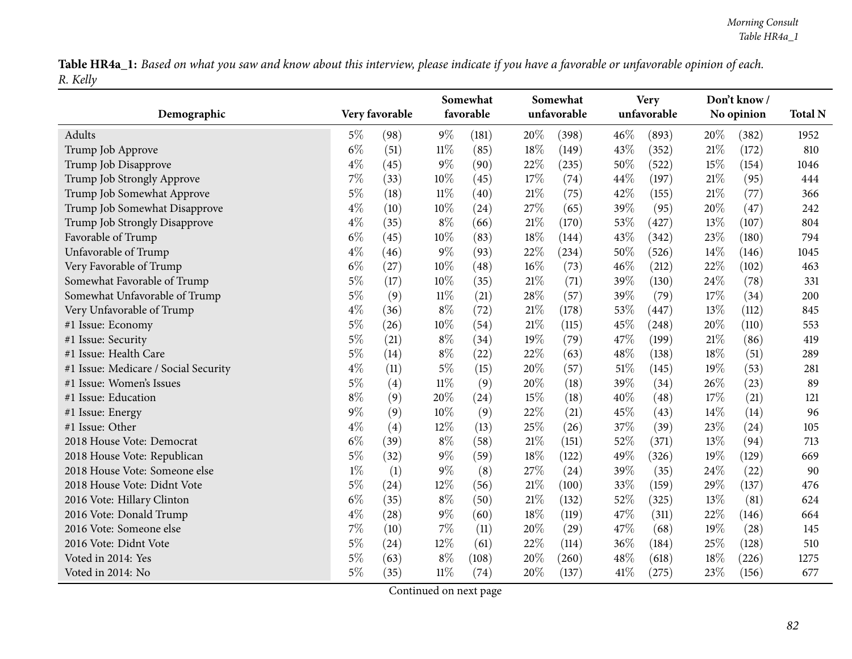| Demographic                          | Very favorable |      | Somewhat<br>favorable |       |      | Somewhat<br>unfavorable |      | <b>Very</b><br>unfavorable |        | Don't know /<br>No opinion |      |
|--------------------------------------|----------------|------|-----------------------|-------|------|-------------------------|------|----------------------------|--------|----------------------------|------|
| Adults                               | 5%             | (98) | $9\%$                 | (181) | 20%  | (398)                   | 46%  | (893)                      | 20%    | (382)                      | 1952 |
| Trump Job Approve                    | $6\%$          | (51) | $11\%$                | (85)  | 18%  | (149)                   | 43%  | (352)                      | $21\%$ | (172)                      | 810  |
| Trump Job Disapprove                 | $4\%$          | (45) | $9\%$                 | (90)  | 22%  | (235)                   | 50%  | (522)                      | 15%    | (154)                      | 1046 |
| Trump Job Strongly Approve           | 7%             | (33) | 10%                   | (45)  | 17%  | (74)                    | 44%  | (197)                      | $21\%$ | (95)                       | 444  |
| Trump Job Somewhat Approve           | $5\%$          | (18) | $11\%$                | (40)  | 21%  | (75)                    | 42%  | (155)                      | $21\%$ | (77)                       | 366  |
| Trump Job Somewhat Disapprove        | $4\%$          | (10) | 10%                   | (24)  | 27%  | (65)                    | 39%  | (95)                       | 20%    | (47)                       | 242  |
| Trump Job Strongly Disapprove        | $4\%$          | (35) | $8\%$                 | (66)  | 21\% | (170)                   | 53%  | (427)                      | 13%    | (107)                      | 804  |
| Favorable of Trump                   | $6\%$          | (45) | 10%                   | (83)  | 18%  | (144)                   | 43%  | (342)                      | 23%    | (180)                      | 794  |
| Unfavorable of Trump                 | $4\%$          | (46) | $9\%$                 | (93)  | 22%  | (234)                   | 50%  | (526)                      | 14\%   | (146)                      | 1045 |
| Very Favorable of Trump              | $6\%$          | (27) | 10%                   | (48)  | 16%  | (73)                    | 46%  | (212)                      | 22%    | (102)                      | 463  |
| Somewhat Favorable of Trump          | $5\%$          | (17) | 10%                   | (35)  | 21%  | (71)                    | 39%  | (130)                      | 24\%   | (78)                       | 331  |
| Somewhat Unfavorable of Trump        | 5%             | (9)  | $11\%$                | (21)  | 28%  | (57)                    | 39%  | (79)                       | 17%    | (34)                       | 200  |
| Very Unfavorable of Trump            | $4\%$          | (36) | $8\%$                 | (72)  | 21\% | (178)                   | 53%  | (447)                      | 13%    | (112)                      | 845  |
| #1 Issue: Economy                    | $5\%$          | (26) | 10%                   | (54)  | 21%  | (115)                   | 45%  | (248)                      | 20%    | (110)                      | 553  |
| #1 Issue: Security                   | $5\%$          | (21) | $8\%$                 | (34)  | 19%  | (79)                    | 47%  | (199)                      | $21\%$ | (86)                       | 419  |
| #1 Issue: Health Care                | $5\%$          | (14) | $8\%$                 | (22)  | 22%  | (63)                    | 48%  | (138)                      | 18%    | (51)                       | 289  |
| #1 Issue: Medicare / Social Security | $4\%$          | (11) | $5\%$                 | (15)  | 20%  | (57)                    | 51%  | (145)                      | 19%    | (53)                       | 281  |
| #1 Issue: Women's Issues             | $5\%$          | (4)  | $11\%$                | (9)   | 20%  | (18)                    | 39%  | (34)                       | 26%    | (23)                       | 89   |
| #1 Issue: Education                  | $8\%$          | (9)  | 20%                   | (24)  | 15%  | (18)                    | 40%  | (48)                       | 17%    | (21)                       | 121  |
| #1 Issue: Energy                     | $9\%$          | (9)  | 10%                   | (9)   | 22%  | (21)                    | 45%  | (43)                       | 14%    | (14)                       | 96   |
| #1 Issue: Other                      | $4\%$          | (4)  | 12%                   | (13)  | 25%  | (26)                    | 37%  | (39)                       | 23%    | (24)                       | 105  |
| 2018 House Vote: Democrat            | $6\%$          | (39) | $8\%$                 | (58)  | 21%  | (151)                   | 52%  | (371)                      | 13\%   | (94)                       | 713  |
| 2018 House Vote: Republican          | $5\%$          | (32) | $9\%$                 | (59)  | 18%  | (122)                   | 49%  | (326)                      | 19%    | (129)                      | 669  |
| 2018 House Vote: Someone else        | $1\%$          | (1)  | $9\%$                 | (8)   | 27%  | (24)                    | 39%  | (35)                       | 24%    | (22)                       | 90   |
| 2018 House Vote: Didnt Vote          | $5\%$          | (24) | 12%                   | (56)  | 21%  | (100)                   | 33%  | (159)                      | 29%    | (137)                      | 476  |
| 2016 Vote: Hillary Clinton           | $6\%$          | (35) | $8\%$                 | (50)  | 21%  | (132)                   | 52%  | (325)                      | 13%    | (81)                       | 624  |
| 2016 Vote: Donald Trump              | $4\%$          | (28) | $9\%$                 | (60)  | 18%  | (119)                   | 47%  | (311)                      | 22%    | (146)                      | 664  |
| 2016 Vote: Someone else              | 7%             | (10) | $7\%$                 | (11)  | 20%  | (29)                    | 47%  | (68)                       | 19%    | (28)                       | 145  |
| 2016 Vote: Didnt Vote                | $5\%$          | (24) | 12%                   | (61)  | 22%  | (114)                   | 36%  | (184)                      | 25%    | (128)                      | 510  |
| Voted in 2014: Yes                   | $5\%$          | (63) | $8\%$                 | (108) | 20%  | (260)                   | 48%  | (618)                      | 18%    | (226)                      | 1275 |
| Voted in 2014: No                    | $5\%$          | (35) | $11\%$                | (74)  | 20%  | (137)                   | 41\% | (275)                      | 23%    | (156)                      | 677  |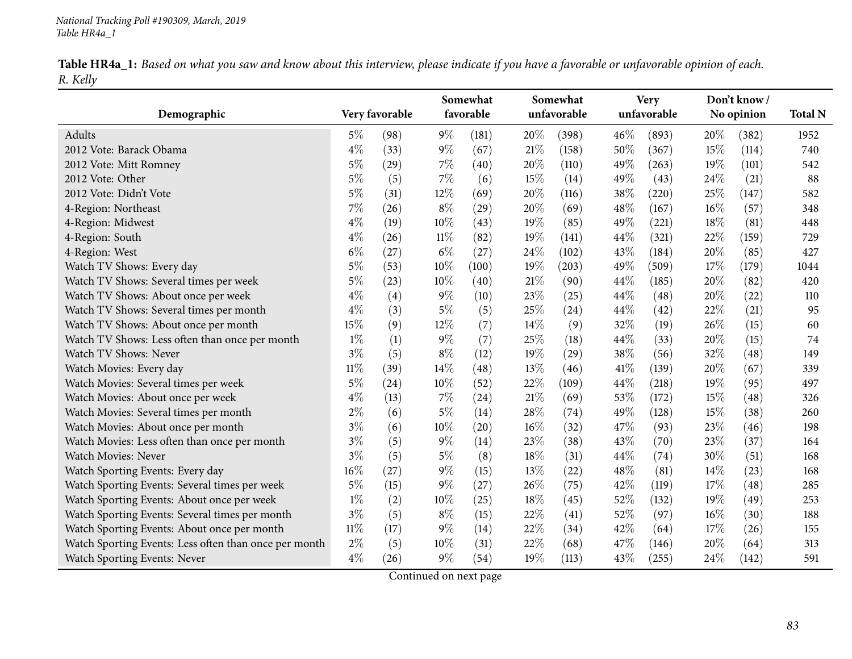| Demographic                                           | Very favorable |      | Somewhat<br>favorable |       |      | Somewhat<br>unfavorable |      | <b>Very</b><br>unfavorable |     | Don't know /<br>No opinion |      |
|-------------------------------------------------------|----------------|------|-----------------------|-------|------|-------------------------|------|----------------------------|-----|----------------------------|------|
| Adults                                                | $5\%$          | (98) | $9\%$                 | (181) | 20%  | (398)                   | 46%  | (893)                      | 20% | (382)                      | 1952 |
| 2012 Vote: Barack Obama                               | $4\%$          | (33) | $9\%$                 | (67)  | 21\% | (158)                   | 50%  | (367)                      | 15% | (114)                      | 740  |
| 2012 Vote: Mitt Romney                                | $5\%$          | (29) | $7\%$                 | (40)  | 20%  | (110)                   | 49%  | (263)                      | 19% | (101)                      | 542  |
| 2012 Vote: Other                                      | $5\%$          | (5)  | $7\%$                 | (6)   | 15%  | (14)                    | 49%  | (43)                       | 24% | (21)                       | 88   |
| 2012 Vote: Didn't Vote                                | $5\%$          | (31) | 12%                   | (69)  | 20%  | (116)                   | 38%  | (220)                      | 25% | (147)                      | 582  |
| 4-Region: Northeast                                   | 7%             | (26) | $8\%$                 | (29)  | 20%  | (69)                    | 48%  | (167)                      | 16% | (57)                       | 348  |
| 4-Region: Midwest                                     | $4\%$          | (19) | 10%                   | (43)  | 19%  | (85)                    | 49%  | (221)                      | 18% | (81)                       | 448  |
| 4-Region: South                                       | $4\%$          | (26) | $11\%$                | (82)  | 19%  | (141)                   | 44%  | (321)                      | 22% | (159)                      | 729  |
| 4-Region: West                                        | $6\%$          | (27) | $6\%$                 | (27)  | 24%  | (102)                   | 43%  | (184)                      | 20% | (85)                       | 427  |
| Watch TV Shows: Every day                             | $5\%$          | (53) | 10%                   | (100) | 19%  | (203)                   | 49%  | (509)                      | 17% | (179)                      | 1044 |
| Watch TV Shows: Several times per week                | $5\%$          | (23) | 10%                   | (40)  | 21%  | (90)                    | 44%  | (185)                      | 20% | (82)                       | 420  |
| Watch TV Shows: About once per week                   | $4\%$          | (4)  | $9\%$                 | (10)  | 23%  | (25)                    | 44%  | (48)                       | 20% | (22)                       | 110  |
| Watch TV Shows: Several times per month               | $4\%$          | (3)  | $5\%$                 | (5)   | 25%  | (24)                    | 44%  | (42)                       | 22% | (21)                       | 95   |
| Watch TV Shows: About once per month                  | 15%            | (9)  | 12%                   | (7)   | 14%  | (9)                     | 32%  | (19)                       | 26% | (15)                       | 60   |
| Watch TV Shows: Less often than once per month        | $1\%$          | (1)  | $9\%$                 | (7)   | 25%  | (18)                    | 44%  | (33)                       | 20% | (15)                       | 74   |
| Watch TV Shows: Never                                 | $3\%$          | (5)  | $8\%$                 | (12)  | 19%  | (29)                    | 38%  | (56)                       | 32% | (48)                       | 149  |
| Watch Movies: Every day                               | $11\%$         | (39) | 14%                   | (48)  | 13%  | (46)                    | 41\% | (139)                      | 20% | (67)                       | 339  |
| Watch Movies: Several times per week                  | $5\%$          | (24) | 10%                   | (52)  | 22%  | (109)                   | 44%  | (218)                      | 19% | (95)                       | 497  |
| Watch Movies: About once per week                     | $4\%$          | (13) | $7\%$                 | (24)  | 21\% | (69)                    | 53%  | (172)                      | 15% | (48)                       | 326  |
| Watch Movies: Several times per month                 | $2\%$          | (6)  | $5\%$                 | (14)  | 28\% | (74)                    | 49%  | (128)                      | 15% | (38)                       | 260  |
| Watch Movies: About once per month                    | $3\%$          | (6)  | 10%                   | (20)  | 16%  | (32)                    | 47%  | (93)                       | 23% | (46)                       | 198  |
| Watch Movies: Less often than once per month          | $3\%$          | (5)  | $9\%$                 | (14)  | 23%  | (38)                    | 43%  | (70)                       | 23% | (37)                       | 164  |
| Watch Movies: Never                                   | $3\%$          | (5)  | $5\%$                 | (8)   | 18%  | (31)                    | 44%  | (74)                       | 30% | (51)                       | 168  |
| Watch Sporting Events: Every day                      | 16%            | (27) | $9\%$                 | (15)  | 13%  | (22)                    | 48%  | (81)                       | 14% | (23)                       | 168  |
| Watch Sporting Events: Several times per week         | 5%             | (15) | $9\%$                 | (27)  | 26%  | (75)                    | 42%  | (119)                      | 17% | (48)                       | 285  |
| Watch Sporting Events: About once per week            | $1\%$          | (2)  | 10%                   | (25)  | 18%  | (45)                    | 52%  | (132)                      | 19% | (49)                       | 253  |
| Watch Sporting Events: Several times per month        | $3\%$          | (5)  | $8\%$                 | (15)  | 22%  | (41)                    | 52%  | (97)                       | 16% | (30)                       | 188  |
| Watch Sporting Events: About once per month           | $11\%$         | (17) | $9\%$                 | (14)  | 22%  | (34)                    | 42%  | (64)                       | 17% | (26)                       | 155  |
| Watch Sporting Events: Less often than once per month | $2\%$          | (5)  | 10%                   | (31)  | 22%  | (68)                    | 47%  | (146)                      | 20% | (64)                       | 313  |
| Watch Sporting Events: Never                          | $4\%$          | (26) | $9\%$                 | (54)  | 19%  | (113)                   | 43%  | (255)                      | 24% | (142)                      | 591  |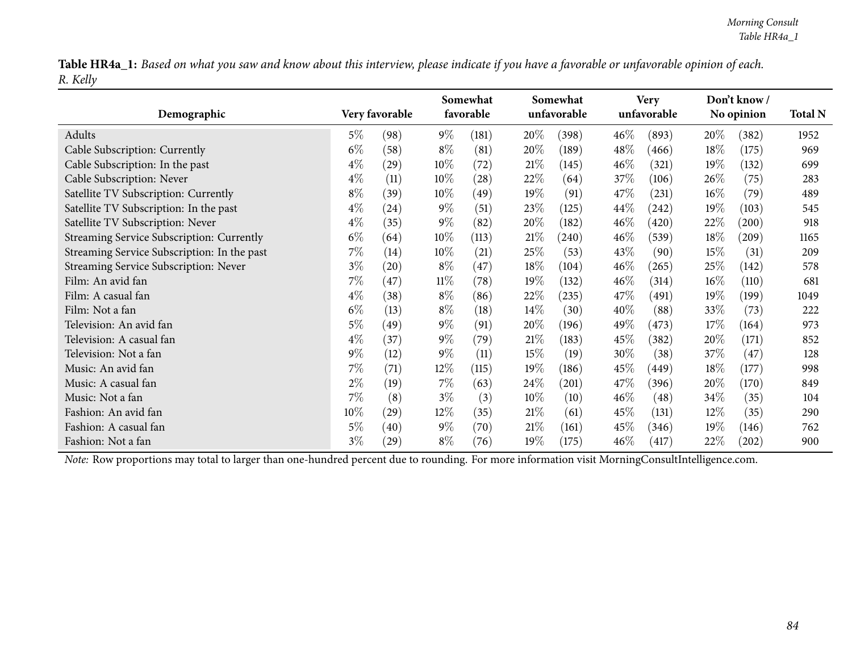| Demographic                                 |        | Very favorable |        | Somewhat<br>favorable |        | Somewhat<br>unfavorable |        | <b>Very</b><br>unfavorable |        | Don't know /<br>No opinion | <b>Total N</b> |
|---------------------------------------------|--------|----------------|--------|-----------------------|--------|-------------------------|--------|----------------------------|--------|----------------------------|----------------|
| Adults                                      | $5\%$  | (98)           | $9\%$  | (181)                 | 20%    | (398)                   | $46\%$ | (893)                      | 20%    | (382)                      | 1952           |
| Cable Subscription: Currently               | $6\%$  | (58)           | $8\%$  | (81)                  | 20%    | (189)                   | 48\%   | (466)                      | 18%    | (175)                      | 969            |
| Cable Subscription: In the past             | $4\%$  | (29)           | $10\%$ | (72)                  | 21%    | (145)                   | $46\%$ | (321)                      | 19%    | (132)                      | 699            |
| Cable Subscription: Never                   | $4\%$  | (11)           | $10\%$ | (28)                  | 22%    | (64)                    | 37\%   | (106)                      | 26\%   | (75)                       | 283            |
| Satellite TV Subscription: Currently        | $8\%$  | (39)           | $10\%$ | (49)                  | $19\%$ | (91)                    | 47\%   | (231)                      | $16\%$ | (79)                       | 489            |
| Satellite TV Subscription: In the past      | $4\%$  | (24)           | $9\%$  | (51)                  | 23\%   | (125)                   | 44\%   | (242)                      | $19\%$ | (103)                      | 545            |
| Satellite TV Subscription: Never            | $4\%$  | (35)           | $9\%$  | (82)                  | 20%    | (182)                   | $46\%$ | (420)                      | 22\%   | (200)                      | 918            |
| Streaming Service Subscription: Currently   | $6\%$  | (64)           | $10\%$ | (113)                 | 21%    | (240)                   | $46\%$ | (539)                      | 18%    | (209)                      | 1165           |
| Streaming Service Subscription: In the past | 7%     | (14)           | $10\%$ | (21)                  | 25\%   | (53)                    | 43\%   | (90)                       | $15\%$ | (31)                       | 209            |
| Streaming Service Subscription: Never       | $3\%$  | (20)           | $8\%$  | (47)                  | 18%    | (104)                   | $46\%$ | (265)                      | 25\%   | (142)                      | 578            |
| Film: An avid fan                           | 7%     | (47)           | $11\%$ | (78)                  | 19%    | (132)                   | $46\%$ | (314)                      | $16\%$ | (110)                      | 681            |
| Film: A casual fan                          | $4\%$  | (38)           | $8\%$  | (86)                  | 22%    | (235)                   | 47\%   | (491)                      | $19\%$ | (199)                      | 1049           |
| Film: Not a fan                             | $6\%$  | (13)           | $8\%$  | (18)                  | $14\%$ | (30)                    | $40\%$ | (88)                       | 33\%   | (73)                       | 222            |
| Television: An avid fan                     | $5\%$  | (49)           | $9\%$  | (91)                  | 20%    | (196)                   | 49%    | (473)                      | 17%    | (164)                      | 973            |
| Television: A casual fan                    | $4\%$  | (37)           | $9\%$  | (79)                  | 21%    | (183)                   | 45\%   | (382)                      | 20%    | (171)                      | 852            |
| Television: Not a fan                       | $9\%$  | (12)           | $9\%$  | (11)                  | $15\%$ | (19)                    | 30\%   | (38)                       | 37\%   | (47)                       | 128            |
| Music: An avid fan                          | 7%     | (71)           | 12\%   | (115)                 | 19%    | (186)                   | 45\%   | (449)                      | $18\%$ | (177)                      | 998            |
| Music: A casual fan                         | $2\%$  | (19)           | $7\%$  | (63)                  | 24\%   | (201)                   | 47\%   | (396)                      | 20\%   | (170)                      | 849            |
| Music: Not a fan                            | 7%     | (8)            | $3\%$  | (3)                   | $10\%$ | (10)                    | $46\%$ | $\left( 48\right)$         | $34\%$ | (35)                       | 104            |
| Fashion: An avid fan                        | $10\%$ | (29)           | $12\%$ | (35)                  | 21%    | (61)                    | 45\%   | (131)                      | $12\%$ | (35)                       | 290            |
| Fashion: A casual fan                       | $5\%$  | (40)           | $9\%$  | (70)                  | 21%    | (161)                   | 45\%   | (346)                      | $19\%$ | (146)                      | 762            |
| Fashion: Not a fan                          | $3\%$  | (29)           | $8\%$  | (76)                  | 19%    | (175)                   | 46\%   | (417)                      | 22%    | (202)                      | 900            |

*Note:* Row proportions may total to larger than one-hundred percen<sup>t</sup> due to rounding. For more information visit [MorningConsultIntelligence.com](https://morningconsultintelligence.com).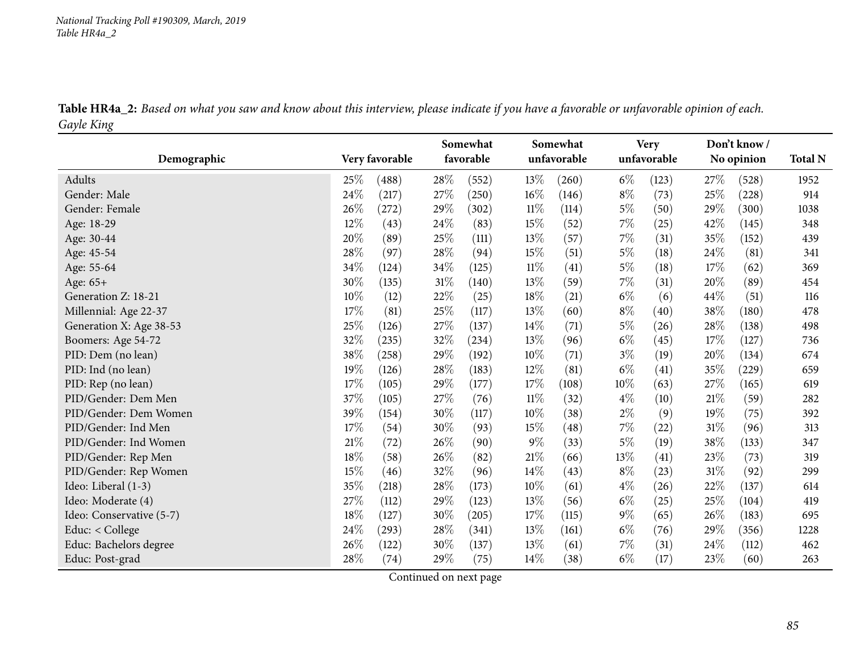|                          |        |                |        | Somewhat  |        | Somewhat    |       | <b>Very</b> |        | Don't know / |                |
|--------------------------|--------|----------------|--------|-----------|--------|-------------|-------|-------------|--------|--------------|----------------|
| Demographic              |        | Very favorable |        | favorable |        | unfavorable |       | unfavorable |        | No opinion   | <b>Total N</b> |
| Adults                   | 25\%   | (488)          | 28%    | (552)     | 13%    | (260)       | $6\%$ | (123)       | 27\%   | (528)        | 1952           |
| Gender: Male             | $24\%$ | (217)          | 27%    | (250)     | 16%    | (146)       | $8\%$ | (73)        | $25\%$ | (228)        | 914            |
| Gender: Female           | 26\%   | (272)          | 29%    | (302)     | $11\%$ | (114)       | $5\%$ | (50)        | 29%    | (300)        | 1038           |
| Age: 18-29               | 12%    | (43)           | 24\%   | (83)      | 15%    | (52)        | $7\%$ | (25)        | 42%    | (145)        | 348            |
| Age: 30-44               | 20%    | (89)           | 25%    | (111)     | 13%    | (57)        | $7\%$ | (31)        | 35%    | (152)        | 439            |
| Age: 45-54               | 28\%   | (97)           | 28%    | (94)      | 15%    | (51)        | $5\%$ | (18)        | 24%    | (81)         | 341            |
| Age: 55-64               | 34\%   | (124)          | 34\%   | (125)     | $11\%$ | (41)        | $5\%$ | (18)        | $17\%$ | (62)         | 369            |
| Age: 65+                 | 30%    | (135)          | $31\%$ | (140)     | 13%    | (59)        | $7\%$ | (31)        | 20%    | (89)         | 454            |
| Generation Z: 18-21      | 10%    | (12)           | 22%    | (25)      | 18%    | (21)        | $6\%$ | (6)         | 44%    | (51)         | 116            |
| Millennial: Age 22-37    | $17\%$ | (81)           | 25%    | (117)     | 13%    | (60)        | $8\%$ | (40)        | 38%    | (180)        | 478            |
| Generation X: Age 38-53  | 25%    | (126)          | 27\%   | (137)     | 14%    | (71)        | $5\%$ | (26)        | 28\%   | (138)        | 498            |
| Boomers: Age 54-72       | 32%    | (235)          | 32%    | (234)     | 13%    | (96)        | $6\%$ | (45)        | 17%    | (127)        | 736            |
| PID: Dem (no lean)       | $38\%$ | (258)          | 29%    | (192)     | 10%    | (71)        | $3\%$ | (19)        | 20%    | (134)        | 674            |
| PID: Ind (no lean)       | 19%    | (126)          | 28%    | (183)     | 12%    | (81)        | $6\%$ | (41)        | 35%    | (229)        | 659            |
| PID: Rep (no lean)       | $17\%$ | (105)          | 29%    | (177)     | 17%    | (108)       | 10%   | (63)        | 27\%   | (165)        | 619            |
| PID/Gender: Dem Men      | $37\%$ | (105)          | 27%    | (76)      | $11\%$ | (32)        | $4\%$ | (10)        | $21\%$ | (59)         | 282            |
| PID/Gender: Dem Women    | 39%    | (154)          | 30%    | (117)     | $10\%$ | (38)        | $2\%$ | (9)         | 19%    | (75)         | 392            |
| PID/Gender: Ind Men      | 17%    | (54)           | 30%    | (93)      | 15%    | (48)        | $7\%$ | (22)        | $31\%$ | (96)         | 313            |
| PID/Gender: Ind Women    | 21\%   | (72)           | 26%    | (90)      | $9\%$  | (33)        | $5\%$ | (19)        | 38%    | (133)        | 347            |
| PID/Gender: Rep Men      | 18%    | (58)           | 26%    | (82)      | $21\%$ | (66)        | 13%   | (41)        | 23%    | (73)         | 319            |
| PID/Gender: Rep Women    | 15%    | (46)           | 32%    | (96)      | $14\%$ | (43)        | $8\%$ | (23)        | $31\%$ | (92)         | 299            |
| Ideo: Liberal (1-3)      | 35%    | (218)          | 28%    | (173)     | 10%    | (61)        | $4\%$ | (26)        | 22%    | (137)        | 614            |
| Ideo: Moderate (4)       | $27\%$ | (112)          | 29%    | (123)     | 13%    | (56)        | $6\%$ | (25)        | 25%    | (104)        | 419            |
| Ideo: Conservative (5-7) | 18%    | (127)          | 30%    | (205)     | 17%    | (115)       | $9\%$ | (65)        | 26%    | (183)        | 695            |
| Educ: < College          | $24\%$ | (293)          | 28\%   | (341)     | 13\%   | (161)       | $6\%$ | (76)        | 29%    | (356)        | 1228           |
| Educ: Bachelors degree   | 26%    | (122)          | 30%    | (137)     | 13%    | (61)        | $7\%$ | (31)        | 24\%   | (112)        | 462            |
| Educ: Post-grad          | 28%    | (74)           | 29%    | (75)      | $14\%$ | (38)        | $6\%$ | (17)        | 23%    | (60)         | 263            |

Table HR4a\_2: Based on what you saw and know about this interview, please indicate if you have a favorable or unfavorable opinion of each. *Gayle King*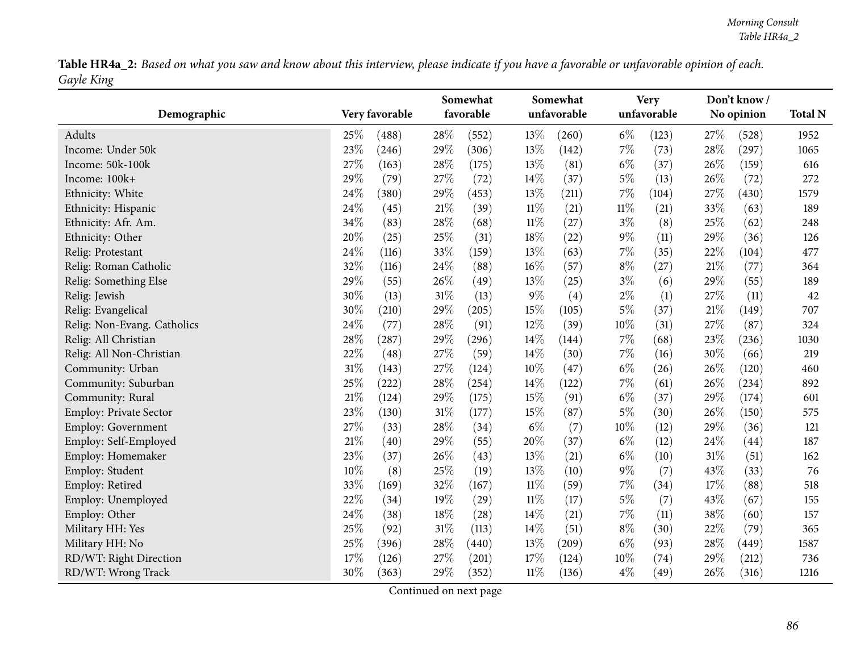|                             |        | Very favorable |        | Somewhat<br>favorable |        | Somewhat<br>unfavorable |        | <b>Very</b><br>unfavorable |        | Don't know /<br>No opinion | <b>Total N</b> |
|-----------------------------|--------|----------------|--------|-----------------------|--------|-------------------------|--------|----------------------------|--------|----------------------------|----------------|
| Demographic                 |        |                |        |                       |        |                         |        |                            |        |                            |                |
| Adults                      | 25%    | (488)          | 28%    | (552)                 | 13%    | (260)                   | $6\%$  | (123)                      | 27\%   | (528)                      | 1952           |
| Income: Under 50k           | 23%    | (246)          | 29%    | (306)                 | 13%    | (142)                   | $7\%$  | (73)                       | $28\%$ | (297)                      | 1065           |
| Income: 50k-100k            | 27%    | (163)          | 28%    | (175)                 | 13%    | (81)                    | $6\%$  | (37)                       | 26%    | (159)                      | 616            |
| Income: 100k+               | 29%    | (79)           | 27%    | (72)                  | 14%    | (37)                    | $5\%$  | (13)                       | 26%    | (72)                       | 272            |
| Ethnicity: White            | 24%    | (380)          | 29%    | (453)                 | 13%    | (211)                   | $7\%$  | (104)                      | 27%    | (430)                      | 1579           |
| Ethnicity: Hispanic         | 24%    | (45)           | $21\%$ | (39)                  | $11\%$ | (21)                    | $11\%$ | (21)                       | 33%    | (63)                       | 189            |
| Ethnicity: Afr. Am.         | 34%    | (83)           | 28%    | (68)                  | $11\%$ | (27)                    | $3\%$  | (8)                        | 25%    | (62)                       | 248            |
| Ethnicity: Other            | 20%    | (25)           | 25%    | (31)                  | 18%    | (22)                    | $9\%$  | (11)                       | 29%    | (36)                       | 126            |
| Relig: Protestant           | 24%    | (116)          | 33%    | (159)                 | 13%    | (63)                    | $7\%$  | (35)                       | 22%    | (104)                      | 477            |
| Relig: Roman Catholic       | 32%    | (116)          | 24%    | (88)                  | 16%    | (57)                    | $8\%$  | (27)                       | $21\%$ | (77)                       | 364            |
| Relig: Something Else       | 29%    | (55)           | 26%    | (49)                  | 13%    | (25)                    | $3\%$  | (6)                        | 29%    | (55)                       | 189            |
| Relig: Jewish               | 30%    | (13)           | 31%    | (13)                  | $9\%$  | $\left( 4\right)$       | $2\%$  | $\left(1\right)$           | $27\%$ | (11)                       | 42             |
| Relig: Evangelical          | 30%    | (210)          | 29%    | (205)                 | 15%    | (105)                   | $5\%$  | (37)                       | $21\%$ | (149)                      | 707            |
| Relig: Non-Evang. Catholics | 24%    | (77)           | 28%    | (91)                  | 12%    | (39)                    | 10%    | (31)                       | 27%    | (87)                       | 324            |
| Relig: All Christian        | 28%    | (287)          | 29%    | (296)                 | $14\%$ | (144)                   | $7\%$  | (68)                       | 23%    | (236)                      | 1030           |
| Relig: All Non-Christian    | 22%    | (48)           | 27%    | (59)                  | 14%    | (30)                    | $7\%$  | (16)                       | $30\%$ | (66)                       | 219            |
| Community: Urban            | $31\%$ | (143)          | 27%    | (124)                 | 10%    | (47)                    | $6\%$  | (26)                       | 26%    | (120)                      | 460            |
| Community: Suburban         | 25%    | (222)          | 28%    | (254)                 | 14%    | (122)                   | $7\%$  | (61)                       | 26%    | (234)                      | 892            |
| Community: Rural            | 21%    | (124)          | 29%    | (175)                 | 15%    | (91)                    | $6\%$  | (37)                       | 29%    | (174)                      | 601            |
| Employ: Private Sector      | 23%    | (130)          | 31%    | (177)                 | 15%    | (87)                    | $5\%$  | (30)                       | 26%    | (150)                      | 575            |
| Employ: Government          | 27%    | (33)           | 28%    | (34)                  | $6\%$  | (7)                     | $10\%$ | (12)                       | 29%    | (36)                       | 121            |
| Employ: Self-Employed       | $21\%$ | (40)           | 29%    | (55)                  | 20%    | (37)                    | $6\%$  | (12)                       | 24%    | (44)                       | 187            |
| Employ: Homemaker           | 23%    | (37)           | 26%    | (43)                  | 13%    | (21)                    | $6\%$  | (10)                       | 31%    | (51)                       | 162            |
| Employ: Student             | 10%    | (8)            | 25%    | (19)                  | 13%    | (10)                    | $9\%$  | (7)                        | 43%    | (33)                       | 76             |
| Employ: Retired             | 33%    | (169)          | 32%    | (167)                 | $11\%$ | (59)                    | $7\%$  | (34)                       | 17%    | (88)                       | 518            |
| Employ: Unemployed          | 22%    | (34)           | 19%    | (29)                  | $11\%$ | (17)                    | $5\%$  | (7)                        | 43%    | (67)                       | 155            |
| Employ: Other               | 24\%   | (38)           | 18%    | (28)                  | 14%    | (21)                    | $7\%$  | (11)                       | 38\%   | (60)                       | 157            |
| Military HH: Yes            | 25%    | (92)           | 31%    | (113)                 | 14%    | (51)                    | $8\%$  | (30)                       | 22%    | (79)                       | 365            |
| Military HH: No             | 25%    | (396)          | 28%    | (440)                 | 13%    | (209)                   | $6\%$  | (93)                       | 28%    | (449)                      | 1587           |
| RD/WT: Right Direction      | 17%    | (126)          | 27%    | (201)                 | 17%    | (124)                   | 10%    | (74)                       | 29%    | (212)                      | 736            |
| RD/WT: Wrong Track          | 30%    | (363)          | 29%    | (352)                 | $11\%$ | (136)                   | $4\%$  | (49)                       | 26%    | (316)                      | 1216           |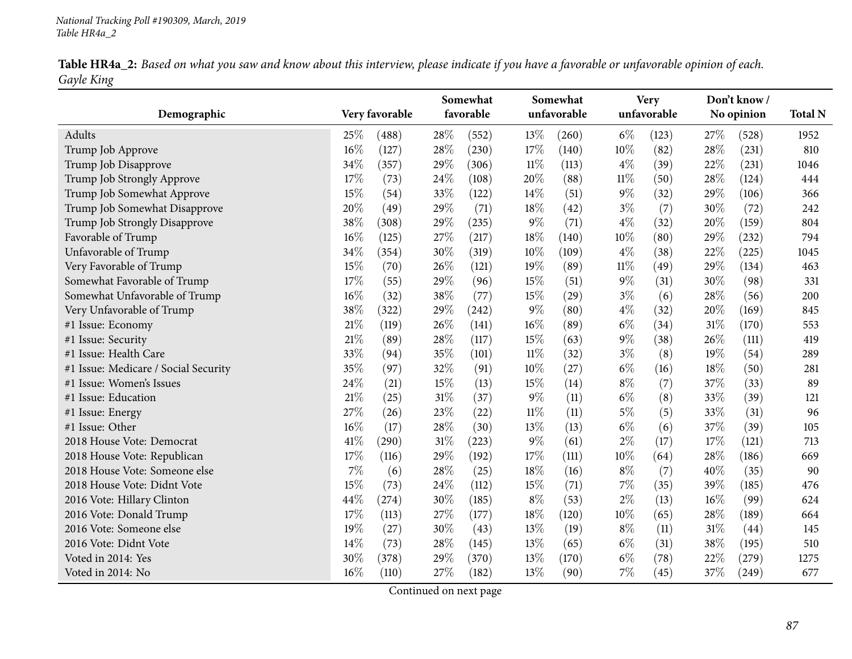|            | <b>Table HR4a_2:</b> Based on what you saw and know about this interview, please indicate if you have a favorable or unfavorable opinion of each. |  |  |  |  |
|------------|---------------------------------------------------------------------------------------------------------------------------------------------------|--|--|--|--|
| Gayle King |                                                                                                                                                   |  |  |  |  |

|                                      |        |                |      | Somewhat  |        | Somewhat    |        | <b>Very</b> |        | Don't know/ |                |
|--------------------------------------|--------|----------------|------|-----------|--------|-------------|--------|-------------|--------|-------------|----------------|
| Demographic                          |        | Very favorable |      | favorable |        | unfavorable |        | unfavorable |        | No opinion  | <b>Total N</b> |
| Adults                               | 25%    | (488)          | 28%  | (552)     | 13\%   | (260)       | $6\%$  | (123)       | 27%    | (528)       | 1952           |
| Trump Job Approve                    | 16%    | (127)          | 28%  | (230)     | 17%    | (140)       | 10%    | (82)        | 28%    | (231)       | 810            |
| Trump Job Disapprove                 | 34%    | (357)          | 29%  | (306)     | $11\%$ | (113)       | $4\%$  | (39)        | 22%    | (231)       | 1046           |
| Trump Job Strongly Approve           | $17\%$ | (73)           | 24%  | (108)     | 20%    | (88)        | $11\%$ | (50)        | 28%    | (124)       | 444            |
| Trump Job Somewhat Approve           | 15%    | (54)           | 33%  | (122)     | 14\%   | (51)        | $9\%$  | (32)        | 29%    | (106)       | 366            |
| Trump Job Somewhat Disapprove        | 20%    | (49)           | 29%  | (71)      | 18%    | (42)        | $3\%$  | (7)         | 30%    | (72)        | 242            |
| Trump Job Strongly Disapprove        | 38%    | (308)          | 29%  | (235)     | $9\%$  | (71)        | $4\%$  | (32)        | 20%    | (159)       | 804            |
| Favorable of Trump                   | $16\%$ | (125)          | 27%  | (217)     | 18%    | (140)       | 10%    | (80)        | 29%    | (232)       | 794            |
| Unfavorable of Trump                 | 34\%   | (354)          | 30%  | (319)     | 10%    | (109)       | $4\%$  | (38)        | 22%    | (225)       | 1045           |
| Very Favorable of Trump              | 15%    | (70)           | 26%  | (121)     | 19%    | (89)        | $11\%$ | (49)        | 29%    | (134)       | 463            |
| Somewhat Favorable of Trump          | $17\%$ | (55)           | 29%  | (96)      | 15%    | (51)        | $9\%$  | (31)        | 30%    | (98)        | 331            |
| Somewhat Unfavorable of Trump        | 16%    | (32)           | 38%  | (77)      | 15%    | (29)        | $3\%$  | (6)         | 28%    | (56)        | 200            |
| Very Unfavorable of Trump            | 38%    | (322)          | 29%  | (242)     | $9\%$  | (80)        | $4\%$  | (32)        | 20%    | (169)       | 845            |
| #1 Issue: Economy                    | $21\%$ | (119)          | 26%  | (141)     | 16%    | (89)        | $6\%$  | (34)        | $31\%$ | (170)       | 553            |
| #1 Issue: Security                   | $21\%$ | (89)           | 28%  | (117)     | 15%    | (63)        | $9\%$  | (38)        | 26%    | (111)       | 419            |
| #1 Issue: Health Care                | 33%    | (94)           | 35%  | (101)     | $11\%$ | (32)        | $3\%$  | (8)         | 19%    | (54)        | 289            |
| #1 Issue: Medicare / Social Security | 35%    | (97)           | 32%  | (91)      | 10%    | (27)        | $6\%$  | (16)        | 18%    | (50)        | 281            |
| #1 Issue: Women's Issues             | 24%    | (21)           | 15%  | (13)      | 15%    | (14)        | $8\%$  | (7)         | 37%    | (33)        | 89             |
| #1 Issue: Education                  | $21\%$ | (25)           | 31%  | (37)      | $9\%$  | (11)        | $6\%$  | (8)         | 33%    | (39)        | 121            |
| #1 Issue: Energy                     | 27%    | (26)           | 23%  | (22)      | $11\%$ | (11)        | $5\%$  | (5)         | 33%    | (31)        | 96             |
| #1 Issue: Other                      | $16\%$ | (17)           | 28%  | (30)      | 13%    | (13)        | $6\%$  | (6)         | 37%    | (39)        | 105            |
| 2018 House Vote: Democrat            | 41\%   | (290)          | 31%  | (223)     | $9\%$  | (61)        | $2\%$  | (17)        | 17%    | (121)       | 713            |
| 2018 House Vote: Republican          | $17\%$ | (116)          | 29%  | (192)     | 17%    | (111)       | 10%    | (64)        | 28%    | (186)       | 669            |
| 2018 House Vote: Someone else        | $7\%$  | (6)            | 28%  | (25)      | 18%    | (16)        | $8\%$  | (7)         | 40%    | (35)        | 90             |
| 2018 House Vote: Didnt Vote          | 15%    | (73)           | 24\% | (112)     | 15%    | (71)        | $7\%$  | (35)        | 39%    | (185)       | 476            |
| 2016 Vote: Hillary Clinton           | 44%    | (274)          | 30%  | (185)     | $8\%$  | (53)        | $2\%$  | (13)        | 16%    | (99)        | 624            |
| 2016 Vote: Donald Trump              | 17%    | (113)          | 27%  | (177)     | 18%    | (120)       | 10%    | (65)        | 28%    | (189)       | 664            |
| 2016 Vote: Someone else              | 19%    | (27)           | 30%  | (43)      | 13%    | (19)        | $8\%$  | (11)        | 31%    | (44)        | 145            |
| 2016 Vote: Didnt Vote                | 14\%   | (73)           | 28%  | (145)     | 13%    | (65)        | $6\%$  | (31)        | 38%    | (195)       | 510            |
| Voted in 2014: Yes                   | 30%    | (378)          | 29%  | (370)     | 13%    | (170)       | $6\%$  | (78)        | 22%    | (279)       | 1275           |
| Voted in 2014: No                    | 16%    | (110)          | 27%  | (182)     | 13%    | (90)        | 7%     | (45)        | 37%    | (249)       | 677            |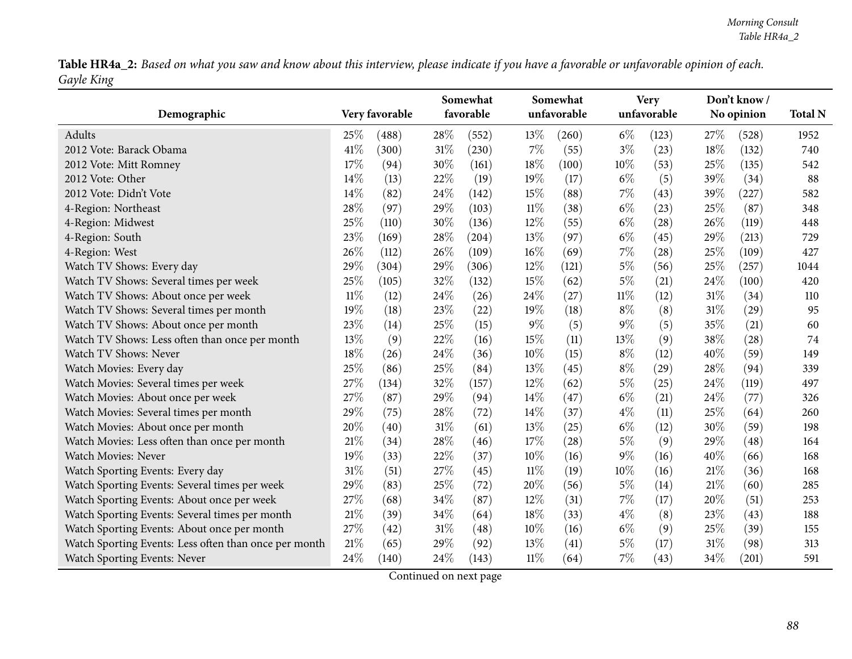| Demographic                                           |        | Very favorable |     | Somewhat<br>favorable |        | Somewhat<br>unfavorable |        | <b>Very</b><br>unfavorable |        | Don't know /<br>No opinion | <b>Total N</b> |
|-------------------------------------------------------|--------|----------------|-----|-----------------------|--------|-------------------------|--------|----------------------------|--------|----------------------------|----------------|
|                                                       |        |                |     |                       |        |                         |        |                            |        |                            |                |
| Adults                                                | 25%    | (488)          | 28% | (552)                 | 13%    | (260)                   | $6\%$  | (123)                      | 27\%   | (528)                      | 1952           |
| 2012 Vote: Barack Obama                               | 41\%   | (300)          | 31% | (230)                 | 7%     | (55)                    | $3\%$  | (23)                       | 18%    | (132)                      | 740            |
| 2012 Vote: Mitt Romney                                | 17%    | (94)           | 30% | (161)                 | 18%    | (100)                   | $10\%$ | (53)                       | 25%    | (135)                      | 542            |
| 2012 Vote: Other                                      | 14%    | (13)           | 22% | (19)                  | 19%    | (17)                    | $6\%$  | (5)                        | 39%    | (34)                       | 88             |
| 2012 Vote: Didn't Vote                                | 14%    | (82)           | 24% | (142)                 | 15%    | (88)                    | $7\%$  | (43)                       | 39%    | (227)                      | 582            |
| 4-Region: Northeast                                   | 28%    | (97)           | 29% | (103)                 | $11\%$ | (38)                    | $6\%$  | (23)                       | 25%    | (87)                       | 348            |
| 4-Region: Midwest                                     | 25%    | (110)          | 30% | (136)                 | $12\%$ | (55)                    | $6\%$  | (28)                       | 26%    | (119)                      | 448            |
| 4-Region: South                                       | 23%    | (169)          | 28% | (204)                 | 13%    | (97)                    | $6\%$  | (45)                       | 29%    | (213)                      | 729            |
| 4-Region: West                                        | 26%    | (112)          | 26% | (109)                 | 16%    | (69)                    | $7\%$  | (28)                       | 25%    | (109)                      | 427            |
| Watch TV Shows: Every day                             | 29%    | (304)          | 29% | (306)                 | 12%    | (121)                   | $5\%$  | (56)                       | 25%    | (257)                      | 1044           |
| Watch TV Shows: Several times per week                | $25\%$ | (105)          | 32% | (132)                 | 15%    | (62)                    | $5\%$  | (21)                       | 24%    | (100)                      | 420            |
| Watch TV Shows: About once per week                   | $11\%$ | (12)           | 24% | (26)                  | 24%    | (27)                    | $11\%$ | (12)                       | 31%    | (34)                       | 110            |
| Watch TV Shows: Several times per month               | 19%    | (18)           | 23% | (22)                  | 19%    | (18)                    | $8\%$  | (8)                        | 31%    | (29)                       | 95             |
| Watch TV Shows: About once per month                  | 23%    | (14)           | 25% | (15)                  | $9\%$  | (5)                     | $9\%$  | (5)                        | 35%    | (21)                       | 60             |
| Watch TV Shows: Less often than once per month        | 13%    | (9)            | 22% | (16)                  | 15%    | (11)                    | 13%    | (9)                        | 38%    | (28)                       | 74             |
| Watch TV Shows: Never                                 | 18%    | (26)           | 24% | (36)                  | 10%    | (15)                    | $8\%$  | (12)                       | 40%    | (59)                       | 149            |
| Watch Movies: Every day                               | 25%    | (86)           | 25% | (84)                  | 13%    | (45)                    | $8\%$  | (29)                       | 28%    | (94)                       | 339            |
| Watch Movies: Several times per week                  | 27%    | (134)          | 32% | (157)                 | 12%    | (62)                    | $5\%$  | (25)                       | 24%    | (119)                      | 497            |
| Watch Movies: About once per week                     | 27%    | (87)           | 29% | (94)                  | 14%    | (47)                    | $6\%$  | (21)                       | 24%    | (77)                       | 326            |
| Watch Movies: Several times per month                 | 29%    | (75)           | 28% | (72)                  | 14\%   | (37)                    | $4\%$  | (11)                       | 25%    | (64)                       | 260            |
| Watch Movies: About once per month                    | 20%    | (40)           | 31% | (61)                  | 13%    | (25)                    | $6\%$  | (12)                       | 30%    | (59)                       | 198            |
| Watch Movies: Less often than once per month          | 21%    | (34)           | 28% | (46)                  | 17%    | (28)                    | $5\%$  | (9)                        | 29%    | (48)                       | 164            |
| <b>Watch Movies: Never</b>                            | 19%    | (33)           | 22% | (37)                  | 10%    | (16)                    | $9\%$  | (16)                       | 40%    | (66)                       | 168            |
| Watch Sporting Events: Every day                      | $31\%$ | (51)           | 27% | (45)                  | $11\%$ | (19)                    | 10%    | (16)                       | 21%    | (36)                       | 168            |
| Watch Sporting Events: Several times per week         | 29%    | (83)           | 25% | (72)                  | 20%    | (56)                    | $5\%$  | (14)                       | $21\%$ | (60)                       | 285            |
| Watch Sporting Events: About once per week            | 27\%   | (68)           | 34% | (87)                  | $12\%$ | (31)                    | $7\%$  | (17)                       | 20%    | (51)                       | 253            |
| Watch Sporting Events: Several times per month        | 21%    | (39)           | 34% | (64)                  | 18%    | (33)                    | $4\%$  | (8)                        | 23%    | (43)                       | 188            |
| Watch Sporting Events: About once per month           | 27%    | (42)           | 31% | (48)                  | 10%    | (16)                    | $6\%$  | (9)                        | 25%    | (39)                       | 155            |
| Watch Sporting Events: Less often than once per month | 21\%   | (65)           | 29% | (92)                  | 13%    | (41)                    | $5\%$  | (17)                       | 31%    | (98)                       | 313            |
| Watch Sporting Events: Never                          | 24%    | (140)          | 24% | (143)                 | $11\%$ | (64)                    | 7%     | (43)                       | 34%    | (201)                      | 591            |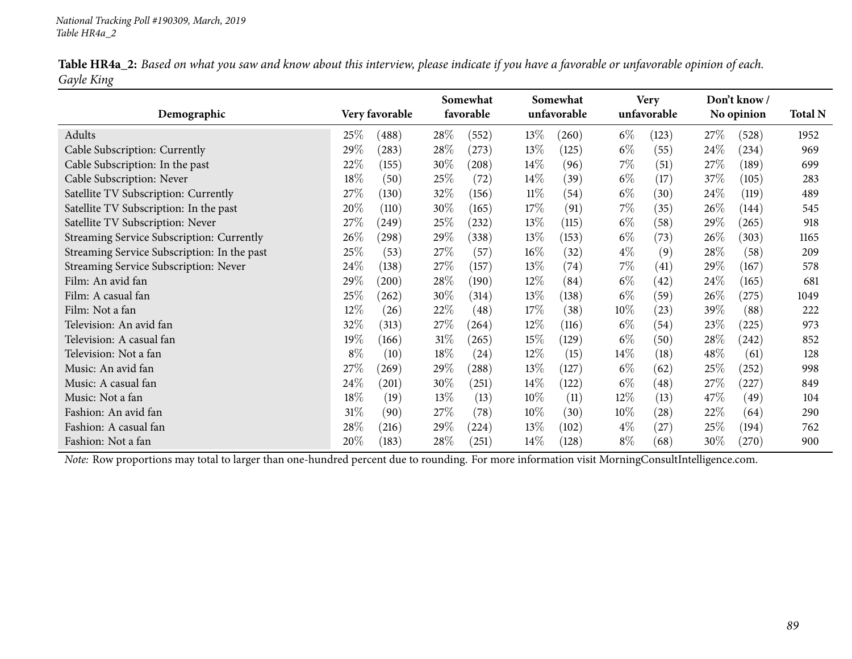|            | <b>Table HR4a_2:</b> Based on what you saw and know about this interview, please indicate if you have a favorable or unfavorable opinion of each. |  |  |  |
|------------|---------------------------------------------------------------------------------------------------------------------------------------------------|--|--|--|
| Gayle King |                                                                                                                                                   |  |  |  |

|                                             |        |                |        | Somewhat  |        | Somewhat    |        | <b>Very</b>        |      | Don't know / |                |
|---------------------------------------------|--------|----------------|--------|-----------|--------|-------------|--------|--------------------|------|--------------|----------------|
| Demographic                                 |        | Very favorable |        | favorable |        | unfavorable |        | unfavorable        |      | No opinion   | <b>Total N</b> |
| Adults                                      | $25\%$ | (488)          | 28\%   | (552)     | 13\%   | (260)       | $6\%$  | (123)              | 27\% | (528)        | 1952           |
| Cable Subscription: Currently               | 29\%   | (283)          | $28\%$ | (273)     | 13%    | (125)       | $6\%$  | (55)               | 24\% | (234)        | 969            |
| Cable Subscription: In the past             | 22\%   | (155)          | 30\%   | (208)     | $14\%$ | (96)        | $7\%$  | (51)               | 27%  | (189)        | 699            |
| Cable Subscription: Never                   | 18%    | (50)           | 25%    | (72)      | 14\%   | (39)        | $6\%$  | (17)               | 37\% | (105)        | 283            |
| Satellite TV Subscription: Currently        | 27\%   | (130)          | 32\%   | (156)     | $11\%$ | (54)        | $6\%$  | (30)               | 24\% | (119)        | 489            |
| Satellite TV Subscription: In the past      | 20\%   | (110)          | 30\%   | (165)     | 17\%   | (91)        | $7\%$  | (35)               | 26\% | (144)        | 545            |
| Satellite TV Subscription: Never            | 27\%   | (249)          | 25%    | (232)     | 13\%   | (115)       | $6\%$  | (58)               | 29\% | (265)        | 918            |
| Streaming Service Subscription: Currently   | 26\%   | (298)          | 29%    | (338)     | 13%    | (153)       | $6\%$  | (73)               | 26\% | (303)        | 1165           |
| Streaming Service Subscription: In the past | 25\%   | (53)           | 27%    | (57)      | $16\%$ | (32)        | $4\%$  | (9)                | 28\% | (58)         | 209            |
| Streaming Service Subscription: Never       | $24\%$ | (138)          | 27%    | (157)     | 13\%   | (74)        | $7\%$  | (41)               | 29\% | (167)        | 578            |
| Film: An avid fan                           | 29\%   | (200)          | 28\%   | (190)     | $12\%$ | (84)        | $6\%$  | (42)               | 24\% | (165)        | 681            |
| Film: A casual fan                          | $25\%$ | (262)          | $30\%$ | (314)     | 13\%   | (138)       | $6\%$  | (59)               | 26\% | (275)        | 1049           |
| Film: Not a fan                             | 12\%   | (26)           | 22\%   | (48)      | 17\%   | (38)        | $10\%$ | (23)               | 39\% | (88)         | 222            |
| Television: An avid fan                     | 32%    | (313)          | 27%    | (264)     | 12%    | (116)       | $6\%$  | (54)               | 23\% | (225)        | 973            |
| Television: A casual fan                    | 19%    | (166)          | $31\%$ | (265)     | $15\%$ | (129)       | $6\%$  | (50)               | 28\% | (242)        | 852            |
| Television: Not a fan                       | $8\%$  | (10)           | 18\%   | (24)      | $12\%$ | (15)        | $14\%$ | (18)               | 48\% | (61)         | 128            |
| Music: An avid fan                          | 27\%   | (269)          | 29%    | (288)     | 13%    | (127)       | $6\%$  | (62)               | 25\% | (252)        | 998            |
| Music: A casual fan                         | 24\%   | (201)          | 30\%   | (251)     | $14\%$ | (122)       | $6\%$  | $\left( 48\right)$ | 27\% | (227)        | 849            |
| Music: Not a fan                            | 18\%   | (19)           | 13\%   | (13)      | $10\%$ | (11)        | $12\%$ | (13)               | 47\% | (49)         | 104            |
| Fashion: An avid fan                        | $31\%$ | (90)           | 27\%   | (78)      | 10%    | (30)        | $10\%$ | (28)               | 22\% | (64)         | 290            |
| Fashion: A casual fan                       | 28\%   | (216)          | 29%    | (224)     | 13%    | (102)       | $4\%$  | (27)               | 25\% | (194)        | 762            |
| Fashion: Not a fan                          | 20%    | (183)          | $28\%$ | (251)     | $14\%$ | (128)       | $8\%$  | (68)               | 30\% | (270)        | 900            |

*Note:* Row proportions may total to larger than one-hundred percen<sup>t</sup> due to rounding. For more information visit [MorningConsultIntelligence.com](https://morningconsultintelligence.com).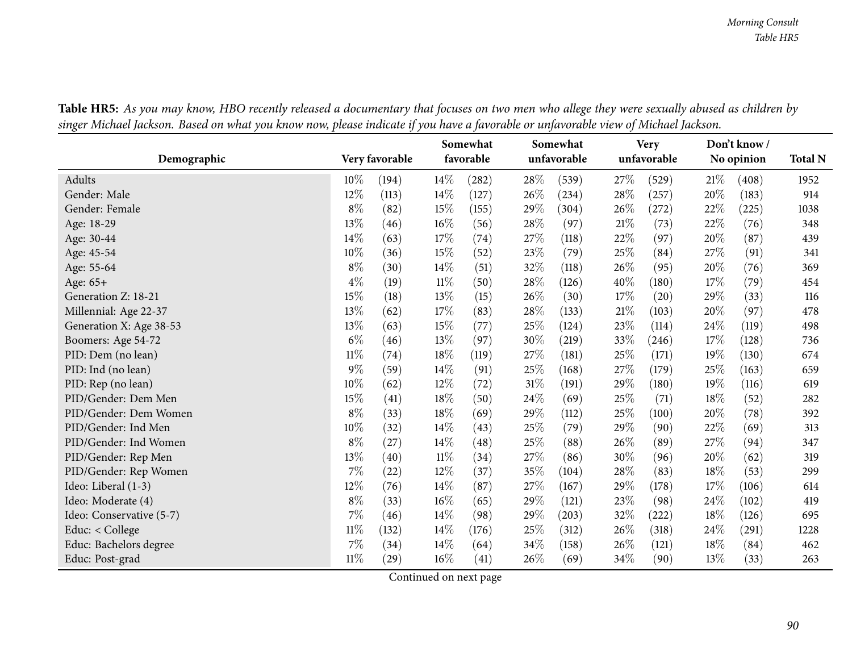| 0                        |        |                |        | Somewhat  |        | Somewhat    |        | <b>Very</b> |      | Don't know / |                |
|--------------------------|--------|----------------|--------|-----------|--------|-------------|--------|-------------|------|--------------|----------------|
| Demographic              |        | Very favorable |        | favorable |        | unfavorable |        | unfavorable |      | No opinion   | <b>Total N</b> |
| Adults                   | $10\%$ | (194)          | 14\%   | (282)     | 28\%   | (539)       | 27%    | (529)       | 21%  | (408)        | 1952           |
| Gender: Male             | 12%    | (113)          | 14%    | (127)     | 26%    | (234)       | 28%    | (257)       | 20%  | (183)        | 914            |
| Gender: Female           | $8\%$  | (82)           | 15%    | (155)     | 29%    | (304)       | 26%    | (272)       | 22%  | (225)        | 1038           |
| Age: 18-29               | 13%    | (46)           | 16%    | (56)      | 28%    | (97)        | $21\%$ | (73)        | 22%  | (76)         | 348            |
| Age: 30-44               | $14\%$ | (63)           | 17%    | (74)      | $27\%$ | (118)       | 22%    | (97)        | 20%  | (87)         | 439            |
| Age: 45-54               | $10\%$ | (36)           | 15%    | (52)      | 23%    | (79)        | 25%    | (84)        | 27%  | (91)         | 341            |
| Age: 55-64               | $8\%$  | (30)           | 14\%   | (51)      | 32%    | (118)       | 26\%   | (95)        | 20%  | (76)         | 369            |
| Age: 65+                 | $4\%$  | (19)           | $11\%$ | (50)      | 28%    | (126)       | 40\%   | (180)       | 17%  | (79)         | 454            |
| Generation Z: 18-21      | $15\%$ | (18)           | 13%    | (15)      | 26%    | (30)        | $17\%$ | (20)        | 29%  | (33)         | 116            |
| Millennial: Age 22-37    | 13%    | (62)           | 17%    | (83)      | 28%    | (133)       | $21\%$ | (103)       | 20%  | (97)         | 478            |
| Generation X: Age 38-53  | 13%    | (63)           | 15%    | (77)      | 25%    | (124)       | 23%    | (114)       | 24%  | (119)        | 498            |
| Boomers: Age 54-72       | $6\%$  | (46)           | 13%    | (97)      | 30%    | (219)       | 33\%   | (246)       | 17\% | (128)        | 736            |
| PID: Dem (no lean)       | $11\%$ | (74)           | 18%    | (119)     | 27%    | (181)       | 25%    | (171)       | 19%  | (130)        | 674            |
| PID: Ind (no lean)       | $9\%$  | (59)           | 14\%   | (91)      | 25%    | (168)       | 27%    | (179)       | 25%  | (163)        | 659            |
| PID: Rep (no lean)       | $10\%$ | (62)           | 12%    | (72)      | 31%    | (191)       | 29%    | (180)       | 19%  | (116)        | 619            |
| PID/Gender: Dem Men      | 15%    | (41)           | 18%    | (50)      | 24%    | (69)        | 25%    | (71)        | 18%  | (52)         | 282            |
| PID/Gender: Dem Women    | $8\%$  | (33)           | 18%    | (69)      | 29%    | (112)       | 25%    | (100)       | 20%  | (78)         | 392            |
| PID/Gender: Ind Men      | $10\%$ | (32)           | 14%    | (43)      | 25%    | (79)        | 29%    | (90)        | 22%  | (69)         | 313            |
| PID/Gender: Ind Women    | $8\%$  | (27)           | 14\%   | (48)      | 25%    | (88)        | 26%    | (89)        | 27%  | (94)         | 347            |
| PID/Gender: Rep Men      | 13%    | (40)           | $11\%$ | (34)      | 27%    | (86)        | 30%    | (96)        | 20%  | (62)         | 319            |
| PID/Gender: Rep Women    | $7\%$  | (22)           | 12%    | (37)      | $35\%$ | (104)       | 28%    | (83)        | 18%  | (53)         | 299            |
| Ideo: Liberal (1-3)      | 12\%   | (76)           | 14\%   | (87)      | 27%    | (167)       | 29%    | (178)       | 17%  | (106)        | 614            |
| Ideo: Moderate (4)       | $8\%$  | (33)           | 16%    | (65)      | 29%    | (121)       | $23\%$ | (98)        | 24%  | (102)        | 419            |
| Ideo: Conservative (5-7) | $7\%$  | (46)           | 14\%   | (98)      | 29%    | (203)       | 32%    | (222)       | 18%  | (126)        | 695            |
| Educ: < College          | $11\%$ | (132)          | 14%    | (176)     | $25\%$ | (312)       | $26\%$ | (318)       | 24%  | (291)        | 1228           |
| Educ: Bachelors degree   | $7\%$  | (34)           | 14\%   | (64)      | 34%    | (158)       | $26\%$ | (121)       | 18%  | (84)         | 462            |
| Educ: Post-grad          | $11\%$ | (29)           | 16%    | (41)      | 26%    | (69)        | $34\%$ | (90)        | 13%  | (33)         | 263            |

Table HR5: As you may know, HBO recently released a documentary that focuses on two men who allege they were sexually abused as children by singer Michael Jackson. Based on what you know now, please indicate if you have a favorable or unfavorable view of Michael Jackson.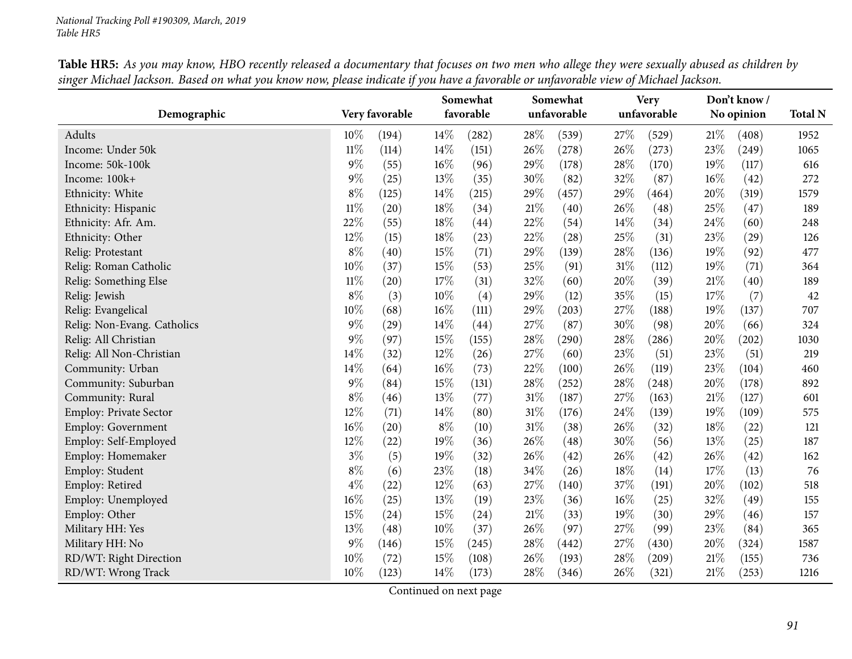| Demographic                   |        | Very favorable |        | Somewhat<br>favorable |        | Somewhat<br>unfavorable |     | <b>Very</b><br>unfavorable |        | Don't know/<br>No opinion | <b>Total N</b> |
|-------------------------------|--------|----------------|--------|-----------------------|--------|-------------------------|-----|----------------------------|--------|---------------------------|----------------|
| <b>Adults</b>                 | 10%    | (194)          | 14%    | (282)                 | 28\%   | (539)                   | 27% | (529)                      | $21\%$ | (408)                     | 1952           |
| Income: Under 50k             | $11\%$ | (114)          | 14%    | (151)                 | 26%    | (278)                   | 26% | (273)                      | 23%    | (249)                     | 1065           |
| Income: 50k-100k              | $9\%$  | (55)           | $16\%$ | (96)                  | 29%    | (178)                   | 28% | (170)                      | 19%    | (117)                     | 616            |
| Income: 100k+                 | $9\%$  | (25)           | 13%    | (35)                  | $30\%$ | (82)                    | 32% | (87)                       | 16%    | (42)                      | 272            |
| Ethnicity: White              | $8\%$  | (125)          | 14%    | (215)                 | 29%    | (457)                   | 29% | (464)                      | 20%    | (319)                     | 1579           |
| Ethnicity: Hispanic           | $11\%$ | (20)           | 18%    | (34)                  | 21%    | (40)                    | 26% | (48)                       | 25%    | (47)                      | 189            |
| Ethnicity: Afr. Am.           | 22%    | (55)           | 18%    | (44)                  | 22%    | (54)                    | 14% | (34)                       | 24%    | (60)                      | 248            |
| Ethnicity: Other              | 12%    | (15)           | 18%    | (23)                  | 22%    | (28)                    | 25% | (31)                       | 23%    | (29)                      | 126            |
| Relig: Protestant             | $8\%$  | (40)           | 15%    | (71)                  | 29%    | (139)                   | 28% | (136)                      | 19%    | (92)                      | 477            |
| Relig: Roman Catholic         | 10%    | (37)           | 15%    | (53)                  | 25%    | (91)                    | 31% | (112)                      | 19%    | (71)                      | 364            |
| Relig: Something Else         | $11\%$ | (20)           | 17%    | (31)                  | 32%    | (60)                    | 20% | (39)                       | 21%    | (40)                      | 189            |
| Relig: Jewish                 | $8\%$  | (3)            | 10%    | (4)                   | 29%    | (12)                    | 35% | (15)                       | 17%    | (7)                       | 42             |
| Relig: Evangelical            | 10%    | (68)           | $16\%$ | (111)                 | 29%    | (203)                   | 27% | (188)                      | 19%    | (137)                     | 707            |
| Relig: Non-Evang. Catholics   | $9\%$  | (29)           | 14%    | (44)                  | 27%    | (87)                    | 30% | (98)                       | 20%    | (66)                      | 324            |
| Relig: All Christian          | $9\%$  | (97)           | 15%    | (155)                 | 28%    | (290)                   | 28% | (286)                      | 20%    | (202)                     | 1030           |
| Relig: All Non-Christian      | 14%    | (32)           | $12\%$ | (26)                  | 27%    | (60)                    | 23% | (51)                       | 23%    | (51)                      | 219            |
| Community: Urban              | 14%    | (64)           | $16\%$ | (73)                  | 22%    | (100)                   | 26% | (119)                      | 23%    | (104)                     | 460            |
| Community: Suburban           | $9\%$  | (84)           | 15%    | (131)                 | 28%    | (252)                   | 28% | (248)                      | 20%    | (178)                     | 892            |
| Community: Rural              | $8\%$  | (46)           | 13%    | (77)                  | $31\%$ | (187)                   | 27% | (163)                      | 21%    | (127)                     | 601            |
| <b>Employ: Private Sector</b> | 12%    | (71)           | 14%    | (80)                  | $31\%$ | (176)                   | 24% | (139)                      | 19%    | (109)                     | 575            |
| <b>Employ: Government</b>     | 16%    | (20)           | $8\%$  | (10)                  | 31%    | (38)                    | 26% | (32)                       | 18%    | (22)                      | 121            |
| Employ: Self-Employed         | 12%    | (22)           | 19%    | (36)                  | 26%    | (48)                    | 30% | (56)                       | 13%    | (25)                      | 187            |
| Employ: Homemaker             | $3\%$  | (5)            | 19%    | (32)                  | $26\%$ | (42)                    | 26% | (42)                       | 26%    | (42)                      | 162            |
| Employ: Student               | $8\%$  | (6)            | 23%    | (18)                  | 34%    | (26)                    | 18% | (14)                       | 17%    | (13)                      | 76             |
| Employ: Retired               | $4\%$  | (22)           | 12%    | (63)                  | 27%    | (140)                   | 37% | (191)                      | 20%    | (102)                     | 518            |
| Employ: Unemployed            | 16%    | (25)           | 13%    | (19)                  | 23%    | (36)                    | 16% | (25)                       | 32%    | (49)                      | 155            |
| Employ: Other                 | 15%    | (24)           | 15%    | (24)                  | $21\%$ | (33)                    | 19% | (30)                       | 29%    | (46)                      | 157            |
| Military HH: Yes              | 13%    | (48)           | 10%    | (37)                  | $26\%$ | (97)                    | 27% | (99)                       | 23%    | (84)                      | 365            |
| Military HH: No               | $9\%$  | (146)          | 15%    | (245)                 | $28\%$ | (442)                   | 27% | (430)                      | $20\%$ | (324)                     | 1587           |
| RD/WT: Right Direction        | 10%    | (72)           | 15%    | (108)                 | 26%    | (193)                   | 28% | (209)                      | 21\%   | (155)                     | 736            |
| RD/WT: Wrong Track            | 10%    | (123)          | 14%    | (173)                 | 28\%   | (346)                   | 26% | (321)                      | 21%    | (253)                     | 1216           |

Table HR5: As you may know, HBO recently released a documentary that focuses on two men who allege they were sexually abused as children by singer Michael Jackson. Based on what you know now, please indicate if you have a favorable or unfavorable view of Michael Jackson.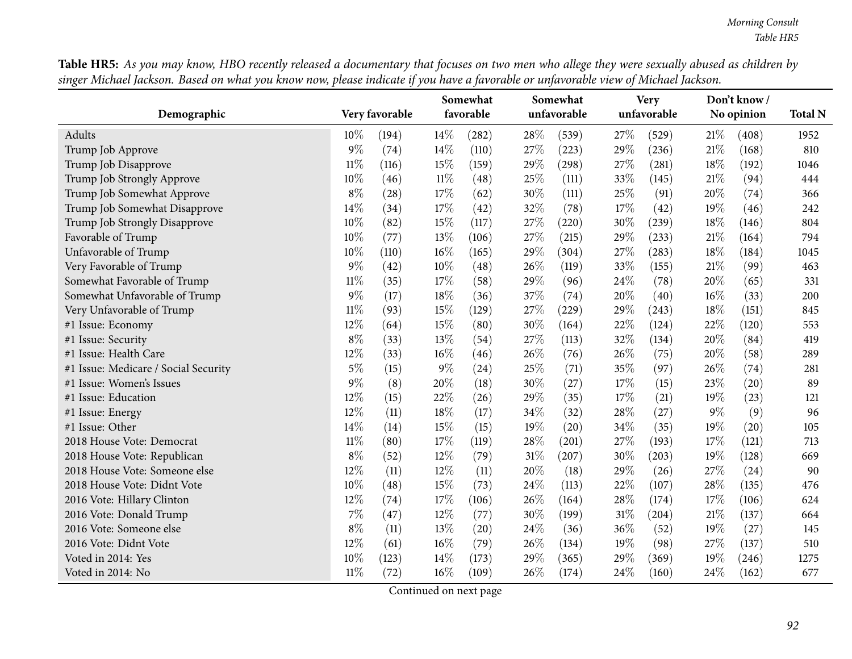Table HR5: As you may know, HBO recently released a documentary that focuses on two men who allege they were sexually abused as children by singer Michael Jackson. Based on what you know now, please indicate if you have a favorable or unfavorable view of Michael Jackson.

| ပ                                    |        |                |        | Somewhat  |        | Somewhat    |      | <b>Very</b> |        | Don't know / |                |
|--------------------------------------|--------|----------------|--------|-----------|--------|-------------|------|-------------|--------|--------------|----------------|
| Demographic                          |        | Very favorable |        | favorable |        | unfavorable |      | unfavorable |        | No opinion   | <b>Total N</b> |
| Adults                               | 10%    | (194)          | 14%    | (282)     | 28%    | (539)       | 27\% | (529)       | 21%    | (408)        | 1952           |
| Trump Job Approve                    | 9%     | (74)           | 14%    | (110)     | 27%    | (223)       | 29%  | (236)       | $21\%$ | (168)        | 810            |
| Trump Job Disapprove                 | $11\%$ | (116)          | 15%    | (159)     | 29%    | (298)       | 27%  | (281)       | $18\%$ | (192)        | 1046           |
| Trump Job Strongly Approve           | 10%    | (46)           | $11\%$ | (48)      | 25%    | (111)       | 33%  | (145)       | $21\%$ | (94)         | 444            |
| Trump Job Somewhat Approve           | $8\%$  | (28)           | 17%    | (62)      | 30%    | (111)       | 25%  | (91)        | 20%    | (74)         | 366            |
| Trump Job Somewhat Disapprove        | 14%    | (34)           | 17%    | (42)      | 32%    | (78)        | 17%  | (42)        | 19%    | (46)         | 242            |
| Trump Job Strongly Disapprove        | 10%    | (82)           | 15%    | (117)     | 27%    | (220)       | 30%  | (239)       | 18%    | (146)        | 804            |
| Favorable of Trump                   | 10%    | (77)           | 13%    | (106)     | 27%    | (215)       | 29%  | (233)       | $21\%$ | (164)        | 794            |
| Unfavorable of Trump                 | 10%    | (110)          | 16%    | (165)     | 29%    | (304)       | 27%  | (283)       | 18%    | (184)        | 1045           |
| Very Favorable of Trump              | 9%     | (42)           | 10%    | (48)      | 26%    | (119)       | 33%  | (155)       | $21\%$ | (99)         | 463            |
| Somewhat Favorable of Trump          | $11\%$ | (35)           | 17%    | (58)      | 29%    | (96)        | 24%  | (78)        | 20%    | (65)         | 331            |
| Somewhat Unfavorable of Trump        | $9\%$  | (17)           | 18%    | (36)      | 37%    | (74)        | 20%  | (40)        | $16\%$ | (33)         | 200            |
| Very Unfavorable of Trump            | $11\%$ | (93)           | 15%    | (129)     | 27%    | (229)       | 29%  | (243)       | 18%    | (151)        | 845            |
| #1 Issue: Economy                    | 12%    | (64)           | 15%    | (80)      | 30%    | (164)       | 22%  | (124)       | 22%    | (120)        | 553            |
| #1 Issue: Security                   | $8\%$  | (33)           | 13%    | (54)      | 27%    | (113)       | 32%  | (134)       | $20\%$ | (84)         | 419            |
| #1 Issue: Health Care                | 12%    | (33)           | 16%    | (46)      | 26%    | (76)        | 26%  | (75)        | 20%    | (58)         | 289            |
| #1 Issue: Medicare / Social Security | $5\%$  | (15)           | $9\%$  | (24)      | 25%    | (71)        | 35%  | (97)        | 26%    | (74)         | 281            |
| #1 Issue: Women's Issues             | 9%     | (8)            | 20%    | (18)      | 30%    | (27)        | 17%  | (15)        | 23%    | (20)         | 89             |
| #1 Issue: Education                  | 12%    | (15)           | 22%    | (26)      | 29%    | (35)        | 17%  | (21)        | 19%    | (23)         | 121            |
| #1 Issue: Energy                     | 12%    | (11)           | 18%    | (17)      | 34%    | (32)        | 28%  | (27)        | $9\%$  | (9)          | 96             |
| #1 Issue: Other                      | 14%    | (14)           | 15%    | (15)      | 19%    | (20)        | 34\% | (35)        | 19%    | (20)         | 105            |
| 2018 House Vote: Democrat            | $11\%$ | (80)           | 17%    | (119)     | 28%    | (201)       | 27%  | (193)       | 17%    | (121)        | 713            |
| 2018 House Vote: Republican          | $8\%$  | (52)           | 12%    | (79)      | $31\%$ | (207)       | 30%  | (203)       | 19%    | (128)        | 669            |
| 2018 House Vote: Someone else        | 12%    | (11)           | 12%    | (11)      | 20%    | (18)        | 29%  | (26)        | 27%    | (24)         | 90             |
| 2018 House Vote: Didnt Vote          | 10%    | (48)           | 15%    | (73)      | 24%    | (113)       | 22%  | (107)       | 28%    | (135)        | 476            |
| 2016 Vote: Hillary Clinton           | 12%    | (74)           | 17%    | (106)     | 26%    | (164)       | 28%  | (174)       | 17%    | (106)        | 624            |
| 2016 Vote: Donald Trump              | 7%     | (47)           | $12\%$ | (77)      | 30%    | (199)       | 31%  | (204)       | $21\%$ | (137)        | 664            |
| 2016 Vote: Someone else              | $8\%$  | (11)           | 13%    | (20)      | 24%    | (36)        | 36%  | (52)        | 19%    | (27)         | 145            |
| 2016 Vote: Didnt Vote                | 12%    | (61)           | $16\%$ | (79)      | 26%    | (134)       | 19%  | (98)        | 27%    | (137)        | 510            |
| Voted in 2014: Yes                   | 10%    | (123)          | 14%    | (173)     | 29%    | (365)       | 29%  | (369)       | 19%    | (246)        | 1275           |
| Voted in 2014: No                    | $11\%$ | (72)           | 16%    | (109)     | 26%    | (174)       | 24\% | (160)       | 24%    | (162)        | 677            |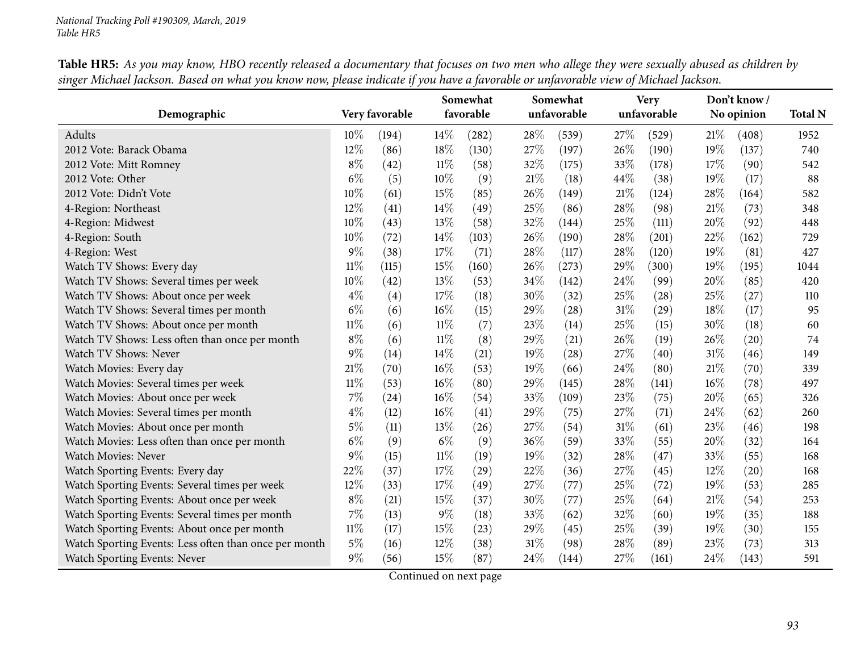| Demographic                                           |        | Very favorable |        | Somewhat<br>favorable |     | Somewhat<br>unfavorable |      | <b>Very</b><br>unfavorable |     | Don't know/<br>No opinion | <b>Total N</b> |
|-------------------------------------------------------|--------|----------------|--------|-----------------------|-----|-------------------------|------|----------------------------|-----|---------------------------|----------------|
| Adults                                                | 10%    | (194)          | 14%    | (282)                 | 28% | (539)                   | 27%  | (529)                      | 21% | (408)                     | 1952           |
| 2012 Vote: Barack Obama                               | 12%    | (86)           | 18%    | (130)                 | 27% | (197)                   | 26%  | (190)                      | 19% | (137)                     | 740            |
| 2012 Vote: Mitt Romney                                | $8\%$  | (42)           | 11%    | (58)                  | 32% | (175)                   | 33%  | (178)                      | 17% | (90)                      | 542            |
| 2012 Vote: Other                                      | $6\%$  | (5)            | 10%    | (9)                   | 21% | (18)                    | 44\% | (38)                       | 19% | (17)                      | 88             |
| 2012 Vote: Didn't Vote                                | 10%    | (61)           | 15%    | (85)                  | 26% | (149)                   | 21\% | (124)                      | 28% | (164)                     | 582            |
| 4-Region: Northeast                                   | 12%    | (41)           | 14%    | (49)                  | 25% | (86)                    | 28%  | (98)                       | 21% | (73)                      | 348            |
| 4-Region: Midwest                                     | 10%    | (43)           | 13%    | (58)                  | 32% | (144)                   | 25%  | (111)                      | 20% | (92)                      | 448            |
| 4-Region: South                                       | 10%    | (72)           | 14%    | (103)                 | 26% | (190)                   | 28%  | (201)                      | 22% | (162)                     | 729            |
| 4-Region: West                                        | $9\%$  | (38)           | 17\%   | (71)                  | 28% | (117)                   | 28%  | (120)                      | 19% | (81)                      | 427            |
| Watch TV Shows: Every day                             | $11\%$ | (115)          | 15%    | (160)                 | 26% | (273)                   | 29%  | (300)                      | 19% | (195)                     | 1044           |
| Watch TV Shows: Several times per week                | $10\%$ | (42)           | 13%    | (53)                  | 34% | (142)                   | 24\% | (99)                       | 20% | (85)                      | 420            |
| Watch TV Shows: About once per week                   | $4\%$  | (4)            | 17%    | (18)                  | 30% | (32)                    | 25%  | (28)                       | 25% | (27)                      | 110            |
| Watch TV Shows: Several times per month               | $6\%$  | (6)            | $16\%$ | (15)                  | 29% | (28)                    | 31%  | $\left( 29\right)$         | 18% | (17)                      | 95             |
| Watch TV Shows: About once per month                  | $11\%$ | (6)            | $11\%$ | (7)                   | 23% | (14)                    | 25%  | (15)                       | 30% | (18)                      | 60             |
| Watch TV Shows: Less often than once per month        | $8\%$  | (6)            | $11\%$ | (8)                   | 29% | (21)                    | 26%  | (19)                       | 26% | (20)                      | 74             |
| Watch TV Shows: Never                                 | $9\%$  | (14)           | 14%    | (21)                  | 19% | (28)                    | 27%  | (40)                       | 31% | (46)                      | 149            |
| Watch Movies: Every day                               | 21%    | (70)           | $16\%$ | (53)                  | 19% | (66)                    | 24%  | (80)                       | 21% | (70)                      | 339            |
| Watch Movies: Several times per week                  | $11\%$ | (53)           | $16\%$ | (80)                  | 29% | (145)                   | 28%  | (141)                      | 16% | (78)                      | 497            |
| Watch Movies: About once per week                     | $7\%$  | (24)           | 16%    | (54)                  | 33% | (109)                   | 23%  | (75)                       | 20% | (65)                      | 326            |
| Watch Movies: Several times per month                 | $4\%$  | (12)           | 16%    | (41)                  | 29% | (75)                    | 27%  | (71)                       | 24% | (62)                      | 260            |
| Watch Movies: About once per month                    | $5\%$  | (11)           | 13%    | (26)                  | 27% | (54)                    | 31%  | (61)                       | 23% | (46)                      | 198            |
| Watch Movies: Less often than once per month          | $6\%$  | (9)            | $6\%$  | (9)                   | 36% | (59)                    | 33%  | (55)                       | 20% | (32)                      | 164            |
| Watch Movies: Never                                   | $9\%$  | (15)           | $11\%$ | (19)                  | 19% | (32)                    | 28%  | (47)                       | 33% | (55)                      | 168            |
| Watch Sporting Events: Every day                      | 22%    | (37)           | 17%    | (29)                  | 22% | (36)                    | 27%  | (45)                       | 12% | (20)                      | 168            |
| Watch Sporting Events: Several times per week         | 12%    | (33)           | 17%    | (49)                  | 27% | (77)                    | 25%  | (72)                       | 19% | (53)                      | 285            |
| Watch Sporting Events: About once per week            | $8\%$  | (21)           | 15%    | (37)                  | 30% | (77)                    | 25%  | (64)                       | 21% | (54)                      | 253            |
| Watch Sporting Events: Several times per month        | $7\%$  | (13)           | $9\%$  | (18)                  | 33% | (62)                    | 32%  | (60)                       | 19% | (35)                      | 188            |
| Watch Sporting Events: About once per month           | $11\%$ | (17)           | 15%    | (23)                  | 29% | (45)                    | 25%  | (39)                       | 19% | (30)                      | 155            |
| Watch Sporting Events: Less often than once per month | $5\%$  | (16)           | $12\%$ | (38)                  | 31% | (98)                    | 28%  | (89)                       | 23% | (73)                      | 313            |
| Watch Sporting Events: Never                          | $9\%$  | (56)           | 15%    | (87)                  | 24% | (144)                   | 27%  | (161)                      | 24% | (143)                     | 591            |

Table HR5: As you may know, HBO recently released a documentary that focuses on two men who allege they were sexually abused as children by singer Michael Jackson. Based on what you know now, please indicate if you have a favorable or unfavorable view of Michael Jackson.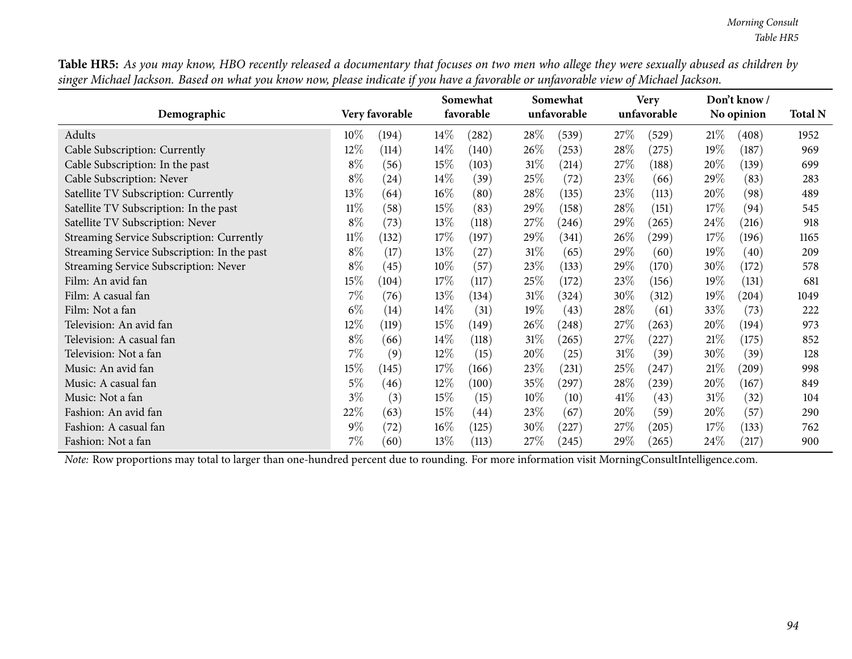| Table HR5: As you may know, HBO recently released a documentary that focuses on two men who allege they were sexually abused as children by |  |
|---------------------------------------------------------------------------------------------------------------------------------------------|--|
| singer Michael Jackson. Based on what you know now, please indicate if you have a favorable or unfavorable view of Michael Jackson.         |  |

| Demographic                                 | Very favorable |       | Somewhat<br>favorable |       |        | Somewhat<br>unfavorable |        | <b>Very</b><br>unfavorable |        | Don't know/<br>No opinion |      |  |
|---------------------------------------------|----------------|-------|-----------------------|-------|--------|-------------------------|--------|----------------------------|--------|---------------------------|------|--|
| Adults                                      | $10\%$         | (194) | $14\%$                | (282) | 28\%   | (539)                   | 27\%   | (529)                      | 21%    | (408)                     | 1952 |  |
| Cable Subscription: Currently               | 12%            | (114) | $14\%$                | (140) | 26\%   | (253)                   | 28\%   | (275)                      | 19%    | (187)                     | 969  |  |
| Cable Subscription: In the past             | $8\%$          | (56)  | 15%                   | (103) | $31\%$ | (214)                   | 27%    | (188)                      | $20\%$ | (139)                     | 699  |  |
| Cable Subscription: Never                   | $8\%$          | (24)  | $14\%$                | (39)  | 25%    | (72)                    | 23\%   | (66)                       | 29%    | (83)                      | 283  |  |
| Satellite TV Subscription: Currently        | 13%            | (64)  | $16\%$                | (80)  | 28\%   | (135)                   | 23%    | (113)                      | $20\%$ | (98)                      | 489  |  |
| Satellite TV Subscription: In the past      | $11\%$         | (58)  | 15%                   | (83)  | 29\%   | (158)                   | 28\%   | (151)                      | 17%    | (94)                      | 545  |  |
| Satellite TV Subscription: Never            | $8\%$          | (73)  | 13\%                  | (118) | 27\%   | (246)                   | 29%    | (265)                      | 24\%   | (216)                     | 918  |  |
| Streaming Service Subscription: Currently   | $11\%$         | (132) | 17\%                  | (197) | 29\%   | (341)                   | 26\%   | (299)                      | 17%    | (196)                     | 1165 |  |
| Streaming Service Subscription: In the past | $8\%$          | (17)  | 13\%                  | (27)  | $31\%$ | (65)                    | 29%    | (60)                       | 19%    | (40)                      | 209  |  |
| Streaming Service Subscription: Never       | $8\%$          | (45)  | $10\%$                | (57)  | 23%    | (133)                   | 29\%   | (170)                      | $30\%$ | (172)                     | 578  |  |
| Film: An avid fan                           | $15\%$         | (104) | 17\%                  | (117) | 25%    | (172)                   | 23%    | (156)                      | 19%    | (131)                     | 681  |  |
| Film: A casual fan                          | 7%             | (76)  | $13\%$                | (134) | $31\%$ | (324)                   | 30\%   | (312)                      | $19\%$ | (204)                     | 1049 |  |
| Film: Not a fan                             | $6\%$          | (14)  | $14\%$                | (31)  | 19%    | (43)                    | 28\%   | (61)                       | 33\%   | (73)                      | 222  |  |
| Television: An avid fan                     | 12%            | (119) | 15\%                  | (149) | 26\%   | (248)                   | $27\%$ | (263)                      | $20\%$ | (194)                     | 973  |  |
| Television: A casual fan                    | $8\%$          | (66)  | $14\%$                | (118) | $31\%$ | (265)                   | 27\%   | (227)                      | 21%    | (175)                     | 852  |  |
| Television: Not a fan                       | 7%             | (9)   | $12\%$                | (15)  | 20%    | (25)                    | $31\%$ | (39)                       | $30\%$ | (39)                      | 128  |  |
| Music: An avid fan                          | 15\%           | (145) | 17%                   | (166) | 23\%   | (231)                   | 25\%   | (247)                      | 21%    | (209)                     | 998  |  |
| Music: A casual fan                         | $5\%$          | (46)  | $12\%$                | (100) | 35\%   | $^{'}297)$              | 28\%   | (239)                      | $20\%$ | (167)                     | 849  |  |
| Music: Not a fan                            | $3\%$          | (3)   | 15\%                  | (15)  | $10\%$ | (10)                    | 41%    | (43)                       | 31%    | (32)                      | 104  |  |
| Fashion: An avid fan                        | 22%            | (63)  | 15%                   | (44)  | 23\%   | (67)                    | 20%    | (59)                       | $20\%$ | (57)                      | 290  |  |
| Fashion: A casual fan                       | $9\%$          | (72)  | $16\%$                | (125) | 30\%   | (227)                   | 27%    | (205)                      | 17%    | (133)                     | 762  |  |
| Fashion: Not a fan                          | 7%             | (60)  | 13\%                  | (113) | 27\%   | (245)                   | 29\%   | (265)                      | 24\%   | (217)                     | 900  |  |

*Note:* Row proportions may total to larger than one-hundred percen<sup>t</sup> due to rounding. For more information visit [MorningConsultIntelligence.com](https://morningconsultintelligence.com).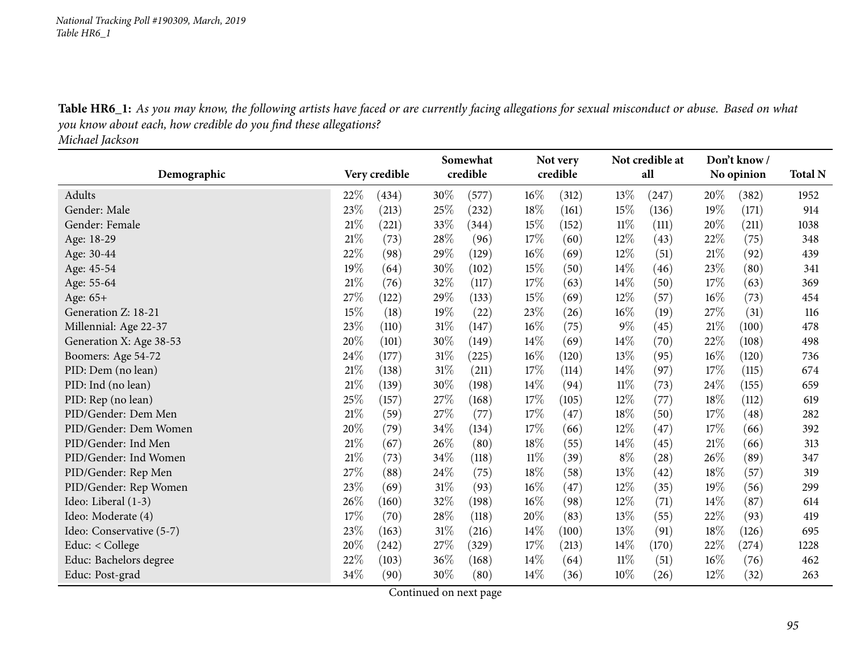*National Tracking Poll #190309, March, <sup>2019</sup> Table HR6\_1*

| Demographic              | Very credible |       |     |       |        | Somewhat<br>credible |        | Not very<br>credible |        | Not credible at<br>all |      | Don't know /<br>No opinion | <b>Total N</b> |
|--------------------------|---------------|-------|-----|-------|--------|----------------------|--------|----------------------|--------|------------------------|------|----------------------------|----------------|
|                          |               |       |     |       |        |                      |        |                      |        |                        |      |                            |                |
| Adults                   | 22%           | (434) | 30% | (577) | 16%    | (312)                | 13%    | (247)                | 20%    | (382)                  | 1952 |                            |                |
| Gender: Male             | 23%           | (213) | 25% | (232) | 18%    | (161)                | $15\%$ | (136)                | 19%    | (171)                  | 914  |                            |                |
| Gender: Female           | 21%           | (221) | 33% | (344) | 15%    | (152)                | $11\%$ | (111)                | 20%    | (211)                  | 1038 |                            |                |
| Age: 18-29               | $21\%$        | (73)  | 28% | (96)  | 17%    | (60)                 | 12%    | (43)                 | 22%    | (75)                   | 348  |                            |                |
| Age: 30-44               | 22\%          | (98)  | 29% | (129) | 16%    | (69)                 | 12%    | (51)                 | $21\%$ | (92)                   | 439  |                            |                |
| Age: 45-54               | 19%           | (64)  | 30% | (102) | 15%    | (50)                 | 14%    | (46)                 | 23%    | (80)                   | 341  |                            |                |
| Age: 55-64               | $21\%$        | (76)  | 32% | (117) | 17%    | (63)                 | 14%    | (50)                 | 17%    | (63)                   | 369  |                            |                |
| Age: 65+                 | $27\%$        | (122) | 29% | (133) | 15%    | (69)                 | 12%    | (57)                 | $16\%$ | (73)                   | 454  |                            |                |
| Generation Z: 18-21      | 15\%          | (18)  | 19% | (22)  | 23%    | (26)                 | $16\%$ | (19)                 | 27\%   | (31)                   | 116  |                            |                |
| Millennial: Age 22-37    | 23%           | (110) | 31% | (147) | 16%    | (75)                 | $9\%$  | (45)                 | $21\%$ | (100)                  | 478  |                            |                |
| Generation X: Age 38-53  | 20%           | (101) | 30% | (149) | 14%    | (69)                 | 14%    | (70)                 | 22\%   | (108)                  | 498  |                            |                |
| Boomers: Age 54-72       | 24%           | (177) | 31% | (225) | $16\%$ | (120)                | $13\%$ | (95)                 | $16\%$ | (120)                  | 736  |                            |                |
| PID: Dem (no lean)       | $21\%$        | (138) | 31% | (211) | 17%    | (114)                | 14%    | (97)                 | 17\%   | (115)                  | 674  |                            |                |
| PID: Ind (no lean)       | $21\%$        | (139) | 30% | (198) | 14%    | (94)                 | $11\%$ | (73)                 | 24%    | (155)                  | 659  |                            |                |
| PID: Rep (no lean)       | 25\%          | (157) | 27% | (168) | 17%    | (105)                | 12%    | (77)                 | $18\%$ | (112)                  | 619  |                            |                |
| PID/Gender: Dem Men      | $21\%$        | (59)  | 27% | (77)  | $17\%$ | (47)                 | 18%    | (50)                 | 17\%   | (48)                   | 282  |                            |                |
| PID/Gender: Dem Women    | $20\%$        | (79)  | 34% | (134) | 17%    | (66)                 | 12%    | (47)                 | 17%    | (66)                   | 392  |                            |                |
| PID/Gender: Ind Men      | 21%           | (67)  | 26% | (80)  | 18%    | (55)                 | 14%    | (45)                 | $21\%$ | (66)                   | 313  |                            |                |
| PID/Gender: Ind Women    | $21\%$        | (73)  | 34% | (118) | $11\%$ | (39)                 | $8\%$  | (28)                 | 26%    | (89)                   | 347  |                            |                |
| PID/Gender: Rep Men      | $27\%$        | (88)  | 24% | (75)  | 18%    | (58)                 | 13%    | (42)                 | 18%    | (57)                   | 319  |                            |                |
| PID/Gender: Rep Women    | $23\%$        | (69)  | 31% | (93)  | 16%    | (47)                 | 12%    | (35)                 | 19%    | (56)                   | 299  |                            |                |
| Ideo: Liberal (1-3)      | 26\%          | (160) | 32% | (198) | 16%    | (98)                 | $12\%$ | (71)                 | $14\%$ | (87)                   | 614  |                            |                |
| Ideo: Moderate (4)       | 17%           | (70)  | 28% | (118) | 20%    | (83)                 | 13%    | (55)                 | 22%    | (93)                   | 419  |                            |                |
| Ideo: Conservative (5-7) | 23%           | (163) | 31% | (216) | 14%    | (100)                | 13%    | (91)                 | 18%    | (126)                  | 695  |                            |                |
| Educ: < College          | 20%           | (242) | 27% | (329) | 17%    | (213)                | $14\%$ | (170)                | 22%    | (274)                  | 1228 |                            |                |
| Educ: Bachelors degree   | 22%           | (103) | 36% | (168) | 14%    | (64)                 | $11\%$ | (51)                 | $16\%$ | (76)                   | 462  |                            |                |
| Educ: Post-grad          | $34\%$        | (90)  | 30% | (80)  | 14%    | (36)                 | 10%    | (26)                 | 12%    | (32)                   | 263  |                            |                |

Table HR6\_1: As you may know, the following artists have faced or are currently facing allegations for sexual misconduct or abuse. Based on what *you know about each, how credible do you find these allegations?*

*Michael Jackson*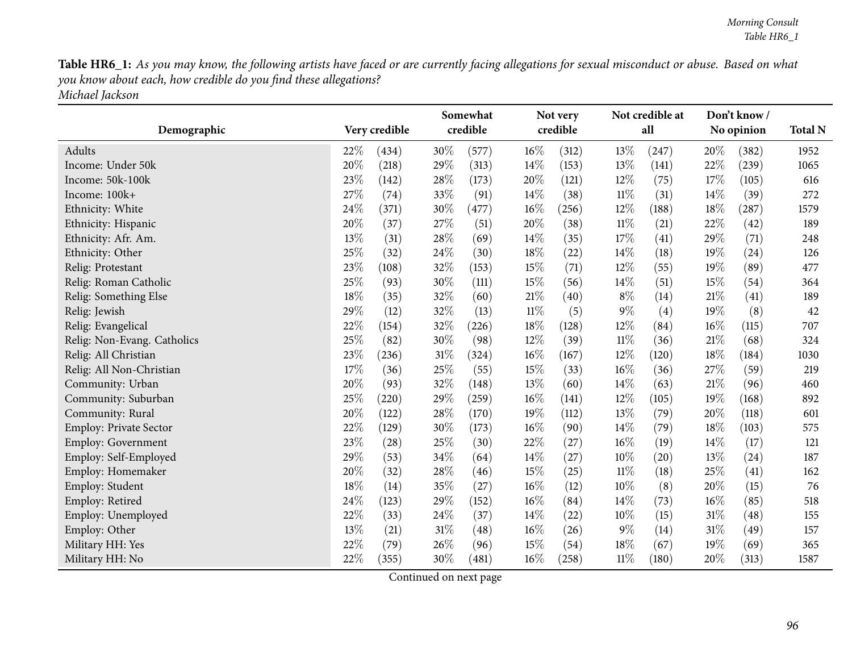Table HR6\_1: As you may know, the following artists have faced or are currently facing allegations for sexual misconduct or abuse. Based on what *you know about each, how credible do you find these allegations? Michael Jackson*

|                               |        |               |        | Somewhat<br>Not very |        |          | Not credible at |       | Don't know / |                |      |  |
|-------------------------------|--------|---------------|--------|----------------------|--------|----------|-----------------|-------|--------------|----------------|------|--|
| Demographic                   |        | Very credible |        | credible             |        | credible |                 | all   | No opinion   | <b>Total N</b> |      |  |
| Adults                        | 22\%   | (434)         | 30\%   | (577)                | 16%    | (312)    | 13\%            | (247) | 20%          | (382)          | 1952 |  |
| Income: Under 50k             | 20%    | (218)         | 29%    | (313)                | 14%    | (153)    | 13%             | (141) | 22%          | (239)          | 1065 |  |
| Income: 50k-100k              | 23%    | (142)         | $28\%$ | (173)                | 20%    | (121)    | 12%             | (75)  | 17%          | (105)          | 616  |  |
| Income: 100k+                 | 27%    | (74)          | 33%    | (91)                 | 14%    | (38)     | $11\%$          | (31)  | 14%          | (39)           | 272  |  |
| Ethnicity: White              | 24%    | (371)         | 30%    | (477)                | 16%    | (256)    | 12%             | (188) | 18%          | (287)          | 1579 |  |
| Ethnicity: Hispanic           | 20%    | (37)          | 27%    | (51)                 | 20%    | (38)     | $11\%$          | (21)  | 22%          | (42)           | 189  |  |
| Ethnicity: Afr. Am.           | 13%    | (31)          | 28\%   | (69)                 | 14%    | (35)     | 17%             | (41)  | 29%          | (71)           | 248  |  |
| Ethnicity: Other              | 25%    | (32)          | 24\%   | (30)                 | $18\%$ | (22)     | 14\%            | (18)  | 19%          | (24)           | 126  |  |
| Relig: Protestant             | 23%    | (108)         | 32%    | (153)                | 15%    | (71)     | 12%             | (55)  | 19%          | (89)           | 477  |  |
| Relig: Roman Catholic         | 25%    | (93)          | 30%    | (111)                | 15%    | (56)     | $14\%$          | (51)  | 15%          | (54)           | 364  |  |
| Relig: Something Else         | 18%    | (35)          | 32%    | (60)                 | $21\%$ | (40)     | $8\%$           | (14)  | 21%          | (41)           | 189  |  |
| Relig: Jewish                 | 29%    | (12)          | 32%    | (13)                 | $11\%$ | (5)      | $9\%$           | (4)   | 19%          | (8)            | 42   |  |
| Relig: Evangelical            | 22%    | (154)         | 32\%   | (226)                | 18%    | (128)    | 12%             | (84)  | 16%          | (115)          | 707  |  |
| Relig: Non-Evang. Catholics   | 25%    | (82)          | 30%    | (98)                 | 12%    | (39)     | $11\%$          | (36)  | 21%          | (68)           | 324  |  |
| Relig: All Christian          | 23%    | (236)         | $31\%$ | (324)                | 16%    | (167)    | 12%             | (120) | 18%          | (184)          | 1030 |  |
| Relig: All Non-Christian      | 17%    | (36)          | 25%    | (55)                 | 15%    | (33)     | 16%             | (36)  | 27%          | (59)           | 219  |  |
| Community: Urban              | 20%    | (93)          | 32%    | (148)                | 13%    | (60)     | 14%             | (63)  | 21%          | (96)           | 460  |  |
| Community: Suburban           | 25%    | (220)         | 29%    | (259)                | 16%    | (141)    | 12%             | (105) | 19%          | (168)          | 892  |  |
| Community: Rural              | 20%    | (122)         | 28\%   | (170)                | $19\%$ | (112)    | 13%             | (79)  | 20%          | (118)          | 601  |  |
| <b>Employ: Private Sector</b> | 22%    | (129)         | 30%    | (173)                | 16%    | (90)     | 14%             | (79)  | 18%          | (103)          | 575  |  |
| <b>Employ: Government</b>     | 23%    | (28)          | 25%    | (30)                 | 22%    | (27)     | 16%             | (19)  | 14%          | (17)           | 121  |  |
| Employ: Self-Employed         | 29%    | (53)          | 34\%   | (64)                 | 14%    | (27)     | 10%             | (20)  | 13%          | (24)           | 187  |  |
| Employ: Homemaker             | 20%    | (32)          | 28%    | (46)                 | 15%    | (25)     | $11\%$          | (18)  | 25%          | (41)           | 162  |  |
| Employ: Student               | 18%    | (14)          | 35%    | (27)                 | 16%    | (12)     | 10%             | (8)   | 20%          | (15)           | 76   |  |
| Employ: Retired               | 24\%   | (123)         | 29%    | (152)                | 16%    | (84)     | 14%             | (73)  | 16%          | (85)           | 518  |  |
| Employ: Unemployed            | 22%    | (33)          | 24%    | (37)                 | 14%    | (22)     | 10%             | (15)  | 31%          | (48)           | 155  |  |
| Employ: Other                 | $13\%$ | (21)          | $31\%$ | (48)                 | $16\%$ | (26)     | $9\%$           | (14)  | $31\%$       | (49)           | 157  |  |
| Military HH: Yes              | 22%    | (79)          | 26\%   | (96)                 | 15%    | (54)     | 18%             | (67)  | 19%          | (69)           | 365  |  |
| Military HH: No               | 22%    | (355)         | 30%    | (481)                | 16%    | (258)    | 11%             | (180) | 20%          | (313)          | 1587 |  |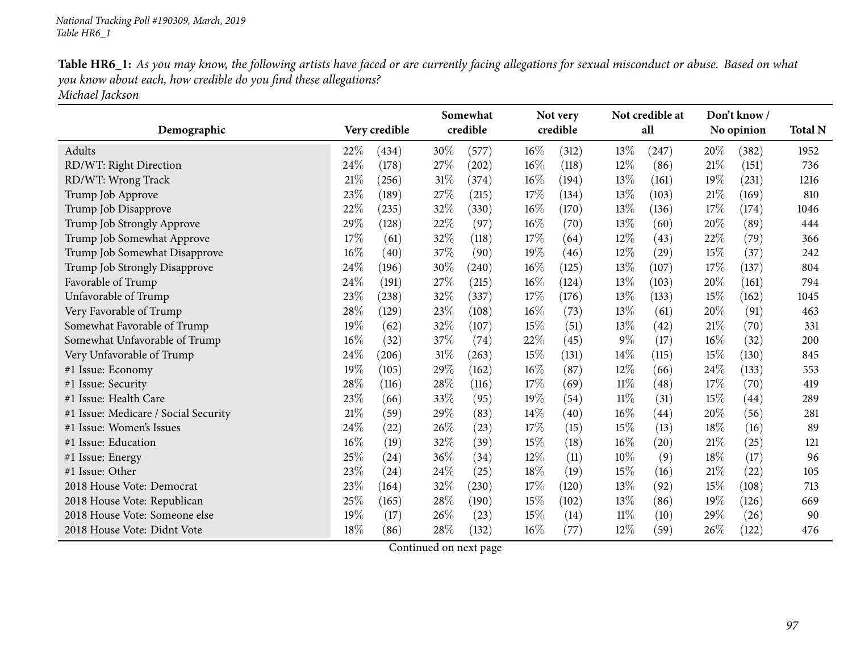Table HR6\_1: As you may know, the following artists have faced or are currently facing allegations for sexual misconduct or abuse. Based on what *you know about each, how credible do you find these allegations? Michael Jackson*

| Demographic                          |      | Very credible  |        |       |        | Somewhat<br>credible |        | Not very<br>credible |        | Not credible at<br>all | Don't know/<br>No opinion |  | <b>Total N</b> |
|--------------------------------------|------|----------------|--------|-------|--------|----------------------|--------|----------------------|--------|------------------------|---------------------------|--|----------------|
| Adults                               | 22\% |                | 30%    |       | 16%    | (312)                | $13\%$ |                      | 20%    |                        | 1952                      |  |                |
|                                      | 24%  | (434)<br>(178) | 27\%   | (577) | 16%    |                      | 12%    | (247)                | $21\%$ | (382)                  |                           |  |                |
| RD/WT: Right Direction               |      |                |        | (202) |        | (118)                |        | (86)                 |        | (151)                  | 736                       |  |                |
| RD/WT: Wrong Track                   | 21%  | (256)          | $31\%$ | (374) | $16\%$ | (194)                | 13%    | (161)                | 19%    | (231)                  | 1216                      |  |                |
| Trump Job Approve                    | 23%  | (189)          | 27%    | (215) | $17\%$ | (134)                | 13%    | (103)                | $21\%$ | (169)                  | 810                       |  |                |
| Trump Job Disapprove                 | 22%  | (235)          | 32%    | (330) | $16\%$ | (170)                | 13%    | (136)                | $17\%$ | (174)                  | 1046                      |  |                |
| Trump Job Strongly Approve           | 29%  | (128)          | 22\%   | (97)  | $16\%$ | (70)                 | $13\%$ | (60)                 | 20%    | (89)                   | 444                       |  |                |
| Trump Job Somewhat Approve           | 17%  | (61)           | 32%    | (118) | 17%    | (64)                 | $12\%$ | (43)                 | 22%    | (79)                   | 366                       |  |                |
| Trump Job Somewhat Disapprove        | 16%  | (40)           | 37\%   | (90)  | 19%    | (46)                 | $12\%$ | $\left( 29\right)$   | 15%    | (37)                   | 242                       |  |                |
| Trump Job Strongly Disapprove        | 24%  | (196)          | 30%    | (240) | 16%    | (125)                | 13%    | (107)                | 17%    | (137)                  | 804                       |  |                |
| Favorable of Trump                   | 24\% | (191)          | 27%    | (215) | $16\%$ | (124)                | 13%    | (103)                | 20%    | (161)                  | 794                       |  |                |
| Unfavorable of Trump                 | 23%  | (238)          | 32%    | (337) | 17%    | (176)                | 13\%   | (133)                | 15%    | (162)                  | 1045                      |  |                |
| Very Favorable of Trump              | 28%  | (129)          | 23\%   | (108) | 16%    | (73)                 | $13\%$ | (61)                 | 20%    | (91)                   | 463                       |  |                |
| Somewhat Favorable of Trump          | 19%  | (62)           | 32%    | (107) | 15%    | (51)                 | 13\%   | $\left( 42\right)$   | 21%    | (70)                   | 331                       |  |                |
| Somewhat Unfavorable of Trump        | 16%  | (32)           | 37\%   | (74)  | 22%    | (45)                 | $9\%$  | (17)                 | 16%    | (32)                   | 200                       |  |                |
| Very Unfavorable of Trump            | 24%  | (206)          | 31%    | (263) | 15%    | (131)                | 14\%   | (115)                | 15%    | (130)                  | 845                       |  |                |
| #1 Issue: Economy                    | 19%  | (105)          | 29%    | (162) | 16%    | (87)                 | 12%    | (66)                 | 24\%   | (133)                  | 553                       |  |                |
| #1 Issue: Security                   | 28%  | (116)          | 28%    | (116) | 17%    | (69)                 | 11%    | (48)                 | 17%    | (70)                   | 419                       |  |                |
| #1 Issue: Health Care                | 23%  | (66)           | 33%    | (95)  | 19%    | (54)                 | $11\%$ | (31)                 | 15%    | (44)                   | 289                       |  |                |
| #1 Issue: Medicare / Social Security | 21%  | (59)           | 29%    | (83)  | $14\%$ | (40)                 | 16%    | $\left( 44\right)$   | 20%    | (56)                   | 281                       |  |                |
| #1 Issue: Women's Issues             | 24%  | (22)           | 26\%   | (23)  | $17\%$ | (15)                 | 15%    | (13)                 | 18%    | (16)                   | 89                        |  |                |
| #1 Issue: Education                  | 16%  | (19)           | 32\%   | (39)  | $15\%$ | (18)                 | $16\%$ | $\left( 20\right)$   | 21%    | (25)                   | 121                       |  |                |
| #1 Issue: Energy                     | 25%  | (24)           | 36\%   | (34)  | 12%    | (11)                 | $10\%$ | (9)                  | 18%    | (17)                   | 96                        |  |                |
| #1 Issue: Other                      | 23%  | (24)           | 24\%   | (25)  | 18%    | (19)                 | 15%    | (16)                 | 21%    | (22)                   | 105                       |  |                |
| 2018 House Vote: Democrat            | 23%  | (164)          | 32%    | (230) | 17%    | (120)                | 13%    | (92)                 | 15%    | (108)                  | 713                       |  |                |
| 2018 House Vote: Republican          | 25%  | (165)          | $28\%$ | (190) | $15\%$ | (102)                | $13\%$ | (86)                 | 19%    | (126)                  | 669                       |  |                |
| 2018 House Vote: Someone else        | 19%  | (17)           | 26%    | (23)  | 15%    | (14)                 | $11\%$ | (10)                 | 29%    | (26)                   | 90                        |  |                |
| 2018 House Vote: Didnt Vote          | 18%  | (86)           | $28\%$ | (132) | $16\%$ | (77)                 | 12%    | (59)                 | 26\%   | (122)                  | 476                       |  |                |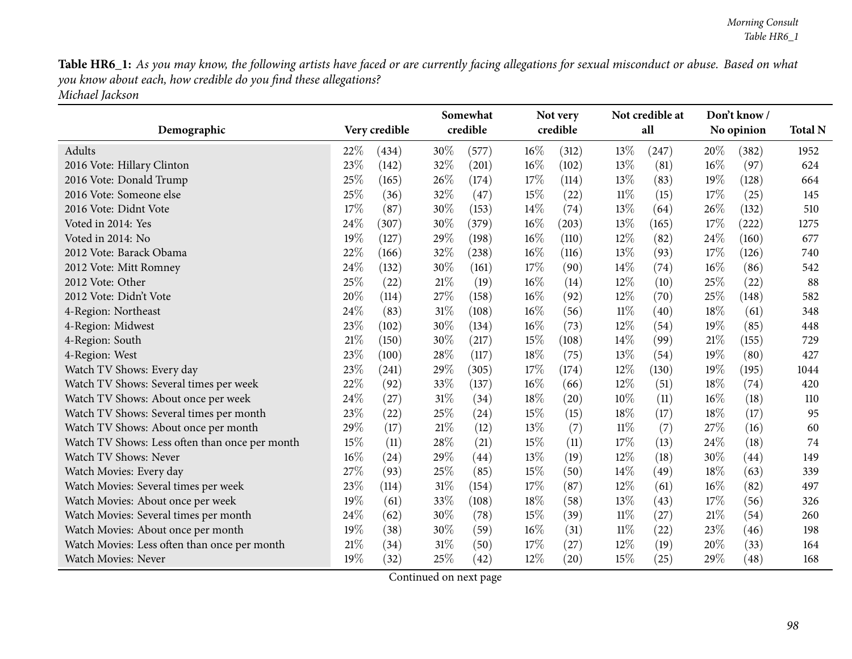Table HR6\_1: As you may know, the following artists have faced or are currently facing allegations for sexual misconduct or abuse. Based on what *you know about each, how credible do you find these allegations? Michael Jackson*

|                                                |        |               |        | Somewhat |        | Not very |        | Not credible at | Don't know/ |            |                |
|------------------------------------------------|--------|---------------|--------|----------|--------|----------|--------|-----------------|-------------|------------|----------------|
| Demographic                                    |        | Very credible |        | credible |        | credible |        | all             |             | No opinion | <b>Total N</b> |
| <b>Adults</b>                                  | 22%    | (434)         | 30\%   | (577)    | 16%    | (312)    | 13%    | (247)           | 20%         | (382)      | 1952           |
| 2016 Vote: Hillary Clinton                     | 23%    | (142)         | 32%    | (201)    | 16%    | (102)    | $13\%$ | (81)            | 16%         | (97)       | 624            |
| 2016 Vote: Donald Trump                        | 25%    | (165)         | 26%    | (174)    | 17%    | (114)    | $13\%$ | (83)            | 19%         | (128)      | 664            |
| 2016 Vote: Someone else                        | 25%    | (36)          | 32%    | (47)     | 15%    | (22)     | $11\%$ | (15)            | 17%         | (25)       | 145            |
| 2016 Vote: Didnt Vote                          | 17%    | (87)          | 30%    | (153)    | 14%    | (74)     | 13%    | (64)            | 26%         | (132)      | 510            |
| Voted in 2014: Yes                             | 24\%   | (307)         | 30%    | (379)    | $16\%$ | (203)    | 13%    | (165)           | 17%         | (222)      | 1275           |
| Voted in 2014: No                              | 19%    | (127)         | 29%    | (198)    | 16%    | (110)    | $12\%$ | (82)            | 24%         | (160)      | 677            |
| 2012 Vote: Barack Obama                        | 22%    | (166)         | 32%    | (238)    | 16%    | (116)    | 13%    | (93)            | 17%         | (126)      | 740            |
| 2012 Vote: Mitt Romney                         | 24%    | (132)         | 30%    | (161)    | $17\%$ | (90)     | $14\%$ | (74)            | 16%         | (86)       | 542            |
| 2012 Vote: Other                               | 25%    | (22)          | 21%    | (19)     | 16%    | (14)     | $12\%$ | (10)            | 25%         | (22)       | 88             |
| 2012 Vote: Didn't Vote                         | 20%    | (114)         | 27%    | (158)    | 16%    | (92)     | $12\%$ | (70)            | 25%         | (148)      | 582            |
| 4-Region: Northeast                            | 24%    | (83)          | $31\%$ | (108)    | $16\%$ | (56)     | $11\%$ | (40)            | 18%         | (61)       | 348            |
| 4-Region: Midwest                              | 23%    | (102)         | 30%    | (134)    | 16%    | (73)     | 12%    | (54)            | 19%         | (85)       | 448            |
| 4-Region: South                                | $21\%$ | (150)         | 30%    | (217)    | 15%    | (108)    | 14%    | (99)            | 21%         | (155)      | 729            |
| 4-Region: West                                 | 23%    | (100)         | 28%    | (117)    | 18%    | (75)     | 13%    | (54)            | 19%         | (80)       | 427            |
| Watch TV Shows: Every day                      | 23%    | (241)         | 29%    | (305)    | 17%    | (174)    | $12\%$ | (130)           | 19%         | (195)      | 1044           |
| Watch TV Shows: Several times per week         | 22%    | (92)          | 33%    | (137)    | 16%    | (66)     | $12\%$ | (51)            | 18%         | (74)       | 420            |
| Watch TV Shows: About once per week            | 24\%   | (27)          | 31%    | (34)     | 18%    | (20)     | $10\%$ | (11)            | 16%         | (18)       | 110            |
| Watch TV Shows: Several times per month        | 23%    | (22)          | 25%    | (24)     | 15%    | (15)     | 18%    | (17)            | 18%         | (17)       | 95             |
| Watch TV Shows: About once per month           | 29%    | (17)          | $21\%$ | (12)     | 13%    | (7)      | $11\%$ | (7)             | 27%         | (16)       | 60             |
| Watch TV Shows: Less often than once per month | 15%    | (11)          | 28%    | (21)     | 15%    | (11)     | 17%    | (13)            | 24%         | (18)       | 74             |
| Watch TV Shows: Never                          | 16%    | (24)          | 29%    | (44)     | 13%    | (19)     | $12\%$ | (18)            | 30%         | (44)       | 149            |
| Watch Movies: Every day                        | 27%    | (93)          | 25%    | (85)     | 15%    | (50)     | 14%    | (49)            | 18%         | (63)       | 339            |
| Watch Movies: Several times per week           | 23%    | (114)         | 31%    | (154)    | 17%    | (87)     | $12\%$ | (61)            | 16%         | (82)       | 497            |
| Watch Movies: About once per week              | 19%    | (61)          | 33%    | (108)    | 18%    | (58)     | 13%    | (43)            | 17%         | (56)       | 326            |
| Watch Movies: Several times per month          | 24%    | (62)          | 30%    | (78)     | 15%    | (39)     | $11\%$ | (27)            | 21%         | (54)       | 260            |
| Watch Movies: About once per month             | 19%    | (38)          | 30%    | (59)     | 16%    | (31)     | $11\%$ | (22)            | 23%         | (46)       | 198            |
| Watch Movies: Less often than once per month   | 21%    | (34)          | 31%    | (50)     | 17%    | (27)     | $12\%$ | (19)            | 20%         | (33)       | 164            |
| <b>Watch Movies: Never</b>                     | 19%    | (32)          | 25%    | (42)     | 12%    | (20)     | 15%    | (25)            | 29%         | (48)       | 168            |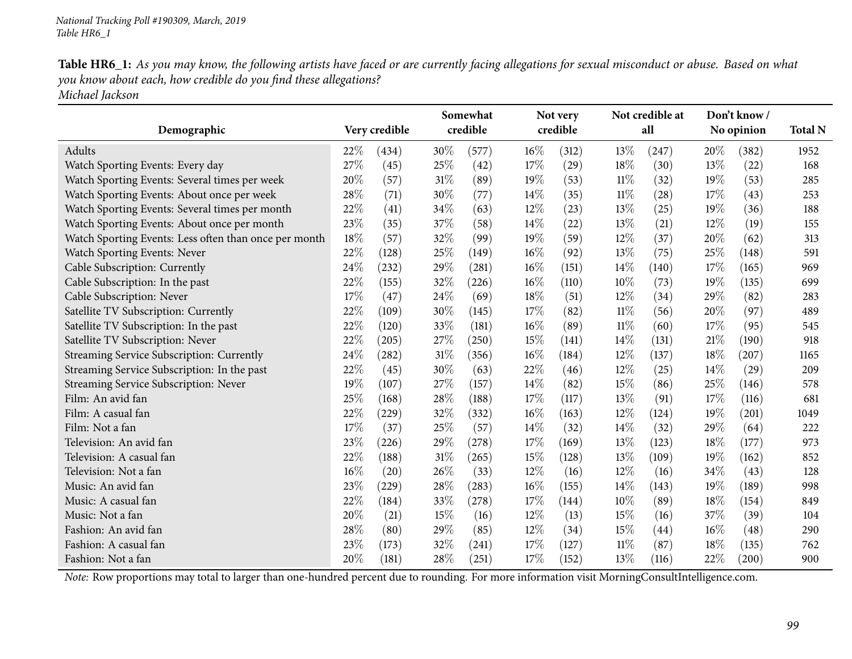| Table HR6_1: As you may know, the following artists have faced or are currently facing allegations for sexual misconduct or abuse. Based on what |  |
|--------------------------------------------------------------------------------------------------------------------------------------------------|--|
| you know about each, how credible do you find these allegations?                                                                                 |  |
| Michael Jackson                                                                                                                                  |  |

| Demographic                                           |        | Very credible |        | Somewhat<br>credible | Not very<br>credible |       | Not credible at<br>all |                    | Don't know/<br>No opinion |       | <b>Total N</b> |
|-------------------------------------------------------|--------|---------------|--------|----------------------|----------------------|-------|------------------------|--------------------|---------------------------|-------|----------------|
| <b>Adults</b>                                         | 22%    | (434)         | 30%    | (577)                | 16%                  | (312) | 13%                    | (247)              | 20%                       | (382) | 1952           |
| Watch Sporting Events: Every day                      | 27%    | (45)          | 25%    | (42)                 | 17%                  | (29)  | 18%                    | (30)               | 13%                       | (22)  | 168            |
| Watch Sporting Events: Several times per week         | 20%    | (57)          | $31\%$ | (89)                 | 19%                  | (53)  | $11\%$                 | (32)               | 19%                       | (53)  | 285            |
| Watch Sporting Events: About once per week            | 28\%   | (71)          | 30%    | (77)                 | 14%                  | (35)  | $11\%$                 | $\left( 28\right)$ | 17%                       | (43)  | 253            |
| Watch Sporting Events: Several times per month        | 22%    | (41)          | 34\%   | (63)                 | 12%                  | (23)  | $13\%$                 | (25)               | 19%                       | (36)  | 188            |
| Watch Sporting Events: About once per month           | 23%    | (35)          | 37%    | (58)                 | 14%                  | (22)  | $13\%$                 | (21)               | 12%                       | (19)  | 155            |
| Watch Sporting Events: Less often than once per month | 18%    | (57)          | 32\%   | (99)                 | 19%                  | (59)  | $12\%$                 | (37)               | 20%                       | (62)  | 313            |
| Watch Sporting Events: Never                          | 22%    | (128)         | 25%    | (149)                | 16%                  | (92)  | $13\%$                 | (75)               | 25%                       | (148) | 591            |
| Cable Subscription: Currently                         | 24%    | (232)         | 29%    | (281)                | 16%                  | (151) | $14\%$                 | (140)              | 17%                       | (165) | 969            |
| Cable Subscription: In the past                       | $22\%$ | (155)         | 32%    | (226)                | 16%                  | (110) | 10%                    | (73)               | 19%                       | (135) | 699            |
| Cable Subscription: Never                             | 17%    | (47)          | 24\%   | (69)                 | 18%                  | (51)  | $12\%$                 | (34)               | 29%                       | (82)  | 283            |
| Satellite TV Subscription: Currently                  | 22%    | (109)         | 30%    | (145)                | 17%                  | (82)  | $11\%$                 | (56)               | 20%                       | (97)  | 489            |
| Satellite TV Subscription: In the past                | 22%    | (120)         | 33\%   | (181)                | 16%                  | (89)  | $11\%$                 | (60)               | 17%                       | (95)  | 545            |
| Satellite TV Subscription: Never                      | 22%    | (205)         | 27%    | (250)                | 15%                  | (141) | 14%                    | (131)              | 21%                       | (190) | 918            |
| Streaming Service Subscription: Currently             | 24%    | (282)         | $31\%$ | (356)                | 16%                  | (184) | 12%                    | (137)              | 18%                       | (207) | 1165           |
| Streaming Service Subscription: In the past           | 22%    | (45)          | 30%    | (63)                 | 22%                  | (46)  | 12%                    | (25)               | 14%                       | (29)  | 209            |
| Streaming Service Subscription: Never                 | 19%    | (107)         | 27%    | (157)                | 14%                  | (82)  | 15%                    | (86)               | 25%                       | (146) | 578            |
| Film: An avid fan                                     | 25%    | (168)         | 28%    | (188)                | 17%                  | (117) | 13%                    | (91)               | 17%                       | (116) | 681            |
| Film: A casual fan                                    | 22%    | (229)         | 32%    | (332)                | 16%                  | (163) | 12%                    | (124)              | 19%                       | (201) | 1049           |
| Film: Not a fan                                       | 17%    | (37)          | 25%    | (57)                 | 14%                  | (32)  | 14%                    | (32)               | 29%                       | (64)  | 222            |
| Television: An avid fan                               | $23\%$ | (226)         | 29%    | (278)                | 17%                  | (169) | 13%                    | (123)              | 18%                       | (177) | 973            |
| Television: A casual fan                              | 22%    | (188)         | 31%    | (265)                | 15%                  | (128) | 13%                    | (109)              | 19%                       | (162) | 852            |
| Television: Not a fan                                 | 16%    | (20)          | 26%    | (33)                 | 12%                  | (16)  | 12%                    | (16)               | 34%                       | (43)  | 128            |
| Music: An avid fan                                    | 23\%   | (229)         | 28%    | (283)                | 16%                  | (155) | $14\%$                 | (143)              | 19%                       | (189) | 998            |
| Music: A casual fan                                   | 22%    | (184)         | 33%    | (278)                | 17%                  | (144) | 10%                    | (89)               | 18%                       | (154) | 849            |
| Music: Not a fan                                      | 20%    | (21)          | 15%    | (16)                 | 12%                  | (13)  | 15%                    | (16)               | 37%                       | (39)  | 104            |
| Fashion: An avid fan                                  | 28\%   | (80)          | 29%    | (85)                 | 12%                  | (34)  | 15%                    | (44)               | $16\%$                    | (48)  | 290            |
| Fashion: A casual fan                                 | 23%    | (173)         | 32%    | (241)                | 17%                  | (127) | $11\%$                 | (87)               | 18%                       | (135) | 762            |
| Fashion: Not a fan                                    | 20%    | (181)         | 28%    | (251)                | 17%                  | (152) | 13%                    | (116)              | 22%                       | (200) | 900            |

*Note:* Row proportions may total to larger than one-hundred percen<sup>t</sup> due to rounding. For more information visit [MorningConsultIntelligence.com](https://morningconsultintelligence.com).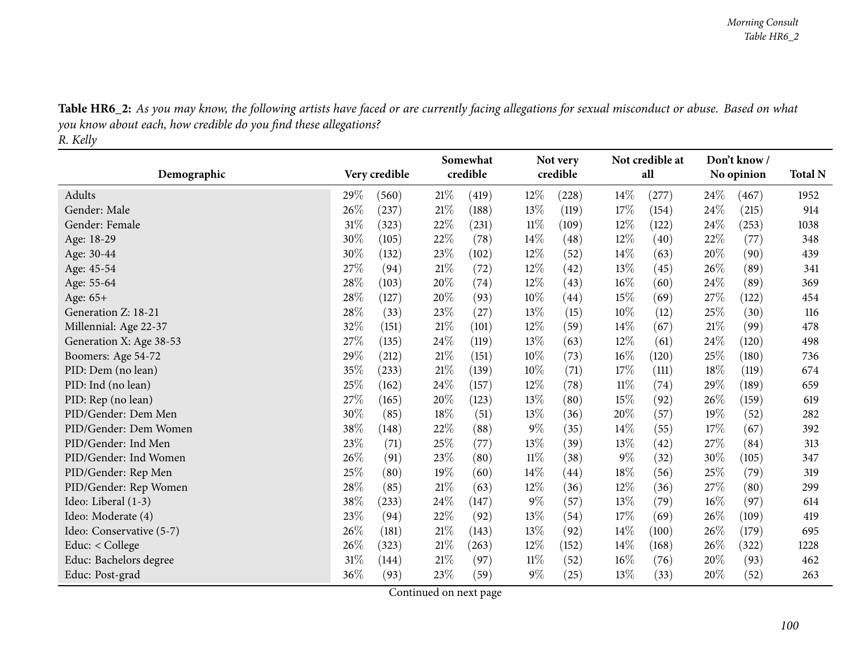| Demographic              | Very credible |       | Somewhat<br>credible |       |        | Not very<br>credible |        | Not credible at<br>all |        | Don't know /<br>No opinion |                |  |
|--------------------------|---------------|-------|----------------------|-------|--------|----------------------|--------|------------------------|--------|----------------------------|----------------|--|
|                          |               |       |                      |       |        |                      |        |                        |        |                            | <b>Total N</b> |  |
| Adults                   | 29%           | (560) | $21\%$               | (419) | $12\%$ | (228)                | 14%    | (277)                  | 24\%   | (467)                      | 1952           |  |
| Gender: Male             | 26%           | (237) | 21%                  | (188) | 13%    | (119)                | 17%    | (154)                  | 24\%   | (215)                      | 914            |  |
| Gender: Female           | 31%           | (323) | 22%                  | (231) | $11\%$ | (109)                | 12%    | (122)                  | 24\%   | (253)                      | 1038           |  |
| Age: 18-29               | 30%           | (105) | 22%                  | (78)  | 14%    | (48)                 | 12%    | (40)                   | 22%    | (77)                       | 348            |  |
| Age: 30-44               | 30%           | (132) | 23%                  | (102) | 12%    | (52)                 | 14%    | (63)                   | 20%    | (90)                       | 439            |  |
| Age: 45-54               | 27%           | (94)  | 21%                  | (72)  | 12%    | (42)                 | 13%    | (45)                   | 26%    | (89)                       | 341            |  |
| Age: 55-64               | 28%           | (103) | 20%                  | (74)  | 12%    | (43)                 | 16%    | (60)                   | 24%    | (89)                       | 369            |  |
| Age: 65+                 | 28\%          | (127) | 20%                  | (93)  | $10\%$ | (44)                 | 15%    | (69)                   | 27\%   | (122)                      | 454            |  |
| Generation Z: 18-21      | 28\%          | (33)  | 23%                  | (27)  | 13%    | (15)                 | 10%    | (12)                   | 25\%   | (30)                       | 116            |  |
| Millennial: Age 22-37    | 32%           | (151) | 21%                  | (101) | 12%    | (59)                 | 14%    | (67)                   | $21\%$ | (99)                       | 478            |  |
| Generation X: Age 38-53  | 27\%          | (135) | 24%                  | (119) | 13%    | (63)                 | 12%    | (61)                   | $24\%$ | (120)                      | 498            |  |
| Boomers: Age 54-72       | 29%           | (212) | 21%                  | (151) | $10\%$ | (73)                 | $16\%$ | (120)                  | 25\%   | (180)                      | 736            |  |
| PID: Dem (no lean)       | 35%           | (233) | 21%                  | (139) | 10%    | (71)                 | 17%    | (111)                  | $18\%$ | (119)                      | 674            |  |
| PID: Ind (no lean)       | 25%           | (162) | 24%                  | (157) | 12%    | (78)                 | $11\%$ | (74)                   | 29%    | (189)                      | 659            |  |
| PID: Rep (no lean)       | 27\%          | (165) | 20%                  | (123) | 13%    | (80)                 | 15%    | (92)                   | 26\%   | (159)                      | 619            |  |
| PID/Gender: Dem Men      | 30%           | (85)  | 18%                  | (51)  | 13\%   | (36)                 | 20%    | (57)                   | 19%    | (52)                       | 282            |  |
| PID/Gender: Dem Women    | $38\%$        | (148) | $22\%$               | (88)  | $9\%$  | (35)                 | 14%    | (55)                   | 17%    | (67)                       | 392            |  |
| PID/Gender: Ind Men      | 23%           | (71)  | 25%                  | (77)  | 13%    | (39)                 | 13\%   | (42)                   | 27%    | (84)                       | 313            |  |
| PID/Gender: Ind Women    | 26%           | (91)  | 23%                  | (80)  | $11\%$ | (38)                 | $9\%$  | (32)                   | 30%    | (105)                      | 347            |  |
| PID/Gender: Rep Men      | $25\%$        | (80)  | 19%                  | (60)  | 14%    | (44)                 | 18%    | (56)                   | 25%    | (79)                       | 319            |  |
| PID/Gender: Rep Women    | 28\%          | (85)  | 21%                  | (63)  | $12\%$ | (36)                 | 12%    | (36)                   | 27%    | (80)                       | 299            |  |
| Ideo: Liberal (1-3)      | 38\%          | (233) | 24\%                 | (147) | $9\%$  | (57)                 | 13%    | (79)                   | 16%    | (97)                       | 614            |  |
| Ideo: Moderate (4)       | 23%           | (94)  | 22%                  | (92)  | 13%    | (54)                 | 17%    | (69)                   | 26%    | (109)                      | 419            |  |
| Ideo: Conservative (5-7) | $26\%$        | (181) | 21%                  | (143) | 13%    | (92)                 | 14%    | (100)                  | 26%    | (179)                      | 695            |  |
| Educ: < College          | 26%           | (323) | $21\%$               | (263) | $12\%$ | (152)                | $14\%$ | (168)                  | 26%    | (322)                      | 1228           |  |
| Educ: Bachelors degree   | $31\%$        | (144) | 21%                  | (97)  | 11%    | (52)                 | 16%    | (76)                   | 20%    | (93)                       | 462            |  |
| Educ: Post-grad          | 36%           | (93)  | 23%                  | (59)  | $9\%$  | (25)                 | 13%    | (33)                   | 20%    | (52)                       | 263            |  |

Table HR6\_2: As you may know, the following artists have faced or are currently facing allegations for sexual misconduct or abuse. Based on what *you know about each, how credible do you find these allegations? R. Kelly*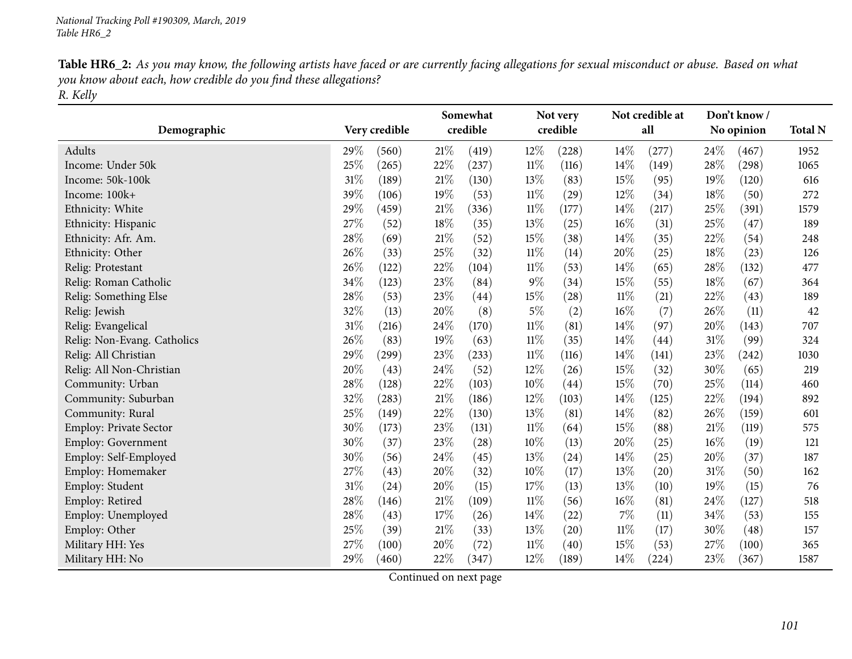Table HR6\_2: As you may know, the following artists have faced or are currently facing allegations for sexual misconduct or abuse. Based on what *you know about each, how credible do you find these allegations? R. Kelly*

|                               |      |               |        | Somewhat |        | Not very |        | Not credible at |        | Don't know / |      |  |  |
|-------------------------------|------|---------------|--------|----------|--------|----------|--------|-----------------|--------|--------------|------|--|--|
| Demographic                   |      | Very credible |        | credible |        | credible |        | all             |        | No opinion   |      |  |  |
| Adults                        | 29%  | (560)         | $21\%$ | (419)    | 12%    | (228)    | 14%    | (277)           | 24%    | (467)        | 1952 |  |  |
| Income: Under 50k             | 25%  | (265)         | 22%    | (237)    | $11\%$ | (116)    | 14%    | (149)           | 28%    | (298)        | 1065 |  |  |
| Income: 50k-100k              | 31%  | (189)         | $21\%$ | (130)    | 13%    | (83)     | 15%    | (95)            | 19%    | (120)        | 616  |  |  |
| Income: 100k+                 | 39%  | (106)         | 19%    | (53)     | $11\%$ | (29)     | 12%    | (34)            | 18%    | (50)         | 272  |  |  |
| Ethnicity: White              | 29%  | (459)         | $21\%$ | (336)    | $11\%$ | (177)    | 14%    | (217)           | 25%    | (391)        | 1579 |  |  |
| Ethnicity: Hispanic           | 27%  | (52)          | 18%    | (35)     | 13%    | (25)     | $16\%$ | (31)            | 25%    | (47)         | 189  |  |  |
| Ethnicity: Afr. Am.           | 28%  | (69)          | $21\%$ | (52)     | 15%    | (38)     | 14%    | (35)            | 22%    | (54)         | 248  |  |  |
| Ethnicity: Other              | 26%  | (33)          | 25%    | (32)     | $11\%$ | (14)     | 20%    | (25)            | 18%    | (23)         | 126  |  |  |
| Relig: Protestant             | 26%  | (122)         | 22%    | (104)    | $11\%$ | (53)     | 14%    | (65)            | 28\%   | (132)        | 477  |  |  |
| Relig: Roman Catholic         | 34%  | (123)         | 23%    | (84)     | $9\%$  | (34)     | 15%    | (55)            | 18%    | (67)         | 364  |  |  |
| Relig: Something Else         | 28%  | (53)          | 23%    | (44)     | 15%    | (28)     | $11\%$ | (21)            | 22%    | (43)         | 189  |  |  |
| Relig: Jewish                 | 32%  | (13)          | 20%    | (8)      | $5\%$  | (2)      | 16%    | (7)             | 26%    | (11)         | 42   |  |  |
| Relig: Evangelical            | 31%  | (216)         | 24\%   | (170)    | $11\%$ | (81)     | 14\%   | (97)            | $20\%$ | (143)        | 707  |  |  |
| Relig: Non-Evang. Catholics   | 26%  | (83)          | 19%    | (63)     | $11\%$ | (35)     | 14%    | (44)            | 31%    | (99)         | 324  |  |  |
| Relig: All Christian          | 29%  | (299)         | 23%    | (233)    | $11\%$ | (116)    | 14%    | (141)           | 23%    | (242)        | 1030 |  |  |
| Relig: All Non-Christian      | 20%  | (43)          | 24\%   | (52)     | 12%    | (26)     | 15%    | (32)            | 30%    | (65)         | 219  |  |  |
| Community: Urban              | 28%  | (128)         | 22%    | (103)    | 10%    | (44)     | 15%    | (70)            | 25%    | (114)        | 460  |  |  |
| Community: Suburban           | 32%  | (283)         | $21\%$ | (186)    | 12%    | (103)    | 14%    | (125)           | 22%    | (194)        | 892  |  |  |
| Community: Rural              | 25%  | (149)         | 22%    | (130)    | 13%    | (81)     | 14%    | (82)            | 26%    | (159)        | 601  |  |  |
| <b>Employ: Private Sector</b> | 30%  | (173)         | 23%    | (131)    | $11\%$ | (64)     | 15%    | (88)            | 21%    | (119)        | 575  |  |  |
| Employ: Government            | 30%  | (37)          | 23%    | (28)     | $10\%$ | (13)     | 20%    | (25)            | 16%    | (19)         | 121  |  |  |
| Employ: Self-Employed         | 30%  | (56)          | 24%    | (45)     | 13%    | (24)     | 14%    | (25)            | 20%    | (37)         | 187  |  |  |
| Employ: Homemaker             | 27%  | (43)          | 20%    | (32)     | 10%    | (17)     | 13%    | (20)            | 31%    | (50)         | 162  |  |  |
| Employ: Student               | 31%  | (24)          | 20%    | (15)     | 17%    | (13)     | 13%    | (10)            | $19\%$ | (15)         | 76   |  |  |
| Employ: Retired               | 28%  | (146)         | $21\%$ | (109)    | $11\%$ | (56)     | $16\%$ | (81)            | 24%    | (127)        | 518  |  |  |
| Employ: Unemployed            | 28\% | (43)          | 17%    | (26)     | 14%    | (22)     | $7\%$  | (11)            | 34%    | (53)         | 155  |  |  |
| Employ: Other                 | 25%  | (39)          | $21\%$ | (33)     | 13%    | (20)     | $11\%$ | (17)            | 30%    | (48)         | 157  |  |  |
| Military HH: Yes              | 27%  | (100)         | 20%    | (72)     | $11\%$ | (40)     | 15%    | (53)            | 27%    | (100)        | 365  |  |  |
| Military HH: No               | 29%  | (460)         | 22%    | (347)    | 12%    | (189)    | 14%    | (224)           | 23%    | (367)        | 1587 |  |  |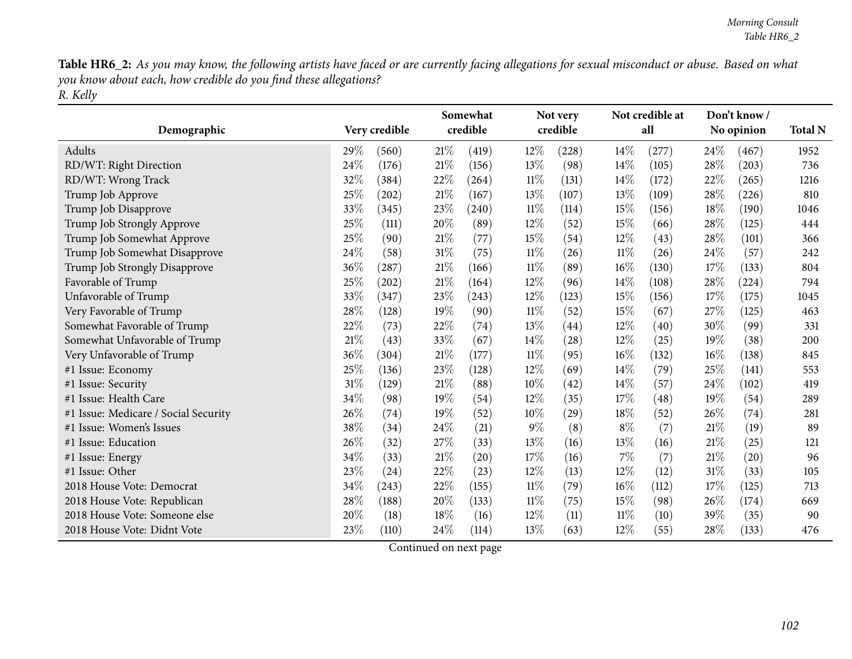Table HR6\_2: As you may know, the following artists have faced or are currently facing allegations for sexual misconduct or abuse. Based on what *you know about each, how credible do you find these allegations? R. Kelly*

|                                      |               |       |        | Somewhat |        | Not very           |        | Not credible at | Don't know/ | <b>Total N</b> |      |
|--------------------------------------|---------------|-------|--------|----------|--------|--------------------|--------|-----------------|-------------|----------------|------|
| Demographic                          | Very credible |       |        | credible |        | credible           |        | all             |             | No opinion     |      |
| Adults                               | 29\%          | (560) | 21%    | (419)    | $12\%$ | (228)              | 14%    | (277)           | 24\%        | (467)          | 1952 |
| RD/WT: Right Direction               | 24%           | (176) | 21%    | (156)    | $13\%$ | (98)               | 14%    | (105)           | $28\%$      | (203)          | 736  |
| RD/WT: Wrong Track                   | 32%           | (384) | 22%    | (264)    | 11%    | (131)              | 14%    | (172)           | 22%         | (265)          | 1216 |
| Trump Job Approve                    | 25%           | (202) | 21%    | (167)    | 13%    | (107)              | 13%    | (109)           | 28%         | (226)          | 810  |
| Trump Job Disapprove                 | 33%           | (345) | 23%    | (240)    | $11\%$ | (114)              | 15%    | (156)           | 18%         | (190)          | 1046 |
| Trump Job Strongly Approve           | 25%           | (111) | 20%    | (89)     | 12%    | (52)               | 15%    | (66)            | 28%         | (125)          | 444  |
| Trump Job Somewhat Approve           | 25%           | (90)  | 21%    | (77)     | 15%    | (54)               | 12%    | (43)            | 28%         | (101)          | 366  |
| Trump Job Somewhat Disapprove        | 24%           | (58)  | $31\%$ | (75)     | 11%    | (26)               | $11\%$ | (26)            | 24%         | (57)           | 242  |
| Trump Job Strongly Disapprove        | 36%           | (287) | 21%    | (166)    | $11\%$ | (89)               | 16%    | (130)           | 17%         | (133)          | 804  |
| Favorable of Trump                   | $25\%$        | (202) | 21%    | (164)    | 12%    | (96)               | 14\%   | (108)           | 28%         | (224)          | 794  |
| Unfavorable of Trump                 | 33%           | (347) | 23%    | (243)    | 12%    | (123)              | 15%    | (156)           | 17%         | (175)          | 1045 |
| Very Favorable of Trump              | 28%           | (128) | 19%    | (90)     | 11%    | (52)               | 15%    | (67)            | 27%         | (125)          | 463  |
| Somewhat Favorable of Trump          | 22%           | (73)  | 22%    | (74)     | 13%    | (44)               | 12%    | (40)            | 30%         | (99)           | 331  |
| Somewhat Unfavorable of Trump        | 21%           | (43)  | 33%    | (67)     | 14%    | (28)               | 12%    | (25)            | 19%         | (38)           | 200  |
| Very Unfavorable of Trump            | 36%           | (304) | 21%    | (177)    | 11%    | (95)               | 16%    | (132)           | 16%         | (138)          | 845  |
| #1 Issue: Economy                    | 25%           | (136) | 23\%   | (128)    | 12%    | (69)               | 14%    | (79)            | 25%         | (141)          | 553  |
| #1 Issue: Security                   | 31%           | (129) | 21%    | (88)     | 10%    | (42)               | 14\%   | (57)            | 24%         | (102)          | 419  |
| #1 Issue: Health Care                | 34%           | (98)  | 19%    | (54)     | 12%    | (35)               | 17%    | (48)            | 19%         | (54)           | 289  |
| #1 Issue: Medicare / Social Security | 26%           | (74)  | 19%    | (52)     | 10%    | $\left( 29\right)$ | 18\%   | (52)            | 26%         | (74)           | 281  |
| #1 Issue: Women's Issues             | 38%           | (34)  | 24\%   | (21)     | 9%     | (8)                | $8\%$  | (7)             | 21\%        | (19)           | 89   |
| #1 Issue: Education                  | 26%           | (32)  | 27%    | (33)     | 13%    | (16)               | 13%    | (16)            | 21%         | (25)           | 121  |
| #1 Issue: Energy                     | 34%           | (33)  | 21%    | (20)     | 17%    | (16)               | 7%     | (7)             | 21%         | (20)           | 96   |
| #1 Issue: Other                      | 23%           | (24)  | 22\%   | (23)     | 12%    | (13)               | 12%    | (12)            | 31%         | (33)           | 105  |
| 2018 House Vote: Democrat            | 34%           | (243) | 22%    | (155)    | $11\%$ | (79)               | 16%    | (112)           | 17%         | (125)          | 713  |
| 2018 House Vote: Republican          | $28\%$        | (188) | 20%    | (133)    | $11\%$ | (75)               | 15%    | (98)            | 26\%        | (174)          | 669  |
| 2018 House Vote: Someone else        | 20%           | (18)  | 18%    | (16)     | 12%    | (11)               | 11%    | (10)            | 39%         | (35)           | 90   |
| 2018 House Vote: Didnt Vote          | 23%           | (110) | 24\%   | (114)    | 13%    | (63)               | 12%    | (55)            | 28\%        | (133)          | 476  |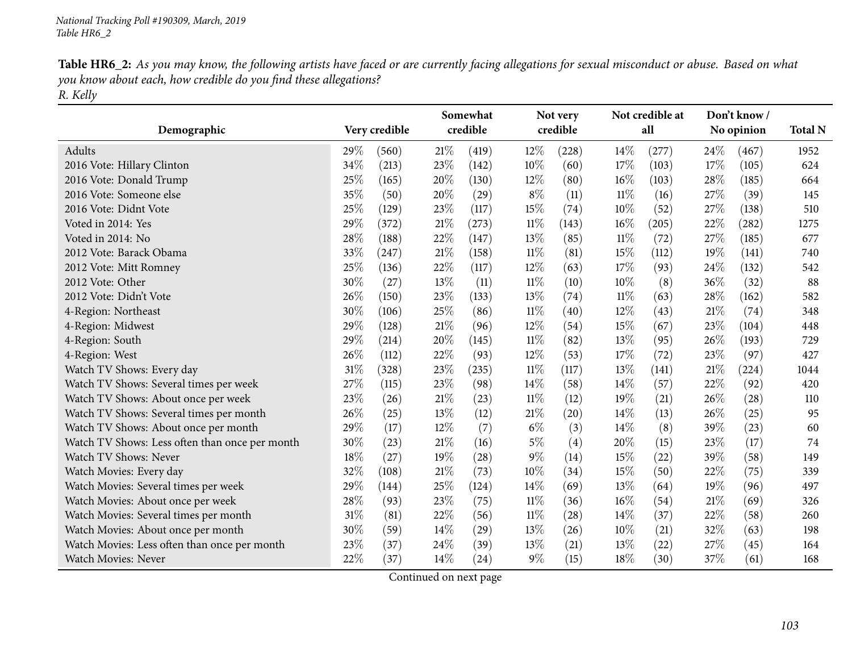Table HR6\_2: As you may know, the following artists have faced or are currently facing allegations for sexual misconduct or abuse. Based on what *you know about each, how credible do you find these allegations? R. Kelly*

|                                                |        |               |        | Somewhat |        | Not very |        | Not credible at | Don't know/ |            |      |  |
|------------------------------------------------|--------|---------------|--------|----------|--------|----------|--------|-----------------|-------------|------------|------|--|
| Demographic                                    |        | Very credible |        | credible |        | credible |        | all             |             | No opinion |      |  |
| Adults                                         | 29%    | (560)         | 21%    | (419)    | $12\%$ | (228)    | 14%    | (277)           | 24\%        | (467)      | 1952 |  |
| 2016 Vote: Hillary Clinton                     | 34%    | (213)         | 23%    | (142)    | 10%    | (60)     | 17%    | (103)           | 17%         | (105)      | 624  |  |
| 2016 Vote: Donald Trump                        | 25%    | (165)         | 20%    | (130)    | 12%    | (80)     | $16\%$ | (103)           | 28%         | (185)      | 664  |  |
| 2016 Vote: Someone else                        | 35%    | (50)          | 20%    | (29)     | $8\%$  | (11)     | $11\%$ | (16)            | 27%         | (39)       | 145  |  |
| 2016 Vote: Didnt Vote                          | 25%    | (129)         | 23%    | (117)    | 15%    | (74)     | 10%    | (52)            | 27%         | (138)      | 510  |  |
| Voted in 2014: Yes                             | 29%    | (372)         | $21\%$ | (273)    | $11\%$ | (143)    | $16\%$ | (205)           | 22%         | (282)      | 1275 |  |
| Voted in 2014: No                              | 28%    | (188)         | 22%    | (147)    | 13%    | (85)     | $11\%$ | (72)            | 27%         | (185)      | 677  |  |
| 2012 Vote: Barack Obama                        | 33%    | (247)         | 21\%   | (158)    | $11\%$ | (81)     | 15%    | (112)           | 19%         | (141)      | 740  |  |
| 2012 Vote: Mitt Romney                         | 25%    | (136)         | 22%    | (117)    | 12%    | (63)     | 17\%   | (93)            | 24%         | (132)      | 542  |  |
| 2012 Vote: Other                               | 30%    | (27)          | 13%    | (11)     | $11\%$ | (10)     | $10\%$ | (8)             | 36%         | (32)       | 88   |  |
| 2012 Vote: Didn't Vote                         | 26%    | (150)         | 23%    | (133)    | 13%    | (74)     | $11\%$ | (63)            | 28%         | (162)      | 582  |  |
| 4-Region: Northeast                            | 30%    | (106)         | 25%    | (86)     | $11\%$ | (40)     | $12\%$ | (43)            | 21\%        | (74)       | 348  |  |
| 4-Region: Midwest                              | 29%    | (128)         | 21%    | (96)     | 12%    | (54)     | 15%    | (67)            | 23%         | (104)      | 448  |  |
| 4-Region: South                                | 29%    | (214)         | 20%    | (145)    | $11\%$ | (82)     | 13%    | (95)            | 26%         | (193)      | 729  |  |
| 4-Region: West                                 | 26%    | (112)         | 22%    | (93)     | 12%    | (53)     | 17%    | (72)            | 23%         | (97)       | 427  |  |
| Watch TV Shows: Every day                      | 31%    | (328)         | 23%    | (235)    | $11\%$ | (117)    | 13%    | (141)           | 21%         | (224)      | 1044 |  |
| Watch TV Shows: Several times per week         | 27%    | (115)         | 23%    | (98)     | 14%    | (58)     | 14%    | (57)            | 22%         | (92)       | 420  |  |
| Watch TV Shows: About once per week            | 23%    | (26)          | $21\%$ | (23)     | $11\%$ | (12)     | 19%    | (21)            | 26%         | (28)       | 110  |  |
| Watch TV Shows: Several times per month        | 26%    | (25)          | 13%    | (12)     | $21\%$ | (20)     | 14%    | (13)            | 26%         | (25)       | 95   |  |
| Watch TV Shows: About once per month           | 29%    | (17)          | 12%    | (7)      | $6\%$  | (3)      | 14%    | (8)             | 39%         | (23)       | 60   |  |
| Watch TV Shows: Less often than once per month | 30%    | (23)          | $21\%$ | (16)     | $5\%$  | (4)      | 20%    | (15)            | 23%         | (17)       | 74   |  |
| Watch TV Shows: Never                          | 18%    | (27)          | 19%    | (28)     | $9\%$  | (14)     | 15%    | (22)            | 39%         | (58)       | 149  |  |
| Watch Movies: Every day                        | 32%    | (108)         | 21%    | (73)     | 10%    | (34)     | 15%    | (50)            | 22%         | (75)       | 339  |  |
| Watch Movies: Several times per week           | 29%    | (144)         | 25%    | (124)    | 14%    | (69)     | 13%    | (64)            | 19%         | (96)       | 497  |  |
| Watch Movies: About once per week              | 28%    | (93)          | 23%    | (75)     | $11\%$ | (36)     | $16\%$ | (54)            | 21%         | (69)       | 326  |  |
| Watch Movies: Several times per month          | $31\%$ | (81)          | 22%    | (56)     | $11\%$ | (28)     | 14%    | (37)            | 22%         | (58)       | 260  |  |
| Watch Movies: About once per month             | 30%    | (59)          | 14%    | (29)     | 13%    | (26)     | $10\%$ | (21)            | 32%         | (63)       | 198  |  |
| Watch Movies: Less often than once per month   | 23%    | (37)          | 24\%   | (39)     | 13%    | (21)     | 13%    | (22)            | 27%         | (45)       | 164  |  |
| Watch Movies: Never                            | 22%    | (37)          | 14%    | (24)     | $9\%$  | (15)     | 18%    | (30)            | 37%         | (61)       | 168  |  |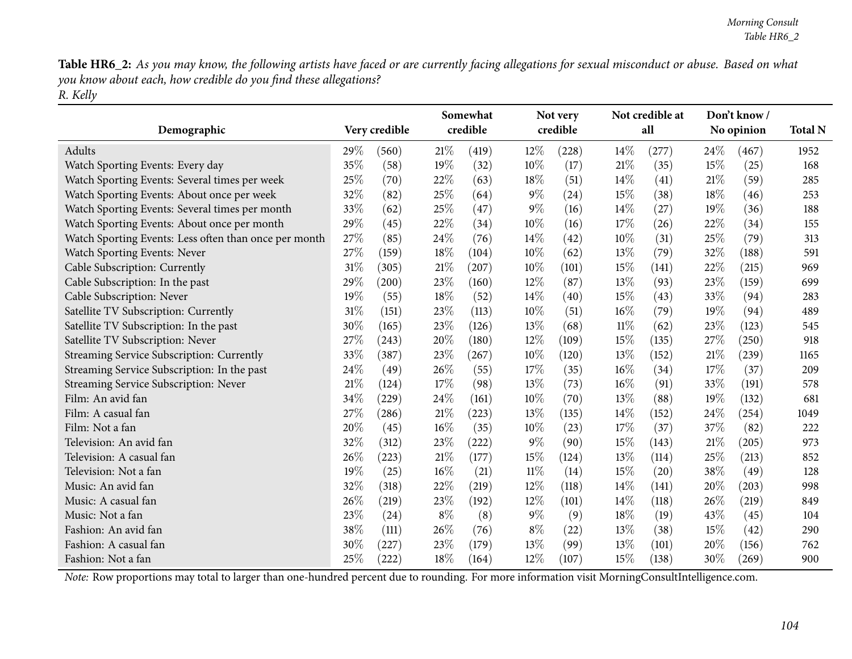Table HR6\_2: As you may know, the following artists have faced or are currently facing allegations for sexual misconduct or abuse. Based on what *you know about each, how credible do you find these allegations? R. Kelly*

| Demographic                                           |     | Very credible | Somewhat<br>credible |       |        | Not very<br>credible |        | Not credible at<br>all |      | Don't know/<br>No opinion |                |
|-------------------------------------------------------|-----|---------------|----------------------|-------|--------|----------------------|--------|------------------------|------|---------------------------|----------------|
|                                                       |     |               |                      |       |        |                      |        |                        |      |                           | <b>Total N</b> |
| Adults                                                | 29% | (560)         | 21%                  | (419) | 12%    | (228)                | $14\%$ | (277)                  | 24\% | (467)                     | 1952           |
| Watch Sporting Events: Every day                      | 35% | (58)          | 19%                  | (32)  | 10%    | (17)                 | 21%    | (35)                   | 15%  | (25)                      | 168            |
| Watch Sporting Events: Several times per week         | 25% | (70)          | 22%                  | (63)  | 18%    | (51)                 | 14\%   | (41)                   | 21%  | (59)                      | 285            |
| Watch Sporting Events: About once per week            | 32% | (82)          | 25%                  | (64)  | 9%     | (24)                 | 15%    | (38)                   | 18%  | (46)                      | 253            |
| Watch Sporting Events: Several times per month        | 33% | (62)          | 25%                  | (47)  | $9\%$  | (16)                 | 14\%   | (27)                   | 19%  | (36)                      | 188            |
| Watch Sporting Events: About once per month           | 29% | (45)          | 22%                  | (34)  | 10%    | (16)                 | 17%    | (26)                   | 22%  | (34)                      | 155            |
| Watch Sporting Events: Less often than once per month | 27% | (85)          | 24\%                 | (76)  | $14\%$ | (42)                 | 10%    | (31)                   | 25%  | (79)                      | 313            |
| Watch Sporting Events: Never                          | 27% | (159)         | 18%                  | (104) | 10%    | (62)                 | 13%    | (79)                   | 32%  | (188)                     | 591            |
| Cable Subscription: Currently                         | 31% | (305)         | 21%                  | (207) | 10%    | (101)                | 15%    | (141)                  | 22%  | (215)                     | 969            |
| Cable Subscription: In the past                       | 29% | (200)         | 23%                  | (160) | 12%    | (87)                 | 13%    | (93)                   | 23%  | (159)                     | 699            |
| Cable Subscription: Never                             | 19% | (55)          | 18%                  | (52)  | 14%    | (40)                 | 15%    | (43)                   | 33%  | (94)                      | 283            |
| Satellite TV Subscription: Currently                  | 31% | (151)         | 23%                  | (113) | 10%    | (51)                 | 16%    | (79)                   | 19%  | (94)                      | 489            |
| Satellite TV Subscription: In the past                | 30% | (165)         | 23%                  | (126) | 13%    | (68)                 | $11\%$ | (62)                   | 23%  | (123)                     | 545            |
| Satellite TV Subscription: Never                      | 27% | (243)         | 20%                  | (180) | 12%    | (109)                | 15%    | (135)                  | 27%  | (250)                     | 918            |
| Streaming Service Subscription: Currently             | 33% | (387)         | 23%                  | (267) | 10%    | (120)                | 13%    | (152)                  | 21%  | (239)                     | 1165           |
| Streaming Service Subscription: In the past           | 24% | (49)          | 26\%                 | (55)  | 17%    | (35)                 | 16%    | (34)                   | 17%  | (37)                      | 209            |
| Streaming Service Subscription: Never                 | 21% | (124)         | 17%                  | (98)  | 13%    | (73)                 | 16%    | (91)                   | 33%  | (191)                     | 578            |
| Film: An avid fan                                     | 34% | (229)         | 24\%                 | (161) | 10%    | (70)                 | 13%    | (88)                   | 19%  | (132)                     | 681            |
| Film: A casual fan                                    | 27% | (286)         | $21\%$               | (223) | 13%    | (135)                | 14%    | (152)                  | 24%  | (254)                     | 1049           |
| Film: Not a fan                                       | 20% | (45)          | $16\%$               | (35)  | 10%    | (23)                 | 17%    | (37)                   | 37%  | (82)                      | 222            |
| Television: An avid fan                               | 32% | (312)         | 23\%                 | (222) | 9%     | (90)                 | 15%    | (143)                  | 21%  | (205)                     | 973            |
| Television: A casual fan                              | 26% | (223)         | 21\%                 | (177) | 15%    | (124)                | 13%    | (114)                  | 25%  | (213)                     | 852            |
| Television: Not a fan                                 | 19% | (25)          | 16%                  | (21)  | 11%    | (14)                 | 15%    | (20)                   | 38%  | (49)                      | 128            |
| Music: An avid fan                                    | 32% | (318)         | 22%                  | (219) | 12%    | (118)                | 14\%   | (141)                  | 20%  | (203)                     | 998            |
| Music: A casual fan                                   | 26% | (219)         | 23%                  | (192) | 12%    | (101)                | 14%    | (118)                  | 26%  | (219)                     | 849            |
| Music: Not a fan                                      | 23% | (24)          | $8\%$                | (8)   | $9\%$  | (9)                  | 18%    | (19)                   | 43%  | (45)                      | 104            |
| Fashion: An avid fan                                  | 38% | (111)         | 26\%                 | (76)  | $8\%$  | (22)                 | 13%    | (38)                   | 15%  | (42)                      | 290            |
| Fashion: A casual fan                                 | 30% | (227)         | 23%                  | (179) | 13%    | (99)                 | 13%    | (101)                  | 20%  | (156)                     | 762            |
| Fashion: Not a fan                                    | 25% | (222)         | 18%                  | (164) | 12%    | (107)                | 15%    | (138)                  | 30%  | (269)                     | 900            |

*Note:* Row proportions may total to larger than one-hundred percen<sup>t</sup> due to rounding. For more information visit [MorningConsultIntelligence.com](https://morningconsultintelligence.com).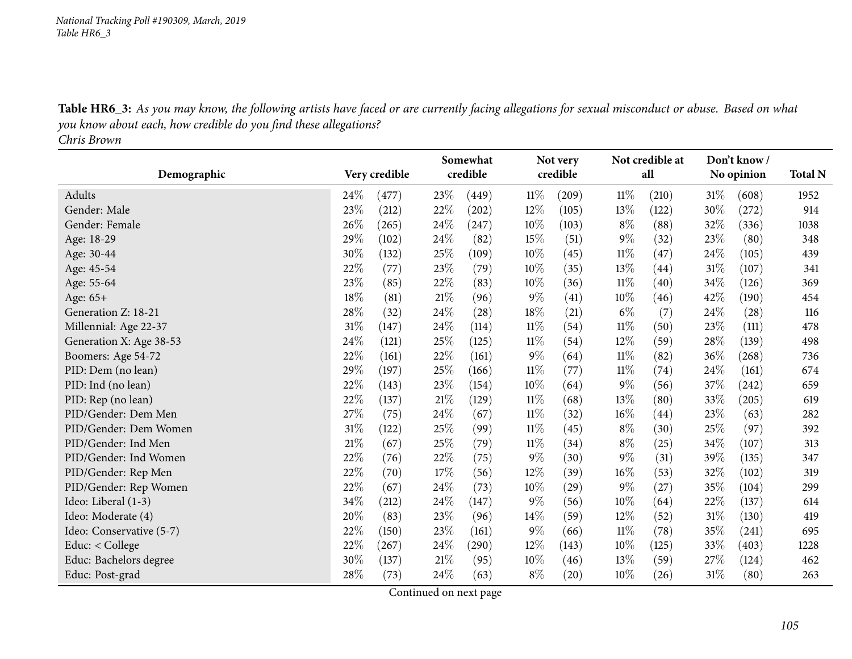| Demographic              |        | Very credible | Somewhat<br>credible |                     | Not very<br>credible |       | Not credible at<br>all |       | Don't know /<br>No opinion |       | <b>Total N</b> |
|--------------------------|--------|---------------|----------------------|---------------------|----------------------|-------|------------------------|-------|----------------------------|-------|----------------|
|                          |        |               |                      |                     |                      |       |                        |       |                            |       |                |
| Adults                   | 24\%   | (477)         | 23%                  | (449)               | $11\%$               | (209) | $11\%$                 | (210) | $31\%$                     | (608) | 1952           |
| Gender: Male             | 23%    | (212)         | 22%                  | (202)               | 12%                  | (105) | 13%                    | (122) | 30%                        | (272) | 914            |
| Gender: Female           | 26%    | (265)         | 24\%                 | (247)               | 10%                  | (103) | $8\%$                  | (88)  | 32%                        | (336) | 1038           |
| Age: 18-29               | 29%    | (102)         | 24%                  | (82)                | 15%                  | (51)  | $9\%$                  | (32)  | 23%                        | (80)  | 348            |
| Age: 30-44               | 30%    | (132)         | 25%                  | (109)               | 10%                  | (45)  | $11\%$                 | (47)  | 24%                        | (105) | 439            |
| Age: 45-54               | 22%    | (77)          | 23%                  | (79)                | 10%                  | (35)  | 13%                    | (44)  | 31%                        | (107) | 341            |
| Age: 55-64               | 23%    | (85)          | 22%                  | (83)                | 10%                  | (36)  | $11\%$                 | (40)  | 34\%                       | (126) | 369            |
| Age: 65+                 | $18\%$ | (81)          | 21%                  | (96)                | $9\%$                | (41)  | 10%                    | (46)  | 42%                        | (190) | 454            |
| Generation Z: 18-21      | 28\%   | (32)          | 24\%                 | (28)                | 18%                  | (21)  | $6\%$                  | (7)   | 24\%                       | (28)  | 116            |
| Millennial: Age 22-37    | $31\%$ | (147)         | 24%                  | (114)               | $11\%$               | (54)  | $11\%$                 | (50)  | 23%                        | (111) | 478            |
| Generation X: Age 38-53  | $24\%$ | (121)         | 25%                  | (125)               | $11\%$               | (54)  | 12%                    | (59)  | 28\%                       | (139) | 498            |
| Boomers: Age 54-72       | 22%    | (161)         | 22%                  | (161)               | $9\%$                | (64)  | $11\%$                 | (82)  | 36\%                       | (268) | 736            |
| PID: Dem (no lean)       | 29%    | (197)         | 25%                  | (166)               | $11\%$               | (77)  | $11\%$                 | (74)  | 24\%                       | (161) | 674            |
| PID: Ind (no lean)       | 22\%   | (143)         | 23%                  | (154)               | 10%                  | (64)  | $9\%$                  | (56)  | 37\%                       | (242) | 659            |
| PID: Rep (no lean)       | 22\%   | (137)         | 21%                  | (129)               | $11\%$               | (68)  | 13%                    | (80)  | 33%                        | (205) | 619            |
| PID/Gender: Dem Men      | $27\%$ | (75)          | 24\%                 | (67)                | $11\%$               | (32)  | 16%                    | (44)  | 23%                        | (63)  | 282            |
| PID/Gender: Dem Women    | $31\%$ | (122)         | 25%                  | (99)                | $11\%$               | (45)  | $8\%$                  | (30)  | $25\%$                     | (97)  | 392            |
| PID/Gender: Ind Men      | $21\%$ | (67)          | 25%                  | (79)                | $11\%$               | (34)  | $8\%$                  | (25)  | 34\%                       | (107) | 313            |
| PID/Gender: Ind Women    | 22%    | (76)          | 22%                  | (75)                | $9\%$                | (30)  | $9\%$                  | (31)  | 39%                        | (135) | 347            |
| PID/Gender: Rep Men      | 22\%   | (70)          | 17%                  | (56)                | 12%                  | (39)  | 16%                    | (53)  | 32%                        | (102) | 319            |
| PID/Gender: Rep Women    | 22\%   | (67)          | 24%                  | (73)                | 10%                  | (29)  | $9\%$                  | (27)  | 35%                        | (104) | 299            |
| Ideo: Liberal (1-3)      | $34\%$ | (212)         | 24%                  | (147)               | $9\%$                | (56)  | 10%                    | (64)  | 22%                        | (137) | 614            |
| Ideo: Moderate (4)       | 20%    | (83)          | 23%                  | (96)                | 14%                  | (59)  | 12%                    | (52)  | $31\%$                     | (130) | 419            |
| Ideo: Conservative (5-7) | 22%    | (150)         | 23%                  | (161)               | $9\%$                | (66)  | $11\%$                 | (78)  | 35%                        | (241) | 695            |
| Educ: < College          | 22%    | (267)         | 24%                  | $\left( 290\right)$ | 12%                  | (143) | 10%                    | (125) | 33%                        | (403) | 1228           |
| Educ: Bachelors degree   | 30%    | (137)         | 21%                  | (95)                | 10%                  | (46)  | 13%                    | (59)  | 27%                        | (124) | 462            |
| Educ: Post-grad          | 28\%   | (73)          | 24%                  | (63)                | $8\%$                | (20)  | 10%                    | (26)  | 31%                        | (80)  | 263            |

Table HR6\_3: As you may know, the following artists have faced or are currently facing allegations for sexual misconduct or abuse. Based on what *you know about each, how credible do you find these allegations?*

*Chris Brown*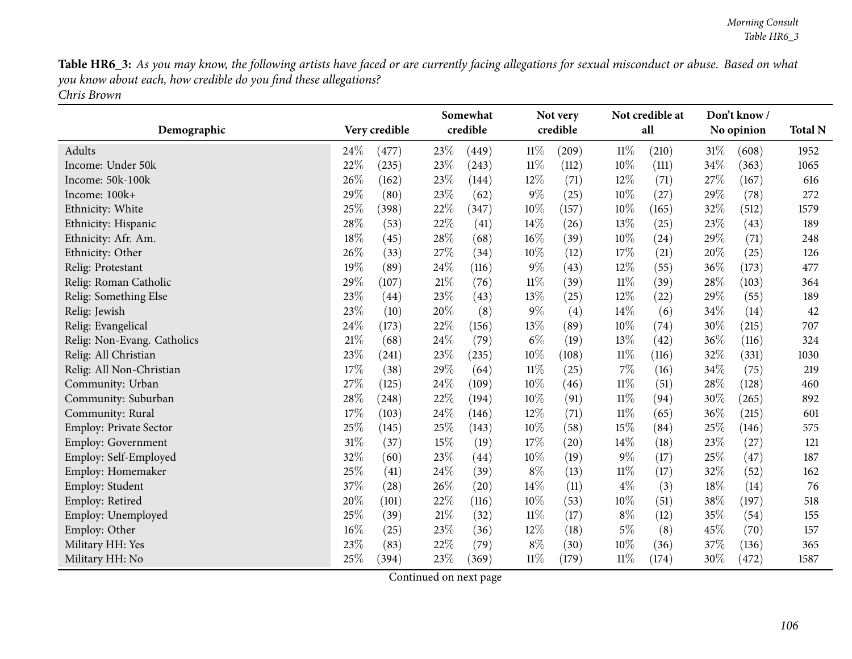Table HR6\_3: As you may know, the following artists have faced or are currently facing allegations for sexual misconduct or abuse. Based on what *you know about each, how credible do you find these allegations? Chris Brown*

|                               |        |               | Somewhat |       |        | Not very |        | Not credible at |        | Don't know / |      |
|-------------------------------|--------|---------------|----------|-------|--------|----------|--------|-----------------|--------|--------------|------|
| Demographic                   |        | Very credible | credible |       |        | credible |        | all             |        | No opinion   |      |
| Adults                        | 24%    | (477)         | 23%      | (449) | $11\%$ | (209)    | $11\%$ | (210)           | $31\%$ | (608)        | 1952 |
| Income: Under 50k             | 22%    | (235)         | 23%      | (243) | $11\%$ | (112)    | 10%    | (111)           | 34%    | (363)        | 1065 |
| Income: 50k-100k              | 26%    | (162)         | 23%      | (144) | 12%    | (71)     | 12%    | (71)            | 27\%   | (167)        | 616  |
| Income: 100k+                 | 29%    | (80)          | 23%      | (62)  | $9\%$  | (25)     | 10%    | (27)            | 29%    | (78)         | 272  |
| Ethnicity: White              | 25%    | (398)         | 22%      | (347) | 10%    | (157)    | 10%    | (165)           | 32%    | (512)        | 1579 |
| Ethnicity: Hispanic           | 28%    | (53)          | 22%      | (41)  | 14%    | (26)     | 13%    | (25)            | 23%    | (43)         | 189  |
| Ethnicity: Afr. Am.           | 18%    | (45)          | 28\%     | (68)  | 16%    | (39)     | $10\%$ | (24)            | 29%    | (71)         | 248  |
| Ethnicity: Other              | 26%    | (33)          | 27%      | (34)  | 10%    | (12)     | 17%    | (21)            | 20%    | (25)         | 126  |
| Relig: Protestant             | 19%    | (89)          | 24\%     | (116) | $9\%$  | (43)     | 12%    | (55)            | 36%    | (173)        | 477  |
| Relig: Roman Catholic         | 29%    | (107)         | 21%      | (76)  | $11\%$ | (39)     | $11\%$ | (39)            | 28%    | (103)        | 364  |
| Relig: Something Else         | 23%    | (44)          | 23%      | (43)  | 13%    | (25)     | 12%    | (22)            | 29%    | (55)         | 189  |
| Relig: Jewish                 | 23%    | (10)          | 20%      | (8)   | $9\%$  | (4)      | $14\%$ | (6)             | 34\%   | (14)         | 42   |
| Relig: Evangelical            | 24%    | (173)         | 22%      | (156) | 13%    | (89)     | 10%    | (74)            | 30%    | (215)        | 707  |
| Relig: Non-Evang. Catholics   | $21\%$ | (68)          | 24\%     | (79)  | $6\%$  | (19)     | 13%    | (42)            | 36%    | (116)        | 324  |
| Relig: All Christian          | 23%    | (241)         | 23%      | (235) | 10%    | (108)    | $11\%$ | (116)           | 32%    | (331)        | 1030 |
| Relig: All Non-Christian      | 17%    | (38)          | 29%      | (64)  | $11\%$ | (25)     | 7%     | (16)            | 34%    | (75)         | 219  |
| Community: Urban              | 27%    | (125)         | 24\%     | (109) | 10%    | (46)     | $11\%$ | (51)            | 28%    | (128)        | 460  |
| Community: Suburban           | 28%    | (248)         | 22\%     | (194) | 10%    | (91)     | $11\%$ | (94)            | $30\%$ | (265)        | 892  |
| Community: Rural              | 17%    | (103)         | 24\%     | (146) | 12%    | (71)     | $11\%$ | (65)            | 36%    | (215)        | 601  |
| <b>Employ: Private Sector</b> | 25%    | (145)         | 25%      | (143) | 10%    | (58)     | 15%    | (84)            | 25%    | (146)        | 575  |
| Employ: Government            | $31\%$ | (37)          | 15%      | (19)  | 17%    | (20)     | 14\%   | (18)            | 23%    | (27)         | 121  |
| Employ: Self-Employed         | 32%    | (60)          | 23%      | (44)  | 10%    | (19)     | $9\%$  | (17)            | 25%    | (47)         | 187  |
| Employ: Homemaker             | 25%    | (41)          | 24\%     | (39)  | $8\%$  | (13)     | $11\%$ | (17)            | 32%    | (52)         | 162  |
| Employ: Student               | 37%    | (28)          | 26\%     | (20)  | 14%    | (11)     | $4\%$  | (3)             | 18%    | (14)         | 76   |
| Employ: Retired               | 20%    | (101)         | 22%      | (116) | 10%    | (53)     | 10%    | (51)            | 38%    | (197)        | 518  |
| Employ: Unemployed            | 25%    | (39)          | $21\%$   | (32)  | $11\%$ | (17)     | $8\%$  | (12)            | 35%    | (54)         | 155  |
| Employ: Other                 | $16\%$ | (25)          | 23%      | (36)  | 12%    | (18)     | $5\%$  | (8)             | 45%    | (70)         | 157  |
| Military HH: Yes              | 23%    | (83)          | 22%      | (79)  | $8\%$  | (30)     | 10%    | (36)            | 37%    | (136)        | 365  |
| Military HH: No               | 25%    | (394)         | 23%      | (369) | $11\%$ | (179)    | $11\%$ | (174)           | 30%    | (472)        | 1587 |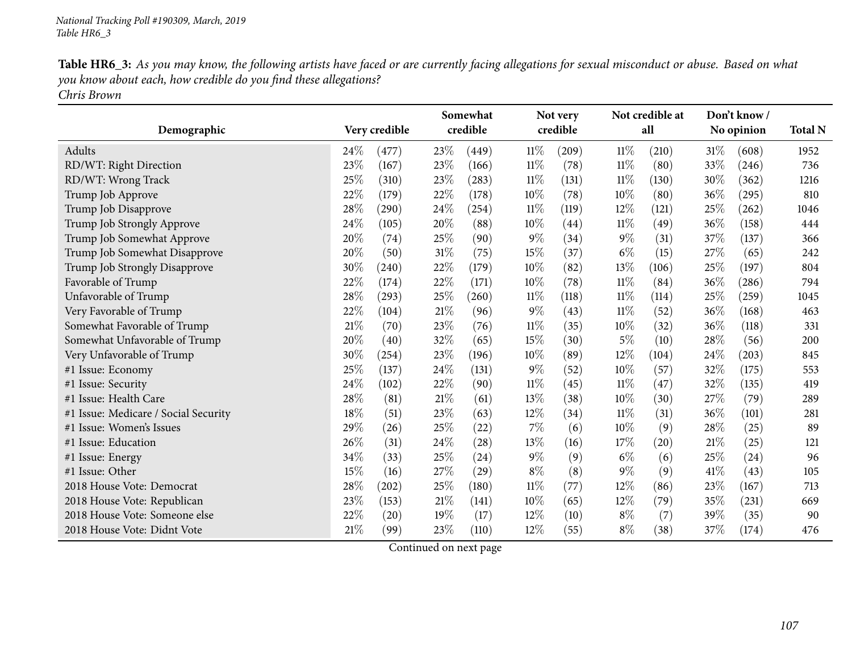Table HR6\_3: As you may know, the following artists have faced or are currently facing allegations for sexual misconduct or abuse. Based on what *you know about each, how credible do you find these allegations? Chris Brown*

| Demographic                          | Very credible  |        | Somewhat<br>credible |        | Not very<br>credible |        | Not credible at<br>all |      | Don't know/<br>No opinion |                |
|--------------------------------------|----------------|--------|----------------------|--------|----------------------|--------|------------------------|------|---------------------------|----------------|
|                                      |                |        |                      |        |                      |        |                        |      |                           | <b>Total N</b> |
| Adults                               | 24\%<br>(477)  | 23\%   | (449)                | $11\%$ | (209)                | $11\%$ | (210)                  | 31%  | (608)                     | 1952           |
| RD/WT: Right Direction               | 23%<br>(167)   | 23\%   | (166)                | $11\%$ | (78)                 | $11\%$ | (80)                   | 33%  | (246)                     | 736            |
| RD/WT: Wrong Track                   | 25%<br>(310)   | 23%    | (283)                | $11\%$ | (131)                | $11\%$ | (130)                  | 30%  | (362)                     | 1216           |
| Trump Job Approve                    | 22%<br>(179)   | 22%    | (178)                | 10%    | (78)                 | 10%    | (80)                   | 36%  | (295)                     | 810            |
| Trump Job Disapprove                 | 28%<br>(290)   | 24\%   | (254)                | $11\%$ | (119)                | 12%    | (121)                  | 25%  | (262)                     | 1046           |
| Trump Job Strongly Approve           | 24%<br>(105)   | 20%    | (88)                 | $10\%$ | (44)                 | $11\%$ | (49)                   | 36%  | (158)                     | 444            |
| Trump Job Somewhat Approve           | 20%<br>(74)    | 25%    | (90)                 | 9%     | (34)                 | 9%     | (31)                   | 37%  | (137)                     | 366            |
| Trump Job Somewhat Disapprove        | 20%<br>(50)    | $31\%$ | (75)                 | 15%    | (37)                 | $6\%$  | (15)                   | 27%  | (65)                      | 242            |
| Trump Job Strongly Disapprove        | 30%<br>(240)   | 22%    | (179)                | $10\%$ | (82)                 | 13%    | (106)                  | 25%  | (197)                     | 804            |
| Favorable of Trump                   | 22%<br>(174)   | 22%    | (171)                | 10%    | (78)                 | $11\%$ | (84)                   | 36%  | (286)                     | 794            |
| Unfavorable of Trump                 | 28%<br>(293)   | 25%    | (260)                | $11\%$ | (118)                | $11\%$ | (114)                  | 25%  | (259)                     | 1045           |
| Very Favorable of Trump              | 22%<br>(104)   | 21%    | (96)                 | 9%     | (43)                 | $11\%$ | (52)                   | 36%  | (168)                     | 463            |
| Somewhat Favorable of Trump          | 21%<br>(70)    | 23%    | (76)                 | $11\%$ | (35)                 | 10%    | (32)                   | 36%  | (118)                     | 331            |
| Somewhat Unfavorable of Trump        | 20%<br>(40)    | 32%    | (65)                 | 15%    | (30)                 | $5\%$  | (10)                   | 28%  | (56)                      | 200            |
| Very Unfavorable of Trump            | 30%<br>(254)   | 23%    | (196)                | 10%    | (89)                 | 12%    | (104)                  | 24%  | (203)                     | 845            |
| #1 Issue: Economy                    | 25%<br>(137)   | 24\%   | (131)                | $9\%$  | (52)                 | 10%    | (57)                   | 32%  | (175)                     | 553            |
| #1 Issue: Security                   | 24%<br>(102)   | 22%    | (90)                 | $11\%$ | (45)                 | $11\%$ | (47)                   | 32%  | (135)                     | 419            |
| #1 Issue: Health Care                | 28%<br>(81)    | 21%    | (61)                 | 13%    | (38)                 | 10%    | (30)                   | 27\% | (79)                      | 289            |
| #1 Issue: Medicare / Social Security | 18%<br>(51)    | 23%    | (63)                 | 12%    | (34)                 | $11\%$ | (31)                   | 36%  | (101)                     | 281            |
| #1 Issue: Women's Issues             | 29%<br>(26)    | 25%    | (22)                 | 7%     | (6)                  | 10%    | (9)                    | 28%  | (25)                      | 89             |
| #1 Issue: Education                  | 26\%<br>(31)   | 24\%   | (28)                 | 13%    | (16)                 | 17%    | (20)                   | 21%  | (25)                      | 121            |
| #1 Issue: Energy                     | 34%<br>(33)    | 25%    | (24)                 | $9\%$  | (9)                  | $6\%$  | (6)                    | 25%  | (24)                      | 96             |
| #1 Issue: Other                      | 15%<br>(16)    | 27%    | (29)                 | $8\%$  | (8)                  | 9%     | (9)                    | 41\% | (43)                      | 105            |
| 2018 House Vote: Democrat            | 28%<br>(202)   | 25%    | (180)                | $11\%$ | (77)                 | 12%    | (86)                   | 23%  | (167)                     | 713            |
| 2018 House Vote: Republican          | 23%<br>(153)   | 21%    | (141)                | $10\%$ | (65)                 | 12%    | (79)                   | 35%  | (231)                     | 669            |
| 2018 House Vote: Someone else        | $22\%$<br>(20) | 19%    | (17)                 | 12%    | (10)                 | $8\%$  | (7)                    | 39%  | (35)                      | 90             |
| 2018 House Vote: Didnt Vote          | 21%<br>(99)    | 23\%   | (110)                | 12\%   | (55)                 | $8\%$  | (38)                   | 37%  | (174)                     | 476            |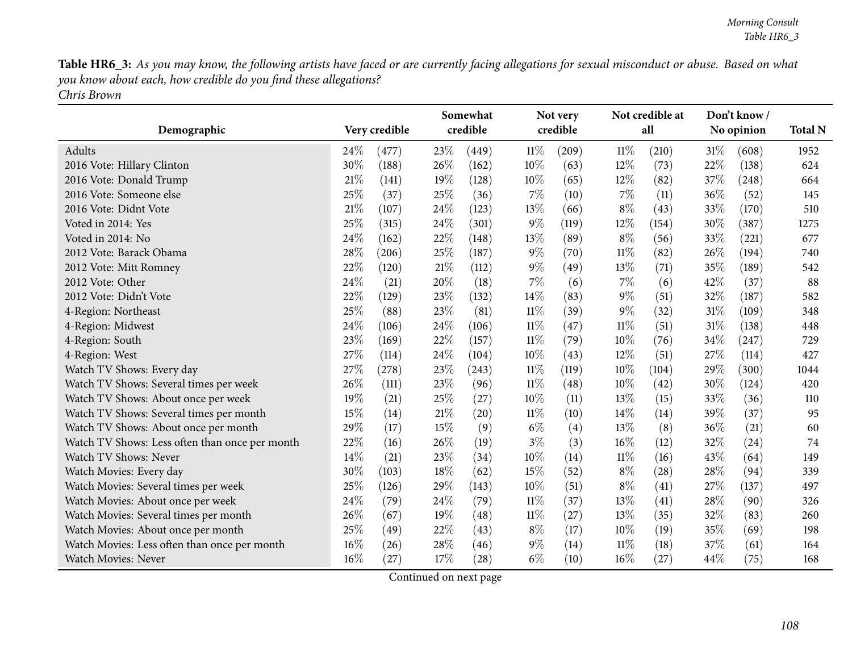Table HR6\_3: As you may know, the following artists have faced or are currently facing allegations for sexual misconduct or abuse. Based on what *you know about each, how credible do you find these allegations? Chris Brown*

|                                                |        |               | Somewhat |          |        | Not very |        | Not credible at    |            | Don't know/ |                |
|------------------------------------------------|--------|---------------|----------|----------|--------|----------|--------|--------------------|------------|-------------|----------------|
| Demographic                                    |        | Very credible |          | credible |        | credible | all    |                    | No opinion |             | <b>Total N</b> |
| Adults                                         | 24\%   | (477)         | 23\%     | (449)    | $11\%$ | (209)    | $11\%$ | (210)              | $31\%$     | (608)       | 1952           |
| 2016 Vote: Hillary Clinton                     | 30%    | (188)         | 26%      | (162)    | $10\%$ | (63)     | $12\%$ | (73)               | 22%        | (138)       | 624            |
| 2016 Vote: Donald Trump                        | 21\%   | (141)         | 19%      | (128)    | 10%    | (65)     | 12%    | (82)               | 37%        | (248)       | 664            |
| 2016 Vote: Someone else                        | 25%    | (37)          | 25\%     | (36)     | 7%     | (10)     | 7%     | (11)               | 36%        | (52)        | 145            |
| 2016 Vote: Didnt Vote                          | 21\%   | (107)         | 24%      | (123)    | 13%    | (66)     | $8\%$  | (43)               | 33%        | (170)       | 510            |
| Voted in 2014: Yes                             | 25%    | (315)         | 24\%     | (301)    | $9\%$  | (119)    | 12%    | (154)              | 30\%       | (387)       | 1275           |
| Voted in 2014: No                              | 24%    | (162)         | 22\%     | (148)    | 13%    | (89)     | $8\%$  | (56)               | 33%        | (221)       | 677            |
| 2012 Vote: Barack Obama                        | 28%    | (206)         | 25%      | (187)    | $9\%$  | (70)     | $11\%$ | (82)               | 26%        | (194)       | 740            |
| 2012 Vote: Mitt Romney                         | 22%    | (120)         | $21\%$   | (112)    | $9\%$  | (49)     | $13\%$ | (71)               | 35%        | (189)       | 542            |
| 2012 Vote: Other                               | 24%    | (21)          | 20%      | (18)     | 7%     | (6)      | 7%     | (6)                | 42%        | (37)        | 88             |
| 2012 Vote: Didn't Vote                         | 22%    | (129)         | 23%      | (132)    | 14%    | (83)     | $9\%$  | (51)               | 32%        | (187)       | 582            |
| 4-Region: Northeast                            | 25%    | (88)          | 23\%     | (81)     | $11\%$ | (39)     | $9\%$  | (32)               | 31%        | (109)       | 348            |
| 4-Region: Midwest                              | 24%    | (106)         | 24\%     | (106)    | $11\%$ | (47)     | $11\%$ | (51)               | 31%        | (138)       | 448            |
| 4-Region: South                                | 23%    | (169)         | 22%      | (157)    | $11\%$ | (79)     | 10%    | (76)               | 34%        | (247)       | 729            |
| 4-Region: West                                 | 27%    | (114)         | 24\%     | (104)    | 10%    | (43)     | 12%    | (51)               | 27%        | (114)       | 427            |
| Watch TV Shows: Every day                      | 27%    | (278)         | 23\%     | (243)    | $11\%$ | (119)    | 10%    | (104)              | 29%        | (300)       | 1044           |
| Watch TV Shows: Several times per week         | 26%    | (111)         | 23%      | (96)     | $11\%$ | (48)     | 10%    | (42)               | 30%        | (124)       | 420            |
| Watch TV Shows: About once per week            | 19%    | (21)          | 25%      | (27)     | 10%    | (11)     | $13\%$ | (15)               | 33%        | (36)        | 110            |
| Watch TV Shows: Several times per month        | 15%    | (14)          | 21%      | (20)     | $11\%$ | (10)     | 14%    | (14)               | 39%        | (37)        | 95             |
| Watch TV Shows: About once per month           | 29%    | (17)          | 15%      | (9)      | $6\%$  | (4)      | $13\%$ | (8)                | 36\%       | (21)        | 60             |
| Watch TV Shows: Less often than once per month | 22%    | (16)          | 26%      | (19)     | $3\%$  | (3)      | 16%    | (12)               | 32%        | (24)        | 74             |
| Watch TV Shows: Never                          | 14%    | (21)          | 23%      | (34)     | 10%    | (14)     | $11\%$ | (16)               | 43%        | (64)        | 149            |
| Watch Movies: Every day                        | 30%    | (103)         | 18%      | (62)     | 15%    | (52)     | $8\%$  | $\left( 28\right)$ | 28\%       | (94)        | 339            |
| Watch Movies: Several times per week           | 25%    | (126)         | 29%      | (143)    | 10%    | (51)     | $8\%$  | (41)               | 27\%       | (137)       | 497            |
| Watch Movies: About once per week              | 24%    | (79)          | 24\%     | (79)     | $11\%$ | (37)     | 13%    | (41)               | 28%        | (90)        | 326            |
| Watch Movies: Several times per month          | 26%    | (67)          | 19%      | (48)     | $11\%$ | (27)     | $13\%$ | (35)               | 32%        | (83)        | 260            |
| Watch Movies: About once per month             | 25%    | (49)          | 22%      | (43)     | $8\%$  | (17)     | $10\%$ | (19)               | 35%        | (69)        | 198            |
| Watch Movies: Less often than once per month   | $16\%$ | (26)          | 28\%     | (46)     | $9\%$  | (14)     | 11%    | (18)               | 37\%       | (61)        | 164            |
| <b>Watch Movies: Never</b>                     | 16%    | (27)          | 17%      | (28)     | $6\%$  | (10)     | 16%    | (27)               | 44%        | (75)        | 168            |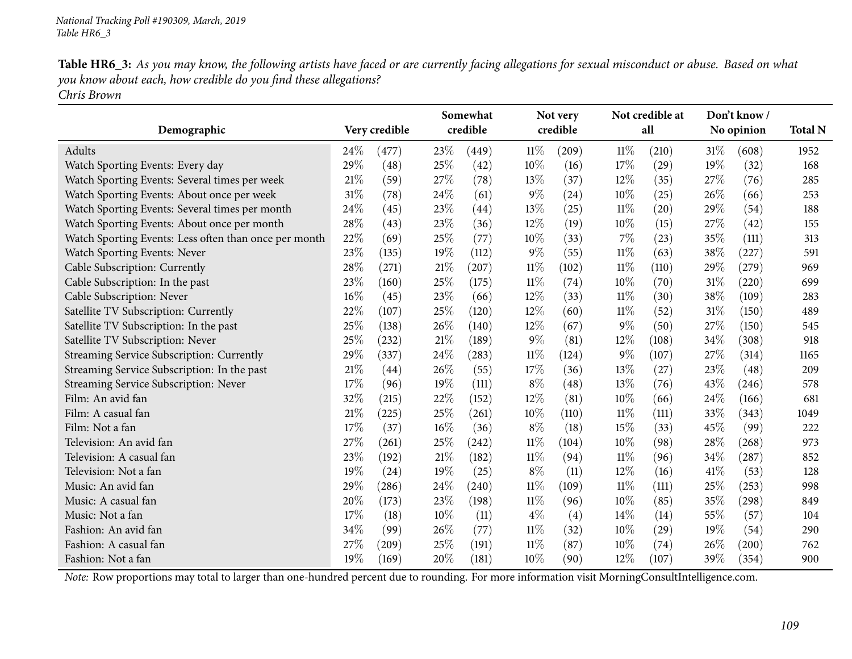| Table HR6_3: As you may know, the following artists have faced or are currently facing allegations for sexual misconduct or abuse. Based on what |  |
|--------------------------------------------------------------------------------------------------------------------------------------------------|--|
| you know about each, how credible do you find these allegations?                                                                                 |  |
| Chris Brown                                                                                                                                      |  |

|                                                       |      |               |        | Somewhat |        | Not very |        | Not credible at |        | Don't know/ |                |
|-------------------------------------------------------|------|---------------|--------|----------|--------|----------|--------|-----------------|--------|-------------|----------------|
| Demographic                                           |      | Very credible |        | credible |        | credible |        | all             |        | No opinion  | <b>Total N</b> |
| Adults                                                | 24\% | (477)         | 23%    | (449)    | $11\%$ | (209)    | $11\%$ | (210)           | $31\%$ | (608)       | 1952           |
| Watch Sporting Events: Every day                      | 29%  | (48)          | 25%    | (42)     | 10%    | (16)     | 17%    | (29)            | 19%    | (32)        | 168            |
| Watch Sporting Events: Several times per week         | 21%  | (59)          | 27%    | (78)     | 13%    | (37)     | 12%    | (35)            | 27%    | (76)        | 285            |
| Watch Sporting Events: About once per week            | 31%  | (78)          | 24%    | (61)     | 9%     | (24)     | 10%    | (25)            | 26%    | (66)        | 253            |
| Watch Sporting Events: Several times per month        | 24%  | (45)          | 23%    | (44)     | 13%    | (25)     | $11\%$ | (20)            | 29%    | (54)        | 188            |
| Watch Sporting Events: About once per month           | 28%  | (43)          | 23%    | (36)     | 12%    | (19)     | 10%    | (15)            | 27%    | (42)        | 155            |
| Watch Sporting Events: Less often than once per month | 22%  | (69)          | 25%    | (77)     | 10%    | (33)     | 7%     | (23)            | 35%    | (111)       | 313            |
| Watch Sporting Events: Never                          | 23%  | (135)         | 19%    | (112)    | 9%     | (55)     | $11\%$ | (63)            | 38%    | (227)       | 591            |
| Cable Subscription: Currently                         | 28%  | (271)         | $21\%$ | (207)    | $11\%$ | (102)    | $11\%$ | (110)           | 29%    | (279)       | 969            |
| Cable Subscription: In the past                       | 23%  | (160)         | 25%    | (175)    | $11\%$ | (74)     | 10%    | (70)            | 31%    | (220)       | 699            |
| Cable Subscription: Never                             | 16%  | (45)          | 23%    | (66)     | 12%    | (33)     | $11\%$ | (30)            | 38%    | (109)       | 283            |
| Satellite TV Subscription: Currently                  | 22%  | (107)         | 25%    | (120)    | 12%    | (60)     | 11%    | (52)            | 31%    | (150)       | 489            |
| Satellite TV Subscription: In the past                | 25%  | (138)         | 26\%   | (140)    | 12%    | (67)     | $9\%$  | (50)            | 27%    | (150)       | 545            |
| Satellite TV Subscription: Never                      | 25%  | (232)         | 21%    | (189)    | $9\%$  | (81)     | 12%    | (108)           | 34%    | (308)       | 918            |
| Streaming Service Subscription: Currently             | 29%  | (337)         | 24\%   | (283)    | $11\%$ | (124)    | 9%     | (107)           | 27%    | (314)       | 1165           |
| Streaming Service Subscription: In the past           | 21%  | (44)          | 26\%   | (55)     | 17%    | (36)     | 13%    | (27)            | 23%    | (48)        | 209            |
| Streaming Service Subscription: Never                 | 17%  | (96)          | 19%    | (111)    | $8\%$  | (48)     | 13%    | (76)            | 43%    | (246)       | 578            |
| Film: An avid fan                                     | 32%  | (215)         | 22\%   | (152)    | 12%    | (81)     | 10%    | (66)            | 24%    | (166)       | 681            |
| Film: A casual fan                                    | 21\% | (225)         | 25%    | (261)    | 10%    | (110)    | $11\%$ | (111)           | 33%    | (343)       | 1049           |
| Film: Not a fan                                       | 17%  | (37)          | 16%    | (36)     | $8\%$  | (18)     | 15%    | (33)            | 45%    | (99)        | 222            |
| Television: An avid fan                               | 27%  | (261)         | 25%    | (242)    | $11\%$ | (104)    | 10%    | (98)            | 28%    | (268)       | 973            |
| Television: A casual fan                              | 23%  | (192)         | $21\%$ | (182)    | $11\%$ | (94)     | $11\%$ | (96)            | 34%    | (287)       | 852            |
| Television: Not a fan                                 | 19%  | (24)          | 19%    | (25)     | $8\%$  | (11)     | 12%    | (16)            | 41\%   | (53)        | 128            |
| Music: An avid fan                                    | 29%  | (286)         | 24\%   | (240)    | $11\%$ | (109)    | $11\%$ | (111)           | 25%    | (253)       | 998            |
| Music: A casual fan                                   | 20%  | (173)         | 23%    | (198)    | $11\%$ | (96)     | 10%    | (85)            | 35%    | (298)       | 849            |
| Music: Not a fan                                      | 17%  | (18)          | 10%    | (11)     | $4\%$  | (4)      | 14%    | (14)            | 55%    | (57)        | 104            |
| Fashion: An avid fan                                  | 34%  | (99)          | 26%    | (77)     | $11\%$ | (32)     | 10%    | (29)            | 19%    | (54)        | 290            |
| Fashion: A casual fan                                 | 27%  | (209)         | 25%    | (191)    | $11\%$ | (87)     | 10%    | (74)            | 26%    | (200)       | 762            |
| Fashion: Not a fan                                    | 19%  | (169)         | 20%    | (181)    | 10%    | (90)     | 12%    | (107)           | 39%    | (354)       | 900            |

*Note:* Row proportions may total to larger than one-hundred percen<sup>t</sup> due to rounding. For more information visit [MorningConsultIntelligence.com](https://morningconsultintelligence.com).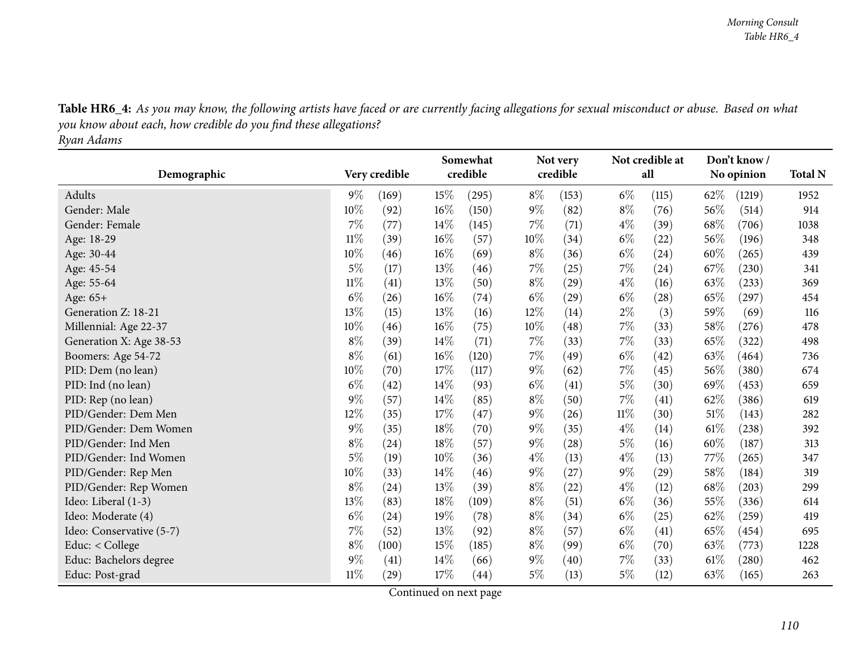| Demographic              | Very credible |       | Somewhat<br>credible |       |        | Not very<br>credible |        | Not credible at<br>all |        | Don't know/<br>No opinion | <b>Total N</b> |
|--------------------------|---------------|-------|----------------------|-------|--------|----------------------|--------|------------------------|--------|---------------------------|----------------|
|                          |               |       |                      |       |        |                      |        |                        |        |                           |                |
| <b>Adults</b>            | $9\%$         | (169) | 15%                  | (295) | $8\%$  | (153)                | $6\%$  | (115)                  | 62%    | (1219)                    | 1952           |
| Gender: Male             | 10%           | (92)  | 16%                  | (150) | $9\%$  | (82)                 | $8\%$  | (76)                   | 56%    | (514)                     | 914            |
| Gender: Female           | 7%            | (77)  | 14\%                 | (145) | 7%     | (71)                 | $4\%$  | (39)                   | 68%    | (706)                     | 1038           |
| Age: 18-29               | $11\%$        | (39)  | 16%                  | (57)  | 10%    | (34)                 | $6\%$  | (22)                   | $56\%$ | (196)                     | 348            |
| Age: 30-44               | 10%           | (46)  | 16%                  | (69)  | $8\%$  | (36)                 | $6\%$  | (24)                   | 60%    | (265)                     | 439            |
| Age: 45-54               | $5\%$         | (17)  | 13%                  | (46)  | 7%     | (25)                 | $7\%$  | (24)                   | 67%    | (230)                     | 341            |
| Age: 55-64               | $11\%$        | (41)  | 13%                  | (50)  | $8\%$  | $\left( 29\right)$   | $4\%$  | (16)                   | 63%    | (233)                     | 369            |
| Age: 65+                 | $6\%$         | (26)  | 16%                  | (74)  | $6\%$  | (29)                 | $6\%$  | (28)                   | 65%    | (297)                     | 454            |
| Generation Z: 18-21      | $13\%$        | (15)  | 13%                  | (16)  | $12\%$ | (14)                 | $2\%$  | (3)                    | 59%    | (69)                      | 116            |
| Millennial: Age 22-37    | $10\%$        | (46)  | 16%                  | (75)  | 10%    | (48)                 | $7\%$  | (33)                   | 58%    | (276)                     | 478            |
| Generation X: Age 38-53  | $8\%$         | (39)  | 14\%                 | (71)  | $7\%$  | (33)                 | $7\%$  | (33)                   | 65%    | (322)                     | 498            |
| Boomers: Age 54-72       | $8\%$         | (61)  | 16%                  | (120) | 7%     | (49)                 | $6\%$  | (42)                   | 63%    | (464)                     | 736            |
| PID: Dem (no lean)       | $10\%$        | (70)  | 17%                  | (117) | $9\%$  | (62)                 | 7%     | (45)                   | 56%    | (380)                     | 674            |
| PID: Ind (no lean)       | $6\%$         | (42)  | 14%                  | (93)  | $6\%$  | (41)                 | $5\%$  | (30)                   | 69%    | (453)                     | 659            |
| PID: Rep (no lean)       | $9\%$         | (57)  | 14\%                 | (85)  | $8\%$  | (50)                 | 7%     | (41)                   | 62\%   | (386)                     | 619            |
| PID/Gender: Dem Men      | 12%           | (35)  | 17%                  | (47)  | $9\%$  | (26)                 | $11\%$ | (30)                   | $51\%$ | (143)                     | 282            |
| PID/Gender: Dem Women    | $9\%$         | (35)  | 18%                  | (70)  | $9\%$  | (35)                 | $4\%$  | (14)                   | $61\%$ | (238)                     | 392            |
| PID/Gender: Ind Men      | $8\%$         | (24)  | 18%                  | (57)  | $9\%$  | (28)                 | $5\%$  | (16)                   | 60%    | (187)                     | 313            |
| PID/Gender: Ind Women    | $5\%$         | (19)  | 10%                  | (36)  | $4\%$  | (13)                 | $4\%$  | (13)                   | $77\%$ | (265)                     | 347            |
| PID/Gender: Rep Men      | $10\%$        | (33)  | 14%                  | (46)  | $9\%$  | (27)                 | $9\%$  | (29)                   | 58%    | (184)                     | 319            |
| PID/Gender: Rep Women    | $8\%$         | (24)  | 13%                  | (39)  | $8\%$  | (22)                 | $4\%$  | (12)                   | 68\%   | (203)                     | 299            |
| Ideo: Liberal (1-3)      | $13\%$        | (83)  | 18%                  | (109) | $8\%$  | (51)                 | $6\%$  | (36)                   | 55%    | (336)                     | 614            |
| Ideo: Moderate (4)       | $6\%$         | (24)  | 19%                  | (78)  | $8\%$  | (34)                 | $6\%$  | (25)                   | 62%    | (259)                     | 419            |
| Ideo: Conservative (5-7) | 7%            | (52)  | 13%                  | (92)  | $8\%$  | (57)                 | $6\%$  | (41)                   | 65%    | (454)                     | 695            |
| Educ: < College          | $8\%$         | (100) | 15%                  | (185) | $8\%$  | (99)                 | $6\%$  | (70)                   | 63%    | (773)                     | 1228           |
| Educ: Bachelors degree   | $9\%$         | (41)  | 14%                  | (66)  | 9%     | (40)                 | $7\%$  | (33)                   | 61%    | (280)                     | 462            |
| Educ: Post-grad          | $11\%$        | (29)  | 17%                  | (44)  | $5\%$  | (13)                 | $5\%$  | (12)                   | 63%    | (165)                     | 263            |

Table HR6\_4: As you may know, the following artists have faced or are currently facing allegations for sexual misconduct or abuse. Based on what *you know about each, how credible do you find these allegations?*

*Ryan Adams*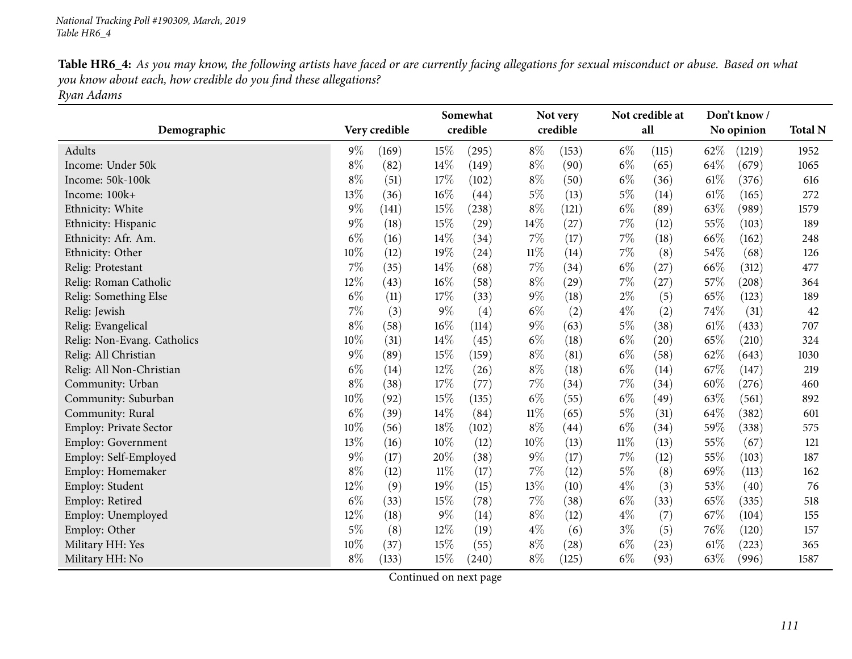Table HR6\_4: As you may know, the following artists have faced or are currently facing allegations for sexual misconduct or abuse. Based on what *you know about each, how credible do you find these allegations? Ryan Adams*

| Demographic                   |        | Very credible |        | Somewhat<br>credible |        | Not very<br>credible |        | Not credible at<br>all |      | Don't know/<br>No opinion | <b>Total N</b> |
|-------------------------------|--------|---------------|--------|----------------------|--------|----------------------|--------|------------------------|------|---------------------------|----------------|
| Adults                        | $9\%$  | (169)         | 15%    | (295)                | $8\%$  | (153)                | $6\%$  | (115)                  | 62\% | (1219)                    | 1952           |
| Income: Under 50k             | $8\%$  | (82)          | 14\%   | (149)                | $8\%$  | (90)                 | $6\%$  | (65)                   | 64\% | (679)                     | 1065           |
| Income: 50k-100k              | $8\%$  | (51)          | 17%    | (102)                | $8\%$  | (50)                 | $6\%$  | (36)                   | 61\% | (376)                     | 616            |
| Income: 100k+                 | 13%    | (36)          | $16\%$ | (44)                 | $5\%$  | (13)                 | $5\%$  | (14)                   | 61\% | (165)                     | 272            |
| Ethnicity: White              | $9\%$  | (141)         | 15%    | (238)                | $8\%$  | (121)                | $6\%$  | (89)                   | 63%  | (989)                     | 1579           |
| Ethnicity: Hispanic           | $9\%$  | (18)          | 15%    | (29)                 | 14%    | (27)                 | $7\%$  | (12)                   | 55%  | (103)                     | 189            |
| Ethnicity: Afr. Am.           | $6\%$  | (16)          | 14\%   | (34)                 | $7\%$  | (17)                 | $7\%$  | (18)                   | 66%  | (162)                     | 248            |
| Ethnicity: Other              | $10\%$ | (12)          | 19%    | (24)                 | $11\%$ | (14)                 | $7\%$  | (8)                    | 54%  | (68)                      | 126            |
| Relig: Protestant             | $7\%$  | (35)          | $14\%$ | (68)                 | $7\%$  | (34)                 | $6\%$  | (27)                   | 66\% | (312)                     | 477            |
| Relig: Roman Catholic         | 12%    | (43)          | $16\%$ | (58)                 | $8\%$  | (29)                 | $7\%$  | (27)                   | 57\% | (208)                     | 364            |
| Relig: Something Else         | $6\%$  | (11)          | 17\%   | (33)                 | $9\%$  | (18)                 | $2\%$  | (5)                    | 65%  | (123)                     | 189            |
| Relig: Jewish                 | 7%     | (3)           | $9\%$  | (4)                  | $6\%$  | (2)                  | $4\%$  | (2)                    | 74%  | (31)                      | 42             |
| Relig: Evangelical            | $8\%$  | (58)          | $16\%$ | (114)                | $9\%$  | (63)                 | $5\%$  | (38)                   | 61\% | (433)                     | 707            |
| Relig: Non-Evang. Catholics   | $10\%$ | (31)          | 14\%   | (45)                 | $6\%$  | (18)                 | $6\%$  | (20)                   | 65%  | (210)                     | 324            |
| Relig: All Christian          | $9\%$  | (89)          | 15%    | (159)                | $8\%$  | (81)                 | $6\%$  | (58)                   | 62%  | (643)                     | 1030           |
| Relig: All Non-Christian      | $6\%$  | (14)          | 12%    | (26)                 | $8\%$  | (18)                 | $6\%$  | (14)                   | 67%  | (147)                     | 219            |
| Community: Urban              | $8\%$  | (38)          | 17%    | (77)                 | $7\%$  | (34)                 | $7\%$  | (34)                   | 60%  | (276)                     | 460            |
| Community: Suburban           | 10%    | (92)          | 15%    | (135)                | $6\%$  | (55)                 | $6\%$  | (49)                   | 63%  | (561)                     | 892            |
| Community: Rural              | $6\%$  | (39)          | 14\%   | (84)                 | $11\%$ | (65)                 | $5\%$  | (31)                   | 64%  | (382)                     | 601            |
| <b>Employ: Private Sector</b> | 10%    | (56)          | $18\%$ | (102)                | $8\%$  | (44)                 | $6\%$  | (34)                   | 59%  | (338)                     | 575            |
| <b>Employ: Government</b>     | $13\%$ | (16)          | $10\%$ | (12)                 | 10%    | (13)                 | $11\%$ | (13)                   | 55%  | (67)                      | 121            |
| Employ: Self-Employed         | $9\%$  | (17)          | 20%    | (38)                 | $9\%$  | (17)                 | $7\%$  | (12)                   | 55%  | (103)                     | 187            |
| Employ: Homemaker             | $8\%$  | (12)          | $11\%$ | (17)                 | $7\%$  | (12)                 | $5\%$  | (8)                    | 69%  | (113)                     | 162            |
| Employ: Student               | 12%    | (9)           | 19%    | (15)                 | 13%    | (10)                 | $4\%$  | (3)                    | 53%  | (40)                      | 76             |
| Employ: Retired               | $6\%$  | (33)          | 15%    | (78)                 | $7\%$  | (38)                 | $6\%$  | (33)                   | 65%  | (335)                     | 518            |
| Employ: Unemployed            | 12%    | (18)          | $9\%$  | (14)                 | $8\%$  | (12)                 | $4\%$  | (7)                    | 67\% | (104)                     | 155            |
| Employ: Other                 | $5\%$  | (8)           | 12%    | (19)                 | $4\%$  | (6)                  | $3\%$  | (5)                    | 76%  | (120)                     | 157            |
| Military HH: Yes              | 10%    | (37)          | 15%    | (55)                 | $8\%$  | (28)                 | $6\%$  | (23)                   | 61\% | (223)                     | 365            |
| Military HH: No               | $8\%$  | (133)         | 15%    | (240)                | $8\%$  | (125)                | $6\%$  | (93)                   | 63%  | (996)                     | 1587           |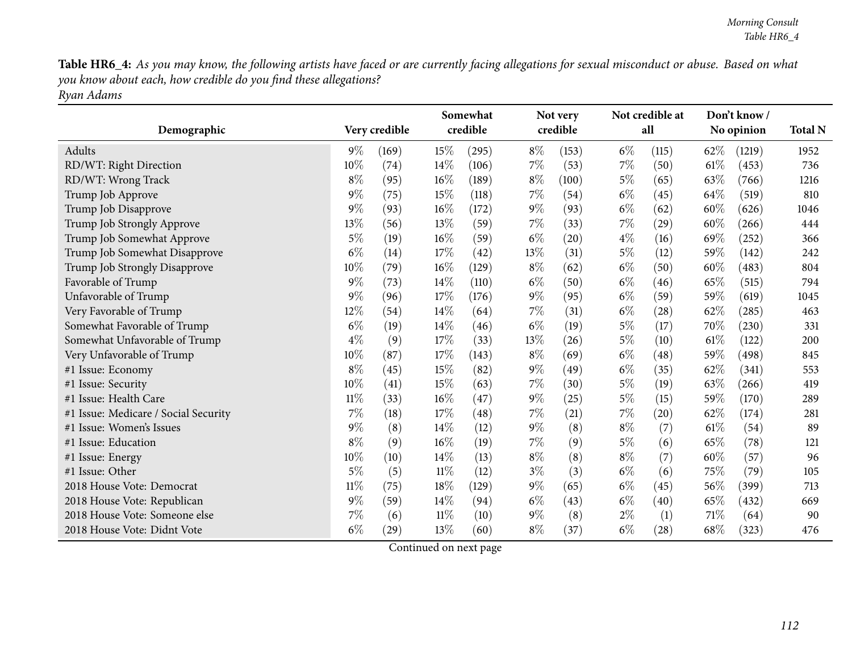Table HR6\_4: As you may know, the following artists have faced or are currently facing allegations for sexual misconduct or abuse. Based on what *you know about each, how credible do you find these allegations? Ryan Adams*

|                                      |        |               |        | Somewhat<br>credible |        | Not very<br>credible |       | Not credible at<br>all |        | Don't know/ |                |
|--------------------------------------|--------|---------------|--------|----------------------|--------|----------------------|-------|------------------------|--------|-------------|----------------|
| Demographic                          |        | Very credible |        |                      |        |                      |       |                        |        | No opinion  | <b>Total N</b> |
| Adults                               | $9\%$  | (169)         | 15%    | (295)                | $8\%$  | (153)                | $6\%$ | (115)                  | 62%    | (1219)      | 1952           |
| RD/WT: Right Direction               | 10%    | (74)          | $14\%$ | (106)                | $7\%$  | (53)                 | $7\%$ | (50)                   | $61\%$ | (453)       | 736            |
| RD/WT: Wrong Track                   | $8\%$  | (95)          | 16%    | (189)                | $8\%$  | (100)                | $5\%$ | (65)                   | 63%    | (766)       | 1216           |
| Trump Job Approve                    | $9\%$  | (75)          | 15%    | (118)                | 7%     | (54)                 | $6\%$ | (45)                   | 64\%   | (519)       | 810            |
| Trump Job Disapprove                 | $9\%$  | (93)          | $16\%$ | (172)                | 9%     | (93)                 | $6\%$ | (62)                   | $60\%$ | (626)       | 1046           |
| Trump Job Strongly Approve           | $13\%$ | (56)          | 13%    | (59)                 | $7\%$  | (33)                 | 7%    | $^{(29)}$              | $60\%$ | (266)       | 444            |
| Trump Job Somewhat Approve           | $5\%$  | (19)          | $16\%$ | (59)                 | $6\%$  | (20)                 | $4\%$ | (16)                   | 69%    | (252)       | 366            |
| Trump Job Somewhat Disapprove        | $6\%$  | (14)          | 17%    | (42)                 | 13%    | (31)                 | $5\%$ | (12)                   | 59%    | (142)       | 242            |
| Trump Job Strongly Disapprove        | $10\%$ | (79)          | $16\%$ | (129)                | $8\%$  | (62)                 | $6\%$ | (50)                   | 60%    | (483)       | 804            |
| Favorable of Trump                   | $9\%$  | (73)          | $14\%$ | (110)                | $6\%$  | (50)                 | $6\%$ | (46)                   | 65%    | (515)       | 794            |
| Unfavorable of Trump                 | 9%     | (96)          | 17%    | (176)                | 9%     | (95)                 | $6\%$ | (59)                   | 59%    | (619)       | 1045           |
| Very Favorable of Trump              | 12%    | (54)          | $14\%$ | (64)                 | 7%     | (31)                 | $6\%$ | $\left( 28\right)$     | 62%    | (285)       | 463            |
| Somewhat Favorable of Trump          | $6\%$  | (19)          | 14%    | (46)                 | $6\%$  | (19)                 | $5\%$ | (17)                   | 70%    | (230)       | 331            |
| Somewhat Unfavorable of Trump        | $4\%$  | (9)           | 17%    | (33)                 | $13\%$ | (26)                 | $5\%$ | (10)                   | $61\%$ | (122)       | 200            |
| Very Unfavorable of Trump            | 10%    | (87)          | 17\%   | (143)                | $8\%$  | (69)                 | $6\%$ | (48)                   | 59%    | (498)       | 845            |
| #1 Issue: Economy                    | $8\%$  | (45)          | 15%    | (82)                 | $9\%$  | (49)                 | $6\%$ | (35)                   | 62%    | (341)       | 553            |
| #1 Issue: Security                   | $10\%$ | (41)          | 15%    | (63)                 | 7%     | (30)                 | 5%    | (19)                   | 63%    | (266)       | 419            |
| #1 Issue: Health Care                | $11\%$ | (33)          | $16\%$ | (47)                 | 9%     | (25)                 | $5\%$ | (15)                   | 59%    | (170)       | 289            |
| #1 Issue: Medicare / Social Security | 7%     | (18)          | 17%    | (48)                 | $7\%$  | (21)                 | 7%    | (20)                   | 62%    | (174)       | 281            |
| #1 Issue: Women's Issues             | $9\%$  | (8)           | 14\%   | (12)                 | 9%     | (8)                  | $8\%$ | (7)                    | 61\%   | (54)        | 89             |
| #1 Issue: Education                  | $8\%$  | (9)           | 16%    | (19)                 | $7\%$  | (9)                  | $5\%$ | (6)                    | 65%    | (78)        | 121            |
| #1 Issue: Energy                     | 10%    | (10)          | $14\%$ | (13)                 | $8\%$  | (8)                  | $8\%$ | (7)                    | 60%    | (57)        | 96             |
| #1 Issue: Other                      | $5\%$  | (5)           | $11\%$ | (12)                 | $3\%$  | (3)                  | $6\%$ | (6)                    | 75%    | (79)        | 105            |
| 2018 House Vote: Democrat            | $11\%$ | (75)          | 18%    | (129)                | 9%     | (65)                 | $6\%$ | (45)                   | 56%    | (399)       | 713            |
| 2018 House Vote: Republican          | $9\%$  | (59)          | $14\%$ | (94)                 | $6\%$  | (43)                 | $6\%$ | (40)                   | 65%    | (432)       | 669            |
| 2018 House Vote: Someone else        | 7%     | (6)           | $11\%$ | (10)                 | $9\%$  | (8)                  | $2\%$ | (1)                    | 71\%   | (64)        | 90             |
| 2018 House Vote: Didnt Vote          | $6\%$  | (29)          | $13\%$ | (60)                 | $8\%$  | (37)                 | $6\%$ | (28)                   | 68\%   | (323)       | 476            |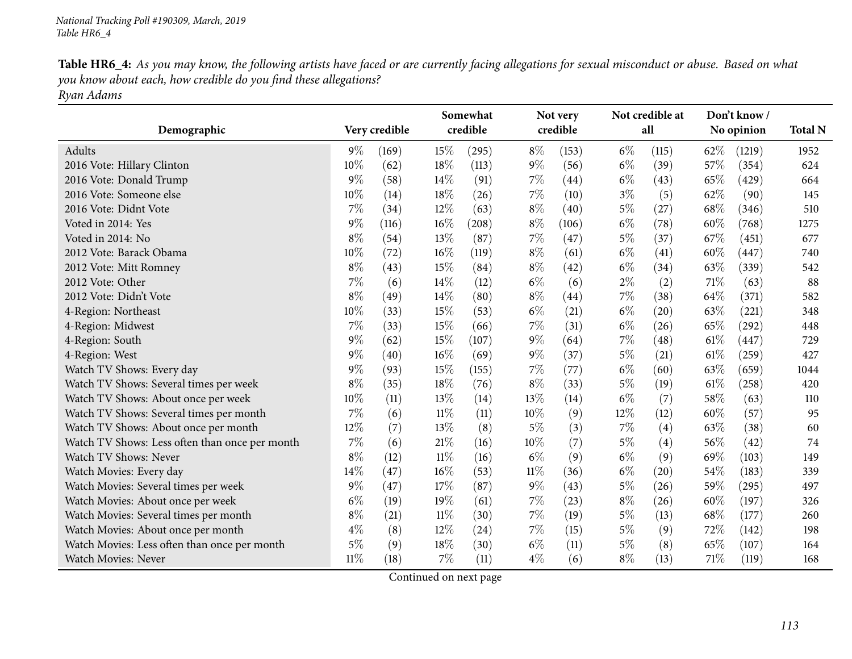Table HR6\_4: As you may know, the following artists have faced or are currently facing allegations for sexual misconduct or abuse. Based on what *you know about each, how credible do you find these allegations? Ryan Adams*

| Demographic                                    |        | Very credible |        | Somewhat<br>credible |        | Not very<br>credible |       | Not credible at<br>all |        | Don't know /<br>No opinion | <b>Total N</b> |
|------------------------------------------------|--------|---------------|--------|----------------------|--------|----------------------|-------|------------------------|--------|----------------------------|----------------|
| Adults                                         | $9\%$  | (169)         | 15%    | (295)                | $8\%$  | (153)                | $6\%$ | (115)                  | 62\%   | (1219)                     | 1952           |
| 2016 Vote: Hillary Clinton                     | 10%    | (62)          | 18%    | (113)                | $9\%$  | (56)                 | $6\%$ | (39)                   | 57%    | (354)                      | 624            |
| 2016 Vote: Donald Trump                        | $9\%$  | (58)          | 14%    | (91)                 | $7\%$  | (44)                 | $6\%$ | (43)                   | 65%    | (429)                      | 664            |
| 2016 Vote: Someone else                        | 10%    | (14)          | 18%    | (26)                 | $7\%$  | (10)                 | $3\%$ | (5)                    | 62%    | (90)                       | 145            |
| 2016 Vote: Didnt Vote                          | $7\%$  | (34)          | $12\%$ | (63)                 | $8\%$  | (40)                 | $5\%$ | $\left( 27\right)$     | 68\%   | (346)                      | 510            |
| Voted in 2014: Yes                             | $9\%$  | (116)         | $16\%$ | (208)                | $8\%$  | (106)                | $6\%$ | (78)                   | 60%    | (768)                      | 1275           |
| Voted in 2014: No                              | $8\%$  | (54)          | 13\%   | (87)                 | $7\%$  | (47)                 | $5\%$ | (37)                   | 67\%   | (451)                      | 677            |
| 2012 Vote: Barack Obama                        | 10%    | (72)          | $16\%$ | (119)                | $8\%$  | (61)                 | $6\%$ | (41)                   | 60%    | (447)                      | 740            |
| 2012 Vote: Mitt Romney                         | $8\%$  | (43)          | 15%    | (84)                 | $8\%$  | (42)                 | $6\%$ | (34)                   | 63%    | (339)                      | 542            |
| 2012 Vote: Other                               | 7%     | (6)           | $14\%$ | (12)                 | $6\%$  | (6)                  | $2\%$ | (2)                    | 71%    | (63)                       | 88             |
| 2012 Vote: Didn't Vote                         | $8\%$  | (49)          | 14%    | (80)                 | $8\%$  | (44)                 | $7\%$ | (38)                   | 64%    | (371)                      | 582            |
| 4-Region: Northeast                            | 10%    | (33)          | 15%    | (53)                 | $6\%$  | (21)                 | $6\%$ | $\left( 20\right)$     | 63\%   | (221)                      | 348            |
| 4-Region: Midwest                              | $7\%$  | (33)          | 15%    | (66)                 | $7\%$  | (31)                 | $6\%$ | (26)                   | 65%    | (292)                      | 448            |
| 4-Region: South                                | $9\%$  | (62)          | 15%    | (107)                | $9\%$  | (64)                 | $7\%$ | (48)                   | $61\%$ | (447)                      | 729            |
| 4-Region: West                                 | $9\%$  | (40)          | $16\%$ | (69)                 | $9\%$  | (37)                 | $5\%$ | (21)                   | 61\%   | (259)                      | 427            |
| Watch TV Shows: Every day                      | $9\%$  | (93)          | 15%    | (155)                | $7\%$  | (77)                 | $6\%$ | (60)                   | 63\%   | (659)                      | 1044           |
| Watch TV Shows: Several times per week         | $8\%$  | (35)          | 18%    | (76)                 | $8\%$  | (33)                 | $5\%$ | (19)                   | 61\%   | (258)                      | 420            |
| Watch TV Shows: About once per week            | 10%    | (11)          | 13%    | (14)                 | 13%    | (14)                 | $6\%$ | (7)                    | 58%    | (63)                       | 110            |
| Watch TV Shows: Several times per month        | $7\%$  | (6)           | $11\%$ | (11)                 | 10%    | (9)                  | 12%   | (12)                   | 60%    | (57)                       | 95             |
| Watch TV Shows: About once per month           | 12%    | (7)           | 13%    | (8)                  | $5\%$  | (3)                  | $7\%$ | (4)                    | 63%    | (38)                       | 60             |
| Watch TV Shows: Less often than once per month | $7\%$  | (6)           | 21%    | (16)                 | 10%    | (7)                  | $5\%$ | (4)                    | 56\%   | (42)                       | 74             |
| Watch TV Shows: Never                          | $8\%$  | (12)          | $11\%$ | (16)                 | $6\%$  | (9)                  | $6\%$ | (9)                    | 69%    | (103)                      | 149            |
| Watch Movies: Every day                        | 14\%   | (47)          | $16\%$ | (53)                 | $11\%$ | (36)                 | $6\%$ | $\left( 20\right)$     | 54%    | (183)                      | 339            |
| Watch Movies: Several times per week           | $9\%$  | (47)          | 17%    | (87)                 | $9\%$  | (43)                 | $5\%$ | (26)                   | 59%    | (295)                      | 497            |
| Watch Movies: About once per week              | $6\%$  | (19)          | 19%    | (61)                 | $7\%$  | (23)                 | $8\%$ | (26)                   | 60%    | (197)                      | 326            |
| Watch Movies: Several times per month          | $8\%$  | (21)          | $11\%$ | (30)                 | $7\%$  | (19)                 | $5\%$ | (13)                   | 68%    | (177)                      | 260            |
| Watch Movies: About once per month             | $4\%$  | (8)           | $12\%$ | (24)                 | $7\%$  | (15)                 | $5\%$ | (9)                    | 72%    | (142)                      | 198            |
| Watch Movies: Less often than once per month   | $5\%$  | (9)           | 18%    | (30)                 | $6\%$  | (11)                 | 5%    | (8)                    | 65%    | (107)                      | 164            |
| <b>Watch Movies: Never</b>                     | $11\%$ | (18)          | $7\%$  | (11)                 | $4\%$  | (6)                  | $8\%$ | (13)                   | 71%    | (119)                      | 168            |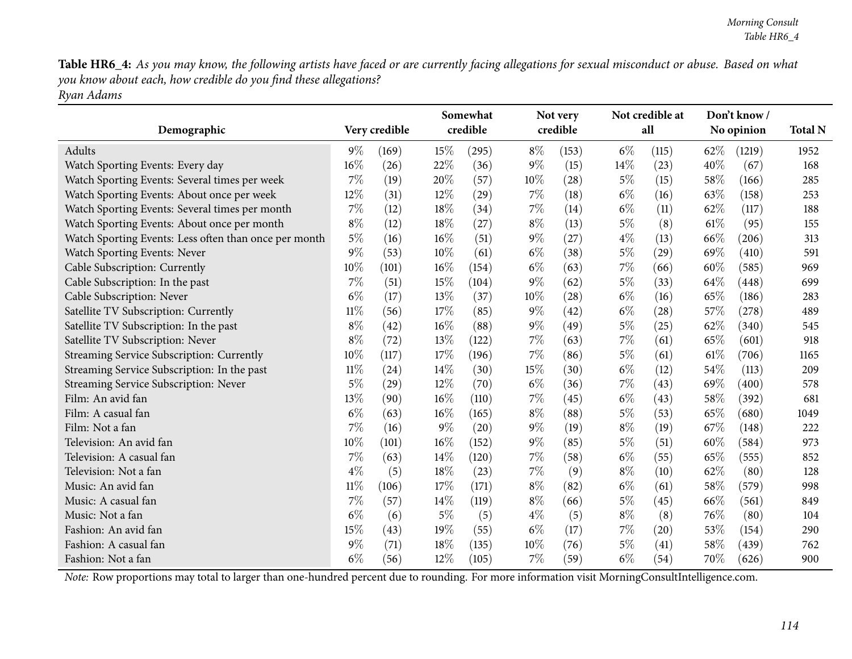Table HR6\_4: As you may know, the following artists have faced or are currently facing allegations for sexual misconduct or abuse. Based on what *you know about each, how credible do you find these allegations? Ryan Adams*

| Demographic                                           | Very credible |       | Somewhat<br>credible |       |       | Not very<br>credible |        | Not credible at<br>all |        | Don't know/<br>No opinion |      |
|-------------------------------------------------------|---------------|-------|----------------------|-------|-------|----------------------|--------|------------------------|--------|---------------------------|------|
| Adults                                                | $9\%$         | (169) | 15%                  | (295) | $8\%$ | (153)                | $6\%$  | (115)                  | 62\%   | (1219)                    | 1952 |
| Watch Sporting Events: Every day                      | 16%           | (26)  | 22%                  | (36)  | 9%    | (15)                 | $14\%$ | (23)                   | 40%    | (67)                      | 168  |
| Watch Sporting Events: Several times per week         | 7%            | (19)  | 20%                  | (57)  | 10%   | (28)                 | $5\%$  | (15)                   | 58%    | (166)                     | 285  |
| Watch Sporting Events: About once per week            | 12%           | (31)  | 12%                  | (29)  | 7%    | (18)                 | $6\%$  | (16)                   | 63%    | (158)                     | 253  |
| Watch Sporting Events: Several times per month        | 7%            | (12)  | 18%                  | (34)  | 7%    | (14)                 | $6\%$  | (11)                   | 62%    | (117)                     | 188  |
| Watch Sporting Events: About once per month           | $8\%$         | (12)  | 18%                  | (27)  | $8\%$ | (13)                 | $5\%$  | (8)                    | 61%    | (95)                      | 155  |
| Watch Sporting Events: Less often than once per month | $5\%$         | (16)  | 16%                  | (51)  | $9\%$ | (27)                 | $4\%$  | (13)                   | 66%    | (206)                     | 313  |
| Watch Sporting Events: Never                          | 9%            | (53)  | 10%                  | (61)  | $6\%$ | (38)                 | $5\%$  | (29)                   | 69%    | (410)                     | 591  |
| Cable Subscription: Currently                         | 10%           | (101) | 16%                  | (154) | $6\%$ | (63)                 | 7%     | (66)                   | $60\%$ | (585)                     | 969  |
| Cable Subscription: In the past                       | 7%            | (51)  | 15%                  | (104) | 9%    | (62)                 | $5\%$  | (33)                   | 64%    | (448)                     | 699  |
| Cable Subscription: Never                             | $6\%$         | (17)  | 13%                  | (37)  | 10%   | (28)                 | $6\%$  | (16)                   | 65%    | (186)                     | 283  |
| Satellite TV Subscription: Currently                  | $11\%$        | (56)  | 17%                  | (85)  | $9\%$ | (42)                 | $6\%$  | (28)                   | 57%    | (278)                     | 489  |
| Satellite TV Subscription: In the past                | $8\%$         | (42)  | 16%                  | (88)  | 9%    | (49)                 | $5\%$  | (25)                   | 62%    | (340)                     | 545  |
| Satellite TV Subscription: Never                      | $8\%$         | (72)  | 13%                  | (122) | 7%    | (63)                 | $7\%$  | (61)                   | 65%    | (601)                     | 918  |
| Streaming Service Subscription: Currently             | $10\%$        | (117) | 17%                  | (196) | 7%    | (86)                 | $5\%$  | (61)                   | 61\%   | (706)                     | 1165 |
| Streaming Service Subscription: In the past           | $11\%$        | (24)  | 14\%                 | (30)  | 15%   | (30)                 | $6\%$  | (12)                   | 54%    | (113)                     | 209  |
| Streaming Service Subscription: Never                 | 5%            | (29)  | 12%                  | (70)  | $6\%$ | (36)                 | 7%     | (43)                   | 69%    | (400)                     | 578  |
| Film: An avid fan                                     | 13%           | (90)  | 16%                  | (110) | 7%    | (45)                 | $6\%$  | (43)                   | 58%    | (392)                     | 681  |
| Film: A casual fan                                    | $6\%$         | (63)  | 16%                  | (165) | $8\%$ | (88)                 | $5\%$  | (53)                   | 65%    | (680)                     | 1049 |
| Film: Not a fan                                       | 7%            | (16)  | $9\%$                | (20)  | 9%    | (19)                 | $8\%$  | (19)                   | 67%    | (148)                     | 222  |
| Television: An avid fan                               | 10%           | (101) | 16%                  | (152) | 9%    | (85)                 | $5\%$  | (51)                   | 60%    | (584)                     | 973  |
| Television: A casual fan                              | 7%            | (63)  | 14\%                 | (120) | 7%    | (58)                 | $6\%$  | (55)                   | 65%    | (555)                     | 852  |
| Television: Not a fan                                 | $4\%$         | (5)   | 18%                  | (23)  | 7%    | (9)                  | $8\%$  | (10)                   | $62\%$ | (80)                      | 128  |
| Music: An avid fan                                    | $11\%$        | (106) | 17\%                 | (171) | $8\%$ | (82)                 | $6\%$  | (61)                   | 58%    | (579)                     | 998  |
| Music: A casual fan                                   | 7%            | (57)  | 14%                  | (119) | $8\%$ | (66)                 | $5\%$  | (45)                   | 66%    | (561)                     | 849  |
| Music: Not a fan                                      | $6\%$         | (6)   | $5\%$                | (5)   | $4\%$ | (5)                  | $8\%$  | (8)                    | 76%    | (80)                      | 104  |
| Fashion: An avid fan                                  | 15%           | (43)  | 19%                  | (55)  | $6\%$ | (17)                 | 7%     | (20)                   | 53%    | (154)                     | 290  |
| Fashion: A casual fan                                 | 9%            | (71)  | 18%                  | (135) | 10%   | (76)                 | $5\%$  | (41)                   | 58%    | (439)                     | 762  |
| Fashion: Not a fan                                    | $6\%$         | (56)  | 12%                  | (105) | 7%    | (59)                 | $6\%$  | (54)                   | 70%    | (626)                     | 900  |

*Note:* Row proportions may total to larger than one-hundred percen<sup>t</sup> due to rounding. For more information visit [MorningConsultIntelligence.com](https://morningconsultintelligence.com).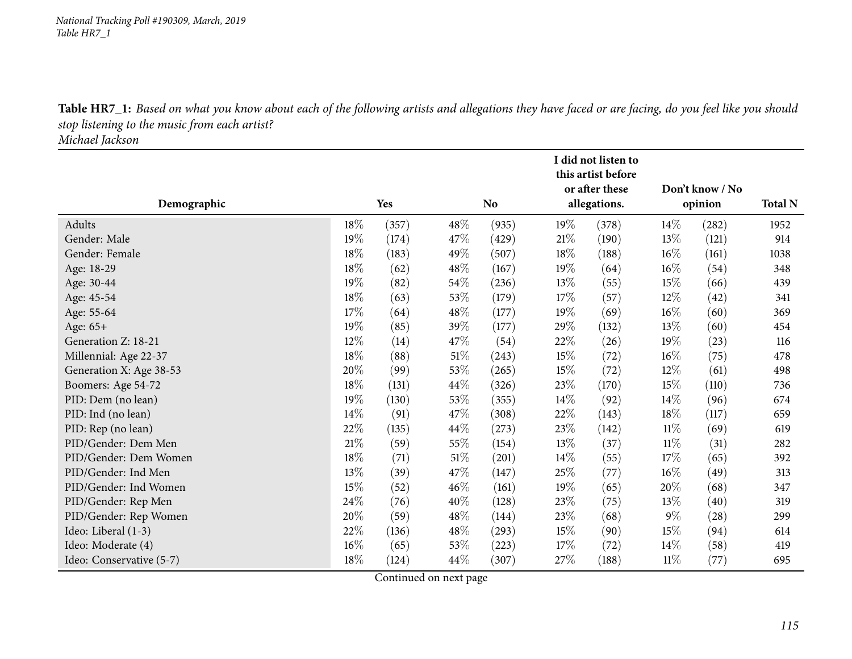*National Tracking Poll #190309, March, <sup>2019</sup> Table HR7\_1*

Table HR7\_1: Based on what you know about each of the following artists and allegations they have faced or are facing, do you feel like you should *stop listening to the music from each artist?*

*Michael Jackson*

|                          |        |            |      |           |        | I did not listen to<br>this artist before |        |                 |                |
|--------------------------|--------|------------|------|-----------|--------|-------------------------------------------|--------|-----------------|----------------|
|                          |        |            |      |           |        | or after these                            |        | Don't know / No |                |
| Demographic              |        | <b>Yes</b> |      | <b>No</b> |        | allegations.                              |        | opinion         | <b>Total N</b> |
| Adults                   | 18%    | (357)      | 48\% | (935)     | $19\%$ | (378)                                     | $14\%$ | (282)           | 1952           |
| Gender: Male             | 19%    | (174)      | 47\% | (429)     | $21\%$ | (190)                                     | 13\%   | (121)           | 914            |
| Gender: Female           | 18%    | (183)      | 49%  | (507)     | 18\%   | (188)                                     | $16\%$ | (161)           | 1038           |
| Age: 18-29               | $18\%$ | (62)       | 48\% | (167)     | 19%    | (64)                                      | $16\%$ | (54)            | 348            |
| Age: 30-44               | 19%    | (82)       | 54\% | (236)     | 13\%   | (55)                                      | $15\%$ | (66)            | 439            |
| Age: 45-54               | 18%    | (63)       | 53%  | (179)     | 17%    | (57)                                      | $12\%$ | (42)            | 341            |
| Age: 55-64               | 17%    | (64)       | 48\% | (177)     | 19%    | (69)                                      | 16%    | (60)            | 369            |
| Age: 65+                 | 19%    | (85)       | 39%  | (177)     | 29%    | (132)                                     | 13%    | (60)            | 454            |
| Generation Z: 18-21      | 12\%   | (14)       | 47\% | (54)      | 22\%   | (26)                                      | 19%    | (23)            | 116            |
| Millennial: Age 22-37    | $18\%$ | (88)       | 51\% | (243)     | 15\%   | (72)                                      | $16\%$ | (75)            | 478            |
| Generation X: Age 38-53  | 20%    | (99)       | 53%  | (265)     | 15\%   | (72)                                      | $12\%$ | (61)            | 498            |
| Boomers: Age 54-72       | 18%    | (131)      | 44\% | (326)     | 23\%   | (170)                                     | $15\%$ | (110)           | 736            |
| PID: Dem (no lean)       | 19%    | (130)      | 53%  | (355)     | 14%    | (92)                                      | 14\%   | (96)            | 674            |
| PID: Ind (no lean)       | $14\%$ | (91)       | 47\% | (308)     | 22\%   | (143)                                     | 18%    | (117)           | 659            |
| PID: Rep (no lean)       | 22%    | (135)      | 44%  | (273)     | 23%    | (142)                                     | $11\%$ | (69)            | 619            |
| PID/Gender: Dem Men      | $21\%$ | (59)       | 55%  | (154)     | 13%    | (37)                                      | $11\%$ | (31)            | 282            |
| PID/Gender: Dem Women    | 18%    | (71)       | 51\% | (201)     | $14\%$ | (55)                                      | 17\%   | (65)            | 392            |
| PID/Gender: Ind Men      | 13%    | (39)       | 47\% | (147)     | 25\%   | (77)                                      | $16\%$ | (49)            | 313            |
| PID/Gender: Ind Women    | 15%    | (52)       | 46\% | (161)     | 19%    | (65)                                      | 20%    | (68)            | 347            |
| PID/Gender: Rep Men      | $24\%$ | (76)       | 40\% | (128)     | 23\%   | (75)                                      | 13\%   | (40)            | 319            |
| PID/Gender: Rep Women    | 20%    | (59)       | 48%  | (144)     | 23\%   | (68)                                      | $9\%$  | (28)            | 299            |
| Ideo: Liberal (1-3)      | 22%    | (136)      | 48\% | (293)     | 15\%   | (90)                                      | $15\%$ | (94)            | 614            |
| Ideo: Moderate (4)       | $16\%$ | (65)       | 53\% | (223)     | 17%    | (72)                                      | $14\%$ | (58)            | 419            |
| Ideo: Conservative (5-7) | 18%    | (124)      | 44\% | (307)     | 27%    | (188)                                     | $11\%$ | (77)            | 695            |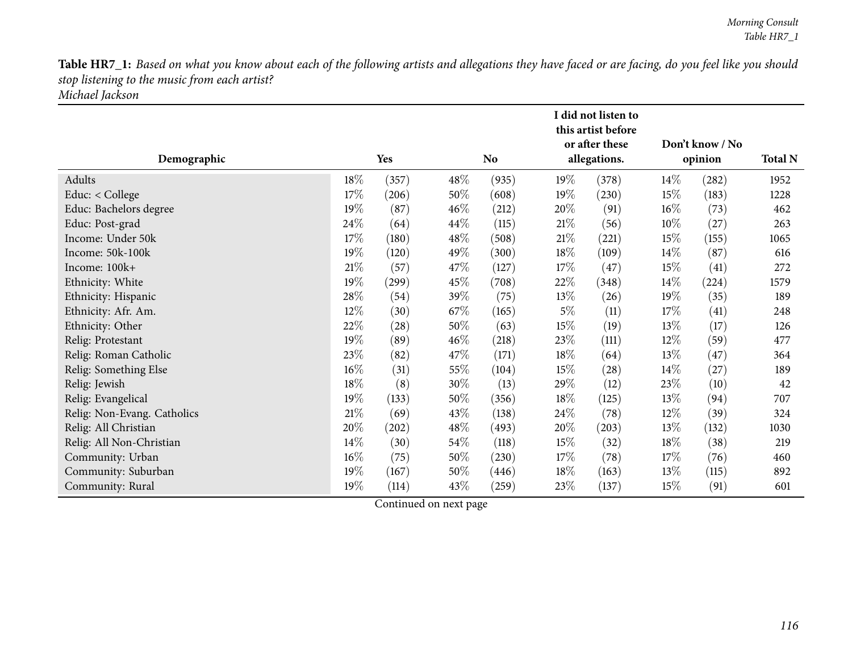| Demographic                          |        | Yes<br><b>No</b> |        |                |        | I did not listen to<br>this artist before<br>or after these<br>allegations. |        | Don't know / No<br>opinion |              |  |  |
|--------------------------------------|--------|------------------|--------|----------------|--------|-----------------------------------------------------------------------------|--------|----------------------------|--------------|--|--|
| Adults                               | 18%    |                  | 48\%   |                | $19\%$ |                                                                             | $14\%$ |                            |              |  |  |
| Educ: < College                      | 17%    | (357)            | $50\%$ | (935)          | 19%    | (378)                                                                       | 15%    | (282)                      | 1952<br>1228 |  |  |
|                                      | 19%    | (206)<br>(87)    | 46%    | (608)          | $20\%$ | (230)                                                                       | 16%    | (183)                      | 462          |  |  |
| Educ: Bachelors degree               | 24\%   | (64)             | 44\%   | (212)          | 21%    | (91)                                                                        | $10\%$ | (73)                       | 263          |  |  |
| Educ: Post-grad<br>Income: Under 50k | 17\%   | (180)            | 48\%   | (115)<br>(508) | 21%    | (56)                                                                        | 15%    | (27)                       | 1065         |  |  |
| Income: 50k-100k                     | 19%    |                  | 49%    |                | 18%    | (221)                                                                       | 14\%   | (155)                      | 616          |  |  |
| Income: 100k+                        | $21\%$ | (120)            | 47%    | (300)          | 17%    | (109)                                                                       | 15%    | (87)                       | 272          |  |  |
|                                      |        | (57)             |        | (127)          |        | (47)                                                                        |        | (41)                       |              |  |  |
| Ethnicity: White                     | 19%    | (299)            | 45\%   | (708)          | 22\%   | (348)                                                                       | 14\%   | (224)                      | 1579         |  |  |
| Ethnicity: Hispanic                  | 28\%   | (54)             | 39%    | (75)           | 13%    | (26)                                                                        | 19%    | (35)                       | 189          |  |  |
| Ethnicity: Afr. Am.                  | 12\%   | (30)             | 67\%   | (165)          | $5\%$  | (11)                                                                        | 17%    | (41)                       | 248          |  |  |
| Ethnicity: Other                     | 22%    | (28)             | 50%    | (63)           | 15%    | (19)                                                                        | 13%    | (17)                       | 126          |  |  |
| Relig: Protestant                    | 19%    | (89)             | 46%    | (218)          | 23\%   | (111)                                                                       | $12\%$ | (59)                       | 477          |  |  |
| Relig: Roman Catholic                | 23%    | (82)             | 47\%   | (171)          | 18%    | (64)                                                                        | 13%    | (47)                       | 364          |  |  |
| Relig: Something Else                | $16\%$ | (31)             | 55%    | (104)          | 15%    | (28)                                                                        | 14\%   | $^{(27)}$                  | 189          |  |  |
| Relig: Jewish                        | 18%    | (8)              | $30\%$ | (13)           | $29\%$ | (12)                                                                        | 23%    | (10)                       | 42           |  |  |
| Relig: Evangelical                   | 19%    | (133)            | 50%    | (356)          | 18%    | (125)                                                                       | 13%    | (94)                       | 707          |  |  |
| Relig: Non-Evang. Catholics          | $21\%$ | (69)             | 43%    | (138)          | 24\%   | (78)                                                                        | $12\%$ | (39)                       | 324          |  |  |
| Relig: All Christian                 | 20%    | (202)            | 48\%   | (493)          | $20\%$ | (203)                                                                       | 13%    | (132)                      | 1030         |  |  |
| Relig: All Non-Christian             | $14\%$ | (30)             | $54\%$ | (118)          | 15\%   | (32)                                                                        | 18%    | (38)                       | 219          |  |  |
| Community: Urban                     | $16\%$ | (75)             | 50%    | (230)          | 17%    | (78)                                                                        | 17%    | (76)                       | 460          |  |  |
| Community: Suburban                  | 19%    | (167)            | $50\%$ | (446)          | 18\%   | (163)                                                                       | 13%    | (115)                      | 892          |  |  |
| Community: Rural                     | 19%    | (114)            | 43%    | (259)          | 23\%   | (137)                                                                       | $15\%$ | (91)                       | 601          |  |  |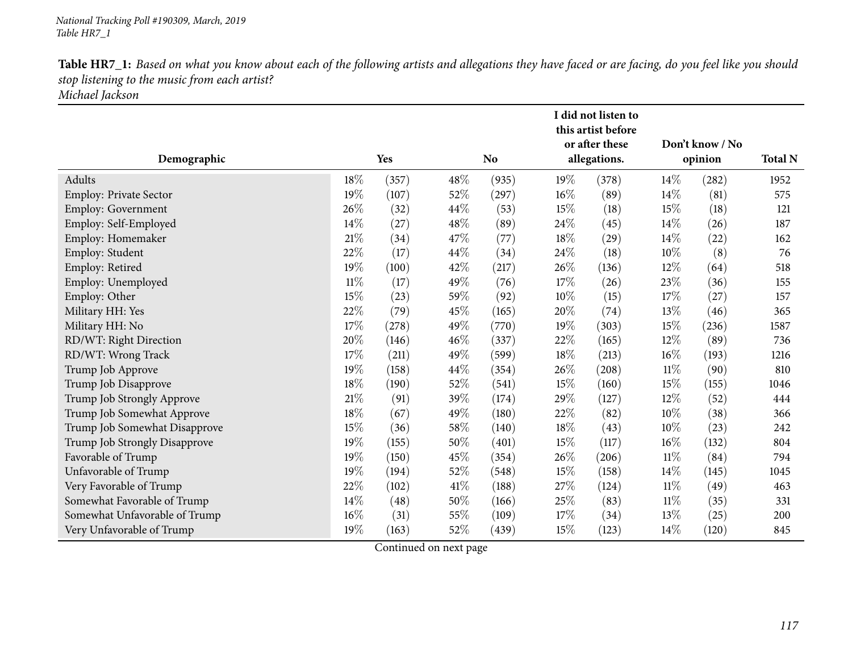|                               |        |       |        |           | I did not listen to<br>this artist before<br>or after these |              | Don't know / No |         |                |
|-------------------------------|--------|-------|--------|-----------|-------------------------------------------------------------|--------------|-----------------|---------|----------------|
| Demographic                   |        | Yes   |        | <b>No</b> |                                                             | allegations. |                 | opinion | <b>Total N</b> |
| Adults                        | 18%    | (357) | 48\%   | (935)     | 19%                                                         | (378)        | 14%             | (282)   | 1952           |
| Employ: Private Sector        | 19%    | (107) | 52%    | (297)     | 16%                                                         | (89)         | 14%             | (81)    | 575            |
| Employ: Government            | 26%    | (32)  | 44\%   | (53)      | 15%                                                         | (18)         | $15\%$          | (18)    | 121            |
| Employ: Self-Employed         | 14\%   | (27)  | 48%    | (89)      | 24\%                                                        | (45)         | 14%             | (26)    | 187            |
| Employ: Homemaker             | 21%    | (34)  | 47\%   | (77)      | 18%                                                         | (29)         | 14%             | (22)    | 162            |
| Employ: Student               | 22\%   | (17)  | 44\%   | (34)      | 24\%                                                        | (18)         | 10%             | (8)     | 76             |
| Employ: Retired               | 19%    | (100) | 42\%   | (217)     | 26\%                                                        | (136)        | 12%             | (64)    | 518            |
| Employ: Unemployed            | $11\%$ | (17)  | 49%    | (76)      | 17%                                                         | (26)         | 23%             | (36)    | 155            |
| Employ: Other                 | $15\%$ | (23)  | 59%    | (92)      | 10%                                                         | (15)         | 17%             | (27)    | 157            |
| Military HH: Yes              | 22\%   | (79)  | 45%    | (165)     | 20%                                                         | (74)         | 13%             | (46)    | 365            |
| Military HH: No               | $17\%$ | (278) | 49%    | (770)     | 19%                                                         | (303)        | 15%             | (236)   | 1587           |
| RD/WT: Right Direction        | $20\%$ | (146) | $46\%$ | (337)     | 22%                                                         | (165)        | 12%             | (89)    | 736            |
| RD/WT: Wrong Track            | 17%    | (211) | 49%    | (599)     | 18%                                                         | (213)        | 16%             | (193)   | 1216           |
| Trump Job Approve             | 19%    | (158) | 44%    | (354)     | 26\%                                                        | (208)        | 11%             | (90)    | 810            |
| Trump Job Disapprove          | $18\%$ | (190) | 52\%   | (541)     | 15%                                                         | (160)        | 15%             | (155)   | 1046           |
| Trump Job Strongly Approve    | 21%    | (91)  | 39%    | (174)     | 29%                                                         | (127)        | 12%             | (52)    | 444            |
| Trump Job Somewhat Approve    | 18%    | (67)  | 49%    | (180)     | 22\%                                                        | (82)         | 10%             | (38)    | 366            |
| Trump Job Somewhat Disapprove | 15%    | (36)  | 58%    | (140)     | 18%                                                         | (43)         | 10%             | (23)    | 242            |
| Trump Job Strongly Disapprove | 19%    | (155) | $50\%$ | (401)     | 15%                                                         | (117)        | $16\%$          | (132)   | 804            |
| Favorable of Trump            | 19%    | (150) | 45%    | (354)     | 26\%                                                        | (206)        | $11\%$          | (84)    | 794            |
| Unfavorable of Trump          | 19%    | (194) | 52\%   | (548)     | 15%                                                         | (158)        | 14%             | (145)   | 1045           |
| Very Favorable of Trump       | $22\%$ | (102) | 41\%   | (188)     | 27\%                                                        | (124)        | 11%             | (49)    | 463            |
| Somewhat Favorable of Trump   | 14%    | (48)  | 50%    | (166)     | 25%                                                         | (83)         | $11\%$          | (35)    | 331            |
| Somewhat Unfavorable of Trump | 16%    | (31)  | 55%    | (109)     | 17%                                                         | (34)         | 13%             | (25)    | 200            |
| Very Unfavorable of Trump     | 19%    | (163) | 52%    | (439)     | 15%                                                         | (123)        | 14%             | (120)   | 845            |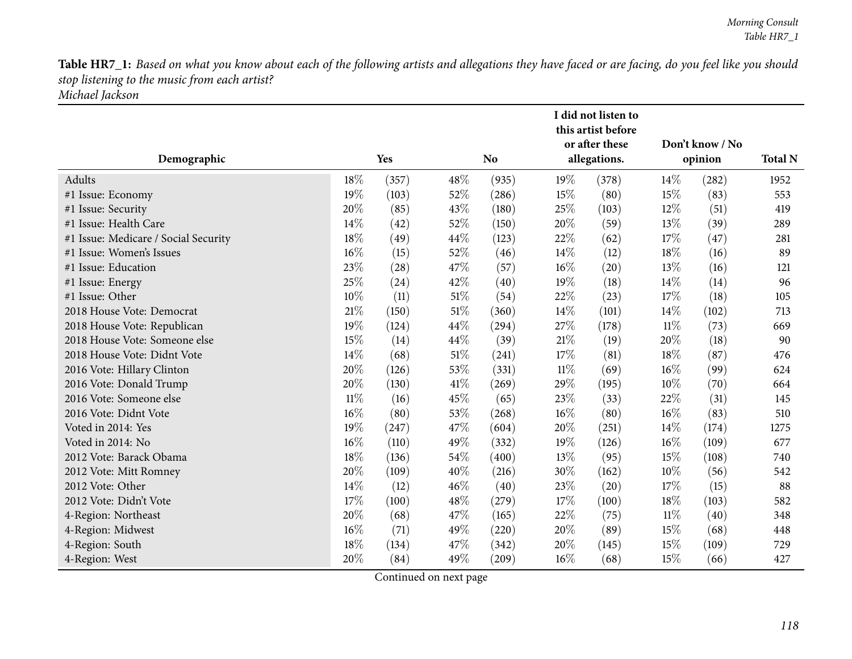|                                      |        |       | I did not listen to<br>this artist before<br>or after these<br>Don't know / No |           |              |       |        |         |                |
|--------------------------------------|--------|-------|--------------------------------------------------------------------------------|-----------|--------------|-------|--------|---------|----------------|
| Demographic                          | Yes    |       |                                                                                | <b>No</b> | allegations. |       |        | opinion | <b>Total N</b> |
| Adults                               | 18%    | (357) | 48\%                                                                           | (935)     | 19%          | (378) | 14%    | (282)   | 1952           |
| #1 Issue: Economy                    | 19%    | (103) | 52%                                                                            | (286)     | 15%          | (80)  | 15%    | (83)    | 553            |
| #1 Issue: Security                   | 20%    | (85)  | 43%                                                                            | (180)     | 25%          | (103) | 12%    | (51)    | 419            |
| #1 Issue: Health Care                | 14%    | (42)  | 52%                                                                            | (150)     | 20%          | (59)  | 13%    | (39)    | 289            |
| #1 Issue: Medicare / Social Security | 18%    | (49)  | 44%                                                                            | (123)     | 22%          | (62)  | 17\%   | (47)    | 281            |
| #1 Issue: Women's Issues             | 16%    | (15)  | 52%                                                                            | (46)      | 14%          | (12)  | 18%    | (16)    | 89             |
| #1 Issue: Education                  | 23%    | (28)  | 47%                                                                            | (57)      | 16%          | (20)  | 13%    | (16)    | 121            |
| #1 Issue: Energy                     | 25%    | (24)  | 42%                                                                            | (40)      | 19%          | (18)  | 14%    | (14)    | 96             |
| #1 Issue: Other                      | $10\%$ | (11)  | $51\%$                                                                         | (54)      | 22%          | (23)  | 17\%   | (18)    | 105            |
| 2018 House Vote: Democrat            | 21%    | (150) | $51\%$                                                                         | (360)     | 14%          | (101) | 14%    | (102)   | 713            |
| 2018 House Vote: Republican          | 19%    | (124) | 44\%                                                                           | (294)     | 27%          | (178) | 11%    | (73)    | 669            |
| 2018 House Vote: Someone else        | 15%    | (14)  | 44\%                                                                           | (39)      | 21%          | (19)  | 20%    | (18)    | 90             |
| 2018 House Vote: Didnt Vote          | 14%    | (68)  | $51\%$                                                                         | (241)     | 17%          | (81)  | 18%    | (87)    | 476            |
| 2016 Vote: Hillary Clinton           | 20%    | (126) | 53%                                                                            | (331)     | $11\%$       | (69)  | 16%    | (99)    | 624            |
| 2016 Vote: Donald Trump              | 20%    | (130) | 41\%                                                                           | (269)     | 29%          | (195) | 10%    | (70)    | 664            |
| 2016 Vote: Someone else              | $11\%$ | (16)  | 45%                                                                            | (65)      | 23%          | (33)  | 22%    | (31)    | 145            |
| 2016 Vote: Didnt Vote                | 16%    | (80)  | 53%                                                                            | (268)     | 16%          | (80)  | 16%    | (83)    | 510            |
| Voted in 2014: Yes                   | 19%    | (247) | 47%                                                                            | (604)     | 20%          | (251) | 14%    | (174)   | 1275           |
| Voted in 2014: No                    | 16%    | (110) | 49%                                                                            | (332)     | 19%          | (126) | 16%    | (109)   | 677            |
| 2012 Vote: Barack Obama              | 18%    | (136) | 54\%                                                                           | (400)     | 13%          | (95)  | 15%    | (108)   | 740            |
| 2012 Vote: Mitt Romney               | 20%    | (109) | 40%                                                                            | (216)     | 30%          | (162) | 10%    | (56)    | 542            |
| 2012 Vote: Other                     | 14\%   | (12)  | 46%                                                                            | (40)      | 23%          | (20)  | 17\%   | (15)    | 88             |
| 2012 Vote: Didn't Vote               | 17%    | (100) | 48%                                                                            | (279)     | 17%          | (100) | 18%    | (103)   | 582            |
| 4-Region: Northeast                  | 20%    | (68)  | 47%                                                                            | (165)     | 22%          | (75)  | $11\%$ | (40)    | 348            |
| 4-Region: Midwest                    | 16%    | (71)  | 49%                                                                            | (220)     | 20%          | (89)  | 15%    | (68)    | 448            |
| 4-Region: South                      | 18%    | (134) | 47%                                                                            | (342)     | 20%          | (145) | 15%    | (109)   | 729            |
| 4-Region: West                       | 20%    | (84)  | 49%                                                                            | (209)     | 16%          | (68)  | 15%    | (66)    | 427            |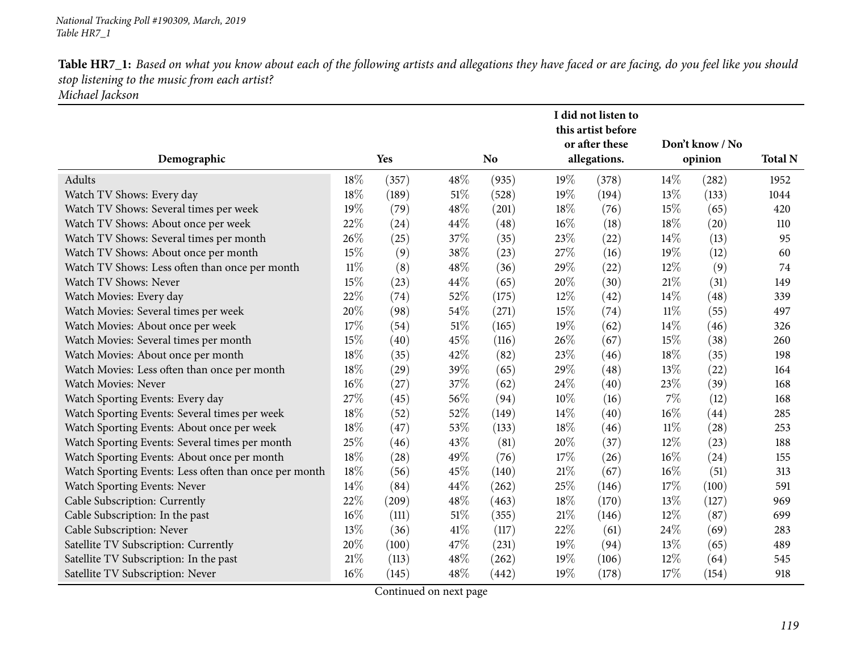*Michael Jackson*

|                                                       |        |       |        |                |     | I did not listen to<br>this artist before<br>or after these |      | Don't know / No |                |
|-------------------------------------------------------|--------|-------|--------|----------------|-----|-------------------------------------------------------------|------|-----------------|----------------|
| Demographic                                           |        | Yes   |        | N <sub>o</sub> |     | allegations.                                                |      | opinion         | <b>Total N</b> |
| Adults                                                | 18%    | (357) | 48%    | (935)          | 19% | (378)                                                       | 14\% | (282)           | 1952           |
| Watch TV Shows: Every day                             | 18%    | (189) | $51\%$ | (528)          | 19% | (194)                                                       | 13%  | (133)           | 1044           |
| Watch TV Shows: Several times per week                | 19%    | (79)  | 48%    | (201)          | 18% | (76)                                                        | 15%  | (65)            | 420            |
| Watch TV Shows: About once per week                   | 22%    | (24)  | 44%    | (48)           | 16% | (18)                                                        | 18%  | (20)            | 110            |
| Watch TV Shows: Several times per month               | 26%    | (25)  | 37%    | (35)           | 23% | (22)                                                        | 14\% | (13)            | 95             |
| Watch TV Shows: About once per month                  | 15%    | (9)   | 38%    | (23)           | 27% | (16)                                                        | 19%  | (12)            | 60             |
| Watch TV Shows: Less often than once per month        | $11\%$ | (8)   | 48%    | (36)           | 29% | $\left( 22\right)$                                          | 12%  | (9)             | 74             |
| Watch TV Shows: Never                                 | 15%    | (23)  | 44%    | (65)           | 20% | (30)                                                        | 21%  | (31)            | 149            |
| Watch Movies: Every day                               | 22%    | (74)  | 52%    | (175)          | 12% | (42)                                                        | 14%  | (48)            | 339            |
| Watch Movies: Several times per week                  | 20%    | (98)  | 54%    | (271)          | 15% | (74)                                                        | 11%  | (55)            | 497            |
| Watch Movies: About once per week                     | 17%    | (54)  | $51\%$ | (165)          | 19% | (62)                                                        | 14%  | (46)            | 326            |
| Watch Movies: Several times per month                 | $15\%$ | (40)  | 45%    | (116)          | 26% | (67)                                                        | 15%  | (38)            | 260            |
| Watch Movies: About once per month                    | 18%    | (35)  | 42%    | (82)           | 23% | (46)                                                        | 18%  | (35)            | 198            |
| Watch Movies: Less often than once per month          | 18%    | (29)  | 39%    | (65)           | 29% | (48)                                                        | 13%  | (22)            | 164            |
| Watch Movies: Never                                   | 16%    | (27)  | 37%    | (62)           | 24% | (40)                                                        | 23\% | (39)            | 168            |
| Watch Sporting Events: Every day                      | 27%    | (45)  | 56%    | (94)           | 10% | (16)                                                        | 7%   | (12)            | 168            |
| Watch Sporting Events: Several times per week         | 18%    | (52)  | 52%    | (149)          | 14% | (40)                                                        | 16%  | (44)            | 285            |
| Watch Sporting Events: About once per week            | 18%    | (47)  | 53%    | (133)          | 18% | (46)                                                        | 11%  | (28)            | 253            |
| Watch Sporting Events: Several times per month        | $25\%$ | (46)  | 43%    | (81)           | 20% | (37)                                                        | 12%  | (23)            | 188            |
| Watch Sporting Events: About once per month           | 18%    | (28)  | 49%    | (76)           | 17% | (26)                                                        | 16%  | (24)            | 155            |
| Watch Sporting Events: Less often than once per month | 18%    | (56)  | 45%    | (140)          | 21% | (67)                                                        | 16%  | (51)            | 313            |
| Watch Sporting Events: Never                          | 14\%   | (84)  | 44\%   | (262)          | 25% | (146)                                                       | 17%  | (100)           | 591            |
| Cable Subscription: Currently                         | 22%    | (209) | 48\%   | (463)          | 18% | (170)                                                       | 13%  | (127)           | 969            |
| Cable Subscription: In the past                       | 16%    | (111) | $51\%$ | (355)          | 21% | (146)                                                       | 12%  | (87)            | 699            |
| Cable Subscription: Never                             | 13%    | (36)  | 41\%   | (117)          | 22% | (61)                                                        | 24\% | (69)            | 283            |
| Satellite TV Subscription: Currently                  | 20%    | (100) | 47%    | (231)          | 19% | (94)                                                        | 13%  | (65)            | 489            |
| Satellite TV Subscription: In the past                | 21%    | (113) | 48%    | (262)          | 19% | (106)                                                       | 12%  | (64)            | 545            |
| Satellite TV Subscription: Never                      | 16%    | (145) | 48%    | (442)          | 19% | (178)                                                       | 17%  | (154)           | 918            |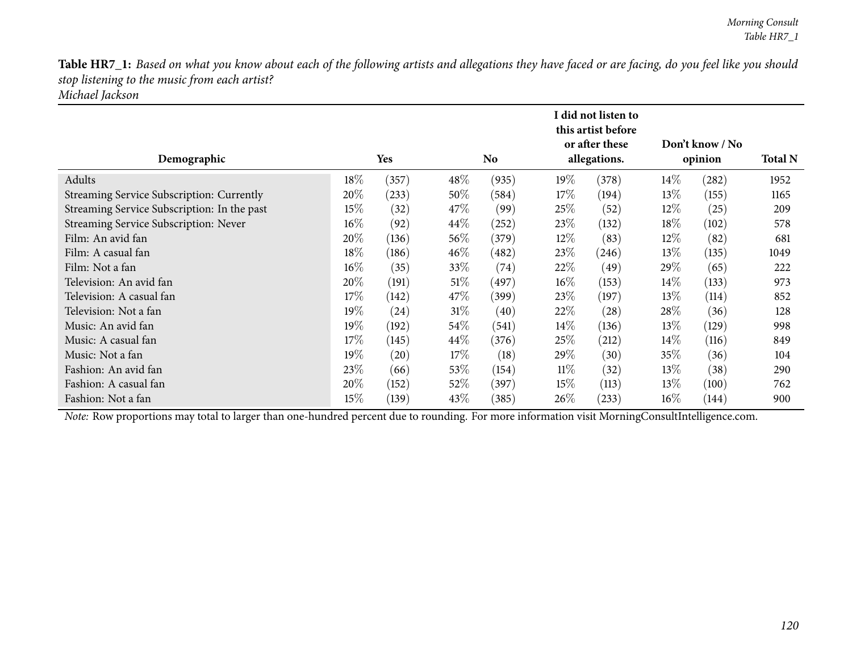|                                             |        |                       |        | I did not listen to<br>this artist before<br>or after these |              |       |         | Don't know / No |      |  |  |
|---------------------------------------------|--------|-----------------------|--------|-------------------------------------------------------------|--------------|-------|---------|-----------------|------|--|--|
| Demographic                                 |        | Yes<br>N <sub>o</sub> |        |                                                             | allegations. |       | opinion |                 |      |  |  |
| Adults                                      | 18%    | (357)                 | 48\%   | (935)                                                       | 19%          | (378) | $14\%$  | (282)           | 1952 |  |  |
| Streaming Service Subscription: Currently   | 20%    | (233)                 | $50\%$ | (584)                                                       | 17%          | (194) | $13\%$  | (155)           | 1165 |  |  |
| Streaming Service Subscription: In the past | 15%    | (32)                  | 47%    | (99)                                                        | 25%          | (52)  | $12\%$  | (25)            | 209  |  |  |
| Streaming Service Subscription: Never       | $16\%$ | (92)                  | 44\%   | (252)                                                       | 23%          | (132) | 18%     | (102)           | 578  |  |  |
| Film: An avid fan                           | 20%    | (136)                 | $56\%$ | (379)                                                       | $12\%$       | (83)  | $12\%$  | (82)            | 681  |  |  |
| Film: A casual fan                          | 18\%   | (186)                 | 46\%   | (482)                                                       | 23\%         | (246) | 13\%    | (135)           | 1049 |  |  |
| Film: Not a fan                             | $16\%$ | (35)                  | 33\%   | (74)                                                        | 22\%         | (49)  | 29\%    | (65)            | 222  |  |  |
| Television: An avid fan                     | 20%    | (191)                 | $51\%$ | (497)                                                       | $16\%$       | (153) | $14\%$  | (133)           | 973  |  |  |
| Television: A casual fan                    | 17%    | (142)                 | 47\%   | (399)                                                       | 23%          | (197) | 13\%    | (114)           | 852  |  |  |
| Television: Not a fan                       | $19\%$ | (24)                  | 31%    | (40)                                                        | 22\%         | (28)  | 28\%    | (36)            | 128  |  |  |
| Music: An avid fan                          | $19\%$ | (192)                 | 54%    | (541)                                                       | $14\%$       | (136) | 13\%    | (129)           | 998  |  |  |
| Music: A casual fan                         | 17%    | (145)                 | 44\%   | (376)                                                       | 25%          | (212) | $14\%$  | (116)           | 849  |  |  |
| Music: Not a fan                            | $19\%$ | (20)                  | 17%    | (18)                                                        | 29\%         | (30)  | $35\%$  | (36)            | 104  |  |  |
| Fashion: An avid fan                        | 23\%   | (66)                  | 53\%   | (154)                                                       | 11%          | (32)  | $13\%$  | (38)            | 290  |  |  |
| Fashion: A casual fan                       | 20%    | (152)                 | 52\%   | (397)                                                       | 15%          | (113) | $13\%$  | (100)           | 762  |  |  |
| Fashion: Not a fan                          | 15%    | (139)                 | 43\%   | (385)                                                       | 26%          | (233) | $16\%$  | (144)           | 900  |  |  |

*Note:* Row proportions may total to larger than one-hundred percen<sup>t</sup> due to rounding. For more information visit [MorningConsultIntelligence.com](https://morningconsultintelligence.com).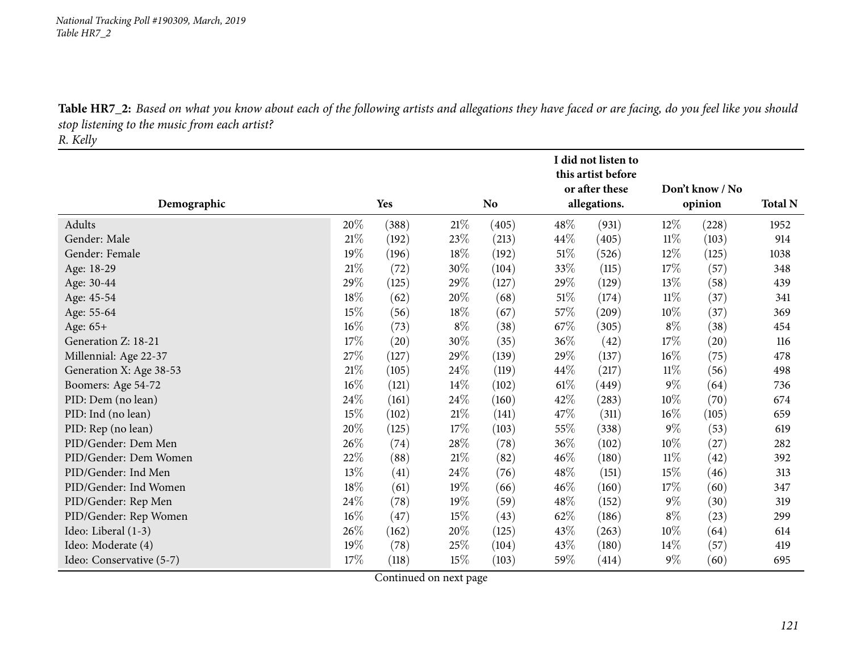*National Tracking Poll #190309, March, <sup>2019</sup> Table HR7\_2*

Table HR7\_2: Based on what you know about each of the following artists and allegations they have faced or are facing, do you feel like you should *stop listening to the music from each artist?*

*R. Kelly*

|                          |        |       |        |       |        | I did not listen to<br>this artist before |        |                 |                |
|--------------------------|--------|-------|--------|-------|--------|-------------------------------------------|--------|-----------------|----------------|
|                          |        |       |        |       |        | or after these                            |        | Don't know / No |                |
| Demographic              |        | Yes   |        | No    |        | allegations.                              |        | opinion         | <b>Total N</b> |
| Adults                   | 20%    | (388) | 21\%   | (405) | 48\%   | (931)                                     | 12%    | (228)           | 1952           |
| Gender: Male             | 21%    | (192) | 23\%   | (213) | 44%    | (405)                                     | $11\%$ | (103)           | 914            |
| Gender: Female           | 19%    | (196) | 18%    | (192) | 51\%   | (526)                                     | $12\%$ | (125)           | 1038           |
| Age: 18-29               | $21\%$ | (72)  | 30%    | (104) | 33%    | (115)                                     | 17\%   | (57)            | 348            |
| Age: 30-44               | 29%    | (125) | 29%    | (127) | 29%    | (129)                                     | 13\%   | (58)            | 439            |
| Age: 45-54               | $18\%$ | (62)  | 20%    | (68)  | $51\%$ | (174)                                     | $11\%$ | (37)            | 341            |
| Age: 55-64               | 15%    | (56)  | 18\%   | (67)  | 57\%   | (209)                                     | $10\%$ | (37)            | 369            |
| Age: 65+                 | $16\%$ | (73)  | $8\%$  | (38)  | 67\%   | (305)                                     | $8\%$  | (38)            | 454            |
| Generation Z: 18-21      | $17\%$ | (20)  | 30%    | (35)  | 36%    | (42)                                      | 17\%   | (20)            | 116            |
| Millennial: Age 22-37    | 27%    | (127) | 29%    | (139) | 29%    | (137)                                     | $16\%$ | (75)            | 478            |
| Generation X: Age 38-53  | $21\%$ | (105) | 24%    | (119) | 44%    | (217)                                     | $11\%$ | (56)            | 498            |
| Boomers: Age 54-72       | $16\%$ | (121) | 14%    | (102) | 61%    | (449)                                     | $9\%$  | (64)            | 736            |
| PID: Dem (no lean)       | $24\%$ | (161) | 24\%   | (160) | 42%    | (283)                                     | $10\%$ | (70)            | 674            |
| PID: Ind (no lean)       | 15%    | (102) | $21\%$ | (141) | 47\%   | (311)                                     | $16\%$ | (105)           | 659            |
| PID: Rep (no lean)       | 20%    | (125) | 17%    | (103) | 55%    | (338)                                     | $9\%$  | (53)            | 619            |
| PID/Gender: Dem Men      | 26%    | (74)  | 28\%   | (78)  | $36\%$ | (102)                                     | $10\%$ | (27)            | 282            |
| PID/Gender: Dem Women    | 22%    | (88)  | $21\%$ | (82)  | 46%    | (180)                                     | $11\%$ | (42)            | 392            |
| PID/Gender: Ind Men      | 13%    | (41)  | 24\%   | (76)  | 48\%   | (151)                                     | 15%    | (46)            | 313            |
| PID/Gender: Ind Women    | $18\%$ | (61)  | 19%    | (66)  | 46%    | (160)                                     | 17\%   | (60)            | 347            |
| PID/Gender: Rep Men      | 24\%   | (78)  | 19%    | (59)  | 48%    | (152)                                     | $9\%$  | (30)            | 319            |
| PID/Gender: Rep Women    | $16\%$ | (47)  | 15%    | (43)  | 62%    | (186)                                     | $8\%$  | (23)            | 299            |
| Ideo: Liberal (1-3)      | 26%    | (162) | 20%    | (125) | 43\%   | (263)                                     | $10\%$ | (64)            | 614            |
| Ideo: Moderate (4)       | 19%    | (78)  | 25%    | (104) | 43%    | (180)                                     | 14\%   | (57)            | 419            |
| Ideo: Conservative (5-7) | 17%    | (118) | 15%    | (103) | 59%    | (414)                                     | $9\%$  | (60)            | 695            |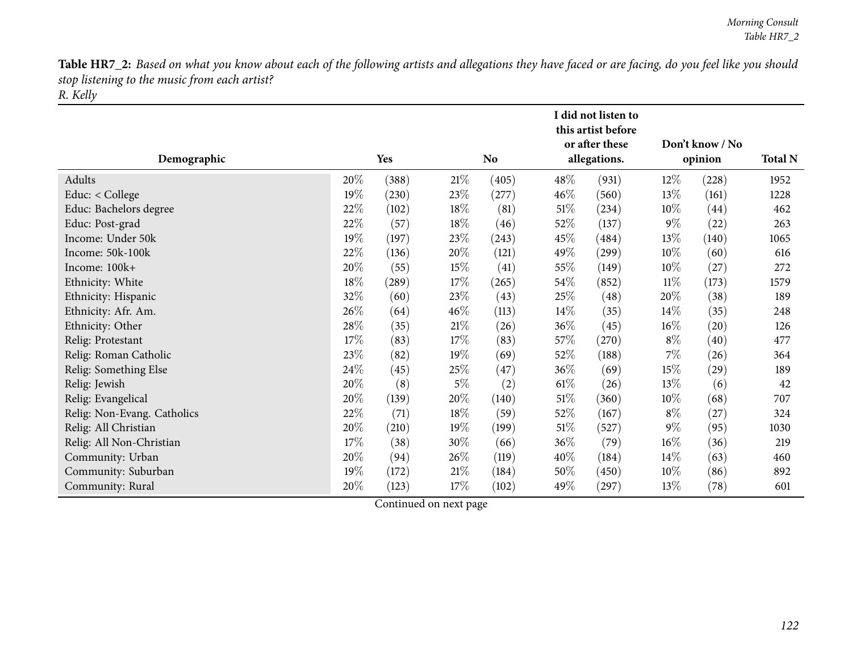| Demographic                 | Yes<br><b>No</b> |       |        |       |        | I did not listen to<br>this artist before<br>or after these<br>allegations. |        | Don't know / No<br>opinion |                |  |
|-----------------------------|------------------|-------|--------|-------|--------|-----------------------------------------------------------------------------|--------|----------------------------|----------------|--|
|                             |                  |       |        |       |        |                                                                             |        |                            | <b>Total N</b> |  |
| Adults                      | 20%              | (388) | 21%    | (405) | 48\%   | (931)                                                                       | $12\%$ | (228)                      | 1952           |  |
| Educ: < College             | 19%              | (230) | 23\%   | (277) | 46\%   | (560)                                                                       | 13\%   | (161)                      | 1228           |  |
| Educ: Bachelors degree      | 22%              | (102) | 18%    | (81)  | 51%    | (234)                                                                       | $10\%$ | (44)                       | 462            |  |
| Educ: Post-grad             | 22%              | (57)  | 18%    | (46)  | $52\%$ | (137)                                                                       | $9\%$  | (22)                       | 263            |  |
| Income: Under 50k           | 19%              | (197) | 23\%   | (243) | 45\%   | (484)                                                                       | 13%    | (140)                      | 1065           |  |
| Income: 50k-100k            | 22%              | (136) | 20%    | (121) | 49%    | (299)                                                                       | $10\%$ | (60)                       | 616            |  |
| Income: 100k+               | 20%              | (55)  | $15\%$ | (41)  | $55\%$ | (149)                                                                       | $10\%$ | (27)                       | 272            |  |
| Ethnicity: White            | $18\%$           | (289) | 17%    | (265) | 54\%   | (852)                                                                       | $11\%$ | (173)                      | 1579           |  |
| Ethnicity: Hispanic         | 32%              | (60)  | 23%    | (43)  | $25\%$ | (48)                                                                        | 20%    | (38)                       | 189            |  |
| Ethnicity: Afr. Am.         | 26\%             | (64)  | 46\%   | (113) | $14\%$ | (35)                                                                        | $14\%$ | (35)                       | 248            |  |
| Ethnicity: Other            | 28\%             | (35)  | $21\%$ | (26)  | 36\%   | (45)                                                                        | $16\%$ | $\left( 20\right)$         | 126            |  |
| Relig: Protestant           | $17\%$           | (83)  | $17\%$ | (83)  | $57\%$ | (270)                                                                       | $8\%$  | (40)                       | 477            |  |
| Relig: Roman Catholic       | 23%              | (82)  | 19%    | (69)  | $52\%$ | (188)                                                                       | $7\%$  | (26)                       | 364            |  |
| Relig: Something Else       | 24\%             | (45)  | 25\%   | (47)  | 36\%   | (69)                                                                        | 15%    | $\left( 29\right)$         | 189            |  |
| Relig: Jewish               | 20%              | (8)   | $5\%$  | (2)   | $61\%$ | (26)                                                                        | 13\%   | (6)                        | 42             |  |
| Relig: Evangelical          | 20%              | (139) | 20%    | (140) | 51\%   | (360)                                                                       | $10\%$ | (68)                       | 707            |  |
| Relig: Non-Evang. Catholics | 22%              | (71)  | $18\%$ | (59)  | $52\%$ | (167)                                                                       | $8\%$  | (27)                       | 324            |  |
| Relig: All Christian        | 20%              | (210) | 19%    | (199) | 51%    | (527)                                                                       | $9\%$  | (95)                       | 1030           |  |
| Relig: All Non-Christian    | $17\%$           | (38)  | 30%    | (66)  | 36\%   | (79)                                                                        | $16\%$ | (36)                       | 219            |  |
| Community: Urban            | 20%              | (94)  | 26\%   | (119) | 40\%   | (184)                                                                       | $14\%$ | (63)                       | 460            |  |
| Community: Suburban         | 19%              | (172) | $21\%$ | (184) | 50%    | (450)                                                                       | $10\%$ | (86)                       | 892            |  |
| Community: Rural            | 20%              | (123) | 17%    | (102) | 49%    | (297)                                                                       | 13%    | (78)                       | 601            |  |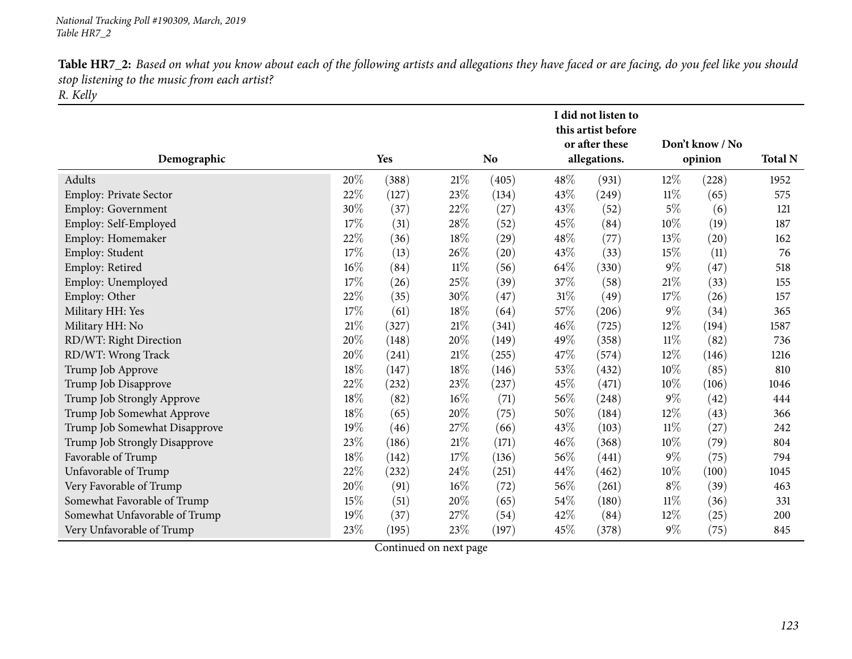|                               |        |       |        |                |        | I did not listen to<br>this artist before<br>or after these |        | Don't know / No |                |
|-------------------------------|--------|-------|--------|----------------|--------|-------------------------------------------------------------|--------|-----------------|----------------|
| Demographic                   |        | Yes   |        | N <sub>o</sub> |        | allegations.                                                |        | opinion         | <b>Total N</b> |
| Adults                        | 20%    | (388) | 21%    | (405)          | 48%    | (931)                                                       | 12%    | (228)           | 1952           |
| Employ: Private Sector        | 22%    | (127) | 23%    | (134)          | 43%    | (249)                                                       | 11%    | (65)            | 575            |
| Employ: Government            | 30%    | (37)  | 22%    | (27)           | 43%    | (52)                                                        | $5\%$  | (6)             | 121            |
| Employ: Self-Employed         | 17%    | (31)  | 28%    | (52)           | 45%    | (84)                                                        | 10%    | (19)            | 187            |
| Employ: Homemaker             | 22%    | (36)  | 18%    | (29)           | 48%    | (77)                                                        | 13%    | (20)            | 162            |
| Employ: Student               | 17%    | (13)  | 26%    | (20)           | 43%    | (33)                                                        | 15%    | (11)            | 76             |
| Employ: Retired               | $16\%$ | (84)  | $11\%$ | (56)           | 64\%   | (330)                                                       | $9\%$  | (47)            | 518            |
| Employ: Unemployed            | 17%    | (26)  | 25%    | (39)           | 37%    | (58)                                                        | $21\%$ | (33)            | 155            |
| Employ: Other                 | 22%    | (35)  | 30%    | (47)           | 31%    | (49)                                                        | 17%    | (26)            | 157            |
| Military HH: Yes              | 17%    | (61)  | 18%    | (64)           | 57%    | (206)                                                       | $9\%$  | (34)            | 365            |
| Military HH: No               | $21\%$ | (327) | $21\%$ | (341)          | 46%    | (725)                                                       | 12%    | (194)           | 1587           |
| RD/WT: Right Direction        | $20\%$ | (148) | $20\%$ | (149)          | 49%    | (358)                                                       | $11\%$ | (82)            | 736            |
| RD/WT: Wrong Track            | 20%    | (241) | $21\%$ | (255)          | 47%    | (574)                                                       | 12%    | (146)           | 1216           |
| Trump Job Approve             | 18%    | (147) | 18%    | (146)          | 53%    | (432)                                                       | 10%    | (85)            | 810            |
| Trump Job Disapprove          | 22%    | (232) | 23%    | (237)          | 45%    | (471)                                                       | 10%    | (106)           | 1046           |
| Trump Job Strongly Approve    | 18%    | (82)  | $16\%$ | (71)           | 56%    | (248)                                                       | $9\%$  | (42)            | 444            |
| Trump Job Somewhat Approve    | $18\%$ | (65)  | $20\%$ | (75)           | 50%    | (184)                                                       | 12%    | (43)            | 366            |
| Trump Job Somewhat Disapprove | 19%    | (46)  | 27%    | (66)           | 43%    | (103)                                                       | $11\%$ | (27)            | 242            |
| Trump Job Strongly Disapprove | 23\%   | (186) | $21\%$ | (171)          | 46%    | (368)                                                       | $10\%$ | (79)            | 804            |
| Favorable of Trump            | 18%    | (142) | $17\%$ | (136)          | 56%    | (441)                                                       | $9\%$  | (75)            | 794            |
| Unfavorable of Trump          | 22%    | (232) | 24\%   | (251)          | 44\%   | (462)                                                       | 10%    | (100)           | 1045           |
| Very Favorable of Trump       | $20\%$ | (91)  | 16%    | (72)           | $56\%$ | (261)                                                       | $8\%$  | (39)            | 463            |
| Somewhat Favorable of Trump   | 15%    | (51)  | 20%    | (65)           | $54\%$ | (180)                                                       | 11%    | (36)            | 331            |
| Somewhat Unfavorable of Trump | 19%    | (37)  | $27\%$ | (54)           | 42%    | (84)                                                        | 12%    | (25)            | 200            |
| Very Unfavorable of Trump     | 23%    | (195) | 23%    | (197)          | 45\%   | (378)                                                       | $9\%$  | (75)            | 845            |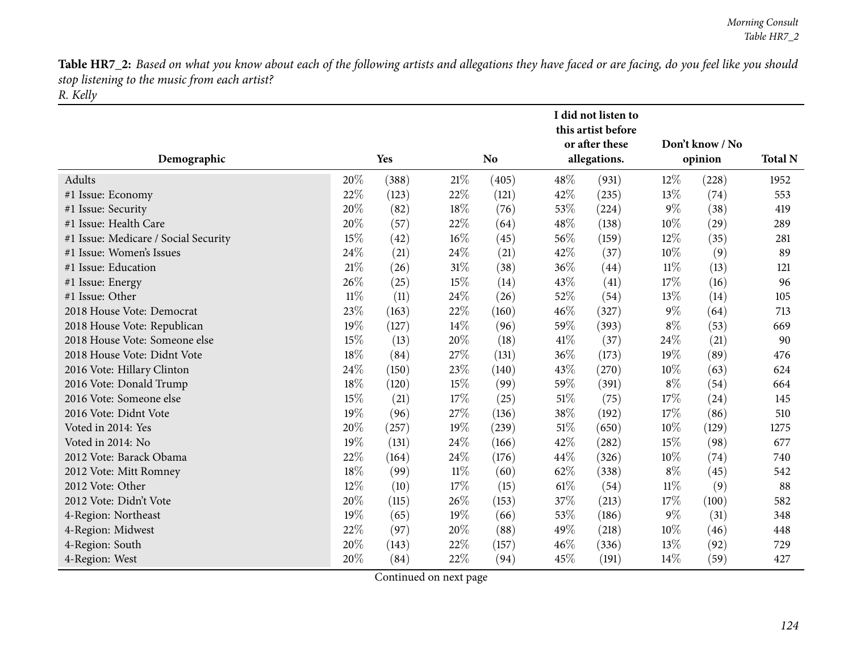*R. Kelly*

| Demographic                          | Yes<br>N <sub>o</sub> |       |        |       |        | I did not listen to<br>this artist before<br>or after these<br>allegations. | Don't know / No<br>opinion | <b>Total N</b> |      |
|--------------------------------------|-----------------------|-------|--------|-------|--------|-----------------------------------------------------------------------------|----------------------------|----------------|------|
| Adults                               | 20%                   | (388) | 21\%   | (405) | 48\%   | (931)                                                                       | 12%                        | (228)          | 1952 |
| #1 Issue: Economy                    | 22%                   | (123) | 22%    | (121) | 42\%   | (235)                                                                       | 13%                        | (74)           | 553  |
| #1 Issue: Security                   | 20%                   | (82)  | 18%    | (76)  | 53%    | (224)                                                                       | $9\%$                      | (38)           | 419  |
| #1 Issue: Health Care                | 20%                   | (57)  | 22%    | (64)  | 48%    | (138)                                                                       | 10%                        | (29)           | 289  |
| #1 Issue: Medicare / Social Security | 15%                   | (42)  | 16%    | (45)  | 56%    | (159)                                                                       | 12%                        | (35)           | 281  |
| #1 Issue: Women's Issues             | 24%                   | (21)  | 24%    | (21)  | 42\%   | (37)                                                                        | 10%                        | (9)            | 89   |
| #1 Issue: Education                  | 21%                   | (26)  | $31\%$ | (38)  | 36%    | (44)                                                                        | $11\%$                     | (13)           | 121  |
| #1 Issue: Energy                     | 26%                   | (25)  | 15%    | (14)  | 43%    | (41)                                                                        | 17%                        | (16)           | 96   |
| #1 Issue: Other                      | $11\%$                | (11)  | 24%    | (26)  | 52%    | (54)                                                                        | 13%                        | (14)           | 105  |
| 2018 House Vote: Democrat            | 23%                   | (163) | 22%    | (160) | 46%    | (327)                                                                       | $9\%$                      | (64)           | 713  |
| 2018 House Vote: Republican          | 19%                   | (127) | 14\%   | (96)  | 59%    | (393)                                                                       | $8\%$                      | (53)           | 669  |
| 2018 House Vote: Someone else        | 15%                   | (13)  | 20%    | (18)  | 41\%   | (37)                                                                        | 24%                        | (21)           | 90   |
| 2018 House Vote: Didnt Vote          | 18%                   | (84)  | 27%    | (131) | 36\%   | (173)                                                                       | 19%                        | (89)           | 476  |
| 2016 Vote: Hillary Clinton           | 24%                   | (150) | 23%    | (140) | 43%    | (270)                                                                       | 10%                        | (63)           | 624  |
| 2016 Vote: Donald Trump              | 18%                   | (120) | 15%    | (99)  | 59%    | (391)                                                                       | $8\%$                      | (54)           | 664  |
| 2016 Vote: Someone else              | 15%                   | (21)  | 17%    | (25)  | 51%    | (75)                                                                        | 17%                        | (24)           | 145  |
| 2016 Vote: Didnt Vote                | 19%                   | (96)  | 27%    | (136) | 38%    | (192)                                                                       | 17%                        | (86)           | 510  |
| Voted in 2014: Yes                   | 20%                   | (257) | 19%    | (239) | 51%    | (650)                                                                       | 10%                        | (129)          | 1275 |
| Voted in 2014: No                    | 19%                   | (131) | 24%    | (166) | 42\%   | (282)                                                                       | 15%                        | (98)           | 677  |
| 2012 Vote: Barack Obama              | 22%                   | (164) | 24%    | (176) | 44%    | (326)                                                                       | 10%                        | (74)           | 740  |
| 2012 Vote: Mitt Romney               | $18\%$                | (99)  | $11\%$ | (60)  | 62%    | (338)                                                                       | $8\%$                      | (45)           | 542  |
| 2012 Vote: Other                     | 12%                   | (10)  | 17%    | (15)  | $61\%$ | (54)                                                                        | 11%                        | (9)            | 88   |
| 2012 Vote: Didn't Vote               | 20%                   | (115) | 26%    | (153) | 37\%   | (213)                                                                       | 17%                        | (100)          | 582  |
| 4-Region: Northeast                  | 19%                   | (65)  | 19%    | (66)  | 53%    | (186)                                                                       | $9\%$                      | (31)           | 348  |
| 4-Region: Midwest                    | 22%                   | (97)  | 20%    | (88)  | 49%    | (218)                                                                       | 10%                        | (46)           | 448  |
| 4-Region: South                      | 20%                   | (143) | 22%    | (157) | 46%    | (336)                                                                       | 13%                        | (92)           | 729  |
| 4-Region: West                       | 20%                   | (84)  | 22%    | (94)  | 45%    | (191)                                                                       | 14%                        | (59)           | 427  |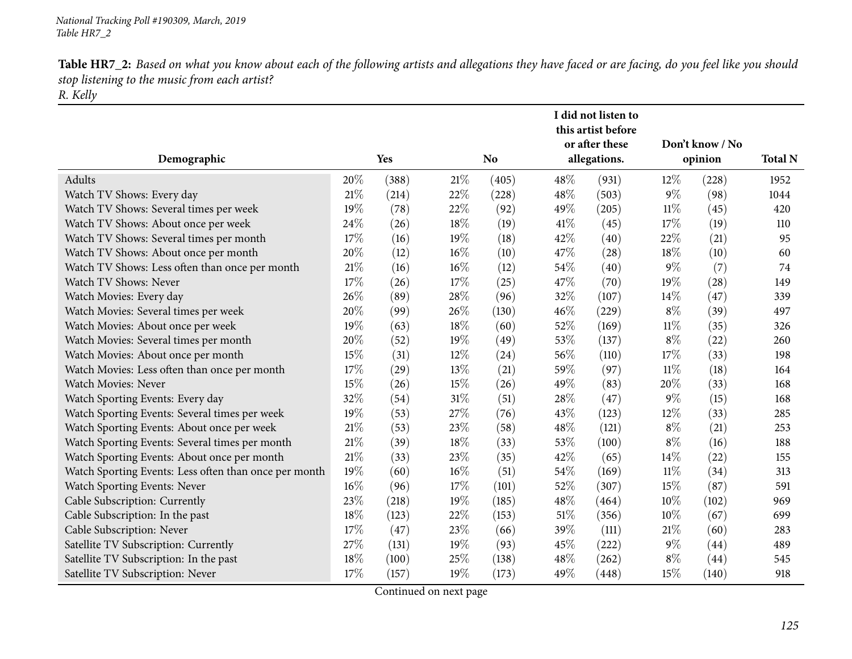*R. Kelly*

|                                                       |        |       |        | I did not listen to<br>this artist before<br>Don't know / No |      |              |        |         |                |
|-------------------------------------------------------|--------|-------|--------|--------------------------------------------------------------|------|--------------|--------|---------|----------------|
| Demographic                                           |        | Yes   |        | <b>No</b>                                                    |      | allegations. |        | opinion | <b>Total N</b> |
| Adults                                                | 20%    | (388) | 21%    | (405)                                                        | 48\% | (931)        | 12%    | (228)   | 1952           |
| Watch TV Shows: Every day                             | $21\%$ | (214) | 22%    | (228)                                                        | 48%  | (503)        | $9\%$  | (98)    | 1044           |
| Watch TV Shows: Several times per week                | 19%    | (78)  | 22%    | (92)                                                         | 49%  | (205)        | $11\%$ | (45)    | 420            |
| Watch TV Shows: About once per week                   | 24\%   | (26)  | 18%    | (19)                                                         | 41%  | (45)         | 17%    | (19)    | 110            |
| Watch TV Shows: Several times per month               | 17%    | (16)  | 19%    | (18)                                                         | 42%  | (40)         | 22%    | (21)    | 95             |
| Watch TV Shows: About once per month                  | 20%    | (12)  | $16\%$ | (10)                                                         | 47\% | (28)         | 18%    | (10)    | 60             |
| Watch TV Shows: Less often than once per month        | 21\%   | (16)  | 16%    | (12)                                                         | 54\% | (40)         | $9\%$  | (7)     | 74             |
| Watch TV Shows: Never                                 | 17%    | (26)  | 17%    | (25)                                                         | 47%  | (70)         | 19%    | (28)    | 149            |
| Watch Movies: Every day                               | 26%    | (89)  | 28\%   | (96)                                                         | 32%  | (107)        | 14\%   | (47)    | 339            |
| Watch Movies: Several times per week                  | 20%    | (99)  | 26%    | (130)                                                        | 46%  | (229)        | $8\%$  | (39)    | 497            |
| Watch Movies: About once per week                     | 19%    | (63)  | 18%    | (60)                                                         | 52\% | (169)        | 11%    | (35)    | 326            |
| Watch Movies: Several times per month                 | 20%    | (52)  | 19%    | (49)                                                         | 53%  | (137)        | $8\%$  | (22)    | 260            |
| Watch Movies: About once per month                    | 15%    | (31)  | 12%    | (24)                                                         | 56\% | (110)        | 17%    | (33)    | 198            |
| Watch Movies: Less often than once per month          | 17%    | (29)  | 13%    | (21)                                                         | 59%  | (97)         | $11\%$ | (18)    | 164            |
| Watch Movies: Never                                   | 15%    | (26)  | 15%    | (26)                                                         | 49%  | (83)         | 20%    | (33)    | 168            |
| Watch Sporting Events: Every day                      | 32%    | (54)  | $31\%$ | (51)                                                         | 28%  | (47)         | $9\%$  | (15)    | 168            |
| Watch Sporting Events: Several times per week         | 19%    | (53)  | 27%    | (76)                                                         | 43%  | (123)        | 12%    | (33)    | 285            |
| Watch Sporting Events: About once per week            | 21\%   | (53)  | 23%    | (58)                                                         | 48\% | (121)        | $8\%$  | (21)    | 253            |
| Watch Sporting Events: Several times per month        | 21%    | (39)  | 18%    | (33)                                                         | 53%  | (100)        | $8\%$  | (16)    | 188            |
| Watch Sporting Events: About once per month           | 21%    | (33)  | 23%    | (35)                                                         | 42\% | (65)         | 14\%   | (22)    | 155            |
| Watch Sporting Events: Less often than once per month | 19%    | (60)  | $16\%$ | (51)                                                         | 54\% | (169)        | 11%    | (34)    | 313            |
| Watch Sporting Events: Never                          | 16%    | (96)  | 17%    | (101)                                                        | 52%  | (307)        | 15%    | (87)    | 591            |
| Cable Subscription: Currently                         | 23%    | (218) | 19%    | (185)                                                        | 48%  | (464)        | 10%    | (102)   | 969            |
| Cable Subscription: In the past                       | 18%    | (123) | 22%    | (153)                                                        | 51\% | (356)        | 10%    | (67)    | 699            |
| Cable Subscription: Never                             | 17%    | (47)  | 23%    | (66)                                                         | 39%  | (111)        | 21%    | (60)    | 283            |
| Satellite TV Subscription: Currently                  | 27%    | (131) | 19%    | (93)                                                         | 45%  | (222)        | $9\%$  | (44)    | 489            |
| Satellite TV Subscription: In the past                | 18%    | (100) | 25%    | (138)                                                        | 48%  | (262)        | $8\%$  | (44)    | 545            |
| Satellite TV Subscription: Never                      | 17%    | (157) | 19%    | (173)                                                        | 49%  | (448)        | 15%    | (140)   | 918            |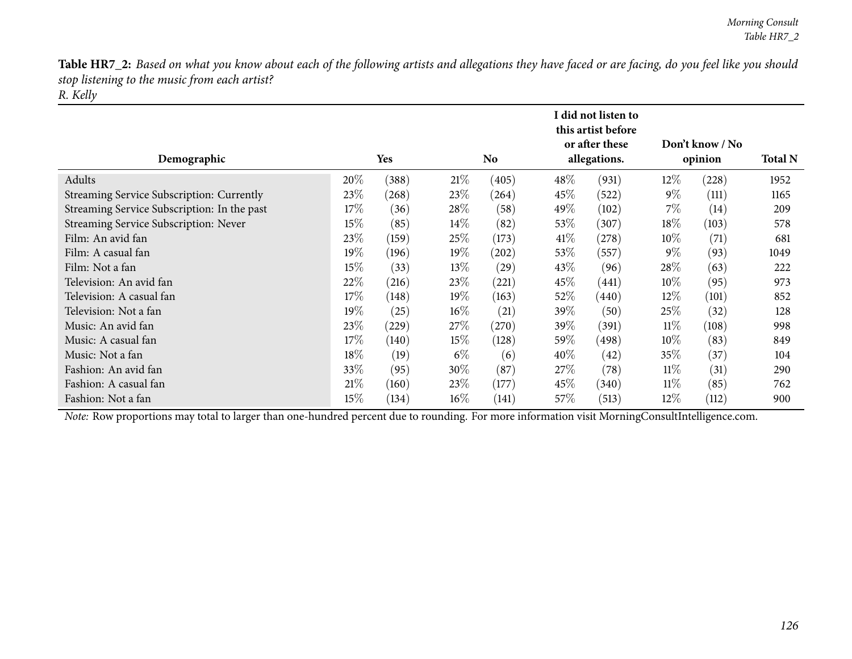*R. Kelly*

|                                             |        |                     |        |       |        | I did not listen to<br>this artist before |        |                 |                |
|---------------------------------------------|--------|---------------------|--------|-------|--------|-------------------------------------------|--------|-----------------|----------------|
|                                             |        |                     |        |       |        | or after these                            |        | Don't know / No |                |
| Demographic                                 |        | Yes                 |        | No.   |        | allegations.                              |        | opinion         | <b>Total N</b> |
| Adults                                      | 20%    | (388)               | 21%    | (405) | 48\%   | (931)                                     | 12%    | (228)           | 1952           |
| Streaming Service Subscription: Currently   | 23\%   | (268)               | 23\%   | (264) | $45\%$ | (522)                                     | $9\%$  | (111)           | 1165           |
| Streaming Service Subscription: In the past | 17%    | (36)                | 28\%   | (58)  | 49%    | (102)                                     | $7\%$  | (14)            | 209            |
| Streaming Service Subscription: Never       | 15\%   | (85)                | $14\%$ | (82)  | 53\%   | (307)                                     | $18\%$ | (103)           | 578            |
| Film: An avid fan                           | 23\%   | (159)               | 25\%   | (173) | 41%    | $^{'}278)$                                | $10\%$ | (71)            | 681            |
| Film: A casual fan                          | 19%    | (196)               | 19%    | (202) | 53\%   | (557)                                     | $9\%$  | (93)            | 1049           |
| Film: Not a fan                             | 15\%   | (33)                | 13\%   | (29)  | $43\%$ | (96)                                      | 28\%   | (63)            | 222            |
| Television: An avid fan                     | 22%    | (216)               | 23\%   | (221) | $45\%$ | (441)                                     | $10\%$ | (95)            | 973            |
| Television: A casual fan                    | 17%    | (148)               | 19%    | (163) | 52\%   | (440)                                     | $12\%$ | (101)           | 852            |
| Television: Not a fan                       | $19\%$ | (25)                | $16\%$ | (21)  | 39\%   | (50)                                      | 25%    | (32)            | 128            |
| Music: An avid fan                          | 23%    | $\left( 229\right)$ | 27%    | (270) | 39\%   | (391)                                     | $11\%$ | (108)           | 998            |
| Music: A casual fan                         | 17%    | (140)               | $15\%$ | (128) | 59%    | (498)                                     | $10\%$ | (83)            | 849            |
| Music: Not a fan                            | 18%    | (19)                | $6\%$  | (6)   | 40%    | (42)                                      | 35\%   | (37)            | 104            |
| Fashion: An avid fan                        | 33\%   | (95)                | 30%    | (87)  | 27\%   | (78)                                      | $11\%$ | (31)            | 290            |
| Fashion: A casual fan                       | 21%    | (160)               | 23\%   | (177) | $45\%$ | (340)                                     | $11\%$ | (85)            | 762            |
| Fashion: Not a fan                          | 15%    | (134)               | $16\%$ | (141) | $57\%$ | (513)                                     | 12%    | (112)           | 900            |

*Note:* Row proportions may total to larger than one-hundred percen<sup>t</sup> due to rounding. For more information visit [MorningConsultIntelligence.com](https://morningconsultintelligence.com).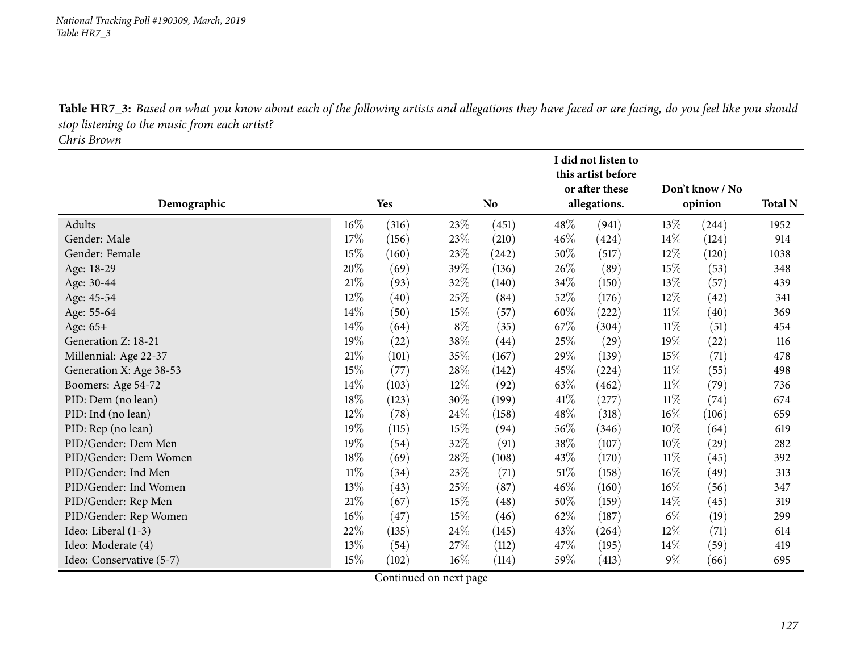*National Tracking Poll #190309, March, <sup>2019</sup> Table HR7\_3*

Table HR7\_3: Based on what you know about each of the following artists and allegations they have faced or are facing, do you feel like you should *stop listening to the music from each artist?*

*Chris Brown*

|                          |        |       |        |           |        | I did not listen to<br>this artist before |        |                 |                |
|--------------------------|--------|-------|--------|-----------|--------|-------------------------------------------|--------|-----------------|----------------|
|                          |        |       |        |           |        | or after these                            |        | Don't know / No |                |
| Demographic              |        | Yes   |        | <b>No</b> |        | allegations.                              |        | opinion         | <b>Total N</b> |
| Adults                   | $16\%$ | (316) | 23%    | (451)     | 48\%   | (941)                                     | 13%    | (244)           | 1952           |
| Gender: Male             | 17%    | (156) | 23\%   | (210)     | $46\%$ | (424)                                     | 14\%   | (124)           | 914            |
| Gender: Female           | 15%    | (160) | 23%    | (242)     | 50%    | (517)                                     | 12%    | (120)           | 1038           |
| Age: 18-29               | 20%    | (69)  | 39%    | (136)     | 26\%   | (89)                                      | 15%    | (53)            | 348            |
| Age: 30-44               | $21\%$ | (93)  | 32%    | (140)     | 34\%   | (150)                                     | 13\%   | (57)            | 439            |
| Age: 45-54               | 12%    | (40)  | 25\%   | (84)      | 52%    | (176)                                     | $12\%$ | (42)            | 341            |
| Age: 55-64               | $14\%$ | (50)  | 15\%   | (57)      | $60\%$ | (222)                                     | $11\%$ | (40)            | 369            |
| Age: 65+                 | 14%    | (64)  | $8\%$  | (35)      | $67\%$ | (304)                                     | $11\%$ | (51)            | 454            |
| Generation Z: 18-21      | 19%    | (22)  | 38%    | (44)      | 25%    | (29)                                      | 19%    | (22)            | 116            |
| Millennial: Age 22-37    | $21\%$ | (101) | 35%    | (167)     | 29\%   | (139)                                     | 15\%   | (71)            | 478            |
| Generation X: Age 38-53  | $15\%$ | (77)  | 28\%   | (142)     | 45\%   | (224)                                     | $11\%$ | (55)            | 498            |
| Boomers: Age 54-72       | 14%    | (103) | $12\%$ | (92)      | 63%    | (462)                                     | $11\%$ | (79)            | 736            |
| PID: Dem (no lean)       | $18\%$ | (123) | 30\%   | (199)     | 41\%   | (277)                                     | $11\%$ | (74)            | 674            |
| PID: Ind (no lean)       | 12%    | (78)  | 24\%   | (158)     | 48\%   | (318)                                     | $16\%$ | (106)           | 659            |
| PID: Rep (no lean)       | 19%    | (115) | $15\%$ | (94)      | 56%    | (346)                                     | 10%    | (64)            | 619            |
| PID/Gender: Dem Men      | 19%    | (54)  | 32%    | (91)      | 38%    | (107)                                     | $10\%$ | (29)            | 282            |
| PID/Gender: Dem Women    | 18%    | (69)  | 28\%   | (108)     | 43\%   | (170)                                     | $11\%$ | (45)            | 392            |
| PID/Gender: Ind Men      | $11\%$ | (34)  | 23\%   | (71)      | $51\%$ | (158)                                     | $16\%$ | (49)            | 313            |
| PID/Gender: Ind Women    | 13%    | (43)  | 25\%   | (87)      | $46\%$ | (160)                                     | 16%    | (56)            | 347            |
| PID/Gender: Rep Men      | $21\%$ | (67)  | 15\%   | (48)      | 50%    | (159)                                     | $14\%$ | (45)            | 319            |
| PID/Gender: Rep Women    | $16\%$ | (47)  | 15\%   | (46)      | 62\%   | (187)                                     | $6\%$  | (19)            | 299            |
| Ideo: Liberal (1-3)      | 22%    | (135) | 24\%   | (145)     | 43\%   | (264)                                     | $12\%$ | (71)            | 614            |
| Ideo: Moderate (4)       | $13\%$ | (54)  | 27\%   | (112)     | 47\%   | (195)                                     | $14\%$ | (59)            | 419            |
| Ideo: Conservative (5-7) | 15%    | (102) | $16\%$ | (114)     | 59%    | (413)                                     | $9\%$  | (66)            | 695            |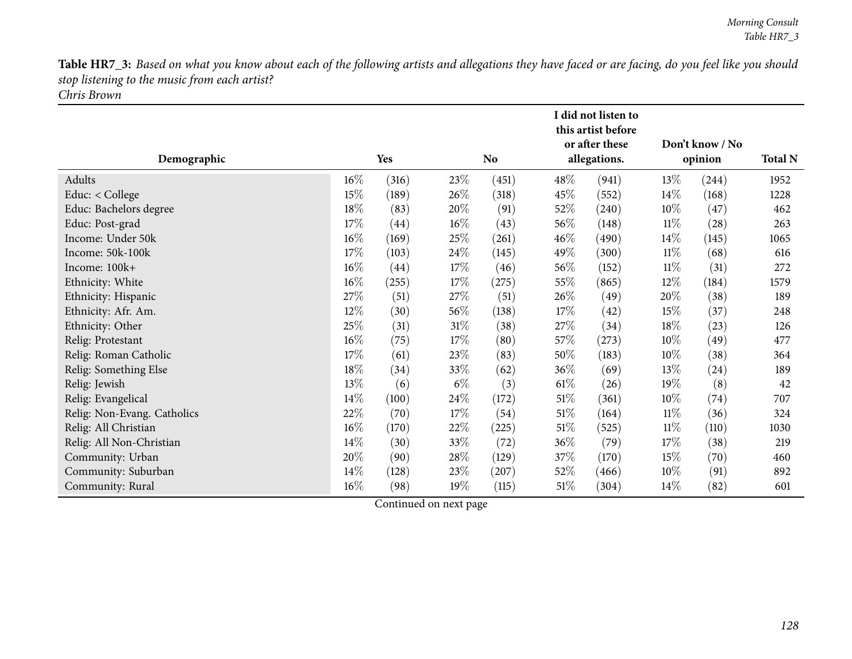|                             | Yes<br><b>No</b> |       |        |       |        | I did not listen to<br>this artist before<br>or after these |        | Don't know / No |                |  |
|-----------------------------|------------------|-------|--------|-------|--------|-------------------------------------------------------------|--------|-----------------|----------------|--|
| Demographic                 |                  |       |        |       |        | allegations.                                                |        | opinion         | <b>Total N</b> |  |
| Adults                      | $16\%$           | (316) | 23\%   | (451) | 48\%   | (941)                                                       | 13\%   | (244)           | 1952           |  |
| Educ: < College             | 15%              | (189) | 26\%   | (318) | 45\%   | (552)                                                       | $14\%$ | (168)           | 1228           |  |
| Educ: Bachelors degree      | 18%              | (83)  | 20%    | (91)  | 52%    | (240)                                                       | $10\%$ | (47)            | 462            |  |
| Educ: Post-grad             | 17\%             | (44)  | $16\%$ | (43)  | 56\%   | (148)                                                       | $11\%$ | (28)            | 263            |  |
| Income: Under 50k           | $16\%$           | (169) | 25%    | (261) | 46\%   | (490)                                                       | $14\%$ | (145)           | 1065           |  |
| Income: 50k-100k            | 17%              | (103) | 24\%   | (145) | 49\%   | (300)                                                       | $11\%$ | (68)            | 616            |  |
| Income: 100k+               | $16\%$           | (44)  | $17\%$ | (46)  | 56\%   | (152)                                                       | $11\%$ | (31)            | 272            |  |
| Ethnicity: White            | $16\%$           | (255) | 17\%   | (275) | 55%    | (865)                                                       | 12%    | (184)           | 1579           |  |
| Ethnicity: Hispanic         | 27%              | (51)  | 27\%   | (51)  | 26\%   | (49)                                                        | 20%    | (38)            | 189            |  |
| Ethnicity: Afr. Am.         | 12%              | (30)  | 56\%   | (138) | 17%    | (42)                                                        | $15\%$ | (37)            | 248            |  |
| Ethnicity: Other            | 25%              | (31)  | $31\%$ | (38)  | 27\%   | (34)                                                        | 18\%   | (23)            | 126            |  |
| Relig: Protestant           | $16\%$           | (75)  | 17\%   | (80)  | 57\%   | (273)                                                       | $10\%$ | (49)            | 477            |  |
| Relig: Roman Catholic       | 17%              | (61)  | 23%    | (83)  | 50\%   | (183)                                                       | $10\%$ | (38)            | 364            |  |
| Relig: Something Else       | 18%              | (34)  | 33%    | (62)  | 36\%   | (69)                                                        | 13\%   | (24)            | 189            |  |
| Relig: Jewish               | 13%              | (6)   | $6\%$  | (3)   | $61\%$ | (26)                                                        | 19%    | (8)             | 42             |  |
| Relig: Evangelical          | 14%              | (100) | 24\%   | (172) | 51\%   | (361)                                                       | $10\%$ | (74)            | 707            |  |
| Relig: Non-Evang. Catholics | 22%              | (70)  | $17\%$ | (54)  | 51%    | (164)                                                       | $11\%$ | (36)            | 324            |  |
| Relig: All Christian        | $16\%$           | (170) | 22%    | (225) | $51\%$ | (525)                                                       | $11\%$ | (110)           | 1030           |  |
| Relig: All Non-Christian    | 14\%             | (30)  | 33\%   | (72)  | 36\%   | (79)                                                        | 17\%   | (38)            | 219            |  |
| Community: Urban            | 20%              | (90)  | 28\%   | (129) | 37\%   | (170)                                                       | $15\%$ | (70)            | 460            |  |
| Community: Suburban         | 14%              | (128) | 23\%   | (207) | 52\%   | (466)                                                       | $10\%$ | (91)            | 892            |  |
| Community: Rural            | $16\%$           | (98)  | 19%    | (115) | $51\%$ | (304)                                                       | $14\%$ | (82)            | 601            |  |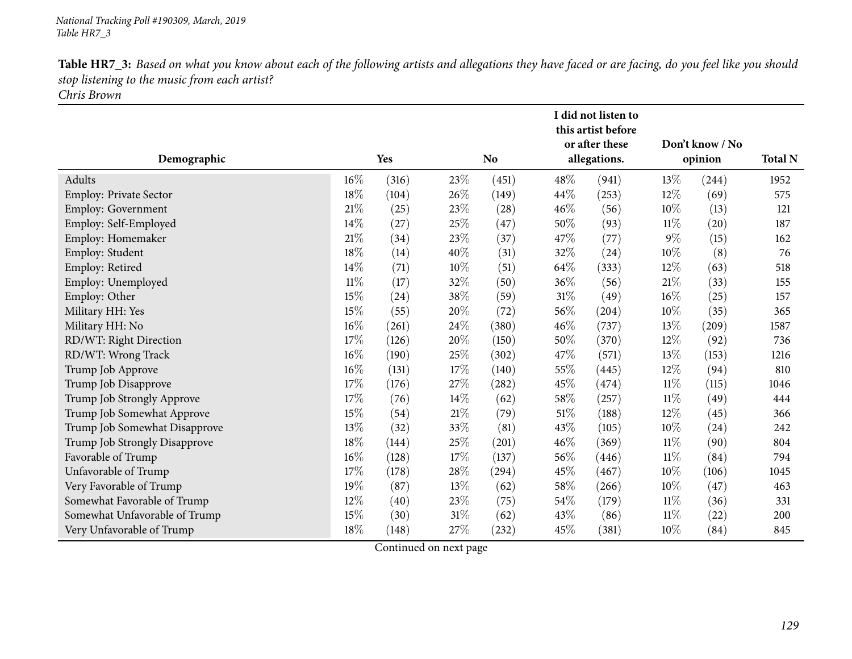*Chris Brown*

|                               |        |       |        | I did not listen to<br>this artist before<br>or after these |      | Don't know / No |        |                    |                |
|-------------------------------|--------|-------|--------|-------------------------------------------------------------|------|-----------------|--------|--------------------|----------------|
| Demographic                   |        | Yes   |        | <b>No</b>                                                   |      | allegations.    |        | opinion            | <b>Total N</b> |
| Adults                        | 16%    | (316) | 23\%   | (451)                                                       | 48%  | (941)           | 13%    | (244)              | 1952           |
| Employ: Private Sector        | 18%    | (104) | 26\%   | (149)                                                       | 44\% | (253)           | 12%    | (69)               | 575            |
| <b>Employ: Government</b>     | $21\%$ | (25)  | $23\%$ | (28)                                                        | 46%  | (56)            | 10%    | (13)               | 121            |
| Employ: Self-Employed         | $14\%$ | (27)  | 25\%   | (47)                                                        | 50%  | (93)            | $11\%$ | (20)               | 187            |
| Employ: Homemaker             | 21%    | (34)  | 23%    | (37)                                                        | 47%  | (77)            | $9\%$  | (15)               | 162            |
| Employ: Student               | 18%    | (14)  | 40%    | (31)                                                        | 32%  | (24)            | 10%    | (8)                | 76             |
| Employ: Retired               | 14%    | (71)  | $10\%$ | (51)                                                        | 64\% | (333)           | 12%    | (63)               | 518            |
| Employ: Unemployed            | $11\%$ | (17)  | 32%    | (50)                                                        | 36%  | (56)            | 21%    | (33)               | 155            |
| Employ: Other                 | $15\%$ | (24)  | 38%    | (59)                                                        | 31%  | (49)            | 16%    | (25)               | 157            |
| Military HH: Yes              | $15\%$ | (55)  | 20%    | (72)                                                        | 56%  | (204)           | 10%    | (35)               | 365            |
| Military HH: No               | $16\%$ | (261) | 24\%   | (380)                                                       | 46%  | (737)           | 13%    | (209)              | 1587           |
| RD/WT: Right Direction        | $17\%$ | (126) | 20%    | (150)                                                       | 50%  | (370)           | $12\%$ | (92)               | 736            |
| RD/WT: Wrong Track            | 16%    | (190) | $25\%$ | (302)                                                       | 47%  | (571)           | 13%    | (153)              | 1216           |
| Trump Job Approve             | 16%    | (131) | $17\%$ | (140)                                                       | 55\% | (445)           | 12%    | (94)               | 810            |
| Trump Job Disapprove          | $17\%$ | (176) | $27\%$ | (282)                                                       | 45%  | (474)           | $11\%$ | (115)              | 1046           |
| Trump Job Strongly Approve    | 17%    | (76)  | 14%    | (62)                                                        | 58%  | (257)           | $11\%$ | (49)               | 444            |
| Trump Job Somewhat Approve    | 15%    | (54)  | 21\%   | (79)                                                        | 51%  | (188)           | 12%    | (45)               | 366            |
| Trump Job Somewhat Disapprove | $13\%$ | (32)  | 33%    | (81)                                                        | 43%  | (105)           | 10%    | (24)               | 242            |
| Trump Job Strongly Disapprove | $18\%$ | (144) | $25\%$ | (201)                                                       | 46%  | (369)           | 11%    | (90)               | 804            |
| Favorable of Trump            | 16%    | (128) | $17\%$ | (137)                                                       | 56\% | (446)           | 11%    | (84)               | 794            |
| Unfavorable of Trump          | 17%    | (178) | 28%    | (294)                                                       | 45%  | (467)           | 10%    | (106)              | 1045           |
| Very Favorable of Trump       | 19%    | (87)  | 13%    | (62)                                                        | 58%  | (266)           | $10\%$ | (47)               | 463            |
| Somewhat Favorable of Trump   | 12%    | (40)  | $23\%$ | (75)                                                        | 54\% | (179)           | $11\%$ | (36)               | 331            |
| Somewhat Unfavorable of Trump | 15%    | (30)  | $31\%$ | (62)                                                        | 43%  | (86)            | 11%    | $\left( 22\right)$ | 200            |
| Very Unfavorable of Trump     | 18%    | (148) | 27%    | (232)                                                       | 45%  | (381)           | 10%    | (84)               | 845            |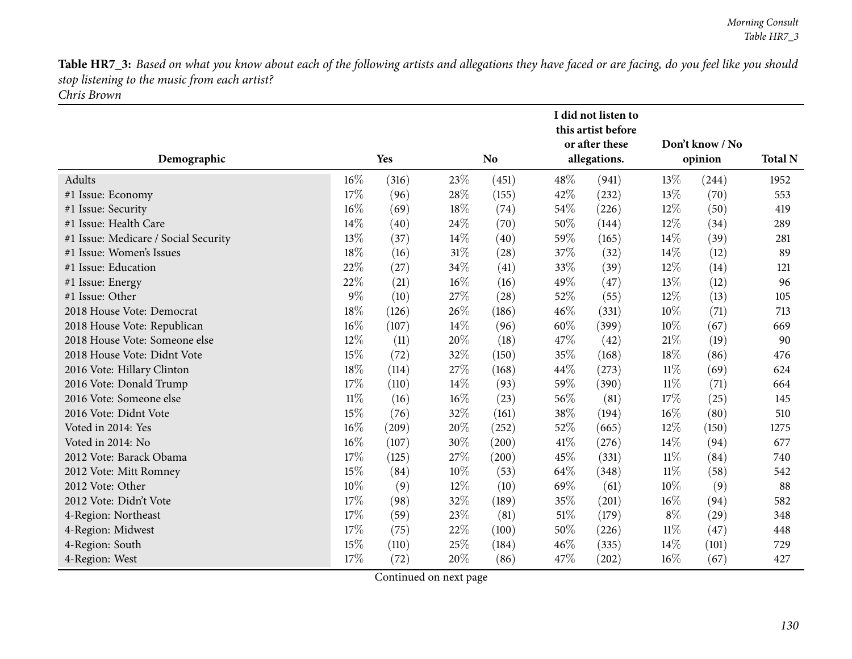*Chris Brown*

|                                      |        |       | I did not listen to<br>this artist before | Don't know / No |      |              |        |         |                |
|--------------------------------------|--------|-------|-------------------------------------------|-----------------|------|--------------|--------|---------|----------------|
| Demographic                          |        | Yes   |                                           | <b>No</b>       |      | allegations. |        | opinion | <b>Total N</b> |
| Adults                               | $16\%$ | (316) | 23%                                       | (451)           | 48\% | (941)        | 13%    | (244)   | 1952           |
| #1 Issue: Economy                    | 17%    | (96)  | 28\%                                      | (155)           | 42\% | (232)        | 13%    | (70)    | 553            |
| #1 Issue: Security                   | 16%    | (69)  | 18%                                       | (74)            | 54%  | (226)        | 12%    | (50)    | 419            |
| #1 Issue: Health Care                | 14%    | (40)  | 24%                                       | (70)            | 50%  | (144)        | 12%    | (34)    | 289            |
| #1 Issue: Medicare / Social Security | 13%    | (37)  | 14%                                       | (40)            | 59%  | (165)        | 14%    | (39)    | 281            |
| #1 Issue: Women's Issues             | $18\%$ | (16)  | $31\%$                                    | (28)            | 37%  | (32)         | 14%    | (12)    | 89             |
| #1 Issue: Education                  | 22%    | (27)  | 34\%                                      | (41)            | 33%  | (39)         | 12%    | (14)    | 121            |
| #1 Issue: Energy                     | 22%    | (21)  | $16\%$                                    | (16)            | 49%  | (47)         | 13%    | (12)    | 96             |
| #1 Issue: Other                      | 9%     | (10)  | 27%                                       | (28)            | 52%  | (55)         | 12%    | (13)    | 105            |
| 2018 House Vote: Democrat            | 18%    | (126) | 26%                                       | (186)           | 46%  | (331)        | 10%    | (71)    | 713            |
| 2018 House Vote: Republican          | 16%    | (107) | 14%                                       | (96)            | 60%  | (399)        | 10%    | (67)    | 669            |
| 2018 House Vote: Someone else        | 12%    | (11)  | 20%                                       | (18)            | 47%  | (42)         | 21%    | (19)    | 90             |
| 2018 House Vote: Didnt Vote          | 15%    | (72)  | 32%                                       | (150)           | 35%  | (168)        | 18%    | (86)    | 476            |
| 2016 Vote: Hillary Clinton           | 18%    | (114) | 27%                                       | (168)           | 44%  | (273)        | 11%    | (69)    | 624            |
| 2016 Vote: Donald Trump              | 17%    | (110) | 14%                                       | (93)            | 59%  | (390)        | 11%    | (71)    | 664            |
| 2016 Vote: Someone else              | $11\%$ | (16)  | 16%                                       | (23)            | 56%  | (81)         | 17%    | (25)    | 145            |
| 2016 Vote: Didnt Vote                | 15%    | (76)  | 32%                                       | (161)           | 38%  | (194)        | $16\%$ | (80)    | 510            |
| Voted in 2014: Yes                   | 16%    | (209) | 20%                                       | (252)           | 52%  | (665)        | 12%    | (150)   | 1275           |
| Voted in 2014: No                    | 16%    | (107) | 30%                                       | (200)           | 41\% | (276)        | 14%    | (94)    | 677            |
| 2012 Vote: Barack Obama              | 17%    | (125) | 27%                                       | (200)           | 45%  | (331)        | $11\%$ | (84)    | 740            |
| 2012 Vote: Mitt Romney               | 15%    | (84)  | 10%                                       | (53)            | 64\% | (348)        | $11\%$ | (58)    | 542            |
| 2012 Vote: Other                     | 10%    | (9)   | $12\%$                                    | (10)            | 69%  | (61)         | 10%    | (9)     | 88             |
| 2012 Vote: Didn't Vote               | 17%    | (98)  | 32%                                       | (189)           | 35%  | (201)        | $16\%$ | (94)    | 582            |
| 4-Region: Northeast                  | 17%    | (59)  | 23%                                       | (81)            | 51%  | (179)        | $8\%$  | (29)    | 348            |
| 4-Region: Midwest                    | 17%    | (75)  | 22%                                       | (100)           | 50%  | (226)        | $11\%$ | (47)    | 448            |
| 4-Region: South                      | 15%    | (110) | 25%                                       | (184)           | 46%  | (335)        | 14%    | (101)   | 729            |
| 4-Region: West                       | 17%    | (72)  | 20%                                       | (86)            | 47%  | (202)        | 16%    | (67)    | 427            |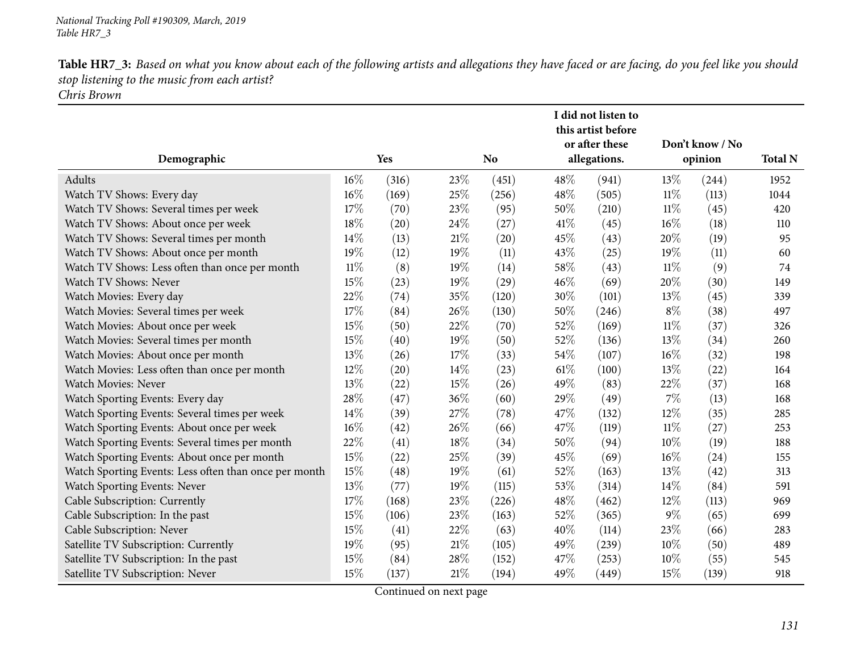*Chris Brown*

|                                                       | I did not listen to<br>this artist before<br>or after these |       |        |           |        |              |        | Don't know / No |                |  |
|-------------------------------------------------------|-------------------------------------------------------------|-------|--------|-----------|--------|--------------|--------|-----------------|----------------|--|
| Demographic                                           |                                                             | Yes   |        | <b>No</b> |        | allegations. |        | opinion         | <b>Total N</b> |  |
| Adults                                                | $16\%$                                                      | (316) | 23\%   | (451)     | 48%    | (941)        | 13%    | (244)           | 1952           |  |
| Watch TV Shows: Every day                             | 16%                                                         | (169) | 25%    | (256)     | 48%    | (505)        | 11%    | (113)           | 1044           |  |
| Watch TV Shows: Several times per week                | 17%                                                         | (70)  | 23%    | (95)      | $50\%$ | (210)        | $11\%$ | (45)            | 420            |  |
| Watch TV Shows: About once per week                   | 18%                                                         | (20)  | 24\%   | (27)      | 41\%   | (45)         | $16\%$ | (18)            | 110            |  |
| Watch TV Shows: Several times per month               | 14\%                                                        | (13)  | $21\%$ | (20)      | 45%    | (43)         | 20%    | (19)            | 95             |  |
| Watch TV Shows: About once per month                  | 19%                                                         | (12)  | 19%    | (11)      | 43%    | (25)         | 19%    | (11)            | 60             |  |
| Watch TV Shows: Less often than once per month        | $11\%$                                                      | (8)   | 19%    | (14)      | 58%    | (43)         | $11\%$ | (9)             | 74             |  |
| Watch TV Shows: Never                                 | 15%                                                         | (23)  | 19%    | (29)      | 46%    | (69)         | 20%    | (30)            | 149            |  |
| Watch Movies: Every day                               | 22%                                                         | (74)  | 35%    | (120)     | $30\%$ | (101)        | 13%    | (45)            | 339            |  |
| Watch Movies: Several times per week                  | 17%                                                         | (84)  | 26%    | (130)     | $50\%$ | (246)        | $8\%$  | (38)            | 497            |  |
| Watch Movies: About once per week                     | 15%                                                         | (50)  | 22%    | (70)      | 52%    | (169)        | $11\%$ | (37)            | 326            |  |
| Watch Movies: Several times per month                 | 15%                                                         | (40)  | 19%    | (50)      | 52%    | (136)        | 13%    | (34)            | 260            |  |
| Watch Movies: About once per month                    | 13%                                                         | (26)  | 17%    | (33)      | 54%    | (107)        | 16%    | (32)            | 198            |  |
| Watch Movies: Less often than once per month          | 12%                                                         | (20)  | 14%    | (23)      | 61\%   | (100)        | 13%    | (22)            | 164            |  |
| Watch Movies: Never                                   | 13%                                                         | (22)  | 15%    | (26)      | 49%    | (83)         | 22%    | (37)            | 168            |  |
| Watch Sporting Events: Every day                      | 28%                                                         | (47)  | 36%    | (60)      | 29%    | (49)         | $7\%$  | (13)            | 168            |  |
| Watch Sporting Events: Several times per week         | 14%                                                         | (39)  | 27%    | (78)      | 47%    | (132)        | $12\%$ | (35)            | 285            |  |
| Watch Sporting Events: About once per week            | 16%                                                         | (42)  | 26%    | (66)      | 47%    | (119)        | $11\%$ | (27)            | 253            |  |
| Watch Sporting Events: Several times per month        | 22%                                                         | (41)  | 18%    | (34)      | 50%    | (94)         | 10%    | (19)            | 188            |  |
| Watch Sporting Events: About once per month           | 15%                                                         | (22)  | 25%    | (39)      | 45%    | (69)         | 16%    | (24)            | 155            |  |
| Watch Sporting Events: Less often than once per month | 15%                                                         | (48)  | 19%    | (61)      | 52%    | (163)        | 13%    | (42)            | 313            |  |
| Watch Sporting Events: Never                          | $13\%$                                                      | (77)  | 19%    | (115)     | 53%    | (314)        | 14\%   | (84)            | 591            |  |
| Cable Subscription: Currently                         | 17%                                                         | (168) | 23%    | (226)     | 48%    | (462)        | 12%    | (113)           | 969            |  |
| Cable Subscription: In the past                       | 15%                                                         | (106) | 23%    | (163)     | 52%    | (365)        | 9%     | (65)            | 699            |  |
| Cable Subscription: Never                             | 15%                                                         | (41)  | 22%    | (63)      | 40%    | (114)        | 23%    | (66)            | 283            |  |
| Satellite TV Subscription: Currently                  | 19%                                                         | (95)  | 21%    | (105)     | 49%    | (239)        | 10%    | (50)            | 489            |  |
| Satellite TV Subscription: In the past                | 15%                                                         | (84)  | 28%    | (152)     | 47%    | (253)        | 10%    | (55)            | 545            |  |
| Satellite TV Subscription: Never                      | 15%                                                         | (137) | 21%    | (194)     | 49%    | (449)        | 15%    | (139)           | 918            |  |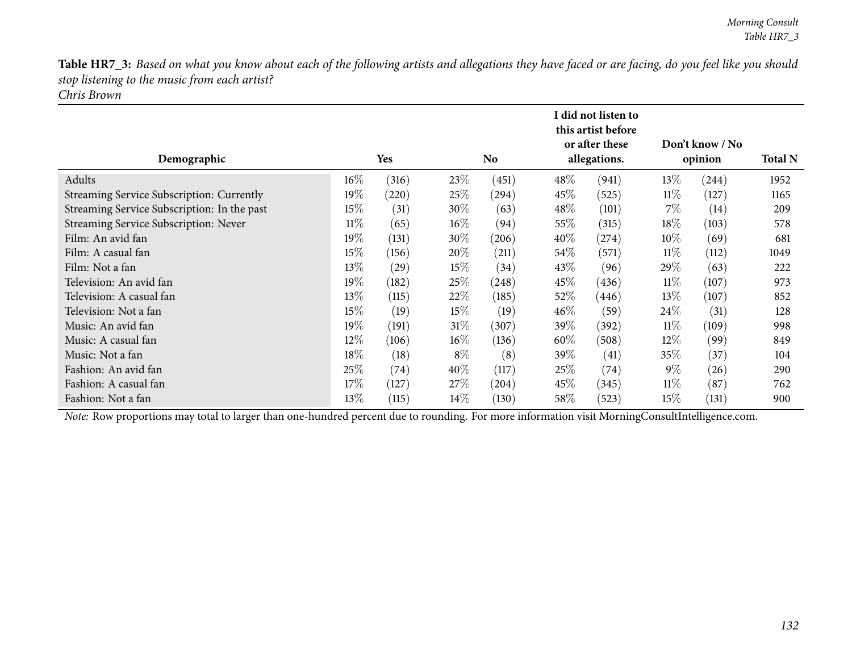*Chris Brown*

| Demographic                                  | Yes<br>No |       |        |       |        | I did not listen to<br>this artist before<br>or after these<br>allegations. |        | Don't know / No<br>opinion |      |  |
|----------------------------------------------|-----------|-------|--------|-------|--------|-----------------------------------------------------------------------------|--------|----------------------------|------|--|
| Adults                                       | $16\%$    | (316) | 23\%   | (451) | 48\%   |                                                                             | $13\%$ | (244)                      | 1952 |  |
|                                              |           |       |        |       |        | (941)                                                                       |        |                            |      |  |
| Streaming Service Subscription: Currently    | 19%       | (220) | 25\%   | (294) | 45\%   | (525)                                                                       | $11\%$ | (127)                      | 1165 |  |
| Streaming Service Subscription: In the past  | 15%       | (31)  | 30%    | (63)  | 48\%   | (101)                                                                       | $7\%$  | (14)                       | 209  |  |
| <b>Streaming Service Subscription: Never</b> | $11\%$    | (65)  | $16\%$ | (94)  | $55\%$ | (315)                                                                       | $18\%$ | (103)                      | 578  |  |
| Film: An avid fan                            | $19\%$    | (131) | $30\%$ | (206) | $40\%$ | (274)                                                                       | $10\%$ | (69)                       | 681  |  |
| Film: A casual fan                           | 15%       | (156) | $20\%$ | (211) | $54\%$ | (571)                                                                       | $11\%$ | (112)                      | 1049 |  |
| Film: Not a fan                              | 13%       | (29)  | 15%    | (34)  | 43\%   | (96)                                                                        | 29%    | (63)                       | 222  |  |
| Television: An avid fan                      | 19%       | (182) | 25%    | (248) | $45\%$ | (436)                                                                       | $11\%$ | (107)                      | 973  |  |
| Television: A casual fan                     | 13%       | (115) | 22\%   | (185) | $52\%$ | (446)                                                                       | $13\%$ | (107)                      | 852  |  |
| Television: Not a fan                        | 15%       | (19)  | 15%    | (19)  | $46\%$ | (59)                                                                        | 24\%   | (31)                       | 128  |  |
| Music: An avid fan                           | 19%       | (191) | $31\%$ | (307) | 39\%   | (392)                                                                       | $11\%$ | (109)                      | 998  |  |
| Music: A casual fan                          | 12\%      | (106) | $16\%$ | (136) | $60\%$ | (508)                                                                       | $12\%$ | (99)                       | 849  |  |
| Music: Not a fan                             | 18%       | (18)  | $8\%$  | (8)   | 39\%   | (41)                                                                        | 35%    | (37)                       | 104  |  |
| Fashion: An avid fan                         | 25%       | (74)  | 40\%   | (117) | $25\%$ | (74)                                                                        | $9\%$  | (26)                       | 290  |  |
| Fashion: A casual fan                        | 17%       | (127) | 27%    | (204) | $45\%$ | (345)                                                                       | $11\%$ | (87)                       | 762  |  |
| Fashion: Not a fan                           | 13%       | (115) | 14\%   | (130) | $58\%$ | (523)                                                                       | 15%    | (131)                      | 900  |  |

*Note:* Row proportions may total to larger than one-hundred percen<sup>t</sup> due to rounding. For more information visit [MorningConsultIntelligence.com](https://morningconsultintelligence.com).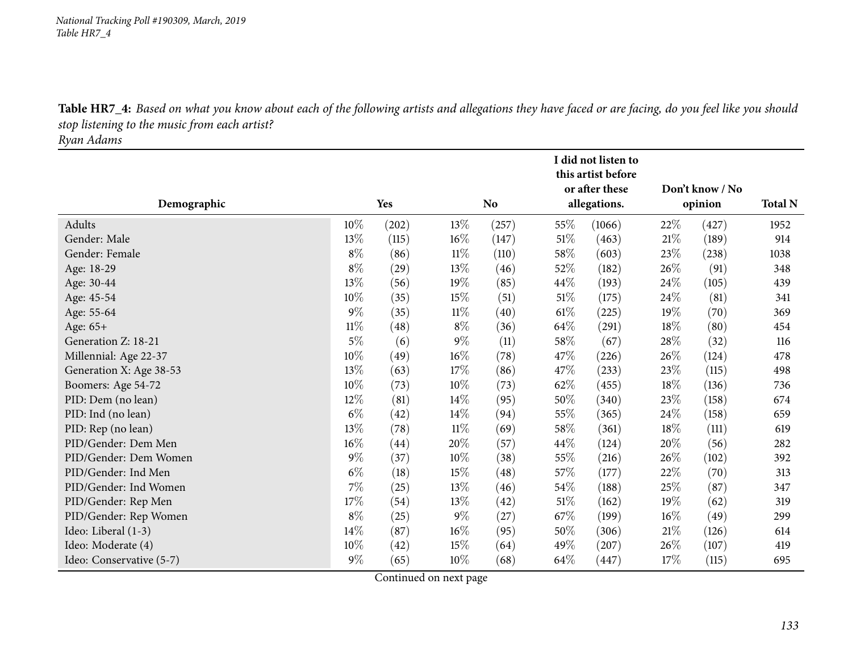*National Tracking Poll #190309, March, <sup>2019</sup> Table HR7\_4*

Table HR7\_4: Based on what you know about each of the following artists and allegations they have faced or are facing, do you feel like you should *stop listening to the music from each artist?*

*Ryan Adams*

|                          |        |            |        |           |        | I did not listen to<br>this artist before |        |                 |                |
|--------------------------|--------|------------|--------|-----------|--------|-------------------------------------------|--------|-----------------|----------------|
|                          |        |            |        |           |        | or after these                            |        | Don't know / No |                |
| Demographic              |        | <b>Yes</b> |        | <b>No</b> |        | allegations.                              |        | opinion         | <b>Total N</b> |
| Adults                   | $10\%$ | (202)      | 13%    | (257)     | 55\%   | (1066)                                    | 22\%   | (427)           | 1952           |
| Gender: Male             | 13%    | (115)      | 16%    | (147)     | $51\%$ | (463)                                     | 21%    | (189)           | 914            |
| Gender: Female           | $8\%$  | (86)       | $11\%$ | (110)     | 58\%   | (603)                                     | 23\%   | (238)           | 1038           |
| Age: 18-29               | $8\%$  | (29)       | 13\%   | (46)      | 52\%   | (182)                                     | 26%    | (91)            | 348            |
| Age: 30-44               | 13%    | (56)       | 19%    | (85)      | 44\%   | (193)                                     | 24\%   | (105)           | 439            |
| Age: 45-54               | 10%    | (35)       | 15\%   | (51)      | 51%    | (175)                                     | 24\%   | (81)            | 341            |
| Age: 55-64               | $9\%$  | (35)       | $11\%$ | (40)      | 61\%   | (225)                                     | 19%    | (70)            | 369            |
| Age: 65+                 | $11\%$ | (48)       | $8\%$  | (36)      | 64\%   | (291)                                     | 18\%   | (80)            | 454            |
| Generation Z: 18-21      | 5%     | (6)        | $9\%$  | (11)      | 58%    | (67)                                      | $28\%$ | (32)            | 116            |
| Millennial: Age 22-37    | $10\%$ | (49)       | $16\%$ | (78)      | 47%    | (226)                                     | 26\%   | (124)           | 478            |
| Generation X: Age 38-53  | 13%    | (63)       | 17%    | (86)      | 47%    | (233)                                     | 23\%   | (115)           | 498            |
| Boomers: Age 54-72       | 10%    | (73)       | $10\%$ | (73)      | 62%    | (455)                                     | 18\%   | (136)           | 736            |
| PID: Dem (no lean)       | 12%    | (81)       | 14\%   | (95)      | 50%    | (340)                                     | 23%    | (158)           | 674            |
| PID: Ind (no lean)       | $6\%$  | (42)       | 14\%   | (94)      | 55%    | (365)                                     | 24\%   | (158)           | 659            |
| PID: Rep (no lean)       | 13%    | (78)       | $11\%$ | (69)      | 58\%   | (361)                                     | 18%    | (111)           | 619            |
| PID/Gender: Dem Men      | 16%    | (44)       | 20%    | (57)      | 44\%   | (124)                                     | 20%    | (56)            | 282            |
| PID/Gender: Dem Women    | $9\%$  | (37)       | $10\%$ | (38)      | 55\%   | (216)                                     | $26\%$ | (102)           | 392            |
| PID/Gender: Ind Men      | $6\%$  | (18)       | 15\%   | (48)      | 57\%   | (177)                                     | 22\%   | (70)            | 313            |
| PID/Gender: Ind Women    | $7\%$  | $^{(25)}$  | 13\%   | (46)      | 54\%   | (188)                                     | 25%    | (87)            | 347            |
| PID/Gender: Rep Men      | 17\%   | (54)       | 13%    | (42)      | 51\%   | (162)                                     | $19\%$ | (62)            | 319            |
| PID/Gender: Rep Women    | $8\%$  | (25)       | $9\%$  | (27)      | 67\%   | (199)                                     | $16\%$ | (49)            | 299            |
| Ideo: Liberal (1-3)      | 14%    | (87)       | $16\%$ | (95)      | 50%    | (306)                                     | 21%    | (126)           | 614            |
| Ideo: Moderate (4)       | 10%    | (42)       | 15\%   | (64)      | 49%    | (207)                                     | 26\%   | (107)           | 419            |
| Ideo: Conservative (5-7) | $9\%$  | (65)       | 10%    | (68)      | 64\%   | (447)                                     | 17\%   | (115)           | 695            |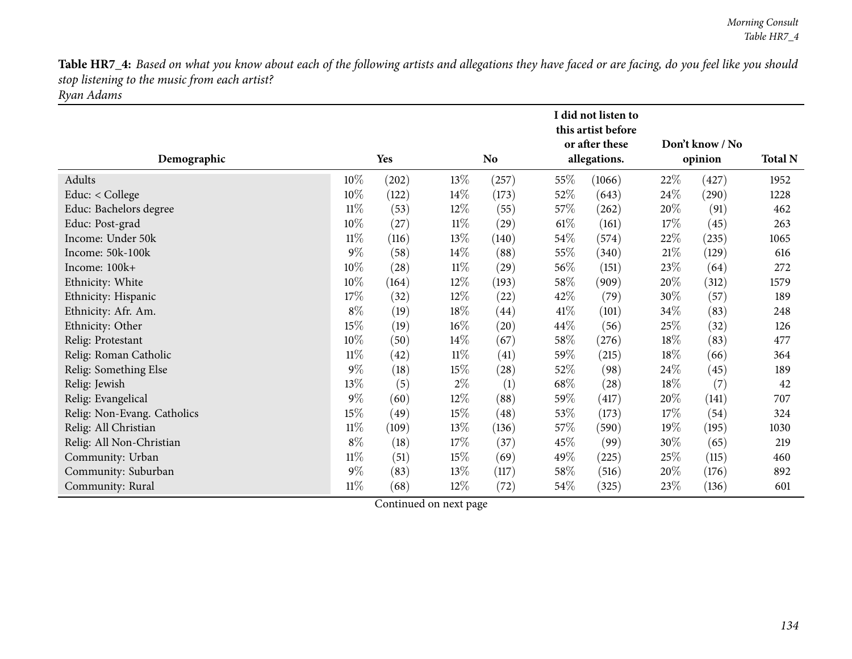**Demographic Yes No<sup>I</sup> did not listen to this artist before or after these allegations.Don't know / Noopinion Total <sup>N</sup>**Adultss and  $10\%$  (202)  $)$  13% (257) 55% (1066) 22% (427) 1952 1228 Educ: < College 10% (122)  $10\%$  (122)  $14\%$  (173)  $52\%$  (643)  $24\%$  (290) 1228 Educ: Bachelors degree  $\begin{array}{cccc} 11\% & (53) & 12\% & (55) & 57\% & (262) & 20\% & (91) & 462 \ \text{Educ: Post-grad} & 10\% & (27) & 11\% & (29) & 61\% & (161) & 17\% & (45) & 263 \end{array}$ Educ: Post-gradd  $10\%$   $(27)$   $11\%$   $(29)$   $61\%$   $(161)$   $17\%$   $(45)$   $263$ Income: Under 50k 11% 11% (116)  $11\%$  (116)  $13\%$  (140)  $54\%$  (574)  $22\%$  (235) 1065 Income: 50k-100k <sup>9</sup>% (58) <sup>14</sup>% (88) <sup>55</sup>% (340) <sup>21</sup>% (129) <sup>616</sup> Income: 100k+<br>Ethnicity: White  $+$  10% (28)  $11\%$  (29) 56% (151) 23% (64) 272 Ethnicity: White 10% (164)  $10\%$  (164)  $12\%$  (193)  $58\%$  (909)  $20\%$  (312) 1579 Ethnicity: Hispanic 17% (32) 12% (22) 42% (79) 30% (57) 189 Ethnicity: Afr. Am. <sup>8</sup>% (19) <sup>18</sup>% (44) <sup>41</sup>% (101) <sup>34</sup>% (83) <sup>248</sup> Ethnicity: Other 15% (19)  $15\%$  (19)  $16\%$  (20)  $44\%$  (56)  $25\%$  (32) 126 Relig: Protestant 10% (50)  $14\%$  (67)  $58\%$  (276)  $18\%$  (83)  $477$ Relig: Roman Catholic 11% (42) 11% (41) 59% (215) 18% (66) 364<br>
Relig: Something Else 9% (18) 15% (28) 52% (98) 24% (45) 189 Relig: Something Else  $9\%$  (18)  $15\%$  (28)  $52\%$  (98)  $24\%$  (45)<br>
Relig: Jewish  $13\%$  (5)  $2\%$  (1)  $68\%$  (28)  $18\%$  (7) Relig: Jewish<br>Relig: Evangelical h  $13\%$  (5)  $2\%$  (1)  $68\%$  (28)  $18\%$  (7)  $42$ Relig: Evangelical <sup>9</sup>% (60) <sup>12</sup>% (88) <sup>59</sup>% (417) <sup>20</sup>% (141) <sup>707</sup> Relig: Non-Evang. Catholics 15% (49) 15% (48) 53% (173) 17% (54) 324<br>
Relig: All Christian 19% 11% (109) 13% (136) 57% (590) 19% (195) 1030 Relig: All Christian**11%** (109) 13% (136) 57% (590) 19% (195) 1030 Relig: All Non-Christian**n** and  $8\%$  (18)  $17\%$  (37)  $45\%$  (99)  $30\%$  (65) 219 Community: Urban**11%** (51)  $15\%$  (69)  $49\%$  (225)  $25\%$  (115)  $460$ Community: Suburbann 9% (83)  $13\%$  (117)  $58\%$  (516)  $20\%$  (176) 892 Community: Rural 11<sup>%</sup> (68) 12% (72) 54% (325) 23% (136) 601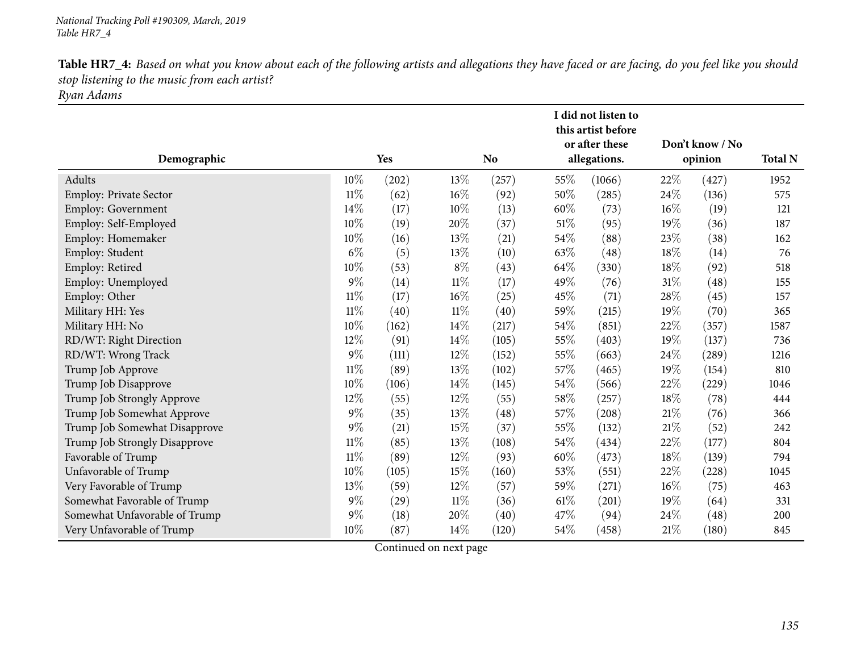*Ryan Adams*

|                               |        |       |        |           |      | I did not listen to<br>this artist before<br>or after these |        | Don't know / No     |                |
|-------------------------------|--------|-------|--------|-----------|------|-------------------------------------------------------------|--------|---------------------|----------------|
| Demographic                   |        | Yes   |        | <b>No</b> |      | allegations.                                                |        | opinion             | <b>Total N</b> |
| Adults                        | 10%    | (202) | 13\%   | (257)     | 55\% | (1066)                                                      | 22%    | (427)               | 1952           |
| Employ: Private Sector        | $11\%$ | (62)  | 16%    | (92)      | 50%  | (285)                                                       | 24%    | (136)               | 575            |
| <b>Employ: Government</b>     | $14\%$ | (17)  | 10%    | (13)      | 60%  | (73)                                                        | 16%    | (19)                | 121            |
| Employ: Self-Employed         | $10\%$ | (19)  | 20%    | (37)      | 51%  | (95)                                                        | 19%    | (36)                | 187            |
| Employ: Homemaker             | 10%    | (16)  | 13\%   | (21)      | 54\% | (88)                                                        | 23%    | (38)                | 162            |
| Employ: Student               | $6\%$  | (5)   | 13\%   | (10)      | 63%  | (48)                                                        | 18%    | (14)                | 76             |
| Employ: Retired               | 10%    | (53)  | $8\%$  | (43)      | 64\% | (330)                                                       | $18\%$ | (92)                | 518            |
| Employ: Unemployed            | $9\%$  | (14)  | $11\%$ | (17)      | 49%  | (76)                                                        | 31%    | (48)                | 155            |
| Employ: Other                 | $11\%$ | (17)  | $16\%$ | (25)      | 45%  | (71)                                                        | 28%    | (45)                | 157            |
| Military HH: Yes              | $11\%$ | (40)  | $11\%$ | (40)      | 59%  | (215)                                                       | 19%    | (70)                | 365            |
| Military HH: No               | $10\%$ | (162) | $14\%$ | (217)     | 54%  | (851)                                                       | 22%    | (357)               | 1587           |
| RD/WT: Right Direction        | 12%    | (91)  | $14\%$ | (105)     | 55%  | (403)                                                       | 19%    | (137)               | 736            |
| RD/WT: Wrong Track            | $9\%$  | (111) | $12\%$ | (152)     | 55%  | (663)                                                       | 24%    | $\left( 289\right)$ | 1216           |
| Trump Job Approve             | $11\%$ | (89)  | 13\%   | (102)     | 57%  | (465)                                                       | 19%    | (154)               | 810            |
| Trump Job Disapprove          | $10\%$ | (106) | $14\%$ | (145)     | 54%  | (566)                                                       | 22%    | (229)               | 1046           |
| Trump Job Strongly Approve    | 12%    | (55)  | 12%    | (55)      | 58%  | (257)                                                       | 18%    | (78)                | 444            |
| Trump Job Somewhat Approve    | $9\%$  | (35)  | 13%    | (48)      | 57%  | (208)                                                       | 21%    | (76)                | 366            |
| Trump Job Somewhat Disapprove | $9\%$  | (21)  | $15\%$ | (37)      | 55\% | (132)                                                       | 21%    | (52)                | 242            |
| Trump Job Strongly Disapprove | $11\%$ | (85)  | $13\%$ | (108)     | 54\% | (434)                                                       | 22\%   | (177)               | 804            |
| Favorable of Trump            | $11\%$ | (89)  | $12\%$ | (93)      | 60%  | (473)                                                       | 18%    | (139)               | 794            |
| Unfavorable of Trump          | 10%    | (105) | 15%    | (160)     | 53%  | (551)                                                       | 22%    | (228)               | 1045           |
| Very Favorable of Trump       | 13%    | (59)  | $12\%$ | (57)      | 59%  | (271)                                                       | 16%    | (75)                | 463            |
| Somewhat Favorable of Trump   | $9\%$  | (29)  | $11\%$ | (36)      | 61%  | (201)                                                       | 19%    | (64)                | 331            |
| Somewhat Unfavorable of Trump | $9\%$  | (18)  | 20%    | (40)      | 47%  | (94)                                                        | 24%    | (48)                | 200            |
| Very Unfavorable of Trump     | 10%    | (87)  | $14\%$ | (120)     | 54\% | (458)                                                       | 21%    | (180)               | 845            |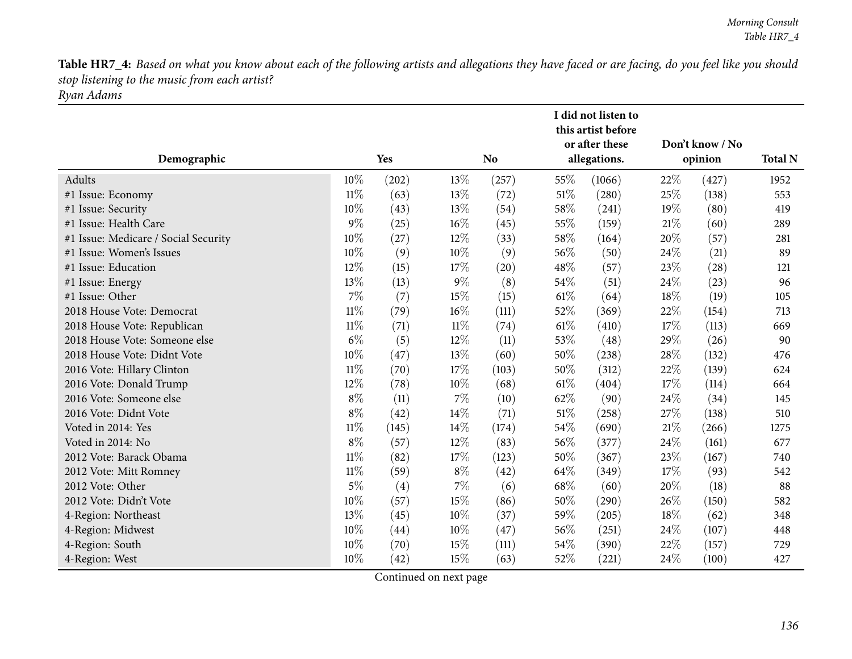*Ryan Adams*

|                                      |        |       | I did not listen to<br>this artist before<br>or after these<br>Don't know / No |           |        |              |      |         |                |
|--------------------------------------|--------|-------|--------------------------------------------------------------------------------|-----------|--------|--------------|------|---------|----------------|
| Demographic                          |        | Yes   |                                                                                | <b>No</b> |        | allegations. |      | opinion | <b>Total N</b> |
| Adults                               | 10%    | (202) | 13\%                                                                           | (257)     | 55%    | (1066)       | 22%  | (427)   | 1952           |
| #1 Issue: Economy                    | $11\%$ | (63)  | 13\%                                                                           | (72)      | $51\%$ | (280)        | 25%  | (138)   | 553            |
| #1 Issue: Security                   | 10%    | (43)  | 13%                                                                            | (54)      | 58%    | (241)        | 19%  | (80)    | 419            |
| #1 Issue: Health Care                | $9\%$  | (25)  | 16%                                                                            | (45)      | 55%    | (159)        | 21%  | (60)    | 289            |
| #1 Issue: Medicare / Social Security | 10%    | (27)  | 12%                                                                            | (33)      | 58%    | (164)        | 20%  | (57)    | 281            |
| #1 Issue: Women's Issues             | 10%    | (9)   | $10\%$                                                                         | (9)       | 56%    | (50)         | 24%  | (21)    | 89             |
| #1 Issue: Education                  | 12%    | (15)  | 17%                                                                            | (20)      | 48%    | (57)         | 23%  | (28)    | 121            |
| #1 Issue: Energy                     | $13\%$ | (13)  | $9\%$                                                                          | (8)       | 54%    | (51)         | 24\% | (23)    | 96             |
| #1 Issue: Other                      | 7%     | (7)   | 15%                                                                            | (15)      | 61%    | (64)         | 18%  | (19)    | 105            |
| 2018 House Vote: Democrat            | $11\%$ | (79)  | 16\%                                                                           | (111)     | 52%    | (369)        | 22%  | (154)   | 713            |
| 2018 House Vote: Republican          | $11\%$ | (71)  | $11\%$                                                                         | (74)      | 61%    | (410)        | 17\% | (113)   | 669            |
| 2018 House Vote: Someone else        | $6\%$  | (5)   | 12%                                                                            | (11)      | 53%    | (48)         | 29%  | (26)    | 90             |
| 2018 House Vote: Didnt Vote          | 10%    | (47)  | 13%                                                                            | (60)      | 50%    | (238)        | 28%  | (132)   | 476            |
| 2016 Vote: Hillary Clinton           | $11\%$ | (70)  | 17%                                                                            | (103)     | 50%    | (312)        | 22%  | (139)   | 624            |
| 2016 Vote: Donald Trump              | 12%    | (78)  | $10\%$                                                                         | (68)      | 61\%   | (404)        | 17%  | (114)   | 664            |
| 2016 Vote: Someone else              | $8\%$  | (11)  | $7\%$                                                                          | (10)      | 62%    | (90)         | 24%  | (34)    | 145            |
| 2016 Vote: Didnt Vote                | $8\%$  | (42)  | 14\%                                                                           | (71)      | 51%    | (258)        | 27%  | (138)   | 510            |
| Voted in 2014: Yes                   | $11\%$ | (145) | 14%                                                                            | (174)     | 54%    | (690)        | 21%  | (266)   | 1275           |
| Voted in 2014: No                    | $8\%$  | (57)  | 12%                                                                            | (83)      | 56%    | (377)        | 24\% | (161)   | 677            |
| 2012 Vote: Barack Obama              | $11\%$ | (82)  | 17\%                                                                           | (123)     | 50%    | (367)        | 23%  | (167)   | 740            |
| 2012 Vote: Mitt Romney               | $11\%$ | (59)  | $8\%$                                                                          | (42)      | 64%    | (349)        | 17%  | (93)    | 542            |
| 2012 Vote: Other                     | $5\%$  | (4)   | 7%                                                                             | (6)       | 68%    | (60)         | 20%  | (18)    | 88             |
| 2012 Vote: Didn't Vote               | 10%    | (57)  | 15%                                                                            | (86)      | 50%    | (290)        | 26\% | (150)   | 582            |
| 4-Region: Northeast                  | 13%    | (45)  | $10\%$                                                                         | (37)      | $59\%$ | (205)        | 18%  | (62)    | 348            |
| 4-Region: Midwest                    | $10\%$ | (44)  | 10%                                                                            | (47)      | 56%    | (251)        | 24\% | (107)   | 448            |
| 4-Region: South                      | 10%    | (70)  | 15%                                                                            | (111)     | 54%    | (390)        | 22%  | (157)   | 729            |
| 4-Region: West                       | 10%    | (42)  | 15%                                                                            | (63)      | 52%    | (221)        | 24\% | (100)   | 427            |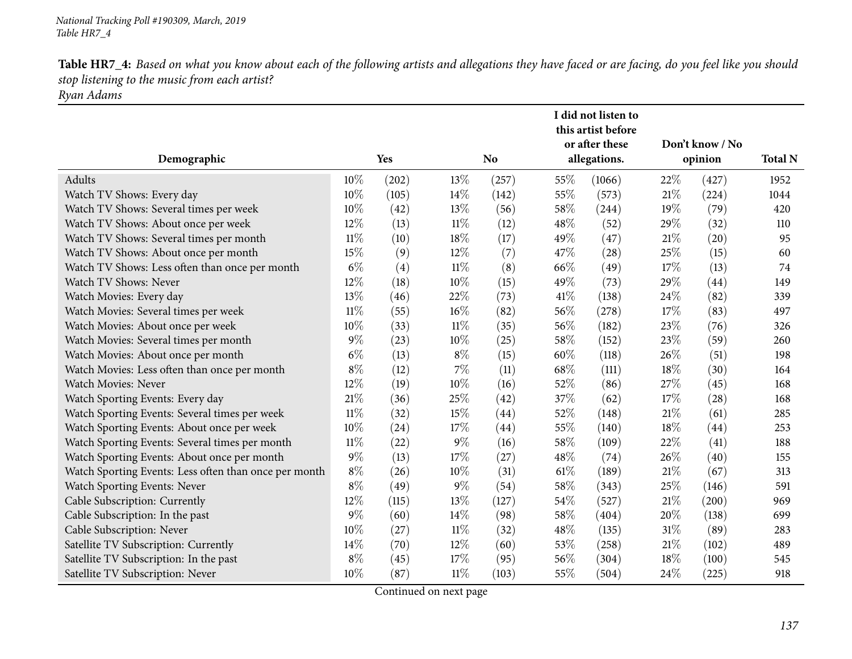*Ryan Adams*

|                                                       |        |       |        |                |      | I did not listen to<br>this artist before<br>or after these |        | Don't know / No |                |
|-------------------------------------------------------|--------|-------|--------|----------------|------|-------------------------------------------------------------|--------|-----------------|----------------|
| Demographic                                           |        | Yes   |        | N <sub>o</sub> |      | allegations.                                                |        | opinion         | <b>Total N</b> |
| Adults                                                | $10\%$ | (202) | 13\%   | (257)          | 55%  | (1066)                                                      | 22%    | (427)           | 1952           |
| Watch TV Shows: Every day                             | 10%    | (105) | 14%    | (142)          | 55%  | (573)                                                       | 21%    | (224)           | 1044           |
| Watch TV Shows: Several times per week                | 10%    | (42)  | 13%    | (56)           | 58%  | (244)                                                       | 19%    | (79)            | 420            |
| Watch TV Shows: About once per week                   | 12%    | (13)  | $11\%$ | (12)           | 48%  | (52)                                                        | 29%    | (32)            | 110            |
| Watch TV Shows: Several times per month               | $11\%$ | (10)  | 18%    | (17)           | 49%  | (47)                                                        | 21%    | (20)            | 95             |
| Watch TV Shows: About once per month                  | 15%    | (9)   | 12%    | (7)            | 47%  | (28)                                                        | 25%    | (15)            | 60             |
| Watch TV Shows: Less often than once per month        | $6\%$  | (4)   | $11\%$ | (8)            | 66\% | (49)                                                        | 17%    | (13)            | 74             |
| Watch TV Shows: Never                                 | 12%    | (18)  | 10%    | (15)           | 49%  | (73)                                                        | 29%    | (44)            | 149            |
| Watch Movies: Every day                               | 13%    | (46)  | 22%    | (73)           | 41\% | (138)                                                       | 24%    | (82)            | 339            |
| Watch Movies: Several times per week                  | $11\%$ | (55)  | $16\%$ | (82)           | 56%  | (278)                                                       | 17%    | (83)            | 497            |
| Watch Movies: About once per week                     | 10%    | (33)  | $11\%$ | (35)           | 56%  | (182)                                                       | 23%    | (76)            | 326            |
| Watch Movies: Several times per month                 | $9\%$  | (23)  | 10%    | (25)           | 58%  | (152)                                                       | 23%    | (59)            | 260            |
| Watch Movies: About once per month                    | $6\%$  | (13)  | $8\%$  | (15)           | 60%  | (118)                                                       | 26%    | (51)            | 198            |
| Watch Movies: Less often than once per month          | $8\%$  | (12)  | $7\%$  | (11)           | 68\% | (111)                                                       | 18%    | (30)            | 164            |
| Watch Movies: Never                                   | 12%    | (19)  | 10%    | (16)           | 52%  | (86)                                                        | 27%    | (45)            | 168            |
| Watch Sporting Events: Every day                      | 21%    | (36)  | 25%    | (42)           | 37%  | (62)                                                        | 17%    | (28)            | 168            |
| Watch Sporting Events: Several times per week         | $11\%$ | (32)  | 15%    | (44)           | 52%  | (148)                                                       | $21\%$ | (61)            | 285            |
| Watch Sporting Events: About once per week            | 10%    | (24)  | 17%    | (44)           | 55%  | (140)                                                       | 18%    | (44)            | 253            |
| Watch Sporting Events: Several times per month        | $11\%$ | (22)  | 9%     | (16)           | 58%  | (109)                                                       | 22%    | (41)            | 188            |
| Watch Sporting Events: About once per month           | $9\%$  | (13)  | 17%    | (27)           | 48%  | (74)                                                        | 26%    | (40)            | 155            |
| Watch Sporting Events: Less often than once per month | $8\%$  | (26)  | 10%    | (31)           | 61\% | (189)                                                       | 21\%   | (67)            | 313            |
| Watch Sporting Events: Never                          | $8\%$  | (49)  | $9\%$  | (54)           | 58%  | (343)                                                       | 25%    | (146)           | 591            |
| Cable Subscription: Currently                         | 12%    | (115) | 13%    | (127)          | 54%  | (527)                                                       | 21%    | (200)           | 969            |
| Cable Subscription: In the past                       | $9\%$  | (60)  | 14%    | (98)           | 58%  | (404)                                                       | 20%    | (138)           | 699            |
| Cable Subscription: Never                             | 10%    | (27)  | 11%    | (32)           | 48%  | (135)                                                       | 31%    | (89)            | 283            |
| Satellite TV Subscription: Currently                  | 14%    | (70)  | 12%    | (60)           | 53%  | (258)                                                       | $21\%$ | (102)           | 489            |
| Satellite TV Subscription: In the past                | $8\%$  | (45)  | 17%    | (95)           | 56%  | (304)                                                       | 18%    | (100)           | 545            |
| Satellite TV Subscription: Never                      | 10%    | (87)  | $11\%$ | (103)          | 55%  | (504)                                                       | 24%    | (225)           | 918            |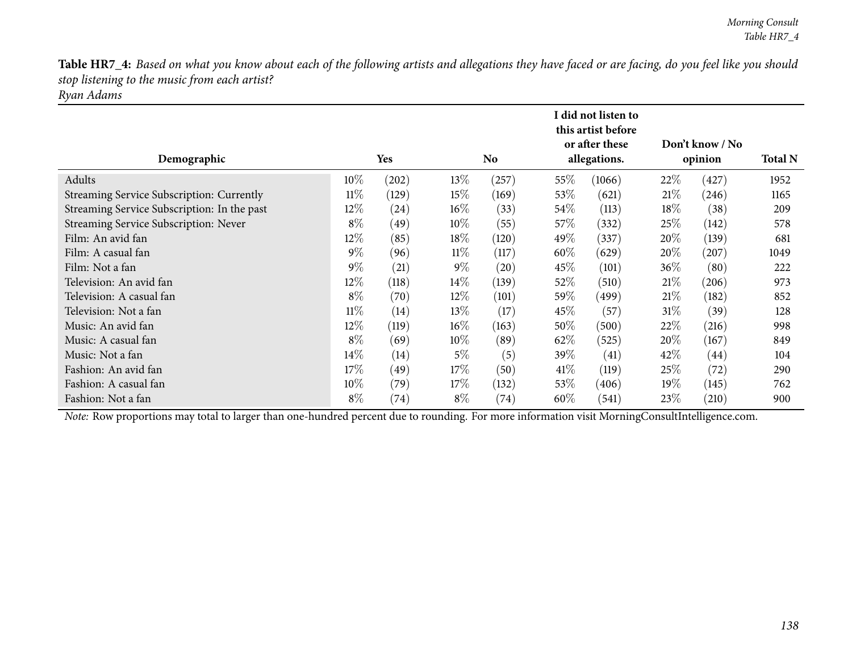*Ryan Adams*

| Demographic                                  |        | Yes   |        | No    |        | I did not listen to<br>this artist before<br>or after these<br>allegations. |        | Don't know / No<br>opinion |      |  |
|----------------------------------------------|--------|-------|--------|-------|--------|-----------------------------------------------------------------------------|--------|----------------------------|------|--|
| Adults                                       | $10\%$ | (202) | 13\%   | (257) | $55\%$ | (1066)                                                                      | 22%    | (427)                      | 1952 |  |
| Streaming Service Subscription: Currently    | $11\%$ | (129) | 15%    | (169) | $53\%$ | (621)                                                                       | 21%    | (246)                      | 1165 |  |
| Streaming Service Subscription: In the past  | 12\%   | (24)  | $16\%$ | (33)  | $54\%$ | (113)                                                                       | 18%    | (38)                       | 209  |  |
| <b>Streaming Service Subscription: Never</b> | $8\%$  | (49)  | $10\%$ | (55)  | $57\%$ | (332)                                                                       | 25%    | (142)                      | 578  |  |
| Film: An avid fan                            | 12\%   | (85)  | $18\%$ | (120) | 49\%   | (337)                                                                       | 20%    | (139)                      | 681  |  |
| Film: A casual fan                           | $9\%$  | (96)  | $11\%$ | (117) | $60\%$ | (629)                                                                       | $20\%$ | (207)                      | 1049 |  |
| Film: Not a fan                              | $9\%$  | (21)  | $9\%$  | (20)  | 45\%   | (101)                                                                       | $36\%$ | (80)                       | 222  |  |
| Television: An avid fan                      | 12\%   | (118) | $14\%$ | (139) | 52\%   | (510)                                                                       | 21%    | (206)                      | 973  |  |
| Television: A casual fan                     | $8\%$  | (70)  | $12\%$ | (101) | 59%    | (499)                                                                       | 21%    | (182)                      | 852  |  |
| Television: Not a fan                        | $11\%$ | (14)  | $13\%$ | (17)  | $45\%$ | (57)                                                                        | $31\%$ | (39)                       | 128  |  |
| Music: An avid fan                           | 12\%   | (119) | $16\%$ | (163) | $50\%$ | (500)                                                                       | 22%    | (216)                      | 998  |  |
| Music: A casual fan                          | $8\%$  | (69)  | $10\%$ | (89)  | 62\%   | (525)                                                                       | 20%    | (167)                      | 849  |  |
| Music: Not a fan                             | $14\%$ | (14)  | $5\%$  | (5)   | 39\%   | (41)                                                                        | 42\%   | (44)                       | 104  |  |
| Fashion: An avid fan                         | 17%    | (49)  | 17%    | (50)  | 41%    | (119)                                                                       | 25%    | (72)                       | 290  |  |
| Fashion: A casual fan                        | $10\%$ | (79)  | $17\%$ | (132) | $53\%$ | (406)                                                                       | $19\%$ | (145)                      | 762  |  |
| Fashion: Not a fan                           | $8\%$  | (74)  | $8\%$  | (74)  | $60\%$ | (541)                                                                       | 23%    | (210)                      | 900  |  |

*Note:* Row proportions may total to larger than one-hundred percen<sup>t</sup> due to rounding. For more information visit [MorningConsultIntelligence.com](https://morningconsultintelligence.com).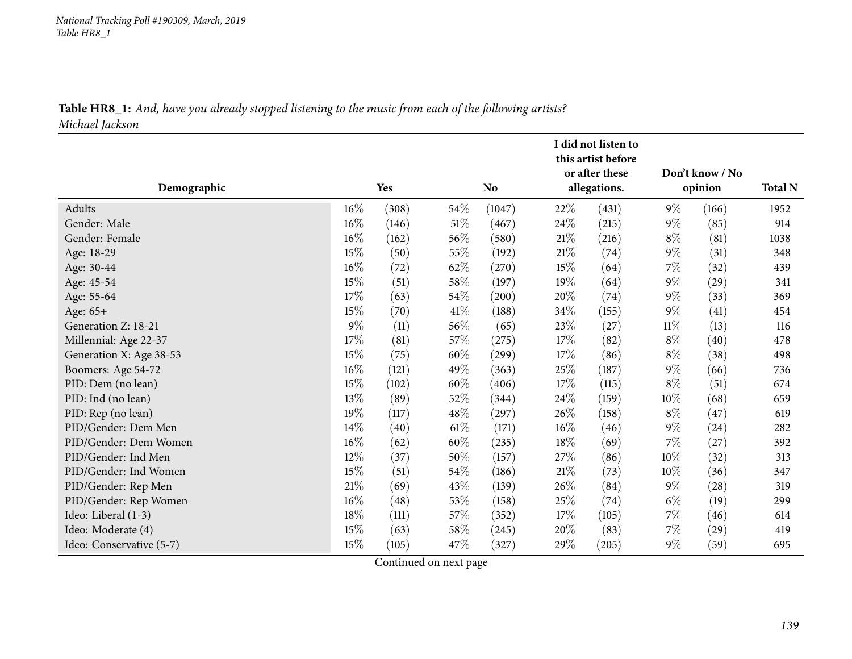|                          |        |       |        |                |        | I did not listen to                  |        |                 |                |
|--------------------------|--------|-------|--------|----------------|--------|--------------------------------------|--------|-----------------|----------------|
|                          |        |       |        |                |        | this artist before<br>or after these |        | Don't know / No |                |
| Demographic              |        | Yes   |        | N <sub>o</sub> |        | allegations.                         |        | opinion         | <b>Total N</b> |
|                          |        |       |        |                |        |                                      |        |                 |                |
| Adults                   | $16\%$ | (308) | $54\%$ | (1047)         | 22%    | (431)                                | $9\%$  | (166)           | 1952           |
| Gender: Male             | $16\%$ | (146) | $51\%$ | (467)          | 24%    | (215)                                | $9\%$  | (85)            | 914            |
| Gender: Female           | $16\%$ | (162) | 56\%   | (580)          | 21%    | (216)                                | $8\%$  | (81)            | 1038           |
| Age: 18-29               | 15%    | (50)  | 55%    | (192)          | 21%    | (74)                                 | $9\%$  | (31)            | 348            |
| Age: 30-44               | $16\%$ | (72)  | 62%    | (270)          | 15%    | (64)                                 | 7%     | (32)            | 439            |
| Age: 45-54               | $15\%$ | (51)  | $58\%$ | (197)          | 19%    | (64)                                 | $9\%$  | (29)            | 341            |
| Age: 55-64               | 17\%   | (63)  | 54\%   | (200)          | 20%    | (74)                                 | $9\%$  | (33)            | 369            |
| Age: 65+                 | 15%    | (70)  | $41\%$ | (188)          | 34%    | (155)                                | $9\%$  | (41)            | 454            |
| Generation Z: 18-21      | $9\%$  | (11)  | 56%    | (65)           | 23%    | (27)                                 | $11\%$ | (13)            | 116            |
| Millennial: Age 22-37    | 17\%   | (81)  | 57\%   | (275)          | 17%    | (82)                                 | $8\%$  | (40)            | 478            |
| Generation X: Age 38-53  | $15\%$ | (75)  | $60\%$ | (299)          | 17\%   | (86)                                 | $8\%$  | (38)            | 498            |
| Boomers: Age 54-72       | $16\%$ | (121) | 49%    | (363)          | 25%    | (187)                                | $9\%$  | (66)            | 736            |
| PID: Dem (no lean)       | 15%    | (102) | $60\%$ | (406)          | 17\%   | (115)                                | $8\%$  | (51)            | 674            |
| PID: Ind (no lean)       | 13%    | (89)  | 52\%   | (344)          | 24\%   | (159)                                | $10\%$ | (68)            | 659            |
| PID: Rep (no lean)       | 19%    | (117) | 48\%   | (297)          | 26%    | (158)                                | $8\%$  | (47)            | 619            |
| PID/Gender: Dem Men      | $14\%$ | (40)  | $61\%$ | (171)          | $16\%$ | (46)                                 | $9\%$  | (24)            | 282            |
| PID/Gender: Dem Women    | $16\%$ | (62)  | 60%    | (235)          | 18%    | (69)                                 | 7%     | $^{(27)}$       | 392            |
| PID/Gender: Ind Men      | 12%    | (37)  | $50\%$ | (157)          | 27\%   | (86)                                 | $10\%$ | (32)            | 313            |
| PID/Gender: Ind Women    | $15\%$ | (51)  | 54\%   | (186)          | $21\%$ | (73)                                 | $10\%$ | (36)            | 347            |
| PID/Gender: Rep Men      | $21\%$ | (69)  | 43%    | (139)          | 26%    | (84)                                 | $9\%$  | (28)            | 319            |
| PID/Gender: Rep Women    | 16%    | (48)  | $53\%$ | (158)          | 25%    | (74)                                 | $6\%$  | (19)            | 299            |
| Ideo: Liberal (1-3)      | 18%    | (111) | 57\%   | (352)          | 17\%   | (105)                                | 7%     | (46)            | 614            |
| Ideo: Moderate (4)       | 15%    | (63)  | 58\%   | (245)          | 20%    | (83)                                 | 7%     | $^{(29)}$       | 419            |
| Ideo: Conservative (5-7) | 15%    | (105) | 47\%   | (327)          | 29%    | (205)                                | $9\%$  | (59)            | 695            |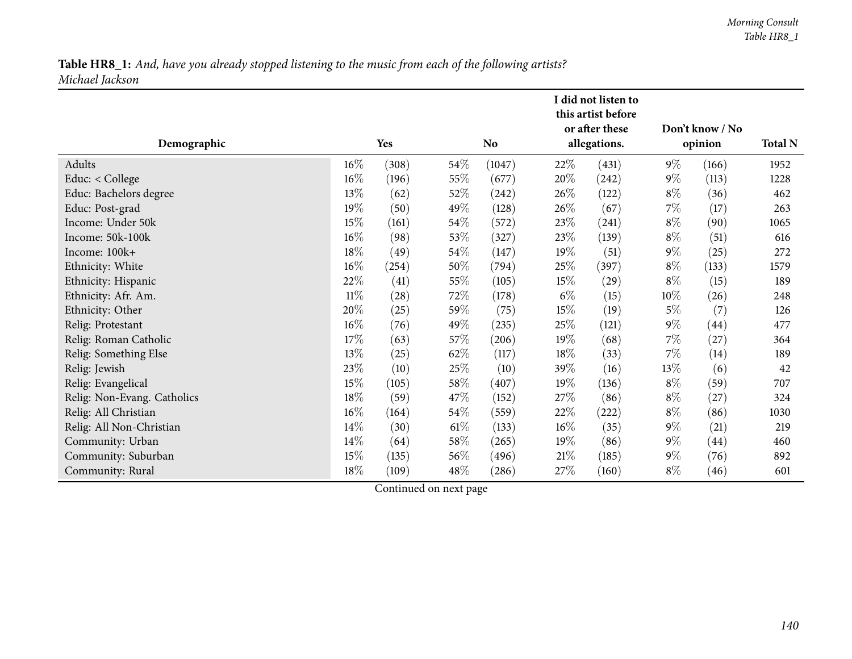|                             |        |       |        |           |        | I did not listen to<br>this artist before |        |                            |                |
|-----------------------------|--------|-------|--------|-----------|--------|-------------------------------------------|--------|----------------------------|----------------|
| Demographic                 |        | Yes   |        | <b>No</b> |        | or after these<br>allegations.            |        | Don't know / No<br>opinion | <b>Total N</b> |
| Adults                      | $16\%$ | (308) | $54\%$ | (1047)    | 22%    | (431)                                     | $9\%$  | (166)                      | 1952           |
| Educ: < College             | $16\%$ | (196) | 55%    | (677)     | 20%    | (242)                                     | $9\%$  | (113)                      | 1228           |
| Educ: Bachelors degree      | 13%    | (62)  | 52\%   | (242)     | 26\%   | (122)                                     | $8\%$  | (36)                       | 462            |
| Educ: Post-grad             | 19%    | (50)  | 49%    | (128)     | $26\%$ | (67)                                      | $7\%$  | (17)                       | 263            |
| Income: Under 50k           | 15%    | (161) | 54\%   | (572)     | 23\%   | (241)                                     | $8\%$  | (90)                       | 1065           |
| Income: 50k-100k            | $16\%$ | (98)  | 53%    | (327)     | 23\%   | (139)                                     | $8\%$  | (51)                       | 616            |
| Income: 100k+               | 18%    | (49)  | 54\%   | (147)     | 19%    | (51)                                      | $9\%$  | (25)                       | 272            |
| Ethnicity: White            | $16\%$ | (254) | 50%    | (794)     | 25\%   | (397)                                     | $8\%$  | (133)                      | 1579           |
| Ethnicity: Hispanic         | 22%    | (41)  | 55%    | (105)     | $15\%$ | (29)                                      | $8\%$  | (15)                       | 189            |
| Ethnicity: Afr. Am.         | $11\%$ | (28)  | 72\%   | (178)     | $6\%$  | (15)                                      | $10\%$ | (26)                       | 248            |
| Ethnicity: Other            | 20%    | (25)  | 59%    | (75)      | $15\%$ | (19)                                      | $5\%$  | (7)                        | 126            |
| Relig: Protestant           | $16\%$ | (76)  | 49%    | (235)     | $25\%$ | (121)                                     | $9\%$  | (44)                       | 477            |
| Relig: Roman Catholic       | 17%    | (63)  | 57\%   | (206)     | 19%    | (68)                                      | 7%     | (27)                       | 364            |
| Relig: Something Else       | 13%    | (25)  | 62%    | (117)     | $18\%$ | (33)                                      | 7%     | (14)                       | 189            |
| Relig: Jewish               | 23\%   | (10)  | 25%    | (10)      | 39\%   | (16)                                      | 13\%   | (6)                        | 42             |
| Relig: Evangelical          | $15\%$ | (105) | 58\%   | (407)     | 19%    | (136)                                     | $8\%$  | (59)                       | 707            |
| Relig: Non-Evang. Catholics | 18%    | (59)  | 47%    | (152)     | 27\%   | (86)                                      | $8\%$  | $^{(27)}$                  | 324            |
| Relig: All Christian        | $16\%$ | (164) | 54\%   | (559)     | 22\%   | (222)                                     | $8\%$  | (86)                       | 1030           |
| Relig: All Non-Christian    | 14\%   | (30)  | $61\%$ | (133)     | $16\%$ | (35)                                      | $9\%$  | (21)                       | 219            |
| Community: Urban            | $14\%$ | (64)  | 58\%   | (265)     | 19%    | (86)                                      | $9\%$  | (44)                       | 460            |
| Community: Suburban         | $15\%$ | (135) | 56\%   | (496)     | 21%    | (185)                                     | $9\%$  | (76)                       | 892            |
| Community: Rural            | 18\%   | (109) | 48\%   | (286)     | 27\%   | (160)                                     | $8\%$  | (46)                       | 601            |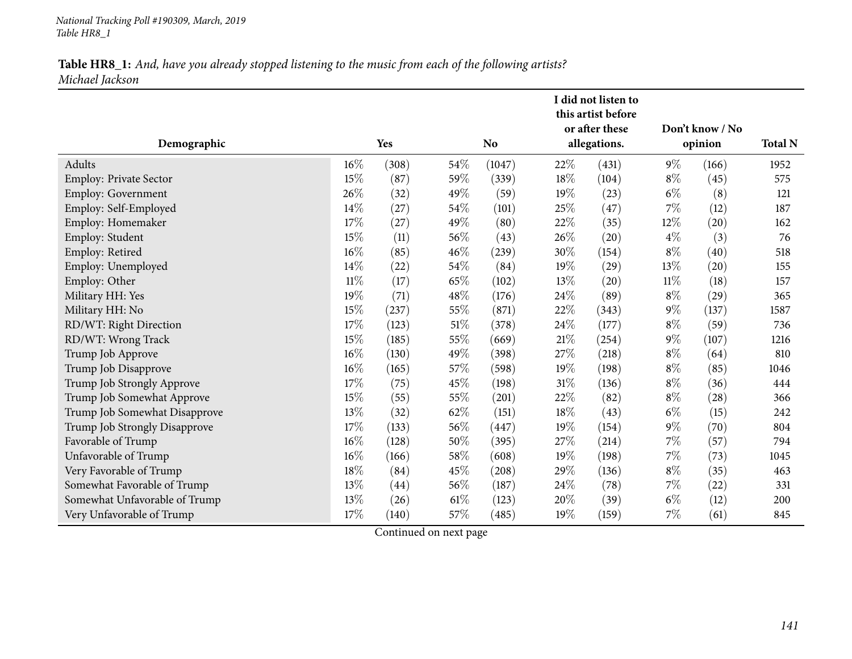|                               |        |       |        |           |        | I did not listen to<br>this artist before |        |                 |                |
|-------------------------------|--------|-------|--------|-----------|--------|-------------------------------------------|--------|-----------------|----------------|
|                               |        |       |        |           |        | or after these                            |        | Don't know / No |                |
| Demographic                   |        | Yes   |        | <b>No</b> |        | allegations.                              |        | opinion         | <b>Total N</b> |
| Adults                        | $16\%$ | (308) | 54%    | (1047)    | 22%    | (431)                                     | $9\%$  | (166)           | 1952           |
| Employ: Private Sector        | 15%    | (87)  | 59%    | (339)     | 18%    | (104)                                     | $8\%$  | (45)            | 575            |
| Employ: Government            | 26%    | (32)  | 49%    | (59)      | 19%    | (23)                                      | $6\%$  | (8)             | 121            |
| Employ: Self-Employed         | $14\%$ | (27)  | 54%    | (101)     | 25%    | (47)                                      | $7\%$  | (12)            | 187            |
| Employ: Homemaker             | $17\%$ | (27)  | 49%    | (80)      | 22%    | (35)                                      | 12%    | (20)            | 162            |
| Employ: Student               | $15\%$ | (11)  | $56\%$ | (43)      | 26%    | (20)                                      | $4\%$  | (3)             | 76             |
| Employ: Retired               | 16%    | (85)  | 46%    | (239)     | 30%    | (154)                                     | $8\%$  | (40)            | 518            |
| Employ: Unemployed            | $14\%$ | (22)  | 54%    | (84)      | 19%    | (29)                                      | 13%    | (20)            | 155            |
| Employ: Other                 | $11\%$ | (17)  | 65%    | (102)     | 13%    | (20)                                      | $11\%$ | (18)            | 157            |
| Military HH: Yes              | 19%    | (71)  | 48%    | (176)     | 24\%   | (89)                                      | $8\%$  | (29)            | 365            |
| Military HH: No               | $15\%$ | (237) | 55%    | (871)     | 22%    | (343)                                     | $9\%$  | (137)           | 1587           |
| RD/WT: Right Direction        | 17\%   | (123) | $51\%$ | (378)     | 24%    | (177)                                     | $8\%$  | (59)            | 736            |
| RD/WT: Wrong Track            | 15%    | (185) | 55%    | (669)     | 21\%   | (254)                                     | $9\%$  | (107)           | 1216           |
| Trump Job Approve             | $16\%$ | (130) | 49%    | (398)     | 27\%   | (218)                                     | $8\%$  | (64)            | 810            |
| Trump Job Disapprove          | 16%    | (165) | 57%    | (598)     | 19%    | (198)                                     | $8\%$  | (85)            | 1046           |
| Trump Job Strongly Approve    | 17%    | (75)  | 45%    | (198)     | $31\%$ | (136)                                     | $8\%$  | (36)            | 444            |
| Trump Job Somewhat Approve    | 15%    | (55)  | 55%    | (201)     | 22%    | (82)                                      | $8\%$  | (28)            | 366            |
| Trump Job Somewhat Disapprove | 13%    | (32)  | 62%    | (151)     | 18%    | (43)                                      | $6\%$  | (15)            | 242            |
| Trump Job Strongly Disapprove | 17%    | (133) | 56%    | (447)     | 19%    | (154)                                     | $9\%$  | (70)            | 804            |
| Favorable of Trump            | 16%    | (128) | 50%    | (395)     | 27%    | (214)                                     | $7\%$  | (57)            | 794            |
| Unfavorable of Trump          | 16%    | (166) | 58\%   | (608)     | 19%    | (198)                                     | $7\%$  | (73)            | 1045           |
| Very Favorable of Trump       | $18\%$ | (84)  | 45%    | (208)     | 29%    | (136)                                     | $8\%$  | (35)            | 463            |
| Somewhat Favorable of Trump   | 13%    | (44)  | 56%    | (187)     | 24%    | (78)                                      | $7\%$  | (22)            | 331            |
| Somewhat Unfavorable of Trump | 13%    | (26)  | 61%    | (123)     | 20%    | (39)                                      | $6\%$  | (12)            | 200            |
| Very Unfavorable of Trump     | 17%    | (140) | 57%    | (485)     | 19%    | (159)                                     | $7\%$  | (61)            | 845            |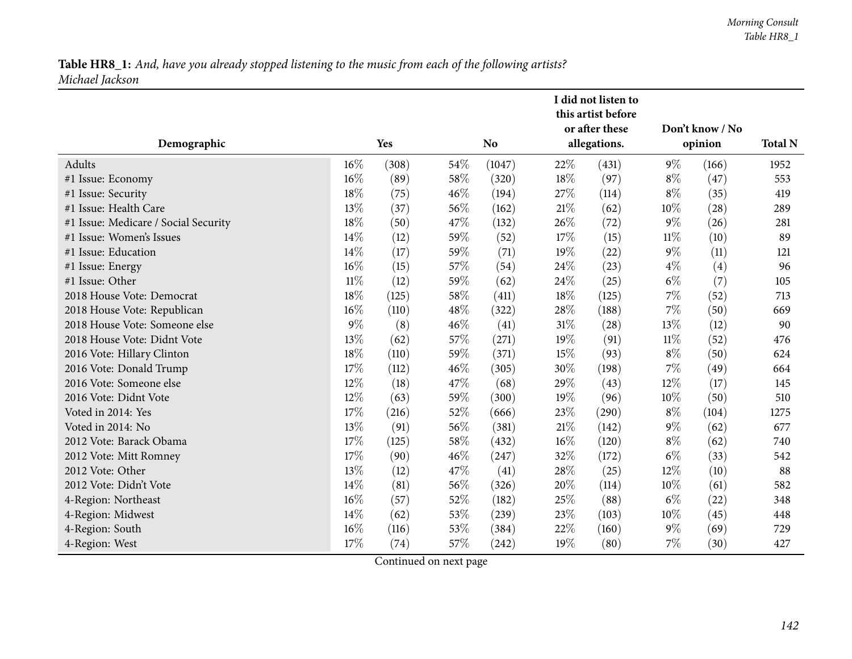| Demographic                          |        | Yes   |      | <b>No</b> |      | I did not listen to<br>this artist before<br>or after these<br>allegations. |        | Don't know / No<br>opinion | <b>Total N</b> |
|--------------------------------------|--------|-------|------|-----------|------|-----------------------------------------------------------------------------|--------|----------------------------|----------------|
|                                      |        |       |      |           |      |                                                                             |        |                            |                |
| Adults                               | 16%    | (308) | 54%  | (1047)    | 22%  | (431)                                                                       | $9\%$  | (166)                      | 1952           |
| #1 Issue: Economy                    | 16%    | (89)  | 58%  | (320)     | 18%  | (97)                                                                        | $8\%$  | (47)                       | 553            |
| #1 Issue: Security                   | 18%    | (75)  | 46\% | (194)     | 27%  | (114)                                                                       | $8\%$  | (35)                       | 419            |
| #1 Issue: Health Care                | 13%    | (37)  | 56%  | (162)     | 21%  | (62)                                                                        | $10\%$ | (28)                       | 289            |
| #1 Issue: Medicare / Social Security | 18%    | (50)  | 47%  | (132)     | 26\% | (72)                                                                        | $9\%$  | (26)                       | 281            |
| #1 Issue: Women's Issues             | 14%    | (12)  | 59%  | (52)      | 17%  | (15)                                                                        | $11\%$ | (10)                       | 89             |
| #1 Issue: Education                  | 14%    | (17)  | 59%  | (71)      | 19%  | (22)                                                                        | $9\%$  | (11)                       | 121            |
| #1 Issue: Energy                     | 16%    | (15)  | 57%  | (54)      | 24%  | (23)                                                                        | $4\%$  | (4)                        | 96             |
| #1 Issue: Other                      | $11\%$ | (12)  | 59%  | (62)      | 24\% | (25)                                                                        | $6\%$  | (7)                        | 105            |
| 2018 House Vote: Democrat            | 18%    | (125) | 58%  | (411)     | 18%  | (125)                                                                       | $7\%$  | (52)                       | 713            |
| 2018 House Vote: Republican          | 16%    | (110) | 48%  | (322)     | 28%  | (188)                                                                       | $7\%$  | (50)                       | 669            |
| 2018 House Vote: Someone else        | $9\%$  | (8)   | 46%  | (41)      | 31%  | (28)                                                                        | 13%    | (12)                       | 90             |
| 2018 House Vote: Didnt Vote          | 13%    | (62)  | 57%  | (271)     | 19%  | (91)                                                                        | $11\%$ | (52)                       | 476            |
| 2016 Vote: Hillary Clinton           | 18%    | (110) | 59%  | (371)     | 15%  | (93)                                                                        | $8\%$  | (50)                       | 624            |
| 2016 Vote: Donald Trump              | 17%    | (112) | 46%  | (305)     | 30%  | (198)                                                                       | $7\%$  | (49)                       | 664            |
| 2016 Vote: Someone else              | 12%    | (18)  | 47%  | (68)      | 29%  | (43)                                                                        | 12%    | (17)                       | 145            |
| 2016 Vote: Didnt Vote                | 12%    | (63)  | 59%  | (300)     | 19%  | (96)                                                                        | $10\%$ | (50)                       | 510            |
| Voted in 2014: Yes                   | 17%    | (216) | 52%  | (666)     | 23%  | (290)                                                                       | $8\%$  | (104)                      | 1275           |
| Voted in 2014: No                    | 13%    | (91)  | 56%  | (381)     | 21%  | (142)                                                                       | $9\%$  | (62)                       | 677            |
| 2012 Vote: Barack Obama              | 17%    | (125) | 58%  | (432)     | 16%  | (120)                                                                       | $8\%$  | (62)                       | 740            |
| 2012 Vote: Mitt Romney               | 17%    | (90)  | 46%  | (247)     | 32%  | (172)                                                                       | $6\%$  | (33)                       | 542            |
| 2012 Vote: Other                     | 13%    | (12)  | 47\% | (41)      | 28%  | (25)                                                                        | 12%    | (10)                       | 88             |
| 2012 Vote: Didn't Vote               | 14%    | (81)  | 56%  | (326)     | 20%  | (114)                                                                       | 10%    | (61)                       | 582            |
| 4-Region: Northeast                  | 16%    | (57)  | 52%  | (182)     | 25%  | (88)                                                                        | $6\%$  | (22)                       | 348            |
| 4-Region: Midwest                    | 14%    | (62)  | 53%  | (239)     | 23%  | (103)                                                                       | 10%    | (45)                       | 448            |
| 4-Region: South                      | 16%    | (116) | 53%  | (384)     | 22%  | (160)                                                                       | $9\%$  | (69)                       | 729            |
| 4-Region: West                       | 17%    | (74)  | 57%  | (242)     | 19%  | (80)                                                                        | $7\%$  | (30)                       | 427            |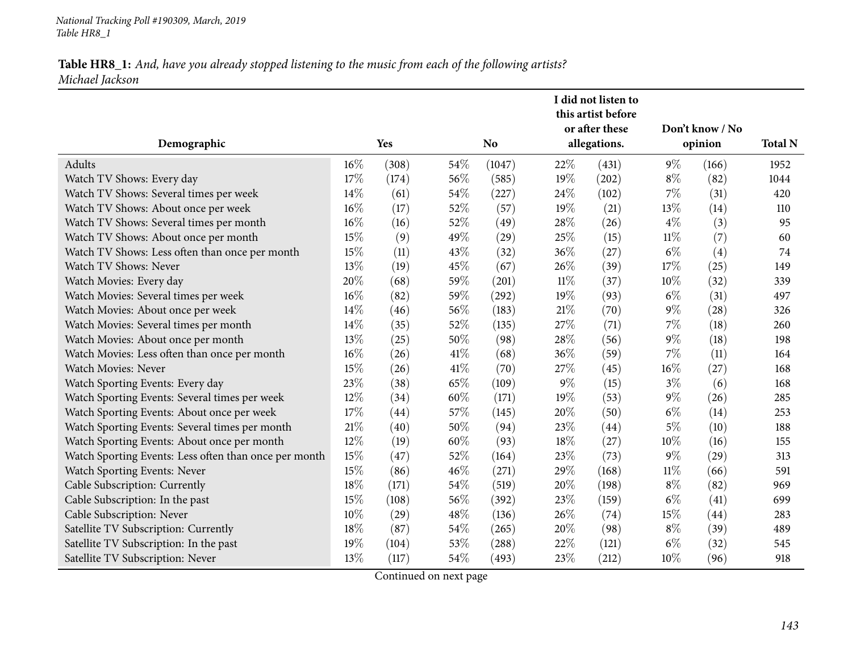|                                                       |        |       |     |           |        | I did not listen to<br>this artist before<br>or after these |        | Don't know / No |                |
|-------------------------------------------------------|--------|-------|-----|-----------|--------|-------------------------------------------------------------|--------|-----------------|----------------|
| Demographic                                           |        | Yes   |     | <b>No</b> |        | allegations.                                                |        | opinion         | <b>Total N</b> |
| Adults                                                | $16\%$ | (308) | 54% | (1047)    | 22%    | (431)                                                       | $9\%$  | (166)           | 1952           |
| Watch TV Shows: Every day                             | 17%    | (174) | 56% | (585)     | 19%    | (202)                                                       | $8\%$  | (82)            | 1044           |
| Watch TV Shows: Several times per week                | 14%    | (61)  | 54% | (227)     | 24\%   | (102)                                                       | $7\%$  | (31)            | 420            |
| Watch TV Shows: About once per week                   | 16%    | (17)  | 52% | (57)      | 19%    | (21)                                                        | 13%    | (14)            | 110            |
| Watch TV Shows: Several times per month               | 16%    | (16)  | 52% | (49)      | 28%    | (26)                                                        | $4\%$  | (3)             | 95             |
| Watch TV Shows: About once per month                  | 15%    | (9)   | 49% | (29)      | 25%    | (15)                                                        | $11\%$ | (7)             | 60             |
| Watch TV Shows: Less often than once per month        | 15%    | (11)  | 43% | (32)      | 36%    | (27)                                                        | $6\%$  | (4)             | 74             |
| Watch TV Shows: Never                                 | 13%    | (19)  | 45% | (67)      | 26%    | (39)                                                        | 17%    | (25)            | 149            |
| Watch Movies: Every day                               | 20%    | (68)  | 59% | (201)     | $11\%$ | (37)                                                        | 10%    | (32)            | 339            |
| Watch Movies: Several times per week                  | 16%    | (82)  | 59% | (292)     | 19%    | (93)                                                        | $6\%$  | (31)            | 497            |
| Watch Movies: About once per week                     | 14\%   | (46)  | 56% | (183)     | $21\%$ | (70)                                                        | $9\%$  | (28)            | 326            |
| Watch Movies: Several times per month                 | 14\%   | (35)  | 52% | (135)     | 27%    | (71)                                                        | $7\%$  | (18)            | 260            |
| Watch Movies: About once per month                    | 13%    | (25)  | 50% | (98)      | 28%    | (56)                                                        | $9\%$  | (18)            | 198            |
| Watch Movies: Less often than once per month          | 16%    | (26)  | 41% | (68)      | 36%    | (59)                                                        | 7%     | (11)            | 164            |
| <b>Watch Movies: Never</b>                            | 15%    | (26)  | 41% | (70)      | 27%    | (45)                                                        | 16%    | (27)            | 168            |
| Watch Sporting Events: Every day                      | 23%    | (38)  | 65% | (109)     | $9\%$  | (15)                                                        | $3\%$  | (6)             | 168            |
| Watch Sporting Events: Several times per week         | 12%    | (34)  | 60% | (171)     | 19%    | (53)                                                        | $9\%$  | (26)            | 285            |
| Watch Sporting Events: About once per week            | 17%    | (44)  | 57% | (145)     | 20%    | (50)                                                        | $6\%$  | (14)            | 253            |
| Watch Sporting Events: Several times per month        | $21\%$ | (40)  | 50% | (94)      | 23%    | (44)                                                        | $5\%$  | (10)            | 188            |
| Watch Sporting Events: About once per month           | 12%    | (19)  | 60% | (93)      | 18%    | (27)                                                        | $10\%$ | (16)            | 155            |
| Watch Sporting Events: Less often than once per month | 15%    | (47)  | 52% | (164)     | 23%    | (73)                                                        | $9\%$  | (29)            | 313            |
| Watch Sporting Events: Never                          | 15%    | (86)  | 46% | (271)     | 29%    | (168)                                                       | $11\%$ | (66)            | 591            |
| Cable Subscription: Currently                         | 18%    | (171) | 54% | (519)     | 20%    | (198)                                                       | $8\%$  | (82)            | 969            |
| Cable Subscription: In the past                       | 15%    | (108) | 56% | (392)     | $23\%$ | (159)                                                       | $6\%$  | (41)            | 699            |
| Cable Subscription: Never                             | 10%    | (29)  | 48% | (136)     | 26%    | (74)                                                        | 15%    | (44)            | 283            |
| Satellite TV Subscription: Currently                  | 18%    | (87)  | 54% | (265)     | 20%    | (98)                                                        | $8\%$  | (39)            | 489            |
| Satellite TV Subscription: In the past                | 19%    | (104) | 53% | (288)     | 22%    | (121)                                                       | $6\%$  | (32)            | 545            |
| Satellite TV Subscription: Never                      | 13%    | (117) | 54% | (493)     | 23%    | (212)                                                       | $10\%$ | (96)            | 918            |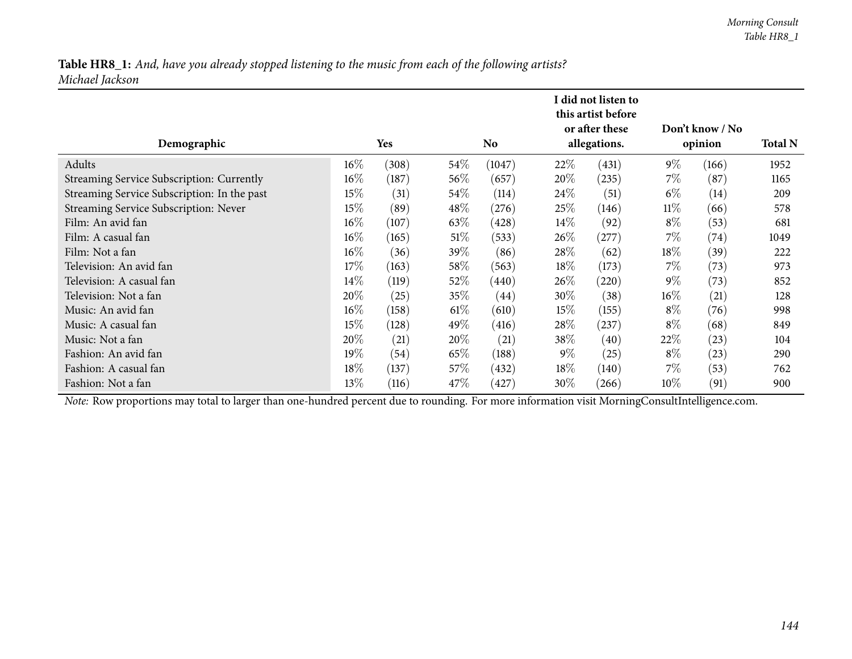| Demographic                                 |        | Yes   |        | No.    |        | I did not listen to<br>this artist before<br>or after these<br>allegations. | Don't know / No<br>opinion | <b>Total N</b> |      |
|---------------------------------------------|--------|-------|--------|--------|--------|-----------------------------------------------------------------------------|----------------------------|----------------|------|
| Adults                                      | $16\%$ | (308) | $54\%$ | (1047) | 22%    | (431)                                                                       | $9\%$                      | (166)          | 1952 |
| Streaming Service Subscription: Currently   | $16\%$ | (187) | $56\%$ | (657)  | 20%    | (235)                                                                       | $7\%$                      | (87)           | 1165 |
| Streaming Service Subscription: In the past | $15\%$ | (31)  | $54\%$ | (114)  | 24\%   | (51)                                                                        | $6\%$                      | (14)           | 209  |
| Streaming Service Subscription: Never       | 15%    | (89)  | $48\%$ | (276)  | 25%    | (146)                                                                       | $11\%$                     | (66)           | 578  |
| Film: An avid fan                           | $16\%$ | (107) | 63\%   | (428)  | $14\%$ | (92)                                                                        | $8\%$                      | (53)           | 681  |
| Film: A casual fan                          | $16\%$ | (165) | $51\%$ | (533)  | $26\%$ | (277)                                                                       | $7\%$                      | (74)           | 1049 |
| Film: Not a fan                             | $16\%$ | (36)  | 39\%   | (86)   | 28\%   | (62)                                                                        | 18%                        | (39)           | 222  |
| Television: An avid fan                     | 17%    | (163) | 58\%   | (563)  | $18\%$ | (173)                                                                       | $7\%$                      | (73)           | 973  |
| Television: A casual fan                    | 14%    | (119) | 52\%   | (440)  | 26\%   | (220)                                                                       | $9\%$                      | (73)           | 852  |
| Television: Not a fan                       | 20%    | (25)  | 35%    | (44)   | $30\%$ | (38)                                                                        | $16\%$                     | (21)           | 128  |
| Music: An avid fan                          | 16%    | (158) | $61\%$ | (610)  | 15%    | (155)                                                                       | $8\%$                      | (76)           | 998  |
| Music: A casual fan                         | 15%    | (128) | 49\%   | (416)  | 28%    | (237)                                                                       | $8\%$                      | (68)           | 849  |
| Music: Not a fan                            | 20%    | (21)  | 20%    | (21)   | 38\%   | (40)                                                                        | 22\%                       | (23)           | 104  |
| Fashion: An avid fan                        | $19\%$ | (54)  | 65\%   | (188)  | $9\%$  | (25)                                                                        | $8\%$                      | (23)           | 290  |
| Fashion: A casual fan                       | 18\%   | (137) | 57\%   | (432)  | $18\%$ | (140)                                                                       | $7\%$                      | (53)           | 762  |
| Fashion: Not a fan                          | 13%    | (116) | 47\%   | (427)  | 30%    | (266)                                                                       | $10\%$                     | (91)           | 900  |

*Note:* Row proportions may total to larger than one-hundred percen<sup>t</sup> due to rounding. For more information visit [MorningConsultIntelligence.com](https://morningconsultintelligence.com).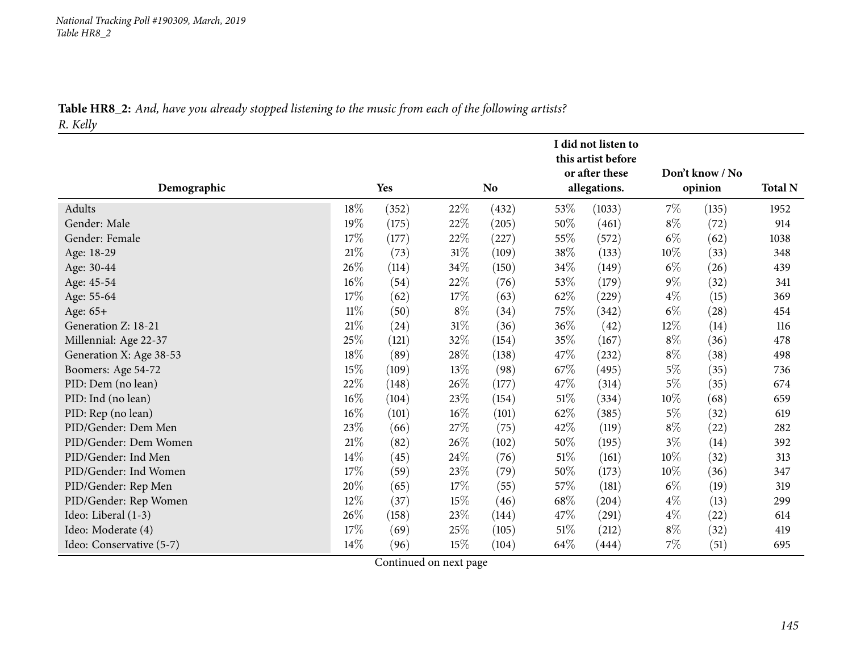|                          |        |       |        |           |        | I did not listen to                  |        |                 |                |
|--------------------------|--------|-------|--------|-----------|--------|--------------------------------------|--------|-----------------|----------------|
|                          |        |       |        |           |        | this artist before<br>or after these |        | Don't know / No |                |
| Demographic              |        | Yes   |        | <b>No</b> |        | allegations.                         |        | opinion         | <b>Total N</b> |
| Adults                   | 18%    | (352) | 22\%   | (432)     | 53%    | (1033)                               | $7\%$  | (135)           | 1952           |
| Gender: Male             | 19%    | (175) | 22%    | (205)     | 50%    | (461)                                | $8\%$  | (72)            | 914            |
| Gender: Female           | $17\%$ | (177) | 22\%   | (227)     | $55\%$ | (572)                                | $6\%$  | (62)            | 1038           |
| Age: 18-29               | $21\%$ | (73)  | $31\%$ | (109)     | $38\%$ | (133)                                | $10\%$ | (33)            | 348            |
| Age: 30-44               | 26\%   | (114) | $34\%$ | (150)     | $34\%$ | (149)                                | $6\%$  | (26)            | 439            |
| Age: 45-54               | $16\%$ | (54)  | 22\%   | (76)      | 53\%   | (179)                                | $9\%$  | (32)            | 341            |
| Age: 55-64               | 17\%   | (62)  | 17%    | (63)      | 62%    | (229)                                | $4\%$  | (15)            | 369            |
| Age: 65+                 | $11\%$ | (50)  | $8\%$  | (34)      | 75%    | (342)                                | $6\%$  | (28)            | 454            |
| Generation Z: 18-21      | $21\%$ | (24)  | $31\%$ | (36)      | 36%    | (42)                                 | $12\%$ | (14)            | 116            |
| Millennial: Age 22-37    | 25%    | (121) | 32%    | (154)     | 35%    | (167)                                | $8\%$  | (36)            | 478            |
| Generation X: Age 38-53  | 18%    | (89)  | $28\%$ | (138)     | 47%    | (232)                                | $8\%$  | (38)            | 498            |
| Boomers: Age 54-72       | 15%    | (109) | 13\%   | (98)      | 67\%   | (495)                                | $5\%$  | (35)            | 736            |
| PID: Dem (no lean)       | 22%    | (148) | 26\%   | (177)     | 47\%   | (314)                                | $5\%$  | (35)            | 674            |
| PID: Ind (no lean)       | 16%    | (104) | $23\%$ | (154)     | 51\%   | (334)                                | $10\%$ | (68)            | 659            |
| PID: Rep (no lean)       | 16%    | (101) | $16\%$ | (101)     | 62%    | (385)                                | $5\%$  | (32)            | 619            |
| PID/Gender: Dem Men      | 23\%   | (66)  | $27\%$ | (75)      | 42\%   | (119)                                | $8\%$  | (22)            | 282            |
| PID/Gender: Dem Women    | $21\%$ | (82)  | 26%    | (102)     | 50%    | (195)                                | $3\%$  | (14)            | 392            |
| PID/Gender: Ind Men      | $14\%$ | (45)  | 24\%   | (76)      | $51\%$ | (161)                                | 10%    | (32)            | 313            |
| PID/Gender: Ind Women    | 17%    | (59)  | 23%    | (79)      | 50%    | (173)                                | $10\%$ | (36)            | 347            |
| PID/Gender: Rep Men      | 20%    | (65)  | $17\%$ | (55)      | $57\%$ | (181)                                | $6\%$  | (19)            | 319            |
| PID/Gender: Rep Women    | 12%    | (37)  | 15%    | (46)      | 68\%   | (204)                                | $4\%$  | (13)            | 299            |
| Ideo: Liberal (1-3)      | 26%    | (158) | 23\%   | (144)     | 47\%   | (291)                                | $4\%$  | (22)            | 614            |
| Ideo: Moderate (4)       | 17%    | (69)  | 25%    | (105)     | $51\%$ | (212)                                | $8\%$  | (32)            | 419            |
| Ideo: Conservative (5-7) | $14\%$ | (96)  | 15\%   | (104)     | 64\%   | (444)                                | $7\%$  | (51)            | 695            |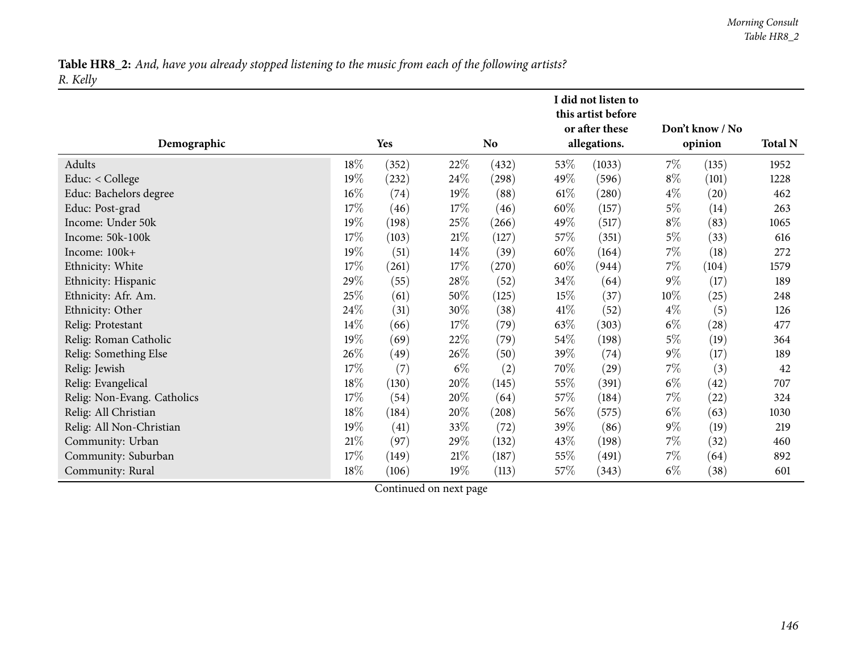|                             |        |       |        |           |        | I did not listen to<br>this artist before<br>or after these |        | Don't know / No |                |
|-----------------------------|--------|-------|--------|-----------|--------|-------------------------------------------------------------|--------|-----------------|----------------|
| Demographic                 |        | Yes   |        | <b>No</b> |        | allegations.                                                |        | opinion         | <b>Total N</b> |
| Adults                      | 18\%   | (352) | 22\%   | (432)     | $53\%$ | (1033)                                                      | $7\%$  | (135)           | 1952           |
| Educ: < College             | 19%    | (232) | $24\%$ | (298)     | 49\%   | (596)                                                       | $8\%$  | (101)           | 1228           |
| Educ: Bachelors degree      | $16\%$ | (74)  | 19%    | (88)      | $61\%$ | (280)                                                       | $4\%$  | (20)            | 462            |
| Educ: Post-grad             | $17\%$ | (46)  | 17%    | (46)      | $60\%$ | (157)                                                       | $5\%$  | (14)            | 263            |
| Income: Under 50k           | 19%    | (198) | $25\%$ | (266)     | 49%    | (517)                                                       | $8\%$  | (83)            | 1065           |
| Income: 50k-100k            | $17\%$ | (103) | 21\%   | (127)     | $57\%$ | (351)                                                       | $5\%$  | (33)            | 616            |
| Income: 100k+               | 19%    | (51)  | 14\%   | (39)      | $60\%$ | (164)                                                       | 7%     | (18)            | 272            |
| Ethnicity: White            | 17\%   | (261) | $17\%$ | (270)     | $60\%$ | (944)                                                       | 7%     | (104)           | 1579           |
| Ethnicity: Hispanic         | 29%    | (55)  | 28\%   | (52)      | 34\%   | (64)                                                        | $9\%$  | (17)            | 189            |
| Ethnicity: Afr. Am.         | 25%    | (61)  | 50%    | (125)     | 15\%   | (37)                                                        | $10\%$ | (25)            | 248            |
| Ethnicity: Other            | 24\%   | (31)  | 30%    | (38)      | 41\%   | (52)                                                        | $4\%$  | (5)             | 126            |
| Relig: Protestant           | 14%    | (66)  | 17%    | (79)      | 63\%   | (303)                                                       | $6\%$  | (28)            | 477            |
| Relig: Roman Catholic       | 19%    | (69)  | 22\%   | (79)      | 54\%   | (198)                                                       | $5\%$  | (19)            | 364            |
| Relig: Something Else       | 26\%   | (49)  | 26\%   | (50)      | 39%    | (74)                                                        | $9\%$  | (17)            | 189            |
| Relig: Jewish               | $17\%$ | (7)   | $6\%$  | (2)       | 70\%   | (29)                                                        | 7%     | (3)             | 42             |
| Relig: Evangelical          | $18\%$ | (130) | 20%    | (145)     | 55\%   | (391)                                                       | $6\%$  | (42)            | 707            |
| Relig: Non-Evang. Catholics | 17%    | (54)  | 20%    | (64)      | 57\%   | (184)                                                       | $7\%$  | (22)            | 324            |
| Relig: All Christian        | 18%    | (184) | 20%    | (208)     | $56\%$ | (575)                                                       | $6\%$  | (63)            | 1030           |
| Relig: All Non-Christian    | 19%    | (41)  | 33%    | (72)      | $39\%$ | (86)                                                        | $9\%$  | (19)            | 219            |
| Community: Urban            | $21\%$ | (97)  | 29%    | (132)     | 43\%   | (198)                                                       | 7%     | (32)            | 460            |
| Community: Suburban         | 17%    | (149) | $21\%$ | (187)     | 55\%   | (491)                                                       | 7%     | (64)            | 892            |
| Community: Rural            | 18%    | (106) | 19%    | (113)     | 57\%   | (343)                                                       | $6\%$  | (38)            | 601            |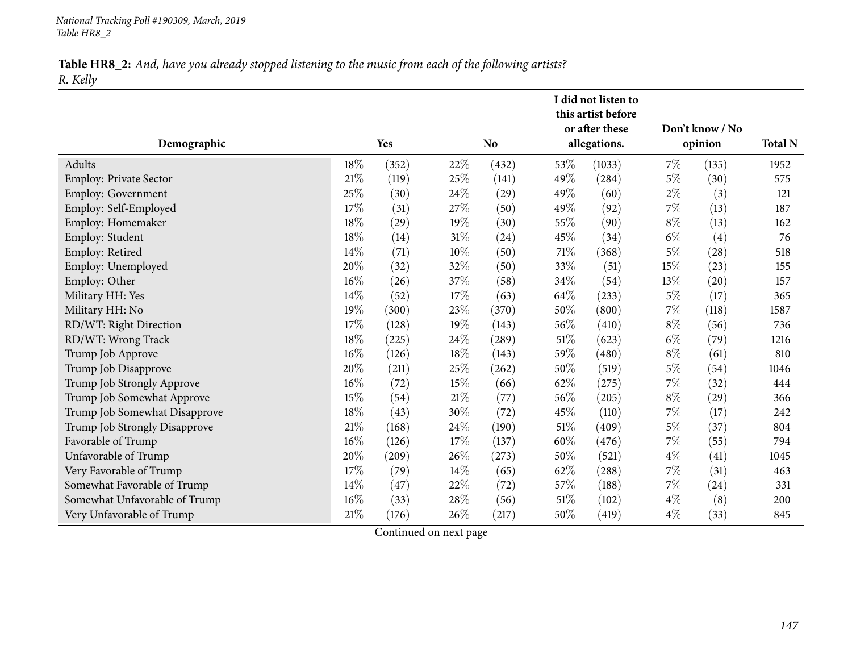|                               |        |       |        |                |        | I did not listen to<br>this artist before |       |                 |                |
|-------------------------------|--------|-------|--------|----------------|--------|-------------------------------------------|-------|-----------------|----------------|
|                               |        |       |        |                |        | or after these                            |       | Don't know / No |                |
| Demographic                   |        | Yes   |        | N <sub>o</sub> |        | allegations.                              |       | opinion         | <b>Total N</b> |
| Adults                        | $18\%$ | (352) | 22%    | (432)          | 53%    | (1033)                                    | 7%    | (135)           | 1952           |
| Employ: Private Sector        | 21%    | (119) | $25\%$ | (141)          | 49%    | (284)                                     | $5\%$ | (30)            | 575            |
| <b>Employ: Government</b>     | 25%    | (30)  | 24\%   | (29)           | 49%    | (60)                                      | $2\%$ | (3)             | 121            |
| Employ: Self-Employed         | 17%    | (31)  | $27\%$ | (50)           | 49%    | (92)                                      | 7%    | (13)            | 187            |
| Employ: Homemaker             | 18%    | (29)  | 19%    | (30)           | 55%    | (90)                                      | $8\%$ | (13)            | 162            |
| Employ: Student               | 18%    | (14)  | $31\%$ | (24)           | 45%    | (34)                                      | $6\%$ | (4)             | 76             |
| Employ: Retired               | $14\%$ | (71)  | $10\%$ | (50)           | 71\%   | (368)                                     | $5\%$ | (28)            | 518            |
| Employ: Unemployed            | 20%    | (32)  | 32%    | (50)           | 33%    | (51)                                      | 15%   | (23)            | 155            |
| Employ: Other                 | 16%    | (26)  | $37\%$ | (58)           | 34%    | (54)                                      | 13%   | (20)            | 157            |
| Military HH: Yes              | 14%    | (52)  | 17%    | (63)           | 64%    | (233)                                     | $5\%$ | (17)            | 365            |
| Military HH: No               | 19%    | (300) | 23%    | (370)          | 50%    | (800)                                     | 7%    | (118)           | 1587           |
| RD/WT: Right Direction        | $17\%$ | (128) | 19%    | (143)          | 56\%   | (410)                                     | $8\%$ | (56)            | 736            |
| RD/WT: Wrong Track            | 18%    | (225) | 24%    | (289)          | $51\%$ | (623)                                     | $6\%$ | (79)            | 1216           |
| Trump Job Approve             | 16%    | (126) | $18\%$ | (143)          | 59%    | (480)                                     | $8\%$ | (61)            | 810            |
| Trump Job Disapprove          | 20%    | (211) | $25\%$ | (262)          | 50%    | (519)                                     | $5\%$ | (54)            | 1046           |
| Trump Job Strongly Approve    | 16%    | (72)  | 15%    | (66)           | 62%    | (275)                                     | 7%    | (32)            | 444            |
| Trump Job Somewhat Approve    | 15%    | (54)  | $21\%$ | (77)           | 56%    | (205)                                     | $8\%$ | (29)            | 366            |
| Trump Job Somewhat Disapprove | 18%    | (43)  | 30%    | (72)           | 45%    | (110)                                     | 7%    | (17)            | 242            |
| Trump Job Strongly Disapprove | 21%    | (168) | 24\%   | (190)          | $51\%$ | (409)                                     | $5\%$ | (37)            | 804            |
| Favorable of Trump            | 16%    | (126) | 17%    | (137)          | 60%    | (476)                                     | 7%    | (55)            | 794            |
| Unfavorable of Trump          | $20\%$ | (209) | 26\%   | (273)          | 50%    | (521)                                     | $4\%$ | (41)            | 1045           |
| Very Favorable of Trump       | $17\%$ | (79)  | $14\%$ | (65)           | 62%    | (288)                                     | 7%    | (31)            | 463            |
| Somewhat Favorable of Trump   | $14\%$ | (47)  | 22\%   | (72)           | 57\%   | (188)                                     | $7\%$ | (24)            | 331            |
| Somewhat Unfavorable of Trump | 16%    | (33)  | 28%    | (56)           | $51\%$ | (102)                                     | $4\%$ | (8)             | 200            |
| Very Unfavorable of Trump     | $21\%$ | (176) | 26%    | (217)          | 50%    | (419)                                     | $4\%$ | (33)            | 845            |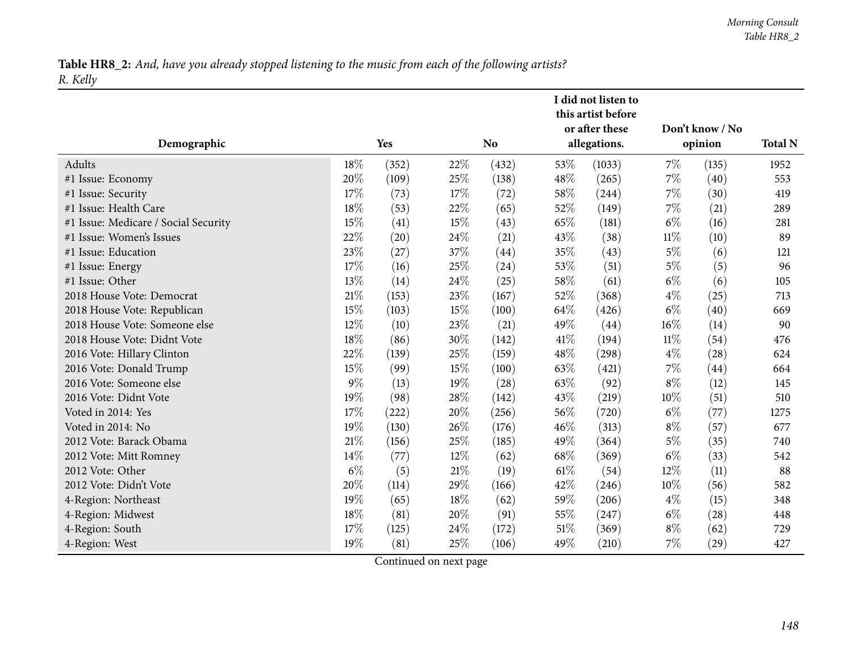|                                      |        |       |        |           |        | I did not listen to<br>this artist before |        |                 |                |
|--------------------------------------|--------|-------|--------|-----------|--------|-------------------------------------------|--------|-----------------|----------------|
|                                      |        |       |        |           |        | or after these                            |        | Don't know / No |                |
| Demographic                          |        | Yes   |        | <b>No</b> |        | allegations.                              |        | opinion         | <b>Total N</b> |
| Adults                               | 18%    | (352) | 22%    | (432)     | 53\%   | (1033)                                    | 7%     | (135)           | 1952           |
| #1 Issue: Economy                    | 20%    | (109) | 25%    | (138)     | 48%    | (265)                                     | $7\%$  | (40)            | 553            |
| #1 Issue: Security                   | 17%    | (73)  | 17%    | (72)      | 58\%   | (244)                                     | 7%     | (30)            | 419            |
| #1 Issue: Health Care                | 18%    | (53)  | 22%    | (65)      | 52%    | (149)                                     | 7%     | (21)            | 289            |
| #1 Issue: Medicare / Social Security | 15%    | (41)  | 15%    | (43)      | 65\%   | (181)                                     | $6\%$  | (16)            | 281            |
| #1 Issue: Women's Issues             | 22%    | (20)  | 24%    | (21)      | 43%    | (38)                                      | $11\%$ | (10)            | 89             |
| #1 Issue: Education                  | 23%    | (27)  | 37%    | (44)      | 35%    | (43)                                      | $5\%$  | (6)             | 121            |
| #1 Issue: Energy                     | 17%    | (16)  | 25%    | (24)      | 53%    | (51)                                      | $5\%$  | (5)             | 96             |
| #1 Issue: Other                      | 13%    | (14)  | 24%    | (25)      | 58%    | (61)                                      | $6\%$  | (6)             | 105            |
| 2018 House Vote: Democrat            | 21%    | (153) | 23%    | (167)     | 52\%   | (368)                                     | $4\%$  | (25)            | 713            |
| 2018 House Vote: Republican          | 15%    | (103) | 15%    | (100)     | 64\%   | (426)                                     | $6\%$  | (40)            | 669            |
| 2018 House Vote: Someone else        | 12%    | (10)  | 23%    | (21)      | 49%    | (44)                                      | 16%    | (14)            | 90             |
| 2018 House Vote: Didnt Vote          | 18%    | (86)  | 30%    | (142)     | $41\%$ | (194)                                     | $11\%$ | (54)            | 476            |
| 2016 Vote: Hillary Clinton           | 22%    | (139) | 25%    | (159)     | 48%    | (298)                                     | $4\%$  | (28)            | 624            |
| 2016 Vote: Donald Trump              | 15%    | (99)  | 15%    | (100)     | 63\%   | (421)                                     | 7%     | (44)            | 664            |
| 2016 Vote: Someone else              | $9\%$  | (13)  | 19%    | (28)      | 63\%   | (92)                                      | $8\%$  | (12)            | 145            |
| 2016 Vote: Didnt Vote                | 19%    | (98)  | 28%    | (142)     | 43%    | (219)                                     | 10%    | (51)            | 510            |
| Voted in 2014: Yes                   | $17\%$ | (222) | 20%    | (256)     | 56%    | (720)                                     | $6\%$  | (77)            | 1275           |
| Voted in 2014: No                    | 19%    | (130) | 26%    | (176)     | 46%    | (313)                                     | $8\%$  | (57)            | 677            |
| 2012 Vote: Barack Obama              | 21%    | (156) | 25%    | (185)     | 49%    | (364)                                     | $5\%$  | (35)            | 740            |
| 2012 Vote: Mitt Romney               | 14%    | (77)  | 12%    | (62)      | 68\%   | (369)                                     | $6\%$  | (33)            | 542            |
| 2012 Vote: Other                     | $6\%$  | (5)   | $21\%$ | (19)      | $61\%$ | (54)                                      | 12%    | (11)            | 88             |
| 2012 Vote: Didn't Vote               | 20%    | (114) | 29%    | (166)     | 42%    | (246)                                     | 10%    | (56)            | 582            |
| 4-Region: Northeast                  | 19%    | (65)  | 18%    | (62)      | 59%    | (206)                                     | $4\%$  | (15)            | 348            |
| 4-Region: Midwest                    | 18%    | (81)  | 20%    | (91)      | 55%    | (247)                                     | $6\%$  | (28)            | 448            |
| 4-Region: South                      | 17%    | (125) | 24%    | (172)     | 51\%   | (369)                                     | $8\%$  | (62)            | 729            |
| 4-Region: West                       | 19%    | (81)  | 25%    | (106)     | 49%    | (210)                                     | 7%     | (29)            | 427            |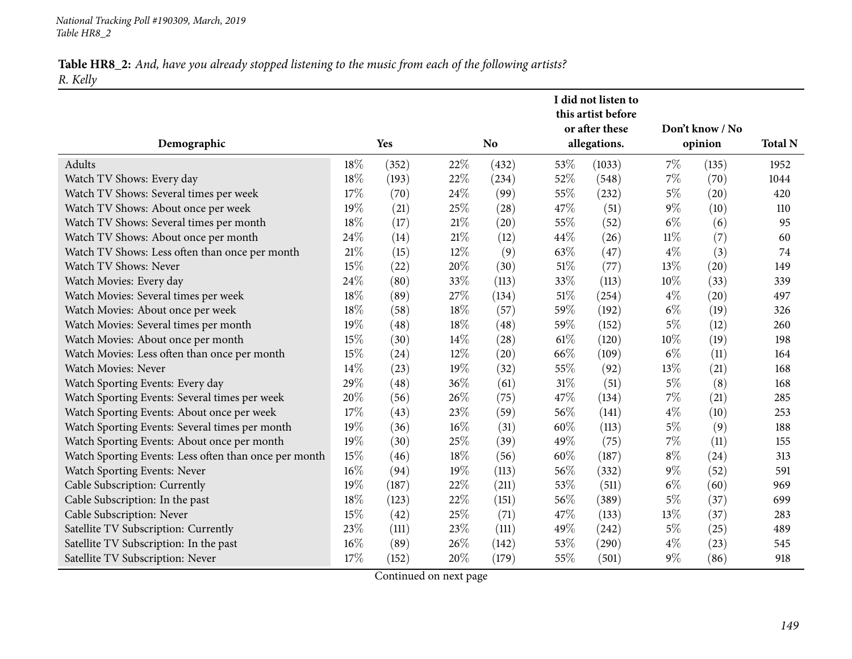|                                                       |        |            |        |           |        | I did not listen to<br>this artist before<br>or after these |        | Don't know / No |                |
|-------------------------------------------------------|--------|------------|--------|-----------|--------|-------------------------------------------------------------|--------|-----------------|----------------|
| Demographic                                           |        | <b>Yes</b> |        | <b>No</b> |        | allegations.                                                |        | opinion         | <b>Total N</b> |
| Adults                                                | 18%    | (352)      | 22%    | (432)     | 53\%   | (1033)                                                      | 7%     | (135)           | 1952           |
| Watch TV Shows: Every day                             | 18%    | (193)      | 22%    | (234)     | 52%    | (548)                                                       | 7%     | (70)            | 1044           |
| Watch TV Shows: Several times per week                | 17%    | (70)       | 24%    | (99)      | 55%    | (232)                                                       | $5\%$  | (20)            | 420            |
| Watch TV Shows: About once per week                   | 19%    | (21)       | 25%    | (28)      | 47\%   | (51)                                                        | $9\%$  | (10)            | 110            |
| Watch TV Shows: Several times per month               | 18%    | (17)       | $21\%$ | (20)      | 55%    | (52)                                                        | $6\%$  | (6)             | 95             |
| Watch TV Shows: About once per month                  | 24%    | (14)       | $21\%$ | (12)      | 44\%   | (26)                                                        | $11\%$ | (7)             | 60             |
| Watch TV Shows: Less often than once per month        | 21\%   | (15)       | 12%    | (9)       | 63\%   | (47)                                                        | $4\%$  | (3)             | 74             |
| Watch TV Shows: Never                                 | 15%    | (22)       | 20%    | (30)      | 51\%   | (77)                                                        | 13%    | (20)            | 149            |
| Watch Movies: Every day                               | 24%    | (80)       | 33%    | (113)     | 33%    | (113)                                                       | 10%    | (33)            | 339            |
| Watch Movies: Several times per week                  | $18\%$ | (89)       | 27%    | (134)     | $51\%$ | (254)                                                       | $4\%$  | (20)            | 497            |
| Watch Movies: About once per week                     | 18%    | (58)       | 18%    | (57)      | 59%    | (192)                                                       | $6\%$  | (19)            | 326            |
| Watch Movies: Several times per month                 | 19%    | (48)       | 18%    | (48)      | 59%    | (152)                                                       | $5\%$  | (12)            | 260            |
| Watch Movies: About once per month                    | 15%    | (30)       | 14%    | (28)      | 61\%   | (120)                                                       | 10%    | (19)            | 198            |
| Watch Movies: Less often than once per month          | 15%    | (24)       | 12%    | (20)      | 66%    | (109)                                                       | $6\%$  | (11)            | 164            |
| Watch Movies: Never                                   | 14%    | (23)       | 19%    | (32)      | 55%    | (92)                                                        | 13%    | (21)            | 168            |
| Watch Sporting Events: Every day                      | 29%    | (48)       | 36%    | (61)      | $31\%$ | (51)                                                        | $5\%$  | (8)             | 168            |
| Watch Sporting Events: Several times per week         | 20%    | (56)       | 26%    | (75)      | 47\%   | (134)                                                       | 7%     | (21)            | 285            |
| Watch Sporting Events: About once per week            | 17%    | (43)       | 23%    | (59)      | 56%    | (141)                                                       | $4\%$  | (10)            | 253            |
| Watch Sporting Events: Several times per month        | 19%    | (36)       | 16%    | (31)      | 60%    | (113)                                                       | $5\%$  | (9)             | 188            |
| Watch Sporting Events: About once per month           | 19%    | (30)       | 25%    | (39)      | 49%    | (75)                                                        | $7\%$  | (11)            | 155            |
| Watch Sporting Events: Less often than once per month | 15%    | (46)       | 18%    | (56)      | 60%    | (187)                                                       | $8\%$  | (24)            | 313            |
| Watch Sporting Events: Never                          | 16%    | (94)       | 19%    | (113)     | 56%    | (332)                                                       | $9\%$  | (52)            | 591            |
| Cable Subscription: Currently                         | 19%    | (187)      | 22%    | (211)     | 53%    | (511)                                                       | $6\%$  | (60)            | 969            |
| Cable Subscription: In the past                       | 18%    | (123)      | 22%    | (151)     | 56%    | (389)                                                       | $5\%$  | (37)            | 699            |
| Cable Subscription: Never                             | 15%    | (42)       | 25%    | (71)      | 47%    | (133)                                                       | 13%    | (37)            | 283            |
| Satellite TV Subscription: Currently                  | 23%    | (111)      | 23%    | (111)     | 49%    | (242)                                                       | $5\%$  | (25)            | 489            |
| Satellite TV Subscription: In the past                | 16%    | (89)       | 26%    | (142)     | 53%    | (290)                                                       | $4\%$  | (23)            | 545            |
| Satellite TV Subscription: Never                      | 17%    | (152)      | 20%    | (179)     | 55%    | (501)                                                       | $9\%$  | (86)            | 918            |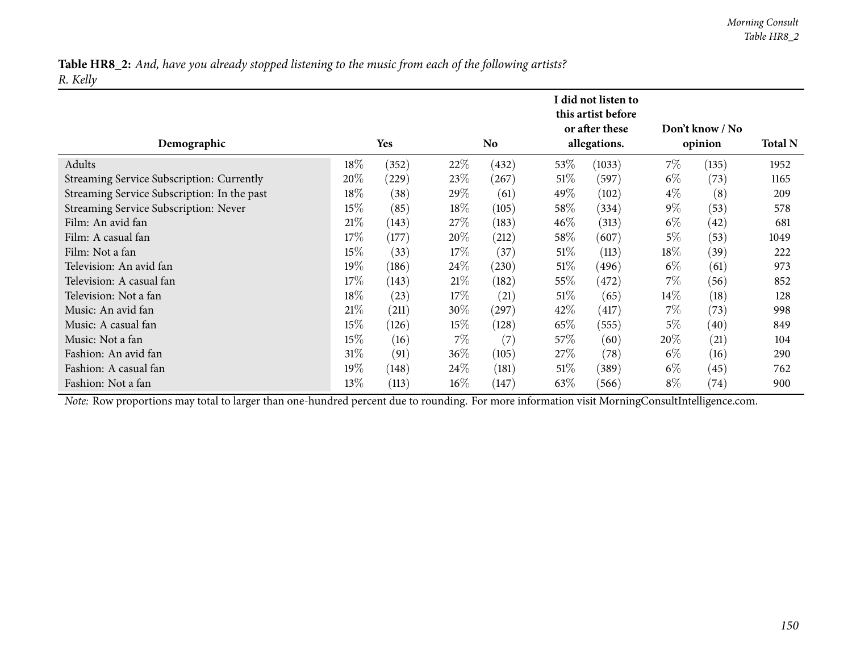| Demographic                                  |        | Yes   |        | No.   | I did not listen to<br>this artist before<br>or after these<br>allegations. | Don't know / No<br>opinion | <b>Total N</b> |       |      |
|----------------------------------------------|--------|-------|--------|-------|-----------------------------------------------------------------------------|----------------------------|----------------|-------|------|
| Adults                                       | 18%    | (352) | 22%    | (432) | $53\%$                                                                      | (1033)                     | $7\%$          | (135) | 1952 |
| Streaming Service Subscription: Currently    | 20%    | (229) | 23\%   | (267) | $51\%$                                                                      | (597)                      | $6\%$          | (73)  | 1165 |
| Streaming Service Subscription: In the past  | 18%    | (38)  | 29%    | (61)  | 49\%                                                                        | (102)                      | $4\%$          | (8)   | 209  |
| <b>Streaming Service Subscription: Never</b> | 15%    | (85)  | 18%    | (105) | 58%                                                                         | (334)                      | $9\%$          | (53)  | 578  |
| Film: An avid fan                            | 21\%   | (143) | 27%    | (183) | $46\%$                                                                      | (313)                      | $6\%$          | (42)  | 681  |
|                                              | 17%    |       |        |       | 58\%                                                                        |                            | $5\%$          |       |      |
| Film: A casual fan                           |        | (177) | 20%    | (212) |                                                                             | (607)                      |                | (53)  | 1049 |
| Film: Not a fan                              | 15%    | (33)  | 17%    | (37)  | $51\%$                                                                      | (113)                      | 18%            | (39)  | 222  |
| Television: An avid fan                      | $19\%$ | (186) | 24\%   | (230) | $51\%$                                                                      | (496)                      | $6\%$          | (61)  | 973  |
| Television: A casual fan                     | 17%    | (143) | 21%    | (182) | 55\%                                                                        | (472)                      | $7\%$          | (56)  | 852  |
| Television: Not a fan                        | 18%    | (23)  | 17%    | (21)  | $51\%$                                                                      | (65)                       | $14\%$         | (18)  | 128  |
| Music: An avid fan                           | 21\%   | (211) | 30%    | (297) | 42\%                                                                        | (417)                      | 7%             | (73)  | 998  |
| Music: A casual fan                          | 15%    | (126) | 15%    | (128) | 65\%                                                                        | (555)                      | $5\%$          | (40)  | 849  |
| Music: Not a fan                             | 15%    | (16)  | $7\%$  | (7)   | 57\%                                                                        | (60)                       | 20%            | (21)  | 104  |
| Fashion: An avid fan                         | 31\%   | (91)  | $36\%$ | (105) | 27\%                                                                        | (78)                       | $6\%$          | (16)  | 290  |
| Fashion: A casual fan                        | $19\%$ | (148) | 24%    | (181) | 51%                                                                         | (389)                      | $6\%$          | (45)  | 762  |
| Fashion: Not a fan                           | 13%    | (113) | $16\%$ | (147) | 63\%                                                                        | (566)                      | $8\%$          | (74)  | 900  |

*Note:* Row proportions may total to larger than one-hundred percen<sup>t</sup> due to rounding. For more information visit [MorningConsultIntelligence.com](https://morningconsultintelligence.com).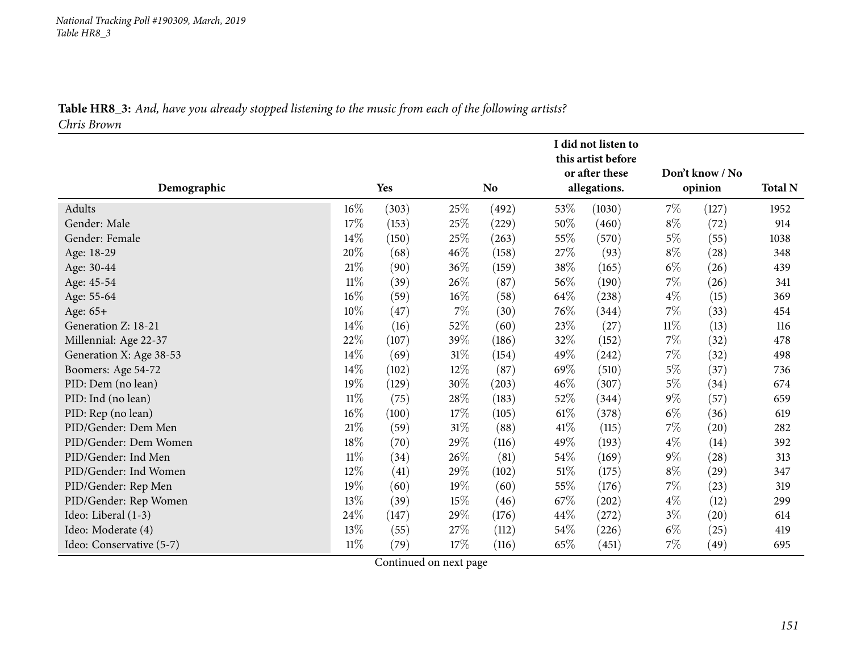|                          |        |       |        |           |        | I did not listen to                  |        |                    |                |
|--------------------------|--------|-------|--------|-----------|--------|--------------------------------------|--------|--------------------|----------------|
|                          |        |       |        |           |        | this artist before<br>or after these |        | Don't know / No    |                |
| Demographic              |        | Yes   |        | <b>No</b> |        | allegations.                         |        | opinion            | <b>Total N</b> |
|                          |        |       |        |           |        |                                      |        |                    |                |
| Adults                   | $16\%$ | (303) | 25\%   | (492)     | $53\%$ | (1030)                               | $7\%$  | (127)              | 1952           |
| Gender: Male             | 17\%   | (153) | 25\%   | (229)     | 50%    | (460)                                | $8\%$  | (72)               | 914            |
| Gender: Female           | $14\%$ | (150) | 25%    | (263)     | $55\%$ | (570)                                | $5\%$  | (55)               | 1038           |
| Age: 18-29               | 20%    | (68)  | $46\%$ | (158)     | 27%    | (93)                                 | $8\%$  | $\left( 28\right)$ | 348            |
| Age: 30-44               | $21\%$ | (90)  | 36%    | (159)     | 38\%   | (165)                                | $6\%$  | (26)               | 439            |
| Age: 45-54               | $11\%$ | (39)  | 26%    | (87)      | $56\%$ | (190)                                | $7\%$  | (26)               | 341            |
| Age: 55-64               | 16%    | (59)  | $16\%$ | (58)      | 64\%   | (238)                                | $4\%$  | (15)               | 369            |
| Age: 65+                 | $10\%$ | (47)  | $7\%$  | (30)      | 76\%   | (344)                                | $7\%$  | (33)               | 454            |
| Generation Z: 18-21      | 14%    | (16)  | 52\%   | (60)      | 23%    | (27)                                 | $11\%$ | (13)               | 116            |
| Millennial: Age 22-37    | $22\%$ | (107) | 39%    | (186)     | $32\%$ | (152)                                | $7\%$  | (32)               | 478            |
| Generation X: Age 38-53  | $14\%$ | (69)  | $31\%$ | (154)     | 49%    | (242)                                | $7\%$  | (32)               | 498            |
| Boomers: Age 54-72       | 14%    | (102) | 12%    | (87)      | 69%    | (510)                                | $5\%$  | (37)               | 736            |
| PID: Dem (no lean)       | 19%    | (129) | 30%    | (203)     | 46%    | (307)                                | $5\%$  | (34)               | 674            |
| PID: Ind (no lean)       | $11\%$ | (75)  | 28\%   | (183)     | $52\%$ | (344)                                | $9\%$  | (57)               | 659            |
| PID: Rep (no lean)       | 16%    | (100) | 17%    | (105)     | $61\%$ | (378)                                | $6\%$  | (36)               | 619            |
| PID/Gender: Dem Men      | $21\%$ | (59)  | $31\%$ | (88)      | 41\%   | (115)                                | $7\%$  | (20)               | 282            |
| PID/Gender: Dem Women    | 18%    | (70)  | 29%    | (116)     | 49%    | (193)                                | $4\%$  | (14)               | 392            |
| PID/Gender: Ind Men      | $11\%$ | (34)  | 26\%   | (81)      | $54\%$ | (169)                                | $9\%$  | (28)               | 313            |
| PID/Gender: Ind Women    | 12%    | (41)  | 29%    | (102)     | 51\%   | (175)                                | $8\%$  | $\left( 29\right)$ | 347            |
| PID/Gender: Rep Men      | 19%    | (60)  | 19%    | (60)      | $55\%$ | (176)                                | $7\%$  | (23)               | 319            |
| PID/Gender: Rep Women    | $13\%$ | (39)  | 15%    | (46)      | 67%    | (202)                                | $4\%$  | (12)               | 299            |
| Ideo: Liberal (1-3)      | 24\%   | (147) | 29%    | (176)     | 44%    | (272)                                | $3\%$  | (20)               | 614            |
| Ideo: Moderate (4)       | 13%    | (55)  | 27%    | (112)     | 54\%   | (226)                                | $6\%$  | $^{(25)}$          | 419            |
| Ideo: Conservative (5-7) | $11\%$ | (79)  | 17\%   | (116)     | 65%    | (451)                                | 7%     | (49)               | 695            |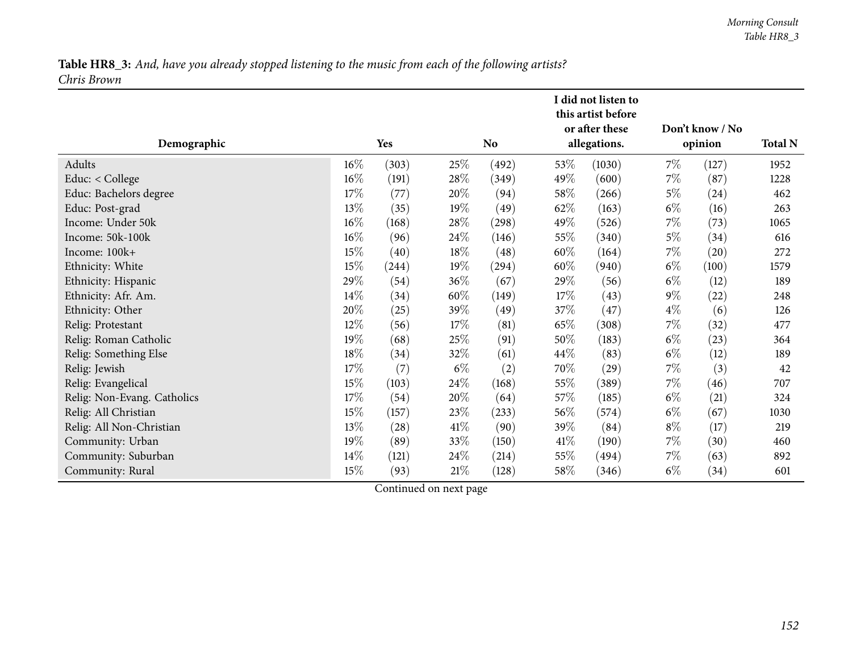|                             |        |       |        |           |        | I did not listen to<br>this artist before<br>or after these |       | Don't know / No |      |
|-----------------------------|--------|-------|--------|-----------|--------|-------------------------------------------------------------|-------|-----------------|------|
| Demographic                 |        | Yes   |        | <b>No</b> |        | allegations.                                                |       | opinion         |      |
| Adults                      | $16\%$ | (303) | 25\%   | (492)     | 53\%   | (1030)                                                      | $7\%$ | (127)           | 1952 |
| Educ: < College             | 16%    | (191) | 28\%   | (349)     | 49\%   | (600)                                                       | $7\%$ | (87)            | 1228 |
| Educ: Bachelors degree      | 17\%   | (77)  | 20%    | (94)      | 58\%   | (266)                                                       | $5\%$ | (24)            | 462  |
| Educ: Post-grad             | $13\%$ | (35)  | 19%    | (49)      | 62%    | (163)                                                       | $6\%$ | (16)            | 263  |
| Income: Under 50k           | 16%    | (168) | 28\%   | (298)     | 49\%   | (526)                                                       | $7\%$ | (73)            | 1065 |
| Income: 50k-100k            | $16\%$ | (96)  | 24\%   | (146)     | 55\%   | (340)                                                       | $5\%$ | (34)            | 616  |
| Income: 100k+               | 15%    | (40)  | 18\%   | (48)      | $60\%$ | (164)                                                       | $7\%$ | (20)            | 272  |
| Ethnicity: White            | 15%    | (244) | 19%    | (294)     | $60\%$ | (940)                                                       | $6\%$ | (100)           | 1579 |
| Ethnicity: Hispanic         | 29%    | (54)  | 36\%   | (67)      | 29\%   | (56)                                                        | $6\%$ | (12)            | 189  |
| Ethnicity: Afr. Am.         | 14\%   | (34)  | $60\%$ | (149)     | 17\%   | (43)                                                        | $9\%$ | (22)            | 248  |
| Ethnicity: Other            | 20%    | (25)  | 39%    | (49)      | 37\%   | (47)                                                        | $4\%$ | (6)             | 126  |
| Relig: Protestant           | 12%    | (56)  | 17%    | (81)      | 65%    | (308)                                                       | 7%    | (32)            | 477  |
| Relig: Roman Catholic       | 19%    | (68)  | 25\%   | (91)      | 50%    | (183)                                                       | $6\%$ | (23)            | 364  |
| Relig: Something Else       | $18\%$ | (34)  | 32%    | (61)      | $44\%$ | (83)                                                        | $6\%$ | (12)            | 189  |
| Relig: Jewish               | 17%    | (7)   | $6\%$  | (2)       | 70\%   | (29)                                                        | $7\%$ | (3)             | 42   |
| Relig: Evangelical          | 15%    | (103) | 24\%   | (168)     | 55%    | (389)                                                       | $7\%$ | (46)            | 707  |
| Relig: Non-Evang. Catholics | 17\%   | (54)  | 20%    | (64)      | 57%    | (185)                                                       | $6\%$ | (21)            | 324  |
| Relig: All Christian        | 15%    | (157) | 23\%   | (233)     | 56\%   | (574)                                                       | $6\%$ | (67)            | 1030 |
| Relig: All Non-Christian    | $13\%$ | (28)  | 41\%   | (90)      | 39\%   | (84)                                                        | $8\%$ | (17)            | 219  |
| Community: Urban            | 19%    | (89)  | 33%    | (150)     | 41\%   | (190)                                                       | $7\%$ | (30)            | 460  |
| Community: Suburban         | $14\%$ | (121) | 24\%   | (214)     | 55%    | (494)                                                       | $7\%$ | (63)            | 892  |
| Community: Rural            | 15%    | (93)  | 21\%   | (128)     | 58%    | (346)                                                       | $6\%$ | (34)            | 601  |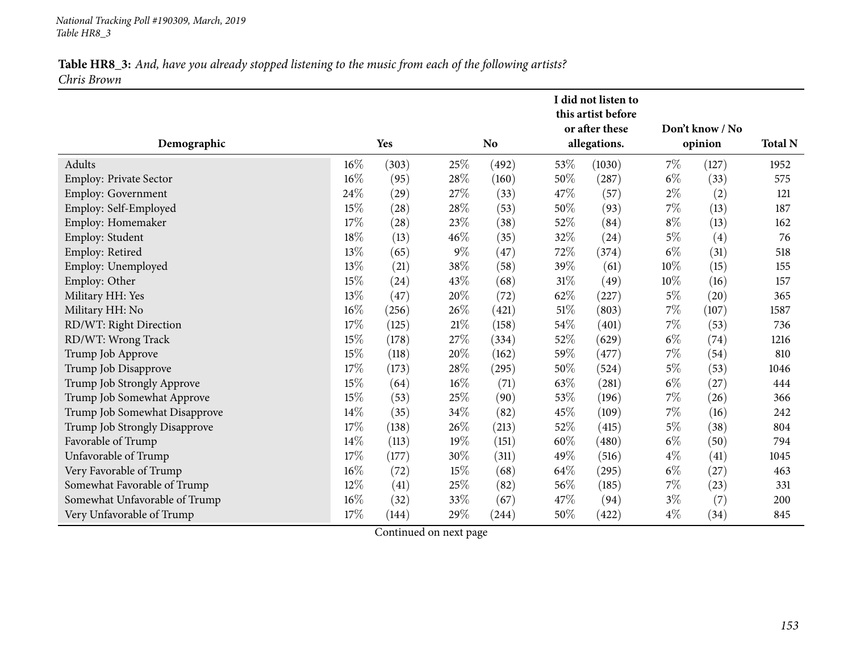|                               |        |           |        |           |      | I did not listen to<br>this artist before |        |                 |                |
|-------------------------------|--------|-----------|--------|-----------|------|-------------------------------------------|--------|-----------------|----------------|
|                               |        |           |        |           |      | or after these                            |        | Don't know / No |                |
| Demographic                   |        | Yes       |        | <b>No</b> |      | allegations.                              |        | opinion         | <b>Total N</b> |
| Adults                        | 16%    | (303)     | 25%    | (492)     | 53%  | (1030)                                    | $7\%$  | (127)           | 1952           |
| <b>Employ: Private Sector</b> | 16%    | (95)      | 28\%   | (160)     | 50%  | (287)                                     | $6\%$  | (33)            | 575            |
| <b>Employ: Government</b>     | $24\%$ | $^{(29)}$ | 27%    | (33)      | 47%  | (57)                                      | $2\%$  | (2)             | 121            |
| Employ: Self-Employed         | $15\%$ | (28)      | 28\%   | (53)      | 50%  | (93)                                      | $7\%$  | (13)            | 187            |
| Employ: Homemaker             | $17\%$ | (28)      | 23%    | (38)      | 52%  | (84)                                      | $8\%$  | (13)            | 162            |
| Employ: Student               | $18\%$ | (13)      | 46%    | (35)      | 32%  | (24)                                      | $5\%$  | (4)             | 76             |
| Employ: Retired               | $13\%$ | (65)      | $9\%$  | (47)      | 72%  | (374)                                     | $6\%$  | (31)            | 518            |
| Employ: Unemployed            | $13\%$ | (21)      | 38%    | (58)      | 39%  | (61)                                      | 10%    | (15)            | 155            |
| Employ: Other                 | $15\%$ | (24)      | 43%    | (68)      | 31%  | (49)                                      | $10\%$ | (16)            | 157            |
| Military HH: Yes              | 13%    | (47)      | 20%    | (72)      | 62%  | (227)                                     | $5\%$  | (20)            | 365            |
| Military HH: No               | $16\%$ | (256)     | 26%    | (421)     | 51\% | (803)                                     | $7\%$  | (107)           | 1587           |
| RD/WT: Right Direction        | 17%    | (125)     | 21%    | (158)     | 54%  | (401)                                     | $7\%$  | (53)            | 736            |
| RD/WT: Wrong Track            | $15\%$ | (178)     | 27%    | (334)     | 52%  | (629)                                     | $6\%$  | (74)            | 1216           |
| Trump Job Approve             | 15%    | (118)     | 20%    | (162)     | 59%  | (477)                                     | $7\%$  | (54)            | 810            |
| Trump Job Disapprove          | 17%    | (173)     | $28\%$ | (295)     | 50%  | (524)                                     | $5\%$  | (53)            | 1046           |
| Trump Job Strongly Approve    | 15%    | (64)      | 16%    | (71)      | 63%  | (281)                                     | $6\%$  | (27)            | 444            |
| Trump Job Somewhat Approve    | 15%    | (53)      | 25%    | (90)      | 53%  | (196)                                     | $7\%$  | (26)            | 366            |
| Trump Job Somewhat Disapprove | 14%    | (35)      | 34%    | (82)      | 45%  | (109)                                     | $7\%$  | (16)            | 242            |
| Trump Job Strongly Disapprove | 17%    | (138)     | 26%    | (213)     | 52%  | (415)                                     | $5\%$  | (38)            | 804            |
| Favorable of Trump            | 14%    | (113)     | 19%    | (151)     | 60%  | (480)                                     | $6\%$  | (50)            | 794            |
| Unfavorable of Trump          | 17%    | (177)     | 30%    | (311)     | 49%  | (516)                                     | $4\%$  | (41)            | 1045           |
| Very Favorable of Trump       | 16%    | (72)      | 15%    | (68)      | 64\% | (295)                                     | $6\%$  | (27)            | 463            |
| Somewhat Favorable of Trump   | 12%    | (41)      | 25\%   | (82)      | 56%  | (185)                                     | $7\%$  | (23)            | 331            |
| Somewhat Unfavorable of Trump | 16%    | (32)      | 33%    | (67)      | 47%  | (94)                                      | $3\%$  | (7)             | 200            |
| Very Unfavorable of Trump     | 17%    | (144)     | 29\%   | (244)     | 50%  | (422)                                     | $4\%$  | (34)            | 845            |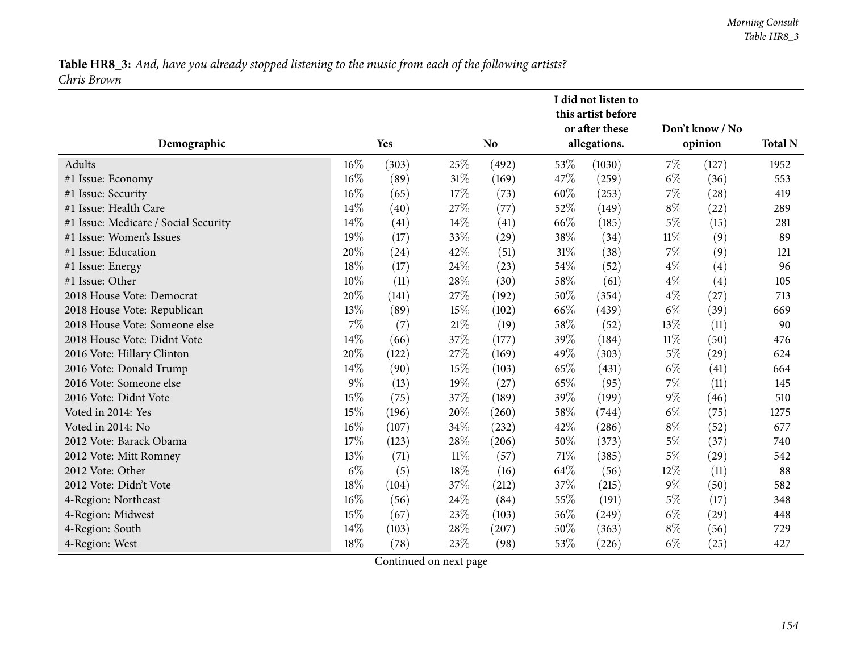|                                      |        |       |        |           |        | I did not listen to<br>this artist before |        |                 |                |
|--------------------------------------|--------|-------|--------|-----------|--------|-------------------------------------------|--------|-----------------|----------------|
|                                      |        |       |        |           |        | or after these                            |        | Don't know / No |                |
| Demographic                          |        | Yes   |        | <b>No</b> |        | allegations.                              |        | opinion         | <b>Total N</b> |
| Adults                               | $16\%$ | (303) | 25%    | (492)     | 53%    | (1030)                                    | $7\%$  | (127)           | 1952           |
| #1 Issue: Economy                    | 16%    | (89)  | $31\%$ | (169)     | 47%    | (259)                                     | $6\%$  | (36)            | 553            |
| #1 Issue: Security                   | 16%    | (65)  | 17%    | (73)      | $60\%$ | (253)                                     | $7\%$  | (28)            | 419            |
| #1 Issue: Health Care                | 14%    | (40)  | 27%    | (77)      | 52%    | (149)                                     | $8\%$  | (22)            | 289            |
| #1 Issue: Medicare / Social Security | 14%    | (41)  | 14%    | (41)      | 66\%   | (185)                                     | $5\%$  | (15)            | 281            |
| #1 Issue: Women's Issues             | 19%    | (17)  | 33%    | (29)      | 38%    | (34)                                      | $11\%$ | (9)             | 89             |
| #1 Issue: Education                  | $20\%$ | (24)  | 42%    | (51)      | $31\%$ | (38)                                      | 7%     | (9)             | 121            |
| #1 Issue: Energy                     | 18%    | (17)  | 24%    | (23)      | 54%    | (52)                                      | $4\%$  | (4)             | 96             |
| #1 Issue: Other                      | 10%    | (11)  | 28%    | (30)      | 58%    | (61)                                      | $4\%$  | (4)             | 105            |
| 2018 House Vote: Democrat            | $20\%$ | (141) | 27%    | (192)     | 50%    | (354)                                     | $4\%$  | (27)            | 713            |
| 2018 House Vote: Republican          | 13%    | (89)  | 15%    | (102)     | 66\%   | (439)                                     | $6\%$  | (39)            | 669            |
| 2018 House Vote: Someone else        | 7%     | (7)   | $21\%$ | (19)      | 58%    | (52)                                      | 13%    | (11)            | 90             |
| 2018 House Vote: Didnt Vote          | 14%    | (66)  | 37%    | (177)     | 39%    | (184)                                     | $11\%$ | (50)            | 476            |
| 2016 Vote: Hillary Clinton           | 20%    | (122) | 27%    | (169)     | 49%    | (303)                                     | $5\%$  | (29)            | 624            |
| 2016 Vote: Donald Trump              | 14%    | (90)  | 15%    | (103)     | 65%    | (431)                                     | $6\%$  | (41)            | 664            |
| 2016 Vote: Someone else              | $9\%$  | (13)  | 19%    | (27)      | 65%    | (95)                                      | $7\%$  | (11)            | 145            |
| 2016 Vote: Didnt Vote                | 15%    | (75)  | 37%    | (189)     | 39%    | (199)                                     | $9\%$  | (46)            | 510            |
| Voted in 2014: Yes                   | 15%    | (196) | 20%    | (260)     | 58%    | (744)                                     | $6\%$  | (75)            | 1275           |
| Voted in 2014: No                    | $16\%$ | (107) | 34%    | (232)     | 42%    | (286)                                     | $8\%$  | (52)            | 677            |
| 2012 Vote: Barack Obama              | 17%    | (123) | 28%    | (206)     | 50%    | (373)                                     | $5\%$  | (37)            | 740            |
| 2012 Vote: Mitt Romney               | 13%    | (71)  | $11\%$ | (57)      | 71\%   | (385)                                     | $5\%$  | (29)            | 542            |
| 2012 Vote: Other                     | $6\%$  | (5)   | 18%    | (16)      | 64%    | (56)                                      | $12\%$ | (11)            | 88             |
| 2012 Vote: Didn't Vote               | $18\%$ | (104) | 37%    | (212)     | 37%    | (215)                                     | $9\%$  | (50)            | 582            |
| 4-Region: Northeast                  | 16%    | (56)  | 24%    | (84)      | 55%    | (191)                                     | $5\%$  | (17)            | 348            |
| 4-Region: Midwest                    | 15%    | (67)  | 23%    | (103)     | 56%    | (249)                                     | $6\%$  | (29)            | 448            |
| 4-Region: South                      | 14%    | (103) | 28%    | (207)     | 50%    | (363)                                     | $8\%$  | (56)            | 729            |
| 4-Region: West                       | 18%    | (78)  | 23%    | (98)      | 53%    | (226)                                     | $6\%$  | (25)            | 427            |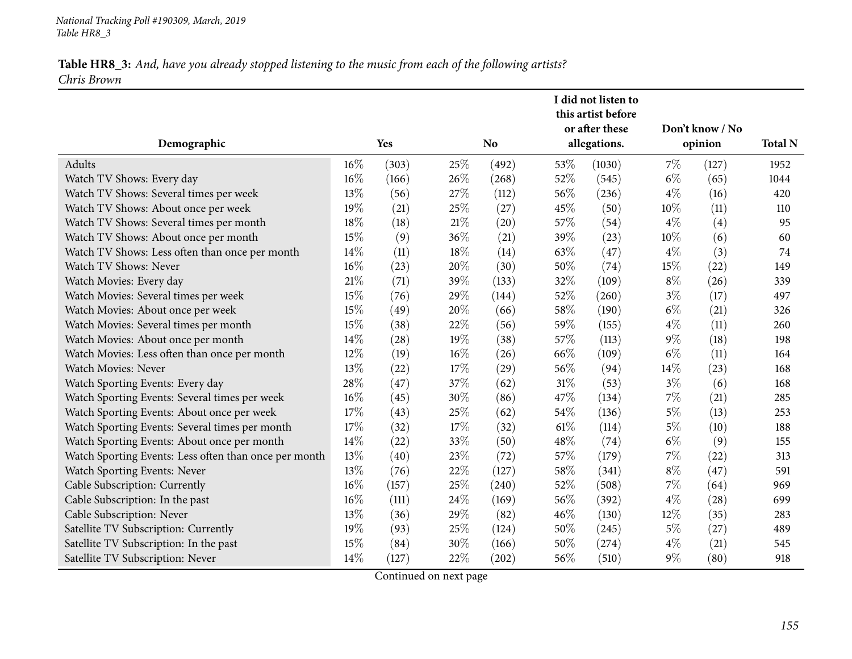|                                                       |        |       |     |           |        | I did not listen to<br>this artist before<br>or after these |        | Don't know / No |                |
|-------------------------------------------------------|--------|-------|-----|-----------|--------|-------------------------------------------------------------|--------|-----------------|----------------|
| Demographic                                           |        | Yes   |     | <b>No</b> |        | allegations.                                                |        | opinion         | <b>Total N</b> |
| Adults                                                | 16%    | (303) | 25% | (492)     | 53%    | (1030)                                                      | 7%     | (127)           | 1952           |
| Watch TV Shows: Every day                             | 16%    | (166) | 26% | (268)     | 52%    | (545)                                                       | $6\%$  | (65)            | 1044           |
| Watch TV Shows: Several times per week                | 13%    | (56)  | 27% | (112)     | 56\%   | (236)                                                       | $4\%$  | (16)            | 420            |
| Watch TV Shows: About once per week                   | 19%    | (21)  | 25% | (27)      | 45%    | (50)                                                        | $10\%$ | (11)            | 110            |
| Watch TV Shows: Several times per month               | 18%    | (18)  | 21% | (20)      | 57%    | (54)                                                        | $4\%$  | (4)             | 95             |
| Watch TV Shows: About once per month                  | 15%    | (9)   | 36% | (21)      | 39%    | (23)                                                        | 10%    | (6)             | 60             |
| Watch TV Shows: Less often than once per month        | 14\%   | (11)  | 18% | (14)      | 63%    | (47)                                                        | $4\%$  | (3)             | 74             |
| Watch TV Shows: Never                                 | 16%    | (23)  | 20% | (30)      | 50%    | (74)                                                        | 15%    | (22)            | 149            |
| Watch Movies: Every day                               | 21\%   | (71)  | 39% | (133)     | 32%    | (109)                                                       | $8\%$  | (26)            | 339            |
| Watch Movies: Several times per week                  | 15%    | (76)  | 29% | (144)     | 52%    | (260)                                                       | $3\%$  | (17)            | 497            |
| Watch Movies: About once per week                     | 15%    | (49)  | 20% | (66)      | 58\%   | (190)                                                       | $6\%$  | (21)            | 326            |
| Watch Movies: Several times per month                 | 15%    | (38)  | 22% | (56)      | 59%    | (155)                                                       | $4\%$  | (11)            | 260            |
| Watch Movies: About once per month                    | 14%    | (28)  | 19% | (38)      | 57%    | (113)                                                       | $9\%$  | (18)            | 198            |
| Watch Movies: Less often than once per month          | 12%    | (19)  | 16% | (26)      | 66\%   | (109)                                                       | $6\%$  | (11)            | 164            |
| <b>Watch Movies: Never</b>                            | 13%    | (22)  | 17% | (29)      | 56%    | (94)                                                        | 14%    | (23)            | 168            |
| Watch Sporting Events: Every day                      | 28\%   | (47)  | 37% | (62)      | $31\%$ | (53)                                                        | $3\%$  | (6)             | 168            |
| Watch Sporting Events: Several times per week         | 16%    | (45)  | 30% | (86)      | 47%    | (134)                                                       | $7\%$  | (21)            | 285            |
| Watch Sporting Events: About once per week            | 17%    | (43)  | 25% | (62)      | 54\%   | (136)                                                       | $5\%$  | (13)            | 253            |
| Watch Sporting Events: Several times per month        | 17%    | (32)  | 17% | (32)      | $61\%$ | (114)                                                       | $5\%$  | (10)            | 188            |
| Watch Sporting Events: About once per month           | 14%    | (22)  | 33% | (50)      | 48\%   | (74)                                                        | $6\%$  | (9)             | 155            |
| Watch Sporting Events: Less often than once per month | 13%    | (40)  | 23% | (72)      | 57%    | (179)                                                       | 7%     | (22)            | 313            |
| Watch Sporting Events: Never                          | 13%    | (76)  | 22% | (127)     | 58%    | (341)                                                       | $8\%$  | (47)            | 591            |
| Cable Subscription: Currently                         | $16\%$ | (157) | 25% | (240)     | 52%    | (508)                                                       | 7%     | (64)            | 969            |
| Cable Subscription: In the past                       | 16%    | (111) | 24% | (169)     | 56\%   | (392)                                                       | $4\%$  | (28)            | 699            |
| Cable Subscription: Never                             | 13%    | (36)  | 29% | (82)      | $46\%$ | (130)                                                       | 12%    | (35)            | 283            |
| Satellite TV Subscription: Currently                  | 19%    | (93)  | 25% | (124)     | 50%    | (245)                                                       | $5\%$  | (27)            | 489            |
| Satellite TV Subscription: In the past                | 15%    | (84)  | 30% | (166)     | 50%    | (274)                                                       | $4\%$  | (21)            | 545            |
| Satellite TV Subscription: Never                      | 14%    | (127) | 22% | (202)     | 56\%   | (510)                                                       | $9\%$  | (80)            | 918            |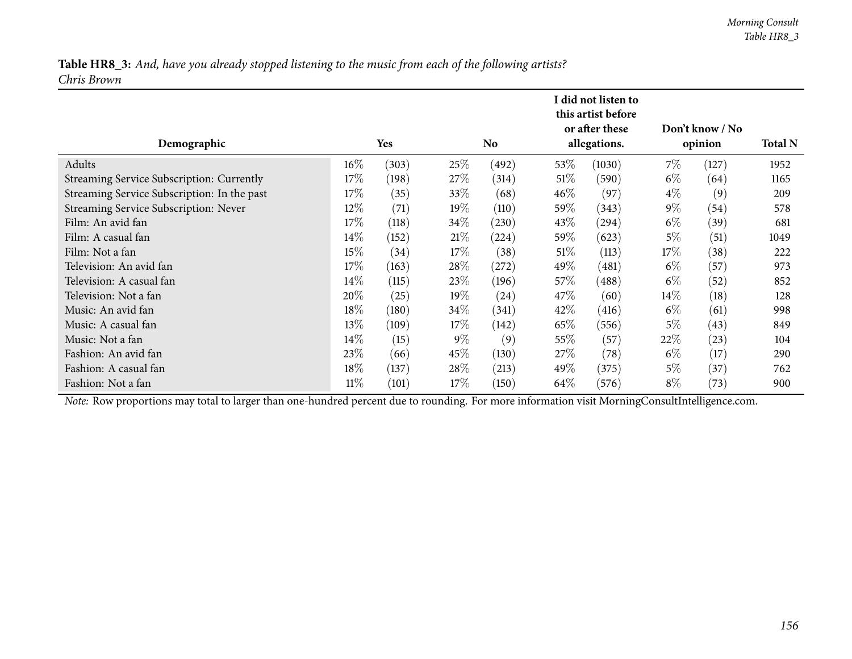| Demographic                                 |        | Yes   |        |       | I did not listen to<br>this artist before<br>or after these<br>allegations. | Don't know / No<br>opinion | <b>Total N</b> |       |      |
|---------------------------------------------|--------|-------|--------|-------|-----------------------------------------------------------------------------|----------------------------|----------------|-------|------|
| Adults                                      | $16\%$ | (303) | 25\%   | (492) | $53\%$                                                                      | (1030)                     | $7\%$          | (127) | 1952 |
| Streaming Service Subscription: Currently   | 17%    | (198) | 27\%   | (314) | $51\%$                                                                      | (590)                      | $6\%$          | (64)  | 1165 |
| Streaming Service Subscription: In the past | 17%    | (35)  | 33\%   | (68)  | 46%                                                                         | (97)                       | $4\%$          | (9)   | 209  |
| Streaming Service Subscription: Never       | 12%    | (71)  | 19%    | (110) | 59%                                                                         | (343)                      | $9\%$          | (54)  | 578  |
| Film: An avid fan                           | 17%    | (118) | 34\%   | (230) | 43\%                                                                        | (294)                      | $6\%$          | (39)  | 681  |
| Film: A casual fan                          | $14\%$ | (152) | 21%    | (224) | $59\%$                                                                      | (623)                      | $5\%$          | (51)  | 1049 |
| Film: Not a fan                             | 15%    | (34)  | 17\%   | (38)  | $51\%$                                                                      | (113)                      | $17\%$         | (38)  | 222  |
| Television: An avid fan                     | 17%    | (163) | 28\%   | (272) | 49\%                                                                        | (481)                      | $6\%$          | (57)  | 973  |
| Television: A casual fan                    | 14%    | (115) | 23\%   | (196) | 57\%                                                                        | $\left( 488\right)$        | $6\%$          | (52)  | 852  |
| Television: Not a fan                       | 20%    | (25)  | $19\%$ | (24)  | 47\%                                                                        | (60)                       | $14\%$         | (18)  | 128  |
| Music: An avid fan                          | 18%    | (180) | 34%    | (341) | 42\%                                                                        | (416)                      | $6\%$          | (61)  | 998  |
| Music: A casual fan                         | 13%    | (109) | 17\%   | (142) | 65%                                                                         | (556)                      | $5\%$          | (43)  | 849  |
| Music: Not a fan                            | $14\%$ | (15)  | $9\%$  | (9)   | 55\%                                                                        | (57)                       | 22\%           | (23)  | 104  |
| Fashion: An avid fan                        | 23%    | (66)  | 45\%   | (130) | 27\%                                                                        | (78)                       | $6\%$          | (17)  | 290  |
| Fashion: A casual fan                       | 18%    | (137) | 28\%   | (213) | 49\%                                                                        | (375)                      | $5\%$          | (37)  | 762  |
| Fashion: Not a fan                          | $11\%$ | (101) | $17\%$ | (150) | 64\%                                                                        | (576)                      | $8\%$          | (73)  | 900  |

*Note:* Row proportions may total to larger than one-hundred percen<sup>t</sup> due to rounding. For more information visit [MorningConsultIntelligence.com](https://morningconsultintelligence.com).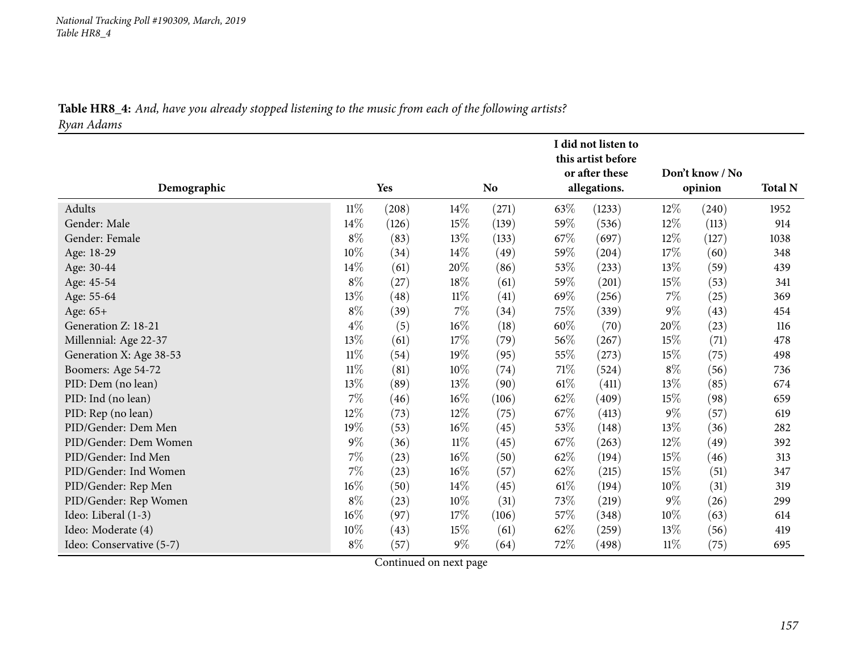|                          |        |       |        |                |        | I did not listen to<br>this artist before |        |                 |                |
|--------------------------|--------|-------|--------|----------------|--------|-------------------------------------------|--------|-----------------|----------------|
|                          |        |       |        |                |        | or after these                            |        | Don't know / No |                |
| Demographic              | Yes    |       |        | N <sub>o</sub> |        | allegations.                              |        | opinion         | <b>Total N</b> |
| Adults                   | $11\%$ | (208) | $14\%$ | (271)          | 63\%   | (1233)                                    | $12\%$ | (240)           | 1952           |
| Gender: Male             | 14\%   | (126) | 15\%   | (139)          | 59%    | (536)                                     | $12\%$ | (113)           | 914            |
| Gender: Female           | $8\%$  | (83)  | 13%    | (133)          | 67\%   | (697)                                     | 12%    | (127)           | 1038           |
| Age: 18-29               | $10\%$ | (34)  | 14%    | (49)           | 59%    | (204)                                     | 17%    | (60)            | 348            |
| Age: 30-44               | 14\%   | (61)  | 20%    | (86)           | $53\%$ | (233)                                     | 13%    | (59)            | 439            |
| Age: 45-54               | $8\%$  | (27)  | 18%    | (61)           | 59%    | (201)                                     | $15\%$ | (53)            | 341            |
| Age: 55-64               | 13%    | (48)  | $11\%$ | (41)           | 69%    | (256)                                     | 7%     | (25)            | 369            |
| Age: 65+                 | $8\%$  | (39)  | $7\%$  | (34)           | 75%    | (339)                                     | $9\%$  | (43)            | 454            |
| Generation Z: 18-21      | $4\%$  | (5)   | $16\%$ | (18)           | 60%    | (70)                                      | 20%    | (23)            | 116            |
| Millennial: Age 22-37    | $13\%$ | (61)  | $17\%$ | (79)           | 56%    | (267)                                     | $15\%$ | (71)            | 478            |
| Generation X: Age 38-53  | 11%    | (54)  | 19%    | (95)           | 55\%   | (273)                                     | 15%    | (75)            | 498            |
| Boomers: Age 54-72       | $11\%$ | (81)  | $10\%$ | (74)           | 71\%   | (524)                                     | $8\%$  | (56)            | 736            |
| PID: Dem (no lean)       | $13\%$ | (89)  | $13\%$ | (90)           | $61\%$ | (411)                                     | 13%    | (85)            | 674            |
| PID: Ind (no lean)       | $7\%$  | (46)  | $16\%$ | (106)          | 62%    | (409)                                     | 15%    | (98)            | 659            |
| PID: Rep (no lean)       | 12%    | (73)  | 12%    | (75)           | 67%    | (413)                                     | $9\%$  | (57)            | 619            |
| PID/Gender: Dem Men      | 19%    | (53)  | $16\%$ | (45)           | 53\%   | (148)                                     | 13\%   | (36)            | 282            |
| PID/Gender: Dem Women    | $9\%$  | (36)  | $11\%$ | (45)           | 67\%   | (263)                                     | $12\%$ | (49)            | 392            |
| PID/Gender: Ind Men      | $7\%$  | (23)  | $16\%$ | (50)           | 62\%   | (194)                                     | $15\%$ | (46)            | 313            |
| PID/Gender: Ind Women    | $7\%$  | (23)  | $16\%$ | (57)           | 62%    | (215)                                     | 15%    | (51)            | 347            |
| PID/Gender: Rep Men      | $16\%$ | (50)  | 14%    | (45)           | $61\%$ | (194)                                     | 10%    | (31)            | 319            |
| PID/Gender: Rep Women    | $8\%$  | (23)  | $10\%$ | (31)           | 73\%   | (219)                                     | $9\%$  | (26)            | 299            |
| Ideo: Liberal (1-3)      | $16\%$ | (97)  | $17\%$ | (106)          | 57\%   | (348)                                     | 10%    | (63)            | 614            |
| Ideo: Moderate (4)       | 10%    | (43)  | 15%    | (61)           | 62%    | (259)                                     | 13%    | (56)            | 419            |
| Ideo: Conservative (5-7) | $8\%$  | (57)  | $9\%$  | (64)           | 72%    | (498)                                     | $11\%$ | (75)            | 695            |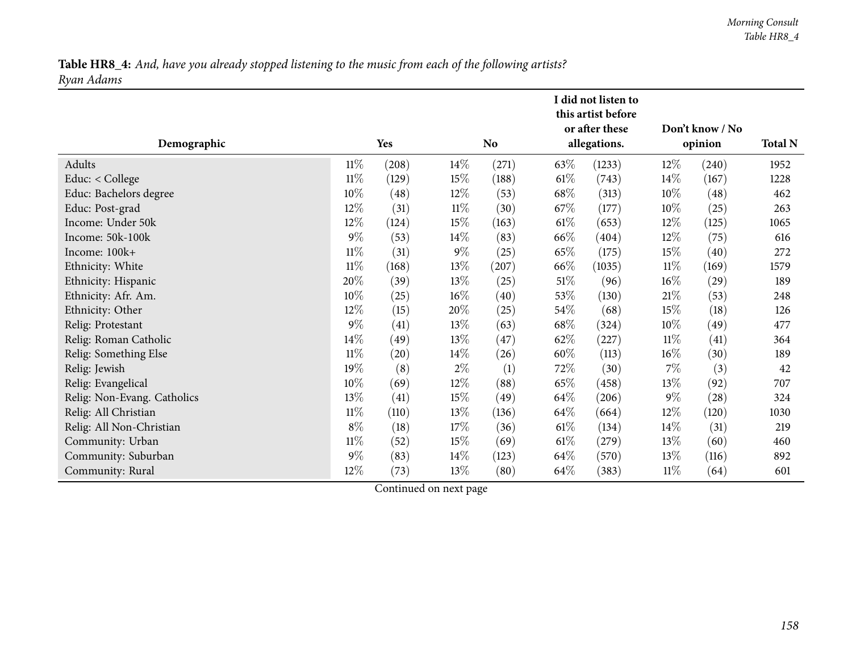|                             |        |       |        |           |        | I did not listen to<br>this artist before<br>or after these |        | Don't know / No |                |
|-----------------------------|--------|-------|--------|-----------|--------|-------------------------------------------------------------|--------|-----------------|----------------|
| Demographic                 | Yes    |       |        | <b>No</b> |        | allegations.                                                |        | opinion         | <b>Total N</b> |
| Adults                      | $11\%$ | (208) | $14\%$ | (271)     | 63\%   | (1233)                                                      | $12\%$ | (240)           | 1952           |
| Educ: < College             | $11\%$ | (129) | 15%    | (188)     | $61\%$ | (743)                                                       | 14\%   | (167)           | 1228           |
| Educ: Bachelors degree      | $10\%$ | (48)  | 12%    | (53)      | 68\%   | (313)                                                       | $10\%$ | (48)            | 462            |
| Educ: Post-grad             | $12\%$ | (31)  | $11\%$ | (30)      | $67\%$ | (177)                                                       | $10\%$ | (25)            | 263            |
| Income: Under 50k           | 12\%   | (124) | 15%    | (163)     | $61\%$ | (653)                                                       | $12\%$ | (125)           | 1065           |
| Income: 50k-100k            | $9\%$  | (53)  | $14\%$ | (83)      | 66\%   | (404)                                                       | $12\%$ | (75)            | 616            |
| Income: 100k+               | $11\%$ | (31)  | $9\%$  | (25)      | 65\%   | (175)                                                       | 15%    | (40)            | 272            |
| Ethnicity: White            | $11\%$ | (168) | 13%    | (207)     | 66\%   | (1035)                                                      | $11\%$ | (169)           | 1579           |
| Ethnicity: Hispanic         | 20%    | (39)  | 13\%   | (25)      | $51\%$ | (96)                                                        | $16\%$ | (29)            | 189            |
| Ethnicity: Afr. Am.         | $10\%$ | (25)  | $16\%$ | (40)      | $53\%$ | (130)                                                       | $21\%$ | (53)            | 248            |
| Ethnicity: Other            | 12%    | (15)  | 20%    | (25)      | 54\%   | (68)                                                        | 15%    | (18)            | 126            |
| Relig: Protestant           | $9\%$  | (41)  | 13%    | (63)      | 68\%   | (324)                                                       | $10\%$ | (49)            | 477            |
| Relig: Roman Catholic       | $14\%$ | (49)  | 13\%   | (47)      | 62\%   | (227)                                                       | $11\%$ | (41)            | 364            |
| Relig: Something Else       | $11\%$ | (20)  | 14\%   | (26)      | $60\%$ | (113)                                                       | 16%    | (30)            | 189            |
| Relig: Jewish               | 19%    | (8)   | $2\%$  | (1)       | 72\%   | (30)                                                        | 7%     | (3)             | 42             |
| Relig: Evangelical          | $10\%$ | (69)  | 12%    | (88)      | 65\%   | (458)                                                       | 13\%   | (92)            | 707            |
| Relig: Non-Evang. Catholics | 13%    | (41)  | $15\%$ | (49)      | 64\%   | (206)                                                       | $9\%$  | (28)            | 324            |
| Relig: All Christian        | $11\%$ | (110) | 13%    | (136)     | 64\%   | (664)                                                       | $12\%$ | (120)           | 1030           |
| Relig: All Non-Christian    | $8\%$  | (18)  | 17%    | (36)      | $61\%$ | (134)                                                       | 14\%   | (31)            | 219            |
| Community: Urban            | $11\%$ | (52)  | $15\%$ | (69)      | $61\%$ | (279)                                                       | $13\%$ | (60)            | 460            |
| Community: Suburban         | $9\%$  | (83)  | 14\%   | (123)     | 64\%   | (570)                                                       | 13%    | (116)           | 892            |
| Community: Rural            | 12%    | (73)  | 13\%   | (80)      | 64\%   | (383)                                                       | $11\%$ | (64)            | 601            |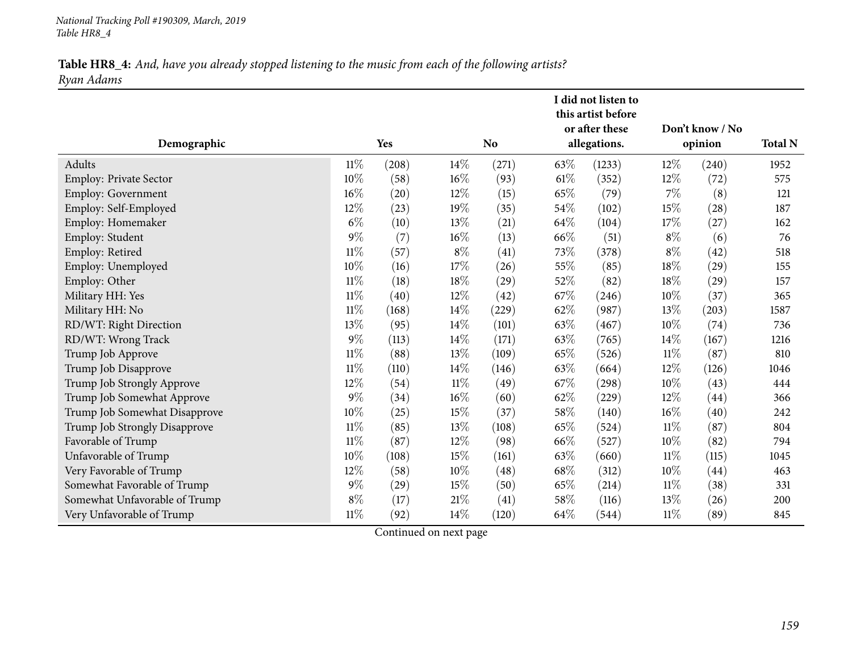|                               |        |       |        |           |        | I did not listen to<br>this artist before |        |                    |                |
|-------------------------------|--------|-------|--------|-----------|--------|-------------------------------------------|--------|--------------------|----------------|
|                               |        |       |        |           |        | or after these                            |        | Don't know / No    |                |
| Demographic                   |        | Yes   |        | <b>No</b> |        | allegations.                              |        | opinion            | <b>Total N</b> |
| Adults                        | $11\%$ | (208) | 14\%   | (271)     | 63%    | (1233)                                    | $12\%$ | (240)              | 1952           |
| <b>Employ: Private Sector</b> | 10%    | (58)  | 16%    | (93)      | $61\%$ | (352)                                     | $12\%$ | (72)               | 575            |
| <b>Employ: Government</b>     | 16%    | (20)  | 12%    | (15)      | 65%    | (79)                                      | $7\%$  | (8)                | 121            |
| Employ: Self-Employed         | $12\%$ | (23)  | 19%    | (35)      | 54\%   | (102)                                     | $15\%$ | (28)               | 187            |
| Employ: Homemaker             | $6\%$  | (10)  | 13%    | (21)      | 64%    | (104)                                     | 17%    | (27)               | 162            |
| Employ: Student               | 9%     | (7)   | $16\%$ | (13)      | 66%    | (51)                                      | $8\%$  | (6)                | 76             |
| Employ: Retired               | $11\%$ | (57)  | $8\%$  | (41)      | 73%    | (378)                                     | $8\%$  | (42)               | 518            |
| Employ: Unemployed            | $10\%$ | (16)  | 17%    | (26)      | 55%    | (85)                                      | $18\%$ | (29)               | 155            |
| Employ: Other                 | $11\%$ | (18)  | 18%    | (29)      | 52%    | (82)                                      | 18%    | $\left( 29\right)$ | 157            |
| Military HH: Yes              | $11\%$ | (40)  | 12%    | (42)      | 67%    | (246)                                     | $10\%$ | (37)               | 365            |
| Military HH: No               | $11\%$ | (168) | 14%    | (229)     | 62%    | (987)                                     | $13\%$ | (203)              | 1587           |
| RD/WT: Right Direction        | 13%    | (95)  | 14%    | (101)     | 63%    | (467)                                     | $10\%$ | (74)               | 736            |
| RD/WT: Wrong Track            | $9\%$  | (113) | 14%    | (171)     | 63%    | (765)                                     | $14\%$ | (167)              | 1216           |
| Trump Job Approve             | $11\%$ | (88)  | 13%    | (109)     | 65%    | (526)                                     | $11\%$ | (87)               | 810            |
| Trump Job Disapprove          | $11\%$ | (110) | 14%    | (146)     | 63%    | (664)                                     | $12\%$ | (126)              | 1046           |
| Trump Job Strongly Approve    | 12%    | (54)  | $11\%$ | (49)      | 67%    | (298)                                     | 10%    | (43)               | 444            |
| Trump Job Somewhat Approve    | $9\%$  | (34)  | $16\%$ | (60)      | 62%    | (229)                                     | $12\%$ | (44)               | 366            |
| Trump Job Somewhat Disapprove | 10%    | (25)  | 15%    | (37)      | 58%    | (140)                                     | 16%    | (40)               | 242            |
| Trump Job Strongly Disapprove | $11\%$ | (85)  | 13%    | (108)     | 65%    | (524)                                     | $11\%$ | (87)               | 804            |
| Favorable of Trump            | $11\%$ | (87)  | 12%    | (98)      | 66%    | (527)                                     | 10%    | (82)               | 794            |
| Unfavorable of Trump          | 10%    | (108) | 15\%   | (161)     | 63%    | (660)                                     | $11\%$ | (115)              | 1045           |
| Very Favorable of Trump       | $12\%$ | (58)  | $10\%$ | (48)      | 68%    | (312)                                     | $10\%$ | (44)               | 463            |
| Somewhat Favorable of Trump   | $9\%$  | (29)  | 15\%   | (50)      | 65%    | (214)                                     | $11\%$ | (38)               | 331            |
| Somewhat Unfavorable of Trump | $8\%$  | (17)  | $21\%$ | (41)      | 58%    | (116)                                     | 13%    | (26)               | 200            |
| Very Unfavorable of Trump     | $11\%$ | (92)  | 14%    | (120)     | 64\%   | (544)                                     | $11\%$ | (89)               | 845            |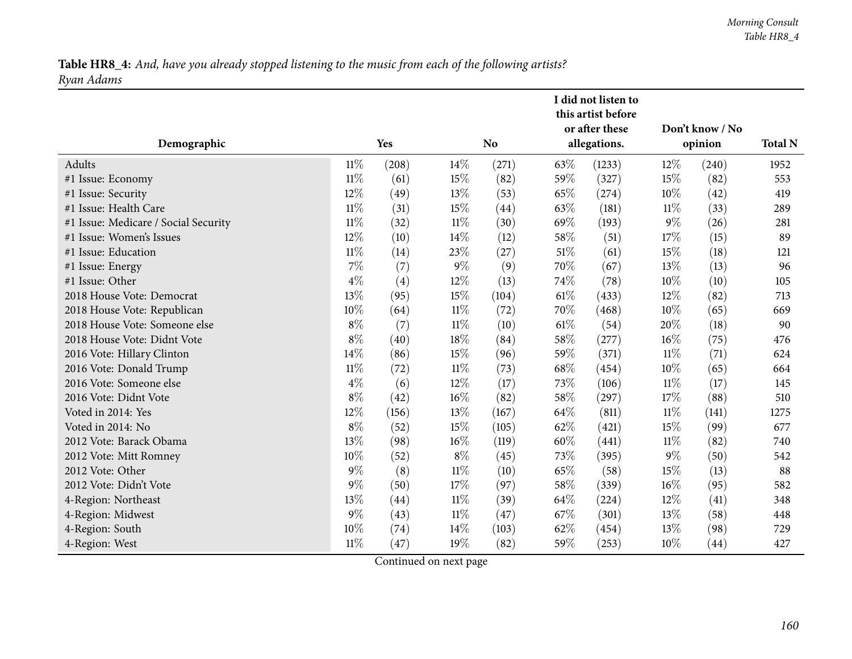|                                      |        |       |        |           |        | I did not listen to<br>this artist before |        |                 |                |
|--------------------------------------|--------|-------|--------|-----------|--------|-------------------------------------------|--------|-----------------|----------------|
|                                      |        |       |        |           |        | or after these                            |        | Don't know / No |                |
| Demographic                          |        | Yes   |        | <b>No</b> |        | allegations.                              |        | opinion         | <b>Total N</b> |
| Adults                               | $11\%$ | (208) | 14%    | (271)     | 63%    | (1233)                                    | $12\%$ | (240)           | 1952           |
| #1 Issue: Economy                    | $11\%$ | (61)  | 15%    | (82)      | 59%    | (327)                                     | 15%    | (82)            | 553            |
| #1 Issue: Security                   | 12%    | (49)  | 13%    | (53)      | 65%    | (274)                                     | $10\%$ | (42)            | 419            |
| #1 Issue: Health Care                | $11\%$ | (31)  | 15%    | (44)      | 63%    | (181)                                     | $11\%$ | (33)            | 289            |
| #1 Issue: Medicare / Social Security | $11\%$ | (32)  | $11\%$ | (30)      | 69%    | (193)                                     | $9\%$  | (26)            | 281            |
| #1 Issue: Women's Issues             | 12%    | (10)  | 14%    | (12)      | 58%    | (51)                                      | 17%    | (15)            | 89             |
| #1 Issue: Education                  | $11\%$ | (14)  | 23%    | (27)      | 51\%   | (61)                                      | 15%    | (18)            | 121            |
| #1 Issue: Energy                     | 7%     | (7)   | 9%     | (9)       | 70%    | (67)                                      | 13%    | (13)            | 96             |
| #1 Issue: Other                      | $4\%$  | (4)   | 12%    | (13)      | 74%    | (78)                                      | $10\%$ | (10)            | 105            |
| 2018 House Vote: Democrat            | 13%    | (95)  | 15%    | (104)     | $61\%$ | (433)                                     | $12\%$ | (82)            | 713            |
| 2018 House Vote: Republican          | 10%    | (64)  | $11\%$ | (72)      | 70%    | (468)                                     | $10\%$ | (65)            | 669            |
| 2018 House Vote: Someone else        | $8\%$  | (7)   | $11\%$ | (10)      | 61%    | (54)                                      | 20%    | (18)            | 90             |
| 2018 House Vote: Didnt Vote          | $8\%$  | (40)  | 18%    | (84)      | 58%    | (277)                                     | $16\%$ | (75)            | 476            |
| 2016 Vote: Hillary Clinton           | 14%    | (86)  | 15%    | (96)      | 59%    | (371)                                     | $11\%$ | (71)            | 624            |
| 2016 Vote: Donald Trump              | $11\%$ | (72)  | $11\%$ | (73)      | 68%    | (454)                                     | 10%    | (65)            | 664            |
| 2016 Vote: Someone else              | $4\%$  | (6)   | 12%    | (17)      | 73%    | (106)                                     | $11\%$ | (17)            | 145            |
| 2016 Vote: Didnt Vote                | $8\%$  | (42)  | 16%    | (82)      | 58%    | (297)                                     | 17%    | (88)            | 510            |
| Voted in 2014: Yes                   | 12%    | (156) | 13%    | (167)     | 64\%   | (811)                                     | $11\%$ | (141)           | 1275           |
| Voted in 2014: No                    | $8\%$  | (52)  | 15%    | (105)     | 62%    | (421)                                     | 15%    | (99)            | 677            |
| 2012 Vote: Barack Obama              | 13%    | (98)  | 16%    | (119)     | 60%    | (441)                                     | $11\%$ | (82)            | 740            |
| 2012 Vote: Mitt Romney               | 10%    | (52)  | $8\%$  | (45)      | 73%    | (395)                                     | $9\%$  | (50)            | 542            |
| 2012 Vote: Other                     | $9\%$  | (8)   | $11\%$ | (10)      | 65%    | (58)                                      | 15%    | (13)            | 88             |
| 2012 Vote: Didn't Vote               | $9\%$  | (50)  | 17%    | (97)      | 58%    | (339)                                     | $16\%$ | (95)            | 582            |
| 4-Region: Northeast                  | 13%    | (44)  | $11\%$ | (39)      | 64%    | (224)                                     | $12\%$ | (41)            | 348            |
| 4-Region: Midwest                    | 9%     | (43)  | $11\%$ | (47)      | 67%    | (301)                                     | 13\%   | (58)            | 448            |
| 4-Region: South                      | 10%    | (74)  | 14%    | (103)     | 62%    | (454)                                     | 13\%   | (98)            | 729            |
| 4-Region: West                       | $11\%$ | (47)  | 19%    | (82)      | 59%    | (253)                                     | $10\%$ | (44)            | 427            |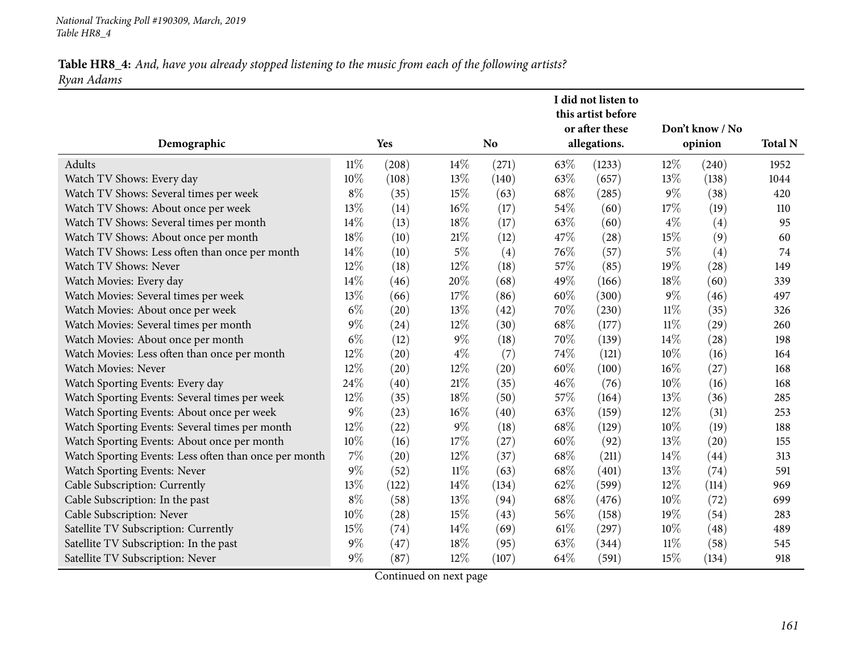|                                                       |        |       |        |           |      | I did not listen to<br>this artist before<br>or after these |        | Don't know / No |                |
|-------------------------------------------------------|--------|-------|--------|-----------|------|-------------------------------------------------------------|--------|-----------------|----------------|
| Demographic                                           | Yes    |       |        | <b>No</b> |      | allegations.                                                |        | opinion         | <b>Total N</b> |
| Adults                                                | $11\%$ | (208) | 14\%   | (271)     | 63\% | (1233)                                                      | 12%    | (240)           | 1952           |
| Watch TV Shows: Every day                             | 10%    | (108) | 13%    | (140)     | 63%  | (657)                                                       | 13%    | (138)           | 1044           |
| Watch TV Shows: Several times per week                | $8\%$  | (35)  | 15%    | (63)      | 68\% | (285)                                                       | 9%     | (38)            | 420            |
| Watch TV Shows: About once per week                   | 13%    | (14)  | 16%    | (17)      | 54\% | (60)                                                        | 17%    | (19)            | 110            |
| Watch TV Shows: Several times per month               | 14%    | (13)  | 18%    | (17)      | 63%  | (60)                                                        | $4\%$  | (4)             | 95             |
| Watch TV Shows: About once per month                  | 18%    | (10)  | $21\%$ | (12)      | 47%  | (28)                                                        | 15%    | (9)             | 60             |
| Watch TV Shows: Less often than once per month        | 14\%   | (10)  | $5\%$  | (4)       | 76%  | (57)                                                        | $5\%$  | (4)             | 74             |
| Watch TV Shows: Never                                 | 12%    | (18)  | 12%    | (18)      | 57%  | (85)                                                        | 19%    | (28)            | 149            |
| Watch Movies: Every day                               | 14%    | (46)  | 20%    | (68)      | 49%  | (166)                                                       | 18%    | (60)            | 339            |
| Watch Movies: Several times per week                  | 13%    | (66)  | 17%    | (86)      | 60%  | (300)                                                       | $9\%$  | (46)            | 497            |
| Watch Movies: About once per week                     | $6\%$  | (20)  | 13%    | (42)      | 70%  | (230)                                                       | $11\%$ | (35)            | 326            |
| Watch Movies: Several times per month                 | $9\%$  | (24)  | 12%    | (30)      | 68\% | (177)                                                       | $11\%$ | (29)            | 260            |
| Watch Movies: About once per month                    | $6\%$  | (12)  | $9\%$  | (18)      | 70%  | (139)                                                       | 14%    | (28)            | 198            |
| Watch Movies: Less often than once per month          | 12%    | (20)  | $4\%$  | (7)       | 74%  | (121)                                                       | $10\%$ | (16)            | 164            |
| Watch Movies: Never                                   | 12\%   | (20)  | 12%    | (20)      | 60%  | (100)                                                       | $16\%$ | (27)            | 168            |
| Watch Sporting Events: Every day                      | 24\%   | (40)  | $21\%$ | (35)      | 46\% | (76)                                                        | $10\%$ | (16)            | 168            |
| Watch Sporting Events: Several times per week         | 12%    | (35)  | 18%    | (50)      | 57%  | (164)                                                       | 13%    | (36)            | 285            |
| Watch Sporting Events: About once per week            | $9\%$  | (23)  | $16\%$ | (40)      | 63%  | (159)                                                       | 12%    | (31)            | 253            |
| Watch Sporting Events: Several times per month        | 12%    | (22)  | $9\%$  | (18)      | 68\% | (129)                                                       | $10\%$ | (19)            | 188            |
| Watch Sporting Events: About once per month           | $10\%$ | (16)  | 17%    | (27)      | 60%  | (92)                                                        | 13%    | (20)            | 155            |
| Watch Sporting Events: Less often than once per month | $7\%$  | (20)  | 12%    | (37)      | 68%  | (211)                                                       | 14%    | (44)            | 313            |
| Watch Sporting Events: Never                          | $9\%$  | (52)  | $11\%$ | (63)      | 68%  | (401)                                                       | 13%    | (74)            | 591            |
| Cable Subscription: Currently                         | 13%    | (122) | 14%    | (134)     | 62%  | (599)                                                       | 12%    | (114)           | 969            |
| Cable Subscription: In the past                       | $8\%$  | (58)  | 13%    | (94)      | 68%  | (476)                                                       | 10%    | (72)            | 699            |
| Cable Subscription: Never                             | 10%    | (28)  | 15%    | (43)      | 56\% | (158)                                                       | 19%    | (54)            | 283            |
| Satellite TV Subscription: Currently                  | 15%    | (74)  | 14%    | (69)      | 61\% | (297)                                                       | $10\%$ | (48)            | 489            |
| Satellite TV Subscription: In the past                | 9%     | (47)  | 18%    | (95)      | 63\% | (344)                                                       | $11\%$ | (58)            | 545            |
| Satellite TV Subscription: Never                      | 9%     | (87)  | 12%    | (107)     | 64\% | (591)                                                       | 15%    | (134)           | 918            |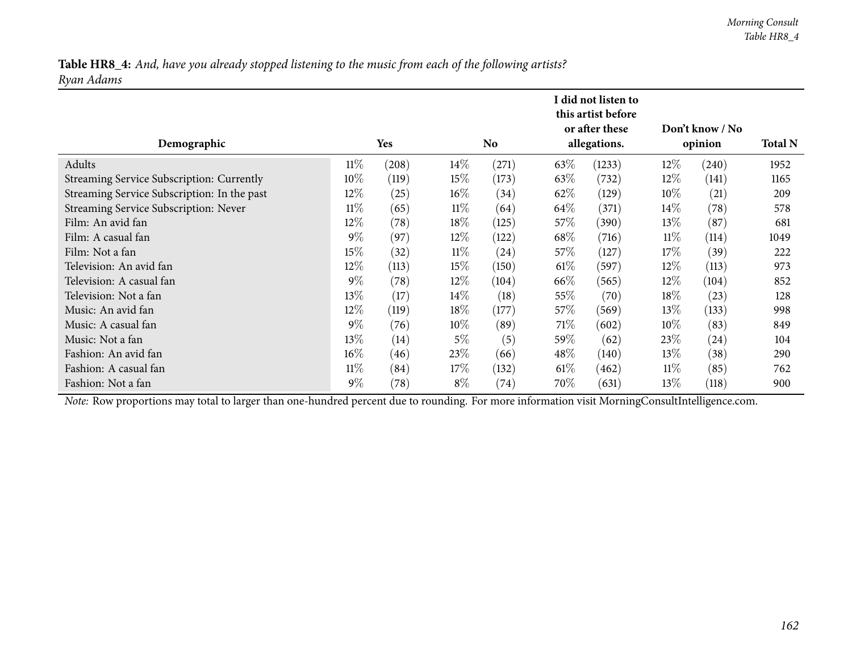| Demographic                                 | <b>Yes</b><br>No. |       |        |       |        | I did not listen to<br>this artist before<br>or after these<br>allegations. |        | Don't know / No<br>opinion |      |  |
|---------------------------------------------|-------------------|-------|--------|-------|--------|-----------------------------------------------------------------------------|--------|----------------------------|------|--|
| Adults                                      | $11\%$            | (208) | $14\%$ | (271) | 63\%   | (1233)                                                                      | $12\%$ | (240)                      | 1952 |  |
| Streaming Service Subscription: Currently   | $10\%$            | (119) | 15\%   | (173) | 63%    | (732)                                                                       | $12\%$ | (141)                      | 1165 |  |
| Streaming Service Subscription: In the past | $12\%$            | (25)  | $16\%$ | (34)  | 62\%   | (129)                                                                       | $10\%$ | (21)                       | 209  |  |
| Streaming Service Subscription: Never       | $11\%$            | (65)  | $11\%$ | (64)  | 64\%   | (371)                                                                       | $14\%$ | (78)                       | 578  |  |
| Film: An avid fan                           | $12\%$            | (78)  | 18\%   | (125) | 57\%   | (390)                                                                       | $13\%$ | (87)                       | 681  |  |
| Film: A casual fan                          | $9\%$             | (97)  | 12\%   | (122) | $68\%$ | (716)                                                                       | $11\%$ | (114)                      | 1049 |  |
| Film: Not a fan                             | 15%               | (32)  | $11\%$ | (24)  | 57%    | (127)                                                                       | 17%    | (39)                       | 222  |  |
| Television: An avid fan                     | 12%               | (113) | 15\%   | (150) | $61\%$ | (597)                                                                       | $12\%$ | (113)                      | 973  |  |
| Television: A casual fan                    | $9\%$             | (78)  | 12\%   | (104) | 66\%   | (565)                                                                       | $12\%$ | (104)                      | 852  |  |
| Television: Not a fan                       | $13\%$            | (17)  | $14\%$ | (18)  | 55\%   | (70)                                                                        | 18%    | (23)                       | 128  |  |
| Music: An avid fan                          | 12%               | (119) | 18%    | (177) | 57%    | (569)                                                                       | 13\%   | (133)                      | 998  |  |
| Music: A casual fan                         | $9\%$             | (76)  | $10\%$ | (89)  | 71%    | (602)                                                                       | $10\%$ | (83)                       | 849  |  |
| Music: Not a fan                            | $13\%$            | (14)  | $5\%$  | (5)   | $59\%$ | (62)                                                                        | 23%    | (24)                       | 104  |  |
| Fashion: An avid fan                        | $16\%$            | (46)  | 23\%   | (66)  | 48%    | (140)                                                                       | $13\%$ | (38)                       | 290  |  |
| Fashion: A casual fan                       | $11\%$            | (84)  | 17\%   | (132) | $61\%$ | (462)                                                                       | $11\%$ | (85)                       | 762  |  |
| Fashion: Not a fan                          | $9\%$             | (78)  | $8\%$  | (74)  | 70\%   | (631)                                                                       | 13\%   | (118)                      | 900  |  |

*Note:* Row proportions may total to larger than one-hundred percen<sup>t</sup> due to rounding. For more information visit [MorningConsultIntelligence.com](https://morningconsultintelligence.com).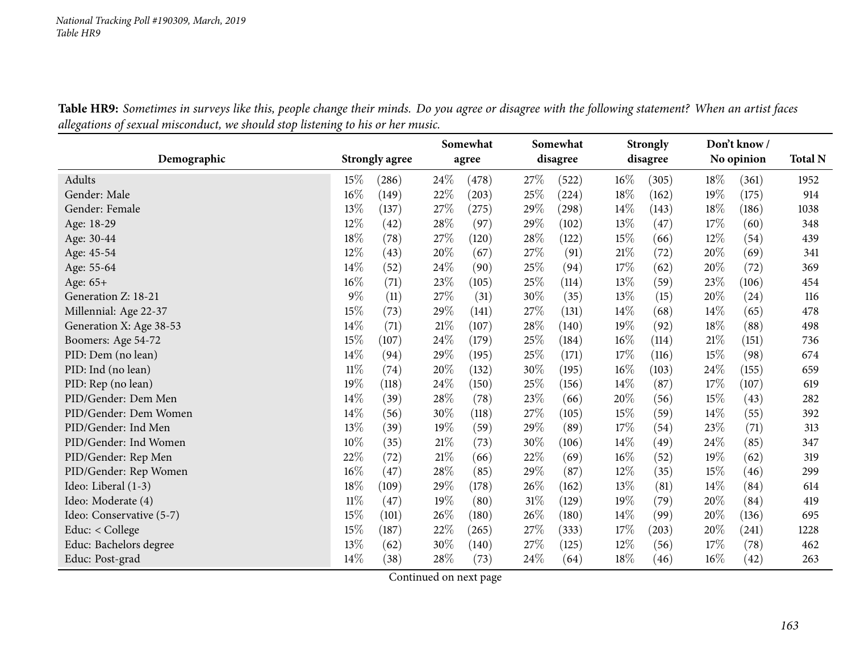| o                        |        |                       |     | Somewhat |        | Somewhat |        | <b>Strongly</b> |      | Don't know/ |                |
|--------------------------|--------|-----------------------|-----|----------|--------|----------|--------|-----------------|------|-------------|----------------|
| Demographic              |        | <b>Strongly agree</b> |     | agree    |        | disagree |        | disagree        |      | No opinion  | <b>Total N</b> |
| <b>Adults</b>            | 15%    | (286)                 | 24% | (478)    | 27%    | (522)    | 16%    | (305)           | 18\% | (361)       | 1952           |
| Gender: Male             | 16%    | (149)                 | 22% | (203)    | 25%    | (224)    | 18%    | (162)           | 19%  | (175)       | 914            |
| Gender: Female           | 13%    | (137)                 | 27% | (275)    | 29%    | (298)    | 14%    | (143)           | 18%  | (186)       | 1038           |
| Age: 18-29               | 12%    | (42)                  | 28% | (97)     | 29%    | (102)    | 13%    | (47)            | 17%  | (60)        | 348            |
| Age: 30-44               | $18\%$ | (78)                  | 27% | (120)    | 28%    | (122)    | 15%    | (66)            | 12%  | (54)        | 439            |
| Age: 45-54               | 12%    | (43)                  | 20% | (67)     | 27%    | (91)     | $21\%$ | (72)            | 20%  | (69)        | 341            |
| Age: 55-64               | 14%    | (52)                  | 24% | (90)     | 25%    | (94)     | 17%    | (62)            | 20%  | (72)        | 369            |
| Age: 65+                 | $16\%$ | (71)                  | 23% | (105)    | $25\%$ | (114)    | 13%    | (59)            | 23%  | (106)       | 454            |
| Generation Z: 18-21      | $9\%$  | (11)                  | 27% | (31)     | 30%    | (35)     | 13%    | (15)            | 20%  | (24)        | 116            |
| Millennial: Age 22-37    | $15\%$ | (73)                  | 29% | (141)    | 27%    | (131)    | 14%    | (68)            | 14%  | (65)        | 478            |
| Generation X: Age 38-53  | $14\%$ | (71)                  | 21% | (107)    | $28\%$ | (140)    | 19%    | (92)            | 18%  | (88)        | 498            |
| Boomers: Age 54-72       | 15%    | (107)                 | 24% | (179)    | 25%    | (184)    | 16%    | (114)           | 21%  | (151)       | 736            |
| PID: Dem (no lean)       | $14\%$ | (94)                  | 29% | (195)    | $25\%$ | (171)    | 17%    | (116)           | 15%  | (98)        | 674            |
| PID: Ind (no lean)       | $11\%$ | (74)                  | 20% | (132)    | 30%    | (195)    | 16%    | (103)           | 24%  | (155)       | 659            |
| PID: Rep (no lean)       | 19%    | (118)                 | 24% | (150)    | 25%    | (156)    | 14%    | (87)            | 17%  | (107)       | 619            |
| PID/Gender: Dem Men      | $14\%$ | (39)                  | 28% | (78)     | 23%    | (66)     | 20%    | (56)            | 15%  | (43)        | 282            |
| PID/Gender: Dem Women    | $14\%$ | (56)                  | 30% | (118)    | 27%    | (105)    | 15%    | (59)            | 14%  | (55)        | 392            |
| PID/Gender: Ind Men      | 13%    | (39)                  | 19% | (59)     | $29\%$ | (89)     | $17\%$ | (54)            | 23%  | (71)        | 313            |
| PID/Gender: Ind Women    | $10\%$ | (35)                  | 21% | (73)     | 30%    | (106)    | 14%    | (49)            | 24%  | (85)        | 347            |
| PID/Gender: Rep Men      | $22\%$ | (72)                  | 21% | (66)     | 22%    | (69)     | $16\%$ | (52)            | 19%  | (62)        | 319            |
| PID/Gender: Rep Women    | $16\%$ | (47)                  | 28% | (85)     | 29%    | (87)     | 12%    | (35)            | 15%  | (46)        | 299            |
| Ideo: Liberal (1-3)      | 18%    | (109)                 | 29% | (178)    | 26%    | (162)    | 13%    | (81)            | 14%  | (84)        | 614            |
| Ideo: Moderate (4)       | $11\%$ | (47)                  | 19% | (80)     | 31%    | (129)    | 19%    | (79)            | 20%  | (84)        | 419            |
| Ideo: Conservative (5-7) | $15\%$ | (101)                 | 26% | (180)    | 26%    | (180)    | 14%    | (99)            | 20%  | (136)       | 695            |
| Educ: < College          | $15\%$ | (187)                 | 22% | (265)    | 27%    | (333)    | 17%    | (203)           | 20%  | (241)       | 1228           |
| Educ: Bachelors degree   | 13%    | (62)                  | 30% | (140)    | 27%    | (125)    | 12%    | (56)            | 17%  | (78)        | 462            |
| Educ: Post-grad          | 14%    | (38)                  | 28% | (73)     | 24%    | (64)     | 18%    | (46)            | 16%  | (42)        | 263            |

Table HR9: Sometimes in surveys like this, people change their minds. Do you agree or disagree with the following statement? When an artist faces allegations of sexual misconduct, we should stop listening to his or her music.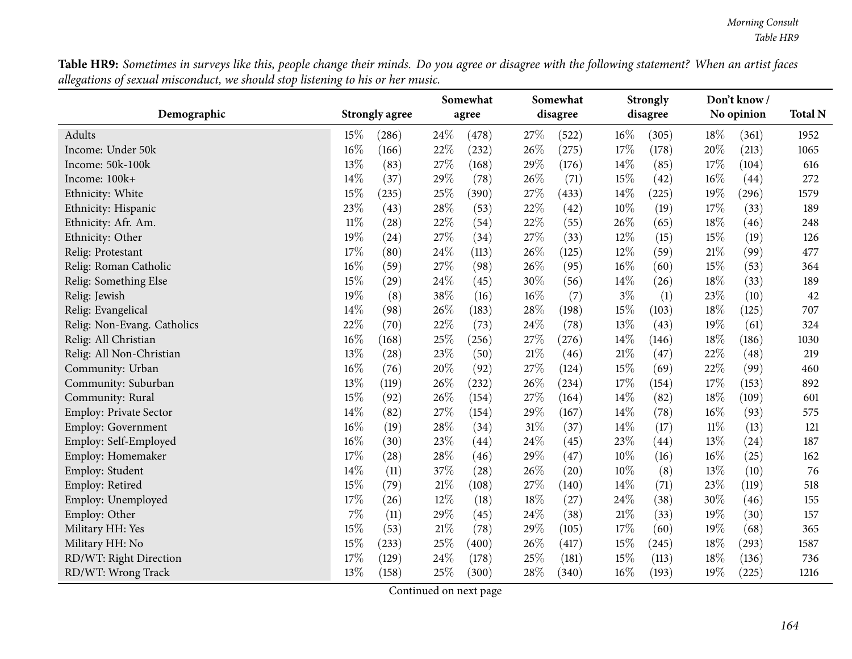Table HR9: Sometimes in surveys like this, people change their minds. Do you agree or disagree with the following statement? When an artist faces allegations of sexual misconduct, we should stop listening to his or her music.

|                               |        |                       | Somewhat |       |        | Somewhat | <b>Strongly</b> |          |        | Don't know / |                |  |
|-------------------------------|--------|-----------------------|----------|-------|--------|----------|-----------------|----------|--------|--------------|----------------|--|
| Demographic                   |        | <b>Strongly agree</b> |          | agree |        | disagree |                 | disagree |        | No opinion   | <b>Total N</b> |  |
| Adults                        | 15%    | (286)                 | 24\%     | (478) | 27\%   | (522)    | $16\%$          | (305)    | 18%    | (361)        | 1952           |  |
| Income: Under 50k             | $16\%$ | (166)                 | 22%      | (232) | 26%    | (275)    | 17%             | (178)    | 20%    | (213)        | 1065           |  |
| Income: 50k-100k              | 13%    | (83)                  | 27%      | (168) | 29%    | (176)    | 14%             | (85)     | 17%    | (104)        | 616            |  |
| Income: 100k+                 | 14%    | (37)                  | 29%      | (78)  | 26%    | (71)     | 15%             | (42)     | 16%    | (44)         | 272            |  |
| Ethnicity: White              | 15%    | (235)                 | 25%      | (390) | 27%    | (433)    | 14%             | (225)    | 19%    | (296)        | 1579           |  |
| Ethnicity: Hispanic           | 23%    | (43)                  | 28\%     | (53)  | 22%    | (42)     | $10\%$          | (19)     | 17%    | (33)         | 189            |  |
| Ethnicity: Afr. Am.           | $11\%$ | (28)                  | 22%      | (54)  | 22%    | (55)     | 26%             | (65)     | 18%    | (46)         | 248            |  |
| Ethnicity: Other              | 19%    | (24)                  | 27%      | (34)  | 27%    | (33)     | 12%             | (15)     | 15%    | (19)         | 126            |  |
| Relig: Protestant             | 17%    | (80)                  | 24%      | (113) | 26%    | (125)    | 12%             | (59)     | 21%    | (99)         | 477            |  |
| Relig: Roman Catholic         | 16%    | (59)                  | 27%      | (98)  | 26%    | (95)     | $16\%$          | (60)     | 15%    | (53)         | 364            |  |
| Relig: Something Else         | 15%    | (29)                  | 24%      | (45)  | 30%    | (56)     | 14%             | (26)     | 18%    | (33)         | 189            |  |
| Relig: Jewish                 | 19%    | (8)                   | 38%      | (16)  | $16\%$ | (7)      | $3\%$           | (1)      | 23%    | (10)         | 42             |  |
| Relig: Evangelical            | 14%    | (98)                  | 26%      | (183) | 28%    | (198)    | 15%             | (103)    | 18%    | (125)        | 707            |  |
| Relig: Non-Evang. Catholics   | 22%    | (70)                  | 22%      | (73)  | 24%    | (78)     | 13%             | (43)     | 19%    | (61)         | 324            |  |
| Relig: All Christian          | 16%    | (168)                 | 25%      | (256) | 27%    | (276)    | 14%             | (146)    | 18%    | (186)        | 1030           |  |
| Relig: All Non-Christian      | 13%    | (28)                  | 23%      | (50)  | 21%    | (46)     | 21%             | (47)     | 22%    | (48)         | 219            |  |
| Community: Urban              | 16%    | (76)                  | 20%      | (92)  | 27%    | (124)    | 15%             | (69)     | 22%    | (99)         | 460            |  |
| Community: Suburban           | 13%    | (119)                 | 26%      | (232) | 26%    | (234)    | 17%             | (154)    | 17%    | (153)        | 892            |  |
| Community: Rural              | 15%    | (92)                  | 26%      | (154) | 27%    | (164)    | 14%             | (82)     | 18%    | (109)        | 601            |  |
| <b>Employ: Private Sector</b> | 14%    | (82)                  | 27%      | (154) | 29%    | (167)    | 14%             | (78)     | 16%    | (93)         | 575            |  |
| Employ: Government            | $16\%$ | (19)                  | 28\%     | (34)  | 31%    | (37)     | $14\%$          | (17)     | $11\%$ | (13)         | 121            |  |
| Employ: Self-Employed         | $16\%$ | (30)                  | 23%      | (44)  | 24%    | (45)     | 23%             | (44)     | 13%    | (24)         | 187            |  |
| Employ: Homemaker             | 17%    | (28)                  | 28%      | (46)  | 29%    | (47)     | 10%             | (16)     | 16%    | (25)         | 162            |  |
| Employ: Student               | 14%    | (11)                  | 37%      | (28)  | 26%    | (20)     | 10%             | (8)      | 13%    | (10)         | 76             |  |
| Employ: Retired               | 15%    | (79)                  | 21%      | (108) | 27%    | (140)    | 14%             | (71)     | 23%    | (119)        | 518            |  |
| Employ: Unemployed            | 17%    | (26)                  | 12%      | (18)  | 18%    | (27)     | 24\%            | (38)     | 30%    | (46)         | 155            |  |
| Employ: Other                 | $7\%$  | (11)                  | 29%      | (45)  | 24%    | (38)     | 21\%            | (33)     | 19%    | (30)         | 157            |  |
| Military HH: Yes              | 15%    | (53)                  | $21\%$   | (78)  | 29%    | (105)    | 17%             | (60)     | 19%    | (68)         | 365            |  |
| Military HH: No               | 15%    | (233)                 | 25%      | (400) | 26%    | (417)    | 15%             | (245)    | 18%    | (293)        | 1587           |  |
| RD/WT: Right Direction        | 17%    | (129)                 | 24%      | (178) | 25%    | (181)    | 15%             | (113)    | 18%    | (136)        | 736            |  |
| RD/WT: Wrong Track            | 13%    | (158)                 | 25%      | (300) | 28%    | (340)    | $16\%$          | (193)    | 19%    | (225)        | 1216           |  |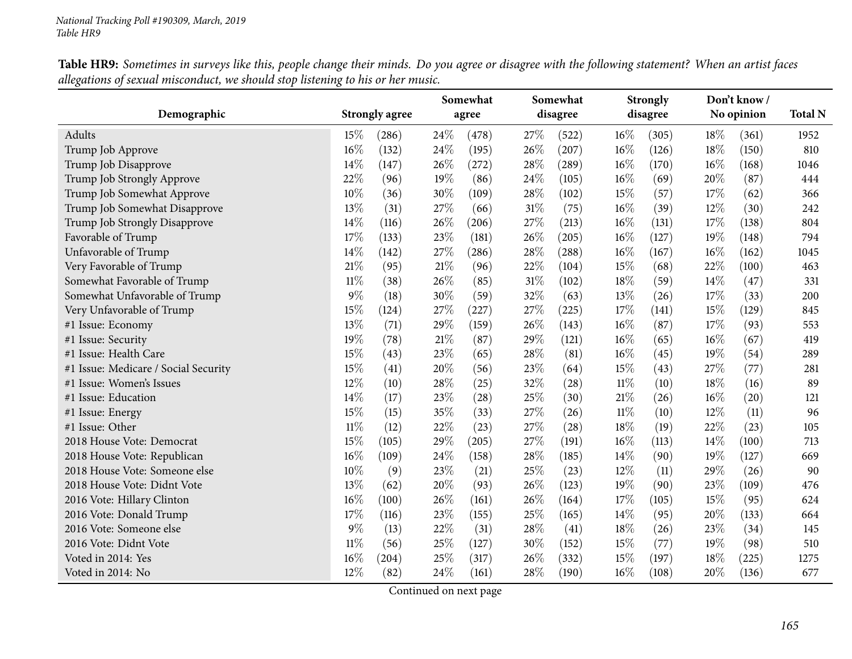Table HR9: Sometimes in surveys like this, people change their minds. Do you agree or disagree with the following statement? When an artist faces allegations of sexual misconduct, we should stop listening to his or her music.

|                                      |        |                       |        | Somewhat |      | Somewhat |        | <b>Strongly</b> |        | Don't know/ |                |
|--------------------------------------|--------|-----------------------|--------|----------|------|----------|--------|-----------------|--------|-------------|----------------|
| Demographic                          |        | <b>Strongly agree</b> |        | agree    |      | disagree |        | disagree        |        | No opinion  | <b>Total N</b> |
| Adults                               | 15%    | (286)                 | 24\%   | (478)    | 27\% | (522)    | 16%    | (305)           | 18%    | (361)       | 1952           |
| Trump Job Approve                    | 16%    | (132)                 | 24%    | (195)    | 26%  | (207)    | 16%    | (126)           | 18%    | (150)       | 810            |
| Trump Job Disapprove                 | 14%    | (147)                 | 26\%   | (272)    | 28%  | (289)    | 16%    | (170)           | 16%    | (168)       | 1046           |
| Trump Job Strongly Approve           | 22%    | (96)                  | 19%    | (86)     | 24%  | (105)    | 16%    | (69)            | 20%    | (87)        | 444            |
| Trump Job Somewhat Approve           | $10\%$ | (36)                  | 30%    | (109)    | 28%  | (102)    | 15%    | (57)            | 17%    | (62)        | 366            |
| Trump Job Somewhat Disapprove        | 13%    | (31)                  | 27%    | (66)     | 31%  | (75)     | 16%    | (39)            | 12%    | (30)        | 242            |
| Trump Job Strongly Disapprove        | 14%    | (116)                 | 26%    | (206)    | 27%  | (213)    | 16%    | (131)           | 17%    | (138)       | 804            |
| Favorable of Trump                   | 17%    | (133)                 | 23%    | (181)    | 26%  | (205)    | 16%    | (127)           | 19%    | (148)       | 794            |
| Unfavorable of Trump                 | 14%    | (142)                 | 27%    | (286)    | 28%  | (288)    | 16%    | (167)           | 16%    | (162)       | 1045           |
| Very Favorable of Trump              | 21%    | (95)                  | $21\%$ | (96)     | 22%  | (104)    | 15%    | (68)            | $22\%$ | (100)       | 463            |
| Somewhat Favorable of Trump          | $11\%$ | (38)                  | 26%    | (85)     | 31%  | (102)    | 18%    | (59)            | 14%    | (47)        | 331            |
| Somewhat Unfavorable of Trump        | $9\%$  | (18)                  | 30%    | (59)     | 32%  | (63)     | 13%    | (26)            | 17%    | (33)        | 200            |
| Very Unfavorable of Trump            | 15%    | (124)                 | 27%    | (227)    | 27%  | (225)    | 17%    | (141)           | 15%    | (129)       | 845            |
| #1 Issue: Economy                    | 13%    | (71)                  | 29%    | (159)    | 26%  | (143)    | 16%    | (87)            | 17%    | (93)        | 553            |
| #1 Issue: Security                   | 19%    | (78)                  | 21\%   | (87)     | 29%  | (121)    | 16%    | (65)            | 16%    | (67)        | 419            |
| #1 Issue: Health Care                | 15%    | (43)                  | 23%    | (65)     | 28%  | (81)     | 16%    | (45)            | 19%    | (54)        | 289            |
| #1 Issue: Medicare / Social Security | 15%    | (41)                  | 20%    | (56)     | 23%  | (64)     | 15%    | (43)            | 27%    | (77)        | 281            |
| #1 Issue: Women's Issues             | 12%    | (10)                  | 28%    | (25)     | 32%  | (28)     | $11\%$ | (10)            | 18%    | (16)        | 89             |
| #1 Issue: Education                  | 14%    | (17)                  | 23%    | (28)     | 25%  | (30)     | $21\%$ | (26)            | 16%    | (20)        | 121            |
| #1 Issue: Energy                     | 15%    | (15)                  | 35%    | (33)     | 27%  | (26)     | $11\%$ | (10)            | 12%    | (11)        | 96             |
| #1 Issue: Other                      | $11\%$ | (12)                  | 22%    | (23)     | 27%  | (28)     | 18%    | (19)            | 22%    | (23)        | 105            |
| 2018 House Vote: Democrat            | 15%    | (105)                 | 29%    | (205)    | 27%  | (191)    | 16%    | (113)           | 14%    | (100)       | 713            |
| 2018 House Vote: Republican          | 16%    | (109)                 | 24\%   | (158)    | 28%  | (185)    | 14\%   | (90)            | 19%    | (127)       | 669            |
| 2018 House Vote: Someone else        | 10%    | (9)                   | 23%    | (21)     | 25%  | (23)     | 12%    | (11)            | 29%    | (26)        | 90             |
| 2018 House Vote: Didnt Vote          | 13%    | (62)                  | 20%    | (93)     | 26%  | (123)    | 19%    | (90)            | 23%    | (109)       | 476            |
| 2016 Vote: Hillary Clinton           | 16%    | (100)                 | 26%    | (161)    | 26%  | (164)    | 17%    | (105)           | 15%    | (95)        | 624            |
| 2016 Vote: Donald Trump              | 17%    | (116)                 | 23%    | (155)    | 25%  | (165)    | 14%    | (95)            | 20%    | (133)       | 664            |
| 2016 Vote: Someone else              | $9\%$  | (13)                  | 22%    | (31)     | 28%  | (41)     | 18%    | (26)            | 23%    | (34)        | 145            |
| 2016 Vote: Didnt Vote                | $11\%$ | (56)                  | 25%    | (127)    | 30%  | (152)    | 15%    | (77)            | 19%    | (98)        | 510            |
| Voted in 2014: Yes                   | 16%    | (204)                 | 25%    | (317)    | 26%  | (332)    | 15%    | (197)           | 18%    | (225)       | 1275           |
| Voted in 2014: No                    | 12%    | (82)                  | 24%    | (161)    | 28%  | (190)    | 16%    | (108)           | 20%    | (136)       | 677            |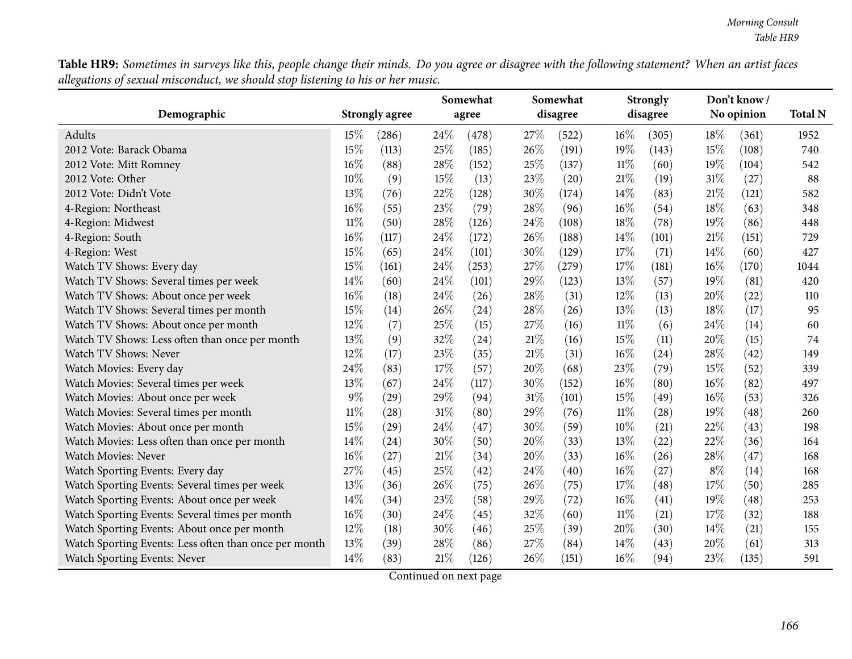Table HR9: Sometimes in surveys like this, people change their minds. Do you agree or disagree with the following statement? When an artist faces allegations of sexual misconduct, we should stop listening to his or her music.

|                                                       |        |                       |      | Somewhat |        | Somewhat |        | <b>Strongly</b> |       | Don't know / |                |
|-------------------------------------------------------|--------|-----------------------|------|----------|--------|----------|--------|-----------------|-------|--------------|----------------|
| Demographic                                           |        | <b>Strongly agree</b> |      | agree    |        | disagree |        | disagree        |       | No opinion   | <b>Total N</b> |
| Adults                                                | 15%    | (286)                 | 24\% | (478)    | 27\%   | (522)    | $16\%$ | (305)           | 18\%  | (361)        | 1952           |
| 2012 Vote: Barack Obama                               | 15%    | (113)                 | 25%  | (185)    | 26%    | (191)    | 19%    | (143)           | 15%   | (108)        | 740            |
| 2012 Vote: Mitt Romney                                | 16%    | (88)                  | 28%  | (152)    | 25%    | (137)    | $11\%$ | (60)            | 19%   | (104)        | 542            |
| 2012 Vote: Other                                      | 10%    | (9)                   | 15%  | (13)     | 23%    | (20)     | 21%    | (19)            | 31%   | (27)         | 88             |
| 2012 Vote: Didn't Vote                                | 13%    | (76)                  | 22%  | (128)    | 30%    | (174)    | 14%    | (83)            | 21%   | (121)        | 582            |
| 4-Region: Northeast                                   | 16%    | (55)                  | 23%  | (79)     | 28%    | (96)     | 16%    | (54)            | 18%   | (63)         | 348            |
| 4-Region: Midwest                                     | $11\%$ | (50)                  | 28%  | (126)    | 24\%   | (108)    | 18%    | (78)            | 19%   | (86)         | 448            |
| 4-Region: South                                       | 16%    | (117)                 | 24%  | (172)    | 26\%   | (188)    | 14%    | (101)           | 21%   | (151)        | 729            |
| 4-Region: West                                        | 15%    | (65)                  | 24%  | (101)    | 30%    | (129)    | 17%    | (71)            | 14%   | (60)         | 427            |
| Watch TV Shows: Every day                             | 15%    | (161)                 | 24%  | (253)    | 27%    | (279)    | 17%    | (181)           | 16%   | (170)        | 1044           |
| Watch TV Shows: Several times per week                | $14\%$ | (60)                  | 24%  | (101)    | 29%    | (123)    | 13%    | (57)            | 19%   | (81)         | 420            |
| Watch TV Shows: About once per week                   | 16%    | (18)                  | 24%  | (26)     | 28%    | (31)     | 12%    | (13)            | 20%   | (22)         | 110            |
| Watch TV Shows: Several times per month               | 15%    | (14)                  | 26%  | (24)     | 28%    | (26)     | 13%    | (13)            | 18%   | (17)         | 95             |
| Watch TV Shows: About once per month                  | 12%    | (7)                   | 25%  | (15)     | 27%    | (16)     | $11\%$ | (6)             | 24%   | (14)         | 60             |
| Watch TV Shows: Less often than once per month        | 13%    | (9)                   | 32%  | (24)     | $21\%$ | (16)     | 15%    | (11)            | 20%   | (15)         | 74             |
| Watch TV Shows: Never                                 | 12%    | (17)                  | 23%  | (35)     | 21%    | (31)     | $16\%$ | (24)            | 28%   | (42)         | 149            |
| Watch Movies: Every day                               | 24\%   | (83)                  | 17%  | (57)     | 20%    | (68)     | 23%    | (79)            | 15%   | (52)         | 339            |
| Watch Movies: Several times per week                  | 13%    | (67)                  | 24%  | (117)    | 30%    | (152)    | 16%    | (80)            | 16%   | (82)         | 497            |
| Watch Movies: About once per week                     | $9\%$  | (29)                  | 29%  | (94)     | 31%    | (101)    | 15%    | (49)            | 16%   | (53)         | 326            |
| Watch Movies: Several times per month                 | $11\%$ | (28)                  | 31%  | (80)     | 29%    | (76)     | $11\%$ | (28)            | 19%   | (48)         | 260            |
| Watch Movies: About once per month                    | 15%    | (29)                  | 24%  | (47)     | 30%    | (59)     | 10%    | (21)            | 22%   | (43)         | 198            |
| Watch Movies: Less often than once per month          | 14%    | (24)                  | 30%  | (50)     | 20%    | (33)     | 13%    | (22)            | 22%   | (36)         | 164            |
| Watch Movies: Never                                   | 16%    | (27)                  | 21%  | (34)     | 20%    | (33)     | $16\%$ | (26)            | 28\%  | (47)         | 168            |
| Watch Sporting Events: Every day                      | 27%    | (45)                  | 25%  | (42)     | 24\%   | (40)     | 16%    | (27)            | $8\%$ | (14)         | 168            |
| Watch Sporting Events: Several times per week         | 13%    | (36)                  | 26%  | (75)     | 26%    | (75)     | 17%    | (48)            | 17%   | (50)         | 285            |
| Watch Sporting Events: About once per week            | 14%    | (34)                  | 23%  | (58)     | 29%    | (72)     | 16%    | (41)            | 19%   | (48)         | 253            |
| Watch Sporting Events: Several times per month        | 16%    | (30)                  | 24%  | (45)     | 32%    | (60)     | $11\%$ | (21)            | 17%   | (32)         | 188            |
| Watch Sporting Events: About once per month           | 12%    | (18)                  | 30%  | (46)     | 25%    | (39)     | 20%    | (30)            | 14%   | (21)         | 155            |
| Watch Sporting Events: Less often than once per month | 13%    | (39)                  | 28%  | (86)     | 27%    | (84)     | 14\%   | (43)            | 20%   | (61)         | 313            |
| Watch Sporting Events: Never                          | 14%    | (83)                  | 21%  | (126)    | 26%    | (151)    | 16%    | (94)            | 23%   | (135)        | 591            |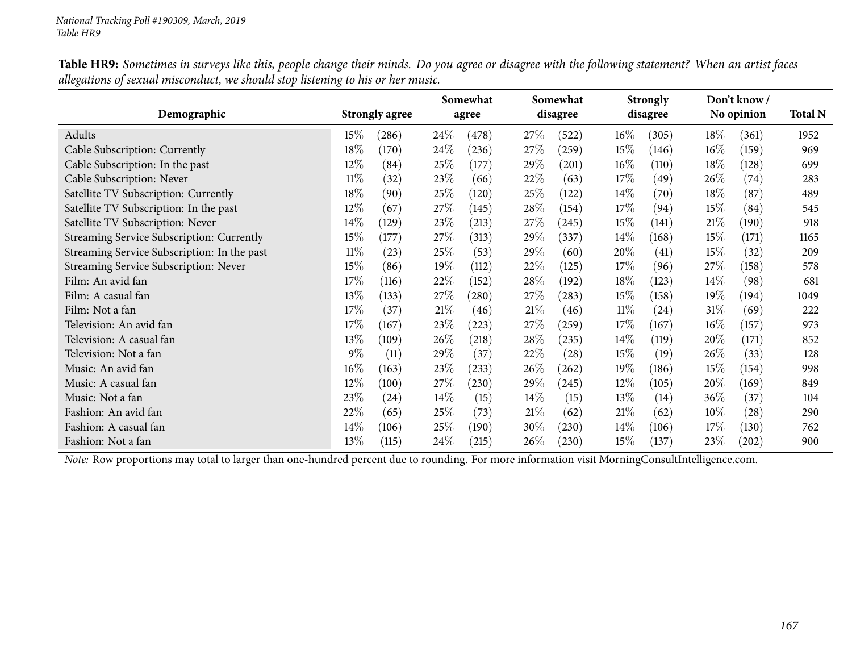| <b>Table HR9:</b> Sometimes in surveys like this, people change their minds. Do you agree or disagree with the following statement? When an artist faces |  |
|----------------------------------------------------------------------------------------------------------------------------------------------------------|--|
| allegations of sexual misconduct, we should stop listening to his or her music.                                                                          |  |

|                                             |                       | Somewhat        | Somewhat       | <b>Strongly</b> | Don't know /    |                |
|---------------------------------------------|-----------------------|-----------------|----------------|-----------------|-----------------|----------------|
| Demographic                                 | <b>Strongly agree</b> | agree           | disagree       | disagree        | No opinion      | <b>Total N</b> |
| Adults                                      | $15\%$<br>(286)       | 24\%<br>(478)   | 27\%<br>(522)  | $16\%$<br>(305) | $18\%$<br>(361) | 1952           |
| Cable Subscription: Currently               | 18\%<br>(170)         | 24\%<br>(236)   | 27\%<br>(259)  | 15%<br>(146)    | $16\%$<br>(159) | 969            |
| Cable Subscription: In the past             | 12%<br>(84)           | 25%<br>(177)    | 29%<br>(201)   | $16\%$<br>(110) | 18\%<br>(128)   | 699            |
| Cable Subscription: Never                   | $11\%$<br>(32)        | 23\%<br>(66)    | 22\%<br>(63)   | 17%<br>(49)     | 26\%<br>(74)    | 283            |
| Satellite TV Subscription: Currently        | 18\%<br>(90)          | 25\%<br>(120)   | 25\%<br>(122)  | 14%<br>(70)     | 18\%<br>(87)    | 489            |
| Satellite TV Subscription: In the past      | $12\%$<br>(67)        | 27\%<br>(145)   | 28\%<br>(154)  | 17%<br>(94)     | $15\%$<br>(84)  | 545            |
| Satellite TV Subscription: Never            | $14\%$<br>(129)       | 23\%<br>(213)   | 27\%<br>(245)  | 15%<br>(141)    | 21%<br>(190)    | 918            |
| Streaming Service Subscription: Currently   | 15\%<br>(177)         | 27%<br>(313)    | 29%<br>(337)   | 14%<br>(168)    | $15\%$<br>(171) | 1165           |
| Streaming Service Subscription: In the past | $11\%$<br>(23)        | 25%<br>(53)     | 29\%<br>(60)   | 20%<br>(41)     | $15\%$<br>(32)  | 209            |
| Streaming Service Subscription: Never       | 15%<br>(86)           | $19\%$<br>(112) | 22\%<br>(125)  | 17%<br>(96)     | 27\%<br>(158)   | 578            |
| Film: An avid fan                           | 17%<br>(116)          | 22\%<br>(152)   | 28\%<br>(192)  | 18%<br>(123)    | $14\%$<br>(98)  | 681            |
| Film: A casual fan                          | 13\%<br>(133)         | 27\%<br>(280)   | 27\%<br>(283)  | 15%<br>(158)    | 19%<br>(194)    | 1049           |
| Film: Not a fan                             | 17\%<br>(37)          | 21%<br>(46)     | 21%<br>(46)    | $11\%$<br>(24)  | 31\%<br>(69)    | 222            |
| Television: An avid fan                     | 17%<br>(167)          | 23%<br>(223)    | 27\%<br>(259)  | 17%<br>(167)    | $16\%$<br>(157) | 973            |
| Television: A casual fan                    | 13%<br>(109)          | $26\%$<br>(218) | 28\%<br>(235)  | 14%<br>(119)    | 20%<br>(171)    | 852            |
| Television: Not a fan                       | $9\%$<br>(11)         | 29 $\%$<br>(37) | 22\%<br>(28)   | 15%<br>(19)     | 26\%<br>(33)    | 128            |
| Music: An avid fan                          | $16\%$<br>(163)       | 23\%<br>(233)   | 26\%<br>(262)  | 19%<br>(186)    | $15\%$<br>(154) | 998            |
| Music: A casual fan                         | 12\%<br>(100)         | 27\%<br>(230)   | 29\%<br>(245)  | $12\%$<br>(105) | 20%<br>(169)    | 849            |
| Music: Not a fan                            | 23\%<br>(24)          | $14\%$<br>(15)  | $14\%$<br>(15) | $13\%$<br>(14)  | 36\%<br>(37)    | 104            |
| Fashion: An avid fan                        | 22\%<br>(65)          | 25%<br>(73)     | 21%<br>(62)    | 21%<br>(62)     | $10\%$<br>(28)  | 290            |
| Fashion: A casual fan                       | 14\%<br>(106)         | 25\%<br>(190)   | 30%<br>(230)   | 14%<br>(106)    | 17\%<br>(130)   | 762            |
| Fashion: Not a fan                          | 13%<br>(115)          | $24\%$<br>(215) | 26\%<br>(230)  | 15%<br>(137)    | 23\%<br>(202)   | 900            |

*Note:* Row proportions may total to larger than one-hundred percen<sup>t</sup> due to rounding. For more information visit [MorningConsultIntelligence.com](https://morningconsultintelligence.com).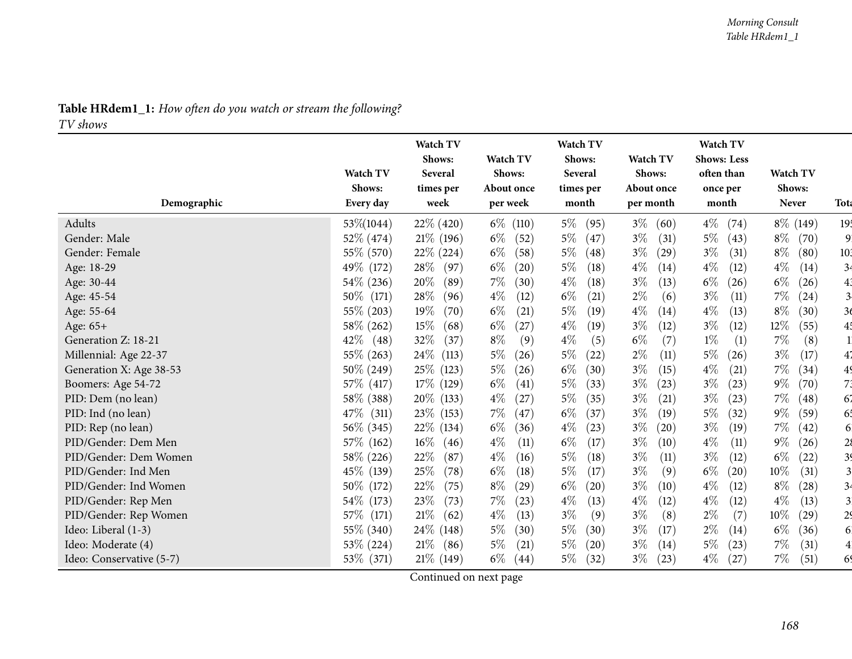#### **Table HRdem1\_1:** *How often do you watch or stream the following? TV shows*

|                          |              | Watch TV<br>Shows: | Watch TV                    | Watch TV<br>Shows: | Watch TV      | Watch TV<br><b>Shows: Less</b> |                |                         |
|--------------------------|--------------|--------------------|-----------------------------|--------------------|---------------|--------------------------------|----------------|-------------------------|
|                          | Watch TV     | Several            | Shows:                      | Several            | Shows:        | often than                     | Watch TV       |                         |
|                          | Shows:       | times per          | About once                  | times per          | About once    | once per                       | Shows:         |                         |
| Demographic              | Every day    | week               | per week                    | month              | per month     | month                          | Never          | Tota                    |
| Adults                   | 53\%(1044)   | 22\% (420)         | $6\%$ (110)                 | $5\%$<br>(95)      | $3\%$<br>(60) | $4\%$<br>(74)                  | $8\%$ (149)    | 19 <sub>1</sub>         |
| Gender: Male             | $52\%$ (474) | $21\%$ (196)       | $6\%$<br>(52)               | $5\%$<br>(47)      | $3\%$<br>(31) | $5\%$<br>(43)                  | $8\%$<br>(70)  | $\overline{9}$          |
| Gender: Female           | 55\% (570)   | $22\%$ (224)       | $6\%$<br>(58)               | $5\%$<br>(48)      | $3\%$<br>(29) | $3\%$<br>(31)                  | $8\%$<br>(80)  | 103                     |
| Age: 18-29               | 49\% (172)   | $28\%$<br>(97)     | $6\%$<br>$\left( 20\right)$ | $5\%$<br>(18)      | $4\%$<br>(14) | $4\%$<br>(12)                  | $4\%$<br>(14)  | 34                      |
| Age: 30-44               | 54\% (236)   | 20\%<br>(89)       | $7\%$<br>(30)               | $4\%$<br>(18)      | $3\%$<br>(13) | $6\%$<br>(26)                  | $6\%$<br>(26)  | 43                      |
| Age: 45-54               | 50\% (171)   | 28\%<br>(96)       | $4\%$<br>(12)               | $6\%$<br>(21)      | $2\%$<br>(6)  | $3\%$<br>(11)                  | $7\%$<br>(24)  | 3 <sub>1</sub>          |
| Age: 55-64               | 55\% (203)   | 19%<br>(70)        | $6\%$<br>(21)               | $5\%$<br>(19)      | $4\%$<br>(14) | $4\%$<br>(13)                  | $8\%$<br>(30)  | 36                      |
| Age: 65+                 | 58\% (262)   | 15%<br>(68)        | $6\%$<br>(27)               | $4\%$<br>(19)      | $3\%$<br>(12) | $3\%$<br>(12)                  | 12%<br>(55)    | 4 <sup>1</sup>          |
| Generation Z: 18-21      | $42\%$ (48)  | 32%<br>(37)        | $8\%$<br>(9)                | $4\%$<br>(5)       | $6\%$<br>(7)  | $1\%$<br>(1)                   | $7\%$<br>(8)   | $\mathbf{1}$            |
| Millennial: Age 22-37    | 55% (263)    | $24\%$ (113)       | $5\%$<br>(26)               | $5\%$<br>(22)      | $2\%$<br>(11) | $5\%$<br>(26)                  | $3\%$<br>(17)  | 47                      |
| Generation X: Age 38-53  | 50\% (249)   | 25\% (123)         | $5\%$<br>(26)               | $6\%$<br>(30)      | $3\%$<br>(15) | $4\%$<br>(21)                  | $7\%$<br>(34)  | 49                      |
| Boomers: Age 54-72       | 57\% (417)   | 17\% (129)         | $6\%$<br>(41)               | $5\%$<br>(33)      | $3\%$<br>(23) | $3\%$<br>(23)                  | $9\%$<br>(70)  | 73                      |
| PID: Dem (no lean)       | 58\% (388)   | 20\% (133)         | $4\%$<br>(27)               | $5\%$<br>(35)      | $3\%$<br>(21) | $3\%$<br>(23)                  | $7\%$<br>(48)  | 67                      |
| PID: Ind (no lean)       | 47\% (311)   | 23\% (153)         | $7\%$<br>(47)               | $6\%$<br>(37)      | $3\%$<br>(19) | $5\%$<br>(32)                  | $9\%$<br>(59)  | 65                      |
| PID: Rep (no lean)       | 56\% (345)   | 22\% (134)         | $6\%$<br>(36)               | $4\%$<br>(23)      | $3\%$<br>(20) | $3\%$<br>(19)                  | $7\%$<br>(42)  | 6                       |
| PID/Gender: Dem Men      | 57\% (162)   | $16\%$<br>(46)     | $4\%$<br>(11)               | $6\%$<br>(17)      | $3\%$<br>(10) | $4\%$<br>(11)                  | $9\%$<br>(26)  | 28                      |
| PID/Gender: Dem Women    | 58\% (226)   | 22\%<br>(87)       | $4\%$<br>(16)               | $5\%$<br>(18)      | $3\%$<br>(11) | $3\%$<br>(12)                  | $6\%$<br>(22)  | 39                      |
| PID/Gender: Ind Men      | 45\% (139)   | $25\%$<br>(78)     | $6\%$<br>(18)               | $5\%$<br>(17)      | $3\%$<br>(9)  | $6\%$<br>(20)                  | $10\%$<br>(31) | $\overline{\mathbf{3}}$ |
| PID/Gender: Ind Women    | 50\% (172)   | 22\%<br>(75)       | $8\%$<br>$\left( 29\right)$ | $6\%$<br>(20)      | $3\%$<br>(10) | $4\%$<br>(12)                  | $8\%$<br>(28)  | 3 <sup>2</sup>          |
| PID/Gender: Rep Men      | 54\% (173)   | 23\%<br>(73)       | 7%<br>(23)                  | $4\%$<br>(13)      | $4\%$<br>(12) | $4\%$<br>(12)                  | $4\%$<br>(13)  | 3 <sup>i</sup>          |
| PID/Gender: Rep Women    | 57\% (171)   | $21\%$<br>(62)     | $4\%$<br>(13)               | $3\%$<br>(9)       | $3\%$<br>(8)  | $2\%$<br>(7)                   | $10\%$<br>(29) | 2 <sub>5</sub>          |
| Ideo: Liberal (1-3)      | 55\% (340)   | 24\% (148)         | $5\%$<br>(30)               | $5\%$<br>(30)      | $3\%$<br>(17) | $2\%$<br>(14)                  | $6\%$<br>(36)  | 61                      |
| Ideo: Moderate (4)       | $53\%$ (224) | 21%<br>(86)        | $5\%$<br>(21)               | $5\%$<br>(20)      | $3\%$<br>(14) | $5\%$<br>(23)                  | $7\%$<br>(31)  | $\overline{4}$          |
| Ideo: Conservative (5-7) | 53\% (371)   | $21\%$ (149)       | $6\%$<br>(44)               | $5\%$<br>(32)      | $3\%$<br>(23) | $4\%$<br>(27)                  | $7\%$<br>(51)  | 69                      |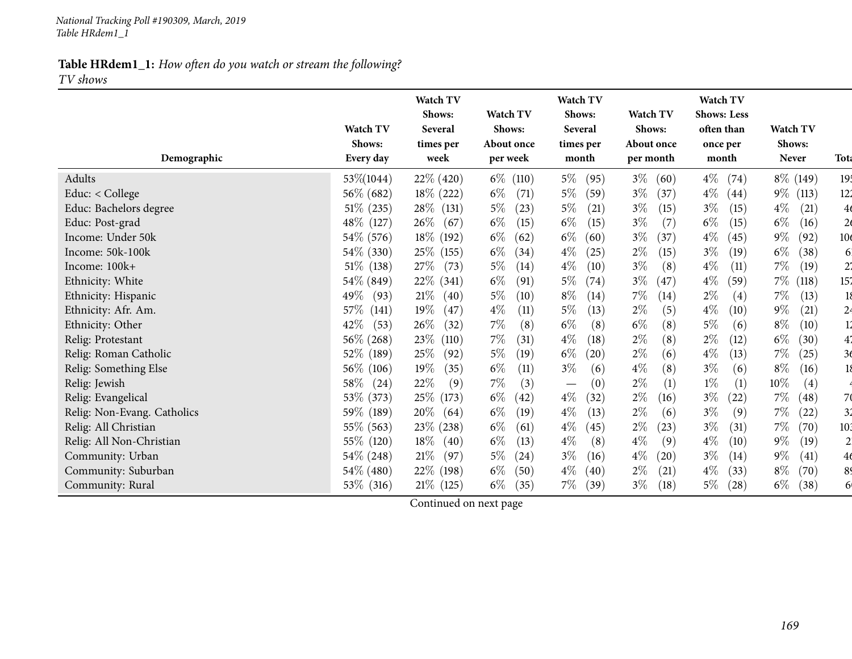# **Table HRdem1\_1:** *How often do you watch or stream the following?*

*TV shows*

|                             | <b>Watch TV</b><br>Shows: | Watch TV<br>Shows:<br>Several<br>times per | Watch TV<br>Shows:<br>About once | Watch TV<br>Shows:<br>Several<br>times per | Watch TV<br>Shows:<br>About once | Watch TV<br><b>Shows: Less</b><br>often than<br>once per | Watch TV<br>Shows: |                 |
|-----------------------------|---------------------------|--------------------------------------------|----------------------------------|--------------------------------------------|----------------------------------|----------------------------------------------------------|--------------------|-----------------|
| Demographic                 | Every day                 | week                                       | per week                         | month                                      | per month                        | month                                                    | <b>Never</b>       | <b>Tota</b>     |
| Adults                      | 53\%(1044)                | $22\%$ (420)                               | $6\%$<br>(110)                   | $5\%$<br>(95)                              | $3\%$<br>(60)                    | $4\%$<br>(74)                                            | $8\%$ (149)        | 19 <sup>t</sup> |
| Educ: < College             | 56\% (682)                | $18\%$ (222)                               | $6\%$<br>(71)                    | $5\%$<br>(59)                              | $3\%$<br>(37)                    | $4\%$<br>(44)                                            | $9\%$<br>(113)     | 122             |
| Educ: Bachelors degree      | 51\% (235)                | 28\% (131)                                 | $5\%$<br>(23)                    | 5%<br>(21)                                 | $3\%$<br>(15)                    | $3\%$<br>(15)                                            | $4\%$<br>(21)      | 4 <sub>6</sub>  |
| Educ: Post-grad             | 48\% (127)                | $26\%$<br>(67)                             | $6\%$<br>(15)                    | $6\%$<br>(15)                              | $3\%$<br>(7)                     | $6\%$<br>(15)                                            | $6\%$<br>(16)      | 2 <sub>6</sub>  |
| Income: Under 50k           | 54\% (576)                | $18\%$ (192)                               | $6\%$<br>(62)                    | $6\%$<br>(60)                              | $3\%$<br>(37)                    | $4\%$<br>(45)                                            | $9\%$<br>(92)      | 10 <sub>6</sub> |
| Income: 50k-100k            | 54% (330)                 | 25\% (155)                                 | $6\%$<br>(34)                    | $4\%$<br>(25)                              | $2\%$<br>(15)                    | $3\%$<br>$\left(19\right)$                               | $6\%$<br>(38)      | 6               |
| Income: 100k+               | 51\% (138)                | 27\%<br>(73)                               | $5\%$<br>(14)                    | $4\%$<br>(10)                              | $3\%$<br>(8)                     | $4\%$<br>(11)                                            | 7%<br>(19)         | 2 <sub>1</sub>  |
| Ethnicity: White            | 54\% (849)                | $22\%$ (341)                               | $6\%$<br>(91)                    | 5%<br>(74)                                 | $3\%$<br>(47)                    | $4\%$<br>(59)                                            | $7\%$<br>(118)     | 157             |
| Ethnicity: Hispanic         | 49%<br>(93)               | 21%<br>(40)                                | $5\%$<br>(10)                    | $8\%$<br>(14)                              | 7%<br>(14)                       | $2\%$<br>(4)                                             | 7%<br>(13)         | 18              |
| Ethnicity: Afr. Am.         | 57\% (141)                | 19%<br>(47)                                | $4\%$<br>(11)                    | $5\%$<br>(13)                              | $2\%$<br>(5)                     | $4\%$<br>$\left(10\right)$                               | $9\%$<br>(21)      | 24              |
| Ethnicity: Other            | 42\%<br>(53)              | 26\%<br>(32)                               | 7%<br>(8)                        | $6\%$<br>(8)                               | $6\%$<br>(8)                     | $5\%$<br>(6)                                             | $8\%$<br>(10)      | 12              |
| Relig: Protestant           | 56\% (268)                | 23\%<br>(110)                              | $7\%$<br>(31)                    | $4\%$<br>(18)                              | $2\%$<br>(8)                     | $2\%$<br>(12)                                            | $6\%$<br>(30)      | 47              |
| Relig: Roman Catholic       | 52% (189)                 | 25\%<br>(92)                               | $5\%$<br>(19)                    | $6\%$<br>(20)                              | $2\%$<br>(6)                     | $4\%$<br>(13)                                            | 7%<br>(25)         | 36              |
| Relig: Something Else       | 56\% (106)                | 19%<br>(35)                                | $6\%$<br>(11)                    | $3\%$<br>(6)                               | $4\%$<br>(8)                     | $3\%$<br>(6)                                             | $8\%$<br>(16)      | 18              |
| Relig: Jewish               | 58\%<br>(24)              | 22%<br>(9)                                 | $7\%$<br>(3)                     | (0)                                        | $2\%$<br>(1)                     | $1\%$<br>(1)                                             | $10\%$<br>(4)      |                 |
| Relig: Evangelical          | 53% (373)                 | 25\% (173)                                 | $6\%$<br>(42)                    | $4\%$<br>(32)                              | $2\%$<br>(16)                    | $3\%$<br>(22)                                            | 7%<br>(48)         | 70              |
| Relig: Non-Evang. Catholics | 59\% (189)                | $20\%$<br>(64)                             | $6\%$<br>(19)                    | $4\%$<br>(13)                              | $2\%$<br>(6)                     | $3\%$<br>(9)                                             | 7%<br>(22)         | 3 <sub>2</sub>  |
| Relig: All Christian        | 55% (563)                 | $23\%$ (238)                               | $6\%$<br>(61)                    | $4\%$<br>(45)                              | $2\%$<br>(23)                    | $3\%$<br>(31)                                            | $7\%$<br>(70)      | 103             |
| Relig: All Non-Christian    | 55% (120)                 | $18\%$<br>(40)                             | $6\%$<br>(13)                    | $4\%$<br>(8)                               | $4\%$<br>(9)                     | $4\%$<br>$\left(10\right)$                               | $9\%$<br>(19)      | $\overline{2}$  |
| Community: Urban            | 54\% (248)                | $21\%$<br>(97)                             | $5\%$<br>(24)                    | $3\%$<br>(16)                              | $4\%$<br>(20)                    | $3\%$<br>(14)                                            | $9\%$<br>(41)      | 46              |
| Community: Suburban         | 54\% (480)                | 22\% (198)                                 | $6\%$<br>(50)                    | $4\%$<br>(40)                              | $2\%$<br>(21)                    | $4\%$<br>(33)                                            | $8\%$<br>(70)      | 89              |
| Community: Rural            | 53\% (316)                | $21\%$ (125)                               | $6\%$<br>(35)                    | $7\%$<br>(39)                              | $3\%$<br>(18)                    | $5\%$<br>(28)                                            | $6\%$<br>(38)      | 6               |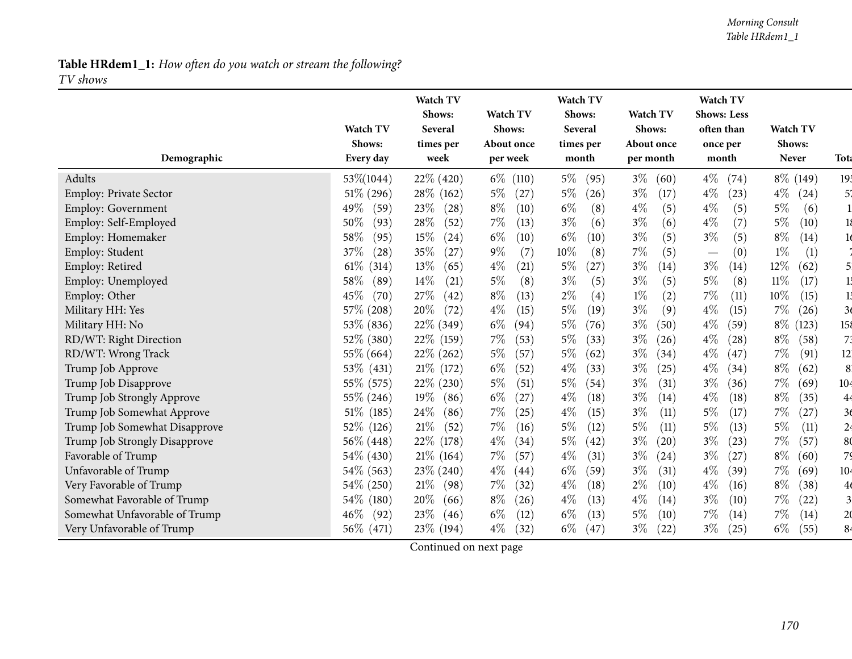#### **Table HRdem1\_1:** *How often do you watch or stream the following? TV shows*

|                               | Watch TV<br>Shows: | <b>Watch TV</b><br>Shows:<br>Several<br>times per | Watch TV<br>Shows:<br>About once | Watch TV<br>Shows:<br>Several<br>times per | Watch TV<br>Shows:<br>About once | Watch TV<br><b>Shows: Less</b><br>often than<br>once per | Watch TV<br>Shows: |                 |
|-------------------------------|--------------------|---------------------------------------------------|----------------------------------|--------------------------------------------|----------------------------------|----------------------------------------------------------|--------------------|-----------------|
| Demographic                   | Every day          | week                                              | per week                         | month                                      | per month                        | month                                                    | Never              | Tota            |
| Adults                        | 53\%(1044)         | $22\%$ (420)                                      | $6\%$<br>(110)                   | $5\%$<br>(95)                              | $3\%$<br>(60)                    | $4\%$<br>(74)                                            | $8\%$ (149)        | 19 <sup>t</sup> |
| <b>Employ: Private Sector</b> | 51\% (296)         | 28\% (162)                                        | $5\%$<br>(27)                    | $5\%$<br>(26)                              | $3\%$<br>(17)                    | $4\%$<br>(23)                                            | $4\%$<br>(24)      | 5.              |
| Employ: Government            | 49%<br>(59)        | 23\%<br>(28)                                      | $8\%$<br>(10)                    | $6\%$<br>(8)                               | $4\%$<br>(5)                     | $4\%$<br>(5)                                             | 5%<br>(6)          |                 |
| Employ: Self-Employed         | 50%<br>(93)        | 28\%<br>(52)                                      | 7%<br>(13)                       | $3\%$<br>(6)                               | $3\%$<br>(6)                     | $4\%$<br>(7)                                             | 5%<br>(10)         | 18              |
| Employ: Homemaker             | 58%<br>(95)        | 15%<br>(24)                                       | $6\%$<br>(10)                    | $6\%$<br>(10)                              | $3\%$<br>(5)                     | $3\%$<br>(5)                                             | $8\%$<br>(14)      | 16              |
| Employ: Student               | 37%<br>(28)        | 35\%<br>(27)                                      | $9\%$<br>(7)                     | 10%<br>(8)                                 | $7\%$<br>(5)                     | (0)                                                      | $1\%$<br>(1)       |                 |
| Employ: Retired               | $61\%$ (314)       | 13\%<br>(65)                                      | $4\%$<br>(21)                    | $5\%$<br>(27)                              | $3\%$<br>(14)                    | $3\%$<br>$\left(14\right)$                               | 12\%<br>(62)       | 5.              |
| Employ: Unemployed            | 58\%<br>(89)       | 14%<br>(21)                                       | $5\%$<br>(8)                     | $3\%$<br>(5)                               | $3\%$<br>(5)                     | $5\%$<br>(8)                                             | $11\%$<br>(17)     | 1 <sub>1</sub>  |
| Employ: Other                 | 45\%<br>(70)       | $27\%$<br>(42)                                    | $8\%$<br>(13)                    | $2\%$<br>(4)                               | $1\%$<br>(2)                     | $7\%$<br>(11)                                            | 10%<br>(15)        | 15              |
| Military HH: Yes              | 57\% (208)         | 20%<br>(72)                                       | $4\%$<br>(15)                    | 5%<br>(19)                                 | $3\%$<br>(9)                     | $4\%$<br>(15)                                            | 7%<br>(26)         | 3 <sub>6</sub>  |
| Military HH: No               | 53\% (836)         | 22\% (349)                                        | $6\%$<br>(94)                    | 5%<br>(76)                                 | $3\%$<br>(50)                    | $4\%$<br>(59)                                            | $8\%$<br>(123)     | 158             |
| RD/WT: Right Direction        | 52\% (380)         | 22\% (159)                                        | $7\%$<br>(53)                    | $5\%$<br>(33)                              | $3\%$<br>(26)                    | $4\%$<br>(28)                                            | $8\%$<br>(58)      | 73              |
| RD/WT: Wrong Track            | 55\% (664)         | $22\%$ (262)                                      | $5\%$<br>(57)                    | 5%<br>(62)                                 | $3\%$<br>(34)                    | $4\%$<br>(47)                                            | 7%<br>(91)         | 12 <sup>1</sup> |
| Trump Job Approve             | 53\% (431)         | $21\%$ (172)                                      | $6\%$<br>(52)                    | $4\%$<br>(33)                              | $3\%$<br>(25)                    | $4\%$<br>(34)                                            | $8\%$<br>(62)      | 8               |
| Trump Job Disapprove          | 55\% (575)         | 22% (230)                                         | $5\%$<br>(51)                    | $5\%$<br>(54)                              | $3\%$<br>(31)                    | $3\%$<br>(36)                                            | 7%<br>(69)         | 10 <sub>4</sub> |
| Trump Job Strongly Approve    | 55\% (246)         | $19\%$<br>(86)                                    | $6\%$<br>(27)                    | $4\%$<br>(18)                              | $3\%$<br>(14)                    | $4\%$<br>(18)                                            | $8\%$<br>(35)      | 44              |
| Trump Job Somewhat Approve    | $51\%$ (185)       | $24\%$<br>(86)                                    | $7\%$<br>(25)                    | $4\%$<br>(15)                              | $3\%$<br>(11)                    | $5\%$<br>(17)                                            | 7%<br>(27)         | 36              |
| Trump Job Somewhat Disapprove | 52\% (126)         | $21\%$<br>(52)                                    | 7%<br>(16)                       | $5\%$<br>(12)                              | $5\%$<br>(11)                    | $5\%$<br>(13)                                            | $5\%$<br>(11)      | 2 <sup>4</sup>  |
| Trump Job Strongly Disapprove | 56% (448)          | 22\% (178)                                        | $4\%$<br>(34)                    | $5\%$<br>(42)                              | $3\%$<br>(20)                    | $3\%$<br>(23)                                            | 7%<br>(57)         | 80              |
| Favorable of Trump            | 54\% (430)         | $21\%$ (164)                                      | $7\%$<br>(57)                    | $4\%$<br>(31)                              | $3\%$<br>(24)                    | $3\%$<br>(27)                                            | $8\%$<br>(60)      | 79              |
| Unfavorable of Trump          | 54\% (563)         | $23\% (240)$                                      | $4\%$<br>(44)                    | $6\%$<br>(59)                              | $3\%$<br>(31)                    | $4\%$<br>(39)                                            | 7%<br>(69)         | 10 <sub>4</sub> |
| Very Favorable of Trump       | 54\% (250)         | 21%<br>(98)                                       | $7\%$<br>(32)                    | $4\%$<br>(18)                              | $2\%$<br>(10)                    | $4\%$<br>(16)                                            | $8\%$<br>(38)      | 4 <sub>6</sub>  |
| Somewhat Favorable of Trump   | 54\% (180)         | 20%<br>(66)                                       | $8\%$<br>(26)                    | $4\%$<br>(13)                              | $4\%$<br>(14)                    | $3\%$<br>(10)                                            | 7%<br>(22)         | 3               |
| Somewhat Unfavorable of Trump | $46\%$<br>(92)     | 23\%<br>(46)                                      | $6\%$<br>(12)                    | $6\%$<br>(13)                              | $5\%$<br>(10)                    | $7\%$<br>(14)                                            | 7%<br>(14)         | 2 <sub>0</sub>  |
| Very Unfavorable of Trump     | 56\% (471)         | 23\% (194)                                        | $4\%$<br>(32)                    | $6\%$<br>(47)                              | $3\%$<br>(22)                    | $3\%$<br>(25)                                            | $6\%$<br>(55)      | 8 <sup>4</sup>  |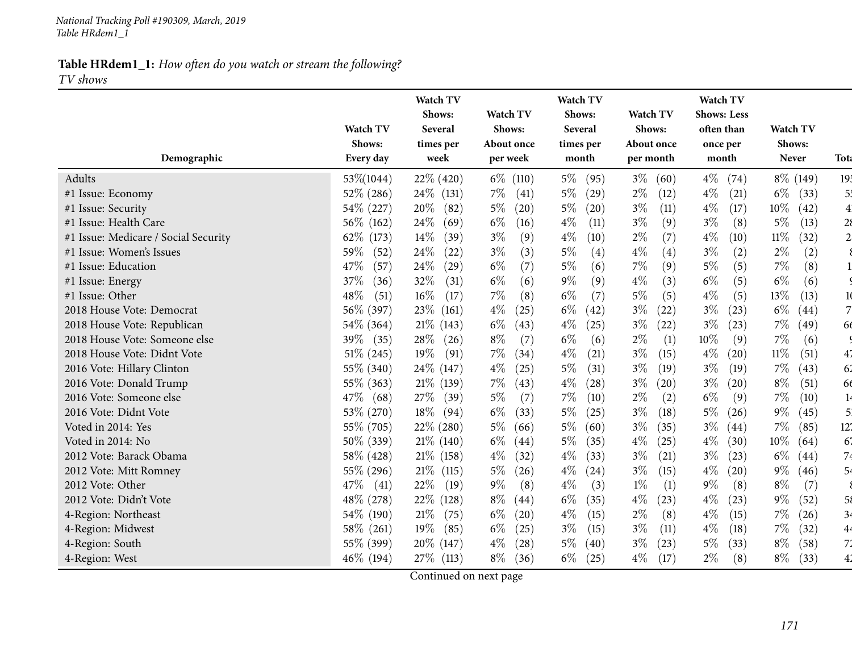# **Table HRdem1\_1:** *How often do you watch or stream the following?*

*TV shows*

|                                      | Watch TV<br>Shows: | Watch TV<br>Shows:<br>Several<br>times per | Watch TV<br>Shows:<br>About once | Watch TV<br>Shows:<br>Several<br>times per | <b>Watch TV</b><br>Shows:<br>About once | Watch TV<br><b>Shows: Less</b><br>often than<br>once per | Watch TV<br>Shows: |                 |
|--------------------------------------|--------------------|--------------------------------------------|----------------------------------|--------------------------------------------|-----------------------------------------|----------------------------------------------------------|--------------------|-----------------|
| Demographic                          | Every day          | week                                       | per week                         | month                                      | per month                               | month                                                    | <b>Never</b>       | <b>Tota</b>     |
| Adults                               | 53\%(1044)         | 22\% (420)                                 | $6\%$ (110)                      | $5\%$<br>(95)                              | $3\%$<br>(60)                           | $4\%$<br>(74)                                            | $8\%$ (149)        | 19 <sub>1</sub> |
| #1 Issue: Economy                    | 52% (286)          | $24\%$ (131)                               | $7\%$<br>(41)                    | $5\%$<br>(29)                              | $2\%$<br>(12)                           | $4\%$<br>(21)                                            | $6\%$<br>(33)      | 5 <sup>1</sup>  |
| #1 Issue: Security                   | 54\% (227)         | 20%<br>(82)                                | $5\%$<br>$\left( 20\right)$      | $5\%$<br>(20)                              | $3\%$<br>(11)                           | $4\%$<br>(17)                                            | 10%<br>(42)        | $\overline{4}$  |
| #1 Issue: Health Care                | 56\% (162)         | 24\%<br>(69)                               | $6\%$<br>(16)                    | $4\%$<br>(11)                              | $3\%$<br>(9)                            | $3\%$<br>(8)                                             | $5\%$<br>(13)      | 28              |
| #1 Issue: Medicare / Social Security | 62\%<br>(173)      | 14\%<br>(39)                               | $3\%$<br>(9)                     | $4\%$<br>(10)                              | $2\%$<br>(7)                            | $4\%$<br>(10)                                            | $11\%$<br>(32)     | $\overline{c}$  |
| #1 Issue: Women's Issues             | 59%<br>(52)        | 24\%<br>(22)                               | $3\%$<br>(3)                     | $5\%$<br>(4)                               | $4\%$<br>(4)                            | $3\%$<br>(2)                                             | $2\%$<br>(2)       |                 |
| #1 Issue: Education                  | 47\%<br>(57)       | 24\%<br>(29)                               | (7)<br>$6\%$                     | $5\%$<br>(6)                               | $7\%$<br>(9)                            | $5\%$<br>(5)                                             | $7\%$<br>(8)       |                 |
| #1 Issue: Energy                     | 37\%<br>(36)       | 32%<br>(31)                                | (6)<br>$6\%$                     | $9\%$<br>(9)                               | $4\%$<br>(3)                            | $6\%$<br>(5)                                             | $6\%$<br>(6)       |                 |
| #1 Issue: Other                      | 48%<br>(51)        | 16%<br>(17)                                | (8)<br>$7\%$                     | $6\%$<br>(7)                               | $5\%$<br>(5)                            | $4\%$<br>(5)                                             | 13%<br>(13)        |                 |
| 2018 House Vote: Democrat            | 56\% (397)         | 23\%<br>(161)                              | $4\%$<br>(25)                    | $6\%$<br>(42)                              | $3\%$<br>(22)                           | $3\%$<br>(23)                                            | $6\%$<br>(44)      | 7               |
| 2018 House Vote: Republican          | 54\% (364)         | $21\%$ (143)                               | $6\%$<br>(43)                    | $4\%$<br>(25)                              | $3\%$<br>(22)                           | $3\%$<br>(23)                                            | 7%<br>(49)         | 66              |
| 2018 House Vote: Someone else        | $39\%$<br>(35)     | 28\%<br>(26)                               | $8\%$<br>(7)                     | $6\%$<br>(6)                               | $2\%$<br>(1)                            | $10\%$<br>(9)                                            | 7%<br>(6)          |                 |
| 2018 House Vote: Didnt Vote          | $51\%$ (245)       | 19%<br>(91)                                | $7\%$<br>(34)                    | $4\%$<br>(21)                              | $3\%$<br>(15)                           | $4\%$<br>(20)                                            | $11\%$<br>(51)     | 47              |
| 2016 Vote: Hillary Clinton           | 55\% (340)         | 24\% (147)                                 | $4\%$<br>(25)                    | $5\%$<br>(31)                              | $3\%$<br>(19)                           | $3\%$<br>(19)                                            | $7\%$<br>(43)      | 62              |
| 2016 Vote: Donald Trump              | 55\% (363)         | 21\% (139)                                 | $7\%$<br>(43)                    | $4\%$<br>(28)                              | $3\%$<br>(20)                           | $3\%$<br>(20)                                            | $8\%$<br>(51)      | 66              |
| 2016 Vote: Someone else              | 47\%<br>(68)       | 27\%<br>(39)                               | $5\%$<br>(7)                     | $7\%$<br>(10)                              | $2\%$<br>(2)                            | $6\%$<br>(9)                                             | 7%<br>(10)         | 14              |
| 2016 Vote: Didnt Vote                | 53\% (270)         | $18\%$<br>(94)                             | $6\%$<br>(33)                    | $5\%$<br>(25)                              | $3\%$<br>(18)                           | $5\%$<br>(26)                                            | $9\%$<br>(45)      | 5               |
| Voted in 2014: Yes                   | 55\% (705)         | $22\%$ (280)                               | $5\%$<br>(66)                    | $5\%$<br>(60)                              | $3\%$<br>(35)                           | $3\%$<br>(44)                                            | 7%<br>(85)         | 127             |
| Voted in 2014: No                    | 50\% (339)         | $21\%$ (140)                               | $6\%$<br>(44)                    | $5\%$<br>(35)                              | $4\%$<br>(25)                           | $4\%$<br>(30)                                            | 10%<br>(64)        | 67              |
| 2012 Vote: Barack Obama              | 58% (428)          | $21\%$ (158)                               | $4\%$<br>(32)                    | $4\%$<br>(33)                              | $3\%$<br>(21)                           | $3\%$<br>(23)                                            | $6\%$<br>(44)      | 74              |
| 2012 Vote: Mitt Romney               | 55\% (296)         | $21\%$ (115)                               | $5\%$<br>(26)                    | $4\%$<br>(24)                              | $3\%$<br>(15)                           | $4\%$<br>(20)                                            | $9\%$<br>(46)      | 54              |
| 2012 Vote: Other                     | 47\%<br>(41)       | 22\%<br>(19)                               | $9\%$<br>(8)                     | $4\%$<br>(3)                               | $1\%$<br>(1)                            | $9\%$<br>(8)                                             | $8\%$<br>(7)       |                 |
| 2012 Vote: Didn't Vote               | 48\% (278)         | $22\%$ (128)                               | $8\%$<br>(44)                    | $6\%$<br>(35)                              | $4\%$<br>(23)                           | $4\%$<br>(23)                                            | $9\%$<br>(52)      | 58              |
| 4-Region: Northeast                  | 54\% (190)         | $21\%$<br>(75)                             | $6\%$<br>(20)                    | $4\%$<br>(15)                              | $2\%$<br>(8)                            | $4\%$<br>(15)                                            | 7%<br>(26)         | 34              |
| 4-Region: Midwest                    | 58\% (261)         | $19\%$<br>(85)                             | $6\%$<br>(25)                    | $3\%$<br>(15)                              | $3\%$<br>(11)                           | $4\%$<br>(18)                                            | 7%<br>(32)         | 4 <sub>4</sub>  |
| 4-Region: South                      | 55% (399)          | 20\% (147)                                 | $4\%$<br>$\left( 28\right)$      | $5\%$<br>(40)                              | $3\%$<br>(23)                           | $5\%$<br>(33)                                            | $8\%$<br>(58)      | 7 <sup>1</sup>  |
| 4-Region: West                       | 46\% (194)         | $27\%$ (113)                               | $8\%$<br>(36)                    | $6\%$<br>(25)                              | $4\%$<br>(17)                           | $2\%$<br>(8)                                             | $8\%$<br>(33)      | 42              |

Continued on next page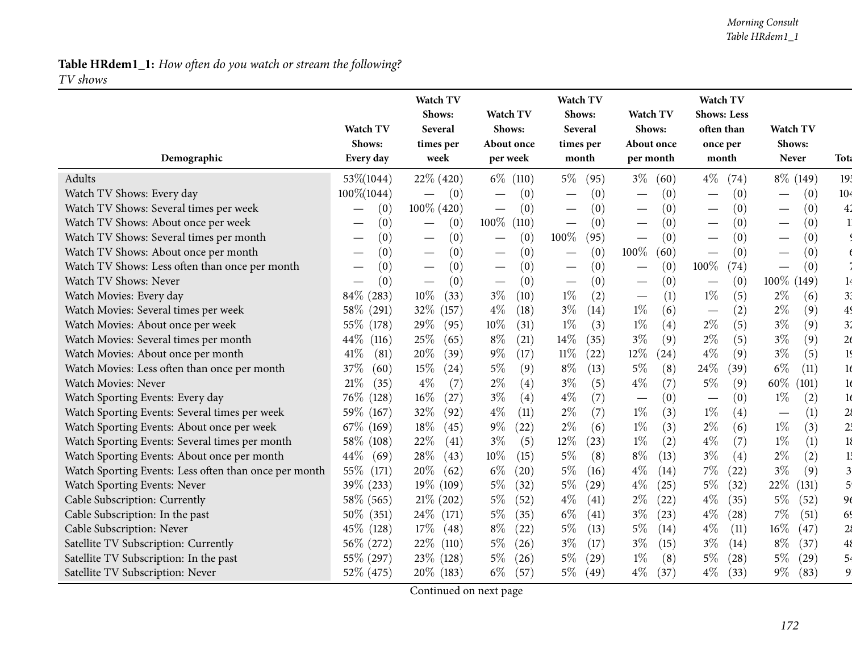#### *Morning Consult Table HRdem1\_1*

### **Table HRdem1\_1:** *How often do you watch or stream the following? TV shows*

| Demographic                                           | Watch TV<br>Shows:<br>Every day | <b>Watch TV</b><br>Shows:<br>Several<br>times per<br>week | Watch TV<br>Shows:<br>About once<br>per week | Watch TV<br>Shows:<br>Several<br>times per<br>month | Watch TV<br>Shows:<br>About once<br>per month | Watch TV<br><b>Shows: Less</b><br>often than<br>once per<br>month | Watch TV<br>Shows:<br><b>Never</b>     | <b>Tota</b>     |
|-------------------------------------------------------|---------------------------------|-----------------------------------------------------------|----------------------------------------------|-----------------------------------------------------|-----------------------------------------------|-------------------------------------------------------------------|----------------------------------------|-----------------|
| Adults                                                | 53\%(1044)                      | 22% (420)                                                 | $6\%$ (110)                                  | $5\%$<br>(95)                                       | $3\%$<br>(60)                                 | $4\%$<br>(74)                                                     | $8\%$ (149)                            | 19 <sup>t</sup> |
| Watch TV Shows: Every day                             | $100\% (1044)$                  | (0)                                                       | (0)                                          | (0)                                                 | (0)                                           | (0)                                                               | (0)                                    | 10 <sub>4</sub> |
| Watch TV Shows: Several times per week                | (0)                             | 100% (420)                                                | (0)<br>$\overline{\phantom{m}}$              | (0)                                                 | (0)                                           | (0)<br>$\qquad \qquad \longleftarrow$                             | (0)<br>$\hspace{0.1mm}-\hspace{0.1mm}$ | 4 <sup>′</sup>  |
| Watch TV Shows: About once per week                   | (0)                             | (0)                                                       | $100\%$<br>(110)                             | (0)                                                 | (0)<br>$\overbrace{\phantom{12322111}}$       | (0)                                                               | (0)                                    |                 |
| Watch TV Shows: Several times per month               | (0)                             | (0)<br>$\overbrace{\phantom{12322111}}$                   | (0)                                          | 100%<br>(95)                                        | (0)                                           | (0)                                                               | (0)                                    |                 |
| Watch TV Shows: About once per month                  | (0)                             | (0)                                                       | (0)                                          | (0)                                                 | 100%<br>(60)                                  | (0)                                                               | (0)                                    |                 |
| Watch TV Shows: Less often than once per month        | (0)                             | (0)                                                       | (0)                                          | (0)                                                 | (0)                                           | $100\%$<br>(74)                                                   | (0)                                    |                 |
| Watch TV Shows: Never                                 | (0)                             | (0)<br>$\overline{\phantom{m}}$                           | (0)<br>$\overline{\phantom{m}}$              | (0)                                                 | (0)<br>$\hspace{0.1mm}-\hspace{0.1mm}$        | (0)<br>$\overline{\phantom{m}}$                                   | $100\%$<br>(149)                       | 14              |
| Watch Movies: Every day                               | 84\% (283)                      | $10\%$<br>(33)                                            | $3\%$<br>(10)                                | $1\%$<br>(2)                                        | (1)<br>$\overline{\phantom{m}}$               | $1\%$<br>(5)                                                      | $2\%$<br>(6)                           | 3 <sup>1</sup>  |
| Watch Movies: Several times per week                  | 58% (291)                       | 32\% (157)                                                | $4\%$<br>(18)                                | $3\%$<br>(14)                                       | $1\%$<br>(6)                                  | (2)<br>$\overline{\phantom{m}}$                                   | $2\%$<br>(9)                           | 49              |
| Watch Movies: About once per week                     | 55\% (178)                      | 29%<br>(95)                                               | 10%<br>(31)                                  | $1\%$<br>(3)                                        | $1\%$<br>(4)                                  | $2\%$<br>(5)                                                      | $3\%$<br>(9)                           | 3 <sup>2</sup>  |
| Watch Movies: Several times per month                 | 44\%<br>(116)                   | 25%<br>(65)                                               | $8\%$<br>(21)                                | 14%<br>(35)                                         | $3\%$<br>(9)                                  | (5)<br>$2\%$                                                      | $3\%$<br>(9)                           | $2\epsilon$     |
| Watch Movies: About once per month                    | 41%<br>(81)                     | $20\%$<br>(39)                                            | $9\%$<br>(17)                                | $11\%$<br>(22)                                      | $12\%$<br>(24)                                | $4\%$<br>(9)                                                      | $3\%$<br>(5)                           | 1 <sub>5</sub>  |
| Watch Movies: Less often than once per month          | 37\%<br>(60)                    | 15\%<br>(24)                                              | $5\%$<br>(9)                                 | $8\%$<br>(13)                                       | $5\%$<br>(8)                                  | 24%<br>(39)                                                       | $6\%$<br>(11)                          | 16              |
| Watch Movies: Never                                   | 21%<br>(35)                     | $4\%$<br>(7)                                              | $2\%$<br>(4)                                 | $3\%$<br>(5)                                        | $4\%$<br>(7)                                  | $5\%$<br>(9)                                                      | 60%<br>(101)                           | 1 <sub>0</sub>  |
| Watch Sporting Events: Every day                      | 76\% (128)                      | 16%<br>(27)                                               | (4)<br>$3\%$                                 | $4\%$<br>(7)                                        | (0)                                           | (0)<br>$\overline{\phantom{0}}$                                   | $1\%$<br>(2)                           | 16              |
| Watch Sporting Events: Several times per week         | 59\% (167)                      | 32%<br>(92)                                               | $4\%$<br>(11)                                | $2\%$<br>(7)                                        | $1\%$<br>(3)                                  | $1\%$<br>(4)                                                      | (1)                                    | 28              |
| Watch Sporting Events: About once per week            | 67\% (169)                      | 18%<br>(45)                                               | $9\%$<br>(22)                                | $2\%$<br>(6)                                        | $1\%$<br>(3)                                  | $2\%$<br>(6)                                                      | $1\%$<br>(3)                           | 2!              |
| Watch Sporting Events: Several times per month        | 58\% (108)                      | 22%<br>(41)                                               | $3\%$<br>(5)                                 | 12%<br>(23)                                         | $1\%$<br>(2)                                  | $4\%$<br>(7)                                                      | $1\%$<br>(1)                           | 18              |
| Watch Sporting Events: About once per month           | 44\%<br>(69)                    | $28\%$<br>(43)                                            | 10%<br>(15)                                  | 5%<br>(8)                                           | $8\%$<br>(13)                                 | $3\%$<br>(4)                                                      | $2\%$<br>(2)                           | 1!              |
| Watch Sporting Events: Less often than once per month | 55%<br>(171)                    | 20%<br>(62)                                               | $6\%$<br>(20)                                | $5\%$<br>(16)                                       | $4\%$<br>(14)                                 | $7\%$<br>(22)                                                     | $3\%$<br>(9)                           |                 |
| Watch Sporting Events: Never                          | 39\% (233)                      | $19\%$ (109)                                              | $5\%$<br>(32)                                | $5\%$<br>(29)                                       | $4\%$<br>(25)                                 | $5\%$<br>(32)                                                     | 22%<br>(131)                           | 5               |
| Cable Subscription: Currently                         | 58% (565)                       | $21\%$ (202)                                              | $5\%$<br>(52)                                | $4\%$<br>(41)                                       | $2\%$<br>(22)                                 | $4\%$<br>(35)                                                     | $5\%$<br>(52)                          | 96              |
| Cable Subscription: In the past                       | 50\% (351)                      | 24\% (171)                                                | $5\%$<br>(35)                                | $6\%$<br>(41)                                       | $3\%$<br>(23)                                 | $4\%$<br>$\left( 28\right)$                                       | $7\%$<br>(51)                          | 69              |
| Cable Subscription: Never                             | 45\% (128)                      | $17\%$<br>(48)                                            | $8\%$<br>(22)                                | $5\%$<br>(13)                                       | $5\%$<br>(14)                                 | $4\%$<br>(11)                                                     | 16%<br>(47)                            | 2 <sub>8</sub>  |
| Satellite TV Subscription: Currently                  | 56\% (272)                      | 22%<br>(110)                                              | $5\%$<br>(26)                                | $3\%$<br>(17)                                       | $3\%$<br>(15)                                 | $3\%$<br>(14)                                                     | $8\%$<br>(37)                          | 48              |
| Satellite TV Subscription: In the past                | 55\% (297)                      | $23\%$ (128)                                              | $5\%$<br>(26)                                | $5\%$<br>(29)                                       | $1\%$<br>(8)                                  | 5%<br>(28)                                                        | 5%<br>(29)                             | 5 <sup>4</sup>  |
| Satellite TV Subscription: Never                      | 52\% (475)                      | $20\%$ (183)                                              | $6\%$<br>(57)                                | $5\%$<br>(49)                                       | $4\%$<br>(37)                                 | $4\%$<br>(33)                                                     | $9\%$<br>(83)                          | 9               |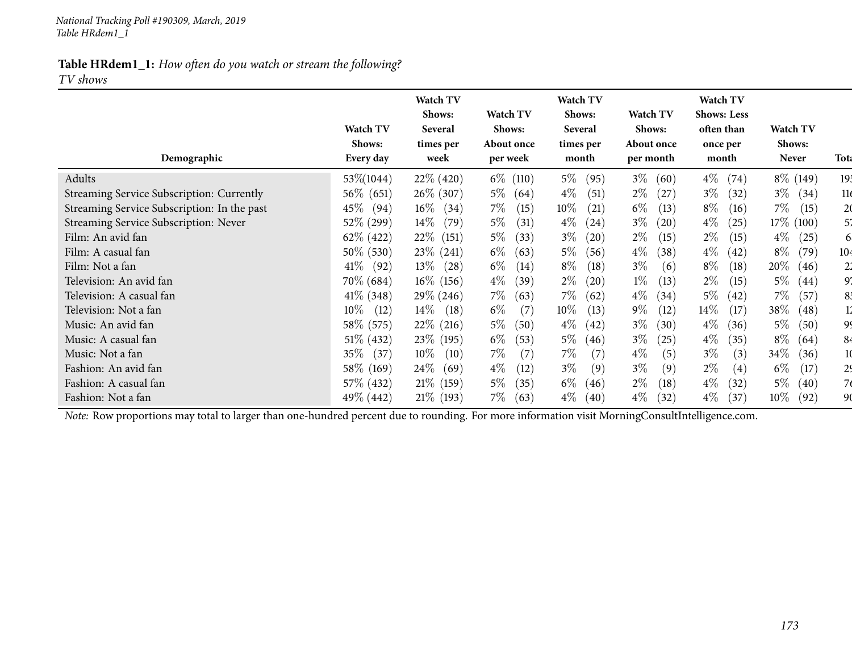# **Table HRdem1\_1:** *How often do you watch or stream the following?*

*TV shows*

| Demographic                                 | Watch TV<br>Shows:<br>Every day | Watch TV<br>Shows:<br>Several<br>times per<br>week | <b>Watch TV</b><br>Shows:<br>About once<br>per week | <b>Watch TV</b><br>Shows:<br>Several<br>times per<br>month | Watch TV<br>Shows:<br>About once<br>per month | Watch TV<br><b>Shows: Less</b><br>often than<br>once per<br>month | <b>Watch TV</b><br>Shows:<br><b>Never</b> | <b>Tota</b>     |
|---------------------------------------------|---------------------------------|----------------------------------------------------|-----------------------------------------------------|------------------------------------------------------------|-----------------------------------------------|-------------------------------------------------------------------|-------------------------------------------|-----------------|
| Adults                                      | 53\%(1044)                      | 22\% (420)                                         | $6\%$ (110)                                         | $5\%$<br>(95)                                              | $3\%$<br>(60)                                 | $4\%$<br>(74)                                                     | $8\%$ (149)                               | 19 <sup>t</sup> |
| Streaming Service Subscription: Currently   | 56\% (651)                      | 26\% (307)                                         | $5\%$<br>(64)                                       | $4\%$<br>(51)                                              | $2\%$<br>(27)                                 | $3\%$<br>(32)                                                     | $3\%$<br>(34)                             | 116             |
| Streaming Service Subscription: In the past | $45\%$<br>(94)                  | $16\%$<br>(34)                                     | $7\%$<br>(15)                                       | $10\%$<br>(21)                                             | $6\%$<br>(13)                                 | $8\%$<br>(16)                                                     | $7\%$<br>(15)                             | 2 <sub>0</sub>  |
| Streaming Service Subscription: Never       | 52\% (299)                      | $14\%$<br>(79)                                     | $5\%$<br>(31)                                       | $4\%$<br>(24)                                              | $3\%$<br>(20)                                 | $4\%$<br>(25)                                                     | 17\% (100)                                | 57              |
| Film: An avid fan                           | $62\%$ (422)                    | $22\%$<br>(151)                                    | $5\%$<br>(33)                                       | $3\%$<br>(20)                                              | $2\%$<br>(15)                                 | $2\%$<br>(15)                                                     | $4\%$<br>(25)                             | 61              |
| Film: A casual fan                          | 50\% (530)                      | $23\%$ (241)                                       | $6\%$<br>(63)                                       | $5\%$<br>(56)                                              | $4\%$<br>(38)                                 | $4\%$<br>(42)                                                     | $8\%$<br>(79)                             | 10 <sub>4</sub> |
| Film: Not a fan                             | $41\%$<br>(92)                  | $13\%$<br>(28)                                     | $6\%$<br>(14)                                       | $8\%$<br>(18)                                              | $3\%$<br>(6)                                  | $8\%$<br>$\left(18\right)$                                        | 20\%<br>(46)                              | $2^{\prime}$    |
| Television: An avid fan                     | 70\% (684)                      | $16\%$ (156)                                       | $4\%$<br>(39)                                       | $2\%$<br>(20)                                              | $1\%$<br>(13)                                 | $2\%$<br>(15)                                                     | $5\%$<br>(44)                             | 97              |
| Television: A casual fan                    | $41\%$ (348)                    | 29\% (246)                                         | $7\%$<br>(63)                                       | $7\%$<br>(62)                                              | $4\%$<br>(34)                                 | $5\%$<br>(42)                                                     | $7\%$<br>(57)                             | 85              |
| Television: Not a fan                       | $10\%$<br>(12)                  | $14\%$<br>(18)                                     | $6\%$<br>(7)                                        | $10\%$<br>(13)                                             | $9\%$<br>(12)                                 | $14\%$<br>(17)                                                    | 38\%<br>(48)                              | Ľ               |
| Music: An avid fan                          | 58\% (575)                      | $22\%$ (216)                                       | $5\%$<br>(50)                                       | $4\%$<br>(42)                                              | $3\%$<br>(30)                                 | $4\%$<br>(36)                                                     | $5\%$<br>(50)                             | 99              |
| Music: A casual fan                         | $51\%$ (432)                    | 23\% (195)                                         | $6\%$<br>(53)                                       | $5\%$<br>(46)                                              | $3\%$<br>(25)                                 | $4\%$<br>(35)                                                     | $8\%$<br>(64)                             | 84              |
| Music: Not a fan                            | $35\%$<br>(37)                  | $10\%$<br>(10)                                     | $7\%$<br>(7)                                        | $7\%$<br>(7)                                               | $4\%$<br>(5)                                  | $3\%$<br>(3)                                                      | 34\%<br>(36)                              | 10              |
| Fashion: An avid fan                        | 58\% (169)                      | 24%<br>(69)                                        | $4\%$<br>(12)                                       | $3\%$<br>(9)                                               | $3\%$<br>(9)                                  | $2\%$<br>(4)                                                      | $6\%$<br>(17)                             | 29              |
| Fashion: A casual fan                       | 57\% (432)                      | $21\%$ (159)                                       | $5\%$<br>(35)                                       | $6\%$<br>(46)                                              | $2\%$<br>(18)                                 | $4\%$<br>(32)                                                     | $5\%$<br>(40)                             | 76              |
| Fashion: Not a fan                          | 49% (442)                       | $21\%$ (193)                                       | 7%<br>(63)                                          | $4\%$<br>(40)                                              | $4\%$<br>(32)                                 | $4\%$<br>(37)                                                     | $10\%$<br>(92)                            | 90              |

*Note:* Row proportions may total to larger than one-hundred percen<sup>t</sup> due to rounding. For more information visit [MorningConsultIntelligence.com](https://morningconsultintelligence.com).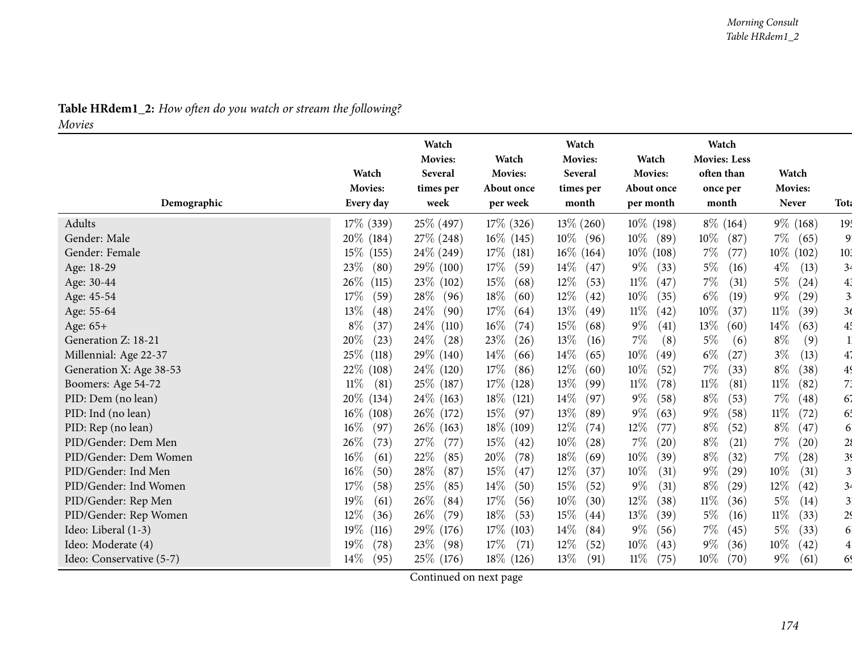#### **Table HRdem1\_2:** *How often do you watch or stream the following? Movies*

|                          | Watch                       | Watch<br>Movies:<br>Several | Watch<br><b>Movies:</b>       | Watch<br><b>Movies:</b><br>Several | Watch<br>Movies:        | Watch<br><b>Movies: Less</b><br>often than | Watch                          |                |
|--------------------------|-----------------------------|-----------------------------|-------------------------------|------------------------------------|-------------------------|--------------------------------------------|--------------------------------|----------------|
| Demographic              | <b>Movies:</b><br>Every day | times per<br>week           | <b>About once</b><br>per week | times per<br>month                 | About once<br>per month | once per<br>month                          | <b>Movies:</b><br><b>Never</b> | <b>Tota</b>    |
| Adults                   | $17\%$ (339)                | 25\% (497)                  | $17\%$ (326)                  | $13\% (260)$                       | $10\%$ (198)            | $8\%$ (164)                                | $9\%$ (168)                    | 195            |
| Gender: Male             | $20\%$ (184)                | 27\% (248)                  | $16\%$ (145)                  | $10\%$ (96)                        | $10\%$<br>(89)          | $10\%$<br>(87)                             | $7\%$<br>(65)                  | $\overline{9}$ |
| Gender: Female           | $15\%$ (155)                | $24\%$ (249)                | $17\%$ (181)                  | $16\%$ (164)                       | $10\%$ (108)            | $7\%$<br>(77)                              | $10\%$ (102)                   | 103            |
| Age: 18-29               | 23%<br>(80)                 | 29\% (100)                  | 17%<br>(59)                   | $14\%$<br>(47)                     | $9\%$<br>(33)           | $5\%$<br>(16)                              | $4\%$<br>(13)                  | 34             |
| Age: 30-44               | 26\%<br>(115)               | 23\% (102)                  | 15%<br>(68)                   | $12\%$<br>(53)                     | $11\%$<br>(47)          | $7\%$<br>(31)                              | 5%<br>(24)                     | 43             |
| Age: 45-54               | 17%<br>(59)                 | $28\%$<br>(96)              | 18\%<br>(60)                  | $12\%$<br>(42)                     | 10%<br>(35)             | $6\%$<br>(19)                              | $9\%$<br>(29)                  | 3 <sup>1</sup> |
| Age: 55-64               | 13%<br>(48)                 | 24\%<br>(90)                | 17%<br>(64)                   | 13%<br>(49)                        | $11\%$<br>(42)          | $10\%$<br>(37)                             | $11\%$<br>(39)                 | 3 <sub>6</sub> |
| Age: 65+                 | $8\%$<br>(37)               | $24\%$<br>(110)             | $16\%$<br>(74)                | 15%<br>(68)                        | $9\%$<br>(41)           | 13\%<br>(60)                               | $14\%$<br>(63)                 | 45             |
| Generation Z: 18-21      | 20%<br>(23)                 | $24\%$<br>(28)              | 23\%<br>(26)                  | 13%<br>(16)                        | 7%<br>(8)               | $5\%$<br>(6)                               | $8\%$<br>(9)                   | $\mathbf{1}$   |
| Millennial: Age 22-37    | 25%<br>(118)                | 29\% (140)                  | $14\%$<br>(66)                | 14%<br>(65)                        | 10%<br>(49)             | $6\%$<br>(27)                              | $3\%$<br>(13)                  | 47             |
| Generation X: Age 38-53  | 22\% (108)                  | 24\% (120)                  | 17%<br>(86)                   | 12%<br>(60)                        | $10\%$<br>(52)          | $7\%$<br>(33)                              | $8\%$<br>(38)                  | 49             |
| Boomers: Age 54-72       | $11\%$<br>(81)              | 25\% (187)                  | $17\%$ (128)                  | 13%<br>(99)                        | $11\%$<br>(78)          | $11\%$<br>(81)                             | $11\%$<br>(82)                 | 73             |
| PID: Dem (no lean)       | 20\% (134)                  | $24\%$ (163)                | $18\%$ (121)                  | 14%<br>(97)                        | $9\%$<br>(58)           | $8\%$<br>(53)                              | $7\%$<br>(48)                  | 61             |
| PID: Ind (no lean)       | $16\%$ (108)                | 26\% (172)                  | $15\%$<br>(97)                | 13%<br>(89)                        | $9\%$<br>(63)           | $9\%$<br>(58)                              | $11\%$<br>(72)                 | 65             |
| PID: Rep (no lean)       | 16%<br>(97)                 | 26\% (163)                  | $18\%$ (109)                  | $12\%$<br>(74)                     | $12\%$<br>(77)          | $8\%$<br>(52)                              | $8\%$<br>(47)                  | 6              |
| PID/Gender: Dem Men      | 26%<br>(73)                 | 27\%<br>(77)                | 15%<br>(42)                   | $10\%$<br>(28)                     | 7%<br>(20)              | $8\%$<br>(21)                              | 7%<br>(20)                     | 28             |
| PID/Gender: Dem Women    | 16%<br>(61)                 | 22\%<br>(85)                | 20%<br>(78)                   | 18%<br>(69)                        | $10\%$<br>(39)          | $8\%$<br>(32)                              | $7\%$<br>(28)                  | 39             |
| PID/Gender: Ind Men      | 16%<br>(50)                 | 28\%<br>(87)                | 15%<br>(47)                   | $12\%$<br>(37)                     | 10%<br>(31)             | $9\%$<br>(29)                              | $10\%$<br>(31)                 | $\mathbf{3}$   |
| PID/Gender: Ind Women    | $17\%$<br>(58)              | 25\%<br>(85)                | $14\%$<br>(50)                | 15\%<br>(52)                       | $9\%$<br>(31)           | $8\%$<br>(29)                              | 12\%<br>(42)                   | 3 <sub>4</sub> |
| PID/Gender: Rep Men      | 19%<br>(61)                 | $26\%$<br>(84)              | 17%<br>(56)                   | $10\%$<br>(30)                     | 12%<br>(38)             | $11\%$<br>(36)                             | $5\%$<br>(14)                  | 3 <sup>i</sup> |
| PID/Gender: Rep Women    | 12%<br>(36)                 | $26\%$<br>(79)              | 18\%<br>(53)                  | 15%<br>(44)                        | 13\%<br>(39)            | $5\%$<br>(16)                              | $11\%$<br>(33)                 | 2 <sub>5</sub> |
| Ideo: Liberal (1-3)      | 19%<br>(116)                | 29\% (176)                  | $17\%$ (103)                  | 14%<br>(84)                        | $9\%$<br>(56)           | $7\%$<br>(45)                              | $5\%$<br>(33)                  | 61             |
| Ideo: Moderate (4)       | 19%<br>(78)                 | 23\%<br>(98)                | 17%<br>(71)                   | $12\%$<br>(52)                     | $10\%$<br>(43)          | $9\%$<br>(36)                              | $10\%$<br>(42)                 | $\overline{4}$ |
| Ideo: Conservative (5-7) | 14\%<br>(95)                | 25\% (176)                  | $18\%$ (126)                  | 13%<br>(91)                        | $11\%$<br>(75)          | $10\%$<br>(70)                             | $9\%$<br>(61)                  | 69             |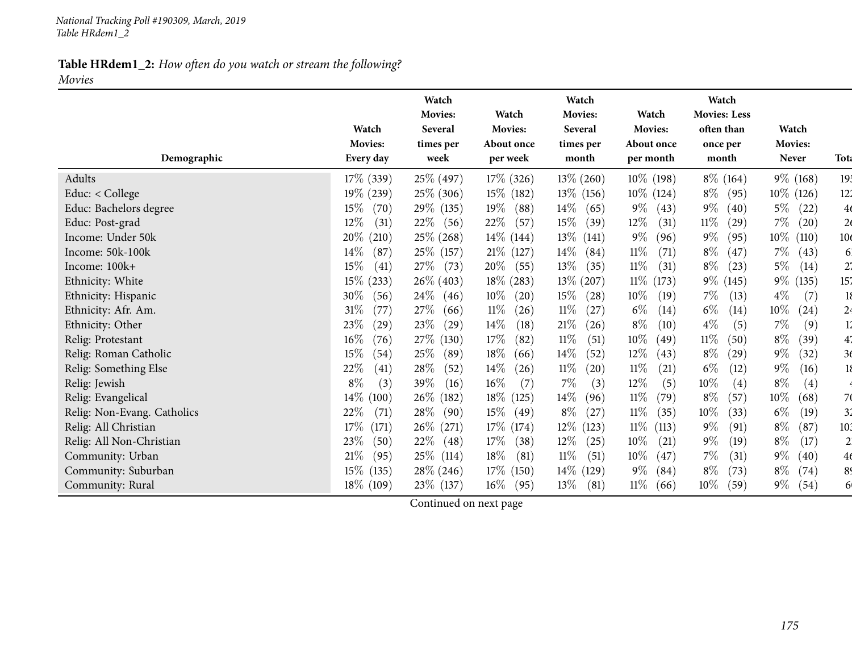#### **Table HRdem1\_2:** *How often do you watch or stream the following? Movies*

|                             | Watch<br><b>Movies:</b>   | Watch<br>Movies:<br>Several<br>times per | Watch<br>Movies:<br>About once | Watch<br><b>Movies:</b><br>Several<br>times per | Watch<br><b>Movies:</b><br>About once | Watch<br><b>Movies: Less</b><br>often than<br>once per | Watch<br><b>Movies:</b> |                 |
|-----------------------------|---------------------------|------------------------------------------|--------------------------------|-------------------------------------------------|---------------------------------------|--------------------------------------------------------|-------------------------|-----------------|
| Demographic                 | Every day                 | week                                     | per week                       | month                                           | per month                             | month                                                  | Never                   | <b>Tota</b>     |
| Adults                      | $17\%$ (339)              | 25\% (497)                               | $17\%$ (326)                   | $13\% (260)$                                    | $10\%$ (198)                          | $8\%$ (164)                                            | $9\%$ (168)             | 19 <sup>t</sup> |
| Educ: < College             | 19% (239)                 | $25\%$ (306)                             | $15\%$ (182)                   | $13\%$ (156)                                    | $10\%$ (124)                          | $8\%$<br>(95)                                          | $10\%$ (126)            | 122             |
| Educ: Bachelors degree      | $15\%$<br>(70)            | 29\% (135)                               | $19\%$<br>(88)                 | $14\%$<br>(65)                                  | $9\%$<br>(43)                         | $9\%$<br>(40)                                          | $5\%$<br>(22)           | 4 <sub>6</sub>  |
| Educ: Post-grad             | 12%<br>(31)               | 22\%<br>(56)                             | 22\%<br>(57)                   | $15\%$<br>(39)                                  | $12\%$<br>(31)                        | $11\%$<br>(29)                                         | $7\%$<br>(20)           | 2 <sub>6</sub>  |
| Income: Under 50k           | 20% (210)                 | $25\%$ (268)                             | $14\%$ (144)                   | $13\%$<br>(141)                                 | $9\%$<br>(96)                         | $9\%$<br>(95)                                          | $10\%$<br>(110)         | 10 <sub>6</sub> |
| Income: 50k-100k            | $14\%$<br>(87)            | 25\% (157)                               | $21\%$ (127)                   | $14\%$<br>(84)                                  | $11\%$<br>(71)                        | $8\%$<br>(47)                                          | 7%<br>(43)              | 6               |
| Income: 100k+               | 15%<br>(41)               | $27\%$<br>(73)                           | $20\%$<br>(55)                 | 13\%<br>(35)                                    | $11\%$<br>(31)                        | $8\%$<br>(23)                                          | $5\%$<br>(14)           | 2 <sub>1</sub>  |
| Ethnicity: White            | $15\%$ (233)              | $26\%$ (403)                             | $18\%$ (283)                   | $13\% (207)$                                    | $11\%$<br>(173)                       | $9\%$ (145)                                            | $9\%$<br>(135)          | 157             |
| Ethnicity: Hispanic         | 30%<br>(56)               | $24\%$<br>(46)                           | $10\%$<br>(20)                 | 15\%<br>(28)                                    | $10\%$<br>(19)                        | $7\%$<br>(13)                                          | $4\%$<br>(7)            | 18              |
| Ethnicity: Afr. Am.         | $31\%$<br>(77)            | 27\%<br>(66)                             | $11\%$<br>(26)                 | $11\%$<br>(27)                                  | $6\%$<br>(14)                         | $6\%$<br>(14)                                          | $10\%$<br>(24)          | 2 <sup>4</sup>  |
| Ethnicity: Other            | 23%<br>$\left( 29\right)$ | 23\%<br>(29)                             | $14\%$<br>(18)                 | $21\%$<br>(26)                                  | $8\%$<br>(10)                         | $4\%$<br>(5)                                           | 7%<br>(9)               | 12              |
| Relig: Protestant           | $16\%$<br>(76)            | 27\% (130)                               | 17%<br>(82)                    | $11\%$<br>(51)                                  | $10\%$<br>(49)                        | $11\%$<br>(50)                                         | $8\%$<br>(39)           | 47              |
| Relig: Roman Catholic       | 15%<br>(54)               | 25%<br>(89)                              | 18%<br>(66)                    | $14\%$<br>(52)                                  | 12%<br>(43)                           | $8\%$<br>(29)                                          | $9\%$<br>(32)           | 36              |
| Relig: Something Else       | 22%<br>(41)               | 28\%<br>(52)                             | $14\%$<br>(26)                 | $11\%$<br>(20)                                  | $11\%$<br>(21)                        | $6\%$<br>(12)                                          | $9\%$<br>(16)           | 18              |
| Relig: Jewish               | $8\%$<br>(3)              | 39\%<br>(16)                             | $16\%$<br>(7)                  | $7\%$<br>(3)                                    | $12\%$<br>(5)                         | $10\%$<br>(4)                                          | $8\%$<br>(4)            |                 |
| Relig: Evangelical          | $14\%$<br>(100)           | 26\% (182)                               | 18\% (125)                     | $14\%$<br>(96)                                  | $11\%$<br>(79)                        | $8\%$<br>(57)                                          | $10\%$<br>(68)          | 70              |
| Relig: Non-Evang. Catholics | 22%<br>(71)               | 28\%<br>(90)                             | $15\%$<br>(49)                 | $8\%$<br>(27)                                   | $11\%$<br>(35)                        | $10\%$<br>(33)                                         | $6\%$<br>(19)           | 3 <sup>2</sup>  |
| Relig: All Christian        | 17%<br>(171)              | 26\% (271)                               | $17\%$ (174)                   | 12\% (123)                                      | $11\%$<br>(113)                       | $9\%$<br>(91)                                          | $8\%$<br>(87)           | 103             |
| Relig: All Non-Christian    | 23%<br>(50)               | 22\%<br>(48)                             | 17%<br>(38)                    | 12\%<br>(25)                                    | $10\%$<br>(21)                        | $9\%$<br>(19)                                          | $8\%$<br>(17)           | 2 <sub>i</sub>  |
| Community: Urban            | 21%<br>(95)               | $25\%$ (114)                             | $18\%$<br>(81)                 | $11\%$<br>(51)                                  | $10\%$<br>(47)                        | 7%<br>(31)                                             | $9\%$<br>(40)           | 46              |
| Community: Suburban         | 15\% (135)                | 28\% (246)                               | $17\%$ (150)                   | $14\%$ (129)                                    | $9\%$<br>(84)                         | $8\%$<br>(73)                                          | $8\%$<br>(74)           | 89              |
| Community: Rural            | 18\% (109)                | 23\% (137)                               | $16\%$<br>(95)                 | $13\%$<br>(81)                                  | $11\%$<br>(66)                        | $10\%$<br>(59)                                         | $9\%$<br>(54)           | 61              |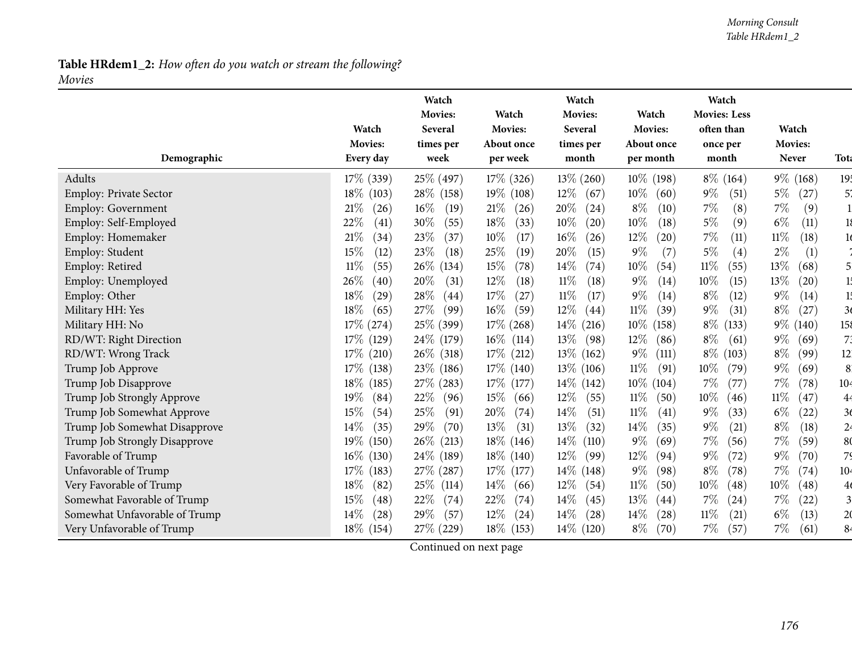#### *Morning Consult Table HRdem1\_2*

#### **Table HRdem1\_2:** *How often do you watch or stream the following? Movies*

|                               | Watch<br>Movies: | Watch<br><b>Movies:</b><br>Several | Watch<br>Movies:<br>About once | Watch<br>Movies:<br>Several | Watch<br>Movies:<br>About once | Watch<br><b>Movies: Less</b><br>often than | Watch<br><b>Movies:</b> |                 |
|-------------------------------|------------------|------------------------------------|--------------------------------|-----------------------------|--------------------------------|--------------------------------------------|-------------------------|-----------------|
| Demographic                   | Every day        | times per<br>week                  | per week                       | times per<br>month          | per month                      | once per<br>month                          | <b>Never</b>            | <b>Tota</b>     |
| Adults                        | 17\% (339)       | 25\% (497)                         | $17\%$ (326)                   | $13\% (260)$                | $10\%$ (198)                   | $8\%$ (164)                                | $9\%$ (168)             | 19 <sup>t</sup> |
| <b>Employ: Private Sector</b> | $18\%$ (103)     | 28\% (158)                         | $19\%$ (108)                   | $12\%$<br>(67)              | $10\%$<br>(60)                 | $9\%$<br>(51)                              | $5\%$<br>(27)           | 5.              |
| Employ: Government            | 21%<br>(26)      | $16\%$<br>(19)                     | 21%<br>(26)                    | 20%<br>(24)                 | $8\%$<br>(10)                  | $7\%$<br>(8)                               | 7%<br>(9)               |                 |
| Employ: Self-Employed         | $22\%$<br>(41)   | 30%<br>(55)                        | 18%<br>(33)                    | 10%<br>(20)                 | 10%<br>(18)                    | $5\%$<br>(9)                               | $6\%$<br>(11)           | 18              |
| Employ: Homemaker             | 21%<br>(34)      | 23\%<br>(37)                       | 10%<br>(17)                    | $16\%$<br>(26)              | $12\%$<br>(20)                 | $7\%$<br>(11)                              | 11%<br>(18)             | 16              |
| Employ: Student               | 15%<br>(12)      | 23%<br>(18)                        | 25%<br>(19)                    | 20%<br>(15)                 | 9%<br>(7)                      | $5\%$<br>(4)                               | $2\%$<br>(1)            |                 |
| Employ: Retired               | $11\%$<br>(55)   | 26\% (134)                         | 15%<br>(78)                    | 14%<br>(74)                 | $10\%$<br>(54)                 | $11\%$<br>(55)                             | 13%<br>(68)             | 5.              |
| Employ: Unemployed            | 26\%<br>(40)     | 20%<br>(31)                        | 12\%<br>(18)                   | 11%<br>(18)                 | $9\%$<br>(14)                  | $10\%$<br>(15)                             | 13%<br>(20)             | 15              |
| Employ: Other                 | 18%<br>(29)      | 28\%<br>(44)                       | 17%<br>(27)                    | $11\%$<br>(17)              | $9\%$<br>(14)                  | $8\%$<br>(12)                              | $9\%$<br>(14)           | 15              |
| Military HH: Yes              | $18\%$<br>(65)   | 27\%<br>(99)                       | $16\%$<br>(59)                 | 12%<br>(44)                 | $11\%$<br>(39)                 | $9\%$<br>(31)                              | $8\%$<br>(27)           | 3 <sub>6</sub>  |
| Military HH: No               | $17\%$ (274)     | 25% (399)                          | $17\%$ (268)                   | $14\%$ (216)                | $10\%$<br>(158)                | $8\%$<br>(133)                             | $9\%$ (<br>(140)        | 158             |
| RD/WT: Right Direction        | $17\%$ (129)     | 24\% (179)                         | $16\%$ (114)                   | $13\%$<br>(98)              | $12\%$<br>(86)                 | $8\%$<br>(61)                              | $9\%$<br>(69)           | 73              |
| RD/WT: Wrong Track            | 17\%<br>(210)    | 26% (318)                          | $17\%$ (212)                   | $13\%$ (162)                | $9\%$<br>(111)                 | $8\%$<br>(103)                             | $8\%$<br>(99)           | 12 <sub>i</sub> |
| Trump Job Approve             | 17%<br>(138)     | $23\%$ (186)                       | $17\%$ (140)                   | 13\% (106)                  | $11\%$<br>(91)                 | $10\%$<br>(79)                             | $9\%$<br>(69)           | 8               |
| Trump Job Disapprove          | 18\%<br>(185)    | 27\% (283)                         | $17\%$ (177)                   | $14\%$ (142)                | $10\%$ (104)                   | $7\%$<br>(77)                              | 7%<br>(78)              | 10 <sup>2</sup> |
| Trump Job Strongly Approve    | 19%<br>(84)      | 22\%<br>(96)                       | $15\%$<br>(66)                 | 12%<br>(55)                 | $11\%$<br>(50)                 | 10%<br>(46)                                | $11\%$<br>(47)          | 4 <sub>4</sub>  |
| Trump Job Somewhat Approve    | 15%<br>(54)      | 25\%<br>(91)                       | 20%<br>(74)                    | 14\%<br>(51)                | $11\%$<br>(41)                 | $9\%$<br>(33)                              | $6\%$<br>(22)           | 36              |
| Trump Job Somewhat Disapprove | $14\%$<br>(35)   | 29%<br>(70)                        | 13%<br>(31)                    | 13%<br>(32)                 | 14%<br>(35)                    | $9\%$<br>(21)                              | $8\%$<br>(18)           | 24              |
| Trump Job Strongly Disapprove | 19% (150)        | $26\%$ (213)                       | $18\%$ (146)                   | $14\%$<br>(110)             | $9\%$<br>(69)                  | $7\%$<br>(56)                              | $7\%$<br>(59)           | 80              |
| Favorable of Trump            | $16\%$<br>(130)  | 24\% (189)                         | $18\%$ (140)                   | $12\%$<br>(99)              | $12\%$<br>(94)                 | $9\%$<br>(72)                              | $9\%$<br>(70)           | 79              |
| Unfavorable of Trump          | 17%<br>(183)     | 27\% (287)                         | $17\%$ (177)                   | $14\%$ (148)                | $9\%$<br>(98)                  | $8\%$<br>(78)                              | $7\%$<br>(74)           | 10 <sub>4</sub> |
| Very Favorable of Trump       | 18\%<br>(82)     | $25\%$ (114)                       | $14\%$<br>(66)                 | $12\%$<br>(54)              | $11\%$<br>(50)                 | $10\%$<br>(48)                             | 10%<br>(48)             | 4 <sub>6</sub>  |
| Somewhat Favorable of Trump   | 15%<br>(48)      | 22\%<br>(74)                       | 22\%<br>(74)                   | 14%<br>(45)                 | 13%<br>(44)                    | $7\%$<br>(24)                              | 7%<br>(22)              | 3               |
| Somewhat Unfavorable of Trump | 14\%<br>(28)     | 29%<br>(57)                        | $12\%$<br>(24)                 | $14\%$<br>(28)              | $14\%$<br>(28)                 | $11\%$<br>(21)                             | $6\%$<br>(13)           | 2 <sub>0</sub>  |
| Very Unfavorable of Trump     | $18\%$ (154)     | 27\% (229)                         | $18\%$ (153)                   | 14\% (120)                  | $8\%$<br>(70)                  | $7\%$<br>(57)                              | $7\%$<br>(61)           | 8 <sup>4</sup>  |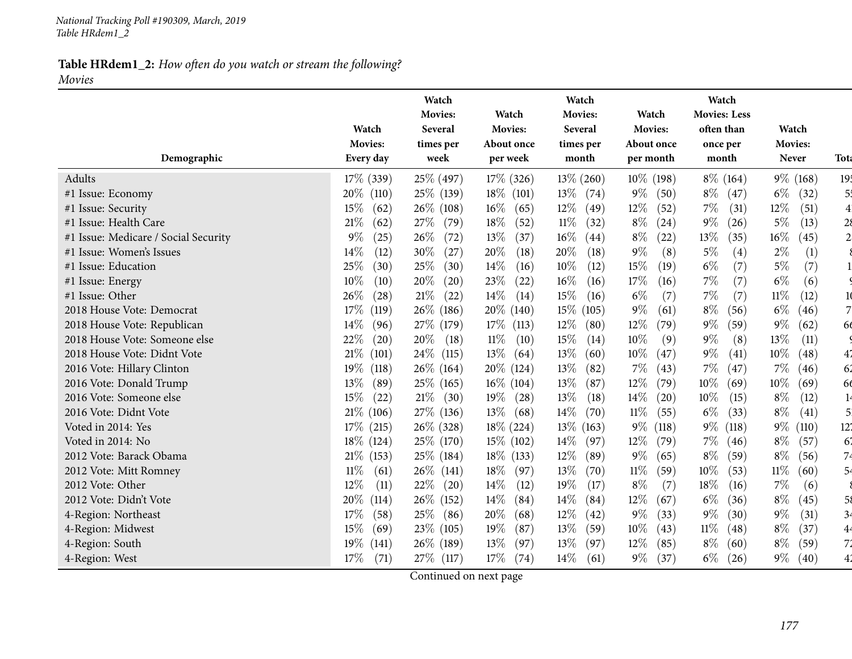#### **Table HRdem1\_2:** *How often do you watch or stream the following? Movies*

|                                      |                  | Watch                       |                              | Watch                |                              | Watch               |                         |                 |
|--------------------------------------|------------------|-----------------------------|------------------------------|----------------------|------------------------------|---------------------|-------------------------|-----------------|
|                                      |                  | <b>Movies:</b>              | Watch                        | <b>Movies:</b>       | Watch                        | <b>Movies: Less</b> |                         |                 |
|                                      | Watch<br>Movies: | <b>Several</b><br>times per | <b>Movies:</b><br>About once | Several<br>times per | <b>Movies:</b><br>About once | often than          | Watch<br><b>Movies:</b> |                 |
| Demographic                          | Every day        | week                        | per week                     | month                | per month                    | once per<br>month   | <b>Never</b>            | <b>Tota</b>     |
| Adults                               | 17\% (339)       | 25\% (497)                  | $17\%$ (326)                 | $13\% (260)$         | $10\%$ (198)                 | $8\%$ (164)         | $9\%$ (168)             | 19 <sub>1</sub> |
| #1 Issue: Economy                    | 20%<br>(110)     | 25\% (139)                  | $18\%$ (101)                 | $13\%$<br>(74)       | $9\%$<br>(50)                | $8\%$<br>(47)       | $6\%$<br>(32)           | 5!              |
| #1 Issue: Security                   | 15\%<br>(62)     | $26\%$ (108)                | $16\%$<br>(65)               | $12\%$<br>(49)       | 12%<br>(52)                  | 7%<br>(31)          | 12%<br>(51)             | $\overline{4}$  |
| #1 Issue: Health Care                | 21%<br>(62)      | 27\%<br>(79)                | 18%<br>(52)                  | $11\%$<br>(32)       | $8\%$<br>(24)                | $9\%$<br>(26)       | $5\%$<br>(13)           | $2\epsilon$     |
| #1 Issue: Medicare / Social Security | 9%<br>(25)       | 26%<br>(72)                 | 13%<br>(37)                  | $16\%$<br>(44)       | $8\%$<br>(22)                | 13%<br>(35)         | 16%<br>(45)             | $\overline{c}$  |
| #1 Issue: Women's Issues             | $14\%$<br>(12)   | $30\%$<br>(27)              | 20%<br>(18)                  | 20%<br>(18)          | $9\%$<br>(8)                 | $5\%$<br>(4)        | $2\%$<br>(1)            |                 |
| #1 Issue: Education                  | 25%<br>(30)      | 25%<br>(30)                 | $14\%$<br>(16)               | $10\%$<br>(12)       | $15\%$<br>(19)               | $6\%$<br>(7)        | $5\%$<br>(7)            |                 |
| #1 Issue: Energy                     | 10%<br>(10)      | 20%<br>(20)                 | 23\%<br>(22)                 | 16%<br>(16)          | 17\%<br>(16)                 | 7%<br>(7)           | $6\%$<br>(6)            |                 |
| #1 Issue: Other                      | 26%<br>(28)      | $21\%$<br>(22)              | 14\%<br>(14)                 | 15%<br>(16)          | $6\%$<br>(7)                 | $7\%$<br>(7)        | $11\%$<br>(12)          | 10              |
| 2018 House Vote: Democrat            | 17%<br>(119)     | $26\%$ (186)                | $20\%$ (140)                 | $15\%$<br>(105)      | $9\%$<br>(61)                | $8\%$<br>(56)       | $6\%$<br>(46)           | 7               |
| 2018 House Vote: Republican          | 14\%<br>(96)     | 27\% (179)                  | $17\%$ (113)                 | $12\%$<br>(80)       | $12\%$<br>(79)               | $9\%$<br>(59)       | $9\%$<br>(62)           | 66              |
| 2018 House Vote: Someone else        | 22%<br>(20)      | 20%<br>(18)                 | $11\%$<br>(10)               | 15%<br>(14)          | 10%<br>(9)                   | $9\%$<br>(8)        | 13%<br>(11)             |                 |
| 2018 House Vote: Didnt Vote          | 21%<br>(101)     | $24\%$ (115)                | $13\%$<br>(64)               | 13%<br>(60)          | 10%<br>(47)                  | $9\%$<br>(41)       | 10%<br>(48)             | 47              |
| 2016 Vote: Hillary Clinton           | 19%<br>(118)     | 26% (164)                   | $20\%$ (124)                 | 13\%<br>(82)         | $7\%$<br>(43)                | $7\%$<br>(47)       | $7\%$<br>(46)           | 62              |
| 2016 Vote: Donald Trump              | 13%<br>(89)      | 25\% (165)                  | $16\%$ (104)                 | 13%<br>(87)          | $12\%$<br>(79)               | $10\%$<br>(69)      | 10%<br>(69)             | 66              |
| 2016 Vote: Someone else              | 15%<br>(22)      | $21\%$<br>(30)              | $19\%$<br>(28)               | 13%<br>(18)          | 14%<br>(20)                  | 10%<br>(15)         | $8\%$<br>(12)           | 14              |
| 2016 Vote: Didnt Vote                | 21\%<br>(106)    | 27\% (136)                  | 13\%<br>(68)                 | 14%<br>(70)          | $11\%$<br>(55)               | $6\%$<br>(33)       | $8\%$<br>(41)           | 5 <sup>1</sup>  |
| Voted in 2014: Yes                   | $17\%$ (215)     | $26\%$ (328)                | $18\%$ (224)                 | $13\%$<br>(163)      | $9\%$<br>(118)               | $9\%$<br>(118)      | $9\%$<br>(110)          | 127             |
| Voted in 2014: No                    | 18\% (124)       | 25\% (170)                  | $15\%$ (102)                 | $14\%$<br>(97)       | 12%<br>(79)                  | $7\%$<br>(46)       | $8\%$<br>(57)           | 67              |
| 2012 Vote: Barack Obama              | 21%<br>(153)     | 25\% (184)                  | $18\%$ (133)                 | $12\%$<br>(89)       | $9\%$<br>(65)                | $8\%$<br>(59)       | $8\%$<br>(56)           | 74              |
| 2012 Vote: Mitt Romney               | $11\%$<br>(61)   | $26\%$ (141)                | $18\%$<br>(97)               | 13%<br>(70)          | $11\%$<br>(59)               | 10%<br>(53)         | $11\%$<br>(60)          | 54              |
| 2012 Vote: Other                     | 12%<br>(11)      | 22\%<br>(20)                | $14\%$<br>(12)               | 19%<br>(17)          | $8\%$<br>(7)                 | 18%<br>(16)         | 7%<br>(6)               |                 |
| 2012 Vote: Didn't Vote               | 20%<br>(114)     | $26\%$ (152)                | 14\%<br>(84)                 | 14%<br>(84)          | 12%<br>(67)                  | $6\%$<br>(36)       | $8\%$<br>(45)           | 58              |
| 4-Region: Northeast                  | 17%<br>(58)      | 25\%<br>(86)                | 20%<br>(68)                  | $12\%$<br>(42)       | 9%<br>(33)                   | $9\%$<br>(30)       | $9\%$<br>(31)           | 34              |
| 4-Region: Midwest                    | 15%<br>(69)      | 23\% (105)                  | 19%<br>(87)                  | 13%<br>(59)          | 10%<br>(43)                  | $11\%$<br>(48)      | $8\%$<br>(37)           | 4 <sub>4</sub>  |
| 4-Region: South                      | 19%<br>(141)     | $26\%$ (189)                | $13\%$<br>(97)               | $13\%$<br>(97)       | 12%<br>(85)                  | $8\%$<br>(60)       | $8\%$<br>(59)           | 7 <sup>2</sup>  |
| 4-Region: West                       | 17%<br>(71)      | 27\% (117)                  | 17%<br>(74)                  | 14%<br>(61)          | $9\%$<br>(37)                | $6\%$<br>(26)       | $9\%$<br>(40)           | 42              |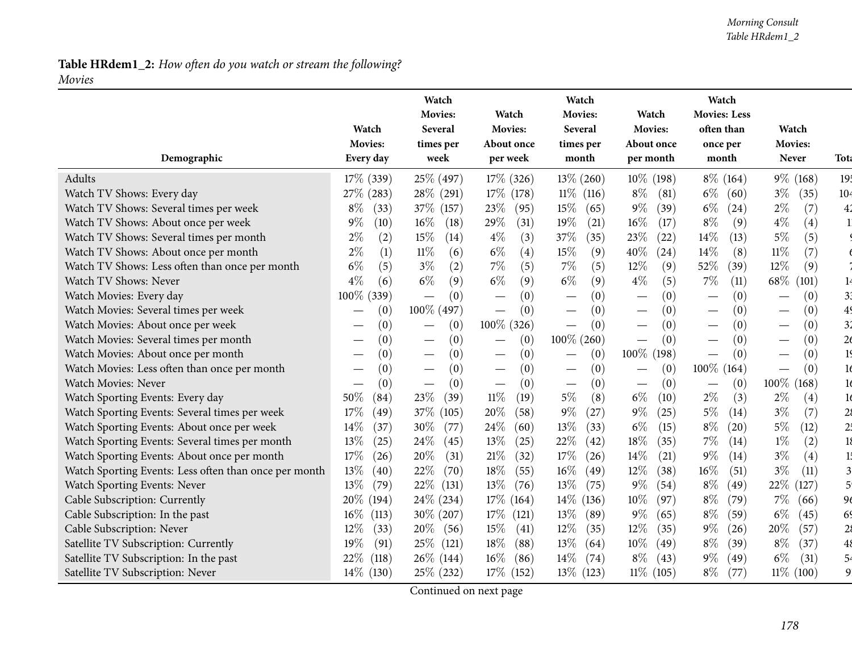#### *Morning Consult Table HRdem1\_2*

#### **Table HRdem1\_2:** *How often do you watch or stream the following? Movies*

|                                                       |                 | Watch                           |                                 | Watch                                |                                 | Watch                                |                                 |                         |
|-------------------------------------------------------|-----------------|---------------------------------|---------------------------------|--------------------------------------|---------------------------------|--------------------------------------|---------------------------------|-------------------------|
|                                                       | Watch           | <b>Movies:</b><br>Several       | Watch<br>Movies:                | Movies:<br>Several                   | Watch<br><b>Movies:</b>         | <b>Movies: Less</b><br>often than    | Watch                           |                         |
|                                                       | <b>Movies:</b>  | times per                       | About once                      | times per                            | About once                      | once per                             | <b>Movies:</b>                  |                         |
| Demographic                                           | Every day       | week                            | per week                        | month                                | per month                       | month                                | <b>Never</b>                    | <b>Tota</b>             |
| Adults                                                | $17\%$ (339)    | 25\% (497)                      | $17\%$ (326)                    | $13\% (260)$                         | $10\%$ (198)                    | $8\%$ (164)                          | $9\%$ (168)                     | 19 <sup>t</sup>         |
| Watch TV Shows: Every day                             | 27% (283)       | 28\% (291)                      | 17\% (178)                      | $11\%$<br>(116)                      | $8\%$<br>(81)                   | $6\%$<br>(60)                        | $3\%$<br>(35)                   | 10 <sub>4</sub>         |
| Watch TV Shows: Several times per week                | $8\%$<br>(33)   | 37% (157)                       | 23\%<br>(95)                    | 15%<br>(65)                          | $9\%$<br>(39)                   | $6\%$<br>(24)                        | (7)<br>$2\%$                    | 4 <sup>′</sup>          |
| Watch TV Shows: About once per week                   | 9%<br>(10)      | $16\%$<br>(18)                  | 29%<br>(31)                     | 19%<br>(21)                          | $16\%$<br>(17)                  | $8\%$<br>(9)                         | $4\%$<br>(4)                    |                         |
| Watch TV Shows: Several times per month               | $2\%$<br>(2)    | 15%<br>(14)                     | $4\%$<br>(3)                    | $37\%$<br>(35)                       | 23%<br>(22)                     | 14\%<br>(13)                         | $5\%$<br>(5)                    |                         |
| Watch TV Shows: About once per month                  | $2\%$<br>(1)    | 11%<br>(6)                      | $6\%$<br>(4)                    | 15%<br>(9)                           | 40%<br>(24)                     | 14\%<br>(8)                          | $11\%$<br>(7)                   |                         |
| Watch TV Shows: Less often than once per month        | $6\%$<br>(5)    | $3\%$<br>(2)                    | 7%<br>(5)                       | $7\%$<br>(5)                         | 12%<br>(9)                      | 52%<br>(39)                          | 12%<br>(9)                      |                         |
| Watch TV Shows: Never                                 | $4\%$<br>(6)    | $6\%$<br>(9)                    | (9)<br>$6\%$                    | $6\%$<br>(9)                         | $4\%$<br>(5)                    | $7\%$<br>(11)                        | 68\%<br>(101)                   | 14                      |
| Watch Movies: Every day                               | 100\% (339)     | (0)<br>$\overline{\phantom{m}}$ | (0)<br>$\overline{\phantom{m}}$ | (0)                                  | (0)                             | (0)                                  | (0)<br>$\overline{\phantom{0}}$ | 3 <sup>2</sup>          |
| Watch Movies: Several times per week                  | (0)             | 100\% (497)                     | (0)<br>$\overline{\phantom{m}}$ | (0)                                  | (0)                             | (0)                                  | (0)                             | 49                      |
| Watch Movies: About once per week                     | (0)             | (0)<br>$\overline{\phantom{m}}$ | 100\% (326)                     | (0)                                  | (0)                             | (0)                                  | (0)                             | 3 <sup>2</sup>          |
| Watch Movies: Several times per month                 | (0)             | (0)                             | (0)                             | 100\% (260)                          | (0)                             | (0)                                  | (0)<br>$\overline{\phantom{0}}$ | 2 <sub>6</sub>          |
| Watch Movies: About once per month                    | (0)             | (0)                             | (0)                             | (0)<br>$\overline{\phantom{0}}$      | $100\%$ (198)                   | (0)                                  | (0)                             | 19                      |
| Watch Movies: Less often than once per month          | (0)             | (0)                             | (0)                             | (0)                                  | (0)                             | $100\%$ (164)                        | (0)                             | 16                      |
| Watch Movies: Never                                   | (0)             | (0)<br>$\overline{\phantom{m}}$ | (0)<br>$\overline{\phantom{m}}$ | (0)<br>$\overbrace{\phantom{13333}}$ | (0)<br>$\overline{\phantom{m}}$ | (0)<br>$\overbrace{\phantom{13333}}$ | $100\%$<br>(168)                | 16                      |
| Watch Sporting Events: Every day                      | 50%<br>(84)     | 23%<br>(39)                     | $11\%$<br>(19)                  | $5\%$<br>(8)                         | $6\%$<br>(10)                   | $2\%$<br>(3)                         | $2\%$<br>(4)                    | 1 <sub>0</sub>          |
| Watch Sporting Events: Several times per week         | 17%<br>(49)     | 37\% (105)                      | 20%<br>(58)                     | $9\%$<br>(27)                        | $9\%$<br>(25)                   | $5\%$<br>(14)                        | $3\%$<br>(7)                    | 2 <sub>8</sub>          |
| Watch Sporting Events: About once per week            | 14%<br>(37)     | 30%<br>(77)                     | $24\%$<br>(60)                  | 13%<br>(33)                          | $6\%$<br>(15)                   | $8\%$<br>(20)                        | $5\%$<br>(12)                   | 2!                      |
| Watch Sporting Events: Several times per month        | 13%<br>(25)     | 24\%<br>(45)                    | $13\%$<br>(25)                  | 22%<br>(42)                          | 18%<br>(35)                     | 7%<br>(14)                           | $1\%$<br>(2)                    | 18                      |
| Watch Sporting Events: About once per month           | 17%<br>(26)     | 20%<br>(31)                     | 21%<br>(32)                     | 17%<br>(26)                          | 14\%<br>(21)                    | $9\%$<br>(14)                        | $3\%$<br>(4)                    | 14                      |
| Watch Sporting Events: Less often than once per month | 13%<br>(40)     | 22%<br>(70)                     | $18\%$<br>(55)                  | $16\%$<br>(49)                       | 12%<br>(38)                     | 16%<br>(51)                          | $3\%$<br>(11)                   | $\overline{\mathbf{3}}$ |
| Watch Sporting Events: Never                          | 13%<br>(79)     | 22\%<br>(131)                   | 13\%<br>(76)                    | 13%<br>(75)                          | $9\%$<br>(54)                   | $8\%$<br>(49)                        | 22\%<br>(127)                   | 5                       |
| Cable Subscription: Currently                         | $20\%$ (194)    | 24\% (234)                      | $17\%$ (164)                    | $14\%$ (136)                         | 10%<br>(97)                     | $8\%$<br>(79)                        | $7\%$<br>(66)                   | 96                      |
| Cable Subscription: In the past                       | $16\%$<br>(113) | $30\% (207)$                    | $17\%$<br>(121)                 | $13\%$<br>(89)                       | $9\%$<br>(65)                   | $8\%$<br>(59)                        | $6\%$<br>(45)                   | 69                      |
| Cable Subscription: Never                             | 12%<br>(33)     | $20\%$<br>(56)                  | 15%<br>(41)                     | $12\%$<br>(35)                       | 12%<br>(35)                     | $9\%$<br>(26)                        | $20\%$<br>(57)                  | 2 <sub>8</sub>          |
| Satellite TV Subscription: Currently                  | 19%<br>(91)     | $25\%$ (121)                    | 18%<br>(88)                     | 13%<br>(64)                          | $10\%$<br>(49)                  | $8\%$<br>(39)                        | $8\%$<br>(37)                   | 48                      |
| Satellite TV Subscription: In the past                | 22%<br>(118)    | $26\%$ (144)                    | $16\%$<br>(86)                  | $14\%$<br>(74)                       | $8\%$<br>(43)                   | $9\%$<br>(49)                        | $6\%$<br>(31)                   | 54                      |
| Satellite TV Subscription: Never                      | $14\%$ (130)    | 25\% (232)                      | $17\%$ (152)                    | $13\%$ (123)                         | $11\%$ (105)                    | $8\%$<br>(77)                        | $11\%$ (100)                    | 9 <sub>1</sub>          |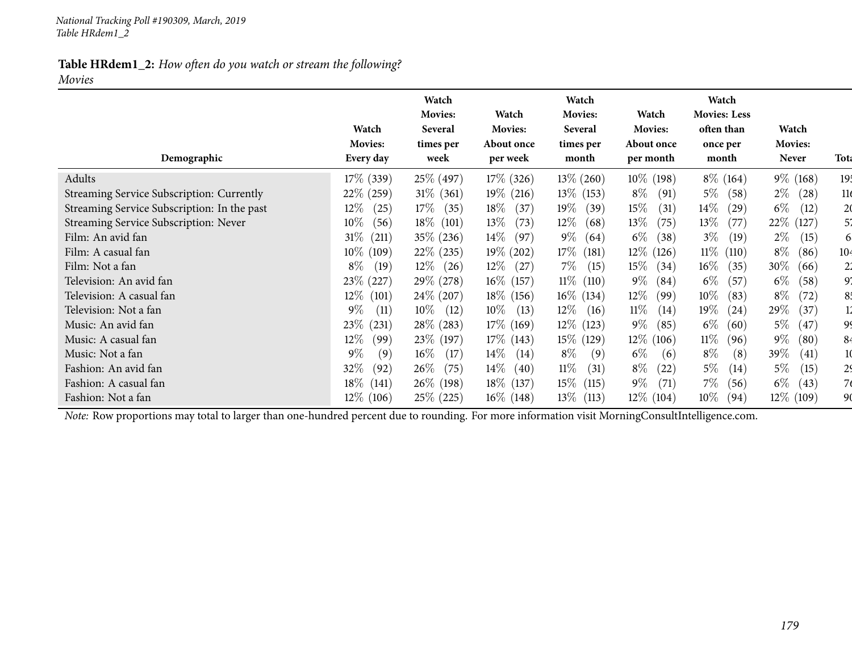#### **Table HRdem1\_2:** *How often do you watch or stream the following? Movies*

| Demographic                                 | Watch<br><b>Movies:</b><br>Every day | Watch<br><b>Movies:</b><br>Several<br>times per<br>week | Watch<br><b>Movies:</b><br>About once<br>per week | Watch<br><b>Movies:</b><br>Several<br>times per<br>month | Watch<br><b>Movies:</b><br>About once<br>per month | Watch<br><b>Movies: Less</b><br>often than<br>once per<br>month | Watch<br>Movies:<br><b>Never</b> | <b>Tota</b>     |
|---------------------------------------------|--------------------------------------|---------------------------------------------------------|---------------------------------------------------|----------------------------------------------------------|----------------------------------------------------|-----------------------------------------------------------------|----------------------------------|-----------------|
|                                             |                                      |                                                         |                                                   |                                                          |                                                    |                                                                 |                                  |                 |
| Adults                                      | 17\% (339)                           | 25\% (497)                                              | $17\%$ (326)                                      | $13\%$ (260)                                             | $10\%$ (198)                                       | $8\%$ (164)                                                     | $9\%$ (168)                      | 19 <sup>t</sup> |
| Streaming Service Subscription: Currently   | 22\% (259)                           | $31\%$ (361)                                            | $19\%$ (216)                                      | $13\%$ (153)                                             | $8\%$<br>(91)                                      | $5\%$<br>(58)                                                   | $2\%$<br>(28)                    | 116             |
| Streaming Service Subscription: In the past | 12%<br>(25)                          | $17\%$<br>(35)                                          | $18\%$<br>(37)                                    | $19\%$<br>(39)                                           | $15\%$<br>(31)                                     | $14\%$<br>(29)                                                  | $6\%$<br>(12)                    | 20              |
| Streaming Service Subscription: Never       | $10\%$<br>(56)                       | $18\%$ (101)                                            | $13\%$<br>(73)                                    | $12\%$<br>(68)                                           | 13\%<br>(75)                                       | $13\%$<br>(77)                                                  | $22\%$<br>(127)                  | 51              |
| Film: An avid fan                           | $31\%$ (211)                         | 35\% (236)                                              | $14\%$<br>(97)                                    | $9\%$<br>(64)                                            | $6\%$<br>(38)                                      | $3\%$<br>(19)                                                   | $2\%$<br>(15)                    | 61              |
| Film: A casual fan                          | $10\%$ (109)                         | $22\%$ (235)                                            | $19\%$ (202)                                      | $17\%$<br>(181)                                          | $12\%$ (126)                                       | $11\%$<br>(110)                                                 | $8\%$<br>(86)                    | 10 <sup>2</sup> |
| Film: Not a fan                             | $8\%$<br>(19)                        | $12\%$<br>(26)                                          | $12\%$<br>(27)                                    | $7\%$<br>(15)                                            | $15\%$<br>(34)                                     | $16\%$<br>(35)                                                  | 30\%<br>(66)                     | 2 <sup>1</sup>  |
| Television: An avid fan                     | 23\% (227)                           | 29\% (278)                                              | $16\%$ (157)                                      | $11\%$ (110)                                             | $9\%$<br>(84)                                      | $6\%$<br>(57)                                                   | $6\%$<br>(58)                    | 91              |
| Television: A casual fan                    | $12\%$<br>(101)                      | $24\%$ (207)                                            | $18\%$ (156)                                      | $16\%$ (134)                                             | $12\%$<br>(99)                                     | $10\%$<br>(83)                                                  | $8\%$<br>(72)                    | 85              |
| Television: Not a fan                       | $9\%$<br>(11)                        | $10\%$<br>(12)                                          | $10\%$<br>(13)                                    | $12\%$<br>(16)                                           | $11\%$<br>(14)                                     | $19\%$<br>(24)                                                  | 29\%<br>(37)                     | Ľ               |
| Music: An avid fan                          | 23\% (231)                           | 28\% (283)                                              | $17\%$ (169)                                      | $12\%$<br>(123)                                          | $9\%$<br>(85)                                      | $6\%$<br>(60)                                                   | $5\%$<br>(47)                    | 99              |
| Music: A casual fan                         | $12\%$<br>(99)                       | 23\% (197)                                              | $17\%$ (143)                                      | 15\% (129)                                               | $12\%$ (106)                                       | $11\%$<br>(96)                                                  | $9\%$<br>(80)                    | 84              |
| Music: Not a fan                            | $9\%$<br>(9)                         | $16\%$<br>(17)                                          | $14\%$<br>(14)                                    | $8\%$<br>(9)                                             | $6\%$<br>(6)                                       | $8\%$<br>(8)                                                    | 39\%<br>(41)                     | 10              |
| Fashion: An avid fan                        | 32\%<br>(92)                         | $26\%$<br>(75)                                          | $14\%$<br>(40)                                    | $11\%$<br>(31)                                           | $8\%$<br>(22)                                      | $5\%$<br>(14)                                                   | $5\%$<br>(15)                    | 29              |
| Fashion: A casual fan                       | $18\%$ (141)                         | $26\%$ (198)                                            | $18\%$ (137)                                      | $15\%$ (115)                                             | $9\%$<br>(71)                                      | $7\%$<br>(56)                                                   | $6\%$<br>(43)                    | 76              |
| Fashion: Not a fan                          | 12\% (106)                           | 25\% (225)                                              | $16\%$ (148)                                      | $13\%$<br>(113)                                          | $12\%$ (104)                                       | $10\%$<br>(94)                                                  | $12\%$ (109)                     | 90              |

*Note:* Row proportions may total to larger than one-hundred percen<sup>t</sup> due to rounding. For more information visit [MorningConsultIntelligence.com](https://morningconsultintelligence.com).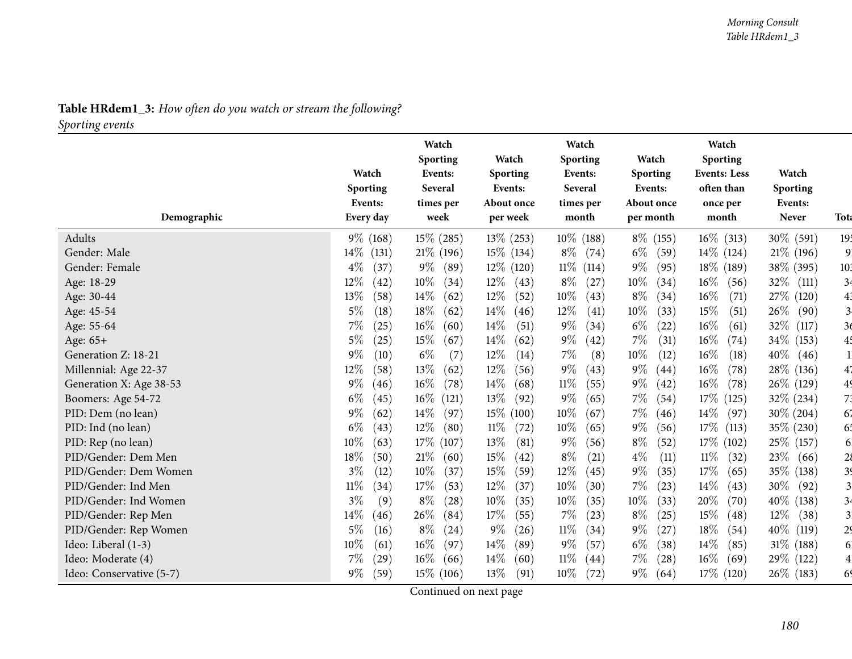|                 | <b>Table HRdem1_3:</b> How often do you watch or stream the following? |  |
|-----------------|------------------------------------------------------------------------|--|
| Sporting events |                                                                        |  |

|                          | Watch<br>Sporting    | Watch<br><b>Sporting</b><br>Events:<br>Several | Watch<br><b>Sporting</b><br>Events: | Watch<br><b>Sporting</b><br>Events:<br>Several | Watch<br>Sporting<br>Events: | Watch<br><b>Sporting</b><br><b>Events: Less</b><br>often than | Watch<br>Sporting |                 |
|--------------------------|----------------------|------------------------------------------------|-------------------------------------|------------------------------------------------|------------------------------|---------------------------------------------------------------|-------------------|-----------------|
| Demographic              | Events:<br>Every day | times per<br>week                              | About once<br>per week              | times per<br>month                             | About once<br>per month      | once per<br>month                                             | Events:<br>Never  | Tota            |
| Adults                   | $9\%$ (168)          | $15\%$ (285)                                   | $13\%$ (253)                        | $10\%$ (188)                                   | $8\%$ (155)                  | $16\%$ (313)                                                  | 30\% (591)        | 19 <sup>t</sup> |
| Gender: Male             | $14\%$<br>(131)      | $21\%$ (196)                                   | $15\%$ (134)                        | $8\%$<br>(74)                                  | $6\%$<br>(59)                | $14\%$ (124)                                                  | $21\%$ (196)      | 91              |
| Gender: Female           | $4\%$<br>(37)        | $9\%$<br>(89)                                  | $12\%$ (120)                        | $11\%$<br>(114)                                | $9\%$<br>(95)                | $18\%$ (189)                                                  | 38\% (395)        | 103             |
| Age: 18-29               | $12\%$<br>(42)       | $10\%$<br>(34)                                 | $12\%$<br>(43)                      | $8\%$<br>(27)                                  | 10%<br>(34)                  | $16\%$<br>(56)                                                | 32\%<br>(111)     | 34              |
| Age: 30-44               | 13%<br>(58)          | 14\%<br>(62)                                   | 12%<br>(52)                         | 10%<br>(43)                                    | $8\%$<br>(34)                | 16%<br>(71)                                                   | 27\% (120)        | 4 <sup>3</sup>  |
| Age: 45-54               | $5\%$<br>(18)        | 18\%<br>(62)                                   | $14\%$<br>(46)                      | 12%<br>(41)                                    | $10\%$<br>(33)               | $15\%$<br>$\left( 51\right)$                                  | 26\%<br>(90)      | 3 <sub>1</sub>  |
| Age: 55-64               | $7\%$<br>(25)        | $16\%$<br>(60)                                 | 14\%<br>(51)                        | $9\%$<br>(34)                                  | $6\%$<br>(22)                | 16%<br>(61)                                                   | 32\%<br>(117)     | 36              |
| Age: 65+                 | $5\%$<br>(25)        | 15%<br>(67)                                    | $14\%$<br>(62)                      | $9\%$<br>(42)                                  | $7\%$<br>(31)                | $16\%$<br>(74)                                                | 34\% (153)        | 4 <sup>t</sup>  |
| Generation Z: 18-21      | $9\%$<br>(10)        | $6\%$<br>(7)                                   | 12%<br>(14)                         | 7%<br>(8)                                      | 10%<br>(12)                  | 16%<br>(18)                                                   | $40\%$<br>(46)    | $\mathbf{1}$    |
| Millennial: Age 22-37    | $12\%$<br>(58)       | 13%<br>(62)                                    | $12\%$<br>(56)                      | $9\%$<br>(43)                                  | $9\%$<br>(44)                | 16%<br>(78)                                                   | 28\% (136)        | 4 <sub>1</sub>  |
| Generation X: Age 38-53  | $9\%$<br>(46)        | $16\%$<br>(78)                                 | $14\%$<br>(68)                      | 11%<br>(55)                                    | $9\%$<br>(42)                | $16\%$<br>(78)                                                | $26\%$ (129)      | 49              |
| Boomers: Age 54-72       | $6\%$<br>(45)        | $16\%$<br>(121)                                | 13\%<br>(92)                        | $9\%$<br>(65)                                  | $7\%$<br>(54)                | $17\%$ (125)                                                  | 32% (234)         | 73              |
| PID: Dem (no lean)       | $9\%$<br>(62)        | $14\%$<br>(97)                                 | $15\%$ (100)                        | 10%<br>(67)                                    | $7\%$<br>(46)                | 14\%<br>(97)                                                  | $30\% (204)$      | 67              |
| PID: Ind (no lean)       | $6\%$<br>(43)        | $12\%$<br>(80)                                 | $11\%$<br>(72)                      | 10%<br>(65)                                    | $9\%$<br>(56)                | $17\%$<br>(113)                                               | 35% (230)         | 6 <sup>1</sup>  |
| PID: Rep (no lean)       | 10%<br>(63)          | 17%<br>(107)                                   | 13%<br>(81)                         | $9\%$<br>(56)                                  | $8\%$<br>(52)                | $17\%$ (102)                                                  | 25\% (157)        | 6               |
| PID/Gender: Dem Men      | 18%<br>(50)          | 21%<br>(60)                                    | 15%<br>(42)                         | $8\%$<br>(21)                                  | $4\%$<br>(11)                | $11\%$<br>(32)                                                | 23\%<br>(66)      | 28              |
| PID/Gender: Dem Women    | $3\%$<br>(12)        | $10\%$<br>(37)                                 | 15%<br>(59)                         | 12%<br>(45)                                    | $9\%$<br>(35)                | 17\%<br>(65)                                                  | 35\% (138)        | 39              |
| PID/Gender: Ind Men      | $11\%$<br>(34)       | 17%<br>(53)                                    | $12\%$<br>(37)                      | $10\%$<br>(30)                                 | $7\%$<br>(23)                | 14\%<br>(43)                                                  | $30\%$<br>(92)    | $\overline{3}$  |
| PID/Gender: Ind Women    | $3\%$<br>(9)         | $8\%$<br>(28)                                  | $10\%$<br>(35)                      | 10%<br>(35)                                    | 10%<br>(33)                  | 20%<br>(70)                                                   | 40\% (138)        | 3 <sup>4</sup>  |
| PID/Gender: Rep Men      | $14\%$<br>(46)       | 26%<br>(84)                                    | 17%<br>(55)                         | $7\%$<br>(23)                                  | $8\%$<br>(25)                | 15%<br>(48)                                                   | 12\%<br>(38)      | 3 <sup>i</sup>  |
| PID/Gender: Rep Women    | $5\%$<br>(16)        | $8\%$<br>(24)                                  | $9\%$<br>(26)                       | $11\%$<br>(34)                                 | $9\%$<br>(27)                | 18%<br>(54)                                                   | $40\%$<br>(119)   | 2 <sub>5</sub>  |
| Ideo: Liberal (1-3)      | 10%<br>(61)          | $16\%$<br>(97)                                 | $14\%$<br>(89)                      | $9\%$<br>(57)                                  | $6\%$<br>(38)                | 14\%<br>(85)                                                  | $31\%$ (188)      | 6               |
| Ideo: Moderate (4)       | $7\%$<br>(29)        | $16\%$<br>(66)                                 | $14\%$<br>(60)                      | $11\%$<br>(44)                                 | 7%<br>(28)                   | $16\%$<br>(69)                                                | 29\% (122)        | $\overline{4}$  |
| Ideo: Conservative (5-7) | $9\%$<br>(59)        | $15\%$ (106)                                   | 13%<br>(91)                         | $10\%$<br>(72)                                 | $9\%$<br>(64)                | 17\% (120)                                                    | 26\% (183)        | 69              |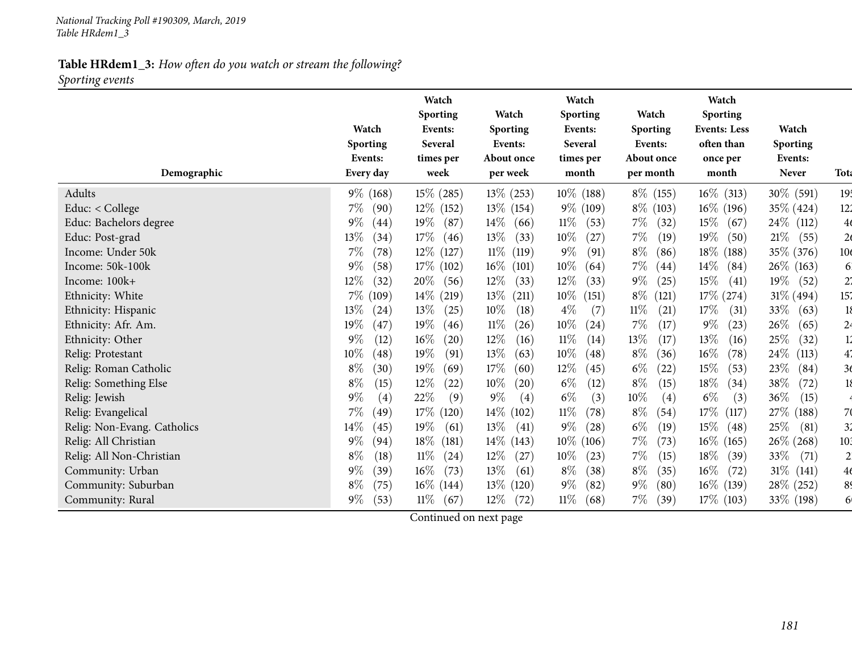### **Table HRdem1\_3:** *How often do you watch or stream the following? Sporting events*

|                             |                | Watch<br>Sporting | Watch           | Watch<br>Sporting | Watch           | Watch<br>Sporting   |                |                 |
|-----------------------------|----------------|-------------------|-----------------|-------------------|-----------------|---------------------|----------------|-----------------|
|                             | Watch          | Events:           | Sporting        | Events:           | <b>Sporting</b> | <b>Events: Less</b> | Watch          |                 |
|                             | Sporting       | Several           | Events:         | Several           | Events:         | often than          | Sporting       |                 |
|                             | Events:        | times per         | About once      | times per         | About once      | once per            | Events:        |                 |
| Demographic                 | Every day      | week              | per week        | month             | per month       | month               | <b>Never</b>   | <b>Tota</b>     |
| Adults                      | $9\%$ (168)    | $15\%$ (285)      | $13\%$ (253)    | $10\%$ (188)      | $8\%$ (155)     | $16\%$ (313)        | $30\%$ (591)   | 19 <sup>t</sup> |
| Educ: < College             | $7\%$<br>(90)  | $12\%$ (152)      | $13\%$ (154)    | $9\%$ (109)       | 8% (103)        | $16\%$ (196)        | $35\%$ (424)   | 122             |
| Educ: Bachelors degree      | $9\%$<br>(44)  | $19\%$<br>(87)    | $14\%$<br>(66)  | $11\%$<br>(53)    | $7\%$<br>(32)   | $15\%$<br>(67)      | 24\% (112)     | 46              |
| Educ: Post-grad             | $13\%$<br>(34) | $17\%$<br>(46)    | 13\%<br>(33)    | $10\%$<br>(27)    | $7\%$<br>(19)   | $19\%$<br>(50)      | $21\%$<br>(55) | 2 <sub>6</sub>  |
| Income: Under 50k           | 7%<br>(78)     | 12\% (127)        | $11\%$<br>(119) | $9\%$<br>(91)     | $8\%$<br>(86)   | $18\%$ (188)        | 35% (376)      | 10 <sub>6</sub> |
| Income: 50k-100k            | $9\%$<br>(58)  | $17\%$ (102)      | $16\%$<br>(101) | $10\%$<br>(64)    | $7\%$<br>(44)   | $14\%$<br>(84)      | $26\%$ (163)   | 6               |
| Income: 100k+               | 12%<br>(32)    | 20%<br>(56)       | $12\%$<br>(33)  | 12%<br>(33)       | $9\%$<br>(25)   | $15\%$<br>(41)      | $19\%$<br>(52) | 2 <sub>1</sub>  |
| Ethnicity: White            | 7%<br>(109)    | $14\%$ (219)      | $13\%$<br>(211) | $10\%$<br>(151)   | $8\%$<br>(121)  | $17\%$ (274)        | $31\%$ (494)   | 157             |
| Ethnicity: Hispanic         | $13\%$<br>(24) | $13\%$<br>(25)    | $10\%$<br>(18)  | $4\%$<br>(7)      | $11\%$<br>(21)  | $17\%$<br>(31)      | 33\%<br>(63)   | 18              |
| Ethnicity: Afr. Am.         | 19%<br>(47)    | 19%<br>(46)       | $11\%$<br>(26)  | 10%<br>(24)       | $7\%$<br>(17)   | $9\%$<br>(23)       | $26\%$<br>(65) | 24              |
| Ethnicity: Other            | $9\%$<br>(12)  | $16\%$<br>(20)    | $12\%$<br>(16)  | $11\%$<br>(14)    | $13\%$<br>(17)  | $13\%$<br>(16)      | $25\%$<br>(32) | 12              |
| Relig: Protestant           | 10%<br>(48)    | 19%<br>(91)       | 13\%<br>(63)    | 10%<br>(48)       | $8\%$<br>(36)   | $16\%$<br>(78)      | 24\%<br>(113)  | 41              |
| Relig: Roman Catholic       | $8\%$<br>(30)  | 19%<br>(69)       | 17%<br>(60)     | $12\%$<br>(45)    | $6\%$<br>(22)   | 15%<br>(53)         | 23%<br>(84)    | 36              |
| Relig: Something Else       | $8\%$<br>(15)  | $12\%$<br>(22)    | $10\%$<br>(20)  | $6\%$<br>(12)     | $8\%$<br>(15)   | $18\%$<br>(34)      | 38\%<br>(72)   | 18              |
| Relig: Jewish               | 9%<br>(4)      | 22%<br>(9)        | $9\%$<br>(4)    | $6\%$<br>(3)      | $10\%$<br>(4)   | $6\%$<br>(3)        | 36\%<br>(15)   |                 |
| Relig: Evangelical          | 7%<br>(49)     | 17\% (120)        | $14\%$ (102)    | $11\%$<br>(78)    | $8\%$<br>(54)   | $17\%$<br>(117)     | 27%<br>(188)   | 7               |
| Relig: Non-Evang. Catholics | $14\%$<br>(45) | 19%<br>(61)       | 13\%<br>(41)    | $9\%$<br>(28)     | $6\%$<br>(19)   | $15\%$<br>(48)      | 25\%<br>(81)   | 3 <sub>2</sub>  |
| Relig: All Christian        | $9\%$<br>(94)  | $18\%$<br>(181)   | $14\%$ (143)    | $10\%$<br>(106)   | 7%<br>(73)      | $16\%$ (165)        | $26\%$ (268)   | 103             |
| Relig: All Non-Christian    | $8\%$<br>(18)  | $11\%$<br>(24)    | $12\%$<br>(27)  | $10\%$<br>(23)    | $7\%$<br>(15)   | $18\%$<br>(39)      | 33\%<br>(71)   | $\overline{2}$  |
| Community: Urban            | $9\%$<br>(39)  | $16\%$<br>(73)    | $13\%$<br>(61)  | $8\%$<br>(38)     | $8\%$<br>(35)   | $16\%$<br>(72)      | 31% (141)      | 46              |
| Community: Suburban         | $8\%$<br>(75)  | $16\%$ (144)      | $13\%$ (120)    | $9\%$<br>(82)     | $9\%$<br>(80)   | $16\%$ (139)        | $28\%$ (252)   | 89              |
| Community: Rural            | $9\%$<br>(53)  | $11\%$<br>(67)    | $12\%$<br>(72)  | $11\%$<br>(68)    | $7\%$<br>(39)   | 17\% (103)          | 33% (198)      | 61              |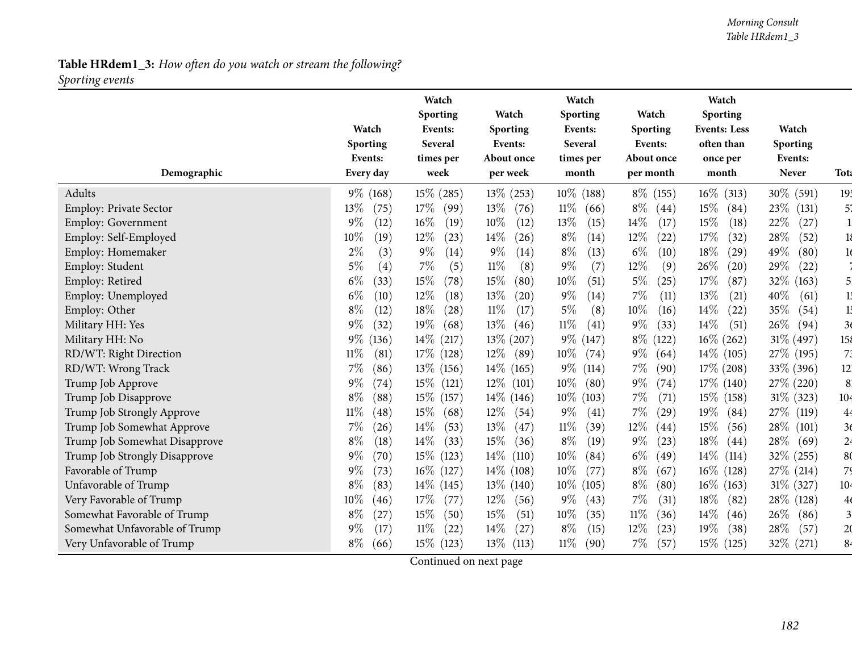#### *Morning Consult Table HRdem1\_3*

# **Table HRdem1\_3:** *How often do you watch or stream the following? Sporting events*

|                               | Watch<br>Sporting    | Watch<br>Sporting<br>Events:<br>Several | Watch<br>Sporting<br>Events: | Watch<br>Sporting<br>Events:<br>Several | Watch<br><b>Sporting</b><br>Events: | Watch<br>Sporting<br><b>Events: Less</b><br>often than | Watch<br>Sporting       |                         |
|-------------------------------|----------------------|-----------------------------------------|------------------------------|-----------------------------------------|-------------------------------------|--------------------------------------------------------|-------------------------|-------------------------|
| Demographic                   | Events:<br>Every day | times per<br>week                       | About once<br>per week       | times per<br>month                      | About once<br>per month             | once per<br>month                                      | Events:<br><b>Never</b> | Tota                    |
| Adults                        | $9\%$ (168)          | $15\%$ (285)                            | $13\%$ (253)                 | $10\%$<br>(188)                         | $8\%$ (155)                         | $16\%$ (313)                                           | 30\% (591)              | 19 <sub>1</sub>         |
| <b>Employ: Private Sector</b> | 13%<br>(75)          | $17\%$<br>(99)                          | 13\%<br>(76)                 | $11\%$<br>(66)                          | $8\%$<br>(44)                       | 15%<br>(84)                                            | 23\%<br>(131)           | 5.                      |
| Employ: Government            | $9\%$<br>(12)        | 16%<br>(19)                             | $10\%$<br>(12)               | 13%<br>(15)                             | 14\%<br>(17)                        | 15%<br>(18)                                            | 22%<br>(27)             |                         |
| Employ: Self-Employed         | 10%<br>(19)          | 12%<br>(23)                             | 14\%<br>(26)                 | $8\%$<br>(14)                           | $12\%$<br>(22)                      | 17%<br>(32)                                            | 28%<br>(52)             | 18                      |
| Employ: Homemaker             | $2\%$<br>(3)         | $9\%$<br>(14)                           | $9\%$<br>(14)                | $8\%$<br>(13)                           | $6\%$<br>(10)                       | 18%<br>(29)                                            | 49%<br>(80)             | 1 <sub>d</sub>          |
| Employ: Student               | $5\%$<br>(4)         | $7\%$<br>(5)                            | $11\%$<br>(8)                | $9\%$<br>(7)                            | 12%<br>(9)                          | 26\%<br>(20)                                           | 29%<br>(22)             |                         |
| Employ: Retired               | $6\%$<br>(33)        | 15%<br>(78)                             | 15%<br>(80)                  | 10%<br>(51)                             | $5\%$<br>(25)                       | 17%<br>(87)                                            | 32\% (163)              | 5.                      |
| Employ: Unemployed            | $6\%$<br>(10)        | 12%<br>(18)                             | $13\%$<br>(20)               | $9\%$<br>(14)                           | 7%<br>(11)                          | 13%<br>(21)                                            | 40%<br>(61)             | 15                      |
| Employ: Other                 | $8\%$<br>(12)        | 18%<br>(28)                             | 11%<br>(17)                  | $5\%$<br>(8)                            | 10%<br>(16)                         | 14%<br>(22)                                            | 35%<br>(54)             | 15                      |
| Military HH: Yes              | $9\%$<br>(32)        | 19%<br>(68)                             | 13\%<br>(46)                 | 11%<br>(41)                             | $9\%$<br>(33)                       | 14\%<br>(51)                                           | 26%<br>(94)             | 3 <sub>6</sub>          |
| Military HH: No               | $9\%$<br>(136)       | $14\%$ (217)                            | $13\%$ (207)                 | $9\%$ (147)                             | $8\%$<br>(122)                      | $16\%$ (262)                                           | 31% (497)               | 158                     |
| RD/WT: Right Direction        | $11\%$<br>(81)       | $17\%$ (128)                            | $12\%$<br>(89)               | $10\%$<br>(74)                          | $9\%$<br>(64)                       | $14\%$ (105)                                           | 27\% (195)              | 7 <sub>3</sub>          |
| RD/WT: Wrong Track            | $7\%$<br>(86)        | $13\%$ (156)                            | $14\%$ (165)                 | $9\%$<br>(114)                          | $7\%$<br>(90)                       | $17\%$ (208)                                           | 33% (396)               | 12 <sub>i</sub>         |
| Trump Job Approve             | $9\%$<br>(74)        | $15\%$ (121)                            | $12\%$ (101)                 | $10\%$<br>(80)                          | $9\%$<br>(74)                       | 17\% (140)                                             | 27\% (220)              | 8                       |
| Trump Job Disapprove          | $8\%$<br>(88)        | $15\%$ (157)                            | $14\%$ (146)                 | $10\%$<br>(103)                         | $7\%$<br>(71)                       | $15\%$ (158)                                           | $31\%$ (323)            | 10 <sub>4</sub>         |
| Trump Job Strongly Approve    | $11\%$<br>(48)       | $15\%$<br>(68)                          | $12\%$<br>(54)               | $9\%$<br>(41)                           | $7\%$<br>(29)                       | $19\%$<br>(84)                                         | 27\% (119)              | 4 <sub>4</sub>          |
| Trump Job Somewhat Approve    | 7%<br>(26)           | 14%<br>(53)                             | 13\%<br>(47)                 | $11\%$<br>(39)                          | 12%<br>(44)                         | 15%<br>(56)                                            | 28\%<br>(101)           | 36                      |
| Trump Job Somewhat Disapprove | $8\%$<br>(18)        | 14\%<br>(33)                            | 15%<br>(36)                  | $8\%$<br>(19)                           | $9\%$<br>(23)                       | 18%<br>(44)                                            | 28\%<br>(69)            | 24                      |
| Trump Job Strongly Disapprove | $9\%$<br>(70)        | $15\%$ (123)                            | $14\%$<br>(110)              | 10%<br>(84)                             | $6\%$<br>(49)                       | $14\%$<br>(114)                                        | 32% (255)               | 80                      |
| Favorable of Trump            | $9\%$<br>(73)        | $16\%$ (127)                            | $14\%$ (108)                 | 10%<br>(77)                             | $8\%$<br>(67)                       | $16\%$ (128)                                           | 27\% (214)              | 79                      |
| Unfavorable of Trump          | $8\%$<br>(83)        | $14\%$ (145)                            | $13\%$ (140)                 | $10\%$<br>(105)                         | $8\%$<br>(80)                       | $16\%$ (163)                                           | $31\%$ (327)            | 10 <sub>4</sub>         |
| Very Favorable of Trump       | $10\%$<br>(46)       | 17\%<br>(77)                            | $12\%$<br>(56)               | $9\%$<br>(43)                           | 7%<br>(31)                          | 18%<br>(82)                                            | 28\% (128)              | 4 <sub>6</sub>          |
| Somewhat Favorable of Trump   | $8\%$<br>(27)        | 15\%<br>(50)                            | 15%<br>(51)                  | 10%<br>(35)                             | $11\%$<br>(36)                      | 14%<br>(46)                                            | 26\%<br>(86)            | $\overline{\mathbf{3}}$ |
| Somewhat Unfavorable of Trump | $9\%$<br>(17)        | $11\%$<br>(22)                          | $14\%$<br>(27)               | $8\%$<br>(15)                           | 12%<br>(23)                         | 19%<br>(38)                                            | 28\%<br>(57)            | 2 <sub>0</sub>          |
| Very Unfavorable of Trump     | $8\%$<br>(66)        | 15\% (123)                              | $13\%$<br>(113)              | $11\%$<br>(90)                          | $7\%$<br>(57)                       | 15\% (125)                                             | 32\% (271)              | 8 <sup>4</sup>          |

Continued on next page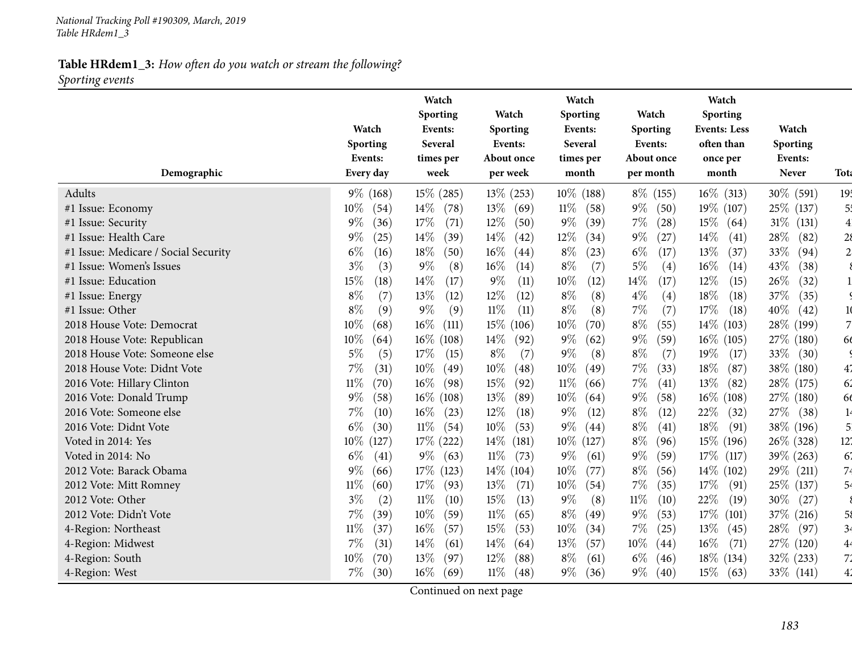### **Table HRdem1\_3:** *How often do you watch or stream the following? Sporting events*

| Demographic                          | Watch<br>Sporting<br>Events:<br>Every day | Watch<br>Sporting<br>Events:<br>Several<br>times per<br>week | Watch<br>Sporting<br>Events:<br>About once<br>per week | Watch<br>Sporting<br>Events:<br>Several<br>times per<br>month | Watch<br>Sporting<br>Events:<br>About once<br>per month | Watch<br><b>Sporting</b><br><b>Events: Less</b><br>often than<br>once per<br>month | Watch<br>Sporting<br>Events:<br><b>Never</b> | <b>Tota</b>     |
|--------------------------------------|-------------------------------------------|--------------------------------------------------------------|--------------------------------------------------------|---------------------------------------------------------------|---------------------------------------------------------|------------------------------------------------------------------------------------|----------------------------------------------|-----------------|
| Adults                               | $9\%$ (168)                               | 15% (285)                                                    | $13\%$ (253)                                           | $10\%$ (188)                                                  | 8\% (155)                                               | $16\%$ (313)                                                                       | 30\% (591)                                   | 19 <sup>t</sup> |
| #1 Issue: Economy                    | 10%<br>(54)                               | $14\%$<br>(78)                                               | $13\%$<br>(69)                                         | $11\%$<br>(58)                                                | $9\%$<br>(50)                                           | 19\% (107)                                                                         | 25\% (137)                                   | 5!              |
| #1 Issue: Security                   | 9%<br>(36)                                | 17%<br>(71)                                                  | $12\%$<br>(50)                                         | $9\%$<br>(39)                                                 | $7\%$<br>(28)                                           | $15\%$<br>(64)                                                                     | $31\%$<br>(131)                              | $\overline{4}$  |
| #1 Issue: Health Care                | $9\%$<br>(25)                             | 14%<br>(39)                                                  | $14\%$<br>(42)                                         | 12%<br>(34)                                                   | $9\%$<br>(27)                                           | 14\%<br>(41)                                                                       | 28\%<br>(82)                                 | $2\epsilon$     |
| #1 Issue: Medicare / Social Security | $6\%$<br>(16)                             | $18\%$<br>(50)                                               | $16\%$<br>(44)                                         | $8\%$<br>(23)                                                 | $6\%$<br>(17)                                           | 13%<br>(37)                                                                        | 33%<br>(94)                                  | $\overline{2}$  |
| #1 Issue: Women's Issues             | $3\%$<br>(3)                              | $9\%$<br>(8)                                                 | $16\%$<br>(14)                                         | $8\%$<br>(7)                                                  | $5\%$<br>(4)                                            | 16%<br>(14)                                                                        | 43%<br>(38)                                  |                 |
| #1 Issue: Education                  | 15%<br>(18)                               | 14\%<br>(17)                                                 | $9\%$<br>(11)                                          | $10\%$<br>(12)                                                | 14\%<br>(17)                                            | $12\%$<br>(15)                                                                     | 26%<br>(32)                                  |                 |
| #1 Issue: Energy                     | $8\%$<br>(7)                              | 13%<br>(12)                                                  | $12\%$<br>(12)                                         | $8\%$<br>(8)                                                  | $4\%$<br>(4)                                            | 18%<br>(18)                                                                        | 37%<br>(35)                                  |                 |
| #1 Issue: Other                      | $8\%$<br>(9)                              | $9\%$<br>(9)                                                 | $11\%$<br>(11)                                         | $8\%$<br>(8)                                                  | $7\%$<br>(7)                                            | 17%<br>(18)                                                                        | 40%<br>(42)                                  | 10              |
| 2018 House Vote: Democrat            | 10%<br>(68)                               | $16\%$<br>(111)                                              | $15\%$ (106)                                           | $10\%$<br>(70)                                                | $8\%$<br>(55)                                           | $14\%$ (103)                                                                       | 28\% (199)                                   | $\overline{7}$  |
| 2018 House Vote: Republican          | 10%<br>(64)                               | $16\%$ (108)                                                 | $14\%$<br>(92)                                         | $9\%$<br>(62)                                                 | $9\%$<br>(59)                                           | $16\%$ (105)                                                                       | 27\% (180)                                   | 66              |
| 2018 House Vote: Someone else        | 5%<br>(5)                                 | 17%<br>(15)                                                  | $8\%$<br>(7)                                           | $9\%$<br>(8)                                                  | $8\%$<br>(7)                                            | 19%<br>(17)                                                                        | 33\%<br>(30)                                 |                 |
| 2018 House Vote: Didnt Vote          | 7%<br>(31)                                | $10\%$<br>(49)                                               | 10%<br>(48)                                            | $10\%$<br>(49)                                                | $7\%$<br>(33)                                           | 18%<br>(87)                                                                        | 38\% (180)                                   | 47              |
| 2016 Vote: Hillary Clinton           | 11%<br>(70)                               | $16\%$<br>(98)                                               | 15%<br>(92)                                            | $11\%$<br>(66)                                                | $7\%$<br>(41)                                           | 13%<br>(82)                                                                        | 28\% (175)                                   | 62              |
| 2016 Vote: Donald Trump              | $9\%$<br>(58)                             | $16\%$ (108)                                                 | 13\%<br>(89)                                           | 10%<br>(64)                                                   | $9\%$<br>(58)                                           | $16\%$ (108)                                                                       | 27\% (180)                                   | 66              |
| 2016 Vote: Someone else              | 7%<br>(10)                                | $16\%$<br>(23)                                               | $12\%$<br>(18)                                         | $9\%$<br>(12)                                                 | $8\%$<br>(12)                                           | 22\%<br>(32)                                                                       | 27\% (38)                                    | 14              |
| 2016 Vote: Didnt Vote                | $6\%$<br>(30)                             | $11\%$<br>(54)                                               | $10\%$<br>(53)                                         | $9\%$<br>(44)                                                 | $8\%$<br>(41)                                           | 18%<br>(91)                                                                        | 38\% (196)                                   | 5 <sup>1</sup>  |
| Voted in 2014: Yes                   | $10\%$<br>(127)                           | $17\%$ (222)                                                 | $14\%$<br>(181)                                        | $10\%$<br>(127)                                               | $8\%$<br>(96)                                           | 15\% (196)                                                                         | 26\% (328)                                   | 12'             |
| Voted in 2014: No                    | $6\%$<br>(41)                             | $9\%$<br>(63)                                                | $11\%$<br>(73)                                         | $9\%$<br>(61)                                                 | $9\%$<br>(59)                                           | $17\%$ (117)                                                                       | 39\% (263)                                   | 67              |
| 2012 Vote: Barack Obama              | $9\%$<br>(66)                             | 17\% (123)                                                   | $14\%$ (104)                                           | $10\%$<br>(77)                                                | $8\%$<br>(56)                                           | $14\%$ (102)                                                                       | $29\%$ (211)                                 | 74              |
| 2012 Vote: Mitt Romney               | $11\%$<br>(60)                            | 17%<br>(93)                                                  | $13\%$<br>(71)                                         | $10\%$<br>(54)                                                | $7\%$<br>(35)                                           | 17%<br>(91)                                                                        | 25\% (137)                                   | 54              |
| 2012 Vote: Other                     | 3%<br>(2)                                 | $11\%$<br>(10)                                               | 15%<br>(13)                                            | $9\%$<br>(8)                                                  | $11\%$<br>(10)                                          | 22%<br>(19)                                                                        | 30\%<br>(27)                                 |                 |
| 2012 Vote: Didn't Vote               | 7%<br>(39)                                | 10%<br>(59)                                                  | $11\%$<br>(65)                                         | $8\%$<br>(49)                                                 | $9\%$<br>(53)                                           | $17\%$<br>(101)                                                                    | 37\% (216)                                   | 58              |
| 4-Region: Northeast                  | 11%<br>(37)                               | 16%<br>(57)                                                  | 15%<br>(53)                                            | $10\%$<br>(34)                                                | $7\%$<br>(25)                                           | 13\%<br>(45)                                                                       | 28\%<br>(97)                                 | 34              |
| 4-Region: Midwest                    | 7%<br>(31)                                | 14%<br>(61)                                                  | $14\%$<br>(64)                                         | 13%<br>(57)                                                   | $10\%$<br>(44)                                          | $16\%$<br>(71)                                                                     | 27\% (120)                                   | 4 <sub>4</sub>  |
| 4-Region: South                      | 10%<br>(70)                               | 13%<br>(97)                                                  | $12\%$<br>(88)                                         | $8\%$<br>(61)                                                 | $6\%$<br>(46)                                           | $18\%$ (134)                                                                       | 32\% (233)                                   | 7 <sup>2</sup>  |
| 4-Region: West                       | $7\%$<br>(30)                             | $16\%$<br>(69)                                               | $11\%$<br>(48)                                         | $9\%$<br>(36)                                                 | $9\%$<br>(40)                                           | $15\%$<br>(63)                                                                     | $33\%$ (141)                                 | $4^{\prime}$    |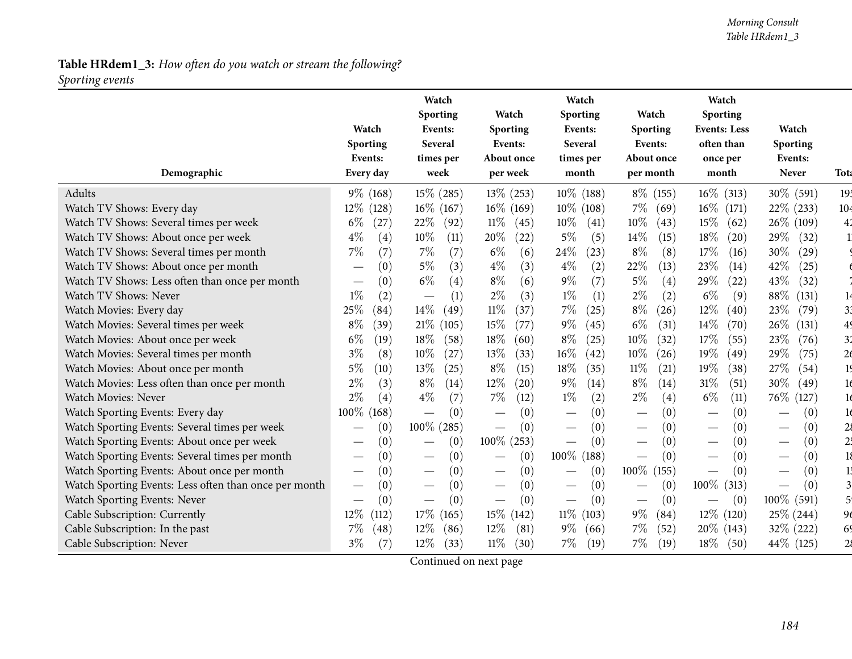#### *Morning Consult Table HRdem1\_3*

# **Table HRdem1\_3:** *How often do you watch or stream the following? Sporting events*

|                                                       |                     | Watch<br>Sporting                      | Watch                 | Watch<br>Sporting                    | Watch                                | Watch<br><b>Sporting</b>                 |                                 |                         |
|-------------------------------------------------------|---------------------|----------------------------------------|-----------------------|--------------------------------------|--------------------------------------|------------------------------------------|---------------------------------|-------------------------|
|                                                       | Watch               | Events:                                | Sporting              | Events:                              | Sporting                             | <b>Events: Less</b>                      | Watch                           |                         |
|                                                       | Sporting<br>Events: | Several<br>times per                   | Events:<br>About once | Several<br>times per                 | Events:<br>About once                | often than<br>once per                   | Sporting<br>Events:             |                         |
| Demographic                                           | Every day           | week                                   | per week              | month                                | per month                            | month                                    | Never                           | <b>Tota</b>             |
| Adults                                                | $9\%$ (168)         | $15\%$ (285)                           | $13\%$ (253)          | $10\%$ (188)                         | $8\%$ (155)                          | $16\%$ (313)                             | 30\% (591)                      | 19 <sub>1</sub>         |
| Watch TV Shows: Every day                             | 12%<br>(128)        | $16\%$ (167)                           | $16\%$ (169)          | $10\%$ (108)                         | $7\%$<br>(69)                        | $16\%$<br>(171)                          | $22\%$ (233)                    | 10 <sup>2</sup>         |
| Watch TV Shows: Several times per week                | $6\%$<br>(27)       | 22\%<br>(92)                           | $11\%$<br>(45)        | $10\%$<br>(41)                       | 10%<br>(43)                          | 15%<br>(62)                              | $26\%$ (109)                    | 4 <sup>2</sup>          |
| Watch TV Shows: About once per week                   | $4\%$<br>(4)        | 10%<br>(11)                            | 20%<br>(22)           | $5\%$<br>(5)                         | 14\%<br>(15)                         | 18%<br>(20)                              | 29%<br>(32)                     |                         |
| Watch TV Shows: Several times per month               | 7%<br>(7)           | (7)<br>7%                              | $6\%$<br>(6)          | 24%<br>(23)                          | $8\%$<br>(8)                         | 17%<br>(16)                              | 30%<br>(29)                     |                         |
| Watch TV Shows: About once per month                  | (0)                 | 5%<br>(3)                              | $4\%$<br>(3)          | $4\%$<br>(2)                         | 22%<br>(13)                          | 23%<br>(14)                              | 42%<br>(25)                     |                         |
| Watch TV Shows: Less often than once per month        | (0)                 | $6\%$<br>(4)                           | $8\%$<br>(6)          | (7)<br>$9\%$                         | $5\%$<br>(4)                         | 29%<br>(22)                              | 43%<br>(32)                     |                         |
| Watch TV Shows: Never                                 | $1\%$<br>(2)        | (1)                                    | $2\%$<br>(3)          | $1\%$<br>(1)                         | $2\%$<br>(2)                         | $6\%$<br>(9)                             | 88%<br>(131)                    | 14                      |
| Watch Movies: Every day                               | 25%<br>(84)         | $14\%$<br>(49)                         | $11\%$<br>(37)        | $7\%$<br>(25)                        | $8\%$<br>(26)                        | 12%<br>(40)                              | 23%<br>(79)                     | 3 <sup>1</sup>          |
| Watch Movies: Several times per week                  | $8\%$<br>(39)       | 21%<br>(105)                           | 15%<br>(77)           | $9\%$<br>(45)                        | $6\%$<br>(31)                        | 14%<br>(70)                              | 26%<br>(131)                    | 49                      |
| Watch Movies: About once per week                     | $6\%$<br>(19)       | 18%<br>(58)                            | 18\%<br>(60)          | $8\%$<br>(25)                        | 10%<br>(32)                          | 17%<br>(55)                              | 23%<br>(76)                     | 3 <sup>2</sup>          |
| Watch Movies: Several times per month                 | $3\%$<br>(8)        | 10%<br>(27)                            | 13%<br>(33)           | $16\%$<br>(42)                       | 10%<br>(26)                          | 19%<br>(49)                              | 29%<br>(75)                     | 2 <sub>6</sub>          |
| Watch Movies: About once per month                    | $5\%$<br>(10)       | 13%<br>(25)                            | $8\%$<br>(15)         | 18%<br>(35)                          | 11%<br>(21)                          | 19%<br>(38)                              | 27%<br>(54)                     | 19                      |
| Watch Movies: Less often than once per month          | $2\%$<br>(3)        | $8\%$<br>(14)                          | $12\%$<br>(20)        | $9\%$<br>(14)                        | $8\%$<br>(14)                        | $31\%$<br>(51)                           | 30%<br>(49)                     | 16                      |
| <b>Watch Movies: Never</b>                            | $2\%$<br>(4)        | $4\%$<br>(7)                           | $7\%$<br>(12)         | $1\%$<br>(2)                         | $2\%$<br>(4)                         | $6\%$<br>(11)                            | $76\%$<br>(127)                 | 16                      |
| Watch Sporting Events: Every day                      | 100%<br>(168)       | (0)                                    | (0)                   | (0)                                  | (0)                                  | (0)                                      | (0)                             | 16                      |
| Watch Sporting Events: Several times per week         | (0)                 | $100\%$ (285)                          | (0)                   | (0)<br>$\overline{\phantom{0}}$      | (0)<br>$\overbrace{\phantom{13333}}$ | (0)<br>$\qquad \qquad -$                 | (0)                             | $2\mathcal{S}$          |
| Watch Sporting Events: About once per week            | (0)                 | (0)<br>$\hspace{0.1mm}-\hspace{0.1mm}$ | $100\%$ (253)         | (0)                                  | (0)                                  | (0)                                      | (0)                             | 2!                      |
| Watch Sporting Events: Several times per month        | (0)                 | (0)                                    | (0)                   | 100%<br>(188)                        | (0)<br>$\overbrace{\phantom{13333}}$ | (0)                                      | (0)<br>$\overline{\phantom{0}}$ |                         |
| Watch Sporting Events: About once per month           | (0)                 | (0)                                    | (0)                   | (0)                                  | $100\%$<br>(155)                     | (0)<br>$\overbrace{\phantom{123221111}}$ | (0)                             |                         |
| Watch Sporting Events: Less often than once per month | (0)                 | (0)                                    | (0)                   | (0)                                  | (0)                                  | $100\%$ (313)                            | (0)                             | $\overline{\mathbf{3}}$ |
| Watch Sporting Events: Never                          | (0)                 | (0)                                    | (0)                   | (0)<br>$\overbrace{\phantom{aaaaa}}$ | (0)                                  | (0)                                      | 100\% (591)                     | 5 <sub>1</sub>          |
| Cable Subscription: Currently                         | 12%<br>(112)        | $17\%$ (165)                           | $15\%$ (142)          | $11\%$ (103)                         | $9\%$<br>(84)                        | $12\%$ (120)                             | $25\%$ (244)                    | 96                      |
| Cable Subscription: In the past                       | 7%<br>(48)          | $12\%$<br>(86)                         | $12\%$<br>(81)        | $9\%$<br>(66)                        | $7\%$<br>(52)                        | $20\%$ (143)                             | 32\% (222)                      | 69                      |
| Cable Subscription: Never                             | $3\%$<br>(7)        | 12%<br>(33)                            | $11\%$<br>(30)        | $7\%$<br>(19)                        | $7\%$<br>(19)                        | $18\%$<br>(50)                           | 44\% (125)                      | 28                      |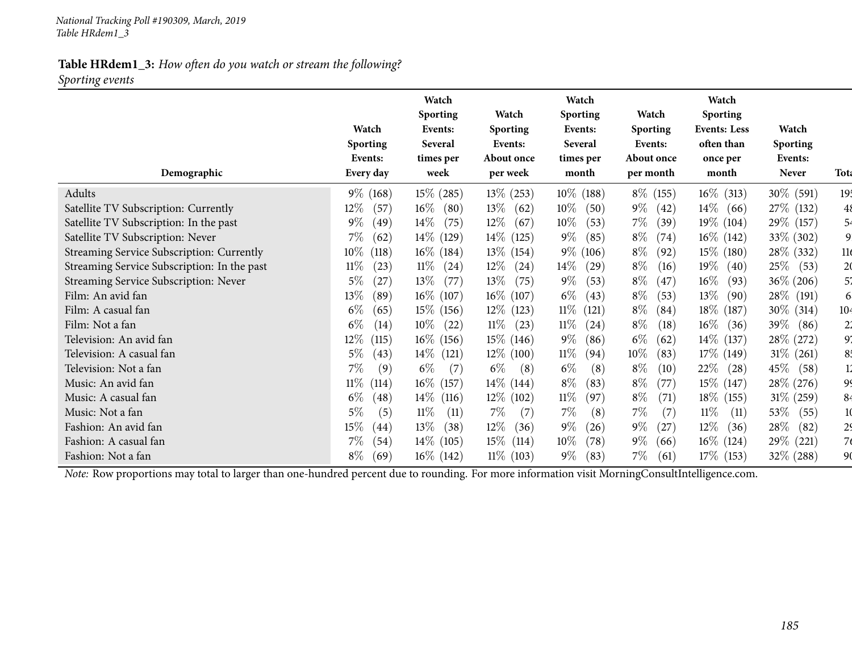### **Table HRdem1\_3:** *How often do you watch or stream the following? Sporting events*

|                                             | Watch<br><b>Sporting</b><br>Events: | Watch<br>Sporting<br>Events:<br><b>Several</b><br>times per | Watch<br>Sporting<br>Events:<br>About once | Watch<br><b>Sporting</b><br>Events:<br>Several<br>times per | Watch<br><b>Sporting</b><br>Events:<br>About once | Watch<br>Sporting<br><b>Events: Less</b><br>often than<br>once per | Watch<br><b>Sporting</b><br>Events: |                 |
|---------------------------------------------|-------------------------------------|-------------------------------------------------------------|--------------------------------------------|-------------------------------------------------------------|---------------------------------------------------|--------------------------------------------------------------------|-------------------------------------|-----------------|
| Demographic                                 | Every day                           | week                                                        | per week                                   | month                                                       | per month                                         | month                                                              | <b>Never</b>                        | <b>Tota</b>     |
| Adults                                      | $9\%$ (168)                         | $15\%$ (285)                                                | $13\%$ (253)                               | $10\%$<br>(188)                                             | $8\%$ (155)                                       | $16\%$ (313)                                                       | 30\% (591)                          | 19 <sup>t</sup> |
| Satellite TV Subscription: Currently        | $12\%$<br>(57)                      | $16\%$<br>(80)                                              | $13\%$<br>(62)                             | $10\%$<br>(50)                                              | $9\%$<br>(42)                                     | $14\%$<br>(66)                                                     | 27\% (132)                          | 48              |
| Satellite TV Subscription: In the past      | $9\%$<br>(49)                       | $14\%$<br>(75)                                              | $12\%$<br>(67)                             | $10\%$<br>(53)                                              | $7\%$<br>(39)                                     | $19\%$ (104)                                                       | 29\% (157)                          | 54              |
| Satellite TV Subscription: Never            | 7%<br>(62)                          | $14\%$ (129)                                                | $14\%$ (125)                               | $9\%$<br>(85)                                               | $8\%$<br>(74)                                     | $16\%$ (142)                                                       | 33\% (302)                          | 9               |
| Streaming Service Subscription: Currently   | $10\%$<br>(118)                     | $16\%$ (184)                                                | $13\%$ (154)                               | $9\%$ (106)                                                 | $8\%$<br>(92)                                     | $15\%$ (180)                                                       | 28\% (332)                          | 11 <sub>6</sub> |
| Streaming Service Subscription: In the past | $11\%$<br>(23)                      | $11\%$<br>(24)                                              | $12\%$<br>(24)                             | $14\%$<br>(29)                                              | $8\%$<br>(16)                                     | $19\%$<br>(40)                                                     | $25\%$ (53)                         | 2 <sub>0</sub>  |
| Streaming Service Subscription: Never       | $5\%$<br>(27)                       | $13\%$<br>(77)                                              | $13\%$<br>(75)                             | $9\%$<br>(53)                                               | $8\%$<br>(47)                                     | $16\%$<br>(93)                                                     | $36\% (206)$                        | 5,              |
| Film: An avid fan                           | $13\%$<br>(89)                      | $16\%$ (107)                                                | $16\%$ (107)                               | $6\%$<br>(43)                                               | $8\%$<br>(53)                                     | $13\%$<br>(90)                                                     | 28\% (191)                          | 6               |
| Film: A casual fan                          | $6\%$<br>(65)                       | 15\% (156)                                                  | $12\%$ (123)                               | $11\%$<br>(121)                                             | $8\%$<br>(84)                                     | $18\%$ (187)                                                       | 30\% (314)                          | 10 <sub>4</sub> |
| Film: Not a fan                             | $6\%$<br>(14)                       | $10\%$<br>(22)                                              | $11\%$<br>(23)                             | $11\%$<br>(24)                                              | $8\%$<br>(18)                                     | $16\%$<br>(36)                                                     | 39\%<br>(86)                        | 2 <sup>1</sup>  |
| Television: An avid fan                     | $12\%$<br>(115)                     | $16\%$ (156)                                                | $15\%$ (146)                               | $9\%$<br>(86)                                               | $6\%$<br>(62)                                     | $14\%$ (137)                                                       | 28\% (272)                          | 91              |
| Television: A casual fan                    | $5\%$<br>(43)                       | $14\%$<br>(121)                                             | $12\%$ (100)                               | $11\%$<br>(94)                                              | $10\%$<br>(83)                                    | 17\% (149)                                                         | $31\%$ (261)                        | 85              |
| Television: Not a fan                       | $7\%$<br>(9)                        | $6\%$<br>(7)                                                | $6\%$<br>(8)                               | $6\%$<br>(8)                                                | $8\%$<br>(10)                                     | $22\%$<br>(28)                                                     | $45\%$<br>(58)                      | 12              |
| Music: An avid fan                          | $11\%$<br>(114)                     | $16\%$ (157)                                                | $14\%$ (144)                               | $8\%$<br>(83)                                               | $8\%$<br>(77)                                     | $15\%$ (147)                                                       | 28\% (276)                          | 99              |
| Music: A casual fan                         | $6\%$<br>(48)                       | $14\%$ (116)                                                | $12\%$ (102)                               | $11\%$<br>(97)                                              | $8\%$<br>(71)                                     | $18\%$ (155)                                                       | $31\% (259)$                        | 84              |
| Music: Not a fan                            | $5\%$<br>(5)                        | $11\%$<br>(11)                                              | $7\%$<br>(7)                               | $7\%$<br>(8)                                                | $7\%$<br>(7)                                      | $11\%$<br>(11)                                                     | $53\%$<br>(55)                      | 10              |
| Fashion: An avid fan                        | $15\%$<br>(44)                      | $13\%$<br>(38)                                              | $12\%$<br>(36)                             | $9\%$<br>(26)                                               | $9\%$<br>(27)                                     | $12\%$<br>(36)                                                     | 28\%<br>(82)                        | 2 <sup>5</sup>  |
| Fashion: A casual fan                       | 7%<br>(54)                          | $14\%$ (105)                                                | $15\%$<br>(114)                            | $10\%$<br>(78)                                              | $9\%$<br>(66)                                     | $16\%$ (124)                                                       | 29\% (221)                          | 7 <sub>6</sub>  |
| Fashion: Not a fan                          | $8\%$<br>(69)                       | $16\%$ (142)                                                | $11\%$ (103)                               | $9\%$<br>(83)                                               | $7\%$<br>(61)                                     | $17\%$ (153)                                                       | 32% (288)                           | 90              |

*Note:* Row proportions may total to larger than one-hundred percen<sup>t</sup> due to rounding. For more information visit [MorningConsultIntelligence.com](https://morningconsultintelligence.com).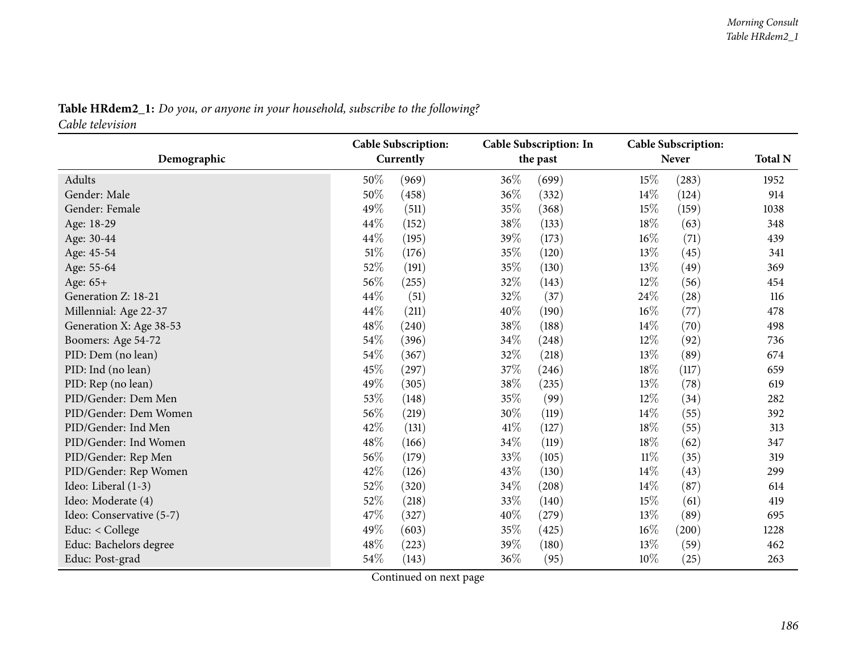| Table HRdem2_1: Do you, or anyone in your household, subscribe to the following? |  |  |  |
|----------------------------------------------------------------------------------|--|--|--|
| $-11$ , $1$ , $1$                                                                |  |  |  |

*Cable television*

|                          |        | <b>Cable Subscription:</b> |        | Cable Subscription: In |        | <b>Cable Subscription:</b> |                |
|--------------------------|--------|----------------------------|--------|------------------------|--------|----------------------------|----------------|
| Demographic              |        | Currently                  |        | the past               |        | <b>Never</b>               | <b>Total N</b> |
| Adults                   | 50%    | (969)                      | 36%    | (699)                  | 15%    | (283)                      | 1952           |
| Gender: Male             | 50%    | (458)                      | 36%    | (332)                  | 14%    | (124)                      | 914            |
| Gender: Female           | 49%    | (511)                      | 35%    | (368)                  | 15%    | (159)                      | 1038           |
| Age: 18-29               | 44%    | (152)                      | 38%    | (133)                  | 18%    | (63)                       | 348            |
| Age: 30-44               | 44%    | (195)                      | 39%    | (173)                  | 16%    | (71)                       | 439            |
| Age: 45-54               | $51\%$ | (176)                      | 35%    | (120)                  | 13%    | (45)                       | 341            |
| Age: 55-64               | 52%    | (191)                      | 35%    | (130)                  | 13%    | (49)                       | 369            |
| Age: 65+                 | 56%    | (255)                      | 32%    | (143)                  | 12%    | (56)                       | 454            |
| Generation Z: 18-21      | 44\%   | (51)                       | 32%    | (37)                   | 24%    | (28)                       | 116            |
| Millennial: Age 22-37    | 44%    | (211)                      | 40%    | (190)                  | 16%    | (77)                       | 478            |
| Generation X: Age 38-53  | 48%    | (240)                      | 38%    | (188)                  | 14%    | (70)                       | 498            |
| Boomers: Age 54-72       | 54%    | (396)                      | 34%    | (248)                  | 12%    | (92)                       | 736            |
| PID: Dem (no lean)       | 54%    | (367)                      | 32%    | (218)                  | 13%    | (89)                       | 674            |
| PID: Ind (no lean)       | 45%    | (297)                      | 37%    | (246)                  | 18%    | (117)                      | 659            |
| PID: Rep (no lean)       | 49%    | (305)                      | 38%    | (235)                  | 13%    | (78)                       | 619            |
| PID/Gender: Dem Men      | 53%    | (148)                      | 35%    | (99)                   | 12%    | (34)                       | 282            |
| PID/Gender: Dem Women    | 56%    | (219)                      | 30%    | (119)                  | 14\%   | (55)                       | 392            |
| PID/Gender: Ind Men      | 42%    | (131)                      | $41\%$ | (127)                  | $18\%$ | (55)                       | 313            |
| PID/Gender: Ind Women    | 48%    | (166)                      | 34%    | (119)                  | 18%    | (62)                       | 347            |
| PID/Gender: Rep Men      | 56%    | (179)                      | 33%    | (105)                  | $11\%$ | (35)                       | 319            |
| PID/Gender: Rep Women    | 42%    | (126)                      | 43%    | (130)                  | $14\%$ | (43)                       | 299            |
| Ideo: Liberal (1-3)      | 52%    | (320)                      | 34%    | (208)                  | 14%    | (87)                       | 614            |
| Ideo: Moderate (4)       | 52%    | (218)                      | 33%    | (140)                  | 15%    | (61)                       | 419            |
| Ideo: Conservative (5-7) | 47%    | (327)                      | 40%    | (279)                  | 13%    | (89)                       | 695            |
| Educ: < College          | 49%    | (603)                      | 35%    | (425)                  | 16%    | (200)                      | 1228           |
| Educ: Bachelors degree   | 48%    | (223)                      | 39%    | (180)                  | 13%    | (59)                       | 462            |
| Educ: Post-grad          | 54%    | (143)                      | 36\%   | (95)                   | 10%    | (25)                       | 263            |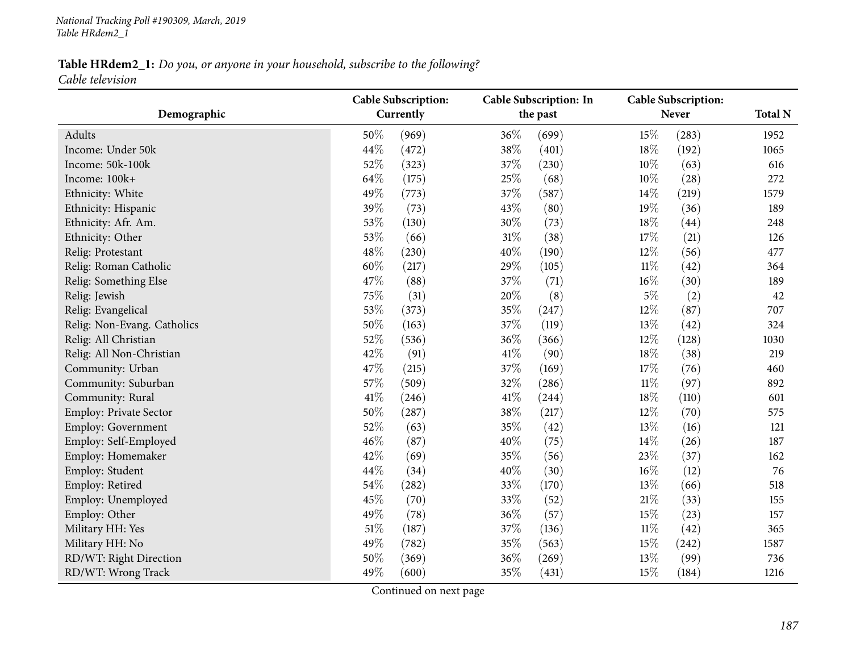#### *National Tracking Poll #190309, March, <sup>2019</sup> Table HRdem2\_1*

### Table HRdem2\_1: Do you, or anyone in your household, subscribe to the following? *Cable television*

|                             |        | <b>Cable Subscription:</b> |      | Cable Subscription: In |        | <b>Cable Subscription:</b> |                |
|-----------------------------|--------|----------------------------|------|------------------------|--------|----------------------------|----------------|
| Demographic                 |        | Currently                  |      | the past               |        | Never                      | <b>Total N</b> |
| Adults                      | 50%    | (969)                      | 36%  | (699)                  | 15%    | (283)                      | 1952           |
| Income: Under 50k           | 44%    | (472)                      | 38%  | (401)                  | 18%    | (192)                      | 1065           |
| Income: 50k-100k            | 52%    | (323)                      | 37%  | (230)                  | 10%    | (63)                       | 616            |
| Income: 100k+               | 64%    | (175)                      | 25%  | (68)                   | $10\%$ | (28)                       | 272            |
| Ethnicity: White            | 49%    | (773)                      | 37%  | (587)                  | 14%    | (219)                      | 1579           |
| Ethnicity: Hispanic         | 39%    | (73)                       | 43%  | (80)                   | 19%    | (36)                       | 189            |
| Ethnicity: Afr. Am.         | 53%    | (130)                      | 30%  | (73)                   | $18\%$ | (44)                       | 248            |
| Ethnicity: Other            | 53%    | (66)                       | 31%  | (38)                   | 17%    | (21)                       | 126            |
| Relig: Protestant           | 48%    | (230)                      | 40%  | (190)                  | 12%    | (56)                       | 477            |
| Relig: Roman Catholic       | 60%    | (217)                      | 29%  | (105)                  | $11\%$ | (42)                       | 364            |
| Relig: Something Else       | 47%    | (88)                       | 37%  | (71)                   | 16%    | (30)                       | 189            |
| Relig: Jewish               | 75%    | (31)                       | 20%  | (8)                    | $5\%$  | (2)                        | 42             |
| Relig: Evangelical          | 53%    | (373)                      | 35%  | (247)                  | 12%    | (87)                       | 707            |
| Relig: Non-Evang. Catholics | 50%    | (163)                      | 37%  | (119)                  | 13%    | (42)                       | 324            |
| Relig: All Christian        | 52%    | (536)                      | 36%  | (366)                  | 12%    | (128)                      | 1030           |
| Relig: All Non-Christian    | 42%    | (91)                       | 41\% | (90)                   | 18%    | (38)                       | 219            |
| Community: Urban            | 47%    | (215)                      | 37%  | (169)                  | 17%    | (76)                       | 460            |
| Community: Suburban         | 57%    | (509)                      | 32%  | (286)                  | $11\%$ | (97)                       | 892            |
| Community: Rural            | 41%    | (246)                      | 41\% | (244)                  | 18%    | (110)                      | 601            |
| Employ: Private Sector      | 50%    | (287)                      | 38%  | (217)                  | 12%    | (70)                       | 575            |
| <b>Employ: Government</b>   | 52%    | (63)                       | 35%  | (42)                   | 13\%   | (16)                       | 121            |
| Employ: Self-Employed       | 46%    | (87)                       | 40%  | (75)                   | 14\%   | (26)                       | 187            |
| Employ: Homemaker           | 42%    | (69)                       | 35%  | (56)                   | 23%    | (37)                       | 162            |
| Employ: Student             | 44%    | (34)                       | 40%  | (30)                   | $16\%$ | (12)                       | 76             |
| Employ: Retired             | $54\%$ | (282)                      | 33%  | (170)                  | 13%    | (66)                       | 518            |
| Employ: Unemployed          | 45%    | (70)                       | 33%  | (52)                   | $21\%$ | (33)                       | 155            |
| Employ: Other               | 49%    | (78)                       | 36%  | (57)                   | 15%    | (23)                       | 157            |
| Military HH: Yes            | 51%    | (187)                      | 37%  | (136)                  | $11\%$ | (42)                       | 365            |
| Military HH: No             | 49%    | (782)                      | 35%  | (563)                  | 15%    | (242)                      | 1587           |
| RD/WT: Right Direction      | 50%    | (369)                      | 36%  | (269)                  | 13\%   | (99)                       | 736            |
| RD/WT: Wrong Track          | 49%    | (600)                      | 35%  | (431)                  | 15%    | (184)                      | 1216           |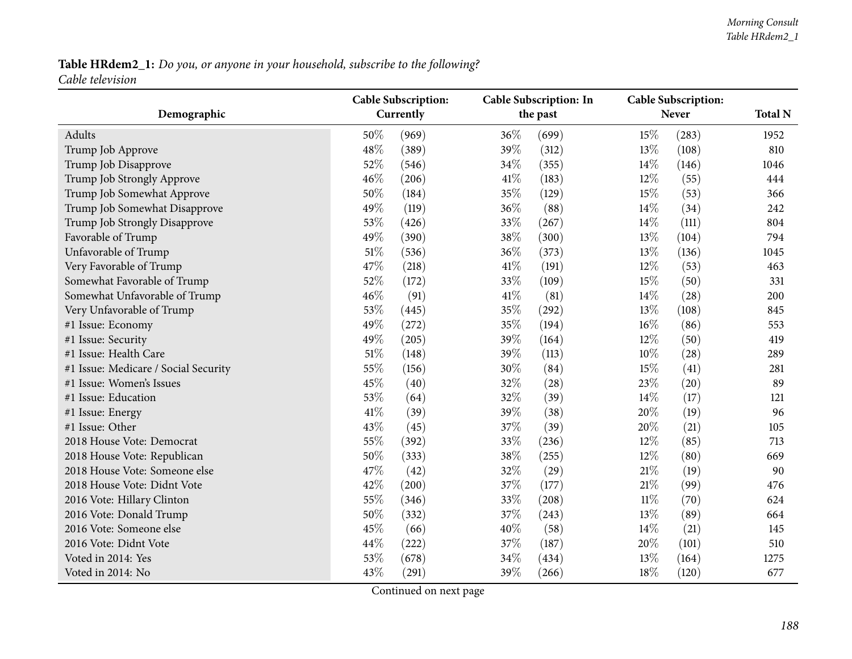|                                      |      | <b>Cable Subscription:</b> |        | Cable Subscription: In |        | <b>Cable Subscription:</b> |                |
|--------------------------------------|------|----------------------------|--------|------------------------|--------|----------------------------|----------------|
| Demographic                          |      | Currently                  |        | the past               |        | <b>Never</b>               | <b>Total N</b> |
| Adults                               | 50%  | (969)                      | 36%    | (699)                  | 15%    | (283)                      | 1952           |
| Trump Job Approve                    | 48%  | (389)                      | 39%    | (312)                  | 13%    | (108)                      | 810            |
| Trump Job Disapprove                 | 52%  | (546)                      | 34\%   | (355)                  | 14%    | (146)                      | 1046           |
| Trump Job Strongly Approve           | 46%  | (206)                      | 41\%   | (183)                  | $12\%$ | (55)                       | 444            |
| Trump Job Somewhat Approve           | 50%  | (184)                      | 35%    | (129)                  | 15%    | (53)                       | 366            |
| Trump Job Somewhat Disapprove        | 49%  | (119)                      | 36%    | (88)                   | 14%    | (34)                       | 242            |
| Trump Job Strongly Disapprove        | 53%  | (426)                      | 33%    | (267)                  | 14%    | (111)                      | 804            |
| Favorable of Trump                   | 49%  | (390)                      | 38%    | (300)                  | 13%    | (104)                      | 794            |
| Unfavorable of Trump                 | 51\% | (536)                      | $36\%$ | (373)                  | 13\%   | (136)                      | 1045           |
| Very Favorable of Trump              | 47%  | (218)                      | 41\%   | (191)                  | 12%    | (53)                       | 463            |
| Somewhat Favorable of Trump          | 52%  | (172)                      | 33%    | (109)                  | 15%    | (50)                       | 331            |
| Somewhat Unfavorable of Trump        | 46%  | (91)                       | 41\%   | (81)                   | 14%    | (28)                       | 200            |
| Very Unfavorable of Trump            | 53%  | (445)                      | 35%    | (292)                  | 13%    | (108)                      | 845            |
| #1 Issue: Economy                    | 49%  | (272)                      | 35%    | (194)                  | 16%    | (86)                       | 553            |
| #1 Issue: Security                   | 49%  | (205)                      | 39%    | (164)                  | 12%    | (50)                       | 419            |
| #1 Issue: Health Care                | 51%  | (148)                      | 39%    | (113)                  | 10%    | (28)                       | 289            |
| #1 Issue: Medicare / Social Security | 55%  | (156)                      | 30%    | (84)                   | 15%    | (41)                       | 281            |
| #1 Issue: Women's Issues             | 45%  | (40)                       | 32%    | (28)                   | 23%    | (20)                       | 89             |
| #1 Issue: Education                  | 53%  | (64)                       | 32%    | (39)                   | 14%    | (17)                       | 121            |
| #1 Issue: Energy                     | 41%  | (39)                       | 39%    | (38)                   | 20%    | (19)                       | 96             |
| #1 Issue: Other                      | 43%  | (45)                       | 37\%   | (39)                   | 20%    | (21)                       | 105            |
| 2018 House Vote: Democrat            | 55%  | (392)                      | 33%    | (236)                  | 12%    | (85)                       | 713            |
| 2018 House Vote: Republican          | 50%  | (333)                      | 38\%   | (255)                  | 12%    | (80)                       | 669            |
| 2018 House Vote: Someone else        | 47%  | (42)                       | 32%    | (29)                   | 21\%   | (19)                       | 90             |
| 2018 House Vote: Didnt Vote          | 42%  | (200)                      | 37%    | (177)                  | 21%    | (99)                       | 476            |
| 2016 Vote: Hillary Clinton           | 55%  | (346)                      | 33%    | (208)                  | $11\%$ | (70)                       | 624            |
| 2016 Vote: Donald Trump              | 50%  | (332)                      | 37%    | (243)                  | 13%    | (89)                       | 664            |
| 2016 Vote: Someone else              | 45%  | (66)                       | 40%    | (58)                   | 14\%   | (21)                       | 145            |
| 2016 Vote: Didnt Vote                | 44%  | (222)                      | 37%    | (187)                  | 20%    | (101)                      | 510            |
| Voted in 2014: Yes                   | 53%  | (678)                      | 34%    | (434)                  | 13%    | (164)                      | 1275           |
| Voted in 2014: No                    | 43%  | (291)                      | 39%    | (266)                  | 18%    | (120)                      | 677            |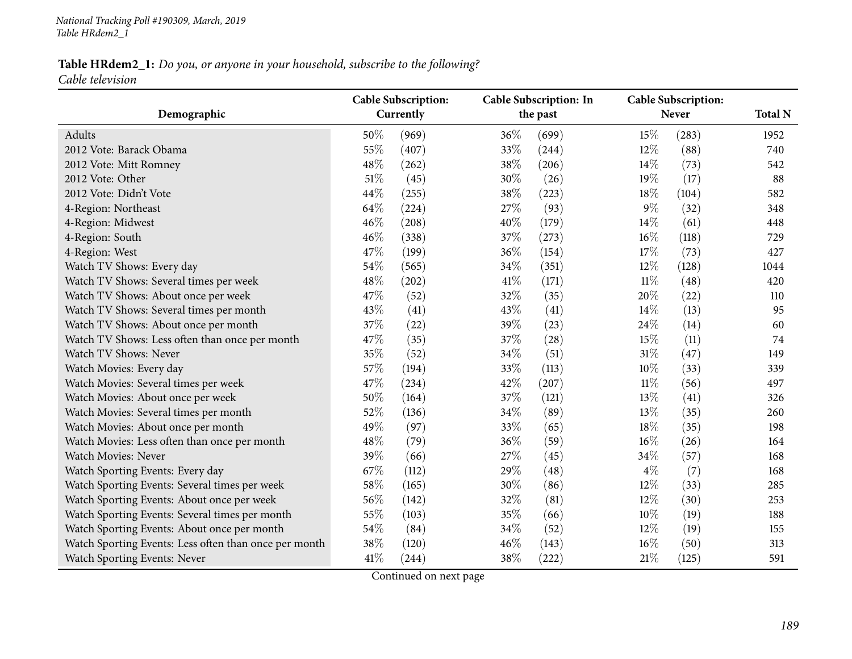| Demographic                                           |      | <b>Cable Subscription:</b><br>Currently |      | Cable Subscription: In<br>the past |        | <b>Cable Subscription:</b><br><b>Never</b> | <b>Total N</b> |
|-------------------------------------------------------|------|-----------------------------------------|------|------------------------------------|--------|--------------------------------------------|----------------|
| Adults                                                | 50%  | (969)                                   | 36%  | (699)                              | 15%    | (283)                                      | 1952           |
| 2012 Vote: Barack Obama                               | 55%  | (407)                                   | 33%  | (244)                              | $12\%$ | (88)                                       | 740            |
| 2012 Vote: Mitt Romney                                | 48%  | (262)                                   | 38%  | (206)                              | 14%    | (73)                                       | 542            |
| 2012 Vote: Other                                      | 51%  | (45)                                    | 30%  | (26)                               | 19%    | (17)                                       | 88             |
| 2012 Vote: Didn't Vote                                | 44%  | (255)                                   | 38%  | (223)                              | 18%    | (104)                                      | 582            |
| 4-Region: Northeast                                   | 64%  | (224)                                   | 27%  | (93)                               | $9\%$  | (32)                                       | 348            |
| 4-Region: Midwest                                     | 46%  | (208)                                   | 40%  | (179)                              | 14%    | (61)                                       | 448            |
| 4-Region: South                                       | 46%  | (338)                                   | 37%  | (273)                              | 16%    | (118)                                      | 729            |
| 4-Region: West                                        | 47%  | (199)                                   | 36%  | (154)                              | 17%    | (73)                                       | 427            |
| Watch TV Shows: Every day                             | 54%  | (565)                                   | 34%  | (351)                              | 12%    | (128)                                      | 1044           |
| Watch TV Shows: Several times per week                | 48%  | (202)                                   | 41\% | (171)                              | $11\%$ | (48)                                       | 420            |
| Watch TV Shows: About once per week                   | 47%  | (52)                                    | 32%  | (35)                               | 20%    | (22)                                       | 110            |
| Watch TV Shows: Several times per month               | 43%  | (41)                                    | 43%  | (41)                               | 14%    | (13)                                       | 95             |
| Watch TV Shows: About once per month                  | 37%  | (22)                                    | 39%  | (23)                               | 24\%   | (14)                                       | 60             |
| Watch TV Shows: Less often than once per month        | 47%  | (35)                                    | 37%  | (28)                               | 15%    | (11)                                       | 74             |
| Watch TV Shows: Never                                 | 35%  | (52)                                    | 34%  | (51)                               | 31%    | (47)                                       | 149            |
| Watch Movies: Every day                               | 57%  | (194)                                   | 33%  | (113)                              | $10\%$ | (33)                                       | 339            |
| Watch Movies: Several times per week                  | 47%  | (234)                                   | 42\% | (207)                              | 11%    | (56)                                       | 497            |
| Watch Movies: About once per week                     | 50%  | (164)                                   | 37%  | (121)                              | 13%    | (41)                                       | 326            |
| Watch Movies: Several times per month                 | 52%  | (136)                                   | 34%  | (89)                               | 13%    | (35)                                       | 260            |
| Watch Movies: About once per month                    | 49%  | (97)                                    | 33%  | (65)                               | 18%    | (35)                                       | 198            |
| Watch Movies: Less often than once per month          | 48%  | (79)                                    | 36%  | (59)                               | 16%    | (26)                                       | 164            |
| Watch Movies: Never                                   | 39%  | (66)                                    | 27%  | (45)                               | 34%    | (57)                                       | 168            |
| Watch Sporting Events: Every day                      | 67%  | (112)                                   | 29%  | (48)                               | $4\%$  | (7)                                        | 168            |
| Watch Sporting Events: Several times per week         | 58%  | (165)                                   | 30%  | (86)                               | 12%    | (33)                                       | 285            |
| Watch Sporting Events: About once per week            | 56%  | (142)                                   | 32%  | (81)                               | 12%    | (30)                                       | 253            |
| Watch Sporting Events: Several times per month        | 55%  | (103)                                   | 35%  | (66)                               | $10\%$ | (19)                                       | 188            |
| Watch Sporting Events: About once per month           | 54%  | (84)                                    | 34%  | (52)                               | 12%    | (19)                                       | 155            |
| Watch Sporting Events: Less often than once per month | 38%  | (120)                                   | 46\% | (143)                              | 16%    | (50)                                       | 313            |
| Watch Sporting Events: Never                          | 41\% | (244)                                   | 38%  | (222)                              | 21%    | (125)                                      | 591            |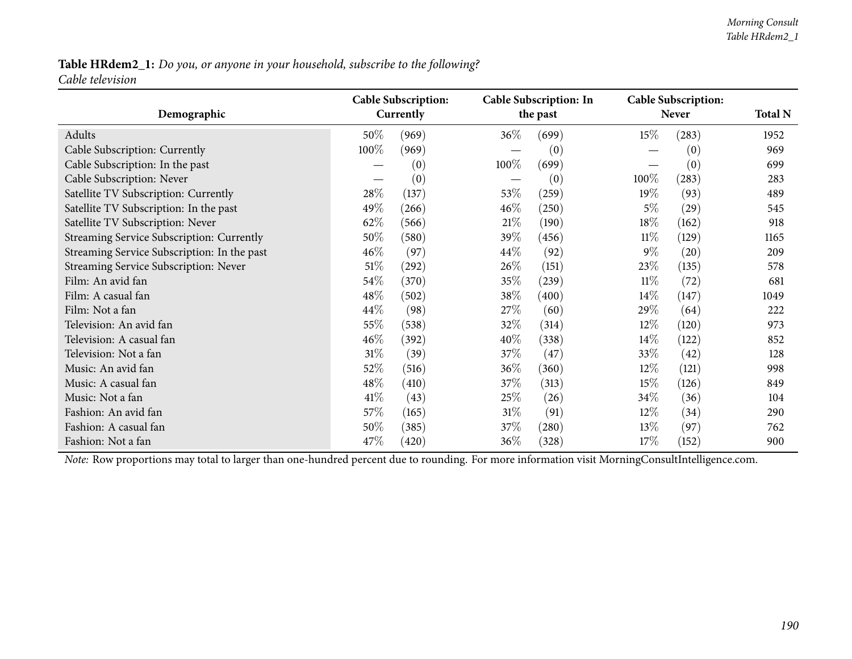| Demographic                                 |        | <b>Cable Subscription:</b><br>Currently |        | Cable Subscription: In<br>the past |        | <b>Cable Subscription:</b><br><b>Never</b> | <b>Total N</b> |
|---------------------------------------------|--------|-----------------------------------------|--------|------------------------------------|--------|--------------------------------------------|----------------|
|                                             |        |                                         |        |                                    |        |                                            |                |
| Adults                                      | 50%    | (969)                                   | 36%    | (699)                              | 15%    | (283)                                      | 1952           |
| Cable Subscription: Currently               | 100%   | (969)                                   |        | (0)                                |        | (0)                                        | 969            |
| Cable Subscription: In the past             |        | (0)                                     | 100%   | (699)                              |        | (0)                                        | 699            |
| Cable Subscription: Never                   |        | (0)                                     |        | (0)                                | 100%   | (283)                                      | 283            |
| Satellite TV Subscription: Currently        | 28\%   | (137)                                   | 53%    | (259)                              | 19%    | (93)                                       | 489            |
| Satellite TV Subscription: In the past      | 49%    | (266)                                   | 46\%   | (250)                              | 5%     | (29)                                       | 545            |
| Satellite TV Subscription: Never            | 62\%   | (566)                                   | 21%    | (190)                              | 18%    | (162)                                      | 918            |
| Streaming Service Subscription: Currently   | 50%    | (580)                                   | 39%    | (456)                              | $11\%$ | (129)                                      | 1165           |
| Streaming Service Subscription: In the past | $46\%$ | (97)                                    | $44\%$ | (92)                               | $9\%$  | (20)                                       | 209            |
| Streaming Service Subscription: Never       | 51%    | (292)                                   | 26\%   | (151)                              | 23\%   | (135)                                      | 578            |
| Film: An avid fan                           | 54\%   | (370)                                   | 35%    | (239)                              | $11\%$ | (72)                                       | 681            |
| Film: A casual fan                          | 48\%   | (502)                                   | 38%    | (400)                              | $14\%$ | (147)                                      | 1049           |
| Film: Not a fan                             | $44\%$ | (98)                                    | 27\%   | (60)                               | 29%    | (64)                                       | 222            |
| Television: An avid fan                     | 55%    | (538)                                   | 32%    | (314)                              | 12\%   | (120)                                      | 973            |
| Television: A casual fan                    | 46\%   | (392)                                   | 40%    | (338)                              | $14\%$ | (122)                                      | 852            |
| Television: Not a fan                       | $31\%$ | (39)                                    | 37%    | (47)                               | 33%    | (42)                                       | 128            |
| Music: An avid fan                          | 52%    | (516)                                   | 36\%   | (360)                              | $12\%$ | (121)                                      | 998            |
| Music: A casual fan                         | 48\%   | (410)                                   | 37%    | (313)                              | 15%    | (126)                                      | 849            |
| Music: Not a fan                            | 41\%   | (43)                                    | 25%    | (26)                               | $34\%$ | (36)                                       | 104            |
| Fashion: An avid fan                        | 57\%   | (165)                                   | $31\%$ | (91)                               | $12\%$ | (34)                                       | 290            |
| Fashion: A casual fan                       | 50%    | (385)                                   | 37%    | (280)                              | 13%    | (97)                                       | 762            |
| Fashion: Not a fan                          | 47%    | (420)                                   | 36\%   | (328)                              | 17\%   | (152)                                      | 900            |

*Note:* Row proportions may total to larger than one-hundred percen<sup>t</sup> due to rounding. For more information visit [MorningConsultIntelligence.com](https://morningconsultintelligence.com).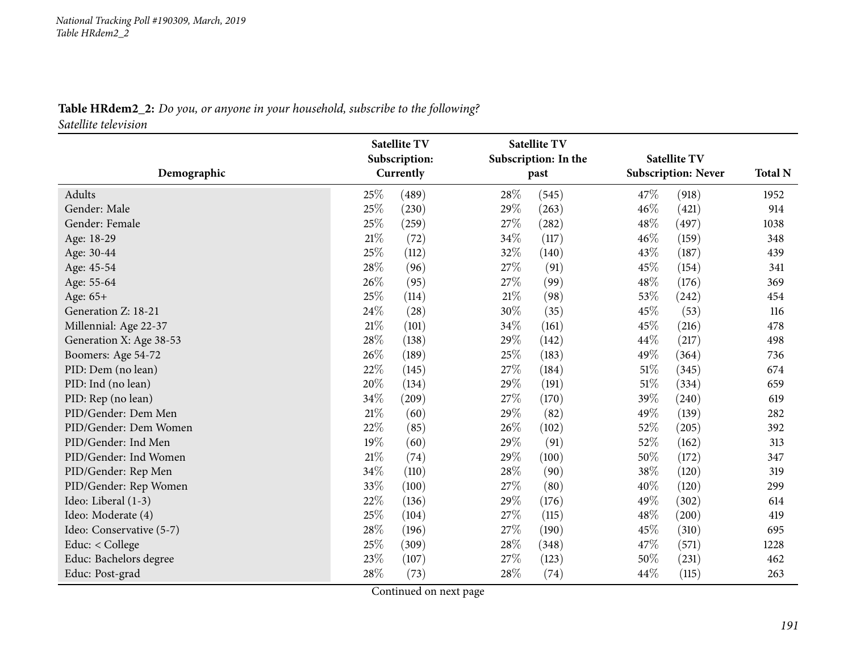|                      | <b>Table HRdem2_2:</b> Do you, or anyone in your household, subscribe to the following? |  |
|----------------------|-----------------------------------------------------------------------------------------|--|
| Satellite television |                                                                                         |  |

| Demographic              | <b>Satellite TV</b><br>Subscription:<br>Currently | <b>Satellite TV</b><br>Subscription: In the<br>past | <b>Satellite TV</b><br><b>Subscription: Never</b> | <b>Total N</b> |
|--------------------------|---------------------------------------------------|-----------------------------------------------------|---------------------------------------------------|----------------|
| Adults                   | 25%                                               | 28%                                                 |                                                   |                |
| Gender: Male             | (489)                                             | (545)                                               | 47\%<br>(918)                                     | 1952           |
| Gender: Female           | 25%<br>(230)<br>25%                               | 29%<br>(263)                                        | 46%<br>(421)                                      | 914            |
|                          | (259)                                             | 27%<br>(282)                                        | 48%<br>(497)                                      | 1038           |
| Age: 18-29               | 21%<br>(72)                                       | 34%<br>(117)                                        | 46\%<br>(159)                                     | 348            |
| Age: 30-44               | 25%<br>(112)                                      | 32%<br>(140)                                        | 43%<br>(187)                                      | 439            |
| Age: 45-54               | 28%<br>(96)                                       | 27%<br>(91)                                         | 45%<br>(154)                                      | 341            |
| Age: 55-64               | 26%<br>(95)                                       | 27%<br>(99)                                         | 48%<br>(176)                                      | 369            |
| Age: 65+                 | 25%<br>(114)                                      | 21%<br>(98)                                         | 53%<br>(242)                                      | 454            |
| Generation Z: 18-21      | 24%<br>(28)                                       | 30%<br>(35)                                         | 45%<br>(53)                                       | 116            |
| Millennial: Age 22-37    | $21\%$<br>(101)                                   | 34%<br>(161)                                        | 45%<br>(216)                                      | 478            |
| Generation X: Age 38-53  | 28%<br>(138)                                      | 29%<br>(142)                                        | 44%<br>(217)                                      | 498            |
| Boomers: Age 54-72       | 26%<br>(189)                                      | 25%<br>(183)                                        | 49%<br>(364)                                      | 736            |
| PID: Dem (no lean)       | 22%<br>(145)                                      | 27%<br>(184)                                        | $51\%$<br>(345)                                   | 674            |
| PID: Ind (no lean)       | 20%<br>(134)                                      | 29%<br>(191)                                        | $51\%$<br>(334)                                   | 659            |
| PID: Rep (no lean)       | 34%<br>(209)                                      | 27%<br>(170)                                        | 39%<br>(240)                                      | 619            |
| PID/Gender: Dem Men      | 21%<br>(60)                                       | 29%<br>(82)                                         | 49%<br>(139)                                      | 282            |
| PID/Gender: Dem Women    | 22%<br>(85)                                       | $26\%$<br>(102)                                     | 52%<br>(205)                                      | 392            |
| PID/Gender: Ind Men      | 19%<br>(60)                                       | 29%<br>(91)                                         | 52%<br>(162)                                      | 313            |
| PID/Gender: Ind Women    | 21%<br>(74)                                       | 29%<br>(100)                                        | 50%<br>(172)                                      | 347            |
| PID/Gender: Rep Men      | 34%<br>(110)                                      | 28%<br>(90)                                         | 38%<br>(120)                                      | 319            |
| PID/Gender: Rep Women    | 33%<br>(100)                                      | 27%<br>(80)                                         | 40%<br>(120)                                      | 299            |
| Ideo: Liberal (1-3)      | $22\%$<br>(136)                                   | 29%<br>(176)                                        | 49%<br>(302)                                      | 614            |
| Ideo: Moderate (4)       | 25%<br>(104)                                      | 27%<br>(115)                                        | 48%<br>(200)                                      | 419            |
| Ideo: Conservative (5-7) | 28%<br>(196)                                      | 27%<br>(190)                                        | 45%<br>(310)                                      | 695            |
| Educ: < College          | 25%<br>(309)                                      | 28%<br>(348)                                        | 47\%<br>(571)                                     | 1228           |
| Educ: Bachelors degree   | 23%<br>(107)                                      | 27%<br>(123)                                        | 50%<br>(231)                                      | 462            |
| Educ: Post-grad          | 28%<br>(73)                                       | 28%<br>(74)                                         | 44%<br>(115)                                      | 263            |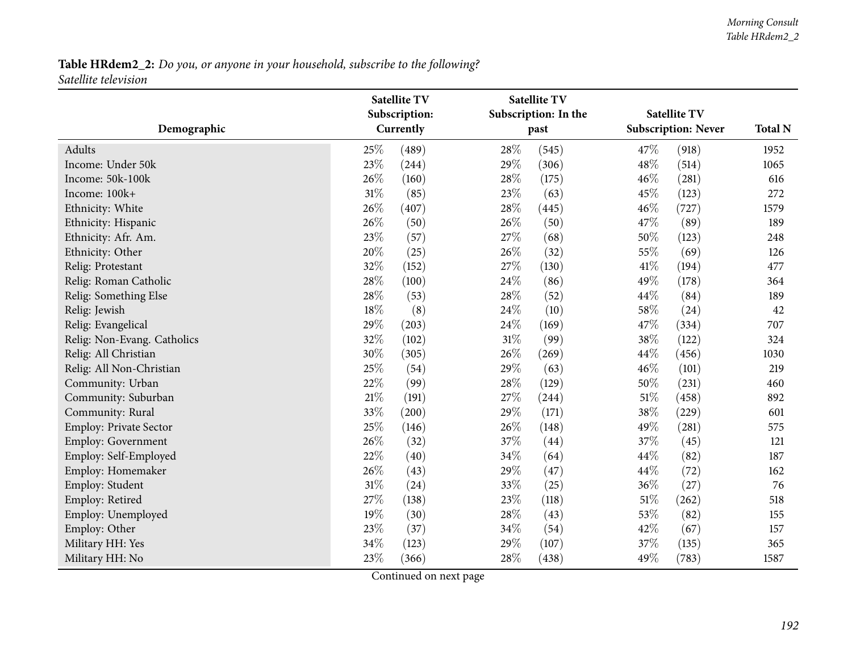|                               |     | <b>Satellite TV</b> |      | <b>Satellite TV</b>  |        |                            |                |
|-------------------------------|-----|---------------------|------|----------------------|--------|----------------------------|----------------|
|                               |     | Subscription:       |      | Subscription: In the |        | <b>Satellite TV</b>        |                |
| Demographic                   |     | Currently           |      | past                 |        | <b>Subscription: Never</b> | <b>Total N</b> |
| Adults                        | 25% | (489)               | 28%  | (545)                | 47\%   | (918)                      | 1952           |
| Income: Under 50k             | 23% | (244)               | 29%  | (306)                | 48%    | (514)                      | 1065           |
| Income: 50k-100k              | 26% | (160)               | 28%  | (175)                | 46%    | (281)                      | 616            |
| Income: 100k+                 | 31% | (85)                | 23%  | (63)                 | 45%    | (123)                      | 272            |
| Ethnicity: White              | 26% | (407)               | 28%  | (445)                | 46%    | (727)                      | 1579           |
| Ethnicity: Hispanic           | 26% | (50)                | 26%  | (50)                 | 47%    | (89)                       | 189            |
| Ethnicity: Afr. Am.           | 23% | (57)                | 27%  | (68)                 | 50%    | (123)                      | 248            |
| Ethnicity: Other              | 20% | (25)                | 26%  | (32)                 | 55%    | (69)                       | 126            |
| Relig: Protestant             | 32% | (152)               | 27%  | (130)                | 41\%   | (194)                      | 477            |
| Relig: Roman Catholic         | 28% | (100)               | 24\% | (86)                 | 49%    | (178)                      | 364            |
| Relig: Something Else         | 28% | (53)                | 28%  | (52)                 | 44%    | (84)                       | 189            |
| Relig: Jewish                 | 18% | (8)                 | 24%  | (10)                 | 58%    | (24)                       | 42             |
| Relig: Evangelical            | 29% | (203)               | 24%  | (169)                | 47%    | (334)                      | 707            |
| Relig: Non-Evang. Catholics   | 32% | (102)               | 31%  | (99)                 | 38%    | (122)                      | 324            |
| Relig: All Christian          | 30% | (305)               | 26%  | (269)                | 44%    | (456)                      | 1030           |
| Relig: All Non-Christian      | 25% | (54)                | 29%  | (63)                 | 46%    | (101)                      | 219            |
| Community: Urban              | 22% | (99)                | 28%  | (129)                | $50\%$ | (231)                      | 460            |
| Community: Suburban           | 21% | (191)               | 27%  | (244)                | $51\%$ | (458)                      | 892            |
| Community: Rural              | 33% | (200)               | 29%  | (171)                | 38%    | (229)                      | 601            |
| <b>Employ: Private Sector</b> | 25% | (146)               | 26%  | (148)                | 49%    | (281)                      | 575            |
| <b>Employ: Government</b>     | 26% | (32)                | 37%  | (44)                 | 37%    | (45)                       | 121            |
| Employ: Self-Employed         | 22% | (40)                | 34%  | (64)                 | 44%    | (82)                       | 187            |
| Employ: Homemaker             | 26% | (43)                | 29%  | (47)                 | 44%    | (72)                       | 162            |
| Employ: Student               | 31% | (24)                | 33%  | (25)                 | 36%    | (27)                       | 76             |
| Employ: Retired               | 27% | (138)               | 23%  | (118)                | $51\%$ | (262)                      | 518            |
| Employ: Unemployed            | 19% | (30)                | 28%  | (43)                 | 53%    | (82)                       | 155            |
| Employ: Other                 | 23% | (37)                | 34%  | (54)                 | 42%    | (67)                       | 157            |
| Military HH: Yes              | 34% | (123)               | 29%  | (107)                | 37%    | (135)                      | 365            |
| Military HH: No               | 23% | (366)               | 28\% | (438)                | 49%    | (783)                      | 1587           |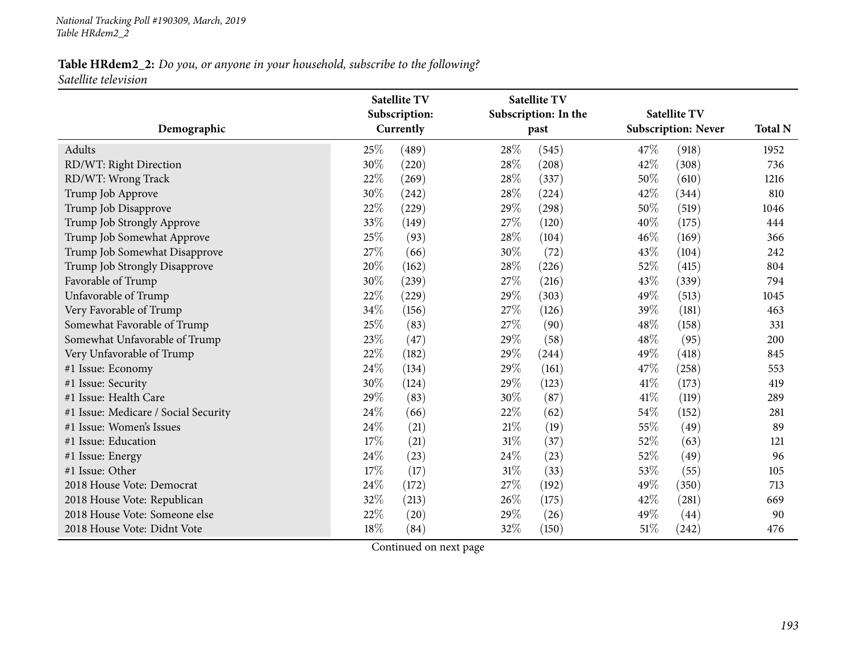|                                      |        | <b>Satellite TV</b> |     | <b>Satellite TV</b>  |        |                            |                |
|--------------------------------------|--------|---------------------|-----|----------------------|--------|----------------------------|----------------|
|                                      |        | Subscription:       |     | Subscription: In the |        | <b>Satellite TV</b>        |                |
| Demographic                          |        | Currently           |     | past                 |        | <b>Subscription: Never</b> | <b>Total N</b> |
| Adults                               | 25%    | (489)               | 28% | (545)                | 47\%   | (918)                      | 1952           |
| RD/WT: Right Direction               | 30%    | (220)               | 28% | (208)                | 42%    | (308)                      | 736            |
| RD/WT: Wrong Track                   | 22%    | (269)               | 28% | (337)                | 50%    | (610)                      | 1216           |
| Trump Job Approve                    | 30%    | (242)               | 28% | (224)                | 42%    | (344)                      | 810            |
| Trump Job Disapprove                 | 22%    | (229)               | 29% | (298)                | 50%    | (519)                      | 1046           |
| Trump Job Strongly Approve           | 33%    | (149)               | 27% | (120)                | 40%    | (175)                      | 444            |
| Trump Job Somewhat Approve           | 25%    | (93)                | 28% | (104)                | 46%    | (169)                      | 366            |
| Trump Job Somewhat Disapprove        | 27%    | (66)                | 30% | (72)                 | 43%    | (104)                      | 242            |
| Trump Job Strongly Disapprove        | 20%    | (162)               | 28% | (226)                | 52%    | (415)                      | 804            |
| Favorable of Trump                   | 30%    | (239)               | 27% | (216)                | 43%    | (339)                      | 794            |
| Unfavorable of Trump                 | 22%    | (229)               | 29% | (303)                | 49%    | (513)                      | 1045           |
| Very Favorable of Trump              | 34%    | (156)               | 27% | (126)                | 39%    | (181)                      | 463            |
| Somewhat Favorable of Trump          | 25%    | (83)                | 27% | (90)                 | 48%    | (158)                      | 331            |
| Somewhat Unfavorable of Trump        | 23%    | (47)                | 29% | (58)                 | 48%    | (95)                       | 200            |
| Very Unfavorable of Trump            | 22%    | (182)               | 29% | (244)                | 49%    | (418)                      | 845            |
| #1 Issue: Economy                    | $24\%$ | (134)               | 29% | (161)                | 47%    | (258)                      | 553            |
| #1 Issue: Security                   | 30%    | (124)               | 29% | (123)                | 41\%   | (173)                      | 419            |
| #1 Issue: Health Care                | 29%    | (83)                | 30% | (87)                 | 41\%   | (119)                      | 289            |
| #1 Issue: Medicare / Social Security | 24%    | (66)                | 22% | (62)                 | 54%    | (152)                      | 281            |
| #1 Issue: Women's Issues             | 24%    | (21)                | 21% | (19)                 | 55%    | (49)                       | 89             |
| #1 Issue: Education                  | 17%    | (21)                | 31% | (37)                 | 52%    | (63)                       | 121            |
| #1 Issue: Energy                     | 24%    | (23)                | 24% | (23)                 | 52%    | (49)                       | 96             |
| #1 Issue: Other                      | 17%    | (17)                | 31% | (33)                 | 53%    | (55)                       | 105            |
| 2018 House Vote: Democrat            | 24%    | (172)               | 27% | (192)                | 49%    | (350)                      | 713            |
| 2018 House Vote: Republican          | 32%    | (213)               | 26% | (175)                | 42%    | (281)                      | 669            |
| 2018 House Vote: Someone else        | 22%    | (20)                | 29% | (26)                 | 49%    | (44)                       | 90             |
| 2018 House Vote: Didnt Vote          | 18%    | (84)                | 32% | (150)                | $51\%$ | (242)                      | 476            |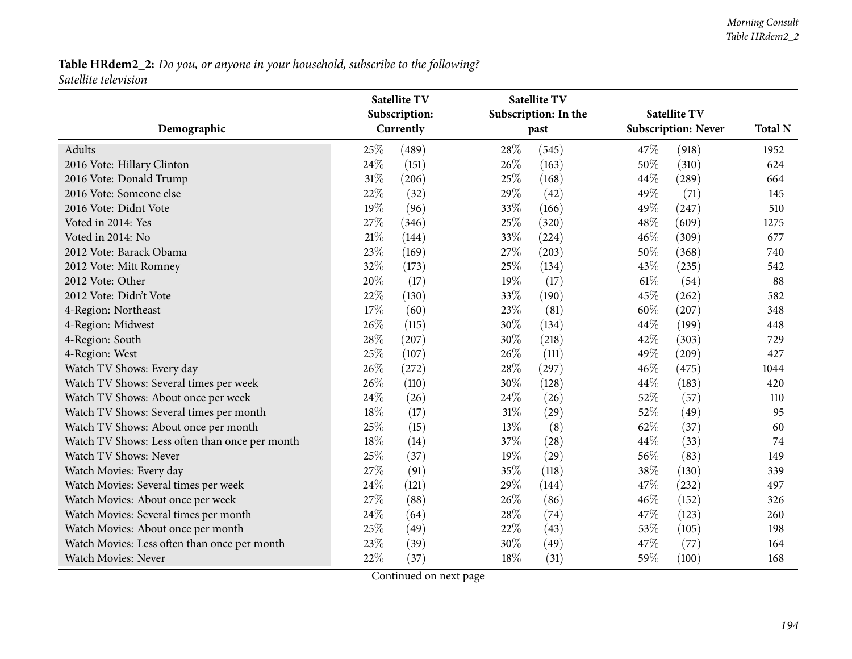|                                                | <b>Satellite TV</b> | <b>Satellite TV</b>  |                            |                |
|------------------------------------------------|---------------------|----------------------|----------------------------|----------------|
|                                                | Subscription:       | Subscription: In the | <b>Satellite TV</b>        |                |
| Demographic                                    | Currently           | past                 | <b>Subscription: Never</b> | <b>Total N</b> |
| Adults                                         | 25%<br>(489)        | 28%<br>(545)         | 47\%<br>(918)              | 1952           |
| 2016 Vote: Hillary Clinton                     | 24%<br>(151)        | 26%<br>(163)         | 50%<br>(310)               | 624            |
| 2016 Vote: Donald Trump                        | 31%<br>(206)        | 25%<br>(168)         | 44%<br>(289)               | 664            |
| 2016 Vote: Someone else                        | 22%<br>(32)         | 29%<br>(42)          | 49%<br>(71)                | 145            |
| 2016 Vote: Didnt Vote                          | 19%<br>(96)         | 33%<br>(166)         | 49%<br>(247)               | 510            |
| Voted in 2014: Yes                             | 27%<br>(346)        | 25%<br>(320)         | 48%<br>(609)               | 1275           |
| Voted in 2014: No                              | 21\%<br>(144)       | 33%<br>(224)         | 46%<br>(309)               | 677            |
| 2012 Vote: Barack Obama                        | 23%<br>(169)        | 27%<br>(203)         | 50%<br>(368)               | 740            |
| 2012 Vote: Mitt Romney                         | 32%<br>(173)        | 25%<br>(134)         | 43%<br>(235)               | 542            |
| 2012 Vote: Other                               | 20%<br>(17)         | 19%<br>(17)          | 61\%<br>(54)               | 88             |
| 2012 Vote: Didn't Vote                         | 22%<br>(130)        | 33%<br>(190)         | 45%<br>(262)               | 582            |
| 4-Region: Northeast                            | 17%<br>(60)         | 23%<br>(81)          | 60%<br>(207)               | 348            |
| 4-Region: Midwest                              | 26%<br>(115)        | 30%<br>(134)         | 44\%<br>(199)              | 448            |
| 4-Region: South                                | 28%<br>(207)        | 30%<br>(218)         | 42%<br>(303)               | 729            |
| 4-Region: West                                 | 25%<br>(107)        | 26%<br>(111)         | 49%<br>(209)               | 427            |
| Watch TV Shows: Every day                      | 26%<br>(272)        | 28%<br>(297)         | $46\%$<br>(475)            | 1044           |
| Watch TV Shows: Several times per week         | 26%<br>(110)        | 30%<br>(128)         | 44\%<br>(183)              | 420            |
| Watch TV Shows: About once per week            | 24%<br>(26)         | 24%<br>(26)          | 52%<br>(57)                | 110            |
| Watch TV Shows: Several times per month        | 18%<br>(17)         | 31%<br>(29)          | 52%<br>(49)                | 95             |
| Watch TV Shows: About once per month           | 25%<br>(15)         | 13%<br>(8)           | 62%<br>(37)                | 60             |
| Watch TV Shows: Less often than once per month | 18%<br>(14)         | 37%<br>(28)          | 44%<br>(33)                | 74             |
| Watch TV Shows: Never                          | 25%<br>(37)         | 19%<br>(29)          | (83)<br>56%                | 149            |
| Watch Movies: Every day                        | 27%<br>(91)         | 35%<br>(118)         | 38%<br>(130)               | 339            |
| Watch Movies: Several times per week           | 24%<br>(121)        | 29%<br>(144)         | 47%<br>(232)               | 497            |
| Watch Movies: About once per week              | 27%<br>(88)         | 26%<br>(86)          | 46%<br>(152)               | 326            |
| Watch Movies: Several times per month          | 24%<br>(64)         | 28%<br>(74)          | 47%<br>(123)               | 260            |
| Watch Movies: About once per month             | 25%<br>(49)         | 22%<br>(43)          | 53%<br>(105)               | 198            |
| Watch Movies: Less often than once per month   | 23%<br>(39)         | 30%<br>(49)          | 47%<br>(77)                | 164            |
| <b>Watch Movies: Never</b>                     | 22%<br>(37)         | 18%<br>(31)          | 59%<br>(100)               | 168            |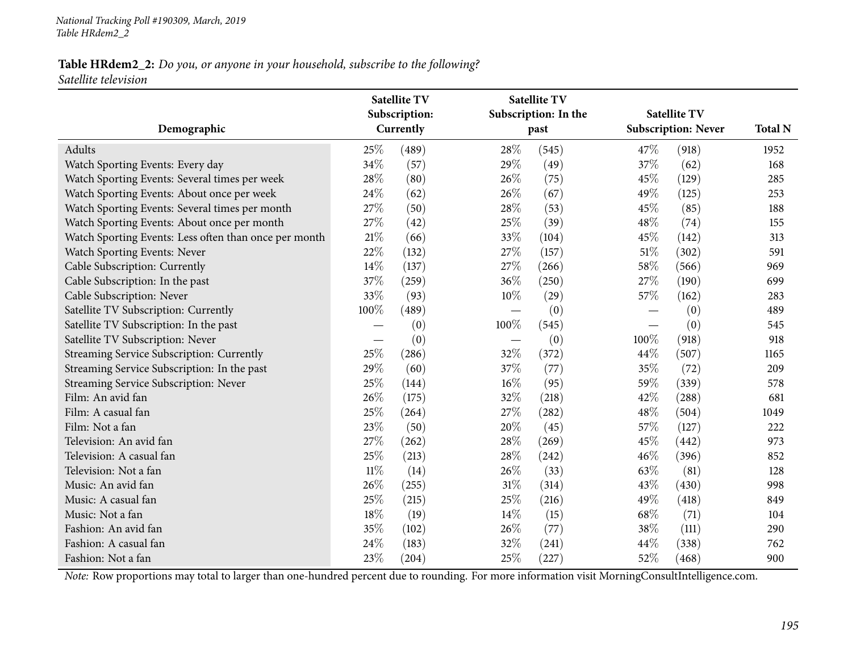|                                                       |        | <b>Satellite TV</b> |        | <b>Satellite TV</b>  |      |                            |                |
|-------------------------------------------------------|--------|---------------------|--------|----------------------|------|----------------------------|----------------|
|                                                       |        | Subscription:       |        | Subscription: In the |      | <b>Satellite TV</b>        |                |
| Demographic                                           |        | Currently           |        | past                 |      | <b>Subscription: Never</b> | <b>Total N</b> |
| Adults                                                | 25%    | (489)               | 28%    | (545)                | 47%  | (918)                      | 1952           |
| Watch Sporting Events: Every day                      | 34%    | (57)                | 29%    | (49)                 | 37%  | (62)                       | 168            |
| Watch Sporting Events: Several times per week         | 28%    | (80)                | 26\%   | (75)                 | 45%  | (129)                      | 285            |
| Watch Sporting Events: About once per week            | 24%    | (62)                | 26%    | (67)                 | 49%  | (125)                      | 253            |
| Watch Sporting Events: Several times per month        | 27%    | (50)                | 28%    | (53)                 | 45%  | (85)                       | 188            |
| Watch Sporting Events: About once per month           | 27%    | (42)                | 25%    | (39)                 | 48%  | (74)                       | 155            |
| Watch Sporting Events: Less often than once per month | $21\%$ | (66)                | 33%    | (104)                | 45%  | (142)                      | 313            |
| Watch Sporting Events: Never                          | 22%    | (132)               | 27\%   | (157)                | 51\% | (302)                      | 591            |
| Cable Subscription: Currently                         | 14%    | (137)               | 27%    | (266)                | 58%  | (566)                      | 969            |
| Cable Subscription: In the past                       | 37%    | (259)               | 36%    | (250)                | 27%  | (190)                      | 699            |
| Cable Subscription: Never                             | 33%    | (93)                | 10%    | (29)                 | 57%  | (162)                      | 283            |
| Satellite TV Subscription: Currently                  | 100%   | (489)               |        | (0)                  |      | (0)                        | 489            |
| Satellite TV Subscription: In the past                |        | (0)                 | 100%   | (545)                |      | (0)                        | 545            |
| Satellite TV Subscription: Never                      |        | (0)                 |        | (0)                  | 100% | (918)                      | 918            |
| Streaming Service Subscription: Currently             | 25%    | (286)               | 32%    | (372)                | 44%  | (507)                      | 1165           |
| Streaming Service Subscription: In the past           | 29%    | (60)                | 37%    | (77)                 | 35%  | (72)                       | 209            |
| Streaming Service Subscription: Never                 | 25%    | (144)               | $16\%$ | (95)                 | 59%  | (339)                      | 578            |
| Film: An avid fan                                     | 26%    | (175)               | 32%    | (218)                | 42%  | (288)                      | 681            |
| Film: A casual fan                                    | 25%    | (264)               | 27\%   | (282)                | 48%  | (504)                      | 1049           |
| Film: Not a fan                                       | 23%    | (50)                | 20%    | (45)                 | 57%  | (127)                      | 222            |
| Television: An avid fan                               | 27%    | (262)               | 28\%   | (269)                | 45%  | (442)                      | 973            |
| Television: A casual fan                              | 25%    | (213)               | 28\%   | (242)                | 46\% | (396)                      | 852            |
| Television: Not a fan                                 | $11\%$ | (14)                | 26%    | (33)                 | 63%  | (81)                       | 128            |
| Music: An avid fan                                    | 26%    | (255)               | $31\%$ | (314)                | 43%  | (430)                      | 998            |
| Music: A casual fan                                   | 25%    | (215)               | 25%    | (216)                | 49%  | (418)                      | 849            |
| Music: Not a fan                                      | 18%    | (19)                | 14%    | (15)                 | 68%  | (71)                       | 104            |
| Fashion: An avid fan                                  | 35%    | (102)               | 26%    | (77)                 | 38%  | (111)                      | 290            |
| Fashion: A casual fan                                 | 24%    | (183)               | 32%    | (241)                | 44%  | (338)                      | 762            |
| Fashion: Not a fan                                    | 23%    | (204)               | 25%    | (227)                | 52%  | (468)                      | 900            |

*Note:* Row proportions may total to larger than one-hundred percen<sup>t</sup> due to rounding. For more information visit [MorningConsultIntelligence.com](https://morningconsultintelligence.com).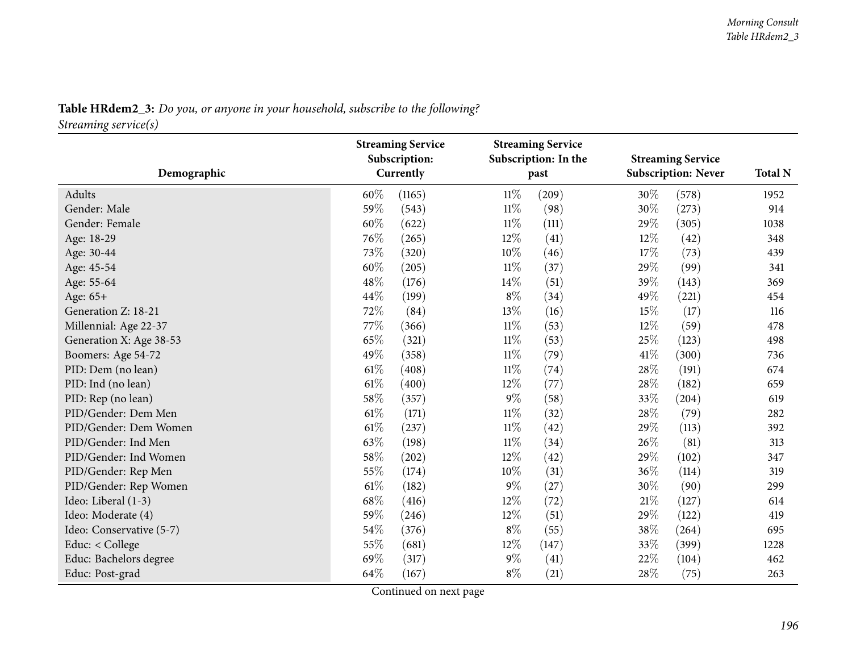| <b>Table HRdem2_3:</b> Do you, or anyone in your household, subscribe to the following? |  |  |  |
|-----------------------------------------------------------------------------------------|--|--|--|
| Streaming service(s)                                                                    |  |  |  |

| Demographic              |      | <b>Streaming Service</b><br>Subscription:<br>Currently |        | <b>Streaming Service</b><br>Subscription: In the<br>past |        | <b>Streaming Service</b><br><b>Subscription: Never</b> | <b>Total N</b> |
|--------------------------|------|--------------------------------------------------------|--------|----------------------------------------------------------|--------|--------------------------------------------------------|----------------|
| Adults                   | 60%  | (1165)                                                 | $11\%$ | (209)                                                    | 30%    | (578)                                                  | 1952           |
| Gender: Male             | 59%  | (543)                                                  | $11\%$ | (98)                                                     | 30%    | (273)                                                  | 914            |
| Gender: Female           | 60%  | (622)                                                  | $11\%$ | (111)                                                    | 29%    | (305)                                                  | 1038           |
| Age: 18-29               | 76%  | (265)                                                  | 12%    | (41)                                                     | $12\%$ | (42)                                                   | 348            |
| Age: 30-44               | 73%  | (320)                                                  | 10%    | (46)                                                     | 17%    | (73)                                                   | 439            |
| Age: 45-54               | 60%  | (205)                                                  | $11\%$ | (37)                                                     | 29%    | (99)                                                   | 341            |
| Age: 55-64               | 48%  | (176)                                                  | 14%    | (51)                                                     | 39%    | (143)                                                  | 369            |
| Age: 65+                 | 44%  | (199)                                                  | $8\%$  | (34)                                                     | 49%    | (221)                                                  | 454            |
| Generation Z: 18-21      | 72%  | (84)                                                   | 13%    | (16)                                                     | 15%    | (17)                                                   | 116            |
| Millennial: Age 22-37    | 77%  | (366)                                                  | $11\%$ | (53)                                                     | 12%    | (59)                                                   | 478            |
| Generation X: Age 38-53  | 65%  | (321)                                                  | $11\%$ | (53)                                                     | 25%    | (123)                                                  | 498            |
| Boomers: Age 54-72       | 49%  | (358)                                                  | $11\%$ | (79)                                                     | 41\%   | (300)                                                  | 736            |
| PID: Dem (no lean)       | 61\% | (408)                                                  | $11\%$ | (74)                                                     | 28%    | (191)                                                  | 674            |
| PID: Ind (no lean)       | 61%  | (400)                                                  | 12%    | (77)                                                     | 28%    | (182)                                                  | 659            |
| PID: Rep (no lean)       | 58%  | (357)                                                  | $9\%$  | (58)                                                     | 33%    | (204)                                                  | 619            |
| PID/Gender: Dem Men      | 61\% | (171)                                                  | $11\%$ | (32)                                                     | 28%    | (79)                                                   | 282            |
| PID/Gender: Dem Women    | 61\% | (237)                                                  | $11\%$ | (42)                                                     | 29%    | (113)                                                  | 392            |
| PID/Gender: Ind Men      | 63%  | (198)                                                  | $11\%$ | (34)                                                     | 26\%   | (81)                                                   | 313            |
| PID/Gender: Ind Women    | 58%  | (202)                                                  | 12%    | (42)                                                     | 29%    | (102)                                                  | 347            |
| PID/Gender: Rep Men      | 55%  | (174)                                                  | 10%    | (31)                                                     | 36%    | (114)                                                  | 319            |
| PID/Gender: Rep Women    | 61%  | (182)                                                  | $9\%$  | (27)                                                     | 30%    | (90)                                                   | 299            |
| Ideo: Liberal (1-3)      | 68%  | (416)                                                  | 12%    | (72)                                                     | $21\%$ | (127)                                                  | 614            |
| Ideo: Moderate (4)       | 59%  | (246)                                                  | 12%    | (51)                                                     | 29%    | (122)                                                  | 419            |
| Ideo: Conservative (5-7) | 54%  | (376)                                                  | $8\%$  | (55)                                                     | 38%    | (264)                                                  | 695            |
| Educ: < College          | 55%  | (681)                                                  | 12%    | (147)                                                    | 33%    | (399)                                                  | 1228           |
| Educ: Bachelors degree   | 69%  | (317)                                                  | $9\%$  | (41)                                                     | 22%    | (104)                                                  | 462            |
| Educ: Post-grad          | 64%  | (167)                                                  | $8\%$  | (21)                                                     | $28\%$ | (75)                                                   | 263            |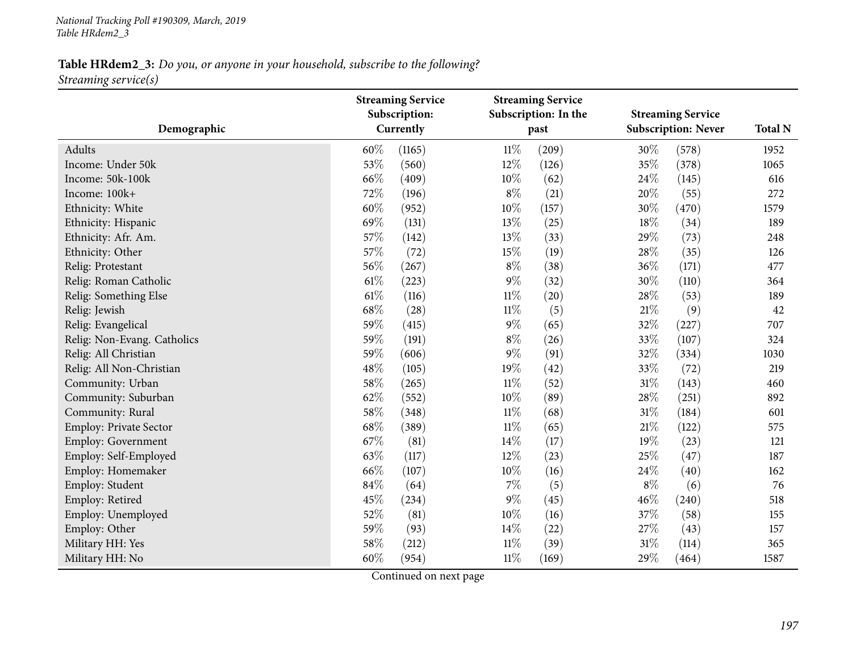|                             |     | <b>Streaming Service</b><br>Subscription: |        | <b>Streaming Service</b><br>Subscription: In the |        | <b>Streaming Service</b>   |                |
|-----------------------------|-----|-------------------------------------------|--------|--------------------------------------------------|--------|----------------------------|----------------|
| Demographic                 |     | Currently                                 |        | past                                             |        | <b>Subscription: Never</b> | <b>Total N</b> |
| Adults                      | 60% | (1165)                                    | $11\%$ | (209)                                            | 30%    | (578)                      | 1952           |
| Income: Under 50k           | 53% | (560)                                     | 12%    | (126)                                            | 35%    | (378)                      | 1065           |
| Income: 50k-100k            | 66% | (409)                                     | 10%    | (62)                                             | 24%    | (145)                      | 616            |
| Income: 100k+               | 72% | (196)                                     | $8\%$  | (21)                                             | 20%    | (55)                       | 272            |
| Ethnicity: White            | 60% | (952)                                     | 10%    | (157)                                            | 30%    | (470)                      | 1579           |
| Ethnicity: Hispanic         | 69% | (131)                                     | 13%    | (25)                                             | 18%    | (34)                       | 189            |
| Ethnicity: Afr. Am.         | 57% | (142)                                     | 13%    | (33)                                             | 29%    | (73)                       | 248            |
| Ethnicity: Other            | 57% | (72)                                      | 15%    | (19)                                             | 28\%   | (35)                       | 126            |
| Relig: Protestant           | 56% | (267)                                     | $8\%$  | (38)                                             | 36%    | (171)                      | 477            |
| Relig: Roman Catholic       | 61% | (223)                                     | $9\%$  | (32)                                             | 30%    | (110)                      | 364            |
| Relig: Something Else       | 61% | (116)                                     | $11\%$ | (20)                                             | 28\%   | (53)                       | 189            |
| Relig: Jewish               | 68% | (28)                                      | $11\%$ | (5)                                              | $21\%$ | (9)                        | 42             |
| Relig: Evangelical          | 59% | (415)                                     | $9\%$  | (65)                                             | 32%    | (227)                      | 707            |
| Relig: Non-Evang. Catholics | 59% | (191)                                     | $8\%$  | (26)                                             | 33%    | (107)                      | 324            |
| Relig: All Christian        | 59% | (606)                                     | $9\%$  | (91)                                             | 32%    | (334)                      | 1030           |
| Relig: All Non-Christian    | 48% | (105)                                     | 19%    | (42)                                             | 33%    | (72)                       | 219            |
| Community: Urban            | 58% | (265)                                     | $11\%$ | (52)                                             | $31\%$ | (143)                      | 460            |
| Community: Suburban         | 62% | (552)                                     | 10%    | (89)                                             | 28%    | (251)                      | 892            |
| Community: Rural            | 58% | (348)                                     | $11\%$ | (68)                                             | $31\%$ | (184)                      | 601            |
| Employ: Private Sector      | 68% | (389)                                     | $11\%$ | (65)                                             | 21\%   | (122)                      | 575            |
| Employ: Government          | 67% | (81)                                      | 14\%   | (17)                                             | $19\%$ | (23)                       | 121            |
| Employ: Self-Employed       | 63% | (117)                                     | 12%    | (23)                                             | 25%    | (47)                       | 187            |
| Employ: Homemaker           | 66% | (107)                                     | 10%    | (16)                                             | 24\%   | (40)                       | 162            |
| Employ: Student             | 84% | (64)                                      | 7%     | (5)                                              | $8\%$  | (6)                        | 76             |
| Employ: Retired             | 45% | (234)                                     | $9\%$  | (45)                                             | 46%    | (240)                      | 518            |
| Employ: Unemployed          | 52% | (81)                                      | 10%    | (16)                                             | 37%    | (58)                       | 155            |
| Employ: Other               | 59% | (93)                                      | 14%    | (22)                                             | 27%    | (43)                       | 157            |
| Military HH: Yes            | 58% | (212)                                     | $11\%$ | (39)                                             | $31\%$ | (114)                      | 365            |
| Military HH: No             | 60% | (954)                                     | $11\%$ | (169)                                            | 29%    | (464)                      | 1587           |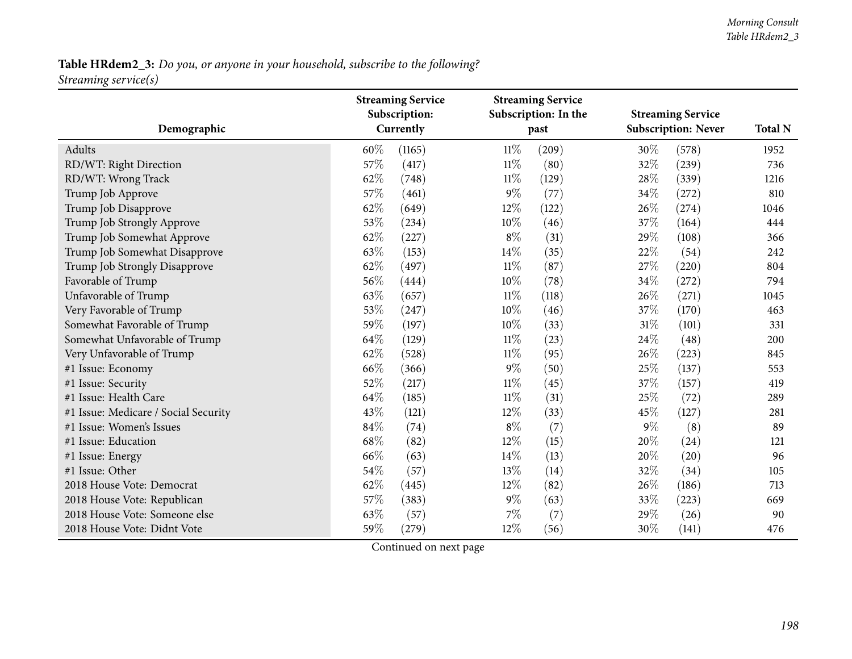|                                      |           | <b>Streaming Service</b><br>Subscription: |        | <b>Streaming Service</b><br>Subscription: In the |       | <b>Streaming Service</b>   |                |
|--------------------------------------|-----------|-------------------------------------------|--------|--------------------------------------------------|-------|----------------------------|----------------|
| Demographic                          | Currently |                                           |        | past                                             |       | <b>Subscription: Never</b> | <b>Total N</b> |
| Adults                               | 60%       | (1165)                                    | $11\%$ | (209)                                            | 30%   | (578)                      | 1952           |
| RD/WT: Right Direction               | 57%       | (417)                                     | $11\%$ | (80)                                             | 32%   | (239)                      | 736            |
| RD/WT: Wrong Track                   | 62%       | (748)                                     | $11\%$ | (129)                                            | 28%   | (339)                      | 1216           |
| Trump Job Approve                    | 57%       | (461)                                     | $9\%$  | (77)                                             | 34%   | (272)                      | 810            |
| Trump Job Disapprove                 | 62%       | (649)                                     | 12%    | (122)                                            | 26\%  | (274)                      | 1046           |
| Trump Job Strongly Approve           | 53%       | (234)                                     | 10%    | (46)                                             | 37%   | (164)                      | 444            |
| Trump Job Somewhat Approve           | 62%       | (227)                                     | $8\%$  | (31)                                             | 29%   | (108)                      | 366            |
| Trump Job Somewhat Disapprove        | 63%       | (153)                                     | 14%    | (35)                                             | 22%   | (54)                       | 242            |
| Trump Job Strongly Disapprove        | 62%       | (497)                                     | $11\%$ | (87)                                             | 27%   | (220)                      | 804            |
| Favorable of Trump                   | 56%       | (444)                                     | 10%    | (78)                                             | 34%   | (272)                      | 794            |
| Unfavorable of Trump                 | 63%       | (657)                                     | $11\%$ | (118)                                            | 26%   | (271)                      | 1045           |
| Very Favorable of Trump              | 53%       | (247)                                     | 10%    | (46)                                             | 37%   | (170)                      | 463            |
| Somewhat Favorable of Trump          | 59%       | (197)                                     | 10%    | (33)                                             | 31%   | (101)                      | 331            |
| Somewhat Unfavorable of Trump        | 64%       | (129)                                     | 11%    | (23)                                             | 24\%  | (48)                       | 200            |
| Very Unfavorable of Trump            | 62%       | (528)                                     | 11%    | (95)                                             | 26%   | (223)                      | 845            |
| #1 Issue: Economy                    | 66%       | (366)                                     | $9\%$  | (50)                                             | 25%   | (137)                      | 553            |
| #1 Issue: Security                   | 52%       | (217)                                     | $11\%$ | (45)                                             | 37%   | (157)                      | 419            |
| #1 Issue: Health Care                | 64%       | (185)                                     | $11\%$ | (31)                                             | 25%   | (72)                       | 289            |
| #1 Issue: Medicare / Social Security | 43%       | (121)                                     | 12%    | (33)                                             | 45%   | (127)                      | 281            |
| #1 Issue: Women's Issues             | 84%       | (74)                                      | $8\%$  | (7)                                              | $9\%$ | (8)                        | 89             |
| #1 Issue: Education                  | 68%       | (82)                                      | 12%    | (15)                                             | 20%   | (24)                       | 121            |
| #1 Issue: Energy                     | 66%       | (63)                                      | 14\%   | (13)                                             | 20%   | (20)                       | 96             |
| #1 Issue: Other                      | 54%       | (57)                                      | 13%    | (14)                                             | 32%   | (34)                       | 105            |
| 2018 House Vote: Democrat            | 62%       | (445)                                     | 12%    | (82)                                             | 26%   | (186)                      | 713            |
| 2018 House Vote: Republican          | 57%       | (383)                                     | $9\%$  | (63)                                             | 33%   | (223)                      | 669            |
| 2018 House Vote: Someone else        | 63%       | (57)                                      | 7%     | (7)                                              | 29%   | (26)                       | 90             |
| 2018 House Vote: Didnt Vote          | 59%       | (279)                                     | 12%    | (56)                                             | 30%   | (141)                      | 476            |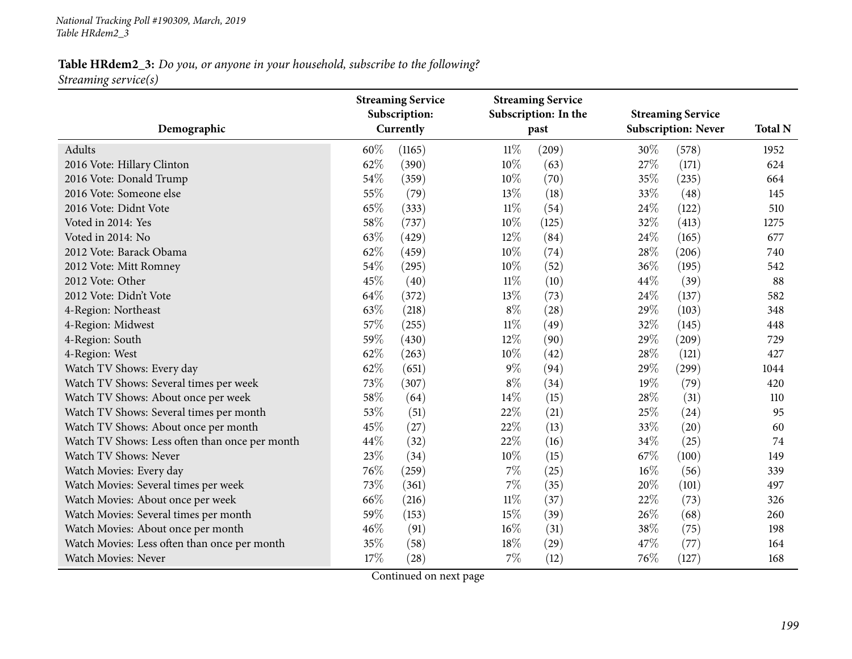|                                                | <b>Streaming Service</b><br>Subscription: |        | <b>Streaming Service</b><br>Subscription: In the |        | <b>Streaming Service</b>   |                |
|------------------------------------------------|-------------------------------------------|--------|--------------------------------------------------|--------|----------------------------|----------------|
| Demographic                                    | Currently                                 |        | past                                             |        | <b>Subscription: Never</b> | <b>Total N</b> |
| Adults                                         | 60%<br>(1165)                             | $11\%$ | (209)                                            | $30\%$ | (578)                      | 1952           |
| 2016 Vote: Hillary Clinton                     | 62%<br>(390)                              | 10%    | (63)                                             | 27%    | (171)                      | 624            |
| 2016 Vote: Donald Trump                        | 54%<br>(359)                              | 10%    | (70)                                             | 35%    | (235)                      | 664            |
| 2016 Vote: Someone else                        | 55%<br>(79)                               | 13%    | (18)                                             | 33%    | (48)                       | 145            |
| 2016 Vote: Didnt Vote                          | 65%<br>(333)                              | $11\%$ | (54)                                             | 24\%   | (122)                      | 510            |
| Voted in 2014: Yes                             | 58%<br>(737)                              | 10%    | (125)                                            | 32%    | (413)                      | 1275           |
| Voted in 2014: No                              | 63%<br>(429)                              | 12%    | (84)                                             | 24%    | (165)                      | 677            |
| 2012 Vote: Barack Obama                        | 62%<br>(459)                              | 10%    | (74)                                             | 28%    | (206)                      | 740            |
| 2012 Vote: Mitt Romney                         | 54%<br>(295)                              | 10%    | (52)                                             | 36%    | (195)                      | 542            |
| 2012 Vote: Other                               | 45%<br>(40)                               | $11\%$ | (10)                                             | 44%    | (39)                       | 88             |
| 2012 Vote: Didn't Vote                         | 64%<br>(372)                              | 13%    | (73)                                             | 24%    | (137)                      | 582            |
| 4-Region: Northeast                            | 63%<br>(218)                              | $8\%$  | (28)                                             | 29%    | (103)                      | 348            |
| 4-Region: Midwest                              | 57%<br>(255)                              | $11\%$ | (49)                                             | 32%    | (145)                      | 448            |
| 4-Region: South                                | 59%<br>(430)                              | 12%    | (90)                                             | 29%    | (209)                      | 729            |
| 4-Region: West                                 | 62%<br>(263)                              | 10%    | (42)                                             | 28%    | (121)                      | 427            |
| Watch TV Shows: Every day                      | 62%<br>(651)                              | 9%     | (94)                                             | 29%    | (299)                      | 1044           |
| Watch TV Shows: Several times per week         | 73%<br>(307)                              | $8\%$  | (34)                                             | 19%    | (79)                       | 420            |
| Watch TV Shows: About once per week            | 58%<br>(64)                               | 14%    | (15)                                             | 28%    | (31)                       | 110            |
| Watch TV Shows: Several times per month        | 53%<br>(51)                               | 22%    | (21)                                             | 25%    | (24)                       | 95             |
| Watch TV Shows: About once per month           | 45%<br>(27)                               | 22%    | (13)                                             | 33%    | (20)                       | 60             |
| Watch TV Shows: Less often than once per month | 44%<br>(32)                               | 22%    | (16)                                             | 34%    | (25)                       | 74             |
| Watch TV Shows: Never                          | 23%<br>(34)                               | 10%    | (15)                                             | 67%    | (100)                      | 149            |
| Watch Movies: Every day                        | 76%<br>(259)                              | $7\%$  | (25)                                             | 16%    | (56)                       | 339            |
| Watch Movies: Several times per week           | 73%<br>(361)                              | 7%     | (35)                                             | 20%    | (101)                      | 497            |
| Watch Movies: About once per week              | 66%<br>(216)                              | $11\%$ | (37)                                             | 22%    | (73)                       | 326            |
| Watch Movies: Several times per month          | 59%<br>(153)                              | 15%    | (39)                                             | 26%    | (68)                       | 260            |
| Watch Movies: About once per month             | 46%<br>(91)                               | 16%    | (31)                                             | 38%    | (75)                       | 198            |
| Watch Movies: Less often than once per month   | 35%<br>(58)                               | 18%    | (29)                                             | 47%    | (77)                       | 164            |
| Watch Movies: Never                            | 17%<br>(28)                               | $7\%$  | (12)                                             | 76%    | (127)                      | 168            |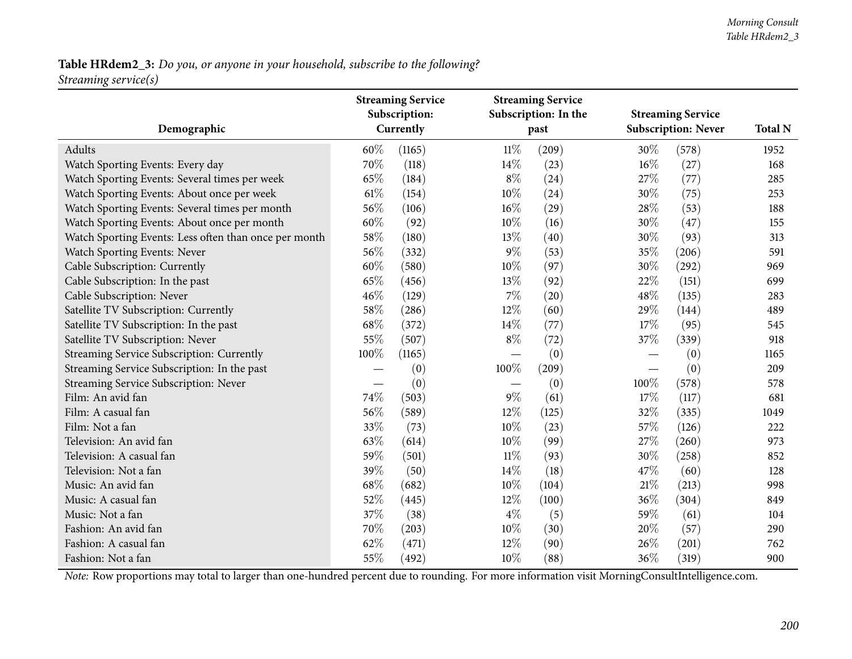| Demographic                                           |                                 | <b>Streaming Service</b><br>Subscription:<br>Currently |        | <b>Streaming Service</b><br>Subscription: In the<br>past |                               | <b>Streaming Service</b><br><b>Subscription: Never</b> | <b>Total N</b> |
|-------------------------------------------------------|---------------------------------|--------------------------------------------------------|--------|----------------------------------------------------------|-------------------------------|--------------------------------------------------------|----------------|
|                                                       |                                 |                                                        |        |                                                          |                               |                                                        |                |
| <b>Adults</b>                                         | 60%                             | (1165)                                                 | $11\%$ | (209)                                                    | 30\%                          | (578)                                                  | 1952           |
| Watch Sporting Events: Every day                      | 70%                             | (118)                                                  | 14%    | (23)                                                     | $16\%$                        | (27)                                                   | 168            |
| Watch Sporting Events: Several times per week         | 65%                             | (184)                                                  | $8\%$  | (24)                                                     | 27%                           | (77)                                                   | 285            |
| Watch Sporting Events: About once per week            | 61\%                            | (154)                                                  | 10%    | (24)                                                     | 30%                           | (75)                                                   | 253            |
| Watch Sporting Events: Several times per month        | 56%                             | (106)                                                  | 16%    | (29)                                                     | 28%                           | (53)                                                   | 188            |
| Watch Sporting Events: About once per month           | 60%                             | (92)                                                   | 10%    | (16)                                                     | 30%                           | (47)                                                   | 155            |
| Watch Sporting Events: Less often than once per month | 58%                             | (180)                                                  | 13%    | (40)                                                     | 30%                           | (93)                                                   | 313            |
| Watch Sporting Events: Never                          | 56%                             | (332)                                                  | $9\%$  | (53)                                                     | 35%                           | (206)                                                  | 591            |
| Cable Subscription: Currently                         | 60%                             | (580)                                                  | 10%    | (97)                                                     | 30%                           | (292)                                                  | 969            |
| Cable Subscription: In the past                       | 65%                             | (456)                                                  | 13%    | (92)                                                     | 22%                           | (151)                                                  | 699            |
| Cable Subscription: Never                             | 46%                             | (129)                                                  | $7\%$  | (20)                                                     | 48%                           | (135)                                                  | 283            |
| Satellite TV Subscription: Currently                  | 58%                             | (286)                                                  | $12\%$ | (60)                                                     | 29%                           | (144)                                                  | 489            |
| Satellite TV Subscription: In the past                | 68%                             | (372)                                                  | 14%    | (77)                                                     | 17%                           | (95)                                                   | 545            |
| Satellite TV Subscription: Never                      | 55%                             | (507)                                                  | $8\%$  | (72)                                                     | 37\%                          | (339)                                                  | 918            |
| Streaming Service Subscription: Currently             | 100%                            | (1165)                                                 |        | (0)                                                      |                               | (0)                                                    | 1165           |
| Streaming Service Subscription: In the past           | $\hspace{0.1mm}-\hspace{0.1mm}$ | (0)                                                    | 100%   | (209)                                                    | $\overbrace{\phantom{aaaaa}}$ | (0)                                                    | 209            |
| Streaming Service Subscription: Never                 |                                 | (0)                                                    |        | (0)                                                      | 100%                          | (578)                                                  | 578            |
| Film: An avid fan                                     | 74%                             | (503)                                                  | $9\%$  | (61)                                                     | 17%                           | (117)                                                  | 681            |
| Film: A casual fan                                    | 56%                             | (589)                                                  | 12%    | (125)                                                    | 32%                           | (335)                                                  | 1049           |
| Film: Not a fan                                       | 33%                             | (73)                                                   | 10%    | (23)                                                     | 57%                           | (126)                                                  | 222            |
| Television: An avid fan                               | 63%                             | (614)                                                  | 10%    | (99)                                                     | 27\%                          | (260)                                                  | 973            |
| Television: A casual fan                              | 59%                             | (501)                                                  | $11\%$ | (93)                                                     | 30%                           | (258)                                                  | 852            |
| Television: Not a fan                                 | 39%                             | (50)                                                   | 14%    | (18)                                                     | 47%                           | (60)                                                   | 128            |
| Music: An avid fan                                    | 68%                             | (682)                                                  | 10%    | (104)                                                    | $21\%$                        | (213)                                                  | 998            |
| Music: A casual fan                                   | 52%                             | (445)                                                  | 12%    | (100)                                                    | 36%                           | (304)                                                  | 849            |
| Music: Not a fan                                      | 37%                             | (38)                                                   | $4\%$  | (5)                                                      | 59%                           | (61)                                                   | 104            |
| Fashion: An avid fan                                  | 70%                             | (203)                                                  | 10%    | (30)                                                     | 20%                           | (57)                                                   | 290            |
| Fashion: A casual fan                                 | 62%                             | (471)                                                  | $12\%$ | (90)                                                     | 26%                           | (201)                                                  | 762            |
| Fashion: Not a fan                                    | 55%                             | (492)                                                  | 10%    | (88)                                                     | $36\%$                        | (319)                                                  | 900            |

*Note:* Row proportions may total to larger than one-hundred percen<sup>t</sup> due to rounding. For more information visit [MorningConsultIntelligence.com](https://morningconsultintelligence.com).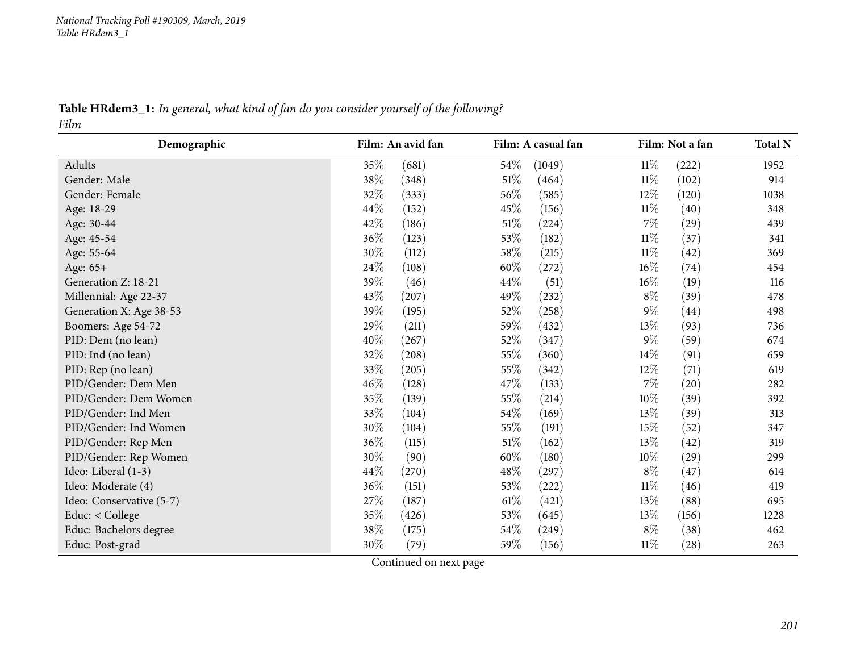Table HRdem3\_1: In general, what kind of fan do you consider yourself of the following? *Film*

| Demographic              | Film: An avid fan | Film: A casual fan         | Film: Not a fan | <b>Total N</b> |
|--------------------------|-------------------|----------------------------|-----------------|----------------|
| Adults                   | 35%<br>(681)      | 54\%<br>(1049)             | $11\%$<br>(222) | 1952           |
| Gender: Male             | 38%<br>(348)      | $51\%$<br>(464)            | $11\%$<br>(102) | 914            |
| Gender: Female           | 32%<br>(333)      | 56%<br>(585)               | $12\%$<br>(120) | 1038           |
| Age: 18-29               | 44%<br>(152)      | 45%<br>(156)               | $11\%$<br>(40)  | 348            |
| Age: 30-44               | 42%<br>(186)      | $51\%$<br>(224)            | $7\%$<br>(29)   | 439            |
| Age: 45-54               | 36%<br>(123)      | 53\%<br>(182)              | $11\%$<br>(37)  | 341            |
| Age: 55-64               | 30%<br>(112)      | 58%<br>(215)               | $11\%$<br>(42)  | 369            |
| Age: 65+                 | 24\%<br>(108)     | 60%<br>(272)               | $16\%$<br>(74)  | 454            |
| Generation Z: 18-21      | 39%<br>(46)       | 44\%<br>(51)               | $16\%$<br>(19)  | 116            |
| Millennial: Age 22-37    | 43%<br>(207)      | 49%<br>(232)               | $8\%$<br>(39)   | 478            |
| Generation X: Age 38-53  | 39%<br>(195)      | 52%<br>(258)               | $9\%$<br>(44)   | 498            |
| Boomers: Age 54-72       | 29%<br>(211)      | 59%<br>(432)               | 13%<br>(93)     | 736            |
| PID: Dem (no lean)       | 40%<br>(267)      | 52\%<br>(347)              | $9\%$<br>(59)   | 674            |
| PID: Ind (no lean)       | 32%<br>(208)      | 55%<br>(360)               | (91)<br>$14\%$  | 659            |
| PID: Rep (no lean)       | 33%<br>(205)      | 55%<br>(342)               | (71)<br>$12\%$  | 619            |
| PID/Gender: Dem Men      | 46%<br>(128)      | 47%<br>(133)               | $7\%$<br>(20)   | 282            |
| PID/Gender: Dem Women    | 35%<br>(139)      | 55%<br>(214)               | $10\%$<br>(39)  | 392            |
| PID/Gender: Ind Men      | 33%<br>(104)      | 54\%<br>(169)              | 13\%<br>(39)    | 313            |
| PID/Gender: Ind Women    | 30%<br>(104)      | 55%<br>(191)               | 15\%<br>(52)    | 347            |
| PID/Gender: Rep Men      | 36%<br>(115)      | $51\%$<br>(162)            | 13\%<br>(42)    | 319            |
| PID/Gender: Rep Women    | 30%<br>(90)       | 60%<br>(180)               | $10\%$<br>(29)  | 299            |
| Ideo: Liberal (1-3)      | 44\%<br>(270)     | 48\%<br>(297)              | $8\%$<br>(47)   | 614            |
| Ideo: Moderate (4)       | 36%<br>(151)      | 53%<br>$\left( 222\right)$ | $11\%$<br>(46)  | 419            |
| Ideo: Conservative (5-7) | 27%<br>(187)      | $61\%$<br>(421)            | 13\%<br>(88)    | 695            |
| Educ: < College          | 35%<br>(426)      | 53%<br>(645)               | 13\%<br>(156)   | 1228           |
| Educ: Bachelors degree   | 38%<br>(175)      | $54\%$<br>(249)            | $8\%$<br>(38)   | 462            |
| Educ: Post-grad          | 30%<br>(79)       | 59%<br>(156)               | $11\%$<br>(28)  | 263            |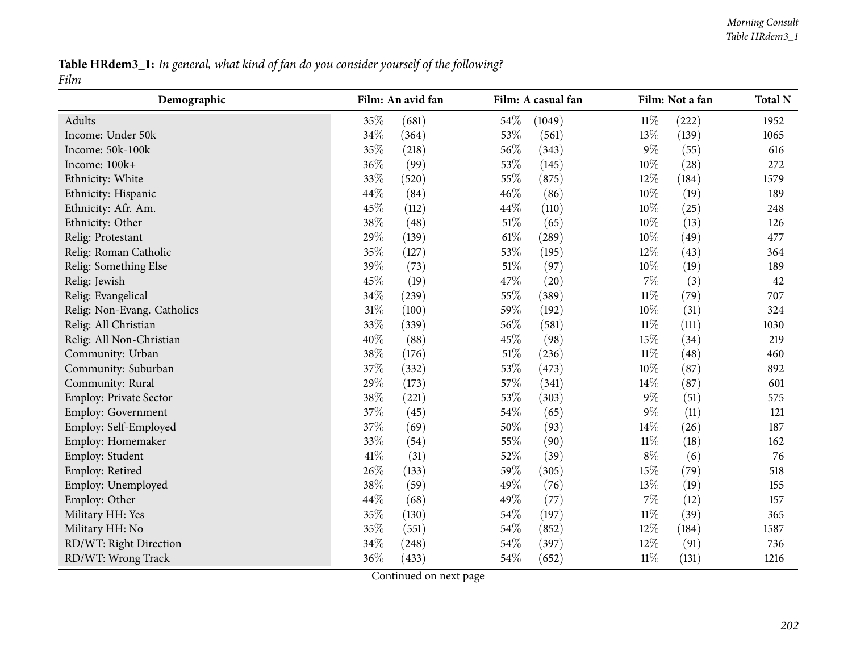Table HRdem3\_1: In general, what kind of fan do you consider yourself of the following? *Film*

| Demographic                 | Film: An avid fan | Film: A casual fan | Film: Not a fan | <b>Total N</b> |
|-----------------------------|-------------------|--------------------|-----------------|----------------|
| Adults                      | 35%<br>(681)      | 54\%<br>(1049)     | $11\%$<br>(222) | 1952           |
| Income: Under 50k           | 34%<br>(364)      | 53%<br>(561)       | 13%<br>(139)    | 1065           |
| Income: 50k-100k            | 35%<br>(218)      | 56%<br>(343)       | $9\%$<br>(55)   | 616            |
| Income: 100k+               | 36%<br>(99)       | 53%<br>(145)       | 10%<br>(28)     | 272            |
| Ethnicity: White            | 33%<br>(520)      | 55%<br>(875)       | 12%<br>(184)    | 1579           |
| Ethnicity: Hispanic         | 44%<br>(84)       | 46%<br>(86)        | 10%<br>(19)     | 189            |
| Ethnicity: Afr. Am.         | 45%<br>(112)      | 44\%<br>(110)      | $10\%$<br>(25)  | 248            |
| Ethnicity: Other            | 38%<br>(48)       | 51\%<br>(65)       | $10\%$<br>(13)  | 126            |
| Relig: Protestant           | 29%<br>(139)      | $61\%$<br>(289)    | 10%<br>(49)     | 477            |
| Relig: Roman Catholic       | 35%<br>(127)      | 53%<br>(195)       | 12%<br>(43)     | 364            |
| Relig: Something Else       | 39%<br>(73)       | $51\%$<br>(97)     | 10%<br>(19)     | 189            |
| Relig: Jewish               | 45%<br>(19)       | 47\%<br>(20)       | $7\%$<br>(3)    | 42             |
| Relig: Evangelical          | 34%<br>(239)      | 55%<br>(389)       | $11\%$<br>(79)  | 707            |
| Relig: Non-Evang. Catholics | 31%<br>(100)      | 59%<br>(192)       | 10%<br>(31)     | 324            |
| Relig: All Christian        | 33%<br>(339)      | 56%<br>(581)       | $11\%$<br>(111) | 1030           |
| Relig: All Non-Christian    | 40%<br>(88)       | 45%<br>(98)        | 15%<br>(34)     | 219            |
| Community: Urban            | 38%<br>(176)      | $51\%$<br>(236)    | $11\%$<br>(48)  | 460            |
| Community: Suburban         | 37%<br>(332)      | 53%<br>(473)       | $10\%$<br>(87)  | 892            |
| Community: Rural            | 29%<br>(173)      | 57%<br>(341)       | 14%<br>(87)     | 601            |
| Employ: Private Sector      | 38%<br>(221)      | 53%<br>(303)       | $9\%$<br>(51)   | 575            |
| Employ: Government          | 37%<br>(45)       | 54\%<br>(65)       | $9\%$<br>(11)   | 121            |
| Employ: Self-Employed       | 37%<br>(69)       | 50%<br>(93)        | 14%<br>(26)     | 187            |
| Employ: Homemaker           | 33%<br>(54)       | 55%<br>(90)        | $11\%$<br>(18)  | 162            |
| Employ: Student             | 41%<br>(31)       | 52%<br>(39)        | $8\%$<br>(6)    | 76             |
| Employ: Retired             | 26%<br>(133)      | 59%<br>(305)       | 15%<br>(79)     | 518            |
| Employ: Unemployed          | 38%<br>(59)       | 49%<br>(76)        | 13%<br>(19)     | 155            |
| Employ: Other               | 44%<br>(68)       | 49%<br>(77)        | $7\%$<br>(12)   | 157            |
| Military HH: Yes            | 35%<br>(130)      | 54\%<br>(197)      | $11\%$<br>(39)  | 365            |
| Military HH: No             | 35%<br>(551)      | 54\%<br>(852)      | 12%<br>(184)    | 1587           |
| RD/WT: Right Direction      | 34%<br>(248)      | 54\%<br>(397)      | 12%<br>(91)     | 736            |
| RD/WT: Wrong Track          | 36%<br>(433)      | 54\%<br>(652)      | 11%<br>(131)    | 1216           |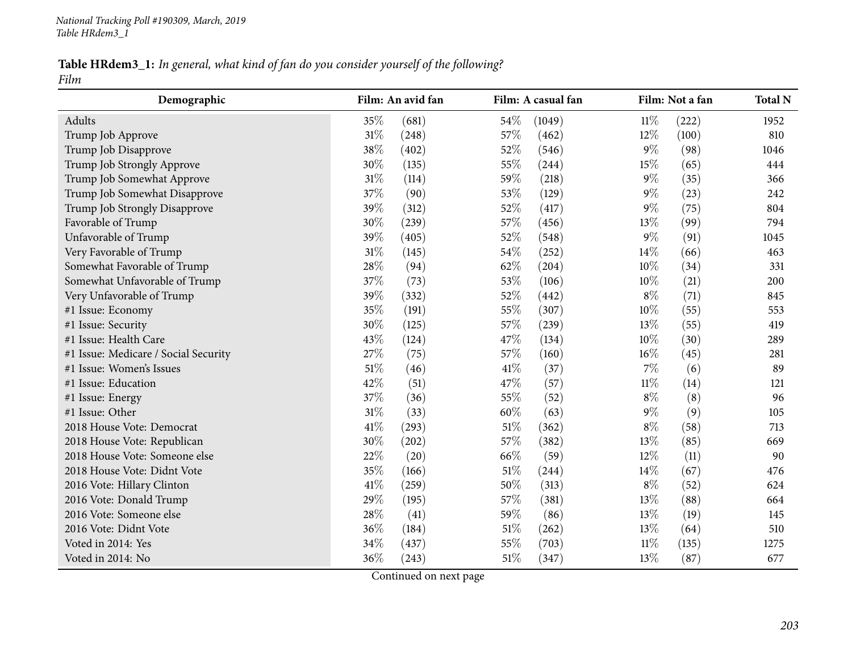| Demographic                          |        | Film: An avid fan |        | Film: A casual fan |        | Film: Not a fan | <b>Total N</b> |
|--------------------------------------|--------|-------------------|--------|--------------------|--------|-----------------|----------------|
| Adults                               | 35%    | (681)             | $54\%$ | (1049)             | $11\%$ | (222)           | 1952           |
| Trump Job Approve                    | 31%    | (248)             | 57%    | (462)              | 12%    | (100)           | 810            |
| Trump Job Disapprove                 | 38%    | (402)             | 52%    | (546)              | 9%     | (98)            | 1046           |
| Trump Job Strongly Approve           | 30%    | (135)             | 55%    | (244)              | $15\%$ | (65)            | 444            |
| Trump Job Somewhat Approve           | 31%    | (114)             | 59%    | (218)              | $9\%$  | (35)            | 366            |
| Trump Job Somewhat Disapprove        | 37%    | (90)              | 53%    | (129)              | $9\%$  | (23)            | 242            |
| Trump Job Strongly Disapprove        | 39%    | (312)             | 52%    | (417)              | $9\%$  | (75)            | 804            |
| Favorable of Trump                   | 30%    | (239)             | 57%    | (456)              | 13%    | (99)            | 794            |
| Unfavorable of Trump                 | 39%    | (405)             | 52%    | (548)              | $9\%$  | (91)            | 1045           |
| Very Favorable of Trump              | $31\%$ | (145)             | 54%    | (252)              | 14\%   | (66)            | 463            |
| Somewhat Favorable of Trump          | 28%    | (94)              | 62%    | (204)              | 10%    | (34)            | 331            |
| Somewhat Unfavorable of Trump        | 37%    | (73)              | 53%    | (106)              | 10%    | (21)            | 200            |
| Very Unfavorable of Trump            | 39%    | (332)             | 52%    | (442)              | $8\%$  | (71)            | 845            |
| #1 Issue: Economy                    | 35%    | (191)             | 55%    | (307)              | 10%    | (55)            | 553            |
| #1 Issue: Security                   | 30%    | (125)             | 57%    | (239)              | 13%    | (55)            | 419            |
| #1 Issue: Health Care                | 43%    | (124)             | 47\%   | (134)              | $10\%$ | (30)            | 289            |
| #1 Issue: Medicare / Social Security | 27%    | (75)              | 57%    | (160)              | $16\%$ | (45)            | 281            |
| #1 Issue: Women's Issues             | 51%    | (46)              | 41\%   | (37)               | $7\%$  | (6)             | 89             |
| #1 Issue: Education                  | 42%    | (51)              | 47%    | (57)               | $11\%$ | (14)            | 121            |
| #1 Issue: Energy                     | 37%    | (36)              | 55%    | (52)               | $8\%$  | (8)             | 96             |
| #1 Issue: Other                      | 31%    | (33)              | 60%    | (63)               | $9\%$  | (9)             | 105            |
| 2018 House Vote: Democrat            | 41\%   | (293)             | 51%    | (362)              | $8\%$  | (58)            | 713            |
| 2018 House Vote: Republican          | 30%    | (202)             | 57%    | (382)              | 13\%   | (85)            | 669            |
| 2018 House Vote: Someone else        | 22%    | (20)              | 66%    | (59)               | 12%    | (11)            | 90             |
| 2018 House Vote: Didnt Vote          | 35%    | (166)             | 51%    | (244)              | 14%    | (67)            | 476            |
| 2016 Vote: Hillary Clinton           | 41%    | (259)             | 50%    | (313)              | $8\%$  | (52)            | 624            |
| 2016 Vote: Donald Trump              | 29%    | (195)             | 57%    | (381)              | 13%    | (88)            | 664            |
| 2016 Vote: Someone else              | 28%    | (41)              | 59%    | (86)               | 13%    | (19)            | 145            |
| 2016 Vote: Didnt Vote                | 36%    | (184)             | 51%    | (262)              | 13%    | (64)            | 510            |
| Voted in 2014: Yes                   | 34%    | (437)             | 55%    | (703)              | $11\%$ | (135)           | 1275           |
| Voted in 2014: No                    | 36%    | (243)             | 51%    | (347)              | 13%    | (87)            | 677            |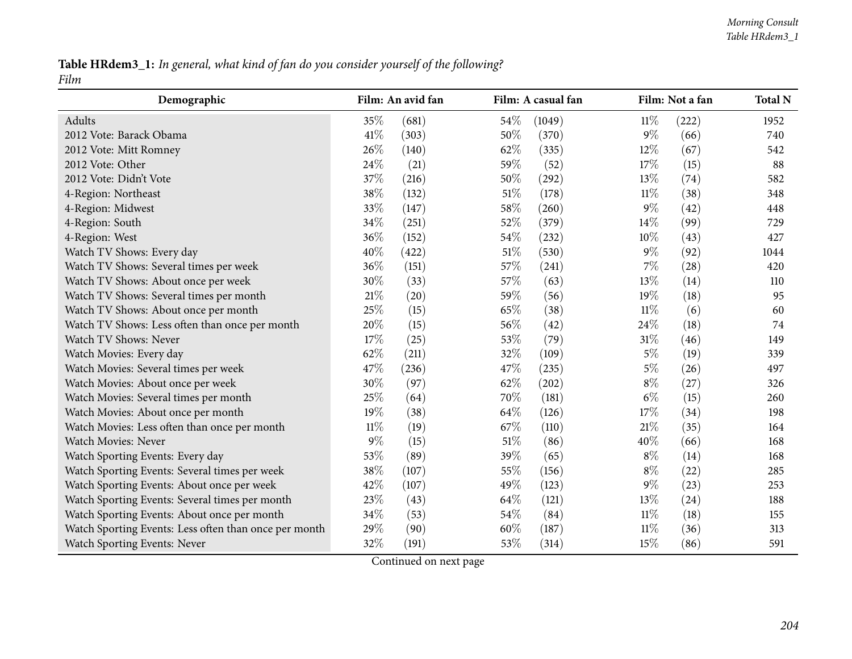| Demographic                                           |        | Film: An avid fan |        | Film: A casual fan |        | Film: Not a fan | <b>Total N</b> |
|-------------------------------------------------------|--------|-------------------|--------|--------------------|--------|-----------------|----------------|
| Adults                                                | 35%    | (681)             | 54%    | (1049)             | $11\%$ | (222)           | 1952           |
| 2012 Vote: Barack Obama                               | 41%    | (303)             | 50%    | (370)              | $9\%$  | (66)            | 740            |
| 2012 Vote: Mitt Romney                                | 26%    | (140)             | 62%    | (335)              | 12%    | (67)            | 542            |
| 2012 Vote: Other                                      | 24%    | (21)              | 59%    | (52)               | 17%    | (15)            | 88             |
| 2012 Vote: Didn't Vote                                | 37%    | (216)             | 50%    | (292)              | 13\%   | (74)            | 582            |
| 4-Region: Northeast                                   | 38%    | (132)             | $51\%$ | (178)              | $11\%$ | (38)            | 348            |
| 4-Region: Midwest                                     | 33%    | (147)             | 58%    | (260)              | $9\%$  | (42)            | 448            |
| 4-Region: South                                       | 34%    | (251)             | 52%    | (379)              | 14%    | (99)            | 729            |
| 4-Region: West                                        | 36%    | (152)             | 54%    | (232)              | $10\%$ | (43)            | 427            |
| Watch TV Shows: Every day                             | 40%    | (422)             | $51\%$ | (530)              | $9\%$  | (92)            | 1044           |
| Watch TV Shows: Several times per week                | 36%    | (151)             | 57%    | (241)              | $7\%$  | (28)            | 420            |
| Watch TV Shows: About once per week                   | 30%    | (33)              | 57%    | (63)               | 13\%   | (14)            | 110            |
| Watch TV Shows: Several times per month               | 21%    | (20)              | 59%    | (56)               | 19%    | (18)            | 95             |
| Watch TV Shows: About once per month                  | 25%    | (15)              | 65%    | (38)               | $11\%$ | (6)             | 60             |
| Watch TV Shows: Less often than once per month        | 20%    | (15)              | 56%    | (42)               | 24\%   | (18)            | 74             |
| Watch TV Shows: Never                                 | 17%    | (25)              | 53%    | (79)               | $31\%$ | (46)            | 149            |
| Watch Movies: Every day                               | 62%    | (211)             | 32%    | (109)              | $5\%$  | (19)            | 339            |
| Watch Movies: Several times per week                  | 47%    | (236)             | 47%    | (235)              | $5\%$  | (26)            | 497            |
| Watch Movies: About once per week                     | 30%    | (97)              | 62%    | (202)              | $8\%$  | (27)            | 326            |
| Watch Movies: Several times per month                 | 25%    | (64)              | 70%    | (181)              | $6\%$  | (15)            | 260            |
| Watch Movies: About once per month                    | 19%    | (38)              | 64%    | (126)              | 17%    | (34)            | 198            |
| Watch Movies: Less often than once per month          | $11\%$ | (19)              | 67%    | (110)              | 21\%   | (35)            | 164            |
| Watch Movies: Never                                   | $9\%$  | (15)              | $51\%$ | (86)               | 40%    | (66)            | 168            |
| Watch Sporting Events: Every day                      | 53%    | (89)              | 39%    | (65)               | $8\%$  | (14)            | 168            |
| Watch Sporting Events: Several times per week         | 38%    | (107)             | 55%    | (156)              | $8\%$  | (22)            | 285            |
| Watch Sporting Events: About once per week            | 42%    | (107)             | 49%    | (123)              | $9\%$  | (23)            | 253            |
| Watch Sporting Events: Several times per month        | 23%    | (43)              | 64%    | (121)              | 13\%   | (24)            | 188            |
| Watch Sporting Events: About once per month           | 34%    | (53)              | 54\%   | (84)               | $11\%$ | (18)            | 155            |
| Watch Sporting Events: Less often than once per month | 29%    | (90)              | 60%    | (187)              | $11\%$ | (36)            | 313            |
| Watch Sporting Events: Never                          | 32%    | (191)             | 53%    | (314)              | 15%    | (86)            | 591            |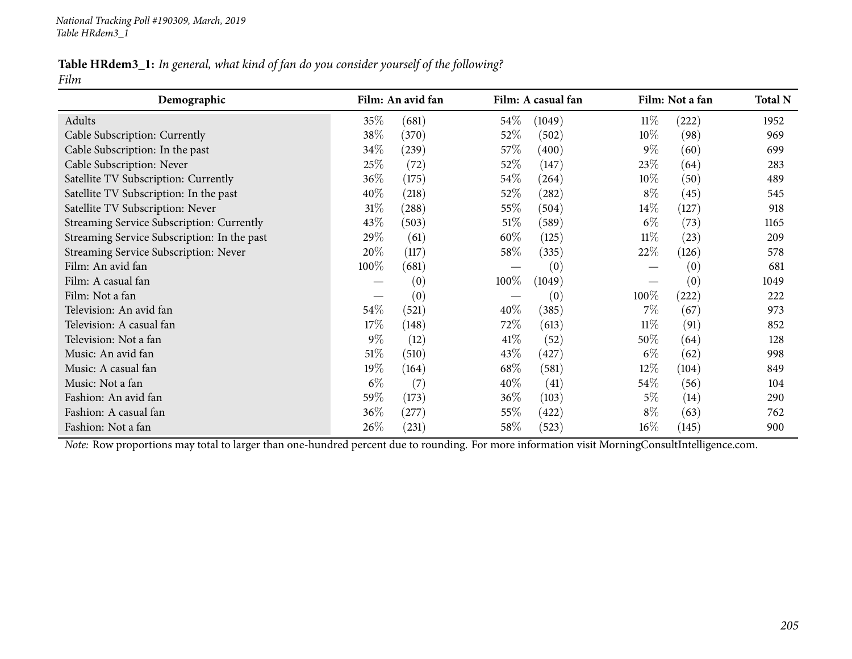| Demographic                                 |        | Film: An avid fan |        | Film: A casual fan |        | Film: Not a fan | <b>Total N</b> |
|---------------------------------------------|--------|-------------------|--------|--------------------|--------|-----------------|----------------|
| Adults                                      | 35%    | (681)             | $54\%$ | (1049)             | $11\%$ | (222)           | 1952           |
| Cable Subscription: Currently               | 38%    | (370)             | 52%    | (502)              | 10%    | (98)            | 969            |
| Cable Subscription: In the past             | 34\%   | (239)             | 57\%   | (400)              | $9\%$  | (60)            | 699            |
| Cable Subscription: Never                   | 25\%   | (72)              | 52\%   | (147)              | 23\%   | (64)            | 283            |
| Satellite TV Subscription: Currently        | 36%    | (175)             | $54\%$ | (264)              | $10\%$ | (50)            | 489            |
| Satellite TV Subscription: In the past      | 40\%   | (218)             | 52%    | (282)              | $8\%$  | (45)            | 545            |
| Satellite TV Subscription: Never            | $31\%$ | (288)             | 55\%   | (504)              | $14\%$ | (127)           | 918            |
| Streaming Service Subscription: Currently   | 43%    | (503)             | 51%    | (589)              | $6\%$  | (73)            | 1165           |
| Streaming Service Subscription: In the past | 29%    | (61)              | 60\%   | (125)              | $11\%$ | (23)            | 209            |
| Streaming Service Subscription: Never       | 20%    | (117)             | 58\%   | (335)              | 22\%   | (126)           | 578            |
| Film: An avid fan                           | 100%   | (681)             |        | (0)                |        | (0)             | 681            |
| Film: A casual fan                          |        | (0)               | 100%   | (1049)             |        | (0)             | 1049           |
| Film: Not a fan                             |        | (0)               |        | (0)                | 100%   | (222)           | 222            |
| Television: An avid fan                     | 54%    | (521)             | 40%    | (385)              | $7\%$  | (67)            | 973            |
| Television: A casual fan                    | 17%    | (148)             | 72%    | (613)              | $11\%$ | (91)            | 852            |
| Television: Not a fan                       | $9\%$  | (12)              | $41\%$ | (52)               | 50%    | (64)            | 128            |
| Music: An avid fan                          | $51\%$ | (510)             | 43\%   | (427)              | $6\%$  | (62)            | 998            |
| Music: A casual fan                         | 19%    | (164)             | 68%    | (581)              | 12%    | (104)           | 849            |
| Music: Not a fan                            | $6\%$  | (7)               | 40%    | (41)               | 54\%   | (56)            | 104            |
| Fashion: An avid fan                        | 59%    | (173)             | $36\%$ | (103)              | $5\%$  | (14)            | 290            |
| Fashion: A casual fan                       | 36%    | (277)             | 55%    | (422)              | $8\%$  | (63)            | 762            |
| Fashion: Not a fan                          | 26\%   | (231)             | 58\%   | (523)              | 16%    | (145)           | 900            |

*Note:* Row proportions may total to larger than one-hundred percen<sup>t</sup> due to rounding. For more information visit [MorningConsultIntelligence.com](https://morningconsultintelligence.com).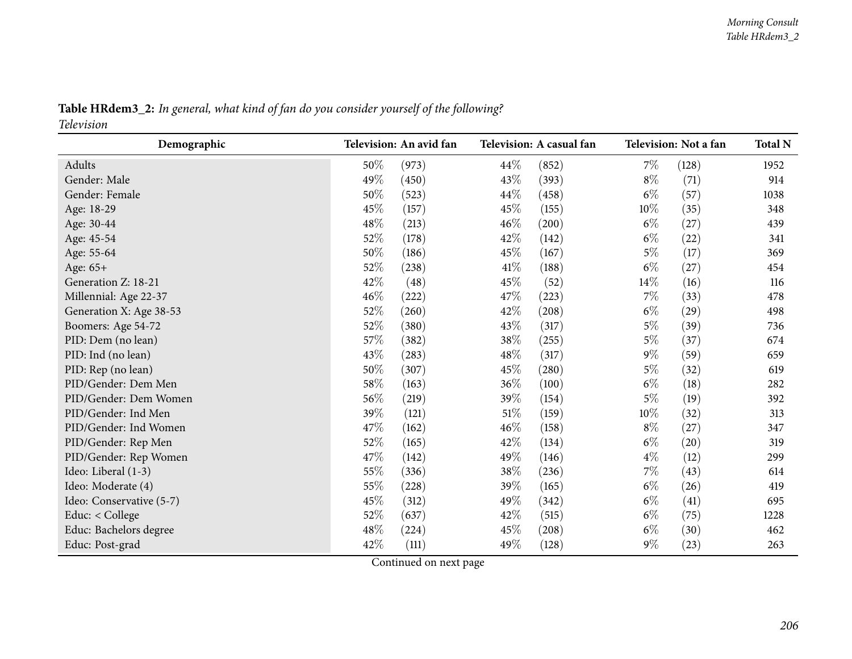|            | <b>Table HRdem3_2:</b> In general, what kind of fan do you consider yourself of the following? |
|------------|------------------------------------------------------------------------------------------------|
| Television |                                                                                                |

| Demographic              | Television: An avid fan |            |      | Television: A casual fan |       | Television: Not a fan | <b>Total N</b> |
|--------------------------|-------------------------|------------|------|--------------------------|-------|-----------------------|----------------|
| Adults                   | 50%                     | (973)      | 44\% | (852)                    | $7\%$ | (128)                 | 1952           |
| Gender: Male             | 49%                     | (450)      | 43%  | (393)                    | $8\%$ | (71)                  | 914            |
| Gender: Female           | 50%                     | (523)      | 44\% | (458)                    | $6\%$ | (57)                  | 1038           |
| Age: 18-29               | 45%                     | (157)      | 45\% | (155)                    | 10%   | (35)                  | 348            |
| Age: 30-44               | 48\%                    | (213)      | 46%  | (200)                    | $6\%$ | (27)                  | 439            |
| Age: 45-54               | 52%                     | (178)      | 42%  | (142)                    | $6\%$ | (22)                  | 341            |
| Age: 55-64               | 50%                     | (186)      | 45%  | (167)                    | $5\%$ | (17)                  | 369            |
| Age: 65+                 | 52%                     | (238)      | 41\% | (188)                    | $6\%$ | (27)                  | 454            |
| Generation Z: 18-21      | 42%                     | (48)       | 45%  | (52)                     | 14\%  | (16)                  | 116            |
| Millennial: Age 22-37    | 46%                     | (222)      | 47%  | (223)                    | $7\%$ | (33)                  | 478            |
| Generation X: Age 38-53  | 52%                     | $^{'}260)$ | 42\% | (208)                    | $6\%$ | (29)                  | 498            |
| Boomers: Age 54-72       | 52%                     | (380)      | 43%  | (317)                    | $5\%$ | (39)                  | 736            |
| PID: Dem (no lean)       | 57%                     | (382)      | 38%  | (255)                    | $5\%$ | (37)                  | 674            |
| PID: Ind (no lean)       | 43%                     | (283)      | 48\% | (317)                    | $9\%$ | (59)                  | 659            |
| PID: Rep (no lean)       | 50%                     | (307)      | 45%  | (280)                    | $5\%$ | (32)                  | 619            |
| PID/Gender: Dem Men      | 58%                     | (163)      | 36\% | (100)                    | $6\%$ | (18)                  | 282            |
| PID/Gender: Dem Women    | 56%                     | (219)      | 39%  | (154)                    | $5\%$ | (19)                  | 392            |
| PID/Gender: Ind Men      | 39%                     | (121)      | 51\% | (159)                    | 10%   | (32)                  | 313            |
| PID/Gender: Ind Women    | 47%                     | (162)      | 46%  | (158)                    | $8\%$ | (27)                  | 347            |
| PID/Gender: Rep Men      | 52%                     | (165)      | 42%  | (134)                    | $6\%$ | (20)                  | 319            |
| PID/Gender: Rep Women    | 47\%                    | (142)      | 49%  | (146)                    | $4\%$ | (12)                  | 299            |
| Ideo: Liberal (1-3)      | 55%                     | (336)      | 38%  | (236)                    | $7\%$ | (43)                  | 614            |
| Ideo: Moderate (4)       | 55%                     | (228)      | 39%  | (165)                    | $6\%$ | (26)                  | 419            |
| Ideo: Conservative (5-7) | 45%                     | (312)      | 49\% | (342)                    | $6\%$ | (41)                  | 695            |
| Educ: < College          | 52%                     | (637)      | 42\% | (515)                    | $6\%$ | (75)                  | 1228           |
| Educ: Bachelors degree   | 48\%                    | (224)      | 45%  | (208)                    | $6\%$ | (30)                  | 462            |
| Educ: Post-grad          | 42%                     | (111)      | 49\% | (128)                    | $9\%$ | (23)                  | 263            |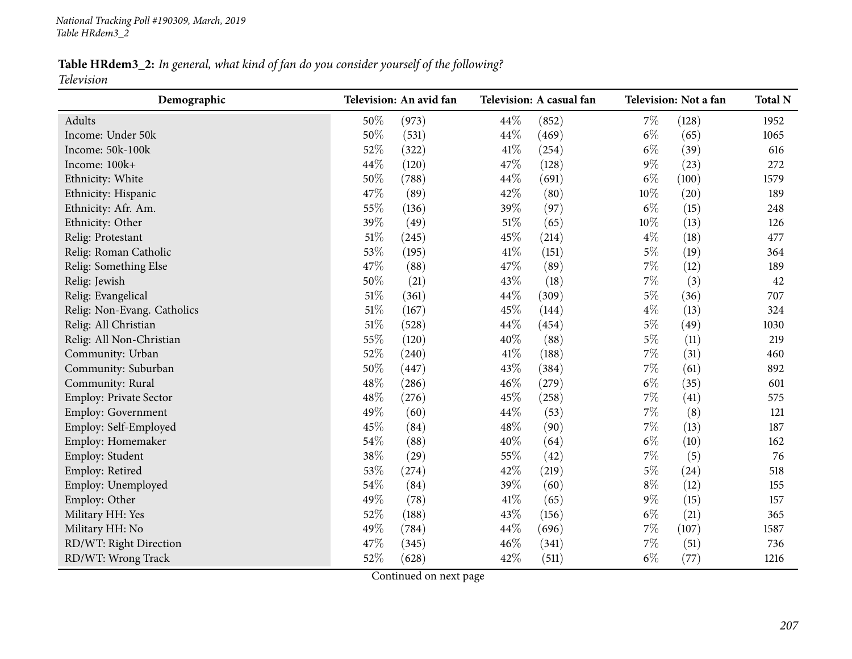| Demographic                 |        | Television: An avid fan |        | Television: A casual fan |       | Television: Not a fan | <b>Total N</b> |
|-----------------------------|--------|-------------------------|--------|--------------------------|-------|-----------------------|----------------|
| Adults                      | 50%    | (973)                   | 44%    | (852)                    | $7\%$ | (128)                 | 1952           |
| Income: Under 50k           | 50%    | (531)                   | 44%    | (469)                    | $6\%$ | (65)                  | 1065           |
| Income: 50k-100k            | 52%    | (322)                   | 41%    | (254)                    | $6\%$ | (39)                  | 616            |
| Income: 100k+               | 44%    | (120)                   | 47%    | (128)                    | $9\%$ | (23)                  | 272            |
| Ethnicity: White            | 50%    | (788)                   | 44%    | (691)                    | $6\%$ | (100)                 | 1579           |
| Ethnicity: Hispanic         | 47%    | (89)                    | 42%    | (80)                     | 10%   | (20)                  | 189            |
| Ethnicity: Afr. Am.         | 55%    | (136)                   | 39%    | (97)                     | $6\%$ | (15)                  | 248            |
| Ethnicity: Other            | 39%    | (49)                    | $51\%$ | (65)                     | 10%   | (13)                  | 126            |
| Relig: Protestant           | 51%    | (245)                   | 45%    | (214)                    | $4\%$ | (18)                  | 477            |
| Relig: Roman Catholic       | 53%    | (195)                   | 41%    | (151)                    | $5\%$ | (19)                  | 364            |
| Relig: Something Else       | 47%    | (88)                    | 47%    | (89)                     | $7\%$ | (12)                  | 189            |
| Relig: Jewish               | 50%    | (21)                    | 43%    | (18)                     | $7\%$ | (3)                   | 42             |
| Relig: Evangelical          | 51%    | (361)                   | 44%    | (309)                    | $5\%$ | (36)                  | 707            |
| Relig: Non-Evang. Catholics | 51%    | (167)                   | 45%    | (144)                    | $4\%$ | (13)                  | 324            |
| Relig: All Christian        | $51\%$ | (528)                   | 44%    | (454)                    | $5\%$ | (49)                  | 1030           |
| Relig: All Non-Christian    | 55%    | (120)                   | 40%    | (88)                     | $5\%$ | (11)                  | 219            |
| Community: Urban            | 52%    | (240)                   | 41\%   | (188)                    | $7\%$ | (31)                  | 460            |
| Community: Suburban         | 50%    | (447)                   | 43%    | (384)                    | $7\%$ | (61)                  | 892            |
| Community: Rural            | 48%    | (286)                   | 46%    | (279)                    | $6\%$ | (35)                  | 601            |
| Employ: Private Sector      | 48%    | (276)                   | 45%    | (258)                    | $7\%$ | (41)                  | 575            |
| Employ: Government          | 49%    | (60)                    | 44%    | (53)                     | $7\%$ | (8)                   | 121            |
| Employ: Self-Employed       | 45%    | (84)                    | 48%    | (90)                     | 7%    | (13)                  | 187            |
| Employ: Homemaker           | 54%    | (88)                    | 40%    | (64)                     | $6\%$ | (10)                  | 162            |
| Employ: Student             | 38%    | (29)                    | 55%    | (42)                     | $7\%$ | (5)                   | 76             |
| Employ: Retired             | 53%    | (274)                   | 42%    | (219)                    | $5\%$ | (24)                  | 518            |
| Employ: Unemployed          | 54%    | (84)                    | 39%    | (60)                     | $8\%$ | (12)                  | 155            |
| Employ: Other               | 49%    | (78)                    | 41\%   | (65)                     | $9\%$ | (15)                  | 157            |
| Military HH: Yes            | 52%    | (188)                   | 43%    | (156)                    | $6\%$ | (21)                  | 365            |
| Military HH: No             | 49%    | (784)                   | 44%    | (696)                    | $7\%$ | (107)                 | 1587           |
| RD/WT: Right Direction      | 47%    | (345)                   | 46%    | (341)                    | $7\%$ | (51)                  | 736            |
| RD/WT: Wrong Track          | 52%    | (628)                   | 42%    | (511)                    | $6\%$ | (77)                  | 1216           |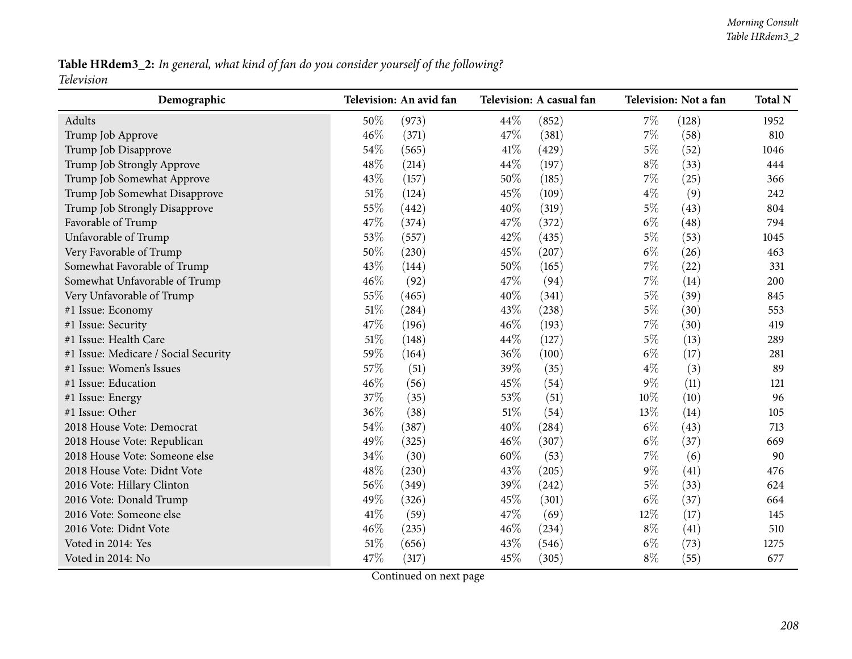| Demographic                          |      | Television: An avid fan |      | Television: A casual fan |       | Television: Not a fan | <b>Total N</b> |
|--------------------------------------|------|-------------------------|------|--------------------------|-------|-----------------------|----------------|
| Adults                               | 50%  | (973)                   | 44%  | (852)                    | $7\%$ | (128)                 | 1952           |
| Trump Job Approve                    | 46%  | (371)                   | 47%  | (381)                    | 7%    | (58)                  | 810            |
| Trump Job Disapprove                 | 54%  | (565)                   | 41\% | (429)                    | 5%    | (52)                  | 1046           |
| Trump Job Strongly Approve           | 48%  | (214)                   | 44%  | (197)                    | $8\%$ | (33)                  | 444            |
| Trump Job Somewhat Approve           | 43%  | (157)                   | 50%  | (185)                    | 7%    | (25)                  | 366            |
| Trump Job Somewhat Disapprove        | 51%  | (124)                   | 45%  | (109)                    | $4\%$ | (9)                   | 242            |
| Trump Job Strongly Disapprove        | 55%  | (442)                   | 40%  | (319)                    | 5%    | (43)                  | 804            |
| Favorable of Trump                   | 47%  | (374)                   | 47%  | (372)                    | $6\%$ | (48)                  | 794            |
| Unfavorable of Trump                 | 53%  | (557)                   | 42%  | (435)                    | 5%    | (53)                  | 1045           |
| Very Favorable of Trump              | 50%  | (230)                   | 45%  | (207)                    | $6\%$ | (26)                  | 463            |
| Somewhat Favorable of Trump          | 43%  | (144)                   | 50%  | (165)                    | 7%    | (22)                  | 331            |
| Somewhat Unfavorable of Trump        | 46%  | (92)                    | 47%  | (94)                     | 7%    | (14)                  | 200            |
| Very Unfavorable of Trump            | 55%  | (465)                   | 40%  | (341)                    | 5%    | (39)                  | 845            |
| #1 Issue: Economy                    | 51%  | (284)                   | 43%  | (238)                    | $5\%$ | (30)                  | 553            |
| #1 Issue: Security                   | 47%  | (196)                   | 46%  | (193)                    | 7%    | (30)                  | 419            |
| #1 Issue: Health Care                | 51%  | (148)                   | 44%  | (127)                    | $5\%$ | (13)                  | 289            |
| #1 Issue: Medicare / Social Security | 59%  | (164)                   | 36%  | (100)                    | $6\%$ | (17)                  | 281            |
| #1 Issue: Women's Issues             | 57%  | (51)                    | 39%  | (35)                     | $4\%$ | (3)                   | 89             |
| #1 Issue: Education                  | 46%  | (56)                    | 45%  | (54)                     | 9%    | (11)                  | 121            |
| #1 Issue: Energy                     | 37%  | (35)                    | 53%  | (51)                     | 10%   | (10)                  | 96             |
| #1 Issue: Other                      | 36%  | (38)                    | 51%  | (54)                     | 13%   | (14)                  | 105            |
| 2018 House Vote: Democrat            | 54%  | (387)                   | 40%  | (284)                    | $6\%$ | (43)                  | 713            |
| 2018 House Vote: Republican          | 49%  | (325)                   | 46%  | (307)                    | $6\%$ | (37)                  | 669            |
| 2018 House Vote: Someone else        | 34%  | (30)                    | 60%  | (53)                     | 7%    | (6)                   | 90             |
| 2018 House Vote: Didnt Vote          | 48%  | (230)                   | 43%  | (205)                    | 9%    | (41)                  | 476            |
| 2016 Vote: Hillary Clinton           | 56%  | (349)                   | 39%  | (242)                    | 5%    | (33)                  | 624            |
| 2016 Vote: Donald Trump              | 49%  | (326)                   | 45%  | (301)                    | $6\%$ | (37)                  | 664            |
| 2016 Vote: Someone else              | 41\% | (59)                    | 47%  | (69)                     | 12%   | (17)                  | 145            |
| 2016 Vote: Didnt Vote                | 46%  | (235)                   | 46%  | (234)                    | $8\%$ | (41)                  | 510            |
| Voted in 2014: Yes                   | 51%  | (656)                   | 43%  | (546)                    | $6\%$ | (73)                  | 1275           |
| Voted in 2014: No                    | 47%  | (317)                   | 45%  | (305)                    | $8\%$ | (55)                  | 677            |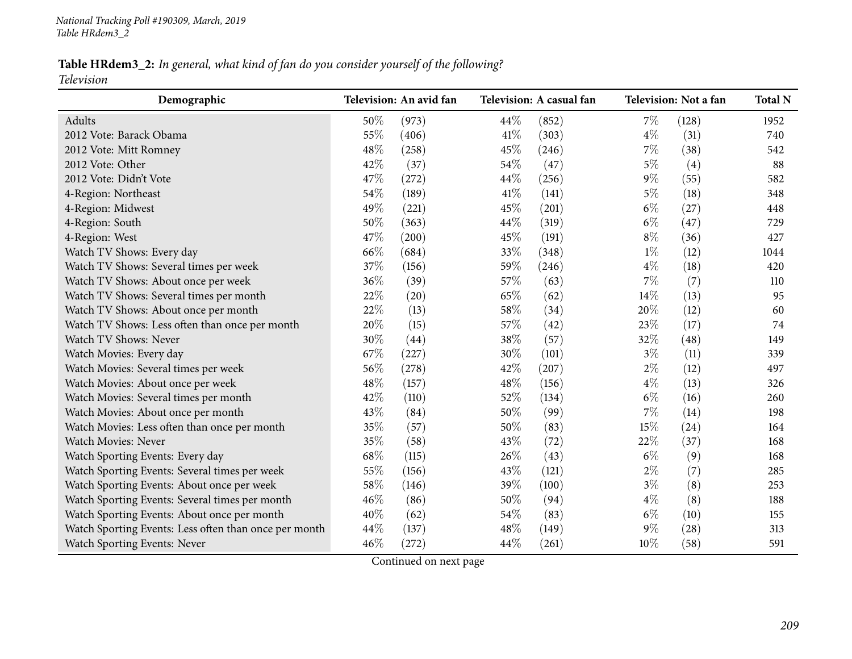*Television*

| Demographic                                           |     | Television: An avid fan |      | Television: A casual fan |       | Television: Not a fan | <b>Total N</b> |
|-------------------------------------------------------|-----|-------------------------|------|--------------------------|-------|-----------------------|----------------|
| Adults                                                | 50% | (973)                   | 44%  | (852)                    | $7\%$ | (128)                 | 1952           |
| 2012 Vote: Barack Obama                               | 55% | (406)                   | 41\% | (303)                    | $4\%$ | (31)                  | 740            |
| 2012 Vote: Mitt Romney                                | 48% | (258)                   | 45%  | (246)                    | 7%    | (38)                  | 542            |
| 2012 Vote: Other                                      | 42% | (37)                    | 54%  | (47)                     | $5\%$ | (4)                   | 88             |
| 2012 Vote: Didn't Vote                                | 47% | (272)                   | 44%  | (256)                    | 9%    | (55)                  | 582            |
| 4-Region: Northeast                                   | 54% | (189)                   | 41\% | (141)                    | $5\%$ | (18)                  | 348            |
| 4-Region: Midwest                                     | 49% | (221)                   | 45%  | (201)                    | $6\%$ | (27)                  | 448            |
| 4-Region: South                                       | 50% | (363)                   | 44%  | (319)                    | $6\%$ | (47)                  | 729            |
| 4-Region: West                                        | 47% | (200)                   | 45%  | (191)                    | $8\%$ | (36)                  | 427            |
| Watch TV Shows: Every day                             | 66% | (684)                   | 33%  | (348)                    | $1\%$ | (12)                  | 1044           |
| Watch TV Shows: Several times per week                | 37% | (156)                   | 59%  | (246)                    | $4\%$ | (18)                  | 420            |
| Watch TV Shows: About once per week                   | 36% | (39)                    | 57%  | (63)                     | $7\%$ | (7)                   | 110            |
| Watch TV Shows: Several times per month               | 22% | (20)                    | 65%  | (62)                     | 14%   | (13)                  | 95             |
| Watch TV Shows: About once per month                  | 22% | (13)                    | 58%  | (34)                     | 20%   | (12)                  | 60             |
| Watch TV Shows: Less often than once per month        | 20% | (15)                    | 57%  | (42)                     | 23%   | (17)                  | 74             |
| Watch TV Shows: Never                                 | 30% | (44)                    | 38%  | (57)                     | 32%   | (48)                  | 149            |
| Watch Movies: Every day                               | 67% | (227)                   | 30%  | (101)                    | $3\%$ | (11)                  | 339            |
| Watch Movies: Several times per week                  | 56% | (278)                   | 42%  | (207)                    | $2\%$ | (12)                  | 497            |
| Watch Movies: About once per week                     | 48% | (157)                   | 48%  | (156)                    | $4\%$ | (13)                  | 326            |
| Watch Movies: Several times per month                 | 42% | (110)                   | 52%  | (134)                    | $6\%$ | (16)                  | 260            |
| Watch Movies: About once per month                    | 43% | (84)                    | 50%  | (99)                     | 7%    | (14)                  | 198            |
| Watch Movies: Less often than once per month          | 35% | (57)                    | 50%  | (83)                     | 15%   | (24)                  | 164            |
| Watch Movies: Never                                   | 35% | (58)                    | 43%  | (72)                     | 22%   | (37)                  | 168            |
| Watch Sporting Events: Every day                      | 68% | (115)                   | 26%  | (43)                     | $6\%$ | (9)                   | 168            |
| Watch Sporting Events: Several times per week         | 55% | (156)                   | 43%  | (121)                    | $2\%$ | (7)                   | 285            |
| Watch Sporting Events: About once per week            | 58% | (146)                   | 39%  | (100)                    | $3\%$ | (8)                   | 253            |
| Watch Sporting Events: Several times per month        | 46% | (86)                    | 50%  | (94)                     | $4\%$ | (8)                   | 188            |
| Watch Sporting Events: About once per month           | 40% | (62)                    | 54%  | (83)                     | $6\%$ | (10)                  | 155            |
| Watch Sporting Events: Less often than once per month | 44% | (137)                   | 48%  | (149)                    | 9%    | (28)                  | 313            |
| Watch Sporting Events: Never                          | 46% | (272)                   | 44%  | (261)                    | 10%   | (58)                  | 591            |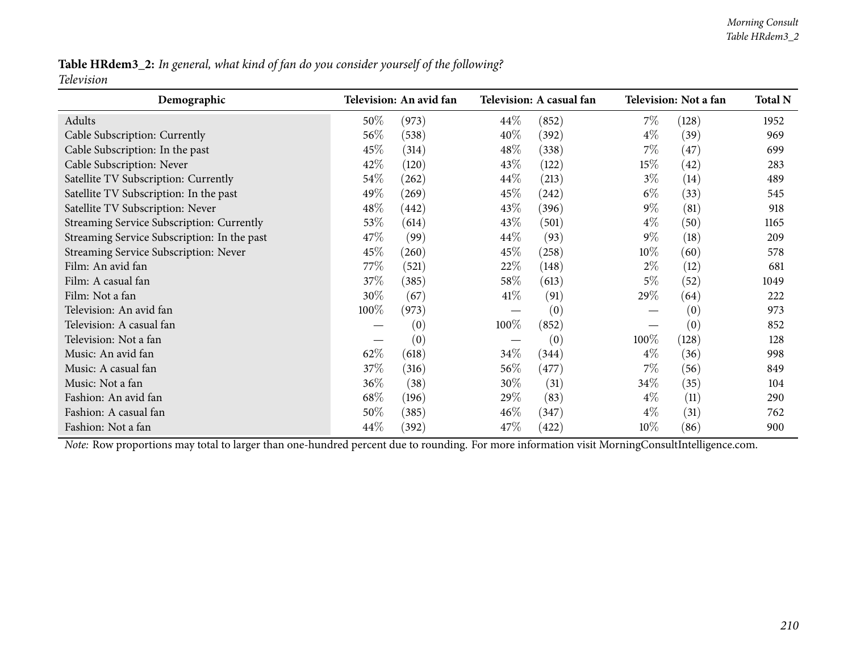| Demographic                                 |        | Television: An avid fan |      | Television: A casual fan |        | Television: Not a fan | <b>Total N</b> |
|---------------------------------------------|--------|-------------------------|------|--------------------------|--------|-----------------------|----------------|
| Adults                                      | $50\%$ | (973)                   | 44\% | (852)                    | $7\%$  | (128)                 | 1952           |
| Cable Subscription: Currently               | 56%    | (538)                   | 40%  | (392)                    | $4\%$  | (39)                  | 969            |
| Cable Subscription: In the past             | 45\%   | (314)                   | 48\% | (338)                    | $7\%$  | (47)                  | 699            |
| Cable Subscription: Never                   | 42%    | (120)                   | 43%  | (122)                    | 15%    | (42)                  | 283            |
| Satellite TV Subscription: Currently        | 54\%   | (262)                   | 44\% | (213)                    | $3\%$  | (14)                  | 489            |
| Satellite TV Subscription: In the past      | 49%    | (269)                   | 45%  | (242)                    | $6\%$  | (33)                  | 545            |
| Satellite TV Subscription: Never            | 48\%   | (442)                   | 43\% | (396)                    | $9\%$  | (81)                  | 918            |
| Streaming Service Subscription: Currently   | 53%    | (614)                   | 43\% | (501)                    | $4\%$  | (50)                  | 1165           |
| Streaming Service Subscription: In the past | 47\%   | (99)                    | 44\% | (93)                     | $9\%$  | (18)                  | 209            |
| Streaming Service Subscription: Never       | 45%    | (260)                   | 45\% | (258)                    | $10\%$ | (60)                  | 578            |
| Film: An avid fan                           | 77\%   | (521)                   | 22\% | (148)                    | $2\%$  | (12)                  | 681            |
| Film: A casual fan                          | 37\%   | (385)                   | 58\% | (613)                    | $5\%$  | (52)                  | 1049           |
| Film: Not a fan                             | $30\%$ | (67)                    | 41%  | (91)                     | 29%    | (64)                  | 222            |
| Television: An avid fan                     | 100%   | (973)                   |      | (0)                      |        | (0)                   | 973            |
| Television: A casual fan                    |        | (0)                     | 100% | (852)                    |        | (0)                   | 852            |
| Television: Not a fan                       |        | (0)                     |      | (0)                      | 100\%  | (128)                 | 128            |
| Music: An avid fan                          | 62\%   | (618)                   | 34\% | (344)                    | $4\%$  | (36)                  | 998            |
| Music: A casual fan                         | 37\%   | (316)                   | 56%  | (477)                    | $7\%$  | (56)                  | 849            |
| Music: Not a fan                            | $36\%$ | (38)                    | 30%  | (31)                     | 34%    | (35)                  | 104            |
| Fashion: An avid fan                        | 68\%   | (196)                   | 29%  | (83)                     | $4\%$  | (11)                  | 290            |
| Fashion: A casual fan                       | 50%    | (385)                   | 46\% | (347)                    | $4\%$  | (31)                  | 762            |
| Fashion: Not a fan                          | 44%    | (392)                   | 47\% | (422)                    | 10%    | (86)                  | 900            |

*Note:* Row proportions may total to larger than one-hundred percen<sup>t</sup> due to rounding. For more information visit [MorningConsultIntelligence.com](https://morningconsultintelligence.com).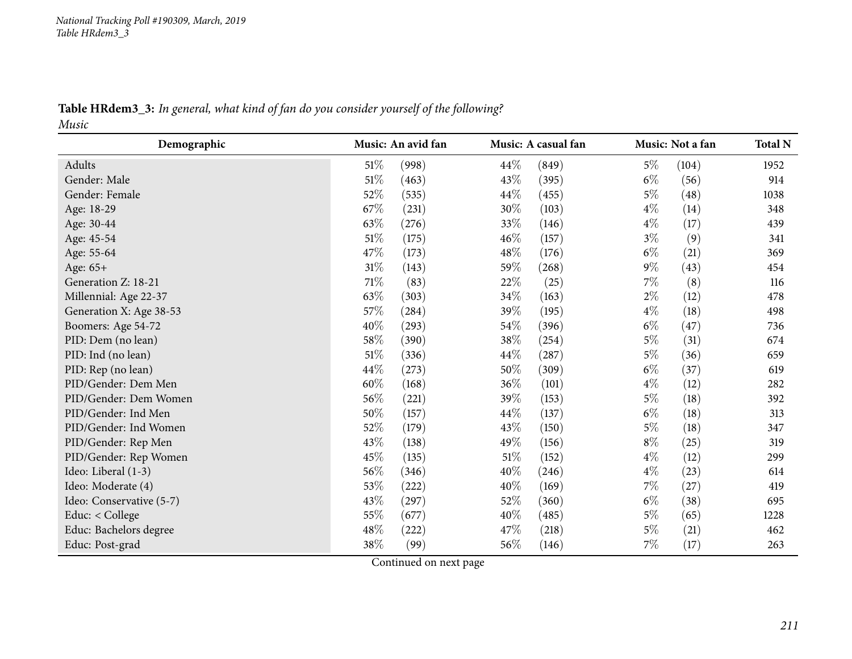Table HRdem3\_3: In general, what kind of fan do you consider yourself of the following? *Music*

| Demographic              | Music: An avid fan         | Music: A casual fan | Music: Not a fan   | <b>Total N</b> |
|--------------------------|----------------------------|---------------------|--------------------|----------------|
| Adults                   | 51%<br>(998)               | 44\%<br>(849)       | $5\%$<br>(104)     | 1952           |
| Gender: Male             | $51\%$<br>(463)            | 43%<br>(395)        | $6\%$<br>(56)      | 914            |
| Gender: Female           | 52%<br>(535)               | 44\%<br>(455)       | $5\%$<br>(48)      | 1038           |
| Age: 18-29               | 67%<br>(231)               | 30%<br>(103)        | $4\%$<br>(14)      | 348            |
| Age: 30-44               | 63%<br>(276)               | 33%<br>(146)        | $4\%$<br>(17)      | 439            |
| Age: 45-54               | $51\%$<br>(175)            | 46%<br>(157)        | $3\%$<br>(9)       | 341            |
| Age: 55-64               | 47\%<br>(173)              | 48\%<br>(176)       | $6\%$<br>(21)      | 369            |
| Age: 65+                 | $31\%$<br>(143)            | 59%<br>(268)        | $9\%$<br>(43)      | 454            |
| Generation Z: 18-21      | 71%<br>(83)                | 22\%<br>(25)        | $7\%$<br>(8)       | 116            |
| Millennial: Age 22-37    | 63%<br>(303)               | 34\%<br>(163)       | $2\%$<br>(12)      | 478            |
| Generation X: Age 38-53  | 57%<br>(284)               | 39%<br>(195)        | $4\%$<br>(18)      | 498            |
| Boomers: Age 54-72       | 40%<br>(293)               | 54\%<br>(396)       | $6\%$<br>(47)      | 736            |
| PID: Dem (no lean)       | 58%<br>(390)               | 38%<br>(254)        | $5\%$<br>(31)      | 674            |
| PID: Ind (no lean)       | $51\%$<br>(336)            | 44\%<br>(287)       | $5\%$<br>(36)      | 659            |
| PID: Rep (no lean)       | 44\%<br>(273)              | 50%<br>(309)        | $6\%$<br>(37)      | 619            |
| PID/Gender: Dem Men      | 60%<br>(168)               | 36\%<br>(101)       | $4\%$<br>(12)      | 282            |
| PID/Gender: Dem Women    | 56%<br>(221)               | 39%<br>(153)        | $5\%$<br>(18)      | 392            |
| PID/Gender: Ind Men      | 50%<br>(157)               | 44%<br>(137)        | $6\%$<br>(18)      | 313            |
| PID/Gender: Ind Women    | 52%<br>(179)               | 43%<br>(150)        | $5\%$<br>(18)      | 347            |
| PID/Gender: Rep Men      | 43%<br>(138)               | 49%<br>(156)        | $8\%$<br>$^{(25)}$ | 319            |
| PID/Gender: Rep Women    | 45%<br>(135)               | 51%<br>(152)        | $4\%$<br>(12)      | 299            |
| Ideo: Liberal (1-3)      | 56%<br>(346)               | 40%<br>(246)        | $4\%$<br>(23)      | 614            |
| Ideo: Moderate (4)       | 53%<br>$\left( 222\right)$ | 40%<br>(169)        | $7\%$<br>(27)      | 419            |
| Ideo: Conservative (5-7) | 43\%<br>(297)              | $52\%$<br>(360)     | $6\%$<br>(38)      | 695            |
| Educ: < College          | 55%<br>(677)               | 40%<br>(485)        | $5\%$<br>(65)      | 1228           |
| Educ: Bachelors degree   | 48%<br>(222)               | 47\%<br>(218)       | $5\%$<br>(21)      | 462            |
| Educ: Post-grad          | 38%<br>(99)                | 56\%<br>(146)       | $7\%$<br>(17)      | 263            |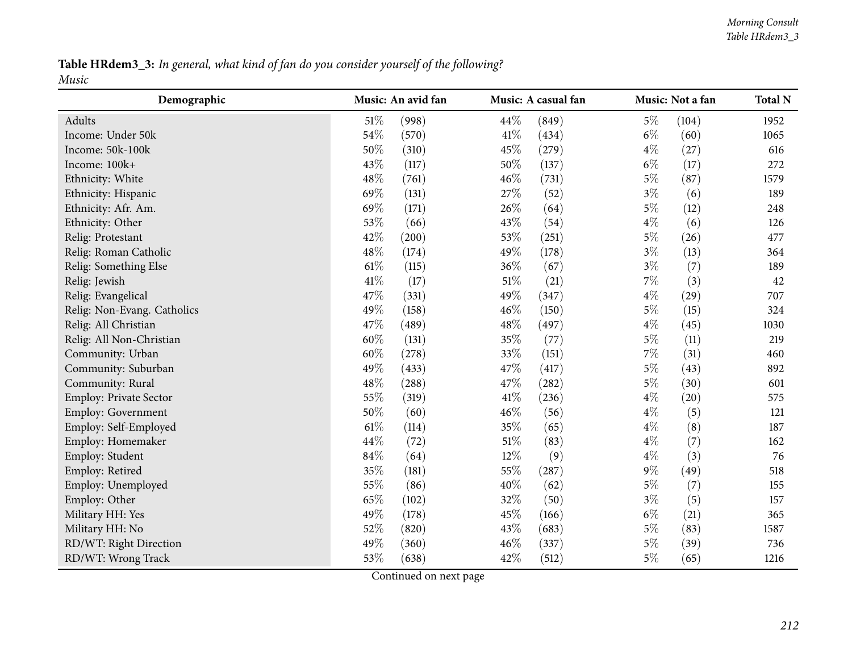| Demographic                 | Music: An avid fan |       |      | Music: A casual fan |       | Music: Not a fan | <b>Total N</b> |
|-----------------------------|--------------------|-------|------|---------------------|-------|------------------|----------------|
| Adults                      | 51%                | (998) | 44\% | (849)               | $5\%$ | (104)            | 1952           |
| Income: Under 50k           | 54%                | (570) | 41\% | (434)               | $6\%$ | (60)             | 1065           |
| Income: 50k-100k            | 50%                | (310) | 45%  | (279)               | $4\%$ | (27)             | 616            |
| Income: 100k+               | 43%                | (117) | 50%  | (137)               | $6\%$ | (17)             | 272            |
| Ethnicity: White            | 48%                | (761) | 46%  | (731)               | $5\%$ | (87)             | 1579           |
| Ethnicity: Hispanic         | 69%                | (131) | 27%  | (52)                | $3\%$ | (6)              | 189            |
| Ethnicity: Afr. Am.         | 69%                | (171) | 26%  | (64)                | $5\%$ | (12)             | 248            |
| Ethnicity: Other            | 53%                | (66)  | 43%  | (54)                | $4\%$ | (6)              | 126            |
| Relig: Protestant           | 42%                | (200) | 53%  | (251)               | $5\%$ | (26)             | 477            |
| Relig: Roman Catholic       | 48%                | (174) | 49%  | (178)               | $3\%$ | (13)             | 364            |
| Relig: Something Else       | $61\%$             | (115) | 36%  | (67)                | $3\%$ | (7)              | 189            |
| Relig: Jewish               | 41\%               | (17)  | 51%  | (21)                | $7\%$ | (3)              | 42             |
| Relig: Evangelical          | 47%                | (331) | 49%  | (347)               | $4\%$ | (29)             | 707            |
| Relig: Non-Evang. Catholics | 49%                | (158) | 46%  | (150)               | $5\%$ | (15)             | 324            |
| Relig: All Christian        | 47%                | (489) | 48%  | (497)               | $4\%$ | (45)             | 1030           |
| Relig: All Non-Christian    | 60%                | (131) | 35%  | (77)                | $5\%$ | (11)             | 219            |
| Community: Urban            | 60%                | (278) | 33%  | (151)               | $7\%$ | (31)             | 460            |
| Community: Suburban         | 49%                | (433) | 47%  | (417)               | $5\%$ | (43)             | 892            |
| Community: Rural            | 48%                | (288) | 47%  | (282)               | $5\%$ | (30)             | 601            |
| Employ: Private Sector      | 55%                | (319) | 41%  | (236)               | $4\%$ | (20)             | 575            |
| Employ: Government          | 50%                | (60)  | 46%  | (56)                | $4\%$ | (5)              | 121            |
| Employ: Self-Employed       | 61%                | (114) | 35%  | (65)                | $4\%$ | (8)              | 187            |
| Employ: Homemaker           | 44%                | (72)  | 51%  | (83)                | $4\%$ | (7)              | 162            |
| Employ: Student             | 84%                | (64)  | 12%  | (9)                 | $4\%$ | (3)              | 76             |
| Employ: Retired             | 35%                | (181) | 55%  | (287)               | 9%    | (49)             | 518            |
| Employ: Unemployed          | 55%                | (86)  | 40%  | (62)                | $5\%$ | (7)              | 155            |
| Employ: Other               | 65%                | (102) | 32%  | (50)                | $3\%$ | (5)              | 157            |
| Military HH: Yes            | 49%                | (178) | 45%  | (166)               | $6\%$ | (21)             | 365            |
| Military HH: No             | 52%                | (820) | 43%  | (683)               | $5\%$ | (83)             | 1587           |
| RD/WT: Right Direction      | 49%                | (360) | 46%  | (337)               | $5\%$ | (39)             | 736            |
| RD/WT: Wrong Track          | 53%                | (638) | 42%  | (512)               | $5\%$ | (65)             | 1216           |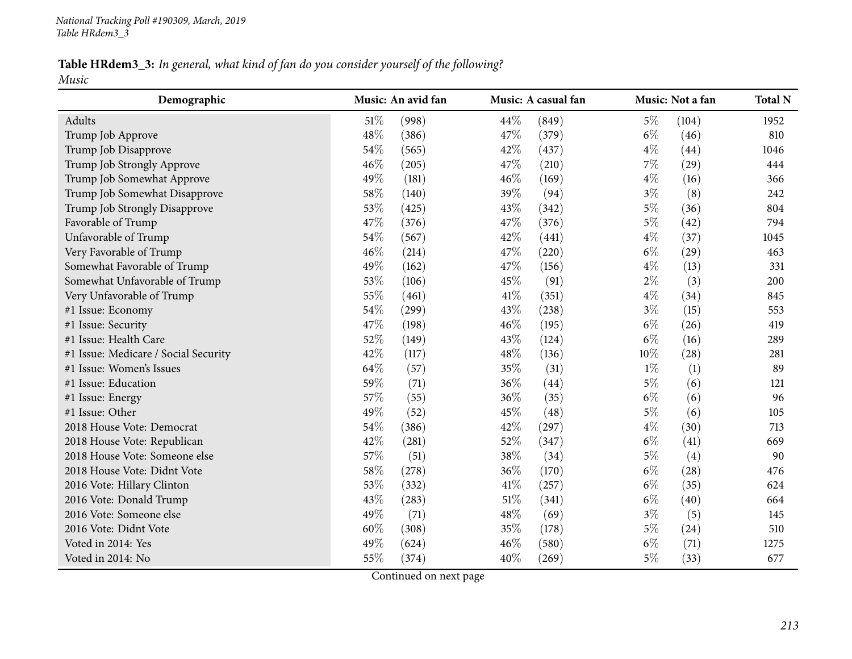| Demographic                          | Music: An avid fan |        | Music: A casual fan |       | Music: Not a fan | <b>Total N</b> |
|--------------------------------------|--------------------|--------|---------------------|-------|------------------|----------------|
| Adults                               | 51\%<br>(998)      | 44\%   | (849)               | $5\%$ | (104)            | 1952           |
| Trump Job Approve                    | 48%<br>(386)       | 47%    | (379)               | $6\%$ | (46)             | 810            |
| Trump Job Disapprove                 | 54%<br>(565)       | 42%    | (437)               | $4\%$ | (44)             | 1046           |
| Trump Job Strongly Approve           | 46%<br>(205)       | 47%    | (210)               | 7%    | (29)             | 444            |
| Trump Job Somewhat Approve           | 49%<br>(181)       | 46%    | (169)               | $4\%$ | (16)             | 366            |
| Trump Job Somewhat Disapprove        | 58%<br>(140)       | 39%    | (94)                | $3\%$ | (8)              | 242            |
| Trump Job Strongly Disapprove        | 53%<br>(425)       | 43%    | (342)               | $5\%$ | (36)             | 804            |
| Favorable of Trump                   | 47%<br>(376)       | 47%    | (376)               | $5\%$ | (42)             | 794            |
| Unfavorable of Trump                 | 54%<br>(567)       | 42%    | (441)               | $4\%$ | (37)             | 1045           |
| Very Favorable of Trump              | 46%<br>(214)       | 47%    | (220)               | $6\%$ | (29)             | 463            |
| Somewhat Favorable of Trump          | 49%<br>(162)       | 47%    | (156)               | $4\%$ | (13)             | 331            |
| Somewhat Unfavorable of Trump        | 53%<br>(106)       | 45%    | (91)                | $2\%$ | (3)              | 200            |
| Very Unfavorable of Trump            | 55%<br>(461)       | 41\%   | (351)               | $4\%$ | (34)             | 845            |
| #1 Issue: Economy                    | 54%<br>(299)       | 43%    | (238)               | $3\%$ | (15)             | 553            |
| #1 Issue: Security                   | 47%<br>(198)       | 46%    | (195)               | $6\%$ | (26)             | 419            |
| #1 Issue: Health Care                | 52%<br>(149)       | 43%    | (124)               | $6\%$ | (16)             | 289            |
| #1 Issue: Medicare / Social Security | 42%<br>(117)       | 48%    | (136)               | 10%   | (28)             | 281            |
| #1 Issue: Women's Issues             | 64%<br>(57)        | 35%    | (31)                | $1\%$ | (1)              | 89             |
| #1 Issue: Education                  | 59%<br>(71)        | 36%    | (44)                | $5\%$ | (6)              | 121            |
| #1 Issue: Energy                     | 57%<br>(55)        | 36%    | (35)                | $6\%$ | (6)              | 96             |
| #1 Issue: Other                      | 49%<br>(52)        | 45%    | (48)                | $5\%$ | (6)              | 105            |
| 2018 House Vote: Democrat            | 54%<br>(386)       | 42%    | (297)               | $4\%$ | (30)             | 713            |
| 2018 House Vote: Republican          | 42%<br>(281)       | 52%    | (347)               | $6\%$ | (41)             | 669            |
| 2018 House Vote: Someone else        | 57%<br>(51)        | 38%    | (34)                | $5\%$ | (4)              | 90             |
| 2018 House Vote: Didnt Vote          | 58%<br>(278)       | 36%    | (170)               | $6\%$ | (28)             | 476            |
| 2016 Vote: Hillary Clinton           | 53%<br>(332)       | 41\%   | (257)               | $6\%$ | (35)             | 624            |
| 2016 Vote: Donald Trump              | 43%<br>(283)       | $51\%$ | (341)               | $6\%$ | (40)             | 664            |
| 2016 Vote: Someone else              | 49%<br>(71)        | 48%    | (69)                | $3\%$ | (5)              | 145            |
| 2016 Vote: Didnt Vote                | 60%<br>(308)       | 35%    | (178)               | $5\%$ | (24)             | 510            |
| Voted in 2014: Yes                   | 49%<br>(624)       | 46%    | (580)               | $6\%$ | (71)             | 1275           |
| Voted in 2014: No                    | 55%<br>(374)       | 40%    | (269)               | 5%    | (33)             | 677            |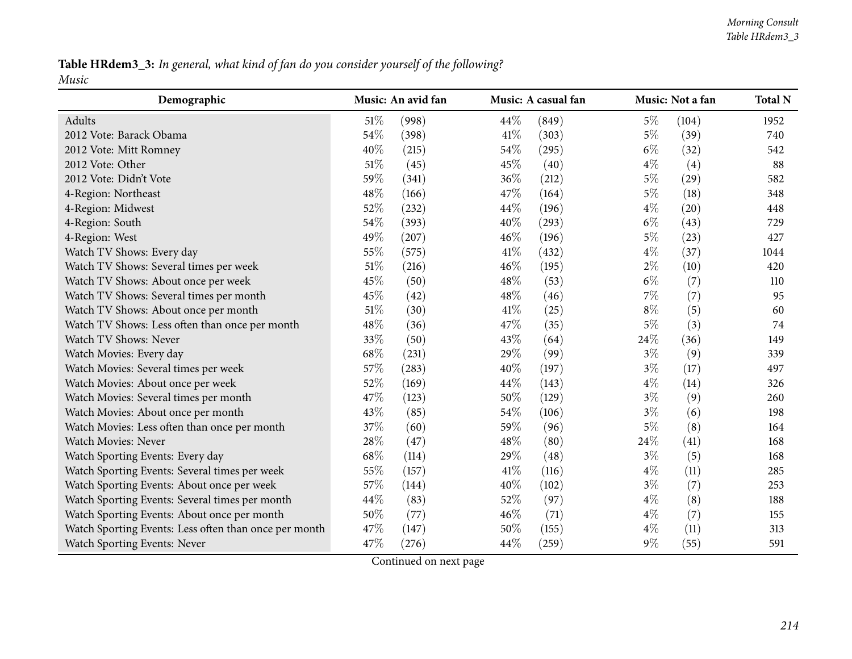| Demographic                                           |        | Music: An avid fan |      | Music: A casual fan |       | Music: Not a fan | <b>Total N</b> |
|-------------------------------------------------------|--------|--------------------|------|---------------------|-------|------------------|----------------|
| <b>Adults</b>                                         | 51\%   | (998)              | 44%  | (849)               | $5\%$ | (104)            | 1952           |
| 2012 Vote: Barack Obama                               | 54%    | (398)              | 41\% | (303)               | $5\%$ | (39)             | 740            |
| 2012 Vote: Mitt Romney                                | 40%    | (215)              | 54%  | (295)               | $6\%$ | (32)             | 542            |
| 2012 Vote: Other                                      | 51\%   | (45)               | 45%  | (40)                | $4\%$ | (4)              | 88             |
| 2012 Vote: Didn't Vote                                | 59%    | (341)              | 36%  | (212)               | $5\%$ | (29)             | 582            |
| 4-Region: Northeast                                   | 48%    | (166)              | 47%  | (164)               | $5\%$ | (18)             | 348            |
| 4-Region: Midwest                                     | 52%    | (232)              | 44%  | (196)               | $4\%$ | (20)             | 448            |
| 4-Region: South                                       | 54%    | (393)              | 40%  | (293)               | $6\%$ | (43)             | 729            |
| 4-Region: West                                        | 49%    | (207)              | 46%  | (196)               | $5\%$ | (23)             | 427            |
| Watch TV Shows: Every day                             | 55%    | (575)              | 41\% | (432)               | $4\%$ | (37)             | 1044           |
| Watch TV Shows: Several times per week                | 51%    | (216)              | 46%  | (195)               | $2\%$ | (10)             | 420            |
| Watch TV Shows: About once per week                   | 45%    | (50)               | 48%  | (53)                | $6\%$ | (7)              | 110            |
| Watch TV Shows: Several times per month               | 45%    | (42)               | 48%  | (46)                | $7\%$ | (7)              | 95             |
| Watch TV Shows: About once per month                  | $51\%$ | (30)               | 41\% | (25)                | $8\%$ | (5)              | 60             |
| Watch TV Shows: Less often than once per month        | 48%    | (36)               | 47%  | (35)                | $5\%$ | (3)              | 74             |
| Watch TV Shows: Never                                 | 33%    | (50)               | 43%  | (64)                | 24%   | (36)             | 149            |
| Watch Movies: Every day                               | 68%    | (231)              | 29%  | (99)                | $3\%$ | (9)              | 339            |
| Watch Movies: Several times per week                  | 57%    | (283)              | 40%  | (197)               | $3\%$ | (17)             | 497            |
| Watch Movies: About once per week                     | 52%    | (169)              | 44%  | (143)               | $4\%$ | (14)             | 326            |
| Watch Movies: Several times per month                 | 47%    | (123)              | 50%  | (129)               | $3\%$ | (9)              | 260            |
| Watch Movies: About once per month                    | 43%    | (85)               | 54%  | (106)               | $3\%$ | (6)              | 198            |
| Watch Movies: Less often than once per month          | 37%    | (60)               | 59%  | (96)                | $5\%$ | (8)              | 164            |
| Watch Movies: Never                                   | 28%    | (47)               | 48%  | (80)                | 24%   | (41)             | 168            |
| Watch Sporting Events: Every day                      | 68%    | (114)              | 29%  | (48)                | $3\%$ | (5)              | 168            |
| Watch Sporting Events: Several times per week         | 55%    | (157)              | 41\% | (116)               | $4\%$ | (11)             | 285            |
| Watch Sporting Events: About once per week            | 57%    | (144)              | 40%  | (102)               | $3\%$ | (7)              | 253            |
| Watch Sporting Events: Several times per month        | 44%    | (83)               | 52%  | (97)                | $4\%$ | (8)              | 188            |
| Watch Sporting Events: About once per month           | 50%    | (77)               | 46%  | (71)                | $4\%$ | (7)              | 155            |
| Watch Sporting Events: Less often than once per month | 47%    | (147)              | 50%  | (155)               | $4\%$ | (11)             | 313            |
| Watch Sporting Events: Never                          | 47%    | (276)              | 44\% | (259)               | $9\%$ | (55)             | 591            |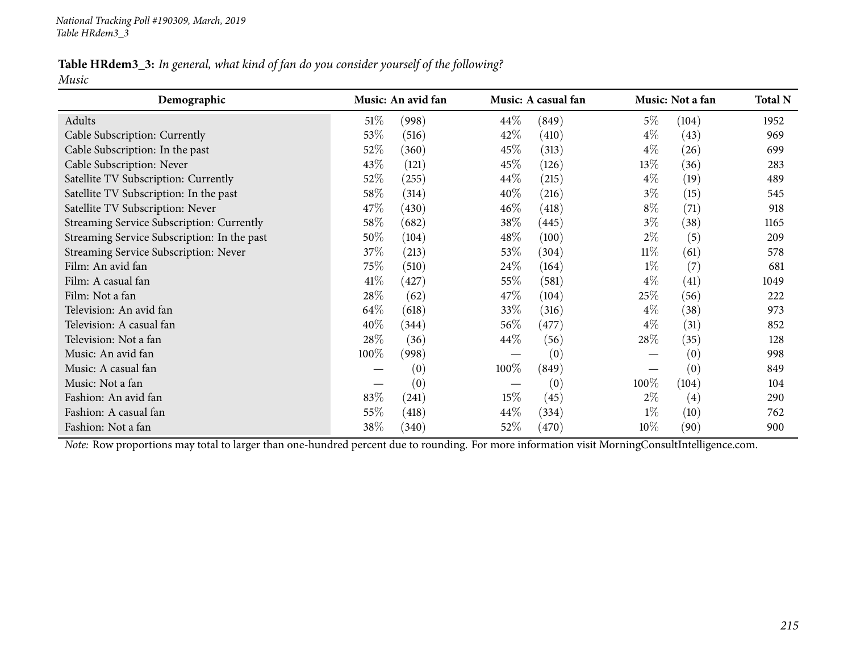| Demographic                                 |        | Music: An avid fan |         | Music: A casual fan |        | Music: Not a fan | <b>Total N</b> |
|---------------------------------------------|--------|--------------------|---------|---------------------|--------|------------------|----------------|
| Adults                                      | $51\%$ | (998)              | 44\%    | (849)               | $5\%$  | (104)            | 1952           |
| Cable Subscription: Currently               | 53%    | (516)              | 42%     | (410)               | $4\%$  | (43)             | 969            |
| Cable Subscription: In the past             | 52%    | (360)              | 45\%    | (313)               | $4\%$  | (26)             | 699            |
| Cable Subscription: Never                   | 43\%   | (121)              | 45%     | (126)               | 13\%   | (36)             | 283            |
| Satellite TV Subscription: Currently        | 52%    | (255)              | $44\%$  | (215)               | $4\%$  | (19)             | 489            |
| Satellite TV Subscription: In the past      | 58%    | (314)              | $40\%$  | (216)               | $3\%$  | (15)             | 545            |
| Satellite TV Subscription: Never            | 47\%   | (430)              | $46\%$  | (418)               | $8\%$  | (71)             | 918            |
| Streaming Service Subscription: Currently   | 58%    | (682)              | 38%     | (445)               | $3\%$  | (38)             | 1165           |
| Streaming Service Subscription: In the past | 50%    | (104)              | 48%     | (100)               | $2\%$  | (5)              | 209            |
| Streaming Service Subscription: Never       | 37\%   | (213)              | 53%     | (304)               | $11\%$ | (61)             | 578            |
| Film: An avid fan                           | 75\%   | (510)              | 24\%    | (164)               | $1\%$  | (7)              | 681            |
| Film: A casual fan                          | 41%    | (427)              | 55\%    | (581)               | $4\%$  | (41)             | 1049           |
| Film: Not a fan                             | 28%    | (62)               | 47\%    | (104)               | 25\%   | (56)             | 222            |
| Television: An avid fan                     | 64\%   | (618)              | 33%     | (316)               | $4\%$  | (38)             | 973            |
| Television: A casual fan                    | 40%    | (344)              | 56\%    | (477)               | $4\%$  | (31)             | 852            |
| Television: Not a fan                       | 28%    | (36)               | $44\%$  | (56)                | 28\%   | (35)             | 128            |
| Music: An avid fan                          | 100\%  | (998)              |         | (0)                 |        | (0)              | 998            |
| Music: A casual fan                         |        | (0)                | $100\%$ | (849)               |        | (0)              | 849            |
| Music: Not a fan                            |        | (0)                |         | (0)                 | 100%   | (104)            | 104            |
| Fashion: An avid fan                        | 83%    | (241)              | 15%     | (45)                | $2\%$  | (4)              | 290            |
| Fashion: A casual fan                       | 55%    | (418)              | 44\%    | (334)               | $1\%$  | (10)             | 762            |
| Fashion: Not a fan                          | 38%    | (340)              | 52\%    | (470)               | 10%    | (90)             | 900            |

*Note:* Row proportions may total to larger than one-hundred percen<sup>t</sup> due to rounding. For more information visit [MorningConsultIntelligence.com](https://morningconsultintelligence.com).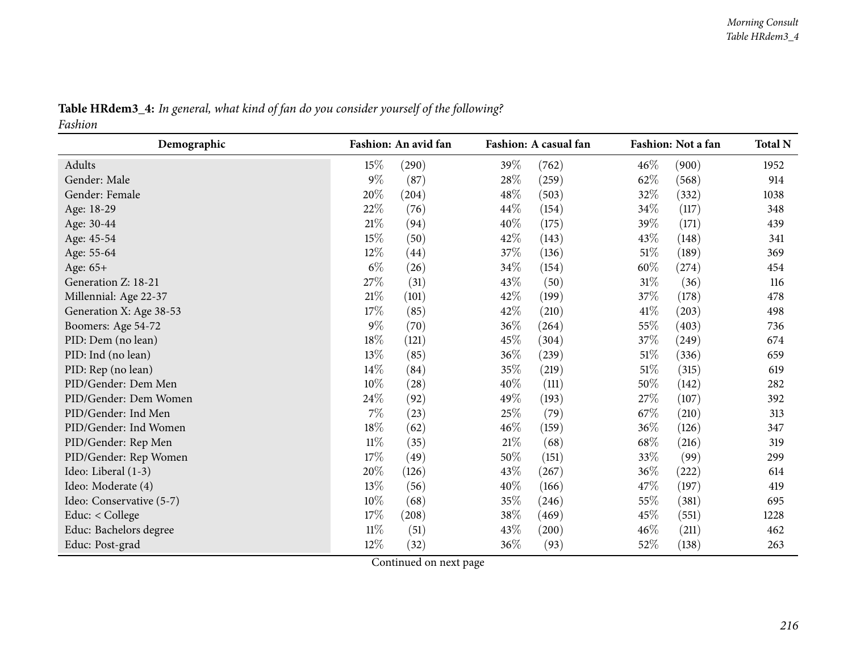|         | <b>Table HRdem3_4:</b> In general, what kind of fan do you consider yourself of the following? |
|---------|------------------------------------------------------------------------------------------------|
| Fashion |                                                                                                |

| Demographic              |        | Fashion: An avid fan |        | Fashion: A casual fan |        | Fashion: Not a fan | <b>Total N</b> |
|--------------------------|--------|----------------------|--------|-----------------------|--------|--------------------|----------------|
| Adults                   | 15%    | (290)                | 39%    | (762)                 | $46\%$ | (900)              | 1952           |
| Gender: Male             | $9\%$  | (87)                 | 28%    | (259)                 | 62%    | (568)              | 914            |
| Gender: Female           | 20%    | (204)                | 48\%   | (503)                 | 32%    | (332)              | 1038           |
| Age: 18-29               | 22%    | (76)                 | 44\%   | (154)                 | 34%    | (117)              | 348            |
| Age: 30-44               | 21%    | (94)                 | 40%    | (175)                 | 39%    | (171)              | 439            |
| Age: 45-54               | 15%    | (50)                 | 42\%   | (143)                 | 43%    | (148)              | 341            |
| Age: 55-64               | 12%    | (44)                 | 37%    | (136)                 | 51\%   | (189)              | 369            |
| Age: 65+                 | $6\%$  | (26)                 | 34%    | (154)                 | 60%    | (274)              | 454            |
| Generation Z: 18-21      | 27%    | (31)                 | 43\%   | (50)                  | $31\%$ | (36)               | 116            |
| Millennial: Age 22-37    | $21\%$ | (101)                | 42%    | (199)                 | 37%    | (178)              | 478            |
| Generation X: Age 38-53  | 17%    | (85)                 | 42\%   | (210)                 | 41%    | (203)              | 498            |
| Boomers: Age 54-72       | $9\%$  | (70)                 | 36%    | (264)                 | 55%    | (403)              | 736            |
| PID: Dem (no lean)       | 18%    | (121)                | 45%    | (304)                 | 37%    | (249)              | 674            |
| PID: Ind (no lean)       | 13\%   | (85)                 | 36%    | (239)                 | 51\%   | (336)              | 659            |
| PID: Rep (no lean)       | 14%    | (84)                 | 35%    | (219)                 | $51\%$ | (315)              | 619            |
| PID/Gender: Dem Men      | 10%    | (28)                 | 40%    | (111)                 | 50%    | (142)              | 282            |
| PID/Gender: Dem Women    | 24%    | (92)                 | 49%    | (193)                 | 27\%   | (107)              | 392            |
| PID/Gender: Ind Men      | 7%     | (23)                 | 25\%   | (79)                  | 67\%   | (210)              | 313            |
| PID/Gender: Ind Women    | 18%    | (62)                 | 46\%   | (159)                 | 36%    | (126)              | 347            |
| PID/Gender: Rep Men      | $11\%$ | (35)                 | $21\%$ | (68)                  | 68%    | (216)              | 319            |
| PID/Gender: Rep Women    | 17%    | (49)                 | 50%    | (151)                 | 33\%   | (99)               | 299            |
| Ideo: Liberal (1-3)      | 20%    | (126)                | 43%    | (267)                 | 36%    | (222)              | 614            |
| Ideo: Moderate (4)       | 13%    | (56)                 | 40%    | (166)                 | 47%    | (197)              | 419            |
| Ideo: Conservative (5-7) | 10%    | (68)                 | 35%    | (246)                 | 55%    | (381)              | 695            |
| Educ: < College          | 17%    | (208)                | 38%    | (469)                 | 45%    | (551)              | 1228           |
| Educ: Bachelors degree   | 11%    | (51)                 | 43\%   | (200)                 | 46%    | (211)              | 462            |
| Educ: Post-grad          | 12%    | (32)                 | 36%    | (93)                  | 52%    | (138)              | 263            |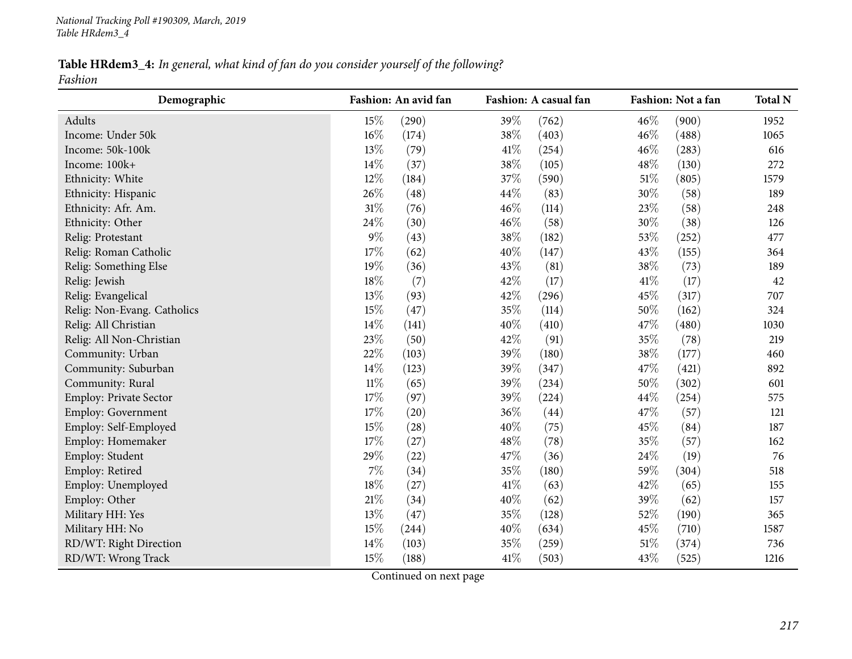| Demographic                 |        | Fashion: An avid fan |      | Fashion: A casual fan |      | Fashion: Not a fan | <b>Total N</b> |
|-----------------------------|--------|----------------------|------|-----------------------|------|--------------------|----------------|
| Adults                      | 15%    | (290)                | 39%  | (762)                 | 46\% | (900)              | 1952           |
| Income: Under 50k           | 16%    | (174)                | 38%  | (403)                 | 46%  | (488)              | 1065           |
| Income: 50k-100k            | 13%    | (79)                 | 41\% | (254)                 | 46%  | (283)              | 616            |
| Income: 100k+               | 14%    | (37)                 | 38%  | (105)                 | 48\% | (130)              | 272            |
| Ethnicity: White            | 12%    | (184)                | 37%  | (590)                 | 51%  | (805)              | 1579           |
| Ethnicity: Hispanic         | 26%    | (48)                 | 44%  | (83)                  | 30%  | (58)               | 189            |
| Ethnicity: Afr. Am.         | $31\%$ | (76)                 | 46%  | (114)                 | 23%  | (58)               | 248            |
| Ethnicity: Other            | 24%    | (30)                 | 46%  | (58)                  | 30%  | (38)               | 126            |
| Relig: Protestant           | $9\%$  | (43)                 | 38%  | (182)                 | 53%  | (252)              | 477            |
| Relig: Roman Catholic       | 17%    | (62)                 | 40%  | (147)                 | 43%  | (155)              | 364            |
| Relig: Something Else       | 19%    | (36)                 | 43%  | (81)                  | 38\% | (73)               | 189            |
| Relig: Jewish               | 18%    | (7)                  | 42%  | (17)                  | 41\% | (17)               | 42             |
| Relig: Evangelical          | 13%    | (93)                 | 42%  | (296)                 | 45%  | (317)              | 707            |
| Relig: Non-Evang. Catholics | 15%    | (47)                 | 35%  | (114)                 | 50%  | (162)              | 324            |
| Relig: All Christian        | 14%    | (141)                | 40%  | (410)                 | 47%  | (480)              | 1030           |
| Relig: All Non-Christian    | 23%    | (50)                 | 42%  | (91)                  | 35%  | (78)               | 219            |
| Community: Urban            | 22%    | (103)                | 39%  | (180)                 | 38\% | (177)              | 460            |
| Community: Suburban         | 14%    | (123)                | 39%  | (347)                 | 47%  | (421)              | 892            |
| Community: Rural            | $11\%$ | (65)                 | 39%  | (234)                 | 50%  | (302)              | 601            |
| Employ: Private Sector      | 17%    | (97)                 | 39%  | (224)                 | 44%  | (254)              | 575            |
| Employ: Government          | 17%    | (20)                 | 36%  | (44)                  | 47\% | (57)               | 121            |
| Employ: Self-Employed       | 15%    | (28)                 | 40%  | (75)                  | 45%  | (84)               | 187            |
| Employ: Homemaker           | 17%    | (27)                 | 48%  | (78)                  | 35%  | (57)               | 162            |
| Employ: Student             | 29%    | (22)                 | 47\% | (36)                  | 24\% | (19)               | 76             |
| Employ: Retired             | $7\%$  | (34)                 | 35%  | (180)                 | 59%  | (304)              | 518            |
| Employ: Unemployed          | 18%    | (27)                 | 41\% | (63)                  | 42%  | (65)               | 155            |
| Employ: Other               | $21\%$ | (34)                 | 40%  | (62)                  | 39%  | (62)               | 157            |
| Military HH: Yes            | 13%    | (47)                 | 35%  | (128)                 | 52%  | (190)              | 365            |
| Military HH: No             | 15%    | (244)                | 40%  | (634)                 | 45\% | (710)              | 1587           |
| RD/WT: Right Direction      | 14\%   | (103)                | 35%  | (259)                 | 51\% | (374)              | 736            |
| RD/WT: Wrong Track          | 15%    | (188)                | 41\% | (503)                 | 43%  | (525)              | 1216           |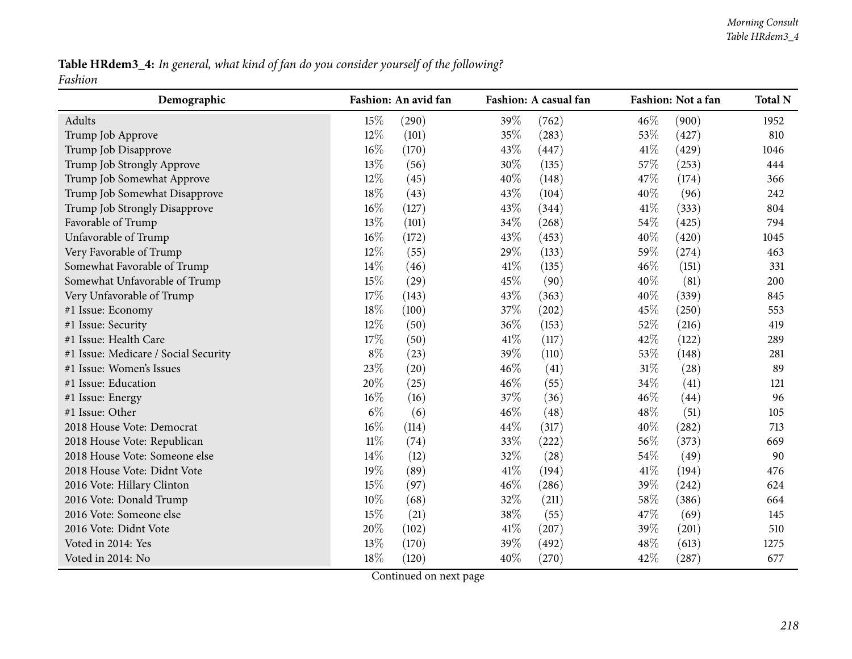| Demographic                          |        | Fashion: An avid fan |      | Fashion: A casual fan |      | Fashion: Not a fan | <b>Total N</b> |
|--------------------------------------|--------|----------------------|------|-----------------------|------|--------------------|----------------|
| Adults                               | 15%    | (290)                | 39%  | (762)                 | 46%  | (900)              | 1952           |
| Trump Job Approve                    | 12%    | (101)                | 35%  | (283)                 | 53%  | (427)              | 810            |
| Trump Job Disapprove                 | 16%    | (170)                | 43%  | (447)                 | 41\% | (429)              | 1046           |
| Trump Job Strongly Approve           | 13%    | (56)                 | 30%  | (135)                 | 57%  | (253)              | 444            |
| Trump Job Somewhat Approve           | 12%    | (45)                 | 40%  | (148)                 | 47%  | (174)              | 366            |
| Trump Job Somewhat Disapprove        | 18%    | (43)                 | 43%  | (104)                 | 40%  | (96)               | 242            |
| Trump Job Strongly Disapprove        | 16%    | (127)                | 43%  | (344)                 | 41\% | (333)              | 804            |
| Favorable of Trump                   | 13%    | (101)                | 34%  | (268)                 | 54\% | (425)              | 794            |
| Unfavorable of Trump                 | 16%    | (172)                | 43%  | (453)                 | 40%  | (420)              | 1045           |
| Very Favorable of Trump              | $12\%$ | (55)                 | 29%  | (133)                 | 59%  | (274)              | 463            |
| Somewhat Favorable of Trump          | 14%    | (46)                 | 41\% | (135)                 | 46%  | (151)              | 331            |
| Somewhat Unfavorable of Trump        | 15%    | (29)                 | 45%  | (90)                  | 40%  | (81)               | 200            |
| Very Unfavorable of Trump            | 17%    | (143)                | 43%  | (363)                 | 40%  | (339)              | 845            |
| #1 Issue: Economy                    | 18%    | (100)                | 37%  | (202)                 | 45%  | (250)              | 553            |
| #1 Issue: Security                   | 12%    | (50)                 | 36%  | (153)                 | 52%  | (216)              | 419            |
| #1 Issue: Health Care                | 17%    | (50)                 | 41\% | (117)                 | 42%  | (122)              | 289            |
| #1 Issue: Medicare / Social Security | $8\%$  | (23)                 | 39%  | (110)                 | 53%  | (148)              | 281            |
| #1 Issue: Women's Issues             | 23%    | (20)                 | 46%  | (41)                  | 31%  | (28)               | 89             |
| #1 Issue: Education                  | 20%    | (25)                 | 46%  | (55)                  | 34%  | (41)               | 121            |
| #1 Issue: Energy                     | 16%    | (16)                 | 37%  | (36)                  | 46%  | (44)               | 96             |
| #1 Issue: Other                      | $6\%$  | (6)                  | 46%  | (48)                  | 48%  | (51)               | 105            |
| 2018 House Vote: Democrat            | 16%    | (114)                | 44%  | (317)                 | 40%  | (282)              | 713            |
| 2018 House Vote: Republican          | $11\%$ | (74)                 | 33%  | (222)                 | 56%  | (373)              | 669            |
| 2018 House Vote: Someone else        | 14%    | (12)                 | 32%  | (28)                  | 54\% | (49)               | 90             |
| 2018 House Vote: Didnt Vote          | 19%    | (89)                 | 41%  | (194)                 | 41\% | (194)              | 476            |
| 2016 Vote: Hillary Clinton           | 15%    | (97)                 | 46%  | (286)                 | 39%  | (242)              | 624            |
| 2016 Vote: Donald Trump              | 10%    | (68)                 | 32%  | (211)                 | 58%  | (386)              | 664            |
| 2016 Vote: Someone else              | 15%    | (21)                 | 38%  | (55)                  | 47\% | (69)               | 145            |
| 2016 Vote: Didnt Vote                | 20%    | (102)                | 41\% | (207)                 | 39%  | (201)              | 510            |
| Voted in 2014: Yes                   | 13%    | (170)                | 39%  | (492)                 | 48%  | (613)              | 1275           |
| Voted in 2014: No                    | 18%    | (120)                | 40%  | (270)                 | 42\% | (287)              | 677            |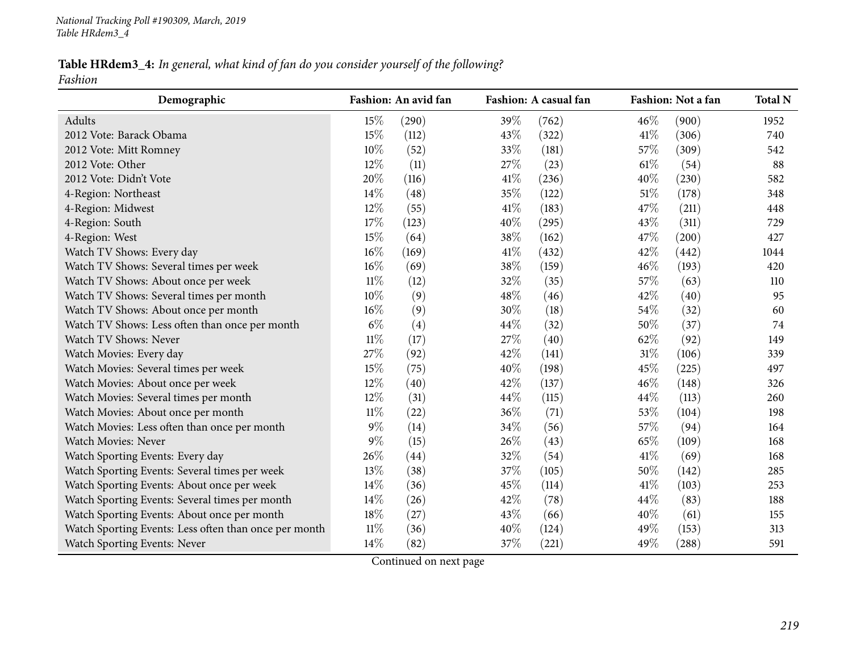| Demographic                                           |        | Fashion: An avid fan |        | Fashion: A casual fan |        | Fashion: Not a fan | <b>Total N</b> |
|-------------------------------------------------------|--------|----------------------|--------|-----------------------|--------|--------------------|----------------|
| Adults                                                | 15%    | (290)                | 39%    | (762)                 | $46\%$ | (900)              | 1952           |
| 2012 Vote: Barack Obama                               | 15%    | (112)                | 43%    | (322)                 | 41\%   | (306)              | 740            |
| 2012 Vote: Mitt Romney                                | 10%    | (52)                 | 33%    | (181)                 | 57%    | (309)              | 542            |
| 2012 Vote: Other                                      | $12\%$ | (11)                 | 27%    | (23)                  | $61\%$ | (54)               | 88             |
| 2012 Vote: Didn't Vote                                | 20%    | (116)                | 41\%   | (236)                 | 40%    | (230)              | 582            |
| 4-Region: Northeast                                   | 14\%   | (48)                 | 35%    | (122)                 | 51\%   | (178)              | 348            |
| 4-Region: Midwest                                     | $12\%$ | (55)                 | 41\%   | (183)                 | 47\%   | (211)              | 448            |
| 4-Region: South                                       | 17%    | (123)                | 40%    | (295)                 | 43\%   | (311)              | 729            |
| 4-Region: West                                        | 15%    | (64)                 | 38%    | (162)                 | 47%    | (200)              | 427            |
| Watch TV Shows: Every day                             | 16%    | (169)                | 41\%   | (432)                 | 42%    | (442)              | 1044           |
| Watch TV Shows: Several times per week                | $16\%$ | (69)                 | 38%    | (159)                 | 46%    | (193)              | 420            |
| Watch TV Shows: About once per week                   | $11\%$ | (12)                 | 32%    | (35)                  | 57%    | (63)               | 110            |
| Watch TV Shows: Several times per month               | $10\%$ | (9)                  | 48\%   | (46)                  | 42\%   | (40)               | 95             |
| Watch TV Shows: About once per month                  | $16\%$ | (9)                  | $30\%$ | (18)                  | 54\%   | (32)               | 60             |
| Watch TV Shows: Less often than once per month        | $6\%$  | (4)                  | 44%    | (32)                  | 50%    | (37)               | 74             |
| Watch TV Shows: Never                                 | $11\%$ | (17)                 | 27%    | (40)                  | 62\%   | (92)               | 149            |
| Watch Movies: Every day                               | 27%    | (92)                 | 42%    | (141)                 | 31%    | (106)              | 339            |
| Watch Movies: Several times per week                  | 15%    | (75)                 | 40%    | (198)                 | 45%    | (225)              | 497            |
| Watch Movies: About once per week                     | 12%    | (40)                 | 42%    | (137)                 | 46%    | (148)              | 326            |
| Watch Movies: Several times per month                 | $12\%$ | (31)                 | 44%    | (115)                 | 44\%   | (113)              | 260            |
| Watch Movies: About once per month                    | $11\%$ | (22)                 | 36%    | (71)                  | 53\%   | (104)              | 198            |
| Watch Movies: Less often than once per month          | $9\%$  | (14)                 | 34\%   | (56)                  | 57\%   | (94)               | 164            |
| Watch Movies: Never                                   | $9\%$  | (15)                 | 26%    | (43)                  | 65\%   | (109)              | 168            |
| Watch Sporting Events: Every day                      | 26%    | (44)                 | 32%    | (54)                  | 41%    | (69)               | 168            |
| Watch Sporting Events: Several times per week         | 13\%   | (38)                 | 37%    | (105)                 | 50%    | (142)              | 285            |
| Watch Sporting Events: About once per week            | $14\%$ | (36)                 | 45%    | (114)                 | 41\%   | (103)              | 253            |
| Watch Sporting Events: Several times per month        | 14\%   | (26)                 | 42%    | (78)                  | 44\%   | (83)               | 188            |
| Watch Sporting Events: About once per month           | 18%    | (27)                 | 43%    | (66)                  | 40%    | (61)               | 155            |
| Watch Sporting Events: Less often than once per month | $11\%$ | (36)                 | 40%    | (124)                 | 49%    | (153)              | 313            |
| Watch Sporting Events: Never                          | $14\%$ | (82)                 | 37%    | (221)                 | 49\%   | (288)              | 591            |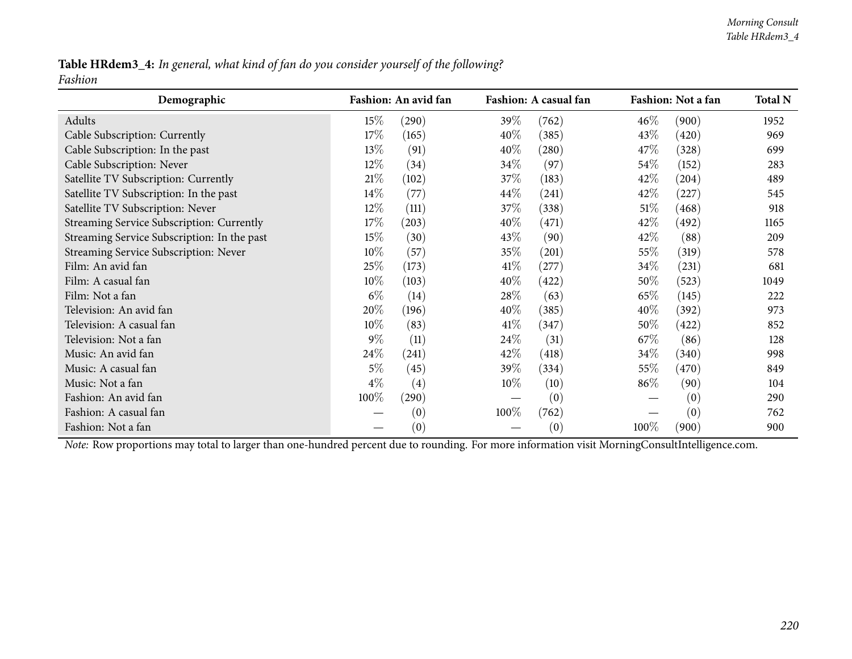| Demographic                                                                                                                                    |        | Fashion: An avid fan |                   | Fashion: A casual fan |        | Fashion: Not a fan | <b>Total N</b> |  |
|------------------------------------------------------------------------------------------------------------------------------------------------|--------|----------------------|-------------------|-----------------------|--------|--------------------|----------------|--|
| Adults                                                                                                                                         | 15%    | (290)                | 39%               | (762)                 | $46\%$ | (900)              | 1952           |  |
| Cable Subscription: Currently                                                                                                                  | 17%    | (165)                | 40%               | (385)                 | 43\%   | (420)              | 969            |  |
| Cable Subscription: In the past                                                                                                                | 13%    | (91)                 | $40\%$            | (280)                 | 47\%   | (328)              | 699            |  |
| Cable Subscription: Never                                                                                                                      | $12\%$ | (34)                 | 34\%              | (97)                  | 54\%   | (152)              | 283            |  |
| Satellite TV Subscription: Currently                                                                                                           | 21%    | (102)                | 37%               | (183)                 | 42\%   | (204)              | 489            |  |
| Satellite TV Subscription: In the past                                                                                                         | $14\%$ | (77)                 | 44\%              | (241)                 | 42\%   | (227)              | 545            |  |
| Satellite TV Subscription: Never                                                                                                               | $12\%$ | (111)                | 37\%              | (338)                 | 51%    | (468)              | 918            |  |
| Streaming Service Subscription: Currently                                                                                                      | 17%    | (203)                | $40\%$            | (471)                 | 42\%   | (492)              | 1165           |  |
| Streaming Service Subscription: In the past                                                                                                    | 15%    | (30)                 | 43\%              | (90)                  | 42\%   | (88)               | 209            |  |
| Streaming Service Subscription: Never                                                                                                          | 10%    | (57)                 | 35%               | (201)                 | 55\%   | (319)              | 578            |  |
| Film: An avid fan                                                                                                                              | 25%    | (173)                | 41\%              | (277)                 | 34\%   | (231)              | 681            |  |
| Film: A casual fan                                                                                                                             | 10%    | (103)                | 40%               | (422)                 | $50\%$ | (523)              | 1049           |  |
| Film: Not a fan                                                                                                                                | $6\%$  | (14)                 | 28\%              | (63)                  | 65\%   | (145)              | 222            |  |
| Television: An avid fan                                                                                                                        | 20%    | (196)                | $40\%$            | (385)                 | $40\%$ | (392)              | 973            |  |
| Television: A casual fan                                                                                                                       | 10%    | (83)                 | 41%               | (347)                 | 50\%   | (422)              | 852            |  |
| Television: Not a fan                                                                                                                          | $9\%$  | (11)                 | 24\%              | (31)                  | 67%    | (86)               | 128            |  |
| Music: An avid fan                                                                                                                             | 24%    | (241)                | 42\%              | (418)                 | 34\%   | (340)              | 998            |  |
| Music: A casual fan                                                                                                                            | 5%     | (45)                 | 39%               | (334)                 | 55\%   | (470)              | 849            |  |
| Music: Not a fan                                                                                                                               | $4\%$  | (4)                  | $10\%$            | (10)                  | 86\%   | (90)               | 104            |  |
| Fashion: An avid fan                                                                                                                           | 100%   | (290)                | $\hspace{0.05cm}$ | (0)                   |        | (0)                | 290            |  |
| Fashion: A casual fan                                                                                                                          |        | (0)                  | 100%              | (762)                 |        | (0)                | 762            |  |
| Fashion: Not a fan                                                                                                                             |        | (0)                  |                   | (0)                   | 100%   | (900)              | 900            |  |
| Note: Row proportions may total to larger than one-hundred percent due to rounding. For more information visit MorningConsultIntelligence.com. |        |                      |                   |                       |        |                    |                |  |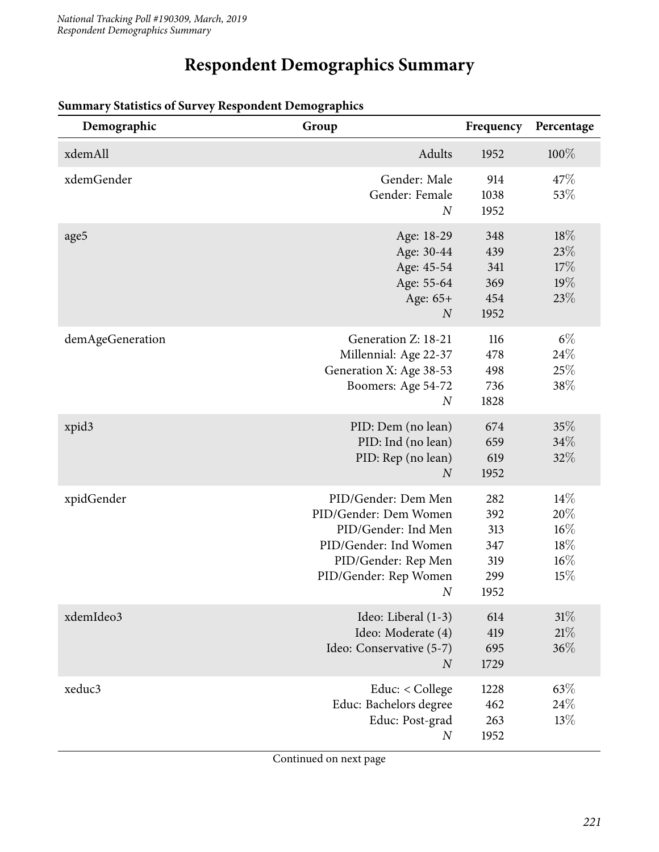# **Respondent Demographics Summary**

| Demographic      | Group                                                                                                                                                          | Frequency                                      | Percentage                                   |
|------------------|----------------------------------------------------------------------------------------------------------------------------------------------------------------|------------------------------------------------|----------------------------------------------|
| xdemAll          | Adults                                                                                                                                                         | 1952                                           | 100%                                         |
| xdemGender       | Gender: Male<br>Gender: Female<br>$\boldsymbol{N}$                                                                                                             | 914<br>1038<br>1952                            | 47\%<br>53%                                  |
| age5             | Age: 18-29<br>Age: 30-44<br>Age: 45-54<br>Age: 55-64<br>Age: 65+<br>$\boldsymbol{N}$                                                                           | 348<br>439<br>341<br>369<br>454<br>1952        | 18%<br>23%<br>17%<br>19%<br>23%              |
| demAgeGeneration | Generation Z: 18-21<br>Millennial: Age 22-37<br>Generation X: Age 38-53<br>Boomers: Age 54-72<br>$\boldsymbol{N}$                                              | 116<br>478<br>498<br>736<br>1828               | $6\%$<br>24\%<br>25%<br>38\%                 |
| xpid3            | PID: Dem (no lean)<br>PID: Ind (no lean)<br>PID: Rep (no lean)<br>$\boldsymbol{N}$                                                                             | 674<br>659<br>619<br>1952                      | 35%<br>34%<br>32%                            |
| xpidGender       | PID/Gender: Dem Men<br>PID/Gender: Dem Women<br>PID/Gender: Ind Men<br>PID/Gender: Ind Women<br>PID/Gender: Rep Men<br>PID/Gender: Rep Women<br>$\overline{N}$ | 282<br>392<br>313<br>347<br>319<br>299<br>1952 | 14%<br>20%<br>$16\%$<br>18%<br>$16\%$<br>15% |
| xdemIdeo3        | Ideo: Liberal (1-3)<br>Ideo: Moderate (4)<br>Ideo: Conservative (5-7)<br>$\overline{N}$                                                                        | 614<br>419<br>695<br>1729                      | 31%<br>21%<br>36%                            |
| xeduc3           | Educ: < College<br>Educ: Bachelors degree<br>Educ: Post-grad<br>$\boldsymbol{N}$                                                                               | 1228<br>462<br>263<br>1952                     | 63%<br>24\%<br>13%                           |

#### **Summary Statistics of Survey Respondent Demographics**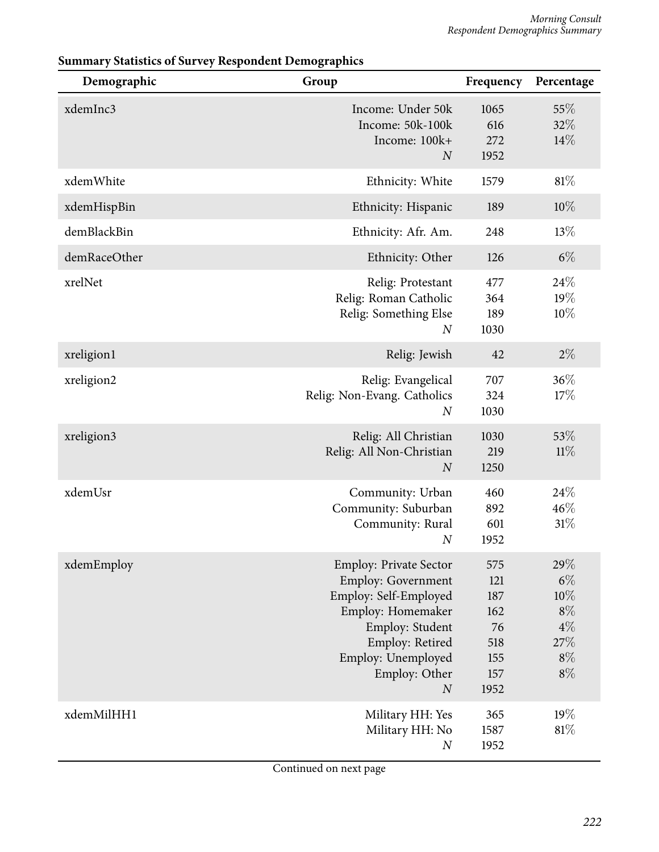| Demographic  | Group                                                                                                                                                                                              | Frequency                                                   | Percentage                                                           |
|--------------|----------------------------------------------------------------------------------------------------------------------------------------------------------------------------------------------------|-------------------------------------------------------------|----------------------------------------------------------------------|
| xdemInc3     | Income: Under 50k<br>Income: 50k-100k<br>Income: 100k+<br>$\overline{N}$                                                                                                                           | 1065<br>616<br>272<br>1952                                  | 55%<br>32%<br>14%                                                    |
| xdemWhite    | Ethnicity: White                                                                                                                                                                                   | 1579                                                        | 81%                                                                  |
| xdemHispBin  | Ethnicity: Hispanic                                                                                                                                                                                | 189                                                         | 10%                                                                  |
| demBlackBin  | Ethnicity: Afr. Am.                                                                                                                                                                                | 248                                                         | 13%                                                                  |
| demRaceOther | Ethnicity: Other                                                                                                                                                                                   | 126                                                         | $6\%$                                                                |
| xrelNet      | Relig: Protestant<br>Relig: Roman Catholic<br>Relig: Something Else<br>$\boldsymbol{N}$                                                                                                            | 477<br>364<br>189<br>1030                                   | 24%<br>19%<br>10%                                                    |
| xreligion1   | Relig: Jewish                                                                                                                                                                                      | 42                                                          | $2\%$                                                                |
| xreligion2   | Relig: Evangelical<br>Relig: Non-Evang. Catholics<br>$\boldsymbol{N}$                                                                                                                              | 707<br>324<br>1030                                          | 36%<br>17%                                                           |
| xreligion3   | Relig: All Christian<br>Relig: All Non-Christian<br>$\boldsymbol{N}$                                                                                                                               | 1030<br>219<br>1250                                         | 53%<br>11%                                                           |
| xdemUsr      | Community: Urban<br>Community: Suburban<br>Community: Rural<br>$\boldsymbol{N}$                                                                                                                    | 460<br>892<br>601<br>1952                                   | 24\%<br>46%<br>31%                                                   |
| xdemEmploy   | <b>Employ: Private Sector</b><br>Employ: Government<br>Employ: Self-Employed<br>Employ: Homemaker<br>Employ: Student<br>Employ: Retired<br>Employ: Unemployed<br>Employ: Other<br>$\boldsymbol{N}$ | 575<br>121<br>187<br>162<br>76<br>518<br>155<br>157<br>1952 | 29%<br>$6\%$<br>$10\%$<br>$8\%$<br>$4\%$<br>$27\%$<br>$8\%$<br>$8\%$ |
| xdemMilHH1   | Military HH: Yes<br>Military HH: No<br>$\boldsymbol{N}$                                                                                                                                            | 365<br>1587<br>1952                                         | 19%<br>81%                                                           |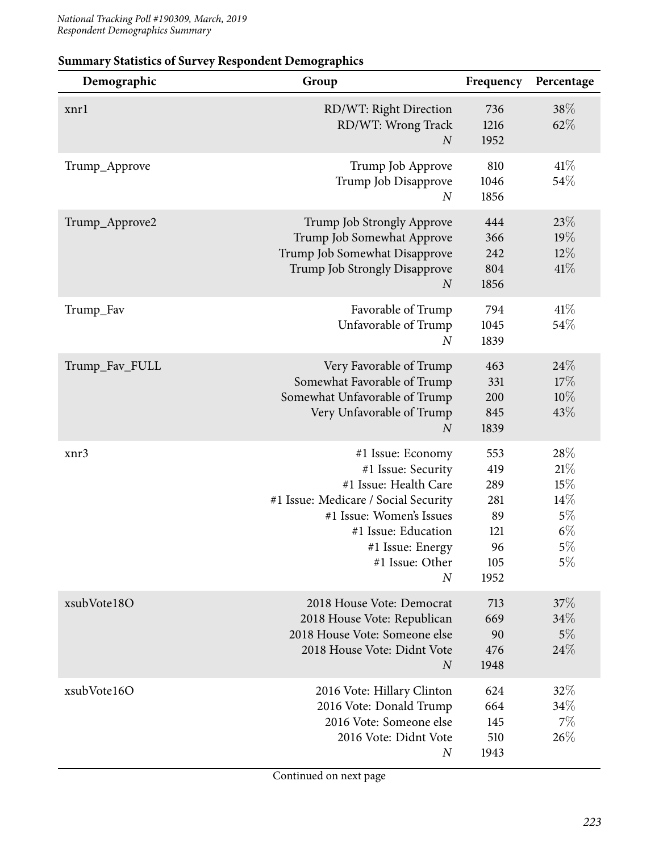| Demographic    | Group                                                                                                                                                                                                                  | Frequency                                                  | Percentage                                                |
|----------------|------------------------------------------------------------------------------------------------------------------------------------------------------------------------------------------------------------------------|------------------------------------------------------------|-----------------------------------------------------------|
| xnrl           | RD/WT: Right Direction<br>RD/WT: Wrong Track<br>$\overline{N}$                                                                                                                                                         | 736<br>1216<br>1952                                        | 38\%<br>62%                                               |
| Trump_Approve  | Trump Job Approve<br>Trump Job Disapprove<br>$\boldsymbol{N}$                                                                                                                                                          | 810<br>1046<br>1856                                        | 41%<br>54%                                                |
| Trump_Approve2 | Trump Job Strongly Approve<br>Trump Job Somewhat Approve<br>Trump Job Somewhat Disapprove<br>Trump Job Strongly Disapprove<br>$\boldsymbol{N}$                                                                         | 444<br>366<br>242<br>804<br>1856                           | 23%<br>19%<br>$12\%$<br>41\%                              |
| Trump_Fav      | Favorable of Trump<br>Unfavorable of Trump<br>$\boldsymbol{N}$                                                                                                                                                         | 794<br>1045<br>1839                                        | 41%<br>54%                                                |
| Trump_Fav_FULL | Very Favorable of Trump<br>Somewhat Favorable of Trump<br>Somewhat Unfavorable of Trump<br>Very Unfavorable of Trump<br>$\boldsymbol{N}$                                                                               | 463<br>331<br>200<br>845<br>1839                           | 24%<br>17%<br>10%<br>43%                                  |
| xnr3           | #1 Issue: Economy<br>#1 Issue: Security<br>#1 Issue: Health Care<br>#1 Issue: Medicare / Social Security<br>#1 Issue: Women's Issues<br>#1 Issue: Education<br>#1 Issue: Energy<br>#1 Issue: Other<br>$\boldsymbol{N}$ | 553<br>419<br>289<br>281<br>89<br>121<br>96<br>105<br>1952 | 28%<br>21%<br>15%<br>14%<br>5%<br>$6\%$<br>$5\%$<br>$5\%$ |
| xsubVote18O    | 2018 House Vote: Democrat<br>2018 House Vote: Republican<br>2018 House Vote: Someone else<br>2018 House Vote: Didnt Vote<br>$\boldsymbol{N}$                                                                           | 713<br>669<br>90<br>476<br>1948                            | 37%<br>34%<br>$5\%$<br>24%                                |
| xsubVote16O    | 2016 Vote: Hillary Clinton<br>2016 Vote: Donald Trump<br>2016 Vote: Someone else<br>2016 Vote: Didnt Vote<br>$\boldsymbol{N}$                                                                                          | 624<br>664<br>145<br>510<br>1943                           | 32%<br>34\%<br>7%<br>26%                                  |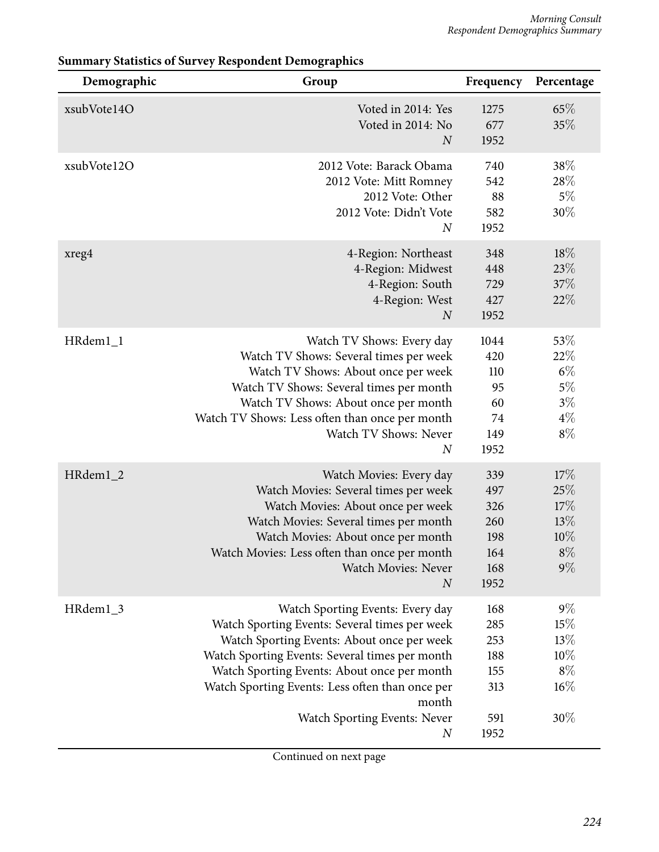| Demographic | Group                                                                                                                                                                                                                                                                                                                                            | Frequency                                             | Percentage                                              |
|-------------|--------------------------------------------------------------------------------------------------------------------------------------------------------------------------------------------------------------------------------------------------------------------------------------------------------------------------------------------------|-------------------------------------------------------|---------------------------------------------------------|
| xsubVote14O | Voted in 2014: Yes<br>Voted in 2014: No<br>$\overline{N}$                                                                                                                                                                                                                                                                                        | 1275<br>677<br>1952                                   | 65%<br>35%                                              |
| xsubVote12O | 2012 Vote: Barack Obama<br>2012 Vote: Mitt Romney<br>2012 Vote: Other<br>2012 Vote: Didn't Vote<br>$\overline{N}$                                                                                                                                                                                                                                | 740<br>542<br>88<br>582<br>1952                       | 38%<br>28%<br>$5\%$<br>30%                              |
| xreg4       | 4-Region: Northeast<br>4-Region: Midwest<br>4-Region: South<br>4-Region: West<br>$\boldsymbol{N}$                                                                                                                                                                                                                                                | 348<br>448<br>729<br>427<br>1952                      | 18%<br>23%<br>37%<br>22%                                |
| HRdem1_1    | Watch TV Shows: Every day<br>Watch TV Shows: Several times per week<br>Watch TV Shows: About once per week<br>Watch TV Shows: Several times per month<br>Watch TV Shows: About once per month<br>Watch TV Shows: Less often than once per month<br>Watch TV Shows: Never<br>$\overline{N}$                                                       | 1044<br>420<br>110<br>95<br>60<br>74<br>149<br>1952   | 53%<br>22%<br>$6\%$<br>$5\%$<br>$3\%$<br>$4\%$<br>$8\%$ |
| HRdem1_2    | Watch Movies: Every day<br>Watch Movies: Several times per week<br>Watch Movies: About once per week<br>Watch Movies: Several times per month<br>Watch Movies: About once per month<br>Watch Movies: Less often than once per month<br>Watch Movies: Never<br>$\boldsymbol{N}$                                                                   | 339<br>497<br>326<br>260<br>198<br>164<br>168<br>1952 | 17%<br>25%<br>17%<br>13%<br>10%<br>$8\%$<br>$9\%$       |
| HRdem1_3    | Watch Sporting Events: Every day<br>Watch Sporting Events: Several times per week<br>Watch Sporting Events: About once per week<br>Watch Sporting Events: Several times per month<br>Watch Sporting Events: About once per month<br>Watch Sporting Events: Less often than once per<br>month<br>Watch Sporting Events: Never<br>$\boldsymbol{N}$ | 168<br>285<br>253<br>188<br>155<br>313<br>591<br>1952 | $9\%$<br>15%<br>13%<br>$10\%$<br>$8\%$<br>16%<br>$30\%$ |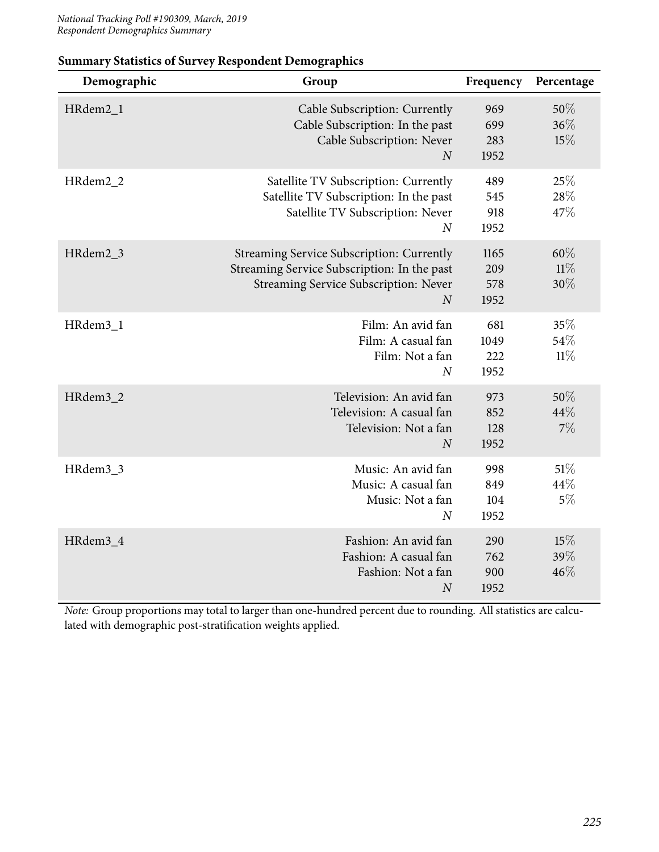| Demographic          | Group                                                                                                                                               | Frequency                  | Percentage              |
|----------------------|-----------------------------------------------------------------------------------------------------------------------------------------------------|----------------------------|-------------------------|
| HRdem <sub>2_1</sub> | Cable Subscription: Currently<br>Cable Subscription: In the past<br>Cable Subscription: Never<br>$\boldsymbol{N}$                                   | 969<br>699<br>283<br>1952  | 50%<br>36%<br>15%       |
| HRdem <sub>2_2</sub> | Satellite TV Subscription: Currently<br>Satellite TV Subscription: In the past<br>Satellite TV Subscription: Never<br>$\boldsymbol{N}$              | 489<br>545<br>918<br>1952  | 25%<br>28%<br>47%       |
| HRdem2_3             | Streaming Service Subscription: Currently<br>Streaming Service Subscription: In the past<br>Streaming Service Subscription: Never<br>$\overline{N}$ | 1165<br>209<br>578<br>1952 | 60%<br>$11\%$<br>$30\%$ |
| HRdem3_1             | Film: An avid fan<br>Film: A casual fan<br>Film: Not a fan<br>$\overline{N}$                                                                        | 681<br>1049<br>222<br>1952 | 35%<br>54%<br>$11\%$    |
| HRdem3_2             | Television: An avid fan<br>Television: A casual fan<br>Television: Not a fan<br>$\overline{N}$                                                      | 973<br>852<br>128<br>1952  | 50%<br>44\%<br>7%       |
| HRdem3_3             | Music: An avid fan<br>Music: A casual fan<br>Music: Not a fan<br>$\overline{N}$                                                                     | 998<br>849<br>104<br>1952  | 51%<br>44%<br>$5\%$     |
| HRdem3_4             | Fashion: An avid fan<br>Fashion: A casual fan<br>Fashion: Not a fan<br>$\overline{N}$                                                               | 290<br>762<br>900<br>1952  | 15%<br>39%<br>46%       |

*Note:* Group proportions may total to larger than one-hundred percent due to rounding. All statistics are calculated with demographic post-stratification weights applied.